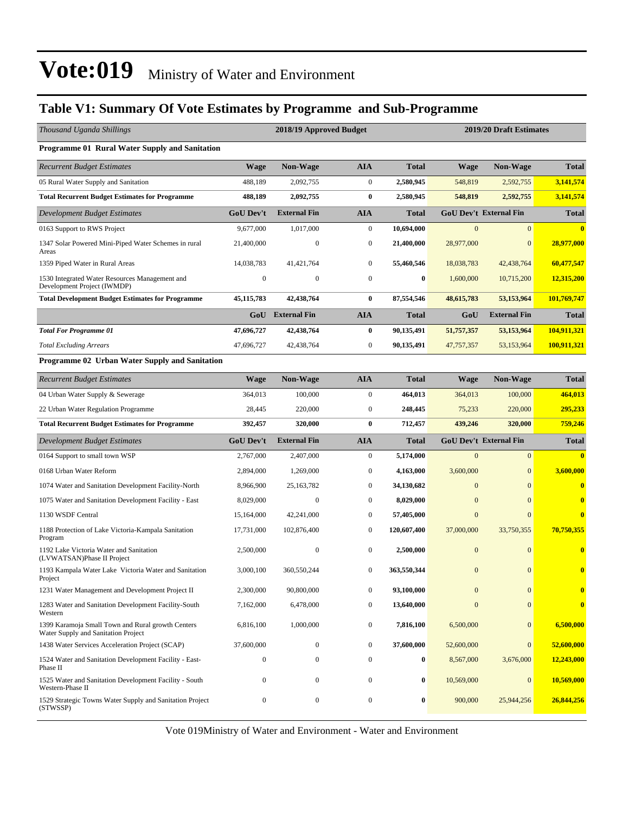#### **Table V1: Summary Of Vote Estimates by Programme and Sub-Programme**

| Thousand Uganda Shillings                                                                |                  | 2018/19 Approved Budget |                  |              | 2019/20 Draft Estimates |                               |              |  |
|------------------------------------------------------------------------------------------|------------------|-------------------------|------------------|--------------|-------------------------|-------------------------------|--------------|--|
| Programme 01 Rural Water Supply and Sanitation                                           |                  |                         |                  |              |                         |                               |              |  |
| <b>Recurrent Budget Estimates</b>                                                        | <b>Wage</b>      | Non-Wage                | <b>AIA</b>       | <b>Total</b> | <b>Wage</b>             | <b>Non-Wage</b>               | <b>Total</b> |  |
| 05 Rural Water Supply and Sanitation                                                     | 488,189          | 2,092,755               | $\boldsymbol{0}$ | 2,580,945    | 548,819                 | 2,592,755                     | 3,141,574    |  |
| <b>Total Recurrent Budget Estimates for Programme</b>                                    | 488,189          | 2,092,755               | $\bf{0}$         | 2,580,945    | 548,819                 | 2,592,755                     | 3,141,574    |  |
| Development Budget Estimates                                                             | <b>GoU Dev't</b> | <b>External Fin</b>     | <b>AIA</b>       | <b>Total</b> |                         | <b>GoU Dev't External Fin</b> | <b>Total</b> |  |
| 0163 Support to RWS Project                                                              | 9,677,000        | 1,017,000               | $\boldsymbol{0}$ | 10,694,000   | $\overline{0}$          | $\overline{0}$                |              |  |
| 1347 Solar Powered Mini-Piped Water Schemes in rural<br>Areas                            | 21,400,000       | $\boldsymbol{0}$        | $\boldsymbol{0}$ | 21,400,000   | 28,977,000              | $\mathbf{0}$                  | 28,977,000   |  |
| 1359 Piped Water in Rural Areas                                                          | 14,038,783       | 41, 421, 764            | $\mathbf{0}$     | 55,460,546   | 18,038,783              | 42,438,764                    | 60,477,547   |  |
| 1530 Integrated Water Resources Management and<br>Development Project (IWMDP)            | $\boldsymbol{0}$ | $\boldsymbol{0}$        | $\boldsymbol{0}$ | $\bf{0}$     | 1,600,000               | 10,715,200                    | 12,315,200   |  |
| <b>Total Development Budget Estimates for Programme</b>                                  | 45, 115, 783     | 42,438,764              | $\bf{0}$         | 87,554,546   | 48, 615, 783            | 53,153,964                    | 101,769,747  |  |
|                                                                                          |                  | GoU External Fin        | <b>AIA</b>       | <b>Total</b> | GoU                     | <b>External Fin</b>           | <b>Total</b> |  |
| <b>Total For Programme 01</b>                                                            | 47,696,727       | 42,438,764              | $\bf{0}$         | 90,135,491   | 51,757,357              | 53,153,964                    | 104,911,321  |  |
| <b>Total Excluding Arrears</b>                                                           | 47,696,727       | 42,438,764              | $\boldsymbol{0}$ | 90,135,491   | 47,757,357              | 53,153,964                    | 100,911,321  |  |
| Programme 02 Urban Water Supply and Sanitation                                           |                  |                         |                  |              |                         |                               |              |  |
| <b>Recurrent Budget Estimates</b>                                                        | <b>Wage</b>      | Non-Wage                | <b>AIA</b>       | <b>Total</b> | <b>Wage</b>             | <b>Non-Wage</b>               | <b>Total</b> |  |
| 04 Urban Water Supply & Sewerage                                                         | 364,013          | 100,000                 | $\boldsymbol{0}$ | 464,013      | 364,013                 | 100,000                       | 464,013      |  |
| 22 Urban Water Regulation Programme                                                      | 28,445           | 220,000                 | $\boldsymbol{0}$ | 248,445      | 75,233                  | 220,000                       | 295,233      |  |
| <b>Total Recurrent Budget Estimates for Programme</b>                                    | 392,457          | 320,000                 | $\bf{0}$         | 712,457      | 439,246                 | 320,000                       | 759,246      |  |
| Development Budget Estimates                                                             | <b>GoU Dev't</b> | <b>External Fin</b>     | <b>AIA</b>       | <b>Total</b> |                         | <b>GoU Dev't External Fin</b> | <b>Total</b> |  |
| 0164 Support to small town WSP                                                           | 2,767,000        | 2,407,000               | $\boldsymbol{0}$ | 5,174,000    | $\overline{0}$          | $\overline{0}$                | $\mathbf{0}$ |  |
| 0168 Urban Water Reform                                                                  | 2,894,000        | 1,269,000               | $\mathbf{0}$     | 4,163,000    | 3,600,000               | $\Omega$                      | 3,600,000    |  |
| 1074 Water and Sanitation Development Facility-North                                     | 8,966,900        | 25,163,782              | $\mathbf{0}$     | 34,130,682   | $\Omega$                | $\Omega$                      | $\mathbf{0}$ |  |
| 1075 Water and Sanitation Development Facility - East                                    | 8,029,000        | $\boldsymbol{0}$        | $\boldsymbol{0}$ | 8,029,000    | $\overline{0}$          | $\Omega$                      | $\bf{0}$     |  |
| 1130 WSDF Central                                                                        | 15,164,000       | 42,241,000              | $\boldsymbol{0}$ | 57,405,000   | $\mathbf{0}$            | $\Omega$                      | $\bf{0}$     |  |
| 1188 Protection of Lake Victoria-Kampala Sanitation<br>Program                           | 17,731,000       | 102,876,400             | $\boldsymbol{0}$ | 120,607,400  | 37,000,000              | 33,750,355                    | 70,750,355   |  |
| 1192 Lake Victoria Water and Sanitation<br>(LVWATSAN)Phase II Project                    | 2.500,000        | $\boldsymbol{0}$        | $\boldsymbol{0}$ | 2,500,000    | $\mathbf{0}$            | $\overline{0}$                | $\bf{0}$     |  |
| 1193 Kampala Water Lake Victoria Water and Sanitation<br>Project                         | 3,000,100        | 360,550,244             | $\mathbf{0}$     | 363,550,344  | $\mathbf{0}$            | $\overline{0}$                | $\bf{0}$     |  |
| 1231 Water Management and Development Project II                                         | 2,300,000        | 90,800,000              | $\boldsymbol{0}$ | 93,100,000   | $\overline{0}$          | $\mathbf{0}$                  | $\bf{0}$     |  |
| 1283 Water and Sanitation Development Facility-South<br>Western                          | 7,162,000        | 6,478,000               | $\boldsymbol{0}$ | 13,640,000   | $\mathbf{0}$            | $\mathbf{0}$                  | $\bf{0}$     |  |
| 1399 Karamoja Small Town and Rural growth Centers<br>Water Supply and Sanitation Project | 6,816,100        | 1,000,000               | $\boldsymbol{0}$ | 7,816,100    | 6,500,000               | $\mathbf{0}$                  | 6,500,000    |  |
| 1438 Water Services Acceleration Project (SCAP)                                          | 37,600,000       | $\boldsymbol{0}$        | $\boldsymbol{0}$ | 37,600,000   | 52,600,000              | $\mathbf{0}$                  | 52,600,000   |  |
| 1524 Water and Sanitation Development Facility - East-<br>Phase II                       | $\mathbf{0}$     | $\boldsymbol{0}$        | $\boldsymbol{0}$ | $\bf{0}$     | 8,567,000               | 3,676,000                     | 12,243,000   |  |
| 1525 Water and Sanitation Development Facility - South<br>Western-Phase II               | 0                | 0                       | $\boldsymbol{0}$ | $\bf{0}$     | 10,569,000              | $\boldsymbol{0}$              | 10,569,000   |  |
| 1529 Strategic Towns Water Supply and Sanitation Project<br>(STWSSP)                     | $\mathbf{0}$     | $\boldsymbol{0}$        | $\boldsymbol{0}$ | $\bf{0}$     | 900,000                 | 25,944,256                    | 26,844,256   |  |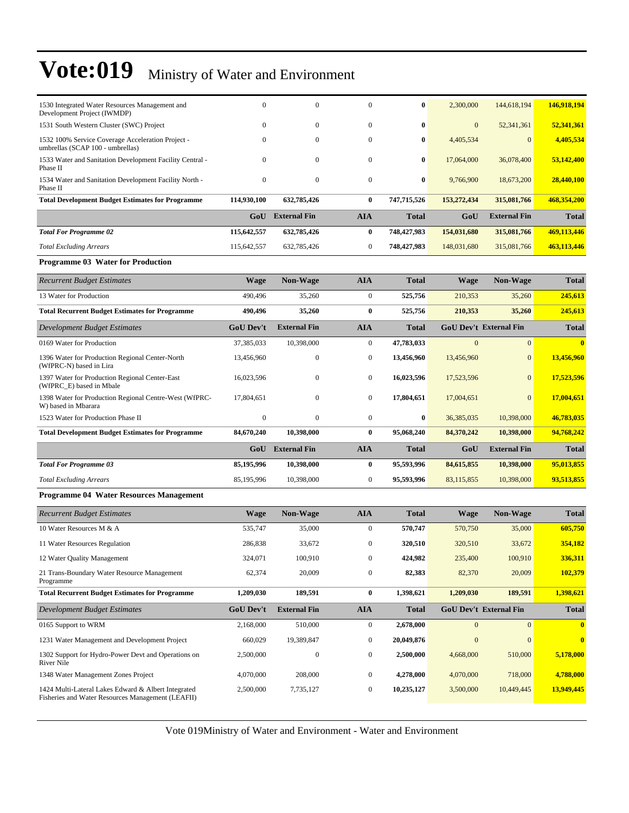| <b>Total Excluding Arrears</b>                                                        | 115,642,557 | 632,785,426         | $\mathbf{0}$ | 748,427,983  | 148,031,680  | 315,081,766         | 463,113,446  |
|---------------------------------------------------------------------------------------|-------------|---------------------|--------------|--------------|--------------|---------------------|--------------|
| <b>Total For Programme 02</b>                                                         | 115,642,557 | 632,785,426         | 0            | 748,427,983  | 154,031,680  | 315,081,766         | 469,113,446  |
|                                                                                       | GoU         | <b>External Fin</b> | <b>AIA</b>   | <b>Total</b> | GoU          | <b>External Fin</b> | <b>Total</b> |
| <b>Total Development Budget Estimates for Programme</b>                               | 114.930.100 | 632,785,426         | $\bf{0}$     | 747,715,526  | 153,272,434  | 315,081,766         | 468.354.200  |
| 1534 Water and Sanitation Development Facility North -<br>Phase II                    | $\Omega$    | $\mathbf{0}$        | $\mathbf{0}$ | $\bf{0}$     | 9,766,900    | 18,673,200          | 28,440,100   |
| 1533 Water and Sanitation Development Facility Central -<br>Phase II                  | $\Omega$    | $\mathbf{0}$        | $\mathbf{0}$ | $\bf{0}$     | 17,064,000   | 36,078,400          | 53,142,400   |
| 1532 100% Service Coverage Acceleration Project -<br>umbrellas (SCAP 100 - umbrellas) | $\Omega$    | $\theta$            | $\mathbf{0}$ | $\bf{0}$     | 4,405,534    | $\Omega$            | 4,405,534    |
| 1531 South Western Cluster (SWC) Project                                              | $\Omega$    | $\mathbf{0}$        | $\mathbf{0}$ | $\bf{0}$     | $\mathbf{0}$ | 52,341,361          | 52,341,361   |
| 1530 Integrated Water Resources Management and<br>Development Project (IWMDP)         | $\Omega$    | $\theta$            | $\mathbf{0}$ | $\bf{0}$     | 2,300,000    | 144,618,194         | 146,918,194  |

#### **Programme 03 Water for Production**

| <b>Recurrent Budget Estimates</b>                                             | <b>Wage</b>      | <b>Non-Wage</b>     | <b>AIA</b>   | <b>Total</b> | Wage       | <b>Non-Wage</b>               | <b>Total</b> |
|-------------------------------------------------------------------------------|------------------|---------------------|--------------|--------------|------------|-------------------------------|--------------|
| 13 Water for Production                                                       | 490,496          | 35,260              | $\mathbf{0}$ | 525,756      | 210,353    | 35,260                        | 245,613      |
| <b>Total Recurrent Budget Estimates for Programme</b>                         | 490,496          | 35,260              | $\bf{0}$     | 525,756      | 210,353    | 35,260                        | 245,613      |
| Development Budget Estimates                                                  | <b>GoU Dev't</b> | <b>External Fin</b> | <b>AIA</b>   | <b>Total</b> |            | <b>GoU Dev't External Fin</b> | <b>Total</b> |
| 0169 Water for Production                                                     | 37,385,033       | 10,398,000          | $\mathbf{0}$ | 47,783,033   | $\Omega$   | $\Omega$                      | $\mathbf{0}$ |
| 1396 Water for Production Regional Center-North<br>(WfPRC-N) based in Lira    | 13,456,960       | $\mathbf{0}$        | $\mathbf{0}$ | 13,456,960   | 13,456,960 | $\Omega$                      | 13,456,960   |
| 1397 Water for Production Regional Center-East<br>(WfPRC_E) based in Mbale    | 16,023,596       | $\mathbf{0}$        | $\mathbf{0}$ | 16,023,596   | 17,523,596 | $\Omega$                      | 17,523,596   |
| 1398 Water for Production Regional Centre-West (WfPRC-<br>W) based in Mbarara | 17,804,651       | $\mathbf{0}$        | $\mathbf{0}$ | 17,804,651   | 17,004,651 | $\Omega$                      | 17,004,651   |
| 1523 Water for Production Phase II                                            | $\mathbf{0}$     | $\mathbf{0}$        | $\mathbf{0}$ | $\bf{0}$     | 36,385,035 | 10,398,000                    | 46,783,035   |
| <b>Total Development Budget Estimates for Programme</b>                       | 84,670,240       | 10,398,000          | $\bf{0}$     | 95,068,240   | 84,370,242 | 10,398,000                    | 94,768,242   |
|                                                                               | GoU              | <b>External Fin</b> | <b>AIA</b>   | <b>Total</b> | GoU        | <b>External Fin</b>           | <b>Total</b> |
| <b>Total For Programme 03</b>                                                 | 85,195,996       | 10,398,000          | $\bf{0}$     | 95,593,996   | 84,615,855 | 10,398,000                    | 95,013,855   |
| <b>Total Excluding Arrears</b>                                                | 85,195,996       | 10,398,000          | $\mathbf{0}$ | 95,593,996   | 83,115,855 | 10,398,000                    | 93,513,855   |

#### **Programme 04 Water Resources Management**

| <b>Recurrent Budget Estimates</b>                                                                        | <b>Wage</b>      | <b>Non-Wage</b>     | <b>AIA</b>   | <b>Total</b> | Wage           | <b>Non-Wage</b>               | <b>Total</b> |
|----------------------------------------------------------------------------------------------------------|------------------|---------------------|--------------|--------------|----------------|-------------------------------|--------------|
| 10 Water Resources M & A                                                                                 | 535,747          | 35,000              | $\mathbf{0}$ | 570,747      | 570,750        | 35,000                        | 605,750      |
| 11 Water Resources Regulation                                                                            | 286,838          | 33,672              | $\mathbf{0}$ | 320,510      | 320,510        | 33,672                        | 354,182      |
| 12 Water Quality Management                                                                              | 324,071          | 100,910             | $\mathbf{0}$ | 424,982      | 235,400        | 100,910                       | 336,311      |
| 21 Trans-Boundary Water Resource Management<br>Programme                                                 | 62,374           | 20,009              | $\mathbf{0}$ | 82,383       | 82,370         | 20,009                        | 102,379      |
| <b>Total Recurrent Budget Estimates for Programme</b>                                                    | 1,209,030        | 189,591             | $\bf{0}$     | 1,398,621    | 1,209,030      | 189,591                       | 1,398,621    |
| Development Budget Estimates                                                                             | <b>GoU Dev't</b> | <b>External Fin</b> | <b>AIA</b>   | <b>Total</b> |                | <b>GoU Dev't External Fin</b> | <b>Total</b> |
| 0165 Support to WRM                                                                                      | 2,168,000        | 510,000             | $\mathbf{0}$ | 2,678,000    | $\Omega$       | $\Omega$                      | $\mathbf{0}$ |
| 1231 Water Management and Development Project                                                            | 660,029          | 19,389,847          | $\mathbf{0}$ | 20,049,876   | $\overline{0}$ | $\mathbf{0}$                  | $\bf{0}$     |
| 1302 Support for Hydro-Power Devt and Operations on<br>River Nile                                        | 2,500,000        | $\mathbf{0}$        | $\mathbf{0}$ | 2,500,000    | 4,668,000      | 510,000                       | 5,178,000    |
| 1348 Water Management Zones Project                                                                      | 4,070,000        | 208,000             | $\mathbf{0}$ | 4,278,000    | 4,070,000      | 718,000                       | 4,788,000    |
| 1424 Multi-Lateral Lakes Edward & Albert Integrated<br>Fisheries and Water Resources Management (LEAFII) | 2,500,000        | 7,735,127           | $\mathbf{0}$ | 10,235,127   | 3,500,000      | 10,449,445                    | 13,949,445   |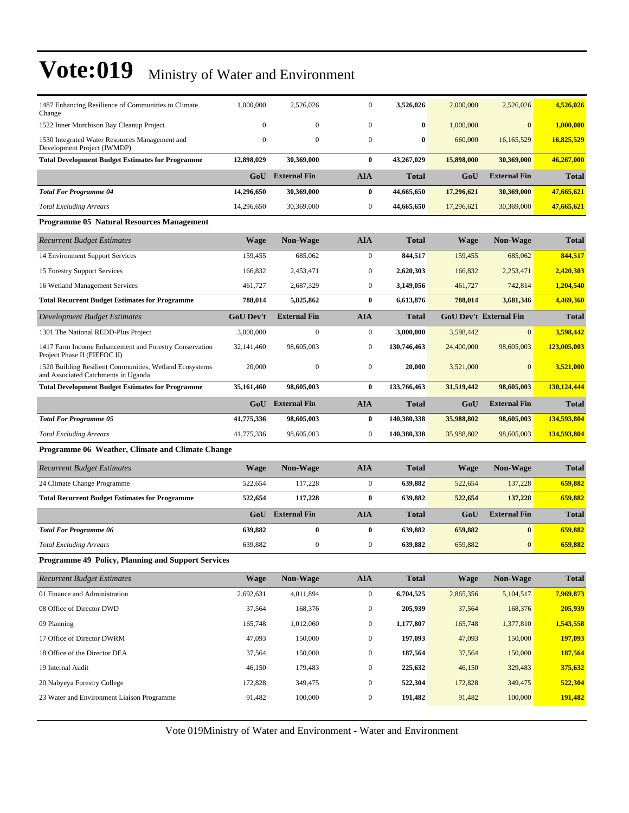| 1487 Enhancing Resilience of Communities to Climate<br>Change                                  | 1,000,000        | 2,526,026               | 0                | 3,526,026    | 2,000,000   | 2,526,026                     | 4,526,026    |
|------------------------------------------------------------------------------------------------|------------------|-------------------------|------------------|--------------|-------------|-------------------------------|--------------|
| 1522 Inner Murchison Bay Cleanup Project                                                       | $\mathbf{0}$     | $\mathbf{0}$            | $\mathbf{0}$     | 0            | 1,000,000   | $\mathbf{0}$                  | 1,000,000    |
| 1530 Integrated Water Resources Management and<br>Development Project (IWMDP)                  | $\mathbf{0}$     | $\mathbf{0}$            | $\mathbf{0}$     | $\bf{0}$     | 660,000     | 16,165,529                    | 16,825,529   |
| <b>Total Development Budget Estimates for Programme</b>                                        | 12,898,029       | 30,369,000              | $\bf{0}$         | 43,267,029   | 15,898,000  | 30,369,000                    | 46,267,000   |
|                                                                                                | GoU              | <b>External Fin</b>     | <b>AIA</b>       | <b>Total</b> | GoU         | <b>External Fin</b>           | <b>Total</b> |
| <b>Total For Programme 04</b>                                                                  | 14,296,650       | 30,369,000              | $\bf{0}$         | 44,665,650   | 17,296,621  | 30,369,000                    | 47,665,621   |
| <b>Total Excluding Arrears</b>                                                                 | 14,296,650       | 30,369,000              | $\boldsymbol{0}$ | 44,665,650   | 17,296,621  | 30,369,000                    | 47,665,621   |
| Programme 05 Natural Resources Management                                                      |                  |                         |                  |              |             |                               |              |
| <b>Recurrent Budget Estimates</b>                                                              | <b>Wage</b>      | <b>Non-Wage</b>         | <b>AIA</b>       | <b>Total</b> | <b>Wage</b> | <b>Non-Wage</b>               | <b>Total</b> |
| 14 Environment Support Services                                                                | 159,455          | 685,062                 | $\boldsymbol{0}$ | 844,517      | 159,455     | 685,062                       | 844,517      |
| 15 Forestry Support Services                                                                   | 166,832          | 2,453,471               | $\bf{0}$         | 2,620,303    | 166,832     | 2,253,471                     | 2,420,303    |
| 16 Wetland Management Services                                                                 | 461,727          | 2,687,329               | $\boldsymbol{0}$ | 3,149,056    | 461,727     | 742,814                       | 1,204,540    |
| <b>Total Recurrent Budget Estimates for Programme</b>                                          | 788,014          | 5,825,862               | $\bf{0}$         | 6,613,876    | 788,014     | 3,681,346                     | 4,469,360    |
| Development Budget Estimates                                                                   | <b>GoU Dev't</b> | <b>External Fin</b>     | <b>AIA</b>       | <b>Total</b> |             | <b>GoU Dev't External Fin</b> | <b>Total</b> |
| 1301 The National REDD-Plus Project                                                            | 3,000,000        | $\boldsymbol{0}$        | $\boldsymbol{0}$ | 3,000,000    | 3,598,442   | $\mathbf{0}$                  | 3,598,442    |
| 1417 Farm Income Enhancement and Forestry Conservation<br>Project Phase II (FIEFOC II)         | 32,141,460       | 98,605,003              | $\boldsymbol{0}$ | 130,746,463  | 24,400,000  | 98,605,003                    | 123,005,003  |
| 1520 Building Resilient Communities, Wetland Ecosystems<br>and Associated Catchments in Uganda | 20,000           | $\boldsymbol{0}$        | $\boldsymbol{0}$ | 20,000       | 3,521,000   | $\mathbf{0}$                  | 3,521,000    |
| <b>Total Development Budget Estimates for Programme</b>                                        | 35,161,460       | 98,605,003              | $\bf{0}$         | 133,766,463  | 31,519,442  | 98,605,003                    | 130,124,444  |
|                                                                                                |                  | <b>GoU</b> External Fin | <b>AIA</b>       | <b>Total</b> | GoU         | <b>External Fin</b>           | <b>Total</b> |
| <b>Total For Programme 05</b>                                                                  | 41,775,336       | 98,605,003              | $\bf{0}$         | 140,380,338  | 35,988,802  | 98,605,003                    | 134,593,804  |
| <b>Total Excluding Arrears</b>                                                                 | 41,775,336       | 98,605,003              | $\boldsymbol{0}$ | 140,380,338  | 35,988,802  | 98,605,003                    | 134,593,804  |
| Programme 06 Weather, Climate and Climate Change                                               |                  |                         |                  |              |             |                               |              |
| <b>Recurrent Budget Estimates</b>                                                              | <b>Wage</b>      | Non-Wage                | <b>AIA</b>       | <b>Total</b> | <b>Wage</b> | <b>Non-Wage</b>               | <b>Total</b> |
| 24 Climate Change Programme                                                                    | 522,654          | 117,228                 | $\boldsymbol{0}$ | 639,882      | 522,654     | 137,228                       | 659,882      |
| <b>Total Recurrent Budget Estimates for Programme</b>                                          | 522,654          | 117,228                 | $\bf{0}$         | 639,882      | 522,654     | 137,228                       | 659,882      |
|                                                                                                | GoU              | <b>External Fin</b>     | <b>AIA</b>       | <b>Total</b> | GoU         | <b>External Fin</b>           | <b>Total</b> |
| <b>Total For Programme 06</b>                                                                  | 639,882          | 0                       | $\bf{0}$         | 639,882      | 659,882     | $\bf{0}$                      | 659,882      |
| <b>Total Excluding Arrears</b>                                                                 | 639,882          | $\boldsymbol{0}$        | $\boldsymbol{0}$ | 639,882      | 659,882     | $\mathbf{0}$                  | 659,882      |
| Programme 49 Policy, Planning and Support Services                                             |                  |                         |                  |              |             |                               |              |
| <b>Recurrent Budget Estimates</b>                                                              |                  |                         |                  |              |             |                               | <b>Total</b> |
|                                                                                                | <b>Wage</b>      | Non-Wage                | <b>AIA</b>       | <b>Total</b> | <b>Wage</b> | <b>Non-Wage</b>               |              |
| 01 Finance and Administration                                                                  | 2,692,631        | 4,011,894               | $\overline{0}$   | 6,704,525    | 2,865,356   | 5,104,517                     | 7,969,873    |
| 08 Office of Director DWD                                                                      | 37,564           | 168,376                 | $\boldsymbol{0}$ | 205,939      | 37,564      | 168,376                       | 205,939      |
| 09 Planning                                                                                    | 165,748          | 1,012,060               | $\boldsymbol{0}$ | 1,177,807    | 165,748     | 1,377,810                     | 1,543,558    |
| 17 Office of Director DWRM                                                                     | 47,093           | 150,000                 | $\boldsymbol{0}$ | 197,093      | 47,093      | 150,000                       | 197,093      |
| 18 Office of the Director DEA                                                                  | 37,564           | 150,000                 | $\boldsymbol{0}$ | 187,564      | 37,564      | 150,000                       | 187,564      |
| 19 Internal Audit                                                                              | 46,150           | 179,483                 | $\boldsymbol{0}$ | 225,632      | 46,150      | 329,483                       | 375,632      |
| 20 Nabyeya Forestry College                                                                    | 172,828          | 349,475                 | $\boldsymbol{0}$ | 522,304      | 172,828     | 349,475                       | 522,304      |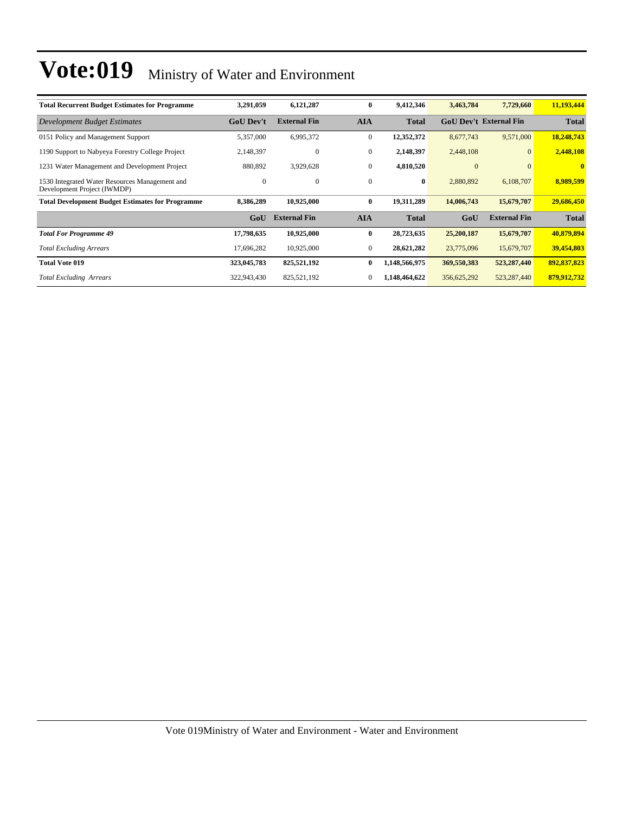| <b>Total Recurrent Budget Estimates for Programme</b>                         | 3,291,059        | 6,121,287           | $\bf{0}$         | 9,412,346     | 3,463,784    | 7,729,660                     | 11,193,444   |
|-------------------------------------------------------------------------------|------------------|---------------------|------------------|---------------|--------------|-------------------------------|--------------|
| Development Budget Estimates                                                  | <b>GoU Dev't</b> | <b>External Fin</b> | <b>AIA</b>       | <b>Total</b>  |              | <b>GoU</b> Dev't External Fin | <b>Total</b> |
| 0151 Policy and Management Support                                            | 5,357,000        | 6,995,372           | $\mathbf{0}$     | 12,352,372    | 8,677,743    | 9,571,000                     | 18,248,743   |
| 1190 Support to Nabyeya Forestry College Project                              | 2,148,397        | $\boldsymbol{0}$    | $\boldsymbol{0}$ | 2,148,397     | 2,448,108    | $\Omega$                      | 2,448,108    |
| 1231 Water Management and Development Project                                 | 880,892          | 3,929,628           | $\mathbf{0}$     | 4,810,520     | $\mathbf{0}$ | $\Omega$                      | $\mathbf{0}$ |
| 1530 Integrated Water Resources Management and<br>Development Project (IWMDP) | $\bf{0}$         | $\boldsymbol{0}$    | $\mathbf{0}$     | $\bf{0}$      | 2,880,892    | 6,108,707                     | 8,989,599    |
| <b>Total Development Budget Estimates for Programme</b>                       | 8,386,289        | 10,925,000          | $\bf{0}$         | 19,311,289    | 14,006,743   | 15,679,707                    | 29,686,450   |
|                                                                               | GoU              | <b>External Fin</b> | <b>AIA</b>       | <b>Total</b>  | GoU          | <b>External Fin</b>           | <b>Total</b> |
| <b>Total For Programme 49</b>                                                 | 17,798,635       | 10,925,000          | $\bf{0}$         | 28,723,635    | 25,200,187   | 15,679,707                    | 40,879,894   |
| <b>Total Excluding Arrears</b>                                                | 17,696,282       | 10,925,000          | $\mathbf{0}$     | 28,621,282    | 23,775,096   | 15,679,707                    | 39,454,803   |
| <b>Total Vote 019</b>                                                         | 323,045,783      | 825,521,192         | $\bf{0}$         | 1,148,566,975 | 369,550,383  | 523,287,440                   | 892,837,823  |
| <b>Total Excluding Arrears</b>                                                | 322,943,430      | 825,521,192         | 0                | 1,148,464,622 | 356,625,292  | 523, 287, 440                 | 879,912,732  |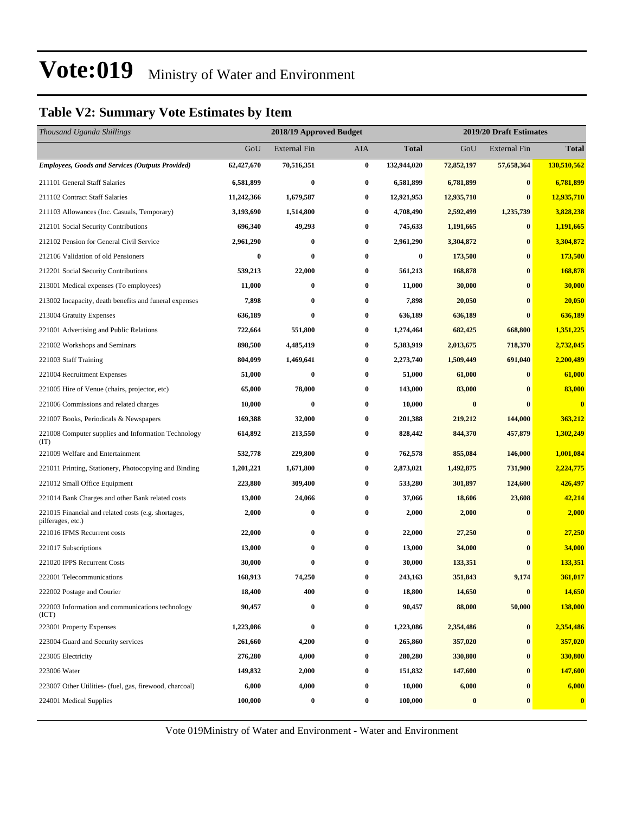#### **Table V2: Summary Vote Estimates by Item**

| Thousand Uganda Shillings                                                |            | 2018/19 Approved Budget |                  |                  | 2019/20 Draft Estimates |                     |              |  |
|--------------------------------------------------------------------------|------------|-------------------------|------------------|------------------|-------------------------|---------------------|--------------|--|
|                                                                          | GoU        | <b>External Fin</b>     | AIA              | <b>Total</b>     | GoU                     | <b>External Fin</b> | <b>Total</b> |  |
| <b>Employees, Goods and Services (Outputs Provided)</b>                  | 62,427,670 | 70,516,351              | $\bf{0}$         | 132,944,020      | 72,852,197              | 57,658,364          | 130,510,562  |  |
| 211101 General Staff Salaries                                            | 6,581,899  | $\bf{0}$                | $\bf{0}$         | 6,581,899        | 6,781,899               | $\bf{0}$            | 6,781,899    |  |
| 211102 Contract Staff Salaries                                           | 11,242,366 | 1,679,587               | $\bf{0}$         | 12,921,953       | 12,935,710              | $\bf{0}$            | 12,935,710   |  |
| 211103 Allowances (Inc. Casuals, Temporary)                              | 3,193,690  | 1,514,800               | $\bf{0}$         | 4,708,490        | 2,592,499               | 1,235,739           | 3,828,238    |  |
| 212101 Social Security Contributions                                     | 696,340    | 49,293                  | 0                | 745,633          | 1,191,665               | $\bf{0}$            | 1,191,665    |  |
| 212102 Pension for General Civil Service                                 | 2,961,290  | $\bf{0}$                | $\bf{0}$         | 2,961,290        | 3,304,872               | $\bf{0}$            | 3,304,872    |  |
| 212106 Validation of old Pensioners                                      | 0          | $\bf{0}$                | 0                | $\boldsymbol{0}$ | 173,500                 | $\bf{0}$            | 173,500      |  |
| 212201 Social Security Contributions                                     | 539,213    | 22,000                  | $\bf{0}$         | 561,213          | 168,878                 | $\bf{0}$            | 168,878      |  |
| 213001 Medical expenses (To employees)                                   | 11,000     | $\bf{0}$                | $\bf{0}$         | 11,000           | 30,000                  | $\bf{0}$            | 30,000       |  |
| 213002 Incapacity, death benefits and funeral expenses                   | 7,898      | $\bf{0}$                | $\bf{0}$         | 7,898            | 20,050                  | $\bf{0}$            | 20,050       |  |
| 213004 Gratuity Expenses                                                 | 636,189    | $\bf{0}$                | $\bf{0}$         | 636,189          | 636,189                 | $\bf{0}$            | 636,189      |  |
| 221001 Advertising and Public Relations                                  | 722,664    | 551,800                 | 0                | 1,274,464        | 682,425                 | 668,800             | 1,351,225    |  |
| 221002 Workshops and Seminars                                            | 898,500    | 4,485,419               | 0                | 5,383,919        | 2,013,675               | 718,370             | 2,732,045    |  |
| 221003 Staff Training                                                    | 804,099    | 1,469,641               | $\bf{0}$         | 2,273,740        | 1,509,449               | 691,040             | 2,200,489    |  |
| 221004 Recruitment Expenses                                              | 51,000     | $\bf{0}$                | $\bf{0}$         | 51,000           | 61,000                  | $\bf{0}$            | 61,000       |  |
| 221005 Hire of Venue (chairs, projector, etc)                            | 65,000     | 78,000                  | 0                | 143,000          | 83,000                  | $\bf{0}$            | 83,000       |  |
| 221006 Commissions and related charges                                   | 10,000     | $\bf{0}$                | $\bf{0}$         | 10,000           | $\boldsymbol{0}$        | $\bf{0}$            | $\bf{0}$     |  |
| 221007 Books, Periodicals & Newspapers                                   | 169,388    | 32,000                  | $\bf{0}$         | 201,388          | 219,212                 | 144,000             | 363,212      |  |
| 221008 Computer supplies and Information Technology<br>(TT)              | 614,892    | 213,550                 | $\bf{0}$         | 828,442          | 844,370                 | 457,879             | 1,302,249    |  |
| 221009 Welfare and Entertainment                                         | 532,778    | 229,800                 | $\bf{0}$         | 762,578          | 855,084                 | 146,000             | 1,001,084    |  |
| 221011 Printing, Stationery, Photocopying and Binding                    | 1,201,221  | 1,671,800               | $\bf{0}$         | 2,873,021        | 1,492,875               | 731,900             | 2,224,775    |  |
| 221012 Small Office Equipment                                            | 223,880    | 309,400                 | $\bf{0}$         | 533,280          | 301,897                 | 124,600             | 426,497      |  |
| 221014 Bank Charges and other Bank related costs                         | 13,000     | 24,066                  | $\bf{0}$         | 37,066           | 18,606                  | 23,608              | 42,214       |  |
| 221015 Financial and related costs (e.g. shortages,<br>pilferages, etc.) | 2,000      | $\bf{0}$                | 0                | 2,000            | 2,000                   | $\bf{0}$            | 2,000        |  |
| 221016 IFMS Recurrent costs                                              | 22,000     | $\bf{0}$                | $\bf{0}$         | 22,000           | 27,250                  | $\bf{0}$            | 27,250       |  |
| 221017 Subscriptions                                                     | 13,000     | $\bf{0}$                | $\bf{0}$         | 13,000           | 34,000                  | $\bf{0}$            | 34,000       |  |
| 221020 IPPS Recurrent Costs                                              | 30,000     | $\bf{0}$                | $\bf{0}$         | 30,000           | 133,351                 | $\bf{0}$            | 133,351      |  |
| 222001 Telecommunications                                                | 168,913    | 74,250                  | 0                | 243,163          | 351,843                 | 9,174               | 361,017      |  |
| 222002 Postage and Courier                                               | 18,400     | 400                     | $\bf{0}$         | 18,800           | 14,650                  | $\bf{0}$            | 14,650       |  |
| 222003 Information and communications technology<br>(ICT)                | 90,457     | $\bf{0}$                | $\bf{0}$         | 90,457           | 88,000                  | 50,000              | 138,000      |  |
| 223001 Property Expenses                                                 | 1,223,086  | $\bf{0}$                | $\bf{0}$         | 1,223,086        | 2,354,486               | $\bf{0}$            | 2,354,486    |  |
| 223004 Guard and Security services                                       | 261,660    | 4,200                   | $\bf{0}$         | 265,860          | 357,020                 | $\bf{0}$            | 357,020      |  |
| 223005 Electricity                                                       | 276,280    | 4,000                   | $\boldsymbol{0}$ | 280,280          | 330,800                 | $\bf{0}$            | 330,800      |  |
| 223006 Water                                                             | 149,832    | 2,000                   | $\bf{0}$         | 151,832          | 147,600                 | $\bf{0}$            | 147,600      |  |
| 223007 Other Utilities- (fuel, gas, firewood, charcoal)                  | 6,000      | 4,000                   | $\bf{0}$         | 10,000           | 6,000                   | $\bf{0}$            | 6,000        |  |
| 224001 Medical Supplies                                                  | 100,000    | $\boldsymbol{0}$        | $\bf{0}$         | 100,000          | $\pmb{0}$               | $\bf{0}$            | $\bf{0}$     |  |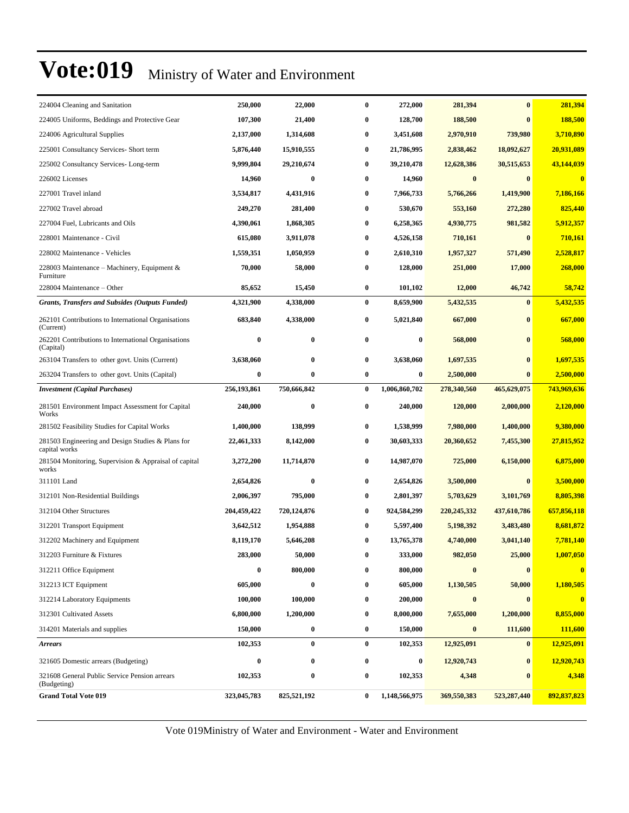| 224004 Cleaning and Sanitation                                     | 250,000     | 22,000      | 0        | 272,000       | 281,394       | $\bf{0}$         | 281,394     |
|--------------------------------------------------------------------|-------------|-------------|----------|---------------|---------------|------------------|-------------|
| 224005 Uniforms, Beddings and Protective Gear                      | 107,300     | 21,400      | 0        | 128,700       | 188,500       | $\bf{0}$         | 188,500     |
| 224006 Agricultural Supplies                                       | 2,137,000   | 1,314,608   | 0        | 3,451,608     | 2,970,910     | 739,980          | 3,710,890   |
| 225001 Consultancy Services- Short term                            | 5,876,440   | 15,910,555  | 0        | 21,786,995    | 2,838,462     | 18,092,627       | 20,931,089  |
| 225002 Consultancy Services-Long-term                              | 9,999,804   | 29,210,674  | 0        | 39,210,478    | 12,628,386    | 30,515,653       | 43,144,039  |
| 226002 Licenses                                                    | 14,960      | $\bf{0}$    | 0        | 14,960        | $\bf{0}$      | $\bf{0}$         | $\bf{0}$    |
| 227001 Travel inland                                               | 3,534,817   | 4,431,916   | 0        | 7,966,733     | 5,766,266     | 1,419,900        | 7,186,166   |
| 227002 Travel abroad                                               | 249,270     | 281,400     | 0        | 530,670       | 553,160       | 272,280          | 825,440     |
| 227004 Fuel, Lubricants and Oils                                   | 4,390,061   | 1,868,305   | 0        | 6,258,365     | 4,930,775     | 981,582          | 5,912,357   |
| 228001 Maintenance - Civil                                         | 615,080     | 3,911,078   | 0        | 4,526,158     | 710,161       | $\bf{0}$         | 710,161     |
| 228002 Maintenance - Vehicles                                      | 1,559,351   | 1,050,959   | 0        | 2,610,310     | 1,957,327     | 571,490          | 2,528,817   |
| 228003 Maintenance - Machinery, Equipment &<br>Furniture           | 70,000      | 58,000      | 0        | 128,000       | 251,000       | 17,000           | 268,000     |
| 228004 Maintenance - Other                                         | 85,652      | 15,450      | $\bf{0}$ | 101,102       | 12,000        | 46,742           | 58,742      |
| <b>Grants, Transfers and Subsides (Outputs Funded)</b>             | 4,321,900   | 4,338,000   | $\bf{0}$ | 8,659,900     | 5,432,535     | $\bf{0}$         | 5,432,535   |
| 262101 Contributions to International Organisations<br>(Current)   | 683,840     | 4,338,000   | 0        | 5,021,840     | 667,000       | $\bf{0}$         | 667,000     |
| 262201 Contributions to International Organisations<br>(Capital)   | $\bf{0}$    | $\bf{0}$    | $\bf{0}$ | $\bf{0}$      | 568,000       | $\bf{0}$         | 568,000     |
| 263104 Transfers to other govt. Units (Current)                    | 3,638,060   | $\bf{0}$    | $\bf{0}$ | 3,638,060     | 1,697,535     | $\bf{0}$         | 1,697,535   |
| 263204 Transfers to other govt. Units (Capital)                    | 0           | $\bf{0}$    | 0        | $\bf{0}$      | 2,500,000     | $\bf{0}$         | 2,500,000   |
| <b>Investment</b> (Capital Purchases)                              | 256,193,861 | 750,666,842 | $\bf{0}$ | 1,006,860,702 | 278,340,560   | 465,629,075      | 743,969,636 |
| 281501 Environment Impact Assessment for Capital<br>Works          | 240,000     | $\bf{0}$    | $\bf{0}$ | 240,000       | 120,000       | 2,000,000        | 2,120,000   |
| 281502 Feasibility Studies for Capital Works                       | 1,400,000   | 138,999     | 0        | 1,538,999     | 7,980,000     | 1,400,000        | 9,380,000   |
| 281503 Engineering and Design Studies & Plans for<br>capital works | 22,461,333  | 8,142,000   | 0        | 30,603,333    | 20,360,652    | 7,455,300        | 27,815,952  |
| 281504 Monitoring, Supervision & Appraisal of capital<br>works     | 3,272,200   | 11,714,870  | 0        | 14,987,070    | 725,000       | 6,150,000        | 6,875,000   |
| 311101 Land                                                        | 2,654,826   | $\bf{0}$    | $\bf{0}$ | 2,654,826     | 3,500,000     | $\bf{0}$         | 3,500,000   |
| 312101 Non-Residential Buildings                                   | 2,006,397   | 795,000     | 0        | 2,801,397     | 5,703,629     | 3,101,769        | 8,805,398   |
| 312104 Other Structures                                            | 204,459,422 | 720,124,876 | 0        | 924,584,299   | 220, 245, 332 | 437,610,786      | 657,856,118 |
| 312201 Transport Equipment                                         | 3,642,512   | 1,954,888   | 0        | 5,597,400     | 5,198,392     | 3,483,480        | 8,681,872   |
| 312202 Machinery and Equipment                                     | 8,119,170   | 5,646,208   | 0        | 13,765,378    | 4,740,000     | 3,041,140        | 7,781,140   |
| 312203 Furniture & Fixtures                                        | 283,000     | 50,000      | 0        | 333,000       | 982,050       | 25,000           | 1.007.050   |
| 312211 Office Equipment                                            | $\bf{0}$    | 800,000     | $\bf{0}$ | 800,000       | $\bf{0}$      | $\boldsymbol{0}$ | $\bf{0}$    |
| 312213 ICT Equipment                                               | 605,000     | $\bf{0}$    | 0        | 605,000       | 1,130,505     | 50,000           | 1,180,505   |
| 312214 Laboratory Equipments                                       | 100,000     | 100,000     | 0        | 200,000       | $\bf{0}$      | $\bf{0}$         | $\bf{0}$    |
| 312301 Cultivated Assets                                           | 6,800,000   | 1,200,000   | 0        | 8,000,000     | 7,655,000     | 1,200,000        | 8,855,000   |
| 314201 Materials and supplies                                      | 150,000     | $\bf{0}$    | 0        | 150,000       | $\bf{0}$      | 111,600          | 111,600     |
| <b>Arrears</b>                                                     | 102,353     | $\bf{0}$    | $\bf{0}$ | 102,353       | 12,925,091    | $\bf{0}$         | 12,925,091  |
| 321605 Domestic arrears (Budgeting)                                | $\bf{0}$    | $\bf{0}$    | 0        | $\bf{0}$      | 12,920,743    | $\bf{0}$         | 12,920,743  |
| 321608 General Public Service Pension arrears<br>(Budgeting)       |             | $\bf{0}$    | 0        | 102,353       | 4,348         | $\bf{0}$         | 4,348       |
|                                                                    | 102,353     |             |          |               |               |                  |             |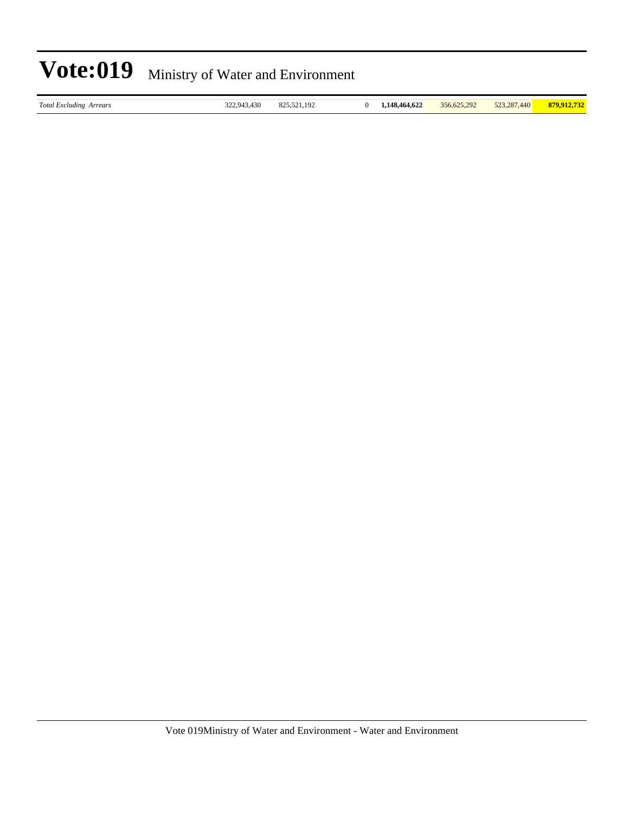|  | Vote:019 Ministry of Water and Environment |
|--|--------------------------------------------|
|--|--------------------------------------------|

| otal Excluding Arrears |  |  |
|------------------------|--|--|
|------------------------|--|--|

*Total Excluding Arrears* 322,943,430 825,521,192 0 **1,148,464,622** 356,625,292 523,287,440 **879,912,732**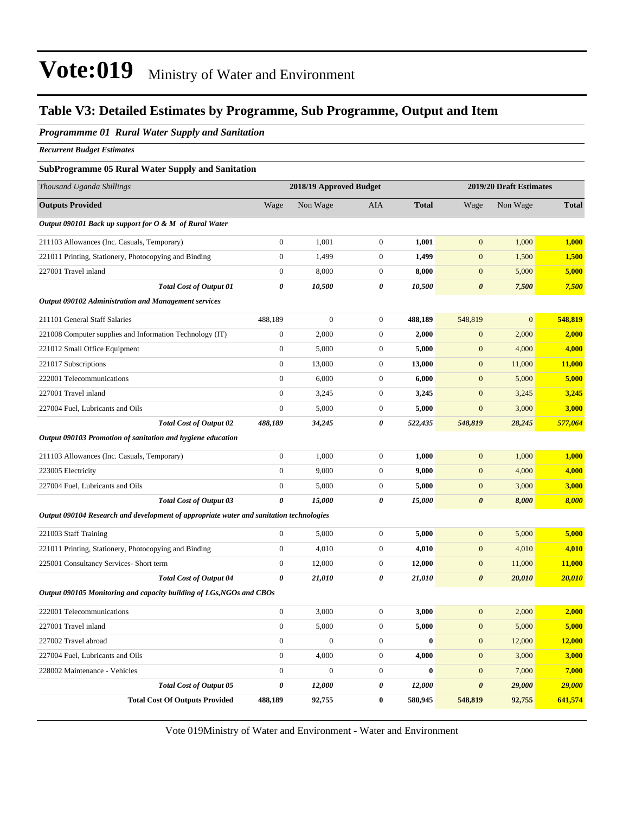#### **Table V3: Detailed Estimates by Programme, Sub Programme, Output and Item**

#### *Programmme 01 Rural Water Supply and Sanitation*

*Recurrent Budget Estimates*

#### **SubProgramme 05 Rural Water Supply and Sanitation**

| Thousand Uganda Shillings                                                               | 2018/19 Approved Budget |                  |                  | 2019/20 Draft Estimates |                       |                |              |
|-----------------------------------------------------------------------------------------|-------------------------|------------------|------------------|-------------------------|-----------------------|----------------|--------------|
| <b>Outputs Provided</b>                                                                 | Wage                    | Non Wage         | AIA              | <b>Total</b>            | Wage                  | Non Wage       | <b>Total</b> |
| Output 090101 Back up support for O & M of Rural Water                                  |                         |                  |                  |                         |                       |                |              |
| 211103 Allowances (Inc. Casuals, Temporary)                                             | $\boldsymbol{0}$        | 1,001            | $\boldsymbol{0}$ | 1,001                   | $\mathbf{0}$          | 1,000          | 1,000        |
| 221011 Printing, Stationery, Photocopying and Binding                                   | $\boldsymbol{0}$        | 1,499            | $\mathbf{0}$     | 1,499                   | $\mathbf{0}$          | 1,500          | 1,500        |
| 227001 Travel inland                                                                    | $\boldsymbol{0}$        | 8,000            | $\boldsymbol{0}$ | 8,000                   | $\mathbf{0}$          | 5,000          | 5,000        |
| <b>Total Cost of Output 01</b>                                                          | 0                       | 10,500           | 0                | 10,500                  | $\boldsymbol{\theta}$ | 7,500          | 7,500        |
| Output 090102 Administration and Management services                                    |                         |                  |                  |                         |                       |                |              |
| 211101 General Staff Salaries                                                           | 488,189                 | $\boldsymbol{0}$ | $\mathbf{0}$     | 488,189                 | 548,819               | $\overline{0}$ | 548,819      |
| 221008 Computer supplies and Information Technology (IT)                                | $\boldsymbol{0}$        | 2,000            | $\boldsymbol{0}$ | 2,000                   | $\mathbf{0}$          | 2,000          | 2,000        |
| 221012 Small Office Equipment                                                           | $\boldsymbol{0}$        | 5,000            | $\boldsymbol{0}$ | 5,000                   | $\boldsymbol{0}$      | 4,000          | 4,000        |
| 221017 Subscriptions                                                                    | $\boldsymbol{0}$        | 13,000           | $\mathbf{0}$     | 13,000                  | $\mathbf{0}$          | 11,000         | 11,000       |
| 222001 Telecommunications                                                               | $\boldsymbol{0}$        | 6,000            | $\mathbf{0}$     | 6,000                   | $\mathbf{0}$          | 5,000          | 5,000        |
| 227001 Travel inland                                                                    | $\boldsymbol{0}$        | 3,245            | $\mathbf{0}$     | 3,245                   | $\mathbf{0}$          | 3,245          | 3,245        |
| 227004 Fuel, Lubricants and Oils                                                        | $\boldsymbol{0}$        | 5,000            | $\mathbf{0}$     | 5,000                   | $\mathbf{0}$          | 3,000          | 3,000        |
| <b>Total Cost of Output 02</b>                                                          | 488,189                 | 34,245           | 0                | 522,435                 | 548,819               | 28,245         | 577,064      |
| Output 090103 Promotion of sanitation and hygiene education                             |                         |                  |                  |                         |                       |                |              |
| 211103 Allowances (Inc. Casuals, Temporary)                                             | $\boldsymbol{0}$        | 1,000            | $\mathbf{0}$     | 1,000                   | $\mathbf{0}$          | 1,000          | 1,000        |
| 223005 Electricity                                                                      | $\boldsymbol{0}$        | 9,000            | $\mathbf{0}$     | 9,000                   | $\boldsymbol{0}$      | 4,000          | 4,000        |
| 227004 Fuel, Lubricants and Oils                                                        | $\mathbf{0}$            | 5,000            | $\mathbf{0}$     | 5,000                   | $\boldsymbol{0}$      | 3,000          | 3,000        |
| <b>Total Cost of Output 03</b>                                                          | $\boldsymbol{\theta}$   | 15,000           | 0                | 15,000                  | $\boldsymbol{\theta}$ | 8,000          | 8,000        |
| Output 090104 Research and development of appropriate water and sanitation technologies |                         |                  |                  |                         |                       |                |              |
| 221003 Staff Training                                                                   | $\mathbf{0}$            | 5,000            | $\boldsymbol{0}$ | 5,000                   | $\mathbf{0}$          | 5,000          | 5,000        |
| 221011 Printing, Stationery, Photocopying and Binding                                   | $\boldsymbol{0}$        | 4,010            | $\mathbf{0}$     | 4,010                   | $\mathbf{0}$          | 4,010          | 4,010        |
| 225001 Consultancy Services- Short term                                                 | $\boldsymbol{0}$        | 12,000           | $\mathbf{0}$     | 12,000                  | $\boldsymbol{0}$      | 11,000         | 11,000       |
| <b>Total Cost of Output 04</b>                                                          | 0                       | 21,010           | 0                | 21,010                  | $\boldsymbol{\theta}$ | 20,010         | 20,010       |
| Output 090105 Monitoring and capacity building of LGs, NGOs and CBOs                    |                         |                  |                  |                         |                       |                |              |
| 222001 Telecommunications                                                               | $\boldsymbol{0}$        | 3,000            | $\boldsymbol{0}$ | 3,000                   | $\mathbf{0}$          | 2,000          | 2,000        |
| 227001 Travel inland                                                                    | $\boldsymbol{0}$        | 5,000            | $\mathbf{0}$     | 5,000                   | $\mathbf{0}$          | 5,000          | 5,000        |
| 227002 Travel abroad                                                                    | $\boldsymbol{0}$        | $\boldsymbol{0}$ | $\boldsymbol{0}$ | $\bf{0}$                | $\mathbf{0}$          | 12,000         | 12,000       |
| 227004 Fuel, Lubricants and Oils                                                        | $\boldsymbol{0}$        | 4,000            | $\boldsymbol{0}$ | 4,000                   | $\boldsymbol{0}$      | 3,000          | 3,000        |
| 228002 Maintenance - Vehicles                                                           | $\boldsymbol{0}$        | $\boldsymbol{0}$ | $\boldsymbol{0}$ | $\bf{0}$                | $\boldsymbol{0}$      | 7,000          | 7,000        |
| <b>Total Cost of Output 05</b>                                                          | 0                       | 12,000           | 0                | 12,000                  | $\boldsymbol{\theta}$ | 29,000         | 29,000       |
| <b>Total Cost Of Outputs Provided</b>                                                   | 488,189                 | 92,755           | $\bf{0}$         | 580,945                 | 548,819               | 92,755         | 641,574      |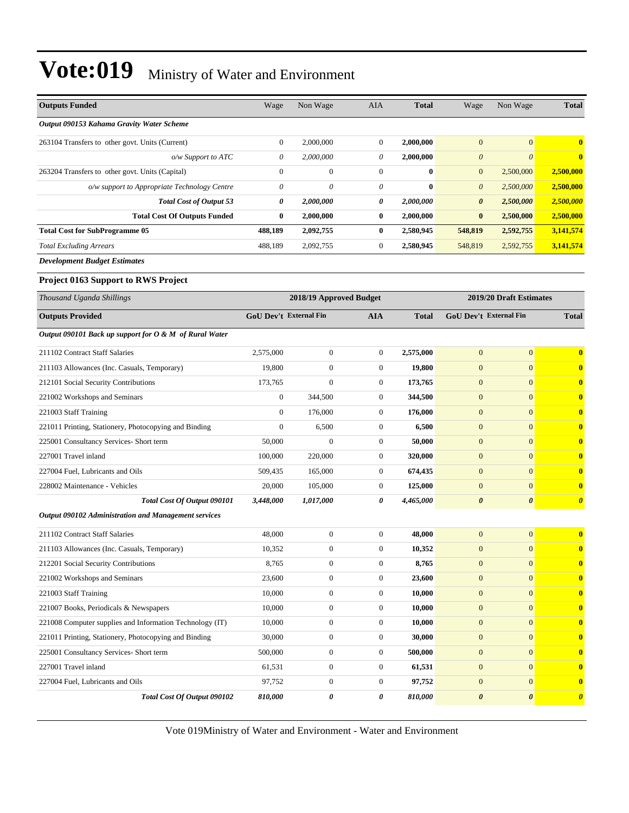| <b>Outputs Funded</b>                                    | Wage                          | Non Wage                | AIA              | <b>Total</b> | Wage                          | Non Wage                | <b>Total</b>          |
|----------------------------------------------------------|-------------------------------|-------------------------|------------------|--------------|-------------------------------|-------------------------|-----------------------|
| Output 090153 Kahama Gravity Water Scheme                |                               |                         |                  |              |                               |                         |                       |
| 263104 Transfers to other govt. Units (Current)          | $\boldsymbol{0}$              | 2,000,000               | $\boldsymbol{0}$ | 2,000,000    | $\mathbf{0}$                  | $\mathbf{0}$            | $\bf{0}$              |
| o/w Support to ATC                                       | 0                             | 2,000,000               | 0                | 2,000,000    | $\boldsymbol{\theta}$         | $\boldsymbol{\theta}$   | $\bf{0}$              |
| 263204 Transfers to other govt. Units (Capital)          | $\overline{0}$                | $\boldsymbol{0}$        | $\mathbf{0}$     | $\bf{0}$     | $\boldsymbol{0}$              | 2,500,000               | 2,500,000             |
| o/w support to Appropriate Technology Centre             | 0                             | 0                       | 0                | $\bf{0}$     | $\boldsymbol{\theta}$         | 2,500,000               | 2,500,000             |
| <b>Total Cost of Output 53</b>                           | 0                             | 2,000,000               | 0                | 2,000,000    | 0                             | 2,500,000               | 2,500,000             |
| <b>Total Cost Of Outputs Funded</b>                      | 0                             | 2,000,000               | $\bf{0}$         | 2,000,000    | $\bf{0}$                      | 2,500,000               | 2,500,000             |
| <b>Total Cost for SubProgramme 05</b>                    | 488,189                       | 2,092,755               | $\bf{0}$         | 2,580,945    | 548,819                       | 2,592,755               | 3,141,574             |
| <b>Total Excluding Arrears</b>                           | 488,189                       | 2,092,755               | $\mathbf{0}$     | 2,580,945    | 548,819                       | 2,592,755               | 3,141,574             |
| <b>Development Budget Estimates</b>                      |                               |                         |                  |              |                               |                         |                       |
| <b>Project 0163 Support to RWS Project</b>               |                               |                         |                  |              |                               |                         |                       |
| Thousand Uganda Shillings                                |                               | 2018/19 Approved Budget |                  |              |                               | 2019/20 Draft Estimates |                       |
| <b>Outputs Provided</b>                                  | <b>GoU Dev't External Fin</b> |                         | <b>AIA</b>       | <b>Total</b> | <b>GoU Dev't External Fin</b> |                         | <b>Total</b>          |
| Output 090101 Back up support for O & M of Rural Water   |                               |                         |                  |              |                               |                         |                       |
| 211102 Contract Staff Salaries                           | 2,575,000                     | $\mathbf{0}$            | $\boldsymbol{0}$ | 2,575,000    | $\mathbf{0}$                  | $\boldsymbol{0}$        | $\bf{0}$              |
| 211103 Allowances (Inc. Casuals, Temporary)              | 19,800                        | $\boldsymbol{0}$        | $\mathbf{0}$     | 19,800       | $\mathbf{0}$                  | $\overline{0}$          | $\bf{0}$              |
| 212101 Social Security Contributions                     | 173,765                       | $\overline{0}$          | $\mathbf{0}$     | 173,765      | $\mathbf{0}$                  | $\overline{0}$          | $\bf{0}$              |
| 221002 Workshops and Seminars                            | $\boldsymbol{0}$              | 344,500                 | $\boldsymbol{0}$ | 344,500      | $\mathbf{0}$                  | $\overline{0}$          | $\bf{0}$              |
| 221003 Staff Training                                    | $\boldsymbol{0}$              | 176,000                 | $\mathbf{0}$     | 176,000      | $\boldsymbol{0}$              | $\overline{0}$          | $\bf{0}$              |
| 221011 Printing, Stationery, Photocopying and Binding    | $\boldsymbol{0}$              | 6,500                   | $\mathbf{0}$     | 6,500        | $\mathbf{0}$                  | $\overline{0}$          | $\bf{0}$              |
| 225001 Consultancy Services- Short term                  | 50,000                        | $\mathbf{0}$            | $\mathbf{0}$     | 50,000       | $\mathbf{0}$                  | $\overline{0}$          | $\bf{0}$              |
| 227001 Travel inland                                     | 100,000                       | 220,000                 | $\mathbf{0}$     | 320,000      | $\mathbf{0}$                  | $\overline{0}$          | $\bf{0}$              |
| 227004 Fuel, Lubricants and Oils                         | 509,435                       | 165,000                 | $\boldsymbol{0}$ | 674,435      | $\mathbf{0}$                  | $\overline{0}$          | $\bf{0}$              |
| 228002 Maintenance - Vehicles                            | 20,000                        | 105,000                 | $\mathbf{0}$     | 125,000      | $\mathbf{0}$                  | $\overline{0}$          | $\bf{0}$              |
| Total Cost Of Output 090101                              | 3,448,000                     | 1,017,000               | 0                | 4,465,000    | $\boldsymbol{\theta}$         | 0                       | $\boldsymbol{\theta}$ |
| Output 090102 Administration and Management services     |                               |                         |                  |              |                               |                         |                       |
| 211102 Contract Staff Salaries                           | 48,000                        | $\boldsymbol{0}$        | $\mathbf{0}$     | 48,000       | $\mathbf{0}$                  | $\overline{0}$          | $\bf{0}$              |
| 211103 Allowances (Inc. Casuals, Temporary)              | 10,352                        | $\mathbf{0}$            | $\overline{0}$   | 10,352       | $\mathbf{0}$                  | $\overline{0}$          | $\bf{0}$              |
| 212201 Social Security Contributions                     | 8,765                         | $\boldsymbol{0}$        | $\boldsymbol{0}$ | 8,765        | $\mathbf{0}$                  | $\mathbf{0}$            | $\bf{0}$              |
| 221002 Workshops and Seminars                            | 23,600                        | $\boldsymbol{0}$        | $\boldsymbol{0}$ | 23,600       | $\boldsymbol{0}$              | $\boldsymbol{0}$        | $\bf{0}$              |
| 221003 Staff Training                                    | 10,000                        | $\boldsymbol{0}$        | $\boldsymbol{0}$ | 10,000       | $\boldsymbol{0}$              | $\mathbf{0}$            | $\bf{0}$              |
| 221007 Books, Periodicals & Newspapers                   | 10,000                        | $\boldsymbol{0}$        | $\mathbf{0}$     | 10,000       | $\mathbf{0}$                  | $\overline{0}$          | $\bf{0}$              |
| 221008 Computer supplies and Information Technology (IT) | 10,000                        | $\boldsymbol{0}$        | $\boldsymbol{0}$ | 10,000       | $\boldsymbol{0}$              | $\boldsymbol{0}$        | $\bf{0}$              |
| 221011 Printing, Stationery, Photocopying and Binding    | 30,000                        | $\boldsymbol{0}$        | $\mathbf{0}$     | 30,000       | $\boldsymbol{0}$              | $\overline{0}$          | $\bf{0}$              |
| 225001 Consultancy Services- Short term                  | 500,000                       | $\boldsymbol{0}$        | $\boldsymbol{0}$ | 500,000      | $\boldsymbol{0}$              | $\overline{0}$          | $\bf{0}$              |
| 227001 Travel inland                                     | 61,531                        | $\boldsymbol{0}$        | $\boldsymbol{0}$ | 61,531       | $\boldsymbol{0}$              | $\mathbf{0}$            | $\bf{0}$              |
| 227004 Fuel, Lubricants and Oils                         | 97,752                        | $\boldsymbol{0}$        | $\boldsymbol{0}$ | 97,752       | $\mathbf{0}$                  | $\boldsymbol{0}$        | $\bf{0}$              |
| Total Cost Of Output 090102                              | 810,000                       | 0                       | 0                | 810,000      | $\pmb{\theta}$                | 0                       | $\boldsymbol{\theta}$ |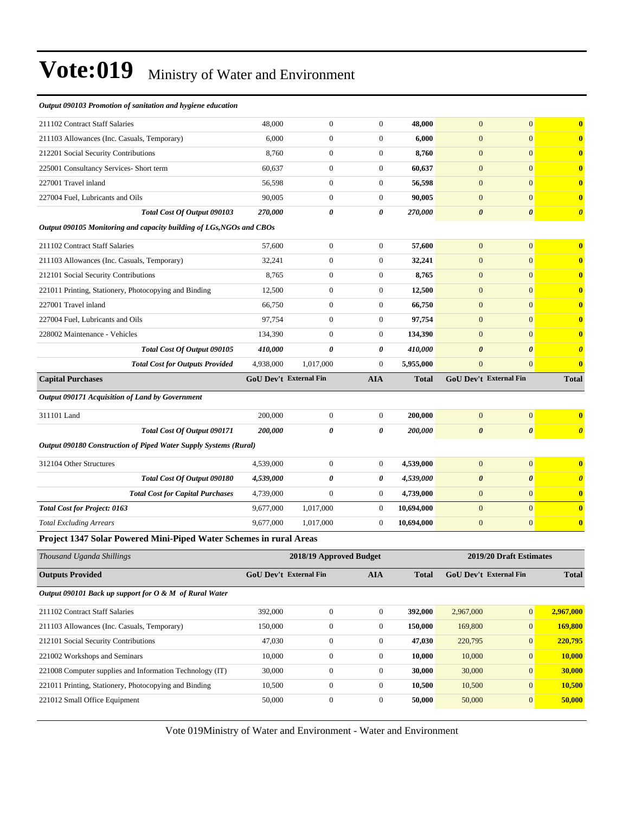| $\mathbf{0}$<br>211102 Contract Staff Salaries<br>48,000<br>$\mathbf{0}$<br>$\overline{0}$<br>48,000<br>$\mathbf{0}$<br>$\mathbf{0}$<br>211103 Allowances (Inc. Casuals, Temporary)<br>6,000<br>$\boldsymbol{0}$<br>$\boldsymbol{0}$<br>6,000<br>$\mathbf{0}$<br>212201 Social Security Contributions<br>8,760<br>$\mathbf{0}$<br>$\boldsymbol{0}$<br>$\mathbf{0}$<br>8,760<br>$\mathbf{0}$<br>$\overline{0}$<br>$\boldsymbol{0}$<br>$\mathbf{0}$<br>$\mathbf{0}$<br>225001 Consultancy Services- Short term<br>60,637<br>60,637<br>227001 Travel inland<br>$\mathbf{0}$<br>$\boldsymbol{0}$<br>56,598<br>$\mathbf{0}$<br>$\mathbf{0}$<br>56,598 |
|--------------------------------------------------------------------------------------------------------------------------------------------------------------------------------------------------------------------------------------------------------------------------------------------------------------------------------------------------------------------------------------------------------------------------------------------------------------------------------------------------------------------------------------------------------------------------------------------------------------------------------------------------|
|                                                                                                                                                                                                                                                                                                                                                                                                                                                                                                                                                                                                                                                  |
|                                                                                                                                                                                                                                                                                                                                                                                                                                                                                                                                                                                                                                                  |
|                                                                                                                                                                                                                                                                                                                                                                                                                                                                                                                                                                                                                                                  |
|                                                                                                                                                                                                                                                                                                                                                                                                                                                                                                                                                                                                                                                  |
|                                                                                                                                                                                                                                                                                                                                                                                                                                                                                                                                                                                                                                                  |
| 90,005<br>$\mathbf{0}$<br>$\overline{0}$<br>90,005<br>$\mathbf{0}$<br>$\mathbf{0}$<br>227004 Fuel, Lubricants and Oils                                                                                                                                                                                                                                                                                                                                                                                                                                                                                                                           |
| $\boldsymbol{\theta}$<br>Total Cost Of Output 090103<br>270,000<br>0<br>0<br>270,000<br>$\boldsymbol{\theta}$                                                                                                                                                                                                                                                                                                                                                                                                                                                                                                                                    |
| Output 090105 Monitoring and capacity building of LGs, NGOs and CBOs                                                                                                                                                                                                                                                                                                                                                                                                                                                                                                                                                                             |
| $\mathbf{0}$<br>211102 Contract Staff Salaries<br>$\mathbf{0}$<br>$\boldsymbol{0}$<br>$\mathbf{0}$<br>57,600<br>57,600                                                                                                                                                                                                                                                                                                                                                                                                                                                                                                                           |
| $\overline{0}$<br>32,241<br>$\mathbf{0}$<br>$\boldsymbol{0}$<br>32,241<br>$\mathbf{0}$<br>211103 Allowances (Inc. Casuals, Temporary)                                                                                                                                                                                                                                                                                                                                                                                                                                                                                                            |
| $\mathbf{0}$<br>$\boldsymbol{0}$<br>8,765<br>$\mathbf{0}$<br>$\mathbf{0}$<br>212101 Social Security Contributions<br>8,765                                                                                                                                                                                                                                                                                                                                                                                                                                                                                                                       |
| 12,500<br>$\mathbf{0}$<br>$\mathbf{0}$<br>12,500<br>$\mathbf{0}$<br>$\mathbf{0}$<br>221011 Printing, Stationery, Photocopying and Binding                                                                                                                                                                                                                                                                                                                                                                                                                                                                                                        |
| 227001 Travel inland<br>66,750<br>$\overline{0}$<br>$\boldsymbol{0}$<br>66,750<br>$\mathbf{0}$<br>$\mathbf{0}$                                                                                                                                                                                                                                                                                                                                                                                                                                                                                                                                   |
| 97,754<br>$\mathbf{0}$<br>$\boldsymbol{0}$<br>97,754<br>$\mathbf{0}$<br>$\mathbf{0}$<br>227004 Fuel, Lubricants and Oils                                                                                                                                                                                                                                                                                                                                                                                                                                                                                                                         |
| $\overline{0}$<br>$\overline{0}$<br>$\boldsymbol{0}$<br>134,390<br>$\mathbf{0}$<br>228002 Maintenance - Vehicles<br>134,390                                                                                                                                                                                                                                                                                                                                                                                                                                                                                                                      |
| Total Cost Of Output 090105<br>410,000<br>0<br>0<br>410,000<br>$\boldsymbol{\theta}$<br>$\boldsymbol{\theta}$                                                                                                                                                                                                                                                                                                                                                                                                                                                                                                                                    |
| <b>Total Cost for Outputs Provided</b><br>4,938,000<br>1,017,000<br>$\boldsymbol{0}$<br>5,955,000<br>$\boldsymbol{0}$<br>$\mathbf{0}$                                                                                                                                                                                                                                                                                                                                                                                                                                                                                                            |
|                                                                                                                                                                                                                                                                                                                                                                                                                                                                                                                                                                                                                                                  |
| <b>GoU Dev't External Fin</b><br><b>AIA</b><br><b>GoU Dev't External Fin</b><br><b>Capital Purchases</b><br>Total                                                                                                                                                                                                                                                                                                                                                                                                                                                                                                                                |
| Output 090171 Acquisition of Land by Government                                                                                                                                                                                                                                                                                                                                                                                                                                                                                                                                                                                                  |
| $\boldsymbol{0}$<br>$\boldsymbol{0}$<br>$\boldsymbol{0}$<br>311101 Land<br>200,000<br>200,000<br>$\mathbf{0}$                                                                                                                                                                                                                                                                                                                                                                                                                                                                                                                                    |
| Total Cost Of Output 090171<br>200,000<br>0<br>0<br>200,000<br>$\boldsymbol{\theta}$<br>$\boldsymbol{\theta}$                                                                                                                                                                                                                                                                                                                                                                                                                                                                                                                                    |
| Output 090180 Construction of Piped Water Supply Systems (Rural)                                                                                                                                                                                                                                                                                                                                                                                                                                                                                                                                                                                 |
|                                                                                                                                                                                                                                                                                                                                                                                                                                                                                                                                                                                                                                                  |
| $\overline{0}$<br>$\mathbf{0}$<br>312104 Other Structures<br>$\mathbf{0}$<br>$\mathbf{0}$<br>4,539,000<br>4,539,000<br>0                                                                                                                                                                                                                                                                                                                                                                                                                                                                                                                         |
| Total Cost Of Output 090180<br>0<br>4,539,000<br>$\boldsymbol{\theta}$<br>$\boldsymbol{\theta}$<br>4,539,000<br>$\overline{0}$<br>$\mathbf{0}$<br>$\overline{0}$                                                                                                                                                                                                                                                                                                                                                                                                                                                                                 |
| <b>Total Cost for Capital Purchases</b><br>4,739,000<br>$\boldsymbol{0}$<br>4,739,000<br>$\overline{0}$<br><b>Total Cost for Project: 0163</b><br>9,677,000<br>1,017,000<br>$\theta$<br>10,694,000<br>$\mathbf{0}$                                                                                                                                                                                                                                                                                                                                                                                                                               |
| <b>Total Excluding Arrears</b><br>9,677,000<br>$\boldsymbol{0}$<br>10,694,000<br>$\mathbf{0}$<br>$\mathbf{0}$<br>1,017,000                                                                                                                                                                                                                                                                                                                                                                                                                                                                                                                       |
| Project 1347 Solar Powered Mini-Piped Water Schemes in rural Areas                                                                                                                                                                                                                                                                                                                                                                                                                                                                                                                                                                               |
| Thousand Uganda Shillings<br>2018/19 Approved Budget<br>2019/20 Draft Estimates                                                                                                                                                                                                                                                                                                                                                                                                                                                                                                                                                                  |
| <b>GoU Dev't External Fin</b><br><b>Outputs Provided</b><br>GoU Dev't External Fin<br><b>AIA</b><br><b>Total</b>                                                                                                                                                                                                                                                                                                                                                                                                                                                                                                                                 |
| Output 090101 Back up support for O & M of Rural Water                                                                                                                                                                                                                                                                                                                                                                                                                                                                                                                                                                                           |
|                                                                                                                                                                                                                                                                                                                                                                                                                                                                                                                                                                                                                                                  |
| $\boldsymbol{0}$<br>2,967,000<br>211102 Contract Staff Salaries<br>392,000<br>$\boldsymbol{0}$<br>392,000<br>$\mathbf{0}$<br>2,967,000                                                                                                                                                                                                                                                                                                                                                                                                                                                                                                           |
| 150,000<br>$\boldsymbol{0}$<br>$\boldsymbol{0}$<br>150,000<br>211103 Allowances (Inc. Casuals, Temporary)<br>169,800<br>$\mathbf{0}$                                                                                                                                                                                                                                                                                                                                                                                                                                                                                                             |
| 47,030<br>$\boldsymbol{0}$<br>$\boldsymbol{0}$<br>47,030<br>$\mathbf{0}$<br>212101 Social Security Contributions<br>220,795<br>221002 Workshops and Seminars<br>10,000<br>$\boldsymbol{0}$<br>$\overline{0}$<br>10,000<br>10,000<br>$\boldsymbol{0}$                                                                                                                                                                                                                                                                                                                                                                                             |

Vote 019Ministry of Water and Environment - Water and Environment

221011 Printing, Stationery, Photocopying and Binding 10,500 0 0 **10,500** 10,500 0 **10,500** 221012 Small Office Equipment 50,000 0 0 50,000 0 50,000 50,000 0 50,000 50,000 0 50,000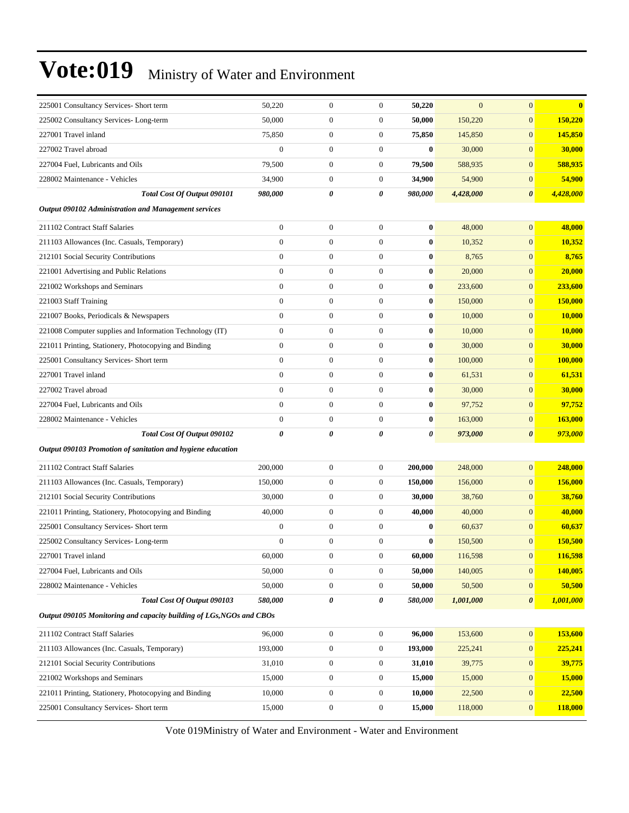| 225001 Consultancy Services- Short term                              | 50,220                | $\boldsymbol{0}$ | $\mathbf{0}$          | 50,220   | $\overline{0}$ | $\mathbf{0}$          | $\bf{0}$      |
|----------------------------------------------------------------------|-----------------------|------------------|-----------------------|----------|----------------|-----------------------|---------------|
| 225002 Consultancy Services-Long-term                                | 50,000                | $\boldsymbol{0}$ | $\boldsymbol{0}$      | 50,000   | 150,220        | $\mathbf{0}$          | 150,220       |
| 227001 Travel inland                                                 | 75,850                | $\boldsymbol{0}$ | $\boldsymbol{0}$      | 75,850   | 145,850        | $\mathbf{0}$          | 145,850       |
| 227002 Travel abroad                                                 | $\boldsymbol{0}$      | $\boldsymbol{0}$ | $\boldsymbol{0}$      | $\bf{0}$ | 30,000         | $\mathbf{0}$          | 30,000        |
| 227004 Fuel, Lubricants and Oils                                     | 79,500                | $\boldsymbol{0}$ | $\boldsymbol{0}$      | 79,500   | 588,935        | $\mathbf{0}$          | 588,935       |
| 228002 Maintenance - Vehicles                                        | 34,900                | $\boldsymbol{0}$ | $\boldsymbol{0}$      | 34,900   | 54,900         | $\mathbf{0}$          | 54,900        |
| Total Cost Of Output 090101                                          | 980,000               | 0                | 0                     | 980,000  | 4,428,000      | $\boldsymbol{\theta}$ | 4,428,000     |
| <b>Output 090102 Administration and Management services</b>          |                       |                  |                       |          |                |                       |               |
| 211102 Contract Staff Salaries                                       | $\boldsymbol{0}$      | $\boldsymbol{0}$ | $\boldsymbol{0}$      | $\bf{0}$ | 48,000         | $\mathbf{0}$          | 48,000        |
| 211103 Allowances (Inc. Casuals, Temporary)                          | $\boldsymbol{0}$      | $\boldsymbol{0}$ | $\boldsymbol{0}$      | $\bf{0}$ | 10,352         | $\mathbf{0}$          | 10,352        |
| 212101 Social Security Contributions                                 | $\overline{0}$        | $\boldsymbol{0}$ | $\boldsymbol{0}$      | 0        | 8,765          | $\mathbf{0}$          | 8,765         |
| 221001 Advertising and Public Relations                              | $\boldsymbol{0}$      | $\boldsymbol{0}$ | $\boldsymbol{0}$      | $\bf{0}$ | 20,000         | $\mathbf{0}$          | 20,000        |
| 221002 Workshops and Seminars                                        | $\boldsymbol{0}$      | $\boldsymbol{0}$ | $\boldsymbol{0}$      | $\bf{0}$ | 233,600        | $\mathbf{0}$          | 233,600       |
| 221003 Staff Training                                                | $\overline{0}$        | $\boldsymbol{0}$ | $\boldsymbol{0}$      | $\bf{0}$ | 150,000        | $\mathbf{0}$          | 150,000       |
| 221007 Books, Periodicals & Newspapers                               | $\boldsymbol{0}$      | $\boldsymbol{0}$ | $\boldsymbol{0}$      | $\bf{0}$ | 10,000         | $\mathbf{0}$          | 10,000        |
| 221008 Computer supplies and Information Technology (IT)             | $\boldsymbol{0}$      | $\boldsymbol{0}$ | $\boldsymbol{0}$      | 0        | 10,000         | $\mathbf{0}$          | <b>10,000</b> |
| 221011 Printing, Stationery, Photocopying and Binding                | $\boldsymbol{0}$      | $\boldsymbol{0}$ | $\boldsymbol{0}$      | $\bf{0}$ | 30,000         | $\mathbf{0}$          | 30,000        |
| 225001 Consultancy Services- Short term                              | $\boldsymbol{0}$      | $\boldsymbol{0}$ | $\boldsymbol{0}$      | $\bf{0}$ | 100,000        | $\mathbf{0}$          | 100,000       |
| 227001 Travel inland                                                 | $\mathbf{0}$          | $\boldsymbol{0}$ | $\boldsymbol{0}$      | $\bf{0}$ | 61,531         | $\mathbf{0}$          | 61,531        |
| 227002 Travel abroad                                                 | $\mathbf{0}$          | $\boldsymbol{0}$ | $\boldsymbol{0}$      | $\bf{0}$ | 30,000         | $\mathbf{0}$          | 30,000        |
| 227004 Fuel, Lubricants and Oils                                     | $\overline{0}$        | $\boldsymbol{0}$ | $\boldsymbol{0}$      | 0        | 97,752         | $\mathbf{0}$          | 97,752        |
| 228002 Maintenance - Vehicles                                        | $\boldsymbol{0}$      | $\boldsymbol{0}$ | $\boldsymbol{0}$      | $\bf{0}$ | 163,000        | $\mathbf{0}$          | 163,000       |
| Total Cost Of Output 090102                                          | $\boldsymbol{\theta}$ | $\theta$         | $\boldsymbol{\theta}$ | 0        | 973,000        | $\boldsymbol{\theta}$ | 973,000       |
| Output 090103 Promotion of sanitation and hygiene education          |                       |                  |                       |          |                |                       |               |
| 211102 Contract Staff Salaries                                       | 200,000               | $\boldsymbol{0}$ | $\boldsymbol{0}$      | 200,000  | 248,000        | $\mathbf{0}$          | 248,000       |
| 211103 Allowances (Inc. Casuals, Temporary)                          | 150,000               | $\boldsymbol{0}$ | $\boldsymbol{0}$      | 150,000  | 156,000        | $\mathbf{0}$          | 156,000       |
| 212101 Social Security Contributions                                 | 30,000                | $\boldsymbol{0}$ | $\boldsymbol{0}$      | 30,000   | 38,760         | $\mathbf{0}$          | 38,760        |
| 221011 Printing, Stationery, Photocopying and Binding                | 40,000                | $\boldsymbol{0}$ | $\boldsymbol{0}$      | 40,000   | 40,000         | $\mathbf{0}$          | 40,000        |
| 225001 Consultancy Services- Short term                              | $\boldsymbol{0}$      | $\boldsymbol{0}$ | $\boldsymbol{0}$      | $\bf{0}$ | 60,637         | $\mathbf{0}$          | 60,637        |
| 225002 Consultancy Services-Long-term                                | $\mathbf{0}$          | $\boldsymbol{0}$ | $\boldsymbol{0}$      | $\bf{0}$ | 150,500        | $\mathbf{0}$          | 150,500       |
| 227001 Travel inland                                                 | 60,000                | $\mathbf{0}$     | 0                     | 60,000   | 116,598        | $\boldsymbol{0}$      | 116.598       |
| 227004 Fuel, Lubricants and Oils                                     | 50,000                | $\boldsymbol{0}$ | $\boldsymbol{0}$      | 50,000   | 140,005        | $\boldsymbol{0}$      | 140,005       |
| 228002 Maintenance - Vehicles                                        | 50,000                | $\boldsymbol{0}$ | $\boldsymbol{0}$      | 50,000   | 50,500         | $\bf{0}$              | 50,500        |
| Total Cost Of Output 090103                                          | 580,000               | 0                | 0                     | 580,000  | 1,001,000      | $\boldsymbol{\theta}$ | 1,001,000     |
| Output 090105 Monitoring and capacity building of LGs, NGOs and CBOs |                       |                  |                       |          |                |                       |               |
| 211102 Contract Staff Salaries                                       | 96,000                | $\boldsymbol{0}$ | $\boldsymbol{0}$      | 96,000   | 153,600        | $\boldsymbol{0}$      | 153,600       |
| 211103 Allowances (Inc. Casuals, Temporary)                          | 193,000               | $\boldsymbol{0}$ | $\boldsymbol{0}$      | 193,000  | 225,241        | $\mathbf{0}$          | 225,241       |
| 212101 Social Security Contributions                                 | 31,010                | $\boldsymbol{0}$ | $\boldsymbol{0}$      | 31,010   | 39,775         | $\mathbf{0}$          | 39,775        |
| 221002 Workshops and Seminars                                        | 15,000                | $\boldsymbol{0}$ | $\boldsymbol{0}$      | 15,000   | 15,000         | $\mathbf{0}$          | 15,000        |
| 221011 Printing, Stationery, Photocopying and Binding                | 10,000                | $\boldsymbol{0}$ | $\mathbf{0}$          | 10,000   | 22,500         | $\boldsymbol{0}$      | 22,500        |
| 225001 Consultancy Services- Short term                              | 15,000                | $\boldsymbol{0}$ | $\boldsymbol{0}$      | 15,000   | 118,000        | $\mathbf{0}$          | 118,000       |
|                                                                      |                       |                  |                       |          |                |                       |               |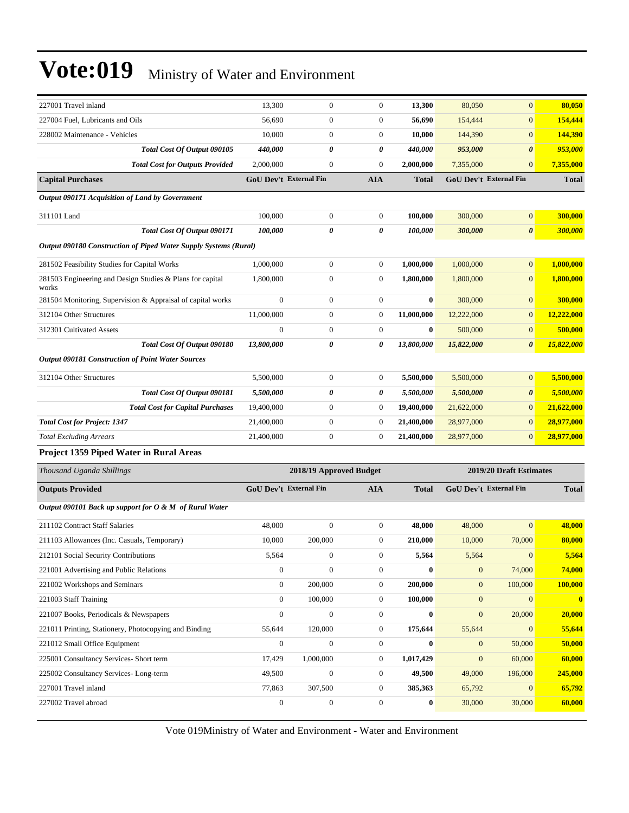| 227001 Travel inland                                               | 13,300                        | $\boldsymbol{0}$        | $\mathbf{0}$     | 13,300       | 80,050           | $\mathbf{0}$                  | 80,050       |
|--------------------------------------------------------------------|-------------------------------|-------------------------|------------------|--------------|------------------|-------------------------------|--------------|
| 227004 Fuel, Lubricants and Oils                                   | 56,690                        | $\boldsymbol{0}$        | $\mathbf{0}$     | 56,690       | 154,444          | $\mathbf{0}$                  | 154,444      |
| 228002 Maintenance - Vehicles                                      | 10,000                        | $\boldsymbol{0}$        | $\boldsymbol{0}$ | 10,000       | 144,390          | $\mathbf{0}$                  | 144,390      |
| Total Cost Of Output 090105                                        | 440,000                       | 0                       | 0                | 440,000      | 953,000          | $\boldsymbol{\theta}$         | 953,000      |
| <b>Total Cost for Outputs Provided</b>                             | 2,000,000                     | $\boldsymbol{0}$        | $\overline{0}$   | 2,000,000    | 7,355,000        | $\mathbf{0}$                  | 7,355,000    |
| <b>Capital Purchases</b>                                           | <b>GoU Dev't External Fin</b> |                         | <b>AIA</b>       | <b>Total</b> |                  | <b>GoU Dev't External Fin</b> | <b>Total</b> |
| Output 090171 Acquisition of Land by Government                    |                               |                         |                  |              |                  |                               |              |
| 311101 Land                                                        | 100,000                       | $\boldsymbol{0}$        | $\boldsymbol{0}$ | 100,000      | 300,000          | $\boldsymbol{0}$              | 300,000      |
| Total Cost Of Output 090171                                        | 100,000                       | 0                       | 0                | 100,000      | 300,000          | $\boldsymbol{\theta}$         | 300,000      |
| Output 090180 Construction of Piped Water Supply Systems (Rural)   |                               |                         |                  |              |                  |                               |              |
| 281502 Feasibility Studies for Capital Works                       | 1,000,000                     | $\boldsymbol{0}$        | 0                | 1,000,000    | 1,000,000        | $\mathbf{0}$                  | 1,000,000    |
| 281503 Engineering and Design Studies & Plans for capital<br>works | 1,800,000                     | $\boldsymbol{0}$        | 0                | 1,800,000    | 1,800,000        | $\mathbf{0}$                  | 1,800,000    |
| 281504 Monitoring, Supervision & Appraisal of capital works        | $\mathbf{0}$                  | $\boldsymbol{0}$        | 0                | $\bf{0}$     | 300,000          | $\mathbf{0}$                  | 300,000      |
| 312104 Other Structures                                            | 11,000,000                    | $\boldsymbol{0}$        | $\boldsymbol{0}$ | 11,000,000   | 12,222,000       | $\mathbf{0}$                  | 12,222,000   |
| 312301 Cultivated Assets                                           | $\mathbf{0}$                  | $\boldsymbol{0}$        | $\boldsymbol{0}$ | $\bf{0}$     | 500,000          | $\mathbf{0}$                  | 500,000      |
| Total Cost Of Output 090180                                        | 13,800,000                    | 0                       | 0                | 13,800,000   | 15,822,000       | $\boldsymbol{\theta}$         | 15,822,000   |
| <b>Output 090181 Construction of Point Water Sources</b>           |                               |                         |                  |              |                  |                               |              |
| 312104 Other Structures                                            | 5,500,000                     | $\boldsymbol{0}$        | 0                | 5,500,000    | 5,500,000        | $\mathbf{0}$                  | 5,500,000    |
| Total Cost Of Output 090181                                        | 5,500,000                     | 0                       | 0                | 5,500,000    | 5,500,000        | $\boldsymbol{\theta}$         | 5,500,000    |
| <b>Total Cost for Capital Purchases</b>                            | 19,400,000                    | $\boldsymbol{0}$        | $\boldsymbol{0}$ | 19,400,000   | 21,622,000       | $\mathbf{0}$                  | 21,622,000   |
| <b>Total Cost for Project: 1347</b>                                | 21,400,000                    | $\boldsymbol{0}$        | $\boldsymbol{0}$ | 21,400,000   | 28,977,000       | $\mathbf{0}$                  | 28,977,000   |
| <b>Total Excluding Arrears</b>                                     | 21,400,000                    | $\boldsymbol{0}$        | $\boldsymbol{0}$ | 21,400,000   | 28,977,000       | $\mathbf{0}$                  | 28,977,000   |
| <b>Project 1359 Piped Water in Rural Areas</b>                     |                               |                         |                  |              |                  |                               |              |
| Thousand Uganda Shillings                                          |                               | 2018/19 Approved Budget |                  |              |                  | 2019/20 Draft Estimates       |              |
| <b>Outputs Provided</b>                                            | GoU Dev't External Fin        |                         | AIA              | <b>Total</b> |                  | <b>GoU Dev't External Fin</b> | <b>Total</b> |
| Output 090101 Back up support for O & M of Rural Water             |                               |                         |                  |              |                  |                               |              |
| 211102 Contract Staff Salaries                                     | 48,000                        | $\boldsymbol{0}$        | $\mathbf{0}$     | 48,000       | 48,000           | $\mathbf{0}$                  | 48,000       |
| 211103 Allowances (Inc. Casuals, Temporary)                        | 10.000                        | 200,000                 | 0                | 210,000      | 10,000           | 70,000                        | 80,000       |
| 212101 Social Security Contributions                               | 5,564                         | $\overline{0}$          | $\overline{0}$   | 5,564        | 5,564            | $\mathbf{0}$                  | 5,564        |
| 221001 Advertising and Public Relations                            | $\mathbf{0}$                  | $\boldsymbol{0}$        | $\boldsymbol{0}$ | $\bf{0}$     | $\boldsymbol{0}$ | 74,000                        | 74,000       |
| 221002 Workshops and Seminars                                      | $\boldsymbol{0}$              | 200,000                 | $\boldsymbol{0}$ | 200,000      | $\mathbf{0}$     | 100,000                       | 100,000      |
| 221003 Staff Training                                              | $\mathbf{0}$                  | 100,000                 | $\boldsymbol{0}$ | 100,000      | $\mathbf{0}$     | $\mathbf{0}$                  | $\mathbf{0}$ |
| 221007 Books, Periodicals & Newspapers                             | $\boldsymbol{0}$              | $\boldsymbol{0}$        | 0                | $\bf{0}$     | $\mathbf{0}$     | 20,000                        | 20,000       |
| 221011 Printing, Stationery, Photocopying and Binding              | 55,644                        | 120,000                 | $\boldsymbol{0}$ | 175,644      | 55,644           | $\mathbf{0}$                  | 55,644       |
| 221012 Small Office Equipment                                      | $\boldsymbol{0}$              | $\boldsymbol{0}$        | $\boldsymbol{0}$ | $\bf{0}$     | $\boldsymbol{0}$ | 50,000                        | 50,000       |
| 225001 Consultancy Services- Short term                            | 17,429                        | 1,000,000               | $\boldsymbol{0}$ | 1,017,429    | $\boldsymbol{0}$ | 60,000                        | 60,000       |
| 225002 Consultancy Services-Long-term                              | 49,500                        | $\boldsymbol{0}$        | $\boldsymbol{0}$ | 49,500       | 49,000           | 196,000                       | 245,000      |
| 227001 Travel inland                                               | 77,863                        | 307,500                 | $\boldsymbol{0}$ | 385,363      | 65,792           | $\mathbf{0}$                  | 65,792       |
| 227002 Travel abroad                                               | $\boldsymbol{0}$              | $\boldsymbol{0}$        | $\boldsymbol{0}$ | $\bf{0}$     | 30,000           | 30,000                        | 60,000       |
|                                                                    |                               |                         |                  |              |                  |                               |              |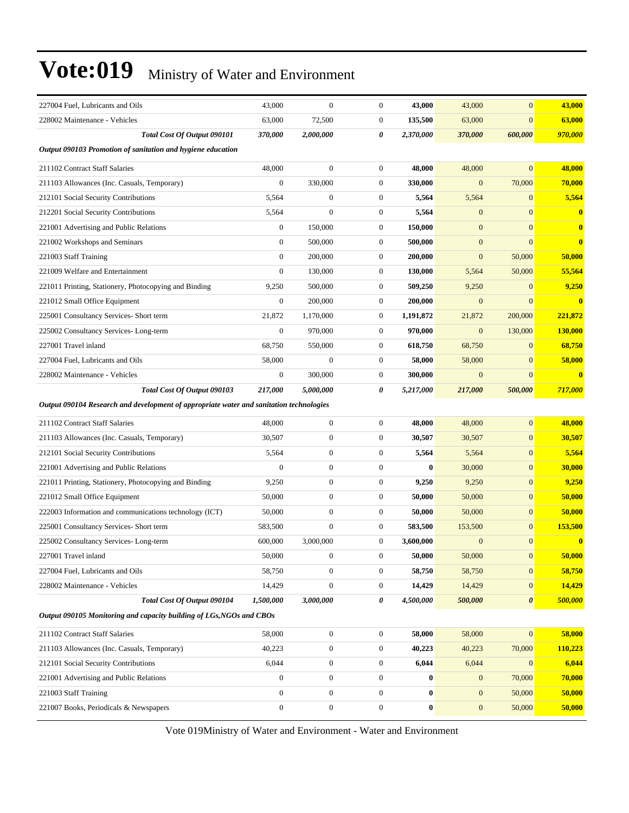| 227004 Fuel, Lubricants and Oils                                                        | 43,000           | $\mathbf{0}$     | $\boldsymbol{0}$ | 43,000    | 43,000           | $\mathbf{0}$          | 43,000                  |
|-----------------------------------------------------------------------------------------|------------------|------------------|------------------|-----------|------------------|-----------------------|-------------------------|
| 228002 Maintenance - Vehicles                                                           | 63,000           | 72,500           | $\boldsymbol{0}$ | 135,500   | 63,000           | $\mathbf{0}$          | 63,000                  |
| Total Cost Of Output 090101                                                             | 370,000          | 2,000,000        | 0                | 2,370,000 | 370,000          | 600,000               | 970,000                 |
| Output 090103 Promotion of sanitation and hygiene education                             |                  |                  |                  |           |                  |                       |                         |
| 211102 Contract Staff Salaries                                                          | 48,000           | $\overline{0}$   | $\boldsymbol{0}$ | 48,000    | 48,000           | $\mathbf{0}$          | 48,000                  |
| 211103 Allowances (Inc. Casuals, Temporary)                                             | $\boldsymbol{0}$ | 330,000          | $\boldsymbol{0}$ | 330,000   | $\mathbf{0}$     | 70,000                | 70,000                  |
| 212101 Social Security Contributions                                                    | 5,564            | $\boldsymbol{0}$ | $\boldsymbol{0}$ | 5,564     | 5,564            | $\mathbf{0}$          | 5,564                   |
| 212201 Social Security Contributions                                                    | 5,564            | $\overline{0}$   | $\boldsymbol{0}$ | 5,564     | $\mathbf{0}$     | $\overline{0}$        | $\bf{0}$                |
| 221001 Advertising and Public Relations                                                 | $\boldsymbol{0}$ | 150,000          | $\boldsymbol{0}$ | 150,000   | $\mathbf{0}$     | $\mathbf{0}$          | $\overline{\mathbf{0}}$ |
| 221002 Workshops and Seminars                                                           | $\boldsymbol{0}$ | 500,000          | $\boldsymbol{0}$ | 500,000   | $\mathbf{0}$     | $\mathbf{0}$          | $\bf{0}$                |
| 221003 Staff Training                                                                   | $\mathbf{0}$     | 200,000          | $\boldsymbol{0}$ | 200,000   | $\boldsymbol{0}$ | 50,000                | 50,000                  |
| 221009 Welfare and Entertainment                                                        | $\boldsymbol{0}$ | 130,000          | $\boldsymbol{0}$ | 130,000   | 5,564            | 50,000                | 55,564                  |
| 221011 Printing, Stationery, Photocopying and Binding                                   | 9,250            | 500,000          | $\boldsymbol{0}$ | 509,250   | 9,250            | $\mathbf{0}$          | 9,250                   |
| 221012 Small Office Equipment                                                           | $\boldsymbol{0}$ | 200,000          | $\boldsymbol{0}$ | 200,000   | $\mathbf{0}$     | $\mathbf{0}$          | $\overline{\mathbf{0}}$ |
| 225001 Consultancy Services- Short term                                                 | 21,872           | 1,170,000        | $\boldsymbol{0}$ | 1,191,872 | 21,872           | 200,000               | 221,872                 |
| 225002 Consultancy Services-Long-term                                                   | $\boldsymbol{0}$ | 970,000          | $\boldsymbol{0}$ | 970,000   | $\boldsymbol{0}$ | 130,000               | <b>130,000</b>          |
| 227001 Travel inland                                                                    | 68,750           | 550,000          | $\boldsymbol{0}$ | 618,750   | 68,750           | $\mathbf{0}$          | 68,750                  |
| 227004 Fuel, Lubricants and Oils                                                        | 58,000           | $\boldsymbol{0}$ | $\boldsymbol{0}$ | 58,000    | 58,000           | $\mathbf{0}$          | 58,000                  |
| 228002 Maintenance - Vehicles                                                           | $\boldsymbol{0}$ | 300,000          | $\boldsymbol{0}$ | 300,000   | $\mathbf{0}$     | $\mathbf{0}$          | $\bf{0}$                |
| Total Cost Of Output 090103                                                             | 217,000          | 5.000.000        | 0                | 5,217,000 | 217,000          | 500,000               | 717,000                 |
| Output 090104 Research and development of appropriate water and sanitation technologies |                  |                  |                  |           |                  |                       |                         |
| 211102 Contract Staff Salaries                                                          | 48,000           | $\mathbf{0}$     | $\boldsymbol{0}$ | 48,000    | 48,000           | $\mathbf{0}$          | 48,000                  |
| 211103 Allowances (Inc. Casuals, Temporary)                                             | 30,507           | $\mathbf{0}$     | $\boldsymbol{0}$ | 30,507    | 30,507           | $\mathbf{0}$          | 30,507                  |
| 212101 Social Security Contributions                                                    | 5,564            | $\mathbf{0}$     | $\boldsymbol{0}$ | 5,564     | 5,564            | $\mathbf{0}$          | 5,564                   |
| 221001 Advertising and Public Relations                                                 | $\boldsymbol{0}$ | $\mathbf{0}$     | $\boldsymbol{0}$ | 0         | 30,000           | $\mathbf{0}$          | 30,000                  |
| 221011 Printing, Stationery, Photocopying and Binding                                   | 9,250            | $\mathbf{0}$     | $\boldsymbol{0}$ | 9,250     | 9,250            | $\mathbf{0}$          | 9,250                   |
| 221012 Small Office Equipment                                                           | 50,000           | $\mathbf{0}$     | $\boldsymbol{0}$ | 50,000    | 50,000           | $\mathbf{0}$          | 50,000                  |
| 222003 Information and communications technology (ICT)                                  | 50,000           | $\mathbf{0}$     | $\boldsymbol{0}$ | 50,000    | 50,000           | $\mathbf{0}$          | 50,000                  |
| 225001 Consultancy Services- Short term                                                 | 583,500          | $\mathbf{0}$     | $\boldsymbol{0}$ | 583,500   | 153,500          | $\mathbf{0}$          | 153,500                 |
| 225002 Consultancy Services-Long-term                                                   | 600,000          | 3,000,000        | $\boldsymbol{0}$ | 3,600,000 | $\mathbf{0}$     | $\mathbf{0}$          | $\bf{0}$                |
| 227001 Travel inland                                                                    | 50,000           | $\boldsymbol{0}$ | $\boldsymbol{0}$ | 50,000    | 50,000           | $\boldsymbol{0}$      | 50,000                  |
| 227004 Fuel, Lubricants and Oils                                                        | 58,750           | $\boldsymbol{0}$ | 0                | 58,750    | 58,750           | $\mathbf{0}$          | 58,750                  |
| 228002 Maintenance - Vehicles                                                           | 14,429           | $\boldsymbol{0}$ | $\boldsymbol{0}$ | 14,429    | 14,429           | $\mathbf{0}$          | 14,429                  |
| Total Cost Of Output 090104                                                             | 1,500,000        | 3,000,000        | 0                | 4,500,000 | 500,000          | $\boldsymbol{\theta}$ | 500,000                 |
| Output 090105 Monitoring and capacity building of LGs, NGOs and CBOs                    |                  |                  |                  |           |                  |                       |                         |
| 211102 Contract Staff Salaries                                                          | 58,000           | $\boldsymbol{0}$ | $\boldsymbol{0}$ | 58,000    | 58,000           | $\boldsymbol{0}$      | 58,000                  |
| 211103 Allowances (Inc. Casuals, Temporary)                                             | 40,223           | $\boldsymbol{0}$ | $\boldsymbol{0}$ | 40,223    | 40,223           | 70,000                | 110,223                 |
| 212101 Social Security Contributions                                                    | 6,044            | $\boldsymbol{0}$ | 0                | 6,044     | 6,044            | $\mathbf{0}$          | 6,044                   |
| 221001 Advertising and Public Relations                                                 | $\boldsymbol{0}$ | $\boldsymbol{0}$ | $\boldsymbol{0}$ | $\bf{0}$  | $\mathbf{0}$     | 70,000                | 70,000                  |
| 221003 Staff Training                                                                   | $\boldsymbol{0}$ | $\boldsymbol{0}$ | $\boldsymbol{0}$ | 0         | $\boldsymbol{0}$ | 50,000                | 50,000                  |
| 221007 Books, Periodicals & Newspapers                                                  | $\boldsymbol{0}$ | $\boldsymbol{0}$ | $\boldsymbol{0}$ | $\bf{0}$  | $\mathbf{0}$     | 50,000                | 50,000                  |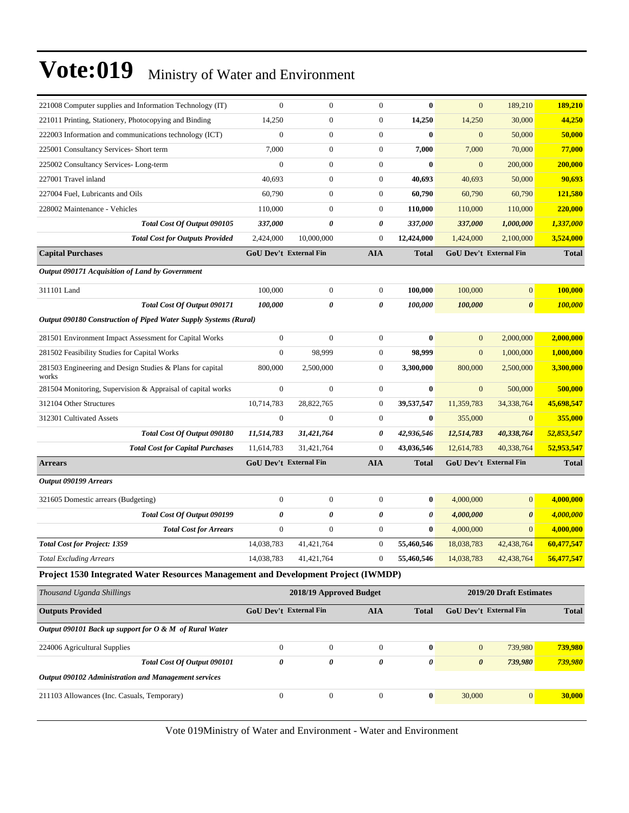| 221008 Computer supplies and Information Technology (IT)                           | $\overline{0}$                | $\overline{0}$          | $\mathbf{0}$     | $\mathbf{0}$ | $\mathbf{0}$     | 189,210                       | 189,210      |
|------------------------------------------------------------------------------------|-------------------------------|-------------------------|------------------|--------------|------------------|-------------------------------|--------------|
| 221011 Printing, Stationery, Photocopying and Binding                              | 14,250                        | $\boldsymbol{0}$        | $\boldsymbol{0}$ | 14,250       | 14,250           | 30,000                        | 44,250       |
| 222003 Information and communications technology (ICT)                             | $\boldsymbol{0}$              | $\boldsymbol{0}$        | $\boldsymbol{0}$ | $\bf{0}$     | $\boldsymbol{0}$ | 50,000                        | 50,000       |
| 225001 Consultancy Services- Short term                                            | 7,000                         | $\boldsymbol{0}$        | $\boldsymbol{0}$ | 7,000        | 7,000            | 70,000                        | 77,000       |
| 225002 Consultancy Services-Long-term                                              | $\mathbf{0}$                  | $\boldsymbol{0}$        | $\boldsymbol{0}$ | $\bf{0}$     | $\mathbf{0}$     | 200,000                       | 200,000      |
| 227001 Travel inland                                                               | 40,693                        | $\boldsymbol{0}$        | $\boldsymbol{0}$ | 40,693       | 40,693           | 50,000                        | 90,693       |
| 227004 Fuel, Lubricants and Oils                                                   | 60,790                        | $\boldsymbol{0}$        | $\boldsymbol{0}$ | 60,790       | 60,790           | 60,790                        | 121,580      |
| 228002 Maintenance - Vehicles                                                      | 110,000                       | $\boldsymbol{0}$        | $\boldsymbol{0}$ | 110,000      | 110,000          | 110,000                       | 220,000      |
| Total Cost Of Output 090105                                                        | 337,000                       | 0                       | 0                | 337,000      | 337,000          | 1,000,000                     | 1,337,000    |
| <b>Total Cost for Outputs Provided</b>                                             | 2,424,000                     | 10,000,000              | $\boldsymbol{0}$ | 12,424,000   | 1,424,000        | 2,100,000                     | 3,524,000    |
| <b>Capital Purchases</b>                                                           | <b>GoU Dev't External Fin</b> |                         | AIA              | <b>Total</b> |                  | <b>GoU Dev't External Fin</b> | <b>Total</b> |
| Output 090171 Acquisition of Land by Government                                    |                               |                         |                  |              |                  |                               |              |
| 311101 Land                                                                        | 100,000                       | $\boldsymbol{0}$        | $\mathbf{0}$     | 100,000      | 100,000          | $\mathbf{0}$                  | 100,000      |
| Total Cost Of Output 090171                                                        | 100.000                       | 0                       | 0                | 100,000      | 100,000          | $\boldsymbol{\theta}$         | 100,000      |
| Output 090180 Construction of Piped Water Supply Systems (Rural)                   |                               |                         |                  |              |                  |                               |              |
| 281501 Environment Impact Assessment for Capital Works                             | $\mathbf{0}$                  | $\boldsymbol{0}$        | $\boldsymbol{0}$ | $\bf{0}$     | $\mathbf{0}$     | 2,000,000                     | 2,000,000    |
| 281502 Feasibility Studies for Capital Works                                       | $\boldsymbol{0}$              | 98,999                  | $\boldsymbol{0}$ | 98,999       | $\mathbf{0}$     | 1,000,000                     | 1,000,000    |
| 281503 Engineering and Design Studies & Plans for capital<br>works                 | 800,000                       | 2,500,000               | 0                | 3,300,000    | 800,000          | 2,500,000                     | 3,300,000    |
| 281504 Monitoring, Supervision & Appraisal of capital works                        | $\boldsymbol{0}$              | $\overline{0}$          | $\boldsymbol{0}$ | $\bf{0}$     | $\mathbf{0}$     | 500,000                       | 500,000      |
| 312104 Other Structures                                                            | 10,714,783                    | 28,822,765              | $\boldsymbol{0}$ | 39,537,547   | 11,359,783       | 34,338,764                    | 45,698,547   |
| 312301 Cultivated Assets                                                           | $\mathbf{0}$                  | $\boldsymbol{0}$        | $\boldsymbol{0}$ | $\bf{0}$     | 355,000          | $\mathbf{0}$                  | 355,000      |
| Total Cost Of Output 090180                                                        | 11,514,783                    | 31,421,764              | 0                | 42,936,546   | 12,514,783       | 40,338,764                    | 52,853,547   |
| <b>Total Cost for Capital Purchases</b>                                            | 11,614,783                    | 31,421,764              | $\overline{0}$   | 43,036,546   | 12,614,783       | 40,338,764                    | 52,953,547   |
| <b>Arrears</b>                                                                     | GoU Dev't External Fin        |                         | <b>AIA</b>       | <b>Total</b> |                  | GoU Dev't External Fin        | <b>Total</b> |
| Output 090199 Arrears                                                              |                               |                         |                  |              |                  |                               |              |
| 321605 Domestic arrears (Budgeting)                                                | $\mathbf{0}$                  | $\boldsymbol{0}$        | $\boldsymbol{0}$ | $\bf{0}$     | 4,000,000        | $\overline{0}$                | 4,000,000    |
| Total Cost Of Output 090199                                                        | $\boldsymbol{\theta}$         | 0                       | 0                | 0            | 4,000,000        | $\boldsymbol{\theta}$         | 4,000,000    |
| <b>Total Cost for Arrears</b>                                                      | $\mathbf{0}$                  | $\boldsymbol{0}$        | $\mathbf{0}$     | $\bf{0}$     | 4,000,000        | $\mathbf{0}$                  | 4,000,000    |
| <b>Total Cost for Project: 1359</b>                                                | 14,038,783                    | 41,421,764              | $\boldsymbol{0}$ | 55,460,546   | 18,038,783       | 42,438,764                    | 60,477,547   |
| <b>Total Excluding Arrears</b>                                                     | 14,038,783                    | 41,421,764              | $\boldsymbol{0}$ | 55,460,546   | 14,038,783       | 42,438,764                    | 56,477,547   |
| Project 1530 Integrated Water Resources Management and Development Project (IWMDP) |                               |                         |                  |              |                  |                               |              |
| Thousand Uganda Shillings                                                          |                               | 2018/19 Approved Budget |                  |              |                  | 2019/20 Draft Estimates       |              |
| <b>Outputs Provided</b>                                                            | <b>GoU Dev't External Fin</b> |                         | AIA              | <b>Total</b> |                  | GoU Dev't External Fin        | <b>Total</b> |
| Output 090101 Back up support for O & M of Rural Water                             |                               |                         |                  |              |                  |                               |              |
| 224006 Agricultural Supplies                                                       | $\boldsymbol{0}$              | $\boldsymbol{0}$        | $\mathbf{0}$     | $\bf{0}$     | $\mathbf{0}$     | 739,980                       | 739,980      |
| Total Cost Of Output 090101                                                        | $\boldsymbol{\theta}$         | 0                       | $\pmb{\theta}$   | 0            | $\pmb{\theta}$   | 739,980                       | 739,980      |
| Output 090102 Administration and Management services                               |                               |                         |                  |              |                  |                               |              |
| 211103 Allowances (Inc. Casuals, Temporary)                                        | $\boldsymbol{0}$              | $\boldsymbol{0}$        | $\boldsymbol{0}$ | $\bf{0}$     | 30,000           | 0                             | 30,000       |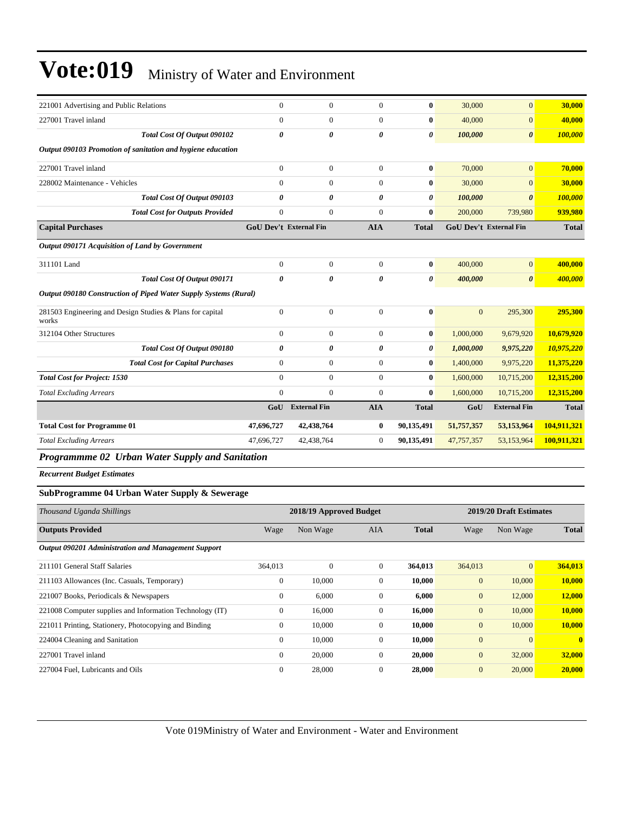| 221001 Advertising and Public Relations                            | $\boldsymbol{0}$              | $\boldsymbol{0}$        | $\overline{0}$   | $\bf{0}$              | 30,000           | $\overline{0}$          | 30,000         |
|--------------------------------------------------------------------|-------------------------------|-------------------------|------------------|-----------------------|------------------|-------------------------|----------------|
| 227001 Travel inland                                               | $\mathbf{0}$                  | $\mathbf{0}$            | $\overline{0}$   | $\bf{0}$              | 40,000           | $\mathbf{0}$            | 40,000         |
| Total Cost Of Output 090102                                        | $\boldsymbol{\theta}$         | $\theta$                | 0                | $\pmb{\theta}$        | 100,000          | $\boldsymbol{\theta}$   | 100,000        |
| Output 090103 Promotion of sanitation and hygiene education        |                               |                         |                  |                       |                  |                         |                |
| 227001 Travel inland                                               | $\boldsymbol{0}$              | $\boldsymbol{0}$        | $\boldsymbol{0}$ | $\bf{0}$              | 70,000           | $\overline{0}$          | 70,000         |
| 228002 Maintenance - Vehicles                                      | $\mathbf{0}$                  | $\mathbf{0}$            | $\overline{0}$   | $\bf{0}$              | 30,000           | $\overline{0}$          | 30,000         |
| Total Cost Of Output 090103                                        | $\theta$                      | 0                       | 0                | 0                     | 100,000          | $\theta$                | <b>100,000</b> |
| <b>Total Cost for Outputs Provided</b>                             | $\overline{0}$                | $\mathbf{0}$            | $\overline{0}$   | $\bf{0}$              | 200,000          | 739,980                 | 939,980        |
| <b>Capital Purchases</b>                                           | <b>GoU Dev't External Fin</b> |                         | <b>AIA</b>       | <b>Total</b>          |                  | GoU Dev't External Fin  | <b>Total</b>   |
| Output 090171 Acquisition of Land by Government                    |                               |                         |                  |                       |                  |                         |                |
| 311101 Land                                                        | $\mathbf{0}$                  | $\overline{0}$          | $\overline{0}$   | $\bf{0}$              | 400,000          | $\overline{0}$          | 400,000        |
| Total Cost Of Output 090171                                        | $\boldsymbol{\theta}$         | $\boldsymbol{\theta}$   | $\theta$         | $\boldsymbol{\theta}$ | 400,000          | $\boldsymbol{\theta}$   | 400,000        |
| Output 090180 Construction of Piped Water Supply Systems (Rural)   |                               |                         |                  |                       |                  |                         |                |
| 281503 Engineering and Design Studies & Plans for capital<br>works | $\mathbf{0}$                  | $\mathbf{0}$            | $\overline{0}$   | $\bf{0}$              | $\mathbf{0}$     | 295,300                 | 295,300        |
| 312104 Other Structures                                            | $\mathbf{0}$                  | $\overline{0}$          | $\overline{0}$   | $\bf{0}$              | 1,000,000        | 9,679,920               | 10,679,920     |
| Total Cost Of Output 090180                                        | $\pmb{\theta}$                | 0                       | 0                | 0                     | 1,000,000        | 9,975,220               | 10,975,220     |
| <b>Total Cost for Capital Purchases</b>                            | $\overline{0}$                | $\boldsymbol{0}$        | $\boldsymbol{0}$ | $\bf{0}$              | 1,400,000        | 9,975,220               | 11,375,220     |
| <b>Total Cost for Project: 1530</b>                                | $\theta$                      | $\mathbf{0}$            | $\boldsymbol{0}$ | $\bf{0}$              | 1,600,000        | 10,715,200              | 12,315,200     |
| <b>Total Excluding Arrears</b>                                     | $\mathbf{0}$                  | $\mathbf{0}$            | $\overline{0}$   | $\bf{0}$              | 1,600,000        | 10,715,200              | 12,315,200     |
|                                                                    | GoU                           | <b>External Fin</b>     | <b>AIA</b>       | <b>Total</b>          | GoU              | <b>External Fin</b>     | <b>Total</b>   |
| <b>Total Cost for Programme 01</b>                                 | 47,696,727                    | 42,438,764              | 0                | 90,135,491            | 51,757,357       | 53,153,964              | 104,911,321    |
| <b>Total Excluding Arrears</b>                                     | 47,696,727                    | 42,438,764              | $\boldsymbol{0}$ | 90,135,491            | 47,757,357       | 53,153,964              | 100,911,321    |
| Programmme 02 Urban Water Supply and Sanitation                    |                               |                         |                  |                       |                  |                         |                |
| <b>Recurrent Budget Estimates</b>                                  |                               |                         |                  |                       |                  |                         |                |
| SubProgramme 04 Urban Water Supply & Sewerage                      |                               |                         |                  |                       |                  |                         |                |
| Thousand Uganda Shillings                                          |                               | 2018/19 Approved Budget |                  |                       |                  | 2019/20 Draft Estimates |                |
| <b>Outputs Provided</b>                                            | Wage                          | Non Wage                | <b>AIA</b>       | <b>Total</b>          | Wage             | Non Wage                | <b>Total</b>   |
| Output 090201 Administration and Management Support                |                               |                         |                  |                       |                  |                         |                |
| 211101 General Staff Salaries                                      | 364,013                       | $\boldsymbol{0}$        | $\boldsymbol{0}$ | 364,013               | 364,013          | $\mathbf{0}$            | 364,013        |
| 211103 Allowances (Inc. Casuals, Temporary)                        | $\boldsymbol{0}$              | 10,000                  | $\boldsymbol{0}$ | 10,000                | $\mathbf{0}$     | 10,000                  | 10,000         |
| 221007 Books, Periodicals & Newspapers                             | $\boldsymbol{0}$              | 6,000                   | $\boldsymbol{0}$ | 6,000                 | $\boldsymbol{0}$ | 12,000                  | 12,000         |
| 221008 Computer supplies and Information Technology (IT)           | $\mathbf{0}$                  | 16,000                  | $\Omega$         | 16,000                | $\mathbf{0}$     | 10,000                  | 10,000         |

221011 Printing, Stationery, Photocopying and Binding 0 10,000 0 **10,000** 0 10,000 **10,000** 224004 Cleaning and Sanitation 0 10,000 0 **10,000** 0 0 **0** 227001 Travel inland 0 20,000 0 **20,000** 0 32,000 **32,000** 227004 Fuel, Lubricants and Oils 0 28,000 0 **28,000** 0 20,000 **20,000**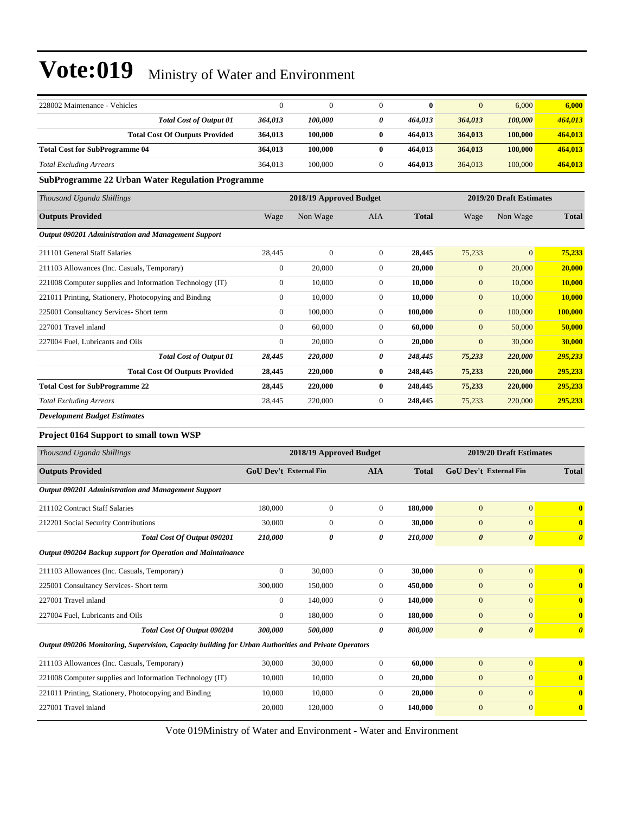| 228002 Maintenance - Vehicles                                                                        | $\mathbf{0}$                  | $\mathbf{0}$            | $\boldsymbol{0}$ | $\bf{0}$     | $\mathbf{0}$                  | 6,000                   | 6,000                 |
|------------------------------------------------------------------------------------------------------|-------------------------------|-------------------------|------------------|--------------|-------------------------------|-------------------------|-----------------------|
| <b>Total Cost of Output 01</b>                                                                       | 364,013                       | 100,000                 | 0                | 464,013      | 364,013                       | 100,000                 | 464,013               |
| <b>Total Cost Of Outputs Provided</b>                                                                | 364,013                       | 100,000                 | $\bf{0}$         | 464,013      | 364,013                       | 100,000                 | 464,013               |
| <b>Total Cost for SubProgramme 04</b>                                                                | 364,013                       | 100,000                 | $\bf{0}$         | 464,013      | 364,013                       | 100,000                 | 464,013               |
| <b>Total Excluding Arrears</b>                                                                       | 364,013                       | 100,000                 | $\mathbf{0}$     | 464,013      | 364,013                       | 100,000                 | 464,013               |
| <b>SubProgramme 22 Urban Water Regulation Programme</b>                                              |                               |                         |                  |              |                               |                         |                       |
| Thousand Uganda Shillings                                                                            |                               | 2018/19 Approved Budget |                  |              |                               | 2019/20 Draft Estimates |                       |
| <b>Outputs Provided</b>                                                                              | Wage                          | Non Wage                | AIA              | <b>Total</b> | Wage                          | Non Wage                | <b>Total</b>          |
| Output 090201 Administration and Management Support                                                  |                               |                         |                  |              |                               |                         |                       |
| 211101 General Staff Salaries                                                                        | 28,445                        | $\overline{0}$          | $\mathbf{0}$     | 28,445       | 75,233                        | $\overline{0}$          | 75,233                |
| 211103 Allowances (Inc. Casuals, Temporary)                                                          | $\boldsymbol{0}$              | 20,000                  | $\boldsymbol{0}$ | 20,000       | $\boldsymbol{0}$              | 20,000                  | 20,000                |
| 221008 Computer supplies and Information Technology (IT)                                             | $\mathbf{0}$                  | 10,000                  | $\mathbf{0}$     | 10,000       | $\mathbf{0}$                  | 10,000                  | 10,000                |
| 221011 Printing, Stationery, Photocopying and Binding                                                | $\boldsymbol{0}$              | 10,000                  | $\mathbf{0}$     | 10,000       | $\mathbf{0}$                  | 10,000                  | 10,000                |
| 225001 Consultancy Services- Short term                                                              | $\boldsymbol{0}$              | 100,000                 | $\mathbf{0}$     | 100,000      | $\mathbf{0}$                  | 100,000                 | 100,000               |
| 227001 Travel inland                                                                                 | $\boldsymbol{0}$              | 60,000                  | $\mathbf{0}$     | 60,000       | $\mathbf{0}$                  | 50,000                  | 50,000                |
| 227004 Fuel, Lubricants and Oils                                                                     | $\boldsymbol{0}$              | 20,000                  | $\mathbf{0}$     | 20,000       | $\mathbf{0}$                  | 30,000                  | 30,000                |
| <b>Total Cost of Output 01</b>                                                                       | 28,445                        | 220,000                 | 0                | 248,445      | 75,233                        | 220,000                 | 295,233               |
| <b>Total Cost Of Outputs Provided</b>                                                                | 28,445                        | 220,000                 | $\bf{0}$         | 248,445      | 75,233                        | 220,000                 | 295,233               |
| <b>Total Cost for SubProgramme 22</b>                                                                | 28,445                        | 220,000                 | $\bf{0}$         | 248,445      | 75,233                        | 220,000                 | 295,233               |
| <b>Total Excluding Arrears</b>                                                                       | 28,445                        | 220,000                 | $\boldsymbol{0}$ | 248,445      | 75,233                        | 220,000                 | 295,233               |
| <b>Development Budget Estimates</b>                                                                  |                               |                         |                  |              |                               |                         |                       |
| Project 0164 Support to small town WSP                                                               |                               |                         |                  |              |                               |                         |                       |
| Thousand Uganda Shillings                                                                            |                               | 2018/19 Approved Budget |                  |              |                               | 2019/20 Draft Estimates |                       |
| <b>Outputs Provided</b>                                                                              | <b>GoU Dev't External Fin</b> |                         | <b>AIA</b>       | <b>Total</b> | <b>GoU Dev't External Fin</b> |                         | <b>Total</b>          |
| Output 090201 Administration and Management Support                                                  |                               |                         |                  |              |                               |                         |                       |
| 211102 Contract Staff Salaries                                                                       | 180,000                       | $\boldsymbol{0}$        | $\mathbf{0}$     | 180,000      | $\mathbf{0}$                  | $\mathbf{0}$            | $\bf{0}$              |
| 212201 Social Security Contributions                                                                 | 30,000                        | $\boldsymbol{0}$        | $\mathbf{0}$     | 30,000       | $\mathbf{0}$                  | $\overline{0}$          | $\bf{0}$              |
| Total Cost Of Output 090201                                                                          | 210,000                       | 0                       | 0                | 210,000      | $\boldsymbol{\theta}$         | 0                       | $\boldsymbol{\theta}$ |
| Output 090204 Backup support for Operation and Maintainance                                          |                               |                         |                  |              |                               |                         |                       |
| 211103 Allowances (Inc. Casuals, Temporary)                                                          | $\boldsymbol{0}$              | 30,000                  | $\mathbf{0}$     | 30,000       | $\mathbf{0}$                  | $\overline{0}$          | $\bf{0}$              |
| 225001 Consultancy Services- Short term                                                              | 300,000                       | 150,000                 | $\mathbf{0}$     | 450,000      | $\boldsymbol{0}$              | $\overline{0}$          | $\bf{0}$              |
| 227001 Travel inland                                                                                 | $\boldsymbol{0}$              | 140,000                 | $\boldsymbol{0}$ | 140,000      | $\boldsymbol{0}$              | $\overline{0}$          | $\bf{0}$              |
| 227004 Fuel, Lubricants and Oils                                                                     | $\boldsymbol{0}$              | 180,000                 | $\mathbf{0}$     | 180,000      | $\mathbf{0}$                  | $\overline{0}$          | $\bf{0}$              |
| Total Cost Of Output 090204                                                                          | 300,000                       | 500,000                 | 0                | 800,000      | $\boldsymbol{\theta}$         | $\pmb{\theta}$          | $\boldsymbol{\theta}$ |
| Output 090206 Monitoring, Supervision, Capacity building for Urban Authorities and Private Operators |                               |                         |                  |              |                               |                         |                       |
| 211103 Allowances (Inc. Casuals, Temporary)                                                          | 30,000                        | 30,000                  | $\boldsymbol{0}$ | 60,000       | $\mathbf{0}$                  | $\overline{0}$          | $\bf{0}$              |
| 221008 Computer supplies and Information Technology (IT)                                             | 10,000                        | 10,000                  | $\boldsymbol{0}$ | 20,000       | $\boldsymbol{0}$              | $\boldsymbol{0}$        | $\bf{0}$              |
| 221011 Printing, Stationery, Photocopying and Binding                                                | 10,000                        | 10,000                  | $\boldsymbol{0}$ | 20,000       | $\boldsymbol{0}$              | $\overline{0}$          | $\bf{0}$              |
| 227001 Travel inland                                                                                 | 20,000                        | 120,000                 | $\boldsymbol{0}$ | 140,000      | $\boldsymbol{0}$              | $\boldsymbol{0}$        | $\bf{0}$              |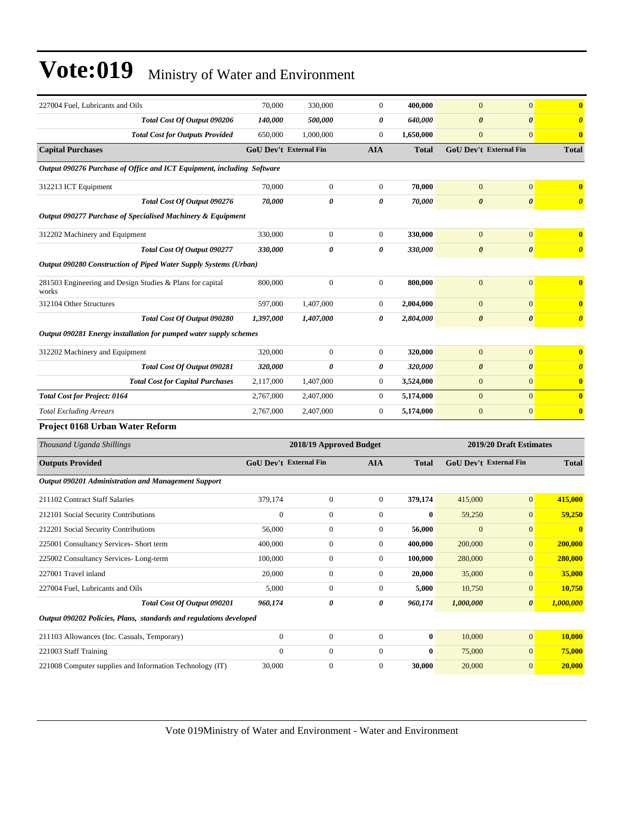| 227004 Fuel, Lubricants and Oils                                       | 70,000                        | 330,000                 | $\mathbf{0}$     | 400,000      | $\mathbf{0}$          | $\overline{0}$          | $\bf{0}$              |
|------------------------------------------------------------------------|-------------------------------|-------------------------|------------------|--------------|-----------------------|-------------------------|-----------------------|
| Total Cost Of Output 090206                                            | 140,000                       | 500,000                 | 0                | 640,000      | 0                     | $\boldsymbol{\theta}$   | $\boldsymbol{\theta}$ |
| <b>Total Cost for Outputs Provided</b>                                 | 650,000                       | 1,000,000               | $\mathbf{0}$     | 1,650,000    | $\boldsymbol{0}$      | $\overline{0}$          | $\bf{0}$              |
| <b>Capital Purchases</b>                                               | <b>GoU Dev't External Fin</b> |                         | <b>AIA</b>       | <b>Total</b> |                       | GoU Dev't External Fin  | <b>Total</b>          |
| Output 090276 Purchase of Office and ICT Equipment, including Software |                               |                         |                  |              |                       |                         |                       |
| 312213 ICT Equipment                                                   | 70,000                        | $\boldsymbol{0}$        | $\mathbf{0}$     | 70,000       | $\mathbf{0}$          | $\overline{0}$          | $\bf{0}$              |
| Total Cost Of Output 090276                                            | 70,000                        | 0                       | 0                | 70,000       | $\boldsymbol{\theta}$ | 0                       | $\boldsymbol{\theta}$ |
| Output 090277 Purchase of Specialised Machinery & Equipment            |                               |                         |                  |              |                       |                         |                       |
| 312202 Machinery and Equipment                                         | 330,000                       | $\boldsymbol{0}$        | $\boldsymbol{0}$ | 330,000      | $\mathbf{0}$          | $\overline{0}$          | $\bf{0}$              |
| Total Cost Of Output 090277                                            | 330,000                       | 0                       | 0                | 330,000      | $\boldsymbol{\theta}$ | 0                       | $\boldsymbol{\theta}$ |
| Output 090280 Construction of Piped Water Supply Systems (Urban)       |                               |                         |                  |              |                       |                         |                       |
| 281503 Engineering and Design Studies & Plans for capital<br>works     | 800,000                       | $\boldsymbol{0}$        | $\mathbf{0}$     | 800,000      | $\mathbf{0}$          | $\overline{0}$          | $\bf{0}$              |
| 312104 Other Structures                                                | 597,000                       | 1,407,000               | $\mathbf{0}$     | 2,004,000    | $\mathbf{0}$          | $\overline{0}$          | $\bf{0}$              |
| Total Cost Of Output 090280                                            | 1,397,000                     | 1,407,000               | 0                | 2,804,000    | $\boldsymbol{\theta}$ | $\boldsymbol{\theta}$   | $\boldsymbol{\theta}$ |
| Output 090281 Energy installation for pumped water supply schemes      |                               |                         |                  |              |                       |                         |                       |
| 312202 Machinery and Equipment                                         | 320,000                       | $\boldsymbol{0}$        | $\mathbf{0}$     | 320,000      | $\mathbf{0}$          | $\overline{0}$          | $\bf{0}$              |
| Total Cost Of Output 090281                                            | 320,000                       | 0                       | 0                | 320,000      | $\boldsymbol{\theta}$ | 0                       | $\boldsymbol{\theta}$ |
| <b>Total Cost for Capital Purchases</b>                                | 2,117,000                     | 1,407,000               | $\boldsymbol{0}$ | 3,524,000    | $\boldsymbol{0}$      | $\overline{0}$          | $\bf{0}$              |
| <b>Total Cost for Project: 0164</b>                                    | 2,767,000                     | 2,407,000               | $\boldsymbol{0}$ | 5,174,000    | $\boldsymbol{0}$      | $\overline{0}$          | $\bf{0}$              |
| <b>Total Excluding Arrears</b>                                         | 2,767,000                     | 2,407,000               | $\mathbf{0}$     | 5,174,000    | $\boldsymbol{0}$      | $\mathbf{0}$            | $\bf{0}$              |
| Project 0168 Urban Water Reform                                        |                               |                         |                  |              |                       |                         |                       |
| Thousand Uganda Shillings                                              |                               | 2018/19 Approved Budget |                  |              |                       | 2019/20 Draft Estimates |                       |
| <b>Outputs Provided</b>                                                | GoU Dev't External Fin        |                         | <b>AIA</b>       | <b>Total</b> |                       | GoU Dev't External Fin  | <b>Total</b>          |
| Output 090201 Administration and Management Support                    |                               |                         |                  |              |                       |                         |                       |
| 211102 Contract Staff Salaries                                         | 379,174                       | $\boldsymbol{0}$        | $\boldsymbol{0}$ | 379,174      | 415,000               | $\boldsymbol{0}$        | 415,000               |
| 212101 Social Security Contributions                                   | $\boldsymbol{0}$              | $\boldsymbol{0}$        | $\mathbf{0}$     | $\bf{0}$     | 59,250                | $\boldsymbol{0}$        | 59,250                |
| 212201 Social Security Contributions                                   | 56,000                        | $\boldsymbol{0}$        | $\mathbf{0}$     | 56,000       | $\mathbf{0}$          | $\overline{0}$          | $\bf{0}$              |
| 225001 Consultancy Services- Short term                                | 400,000                       | $\boldsymbol{0}$        | $\boldsymbol{0}$ | 400,000      | 200,000               | $\overline{0}$          | 200,000               |
| 225002 Consultancy Services-Long-term                                  | 100,000                       | $\boldsymbol{0}$        | $\boldsymbol{0}$ | 100,000      | 280,000               | $\mathbf{0}$            | <b>280,000</b>        |
| 227001 Travel inland                                                   | 20,000                        | $\boldsymbol{0}$        | $\mathbf{0}$     | 20,000       | 35,000                | $\mathbf{0}$            | 35,000                |
| 227004 Fuel, Lubricants and Oils                                       | 5,000                         | $\boldsymbol{0}$        | $\boldsymbol{0}$ | 5,000        | 10,750                | $\boldsymbol{0}$        | 10,750                |
| Total Cost Of Output 090201                                            | 960,174                       | 0                       | 0                | 960,174      | 1,000,000             | $\boldsymbol{\theta}$   | 1,000,000             |
| Output 090202 Policies, Plans, standards and regulations developed     |                               |                         |                  |              |                       |                         |                       |
| 211103 Allowances (Inc. Casuals, Temporary)                            | $\boldsymbol{0}$              | $\boldsymbol{0}$        | $\boldsymbol{0}$ | $\mathbf{0}$ | 10,000                | $\overline{0}$          | 10,000                |
| 221003 Staff Training                                                  | $\boldsymbol{0}$              | $\boldsymbol{0}$        | $\boldsymbol{0}$ | $\bf{0}$     | 75,000                | $\boldsymbol{0}$        | 75,000                |
| 221008 Computer supplies and Information Technology (IT)               | 30,000                        | $\boldsymbol{0}$        | $\boldsymbol{0}$ | 30,000       | 20,000                | $\mathbf{0}$            | 20,000                |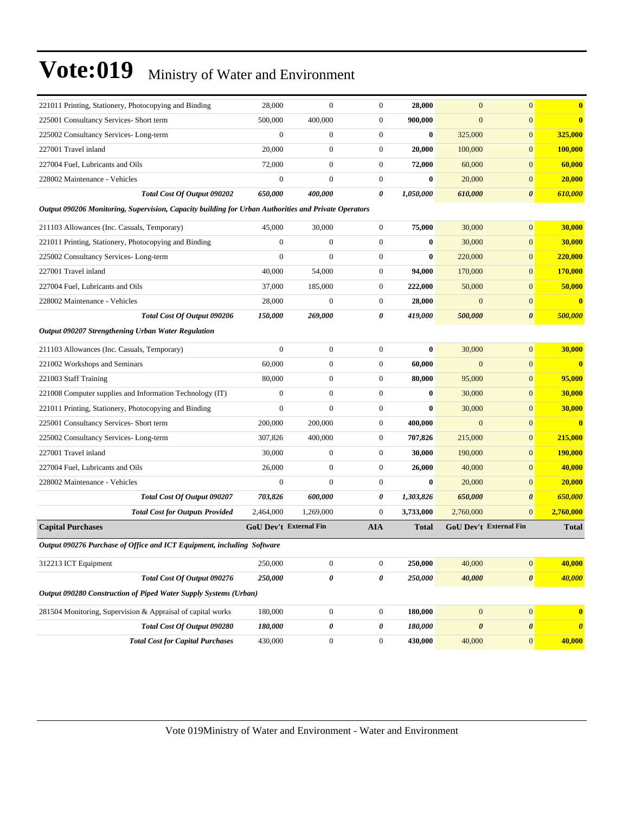| 221011 Printing, Stationery, Photocopying and Binding                                                | 28,000                        | $\mathbf{0}$     | $\boldsymbol{0}$ | 28,000       | $\mathbf{0}$          | $\mathbf{0}$                  | $\bf{0}$              |
|------------------------------------------------------------------------------------------------------|-------------------------------|------------------|------------------|--------------|-----------------------|-------------------------------|-----------------------|
| 225001 Consultancy Services- Short term                                                              | 500,000                       | 400,000          | $\boldsymbol{0}$ | 900,000      | $\mathbf{0}$          | $\boldsymbol{0}$              | $\bf{0}$              |
| 225002 Consultancy Services-Long-term                                                                | $\mathbf{0}$                  | $\boldsymbol{0}$ | $\boldsymbol{0}$ | $\bf{0}$     | 325,000               | $\overline{0}$                | 325,000               |
| 227001 Travel inland                                                                                 | 20,000                        | $\mathbf{0}$     | $\boldsymbol{0}$ | 20,000       | 100,000               | $\overline{0}$                | 100,000               |
| 227004 Fuel, Lubricants and Oils                                                                     | 72,000                        | $\boldsymbol{0}$ | $\boldsymbol{0}$ | 72,000       | 60,000                | $\mathbf{0}$                  | 60,000                |
| 228002 Maintenance - Vehicles                                                                        | $\mathbf{0}$                  | $\mathbf{0}$     | $\boldsymbol{0}$ | $\bf{0}$     | 20,000                | $\mathbf{0}$                  | 20,000                |
| Total Cost Of Output 090202                                                                          | 650,000                       | 400,000          | 0                | 1,050,000    | 610,000               | $\boldsymbol{\theta}$         | 610,000               |
| Output 090206 Monitoring, Supervision, Capacity building for Urban Authorities and Private Operators |                               |                  |                  |              |                       |                               |                       |
| 211103 Allowances (Inc. Casuals, Temporary)                                                          | 45,000                        | 30,000           | $\boldsymbol{0}$ | 75,000       | 30,000                | $\overline{0}$                | 30,000                |
| 221011 Printing, Stationery, Photocopying and Binding                                                | $\mathbf{0}$                  | $\mathbf{0}$     | $\boldsymbol{0}$ | $\bf{0}$     | 30,000                | $\overline{0}$                | 30,000                |
| 225002 Consultancy Services-Long-term                                                                | $\mathbf{0}$                  | $\mathbf{0}$     | $\boldsymbol{0}$ | $\bf{0}$     | 220,000               | $\mathbf{0}$                  | 220,000               |
| 227001 Travel inland                                                                                 | 40,000                        | 54,000           | $\boldsymbol{0}$ | 94,000       | 170,000               | $\mathbf{0}$                  | 170,000               |
| 227004 Fuel, Lubricants and Oils                                                                     | 37,000                        | 185,000          | $\boldsymbol{0}$ | 222,000      | 50,000                | $\mathbf{0}$                  | 50,000                |
| 228002 Maintenance - Vehicles                                                                        | 28,000                        | $\mathbf{0}$     | $\boldsymbol{0}$ | 28,000       | $\overline{0}$        | $\overline{0}$                | $\bf{0}$              |
| Total Cost Of Output 090206                                                                          | 150,000                       | 269,000          | 0                | 419,000      | 500,000               | $\boldsymbol{\theta}$         | 500,000               |
| Output 090207 Strengthening Urban Water Regulation                                                   |                               |                  |                  |              |                       |                               |                       |
| 211103 Allowances (Inc. Casuals, Temporary)                                                          | $\mathbf{0}$                  | $\boldsymbol{0}$ | $\boldsymbol{0}$ | $\bf{0}$     | 30,000                | $\overline{0}$                | 30,000                |
| 221002 Workshops and Seminars                                                                        | 60,000                        | $\boldsymbol{0}$ | $\boldsymbol{0}$ | 60,000       | $\mathbf{0}$          | $\mathbf{0}$                  | $\bf{0}$              |
| 221003 Staff Training                                                                                | 80,000                        | $\boldsymbol{0}$ | $\boldsymbol{0}$ | 80,000       | 95,000                | $\mathbf{0}$                  | 95,000                |
| 221008 Computer supplies and Information Technology (IT)                                             | $\mathbf{0}$                  | $\boldsymbol{0}$ | $\boldsymbol{0}$ | $\bf{0}$     | 30,000                | $\overline{0}$                | 30,000                |
| 221011 Printing, Stationery, Photocopying and Binding                                                | $\mathbf{0}$                  | $\mathbf{0}$     | $\boldsymbol{0}$ | $\bf{0}$     | 30,000                | $\overline{0}$                | 30,000                |
| 225001 Consultancy Services- Short term                                                              | 200,000                       | 200,000          | $\boldsymbol{0}$ | 400,000      | $\mathbf{0}$          | $\mathbf{0}$                  | $\mathbf{0}$          |
| 225002 Consultancy Services-Long-term                                                                | 307,826                       | 400,000          | 0                | 707,826      | 215,000               | $\mathbf{0}$                  | 215,000               |
| 227001 Travel inland                                                                                 | 30,000                        | $\boldsymbol{0}$ | $\boldsymbol{0}$ | 30,000       | 190,000               | $\mathbf{0}$                  | <b>190,000</b>        |
| 227004 Fuel, Lubricants and Oils                                                                     | 26,000                        | $\boldsymbol{0}$ | $\boldsymbol{0}$ | 26,000       | 40,000                | $\overline{0}$                | 40,000                |
| 228002 Maintenance - Vehicles                                                                        | $\theta$                      | $\mathbf{0}$     | $\boldsymbol{0}$ | $\bf{0}$     | 20,000                | $\overline{0}$                | 20,000                |
| Total Cost Of Output 090207                                                                          | 703,826                       | 600,000          | 0                | 1,303,826    | 650,000               | $\boldsymbol{\theta}$         | 650,000               |
| <b>Total Cost for Outputs Provided</b>                                                               | 2,464,000                     | 1,269,000        | $\overline{0}$   | 3,733,000    | 2,760,000             | $\mathbf{0}$                  | 2,760,000             |
| <b>Capital Purchases</b>                                                                             | <b>GoU Dev't External Fin</b> |                  | <b>AIA</b>       | <b>Total</b> |                       | <b>GoU Dev't External Fin</b> | <b>Total</b>          |
| Output 090276 Purchase of Office and ICT Equipment, including Software                               |                               |                  |                  |              |                       |                               |                       |
| 312213 ICT Equipment                                                                                 | 250,000                       | $\boldsymbol{0}$ | $\boldsymbol{0}$ | 250,000      | 40,000                | $\mathbf{0}$                  | 40,000                |
| Total Cost Of Output 090276                                                                          | 250,000                       | 0                | 0                | 250,000      | 40,000                | $\boldsymbol{\theta}$         | 40,000                |
| Output 090280 Construction of Piped Water Supply Systems (Urban)                                     |                               |                  |                  |              |                       |                               |                       |
| 281504 Monitoring, Supervision & Appraisal of capital works                                          | 180,000                       | $\boldsymbol{0}$ | $\boldsymbol{0}$ | 180,000      | $\mathbf{0}$          | $\boldsymbol{0}$              | $\bullet$             |
| Total Cost Of Output 090280                                                                          | 180,000                       | 0                | 0                | 180,000      | $\boldsymbol{\theta}$ | $\pmb{\theta}$                | $\boldsymbol{\theta}$ |
| <b>Total Cost for Capital Purchases</b>                                                              | 430,000                       | $\boldsymbol{0}$ | $\boldsymbol{0}$ | 430,000      | 40,000                | $\mathbf{0}$                  | 40,000                |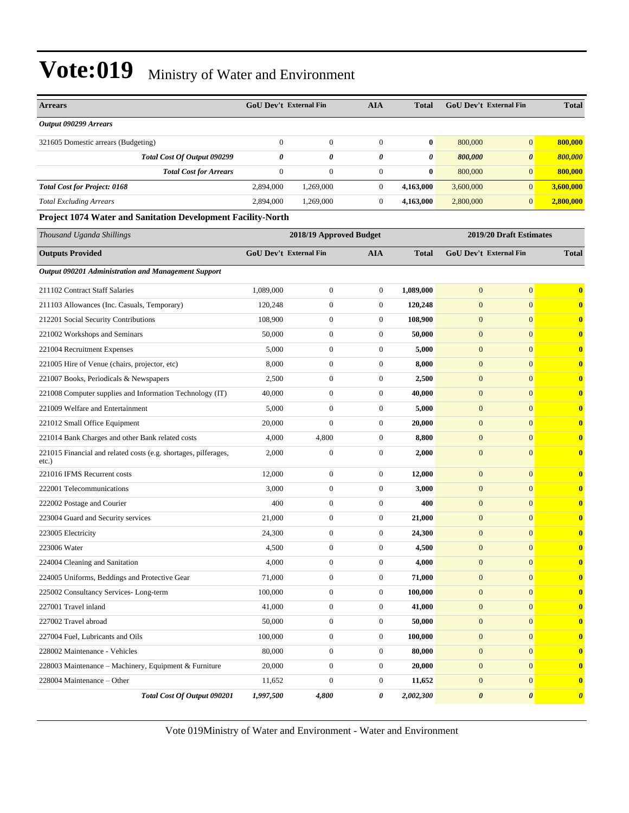| <b>Arrears</b>                                                              | <b>GoU Dev't External Fin</b> |                         | <b>AIA</b>            | Total     | GoU Dev't External Fin |                         | <b>Total</b>          |
|-----------------------------------------------------------------------------|-------------------------------|-------------------------|-----------------------|-----------|------------------------|-------------------------|-----------------------|
| Output 090299 Arrears                                                       |                               |                         |                       |           |                        |                         |                       |
| 321605 Domestic arrears (Budgeting)                                         | $\mathbf{0}$                  | $\boldsymbol{0}$        | $\mathbf{0}$          | $\bf{0}$  | 800,000                | $\mathbf{0}$            | 800,000               |
| Total Cost Of Output 090299                                                 | 0                             | 0                       | $\boldsymbol{\theta}$ | 0         | 800,000                | $\boldsymbol{\theta}$   | 800,000               |
| <b>Total Cost for Arrears</b>                                               | $\boldsymbol{0}$              | $\boldsymbol{0}$        | $\boldsymbol{0}$      | $\bf{0}$  | 800,000                | $\mathbf{0}$            | 800,000               |
| <b>Total Cost for Project: 0168</b>                                         | 2,894,000                     | 1,269,000               | $\mathbf{0}$          | 4,163,000 | 3,600,000              | $\mathbf{0}$            | 3,600,000             |
| <b>Total Excluding Arrears</b>                                              | 2.894.000                     | 1,269,000               | $\mathbf{0}$          | 4,163,000 | 2,800,000              | $\mathbf{0}$            | 2,800,000             |
| Project 1074 Water and Sanitation Development Facility-North                |                               |                         |                       |           |                        |                         |                       |
| Thousand Uganda Shillings                                                   |                               | 2018/19 Approved Budget |                       |           |                        | 2019/20 Draft Estimates |                       |
| <b>Outputs Provided</b>                                                     | <b>GoU Dev't External Fin</b> |                         | <b>AIA</b>            | Total     | GoU Dev't External Fin |                         | <b>Total</b>          |
| Output 090201 Administration and Management Support                         |                               |                         |                       |           |                        |                         |                       |
| 211102 Contract Staff Salaries                                              | 1,089,000                     | $\boldsymbol{0}$        | $\mathbf{0}$          | 1,089,000 | $\boldsymbol{0}$       | $\boldsymbol{0}$        | $\bf{0}$              |
| 211103 Allowances (Inc. Casuals, Temporary)                                 | 120,248                       | $\boldsymbol{0}$        | $\boldsymbol{0}$      | 120,248   | $\mathbf{0}$           | $\mathbf{0}$            | $\bf{0}$              |
| 212201 Social Security Contributions                                        | 108,900                       | $\boldsymbol{0}$        | $\mathbf{0}$          | 108,900   | $\mathbf{0}$           | $\mathbf{0}$            | $\bf{0}$              |
| 221002 Workshops and Seminars                                               | 50,000                        | $\boldsymbol{0}$        | $\overline{0}$        | 50,000    | $\overline{0}$         | $\mathbf{0}$            | $\bf{0}$              |
| 221004 Recruitment Expenses                                                 | 5,000                         | $\boldsymbol{0}$        | $\mathbf{0}$          | 5,000     | $\mathbf{0}$           | $\mathbf{0}$            | $\bf{0}$              |
| 221005 Hire of Venue (chairs, projector, etc)                               | 8,000                         | $\boldsymbol{0}$        | $\mathbf{0}$          | 8,000     | $\boldsymbol{0}$       | $\mathbf{0}$            | $\bf{0}$              |
| 221007 Books, Periodicals & Newspapers                                      | 2,500                         | $\boldsymbol{0}$        | $\mathbf{0}$          | 2,500     | $\mathbf{0}$           | $\mathbf{0}$            | $\bf{0}$              |
| 221008 Computer supplies and Information Technology (IT)                    | 40,000                        | $\boldsymbol{0}$        | $\mathbf{0}$          | 40,000    | $\mathbf{0}$           | $\mathbf{0}$            | $\bf{0}$              |
| 221009 Welfare and Entertainment                                            | 5,000                         | $\boldsymbol{0}$        | $\overline{0}$        | 5,000     | $\overline{0}$         | $\mathbf{0}$            | $\bf{0}$              |
| 221012 Small Office Equipment                                               | 20,000                        | $\mathbf{0}$            | $\boldsymbol{0}$      | 20,000    | $\mathbf{0}$           | $\mathbf{0}$            | $\bf{0}$              |
| 221014 Bank Charges and other Bank related costs                            | 4,000                         | 4,800                   | $\mathbf{0}$          | 8,800     | $\boldsymbol{0}$       | $\mathbf{0}$            | $\bf{0}$              |
| 221015 Financial and related costs (e.g. shortages, pilferages,<br>$etc.$ ) | 2,000                         | $\boldsymbol{0}$        | $\boldsymbol{0}$      | 2,000     | $\mathbf{0}$           | $\mathbf{0}$            | $\bf{0}$              |
| 221016 IFMS Recurrent costs                                                 | 12,000                        | $\boldsymbol{0}$        | $\mathbf{0}$          | 12,000    | $\mathbf{0}$           | $\mathbf{0}$            | $\bf{0}$              |
| 222001 Telecommunications                                                   | 3,000                         | $\boldsymbol{0}$        | $\mathbf{0}$          | 3,000     | $\mathbf{0}$           | $\mathbf{0}$            | $\bf{0}$              |
| 222002 Postage and Courier                                                  | 400                           | $\boldsymbol{0}$        | $\mathbf{0}$          | 400       | $\mathbf{0}$           | $\mathbf{0}$            | $\bf{0}$              |
| 223004 Guard and Security services                                          | 21,000                        | $\boldsymbol{0}$        | $\mathbf{0}$          | 21,000    | $\boldsymbol{0}$       | $\mathbf{0}$            | $\bf{0}$              |
| 223005 Electricity                                                          | 24,300                        | $\boldsymbol{0}$        | $\mathbf{0}$          | 24,300    | $\overline{0}$         | $\mathbf{0}$            | $\bf{0}$              |
| 223006 Water                                                                | 4,500                         | $\mathbf{0}$            | $\mathbf{0}$          | 4,500     | $\overline{0}$         | $\mathbf{0}$            | $\bf{0}$              |
| 224004 Cleaning and Sanitation                                              | 4,000                         | $\boldsymbol{0}$        | $\mathbf{0}$          | 4,000     | $\mathbf{0}$           | $\boldsymbol{0}$        | $\bf{0}$              |
| 224005 Uniforms, Beddings and Protective Gear                               | 71,000                        | $\boldsymbol{0}$        | $\mathbf{0}$          | 71,000    | $\mathbf{0}$           | $\mathbf{0}$            | $\bf{0}$              |
| 225002 Consultancy Services-Long-term                                       | 100,000                       | $\boldsymbol{0}$        | $\boldsymbol{0}$      | 100,000   | $\boldsymbol{0}$       | $\mathbf{0}$            | $\bf{0}$              |
| 227001 Travel inland                                                        | 41,000                        | $\boldsymbol{0}$        | $\boldsymbol{0}$      | 41,000    | $\mathbf{0}$           | $\mathbf{0}$            | $\bf{0}$              |
| 227002 Travel abroad                                                        | 50,000                        | $\boldsymbol{0}$        | $\mathbf{0}$          | 50,000    | $\mathbf{0}$           | $\mathbf{0}$            | $\bf{0}$              |
| 227004 Fuel, Lubricants and Oils                                            | 100,000                       | $\boldsymbol{0}$        | $\boldsymbol{0}$      | 100,000   | $\mathbf{0}$           | $\mathbf{0}$            | $\bf{0}$              |
| 228002 Maintenance - Vehicles                                               | 80,000                        | $\boldsymbol{0}$        | $\boldsymbol{0}$      | 80,000    | $\mathbf{0}$           | $\mathbf{0}$            | $\bf{0}$              |
| 228003 Maintenance – Machinery, Equipment & Furniture                       | 20,000                        | $\boldsymbol{0}$        | $\boldsymbol{0}$      | 20,000    | $\boldsymbol{0}$       | $\mathbf{0}$            | $\bf{0}$              |
| 228004 Maintenance – Other                                                  | 11,652                        | $\boldsymbol{0}$        | $\boldsymbol{0}$      | 11,652    | $\mathbf{0}$           | $\mathbf{0}$            | $\bf{0}$              |
| Total Cost Of Output 090201                                                 | 1,997,500                     | 4,800                   | 0                     | 2,002,300 | $\boldsymbol{\theta}$  | $\boldsymbol{\theta}$   | $\boldsymbol{\theta}$ |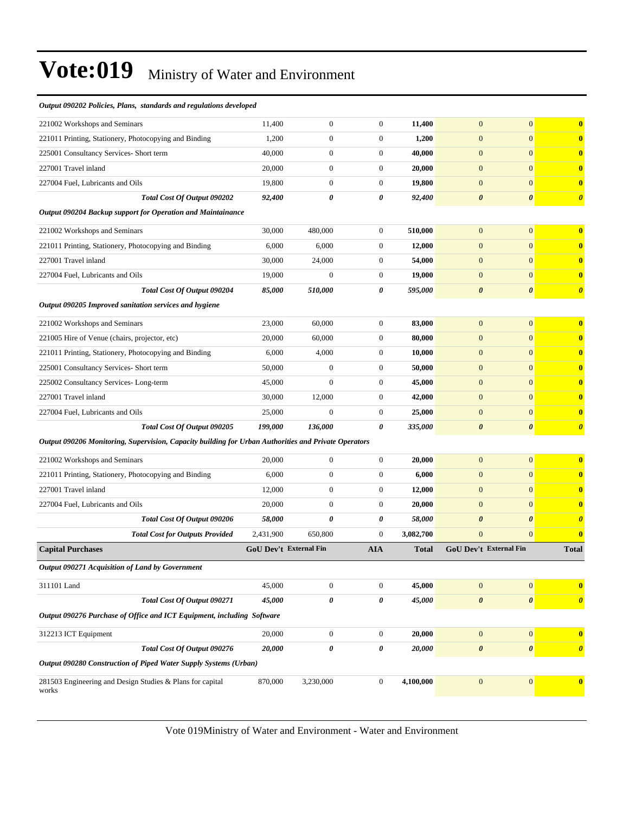| Output 090202 Policies, Plans, standards and regulations developed                                   |                               |                  |                  |              |                       |                        |                       |
|------------------------------------------------------------------------------------------------------|-------------------------------|------------------|------------------|--------------|-----------------------|------------------------|-----------------------|
| 221002 Workshops and Seminars                                                                        | 11,400                        | $\boldsymbol{0}$ | $\mathbf{0}$     | 11,400       | $\mathbf{0}$          | $\overline{0}$         | $\bf{0}$              |
| 221011 Printing, Stationery, Photocopying and Binding                                                | 1,200                         | $\boldsymbol{0}$ | $\mathbf{0}$     | 1,200        | $\mathbf{0}$          | $\overline{0}$         | $\bf{0}$              |
| 225001 Consultancy Services- Short term                                                              | 40,000                        | $\boldsymbol{0}$ | $\mathbf{0}$     | 40,000       | $\mathbf{0}$          | $\mathbf{0}$           | $\bf{0}$              |
| 227001 Travel inland                                                                                 | 20,000                        | $\boldsymbol{0}$ | $\boldsymbol{0}$ | 20,000       | $\mathbf{0}$          | $\overline{0}$         | $\bf{0}$              |
| 227004 Fuel, Lubricants and Oils                                                                     | 19,800                        | $\boldsymbol{0}$ | $\mathbf{0}$     | 19,800       | $\mathbf{0}$          | $\boldsymbol{0}$       | $\bf{0}$              |
| Total Cost Of Output 090202                                                                          | 92,400                        | 0                | 0                | 92,400       | $\boldsymbol{\theta}$ | $\boldsymbol{\theta}$  | $\boldsymbol{\theta}$ |
| Output 090204 Backup support for Operation and Maintainance                                          |                               |                  |                  |              |                       |                        |                       |
| 221002 Workshops and Seminars                                                                        | 30,000                        | 480,000          | $\mathbf{0}$     | 510,000      | $\mathbf{0}$          | $\overline{0}$         | $\bf{0}$              |
| 221011 Printing, Stationery, Photocopying and Binding                                                | 6,000                         | 6,000            | $\mathbf{0}$     | 12,000       | $\boldsymbol{0}$      | $\boldsymbol{0}$       | $\bf{0}$              |
| 227001 Travel inland                                                                                 | 30,000                        | 24,000           | $\boldsymbol{0}$ | 54,000       | $\mathbf{0}$          | $\boldsymbol{0}$       | $\bf{0}$              |
| 227004 Fuel, Lubricants and Oils                                                                     | 19,000                        | $\mathbf{0}$     | $\mathbf{0}$     | 19,000       | $\mathbf{0}$          | $\boldsymbol{0}$       | $\bf{0}$              |
| Total Cost Of Output 090204                                                                          | 85,000                        | 510,000          | 0                | 595,000      | $\boldsymbol{\theta}$ | 0                      | $\boldsymbol{\theta}$ |
| Output 090205 Improved sanitation services and hygiene                                               |                               |                  |                  |              |                       |                        |                       |
| 221002 Workshops and Seminars                                                                        | 23,000                        | 60,000           | $\mathbf{0}$     | 83,000       | $\mathbf{0}$          | $\overline{0}$         | $\bf{0}$              |
| 221005 Hire of Venue (chairs, projector, etc)                                                        | 20,000                        | 60,000           | $\boldsymbol{0}$ | 80,000       | $\mathbf{0}$          | $\boldsymbol{0}$       | $\bf{0}$              |
| 221011 Printing, Stationery, Photocopying and Binding                                                | 6,000                         | 4,000            | $\boldsymbol{0}$ | 10,000       | $\mathbf{0}$          | $\overline{0}$         | $\bf{0}$              |
| 225001 Consultancy Services- Short term                                                              | 50,000                        | $\boldsymbol{0}$ | $\boldsymbol{0}$ | 50,000       | $\mathbf{0}$          | $\overline{0}$         | $\bf{0}$              |
| 225002 Consultancy Services-Long-term                                                                | 45,000                        | $\mathbf{0}$     | $\boldsymbol{0}$ | 45,000       | $\mathbf{0}$          | $\boldsymbol{0}$       | $\bf{0}$              |
| 227001 Travel inland                                                                                 | 30,000                        | 12,000           | $\boldsymbol{0}$ | 42,000       | $\mathbf{0}$          | $\overline{0}$         | $\bf{0}$              |
| 227004 Fuel, Lubricants and Oils                                                                     | 25,000                        | $\mathbf{0}$     | $\boldsymbol{0}$ | 25,000       | $\mathbf{0}$          | $\mathbf{0}$           | $\bf{0}$              |
| Total Cost Of Output 090205                                                                          | 199,000                       | 136,000          | 0                | 335,000      | $\boldsymbol{\theta}$ | $\boldsymbol{\theta}$  | $\boldsymbol{\theta}$ |
| Output 090206 Monitoring, Supervision, Capacity building for Urban Authorities and Private Operators |                               |                  |                  |              |                       |                        |                       |
| 221002 Workshops and Seminars                                                                        | 20,000                        | $\boldsymbol{0}$ | $\boldsymbol{0}$ | 20,000       | $\mathbf{0}$          | $\overline{0}$         | $\bf{0}$              |
| 221011 Printing, Stationery, Photocopying and Binding                                                | 6,000                         | $\boldsymbol{0}$ | $\boldsymbol{0}$ | 6,000        | $\mathbf{0}$          | $\boldsymbol{0}$       | $\bf{0}$              |
| 227001 Travel inland                                                                                 | 12,000                        | $\boldsymbol{0}$ | $\boldsymbol{0}$ | 12,000       | $\mathbf{0}$          | $\overline{0}$         | $\bf{0}$              |
| 227004 Fuel, Lubricants and Oils                                                                     | 20,000                        | $\boldsymbol{0}$ | $\boldsymbol{0}$ | 20,000       | $\boldsymbol{0}$      | $\mathbf{0}$           | $\bf{0}$              |
| Total Cost Of Output 090206                                                                          | 58,000                        | 0                | 0                | 58,000       | $\boldsymbol{\theta}$ | $\boldsymbol{\theta}$  | $\boldsymbol{\theta}$ |
| <b>Total Cost for Outputs Provided</b>                                                               | 2,431,900                     | 650,800          | $\boldsymbol{0}$ | 3,082,700    | $\overline{0}$        | $\overline{0}$         | $\bf{0}$              |
| <b>Capital Purchases</b>                                                                             | <b>GoU Dev't External Fin</b> |                  | <b>AIA</b>       | <b>Total</b> |                       | GoU Dev't External Fin | <b>Total</b>          |
| Output 090271 Acquisition of Land by Government                                                      |                               |                  |                  |              |                       |                        |                       |
| 311101 Land                                                                                          | 45,000                        | $\boldsymbol{0}$ | $\boldsymbol{0}$ | 45,000       | $\mathbf{0}$          | $\boldsymbol{0}$       | $\bf{0}$              |
| Total Cost Of Output 090271                                                                          | 45,000                        | 0                | 0                | 45,000       | $\boldsymbol{\theta}$ | $\boldsymbol{\theta}$  | $\boldsymbol{\theta}$ |
| Output 090276 Purchase of Office and ICT Equipment, including Software                               |                               |                  |                  |              |                       |                        |                       |
| 312213 ICT Equipment                                                                                 | 20,000                        | $\boldsymbol{0}$ | $\overline{0}$   | 20,000       | $\mathbf{0}$          | $\mathbf{0}$           | $\bf{0}$              |
| Total Cost Of Output 090276                                                                          | 20,000                        | 0                | 0                | 20,000       | $\boldsymbol{\theta}$ | $\boldsymbol{\theta}$  | $\boldsymbol{\theta}$ |
| Output 090280 Construction of Piped Water Supply Systems (Urban)                                     |                               |                  |                  |              |                       |                        |                       |
| 281503 Engineering and Design Studies & Plans for capital<br>works                                   | 870,000                       | 3,230,000        | $\boldsymbol{0}$ | 4,100,000    | $\boldsymbol{0}$      | $\mathbf{0}$           | $\bf{0}$              |
|                                                                                                      |                               |                  |                  |              |                       |                        |                       |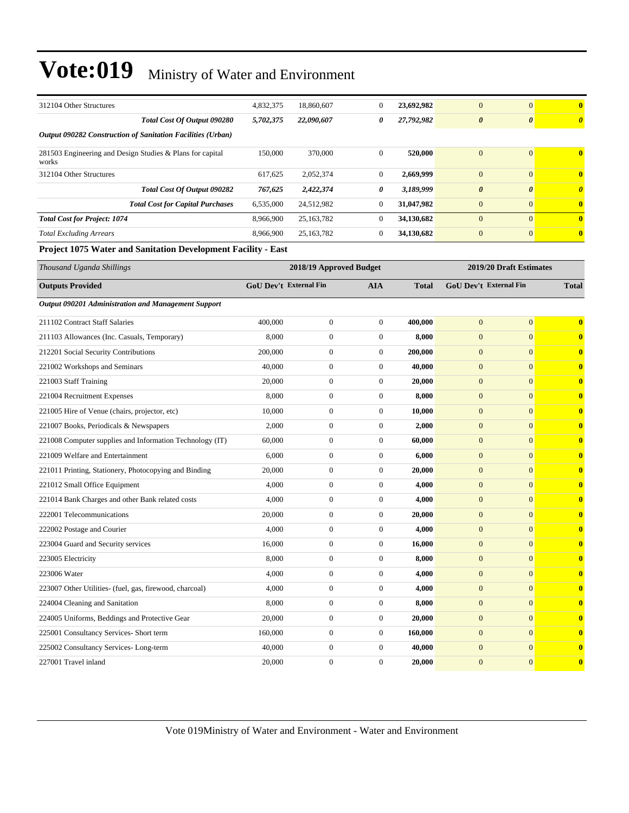| 312104 Other Structures                                            | 4,832,375              | 18,860,607              | $\mathbf{0}$     | 23,692,982   | $\mathbf{0}$           | $\mathbf{0}$            | $\bf{0}$              |
|--------------------------------------------------------------------|------------------------|-------------------------|------------------|--------------|------------------------|-------------------------|-----------------------|
| Total Cost Of Output 090280                                        | 5,702,375              | 22,090,607              | 0                | 27,792,982   | $\boldsymbol{\theta}$  | $\boldsymbol{\theta}$   | $\boldsymbol{\theta}$ |
| Output 090282 Construction of Sanitation Facilities (Urban)        |                        |                         |                  |              |                        |                         |                       |
| 281503 Engineering and Design Studies & Plans for capital<br>works | 150,000                | 370,000                 | $\boldsymbol{0}$ | 520,000      | $\mathbf{0}$           | $\mathbf{0}$            | $\bf{0}$              |
| 312104 Other Structures                                            | 617,625                | 2,052,374               | $\overline{0}$   | 2,669,999    | $\mathbf{0}$           | $\mathbf{0}$            | $\bf{0}$              |
| Total Cost Of Output 090282                                        | 767,625                | 2,422,374               | 0                | 3,189,999    | $\boldsymbol{\theta}$  | $\boldsymbol{\theta}$   | $\boldsymbol{\theta}$ |
| <b>Total Cost for Capital Purchases</b>                            | 6,535,000              | 24,512,982              | $\mathbf{0}$     | 31,047,982   | $\mathbf{0}$           | $\mathbf{0}$            | $\bf{0}$              |
| <b>Total Cost for Project: 1074</b>                                | 8,966,900              | 25, 163, 782            | $\mathbf{0}$     | 34,130,682   | $\overline{0}$         | $\mathbf{0}$            | $\bf{0}$              |
| <b>Total Excluding Arrears</b>                                     | 8,966,900              | 25, 163, 782            | $\boldsymbol{0}$ | 34,130,682   | $\mathbf{0}$           | $\mathbf{0}$            | $\bf{0}$              |
| Project 1075 Water and Sanitation Development Facility - East      |                        |                         |                  |              |                        |                         |                       |
| Thousand Uganda Shillings                                          |                        | 2018/19 Approved Budget |                  |              |                        | 2019/20 Draft Estimates |                       |
| <b>Outputs Provided</b>                                            | GoU Dev't External Fin |                         | <b>AIA</b>       | <b>Total</b> | GoU Dev't External Fin |                         | <b>Total</b>          |
| Output 090201 Administration and Management Support                |                        |                         |                  |              |                        |                         |                       |
| 211102 Contract Staff Salaries                                     | 400,000                | $\boldsymbol{0}$        | $\boldsymbol{0}$ | 400,000      | $\mathbf{0}$           | $\mathbf{0}$            | $\bf{0}$              |
| 211103 Allowances (Inc. Casuals, Temporary)                        | 8,000                  | $\boldsymbol{0}$        | $\boldsymbol{0}$ | 8,000        | $\mathbf{0}$           | $\mathbf{0}$            | $\bf{0}$              |
| 212201 Social Security Contributions                               | 200,000                | $\boldsymbol{0}$        | $\boldsymbol{0}$ | 200,000      | $\mathbf{0}$           | $\mathbf{0}$            | $\bf{0}$              |
| 221002 Workshops and Seminars                                      | 40,000                 | $\boldsymbol{0}$        | $\boldsymbol{0}$ | 40,000       | $\mathbf{0}$           | $\mathbf{0}$            | $\bf{0}$              |
| 221003 Staff Training                                              | 20,000                 | $\boldsymbol{0}$        | $\boldsymbol{0}$ | 20,000       | $\overline{0}$         | $\mathbf{0}$            | $\bf{0}$              |
| 221004 Recruitment Expenses                                        | 8,000                  | $\boldsymbol{0}$        | $\boldsymbol{0}$ | 8,000        | $\mathbf{0}$           | $\mathbf{0}$            | $\bf{0}$              |
| 221005 Hire of Venue (chairs, projector, etc)                      | 10,000                 | $\boldsymbol{0}$        | $\boldsymbol{0}$ | 10,000       | $\mathbf{0}$           | $\mathbf{0}$            | $\bf{0}$              |
| 221007 Books, Periodicals & Newspapers                             | 2,000                  | $\boldsymbol{0}$        | $\boldsymbol{0}$ | 2,000        | $\mathbf{0}$           | $\mathbf{0}$            | $\bf{0}$              |
| 221008 Computer supplies and Information Technology (IT)           | 60,000                 | $\boldsymbol{0}$        | $\boldsymbol{0}$ | 60,000       | $\mathbf{0}$           | $\mathbf{0}$            | $\bf{0}$              |
| 221009 Welfare and Entertainment                                   | 6,000                  | $\boldsymbol{0}$        | $\mathbf{0}$     | 6,000        | $\overline{0}$         | $\mathbf{0}$            | $\bf{0}$              |
| 221011 Printing, Stationery, Photocopying and Binding              | 20,000                 | $\boldsymbol{0}$        | $\mathbf{0}$     | 20,000       | $\mathbf{0}$           | $\mathbf{0}$            | $\bf{0}$              |
| 221012 Small Office Equipment                                      | 4,000                  | $\boldsymbol{0}$        | $\boldsymbol{0}$ | 4,000        | $\mathbf{0}$           | $\mathbf{0}$            | $\bf{0}$              |
| 221014 Bank Charges and other Bank related costs                   | 4,000                  | $\boldsymbol{0}$        | $\mathbf{0}$     | 4,000        | $\mathbf{0}$           | $\mathbf{0}$            | $\bf{0}$              |
| 222001 Telecommunications                                          | 20,000                 | $\boldsymbol{0}$        | $\boldsymbol{0}$ | 20,000       | $\mathbf{0}$           | $\mathbf{0}$            | $\bf{0}$              |
| 222002 Postage and Courier                                         | 4,000                  | $\boldsymbol{0}$        | $\boldsymbol{0}$ | 4,000        | $\overline{0}$         | $\mathbf{0}$            | $\bf{0}$              |
| 223004 Guard and Security services                                 | 16,000                 | $\boldsymbol{0}$        | $\boldsymbol{0}$ | 16,000       | $\boldsymbol{0}$       | $\mathbf{0}$            | $\bf{0}$              |
| 223005 Electricity                                                 | 8,000                  | $\boldsymbol{0}$        | $\boldsymbol{0}$ | 8,000        | $\boldsymbol{0}$       | $\boldsymbol{0}$        | $\bf{0}$              |
| 223006 Water                                                       | 4,000                  | $\boldsymbol{0}$        | $\mathbf{0}$     | 4,000        | $\mathbf{0}$           | $\mathbf{0}$            | $\bf{0}$              |
| 223007 Other Utilities- (fuel, gas, firewood, charcoal)            | 4,000                  | $\boldsymbol{0}$        | $\mathbf{0}$     | 4,000        | $\mathbf{0}$           | $\mathbf{0}$            | $\bf{0}$              |
| 224004 Cleaning and Sanitation                                     | 8,000                  | $\boldsymbol{0}$        | $\boldsymbol{0}$ | 8,000        | $\mathbf{0}$           | $\mathbf{0}$            | $\bf{0}$              |
| 224005 Uniforms, Beddings and Protective Gear                      | 20,000                 | $\boldsymbol{0}$        | $\boldsymbol{0}$ | 20,000       | $\mathbf{0}$           | $\mathbf{0}$            | $\bf{0}$              |
| 225001 Consultancy Services- Short term                            | 160,000                | $\boldsymbol{0}$        | $\boldsymbol{0}$ | 160,000      | $\mathbf{0}$           | $\mathbf{0}$            | $\bf{0}$              |
| 225002 Consultancy Services-Long-term                              | 40,000                 | $\boldsymbol{0}$        | $\mathbf{0}$     | 40,000       | $\boldsymbol{0}$       | $\mathbf{0}$            | $\bf{0}$              |
| 227001 Travel inland                                               | 20,000                 | $\boldsymbol{0}$        | $\boldsymbol{0}$ | 20,000       | $\boldsymbol{0}$       | $\boldsymbol{0}$        | $\bf{0}$              |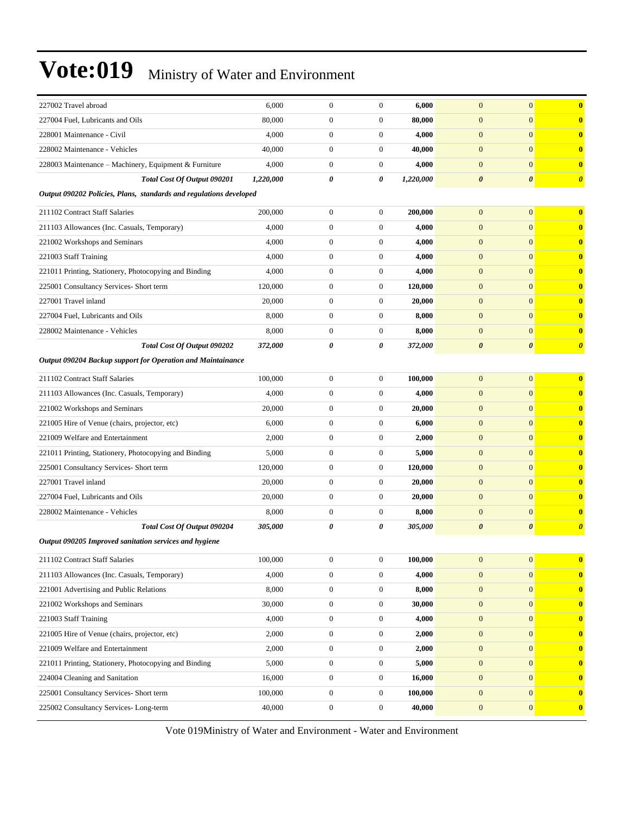| 227002 Travel abroad                                               | 6,000     | $\boldsymbol{0}$ | $\boldsymbol{0}$ | 6,000     | $\overline{0}$        | $\mathbf{0}$          | $\bf{0}$              |
|--------------------------------------------------------------------|-----------|------------------|------------------|-----------|-----------------------|-----------------------|-----------------------|
| 227004 Fuel, Lubricants and Oils                                   | 80,000    | $\boldsymbol{0}$ | $\boldsymbol{0}$ | 80,000    | $\mathbf{0}$          | $\mathbf{0}$          | $\bf{0}$              |
| 228001 Maintenance - Civil                                         | 4,000     | $\boldsymbol{0}$ | $\mathbf{0}$     | 4,000     | $\boldsymbol{0}$      | $\mathbf{0}$          | $\bf{0}$              |
| 228002 Maintenance - Vehicles                                      | 40,000    | $\boldsymbol{0}$ | $\boldsymbol{0}$ | 40,000    | $\mathbf{0}$          | $\mathbf{0}$          | $\bf{0}$              |
| 228003 Maintenance - Machinery, Equipment & Furniture              | 4,000     | $\boldsymbol{0}$ | $\mathbf{0}$     | 4,000     | $\mathbf{0}$          | $\mathbf{0}$          | $\bf{0}$              |
| Total Cost Of Output 090201                                        | 1,220,000 | 0                | 0                | 1,220,000 | $\boldsymbol{\theta}$ | $\boldsymbol{\theta}$ | $\boldsymbol{\theta}$ |
| Output 090202 Policies, Plans, standards and regulations developed |           |                  |                  |           |                       |                       |                       |
| 211102 Contract Staff Salaries                                     | 200,000   | $\boldsymbol{0}$ | $\boldsymbol{0}$ | 200,000   | $\mathbf{0}$          | $\mathbf{0}$          | $\bf{0}$              |
| 211103 Allowances (Inc. Casuals, Temporary)                        | 4,000     | $\boldsymbol{0}$ | $\boldsymbol{0}$ | 4,000     | $\boldsymbol{0}$      | $\mathbf{0}$          | $\bf{0}$              |
| 221002 Workshops and Seminars                                      | 4,000     | $\boldsymbol{0}$ | $\boldsymbol{0}$ | 4,000     | $\boldsymbol{0}$      | $\mathbf{0}$          | $\bf{0}$              |
| 221003 Staff Training                                              | 4,000     | $\boldsymbol{0}$ | $\mathbf{0}$     | 4,000     | $\mathbf{0}$          | $\mathbf{0}$          | $\bf{0}$              |
| 221011 Printing, Stationery, Photocopying and Binding              | 4,000     | $\boldsymbol{0}$ | $\mathbf{0}$     | 4,000     | $\mathbf{0}$          | $\mathbf{0}$          | $\bf{0}$              |
| 225001 Consultancy Services- Short term                            | 120,000   | $\boldsymbol{0}$ | $\overline{0}$   | 120,000   | $\mathbf{0}$          | $\mathbf{0}$          | $\bf{0}$              |
| 227001 Travel inland                                               | 20,000    | $\boldsymbol{0}$ | $\boldsymbol{0}$ | 20,000    | $\boldsymbol{0}$      | $\mathbf{0}$          | $\bf{0}$              |
| 227004 Fuel, Lubricants and Oils                                   | 8,000     | $\boldsymbol{0}$ | $\boldsymbol{0}$ | 8,000     | $\boldsymbol{0}$      | $\mathbf{0}$          | $\bf{0}$              |
| 228002 Maintenance - Vehicles                                      | 8,000     | $\boldsymbol{0}$ | $\boldsymbol{0}$ | 8,000     | $\mathbf{0}$          | $\mathbf{0}$          | $\bf{0}$              |
| Total Cost Of Output 090202                                        | 372,000   | 0                | 0                | 372,000   | $\boldsymbol{\theta}$ | $\boldsymbol{\theta}$ | $\boldsymbol{\theta}$ |
| Output 090204 Backup support for Operation and Maintainance        |           |                  |                  |           |                       |                       |                       |
| 211102 Contract Staff Salaries                                     | 100,000   | $\boldsymbol{0}$ | $\boldsymbol{0}$ | 100,000   | $\mathbf{0}$          | $\mathbf{0}$          | $\bf{0}$              |
| 211103 Allowances (Inc. Casuals, Temporary)                        | 4,000     | $\boldsymbol{0}$ | $\boldsymbol{0}$ | 4,000     | $\mathbf{0}$          | $\mathbf{0}$          | $\bf{0}$              |
| 221002 Workshops and Seminars                                      | 20,000    | $\boldsymbol{0}$ | $\boldsymbol{0}$ | 20,000    | $\boldsymbol{0}$      | $\mathbf{0}$          | $\bf{0}$              |
| 221005 Hire of Venue (chairs, projector, etc)                      | 6,000     | $\boldsymbol{0}$ | $\overline{0}$   | 6,000     | $\overline{0}$        | $\mathbf{0}$          | $\bf{0}$              |
| 221009 Welfare and Entertainment                                   | 2,000     | $\boldsymbol{0}$ | $\mathbf{0}$     | 2,000     | $\mathbf{0}$          | $\mathbf{0}$          | $\bf{0}$              |
| 221011 Printing, Stationery, Photocopying and Binding              | 5,000     | $\boldsymbol{0}$ | $\boldsymbol{0}$ | 5,000     | $\mathbf{0}$          | $\mathbf{0}$          | $\bf{0}$              |
| 225001 Consultancy Services- Short term                            | 120,000   | $\boldsymbol{0}$ | $\boldsymbol{0}$ | 120,000   | $\mathbf{0}$          | $\mathbf{0}$          | $\bf{0}$              |
| 227001 Travel inland                                               | 20,000    | $\boldsymbol{0}$ | $\mathbf{0}$     | 20,000    | $\boldsymbol{0}$      | $\mathbf{0}$          | $\bf{0}$              |
| 227004 Fuel, Lubricants and Oils                                   | 20,000    | $\boldsymbol{0}$ | $\boldsymbol{0}$ | 20,000    | $\overline{0}$        | $\mathbf{0}$          | $\bf{0}$              |
| 228002 Maintenance - Vehicles                                      | 8,000     | $\boldsymbol{0}$ | $\mathbf{0}$     | 8,000     | $\mathbf{0}$          | $\mathbf{0}$          | $\bf{0}$              |
| Total Cost Of Output 090204                                        | 305,000   | 0                | 0                | 305,000   | $\boldsymbol{\theta}$ | $\boldsymbol{\theta}$ | $\boldsymbol{\theta}$ |
| Output 090205 Improved sanitation services and hygiene             |           |                  |                  |           |                       |                       |                       |
| 211102 Contract Staff Salaries                                     | 100,000   | $\boldsymbol{0}$ | $\boldsymbol{0}$ | 100,000   | $\mathbf{0}$          | $\mathbf{0}$          | $\bf{0}$              |
| 211103 Allowances (Inc. Casuals, Temporary)                        | 4,000     | $\boldsymbol{0}$ | $\boldsymbol{0}$ | 4,000     | $\boldsymbol{0}$      | $\boldsymbol{0}$      | $\bf{0}$              |
| 221001 Advertising and Public Relations                            | 8,000     | $\boldsymbol{0}$ | $\mathbf{0}$     | 8,000     | $\mathbf{0}$          | $\mathbf{0}$          | $\bf{0}$              |
| 221002 Workshops and Seminars                                      | 30,000    | $\boldsymbol{0}$ | $\mathbf{0}$     | 30,000    | $\mathbf{0}$          | $\mathbf{0}$          | $\bf{0}$              |
| 221003 Staff Training                                              | 4,000     | $\boldsymbol{0}$ | $\boldsymbol{0}$ | 4,000     | $\mathbf{0}$          | $\mathbf{0}$          | $\bf{0}$              |
| 221005 Hire of Venue (chairs, projector, etc)                      | 2,000     | $\boldsymbol{0}$ | $\overline{0}$   | 2,000     | $\mathbf{0}$          | $\mathbf{0}$          | $\bf{0}$              |
| 221009 Welfare and Entertainment                                   | 2,000     | $\boldsymbol{0}$ | $\boldsymbol{0}$ | 2,000     | $\boldsymbol{0}$      | $\mathbf{0}$          | $\bf{0}$              |
| 221011 Printing, Stationery, Photocopying and Binding              | 5,000     | $\boldsymbol{0}$ | $\mathbf{0}$     | 5,000     | $\mathbf{0}$          | $\mathbf{0}$          | $\bf{0}$              |
| 224004 Cleaning and Sanitation                                     | 16,000    | $\boldsymbol{0}$ | $\boldsymbol{0}$ | 16,000    | $\mathbf{0}$          | $\mathbf{0}$          | $\bf{0}$              |
| 225001 Consultancy Services- Short term                            | 100,000   | $\boldsymbol{0}$ | $\mathbf{0}$     | 100,000   | $\mathbf{0}$          | $\mathbf{0}$          | $\bf{0}$              |
| 225002 Consultancy Services-Long-term                              | 40,000    | $\boldsymbol{0}$ | $\boldsymbol{0}$ | 40,000    | $\mathbf{0}$          | $\mathbf{0}$          | $\bf{0}$              |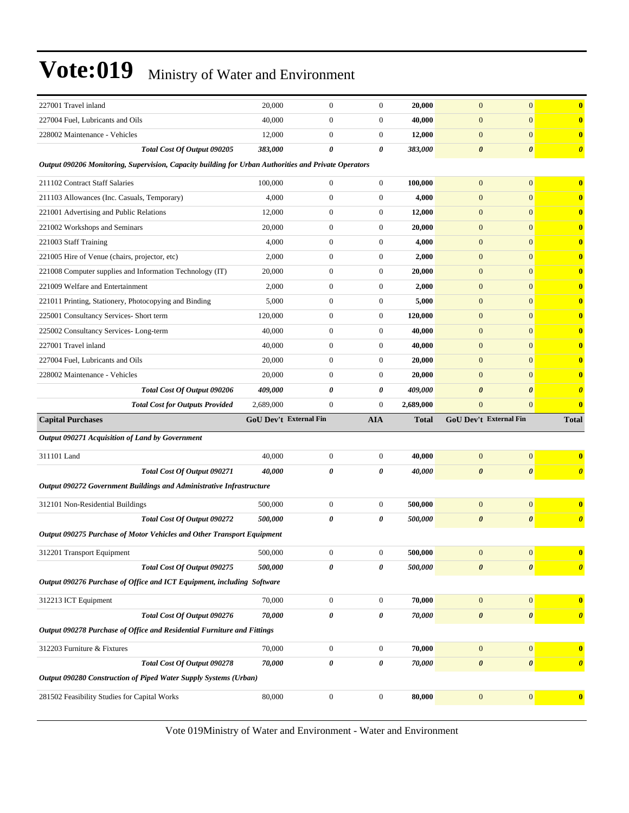| 227001 Travel inland                                                                                 | 20,000                        | $\boldsymbol{0}$ | $\mathbf{0}$     | 20,000             | $\boldsymbol{0}$      | $\overline{0}$         | $\bf{0}$              |
|------------------------------------------------------------------------------------------------------|-------------------------------|------------------|------------------|--------------------|-----------------------|------------------------|-----------------------|
| 227004 Fuel, Lubricants and Oils                                                                     | 40,000                        | $\boldsymbol{0}$ | $\mathbf{0}$     | 40,000             | $\mathbf{0}$          | $\overline{0}$         | $\bf{0}$              |
| 228002 Maintenance - Vehicles                                                                        | 12,000                        | $\boldsymbol{0}$ | $\mathbf{0}$     | 12,000             | $\boldsymbol{0}$      | $\overline{0}$         | $\bf{0}$              |
| Total Cost Of Output 090205                                                                          | 383,000                       | 0                | 0                | 383,000            | $\boldsymbol{\theta}$ | 0                      | $\boldsymbol{\theta}$ |
| Output 090206 Monitoring, Supervision, Capacity building for Urban Authorities and Private Operators |                               |                  |                  |                    |                       |                        |                       |
| 211102 Contract Staff Salaries                                                                       | 100,000                       | $\boldsymbol{0}$ | $\boldsymbol{0}$ | 100,000            | $\mathbf{0}$          | $\overline{0}$         | $\bf{0}$              |
| 211103 Allowances (Inc. Casuals, Temporary)                                                          | 4,000                         | $\boldsymbol{0}$ | $\mathbf{0}$     | 4,000              | $\mathbf{0}$          | $\overline{0}$         | $\bf{0}$              |
| 221001 Advertising and Public Relations                                                              | 12,000                        | $\boldsymbol{0}$ | $\mathbf{0}$     | 12,000             | $\boldsymbol{0}$      | $\overline{0}$         | $\bf{0}$              |
| 221002 Workshops and Seminars                                                                        | 20,000                        | $\boldsymbol{0}$ | $\mathbf{0}$     | 20,000             | $\boldsymbol{0}$      | $\overline{0}$         | $\bf{0}$              |
| 221003 Staff Training                                                                                | 4,000                         | $\boldsymbol{0}$ | $\mathbf{0}$     | 4,000              | $\boldsymbol{0}$      | $\overline{0}$         | $\bf{0}$              |
| 221005 Hire of Venue (chairs, projector, etc)                                                        | 2,000                         | $\boldsymbol{0}$ | $\mathbf{0}$     | 2,000              | $\boldsymbol{0}$      | $\overline{0}$         | $\bf{0}$              |
| 221008 Computer supplies and Information Technology (IT)                                             | 20,000                        | $\boldsymbol{0}$ | $\mathbf{0}$     | 20,000             | $\boldsymbol{0}$      | $\overline{0}$         | $\bf{0}$              |
| 221009 Welfare and Entertainment                                                                     | 2,000                         | $\boldsymbol{0}$ | $\mathbf{0}$     | 2,000              | $\mathbf{0}$          | $\overline{0}$         | $\bf{0}$              |
| 221011 Printing, Stationery, Photocopying and Binding                                                | 5,000                         | $\boldsymbol{0}$ | $\mathbf{0}$     | 5,000              | $\mathbf{0}$          | $\overline{0}$         | $\bf{0}$              |
| 225001 Consultancy Services- Short term                                                              | 120,000                       | $\boldsymbol{0}$ | $\mathbf{0}$     | 120,000            | $\boldsymbol{0}$      | $\overline{0}$         | $\bf{0}$              |
| 225002 Consultancy Services-Long-term                                                                | 40,000                        | $\boldsymbol{0}$ | $\mathbf{0}$     | 40,000             | $\boldsymbol{0}$      | $\overline{0}$         | $\bf{0}$              |
| 227001 Travel inland                                                                                 | 40,000                        | $\boldsymbol{0}$ | $\mathbf{0}$     | 40,000             | $\boldsymbol{0}$      | $\overline{0}$         | $\bf{0}$              |
| 227004 Fuel, Lubricants and Oils                                                                     | 20,000                        | $\boldsymbol{0}$ | $\mathbf{0}$     | 20,000             | $\boldsymbol{0}$      | $\overline{0}$         | $\bf{0}$              |
| 228002 Maintenance - Vehicles                                                                        | 20,000                        | $\boldsymbol{0}$ | $\mathbf{0}$     | 20,000             | $\boldsymbol{0}$      | $\overline{0}$         | $\bf{0}$              |
| Total Cost Of Output 090206                                                                          | 409,000                       | 0                | 0                | 409,000            | 0                     | $\boldsymbol{\theta}$  | $\boldsymbol{\theta}$ |
|                                                                                                      |                               |                  |                  |                    |                       |                        |                       |
| <b>Total Cost for Outputs Provided</b>                                                               | 2,689,000                     | $\boldsymbol{0}$ | $\mathbf{0}$     | 2,689,000          | $\boldsymbol{0}$      | $\overline{0}$         | $\bf{0}$              |
| <b>Capital Purchases</b>                                                                             | <b>GoU Dev't External Fin</b> |                  | <b>AIA</b>       | <b>Total</b>       |                       | GoU Dev't External Fin | <b>Total</b>          |
| Output 090271 Acquisition of Land by Government                                                      |                               |                  |                  |                    |                       |                        |                       |
| 311101 Land                                                                                          | 40,000                        | $\boldsymbol{0}$ | $\mathbf{0}$     | 40,000             | $\mathbf{0}$          | $\overline{0}$         | $\bf{0}$              |
| Total Cost Of Output 090271                                                                          | 40,000                        | 0                | 0                | 40,000             | $\boldsymbol{\theta}$ | $\pmb{\theta}$         | $\boldsymbol{\theta}$ |
| <b>Output 090272 Government Buildings and Administrative Infrastructure</b>                          |                               |                  |                  |                    |                       |                        |                       |
| 312101 Non-Residential Buildings                                                                     | 500,000                       | $\boldsymbol{0}$ | $\mathbf{0}$     | 500,000            | $\mathbf{0}$          | $\overline{0}$         | $\bf{0}$              |
| Total Cost Of Output 090272                                                                          | 500,000                       | 0                | 0                | 500,000            | $\boldsymbol{\theta}$ | 0                      | $\boldsymbol{\theta}$ |
| Output 090275 Purchase of Motor Vehicles and Other Transport Equipment                               |                               |                  |                  |                    |                       |                        |                       |
|                                                                                                      |                               | $\mathbf{0}$     | $\overline{0}$   |                    | $\mathbf{0}$          | $\overline{0}$         | $\mathbf{0}$          |
| 312201 Transport Equipment<br>Total Cost Of Output 090275                                            | 500,000<br>500,000            | 0                | 0                | 500,000<br>500,000 | $\boldsymbol{\theta}$ | $\pmb{\theta}$         | $\boldsymbol{\theta}$ |
| Output 090276 Purchase of Office and ICT Equipment, including Software                               |                               |                  |                  |                    |                       |                        |                       |
| 312213 ICT Equipment                                                                                 | 70,000                        | $\boldsymbol{0}$ | $\boldsymbol{0}$ | 70,000             | $\boldsymbol{0}$      | $\mathbf{0}$           | $\bf{0}$              |
| Total Cost Of Output 090276                                                                          | 70,000                        | 0                | 0                | 70,000             | $\boldsymbol{\theta}$ | $\pmb{\theta}$         | $\boldsymbol{\theta}$ |
| Output 090278 Purchase of Office and Residential Furniture and Fittings                              |                               |                  |                  |                    |                       |                        |                       |
| 312203 Furniture & Fixtures                                                                          | 70,000                        | $\boldsymbol{0}$ | $\boldsymbol{0}$ | 70,000             | $\boldsymbol{0}$      | $\mathbf{0}$           | $\bf{0}$              |
| Total Cost Of Output 090278                                                                          | 70,000                        | 0                | 0                | 70,000             | $\boldsymbol{\theta}$ | $\boldsymbol{\theta}$  | $\boldsymbol{\theta}$ |
| Output 090280 Construction of Piped Water Supply Systems (Urban)                                     |                               |                  |                  |                    |                       |                        |                       |
| 281502 Feasibility Studies for Capital Works                                                         | 80,000                        | $\boldsymbol{0}$ | $\boldsymbol{0}$ | 80,000             | $\boldsymbol{0}$      | $\boldsymbol{0}$       | $\bf{0}$              |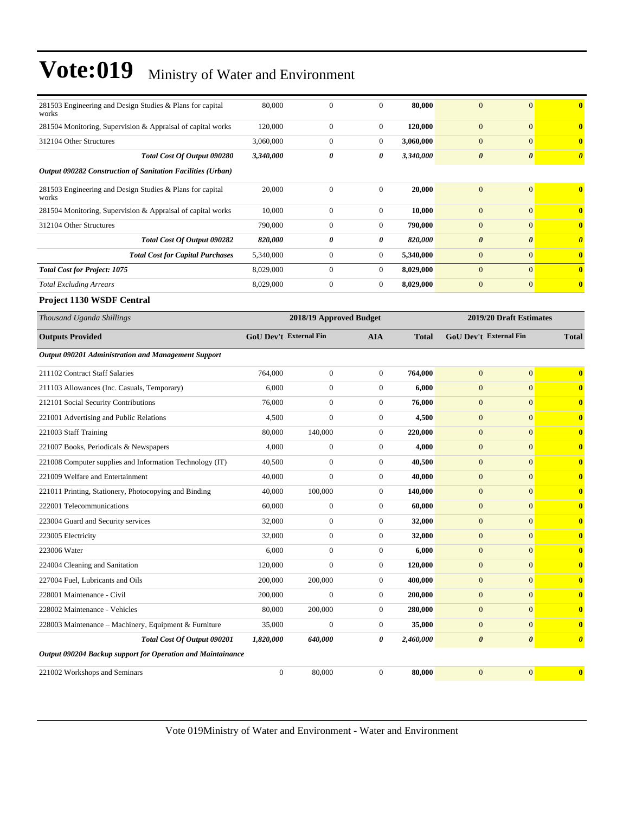| 281503 Engineering and Design Studies & Plans for capital<br>works | 80,000                        | $\boldsymbol{0}$        | $\overline{0}$   | 80,000       | $\mathbf{0}$          | $\mathbf{0}$                  | $\bf{0}$              |
|--------------------------------------------------------------------|-------------------------------|-------------------------|------------------|--------------|-----------------------|-------------------------------|-----------------------|
| 281504 Monitoring, Supervision & Appraisal of capital works        | 120,000                       | $\boldsymbol{0}$        | $\mathbf{0}$     | 120,000      | $\mathbf{0}$          | $\mathbf{0}$                  | $\mathbf{0}$          |
| 312104 Other Structures                                            | 3,060,000                     | $\boldsymbol{0}$        | $\boldsymbol{0}$ | 3,060,000    | $\mathbf{0}$          | $\mathbf{0}$                  | $\bf{0}$              |
| Total Cost Of Output 090280                                        | 3,340,000                     | 0                       | 0                | 3,340,000    | $\boldsymbol{\theta}$ | 0                             | $\boldsymbol{\theta}$ |
| Output 090282 Construction of Sanitation Facilities (Urban)        |                               |                         |                  |              |                       |                               |                       |
| 281503 Engineering and Design Studies & Plans for capital<br>works | 20,000                        | $\boldsymbol{0}$        | $\mathbf{0}$     | 20,000       | $\mathbf{0}$          | $\mathbf{0}$                  | $\bf{0}$              |
| 281504 Monitoring, Supervision & Appraisal of capital works        | 10,000                        | $\boldsymbol{0}$        | $\boldsymbol{0}$ | 10,000       | $\mathbf{0}$          | $\mathbf{0}$                  | $\bf{0}$              |
| 312104 Other Structures                                            | 790,000                       | $\boldsymbol{0}$        | $\boldsymbol{0}$ | 790,000      | $\mathbf{0}$          | $\mathbf{0}$                  | $\bf{0}$              |
| Total Cost Of Output 090282                                        | 820,000                       | 0                       | 0                | 820,000      | $\boldsymbol{\theta}$ | $\boldsymbol{\theta}$         | $\boldsymbol{\theta}$ |
| <b>Total Cost for Capital Purchases</b>                            | 5,340,000                     | $\boldsymbol{0}$        | $\boldsymbol{0}$ | 5,340,000    | $\mathbf{0}$          | $\mathbf{0}$                  | $\bf{0}$              |
| <b>Total Cost for Project: 1075</b>                                | 8,029,000                     | $\boldsymbol{0}$        | $\boldsymbol{0}$ | 8,029,000    | $\mathbf{0}$          | $\mathbf{0}$                  | $\bf{0}$              |
| <b>Total Excluding Arrears</b>                                     | 8,029,000                     | $\boldsymbol{0}$        | $\mathbf{0}$     | 8,029,000    | $\boldsymbol{0}$      | $\mathbf{0}$                  | $\bf{0}$              |
| <b>Project 1130 WSDF Central</b>                                   |                               |                         |                  |              |                       |                               |                       |
| Thousand Uganda Shillings                                          |                               | 2018/19 Approved Budget |                  |              |                       | 2019/20 Draft Estimates       |                       |
| <b>Outputs Provided</b>                                            | <b>GoU Dev't External Fin</b> |                         | AIA              | <b>Total</b> |                       | <b>GoU Dev't External Fin</b> | <b>Total</b>          |
| Output 090201 Administration and Management Support                |                               |                         |                  |              |                       |                               |                       |
| 211102 Contract Staff Salaries                                     | 764,000                       | $\boldsymbol{0}$        | $\mathbf{0}$     | 764,000      | $\mathbf{0}$          | $\mathbf{0}$                  | $\bf{0}$              |
| 211103 Allowances (Inc. Casuals, Temporary)                        | 6,000                         | $\boldsymbol{0}$        | 0                | 6,000        | $\mathbf{0}$          | $\mathbf{0}$                  | $\bf{0}$              |
| 212101 Social Security Contributions                               | 76,000                        | 0                       | $\boldsymbol{0}$ | 76,000       | $\mathbf{0}$          | $\mathbf{0}$                  | $\bf{0}$              |
| 221001 Advertising and Public Relations                            | 4,500                         | $\overline{0}$          | $\boldsymbol{0}$ | 4,500        | $\mathbf{0}$          | $\overline{0}$                | $\bf{0}$              |
| 221003 Staff Training                                              | 80,000                        | 140,000                 | $\boldsymbol{0}$ | 220,000      | $\mathbf{0}$          | $\overline{0}$                | $\bf{0}$              |
| 221007 Books, Periodicals & Newspapers                             | 4,000                         | $\boldsymbol{0}$        | 0                | 4,000        | $\mathbf{0}$          | $\mathbf{0}$                  | $\bf{0}$              |
| 221008 Computer supplies and Information Technology (IT)           | 40,500                        | $\boldsymbol{0}$        | $\boldsymbol{0}$ | 40,500       | $\boldsymbol{0}$      | $\mathbf{0}$                  | $\bf{0}$              |
| 221009 Welfare and Entertainment                                   | 40,000                        | $\boldsymbol{0}$        | $\mathbf{0}$     | 40,000       | $\mathbf{0}$          | $\mathbf{0}$                  | $\bf{0}$              |
| 221011 Printing, Stationery, Photocopying and Binding              | 40,000                        | 100,000                 | $\boldsymbol{0}$ | 140,000      | $\mathbf{0}$          | $\overline{0}$                | $\bf{0}$              |
| 222001 Telecommunications                                          | 60,000                        | $\boldsymbol{0}$        | $\boldsymbol{0}$ | 60,000       | $\mathbf{0}$          | $\overline{0}$                | $\bf{0}$              |
| 223004 Guard and Security services                                 | 32,000                        | $\boldsymbol{0}$        | $\boldsymbol{0}$ | 32,000       | $\mathbf{0}$          | $\mathbf{0}$                  | $\bf{0}$              |
| 223005 Electricity                                                 | 32,000                        | $\boldsymbol{0}$        | 0                | 32,000       | $\boldsymbol{0}$      | $\mathbf{0}$                  | $\bf{0}$              |
| 223006 Water                                                       | 6,000                         | $\overline{0}$          | $\overline{0}$   | 6,000        | $\mathbf{0}$          | $\mathbf{0}$                  | $\bf{0}$              |
| 224004 Cleaning and Sanitation                                     | 120,000                       | $\boldsymbol{0}$        | $\mathbf{0}$     | 120,000      | $\mathbf{0}$          | $\mathbf{0}$                  | $\bf{0}$              |
| 227004 Fuel, Lubricants and Oils                                   | 200,000                       | 200,000                 | $\boldsymbol{0}$ | 400,000      | $\boldsymbol{0}$      | $\boldsymbol{0}$              | $\mathbf{0}$          |
| 228001 Maintenance - Civil                                         | 200,000                       | $\boldsymbol{0}$        | $\boldsymbol{0}$ | 200,000      | $\boldsymbol{0}$      | $\mathbf{0}$                  | $\mathbf{0}$          |
| 228002 Maintenance - Vehicles                                      | 80,000                        | 200,000                 | $\boldsymbol{0}$ | 280,000      | $\boldsymbol{0}$      | $\mathbf{0}$                  | $\mathbf{0}$          |
| 228003 Maintenance - Machinery, Equipment & Furniture              | 35,000                        | $\boldsymbol{0}$        | $\boldsymbol{0}$ | 35,000       | $\boldsymbol{0}$      | $\mathbf{0}$                  | $\mathbf{0}$          |
| Total Cost Of Output 090201                                        | 1,820,000                     | 640,000                 | 0                | 2,460,000    | $\pmb{\theta}$        | $\boldsymbol{\theta}$         | $\boldsymbol{\theta}$ |
| Output 090204 Backup support for Operation and Maintainance        |                               |                         |                  |              |                       |                               |                       |
| 221002 Workshops and Seminars                                      | $\boldsymbol{0}$              | 80,000                  | $\boldsymbol{0}$ | 80,000       | $\boldsymbol{0}$      | $\mathbf{0}$                  | $\bf{0}$              |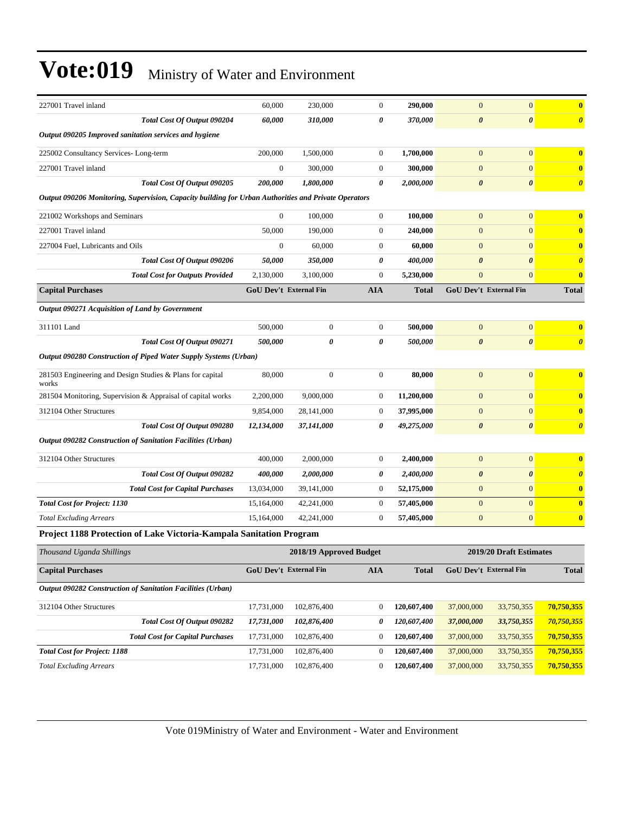| 227001 Travel inland                                                                                 | 60,000                                             | 230,000          | $\boldsymbol{0}$      | 290,000      | $\mathbf{0}$                  | $\overline{0}$        | $\bf{0}$                |
|------------------------------------------------------------------------------------------------------|----------------------------------------------------|------------------|-----------------------|--------------|-------------------------------|-----------------------|-------------------------|
| Total Cost Of Output 090204                                                                          | 60,000                                             | 310,000          | 0                     | 370,000      | $\boldsymbol{\theta}$         | $\boldsymbol{\theta}$ | $\boldsymbol{\theta}$   |
| Output 090205 Improved sanitation services and hygiene                                               |                                                    |                  |                       |              |                               |                       |                         |
| 225002 Consultancy Services-Long-term                                                                | 200,000                                            | 1,500,000        | $\boldsymbol{0}$      | 1,700,000    | $\overline{0}$                | $\overline{0}$        | $\bf{0}$                |
| 227001 Travel inland                                                                                 | $\boldsymbol{0}$                                   | 300,000          | $\boldsymbol{0}$      | 300,000      | $\boldsymbol{0}$              | $\overline{0}$        | $\bf{0}$                |
| Total Cost Of Output 090205                                                                          | 200,000                                            | 1,800,000        | $\boldsymbol{\theta}$ | 2,000,000    | $\boldsymbol{\theta}$         | $\boldsymbol{\theta}$ | $\boldsymbol{\theta}$   |
| Output 090206 Monitoring, Supervision, Capacity building for Urban Authorities and Private Operators |                                                    |                  |                       |              |                               |                       |                         |
| 221002 Workshops and Seminars                                                                        | $\boldsymbol{0}$                                   | 100,000          | $\boldsymbol{0}$      | 100,000      | $\mathbf{0}$                  | $\overline{0}$        | $\bf{0}$                |
| 227001 Travel inland                                                                                 | 50,000                                             | 190,000          | $\boldsymbol{0}$      | 240,000      | $\mathbf{0}$                  | $\overline{0}$        | $\bf{0}$                |
| 227004 Fuel, Lubricants and Oils                                                                     | $\boldsymbol{0}$                                   | 60,000           | $\boldsymbol{0}$      | 60,000       | $\mathbf{0}$                  | $\overline{0}$        | $\bf{0}$                |
| Total Cost Of Output 090206                                                                          | 50,000                                             | 350,000          | 0                     | 400,000      | $\boldsymbol{\theta}$         | $\boldsymbol{\theta}$ | $\boldsymbol{\theta}$   |
| <b>Total Cost for Outputs Provided</b>                                                               | 2,130,000                                          | 3,100,000        | $\theta$              | 5,230,000    | $\mathbf{0}$                  | $\overline{0}$        | $\bf{0}$                |
| <b>Capital Purchases</b>                                                                             | <b>GoU Dev't External Fin</b>                      |                  | <b>AIA</b>            | <b>Total</b> | GoU Dev't External Fin        |                       | <b>Total</b>            |
| Output 090271 Acquisition of Land by Government                                                      |                                                    |                  |                       |              |                               |                       |                         |
| 311101 Land                                                                                          | 500,000                                            | $\boldsymbol{0}$ | $\boldsymbol{0}$      | 500,000      | $\mathbf{0}$                  | $\overline{0}$        | $\bf{0}$                |
| Total Cost Of Output 090271                                                                          | 500,000                                            | 0                | 0                     | 500,000      | $\boldsymbol{\theta}$         | $\boldsymbol{\theta}$ | $\boldsymbol{\theta}$   |
| Output 090280 Construction of Piped Water Supply Systems (Urban)                                     |                                                    |                  |                       |              |                               |                       |                         |
| 281503 Engineering and Design Studies & Plans for capital<br>works                                   | 80,000                                             | $\boldsymbol{0}$ | $\mathbf{0}$          | 80,000       | $\mathbf{0}$                  | $\boldsymbol{0}$      | $\bf{0}$                |
| 281504 Monitoring, Supervision & Appraisal of capital works                                          | 2,200,000                                          | 9,000,000        | $\mathbf{0}$          | 11,200,000   | $\mathbf{0}$                  | $\boldsymbol{0}$      | $\bf{0}$                |
| 312104 Other Structures                                                                              | 9,854,000                                          | 28,141,000       | $\theta$              | 37,995,000   | $\overline{0}$                | $\overline{0}$        | $\bf{0}$                |
| Total Cost Of Output 090280                                                                          | 12,134,000                                         | 37,141,000       | 0                     | 49,275,000   | $\boldsymbol{\theta}$         | $\boldsymbol{\theta}$ | $\boldsymbol{\theta}$   |
| Output 090282 Construction of Sanitation Facilities (Urban)                                          |                                                    |                  |                       |              |                               |                       |                         |
| 312104 Other Structures                                                                              | 400,000                                            | 2,000,000        | $\boldsymbol{0}$      | 2,400,000    | $\mathbf{0}$                  | $\overline{0}$        | $\bf{0}$                |
| Total Cost Of Output 090282                                                                          | 400,000                                            | 2,000,000        | 0                     | 2,400,000    | $\boldsymbol{\theta}$         | $\boldsymbol{\theta}$ | $\boldsymbol{\theta}$   |
| <b>Total Cost for Capital Purchases</b>                                                              | 13,034,000                                         | 39,141,000       | $\mathbf{0}$          | 52,175,000   | $\mathbf{0}$                  | $\overline{0}$        | $\bf{0}$                |
| <b>Total Cost for Project: 1130</b>                                                                  | 15,164,000                                         | 42,241,000       | $\theta$              | 57,405,000   | $\mathbf{0}$                  | $\overline{0}$        | $\overline{\mathbf{0}}$ |
| <b>Total Excluding Arrears</b>                                                                       | 15,164,000                                         | 42,241,000       | $\theta$              | 57,405,000   | $\mathbf{0}$                  | $\overline{0}$        | $\bf{0}$                |
| Project 1188 Protection of Lake Victoria-Kampala Sanitation Program                                  |                                                    |                  |                       |              |                               |                       |                         |
| Thousand Uganda Shillings                                                                            | 2019/20 Draft Estimates<br>2018/19 Approved Budget |                  |                       |              |                               |                       |                         |
| <b>Capital Purchases</b>                                                                             | <b>GoU Dev't External Fin</b>                      |                  | <b>AIA</b>            | <b>Total</b> | <b>GoU Dev't External Fin</b> |                       | <b>Total</b>            |
| Output 090282 Construction of Sanitation Facilities (Urban)                                          |                                                    |                  |                       |              |                               |                       |                         |

| 312104 Other Structures             |                                         | 17.731.000 | 102,876,400 | 120,607,400 | 37,000,000 | 33,750,355 | 70,750,355 |
|-------------------------------------|-----------------------------------------|------------|-------------|-------------|------------|------------|------------|
|                                     | <b>Total Cost Of Output 090282</b>      | 17.731.000 | 102,876,400 | 120,607,400 | 37,000,000 | 33,750,355 | 70,750,355 |
|                                     | <b>Total Cost for Capital Purchases</b> | 17.731.000 | 102,876,400 | 120,607,400 | 37,000,000 | 33,750,355 | 70,750,355 |
| <b>Total Cost for Project: 1188</b> |                                         | 17.731.000 | 102,876,400 | 120,607,400 | 37,000,000 | 33,750,355 | 70,750,355 |
| <b>Total Excluding Arrears</b>      |                                         | 17,731,000 | 102,876,400 | 120,607,400 | 37,000,000 | 33,750,355 | 70,750,355 |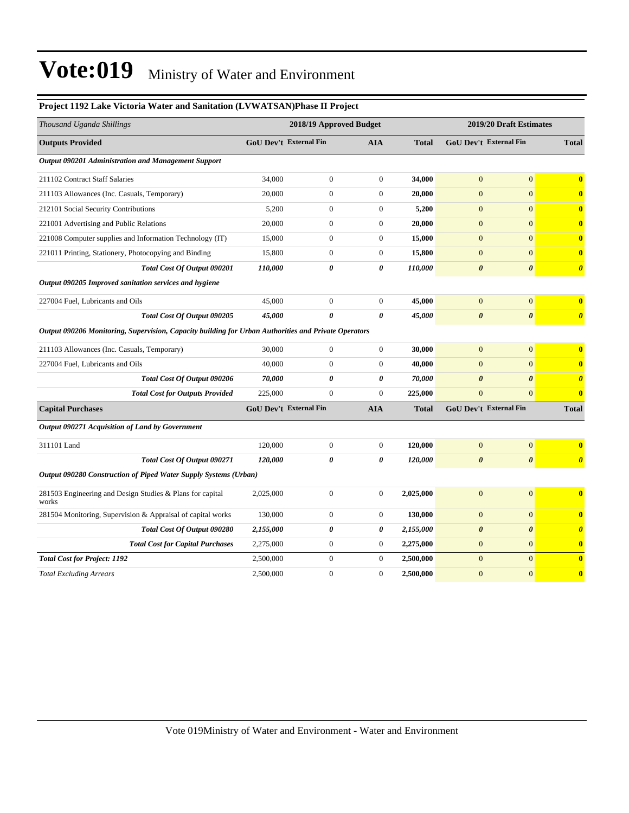| Thousand Uganda Shillings                                                                            |                               | 2018/19 Approved Budget |                       |              | 2019/20 Draft Estimates       |                       |                       |  |
|------------------------------------------------------------------------------------------------------|-------------------------------|-------------------------|-----------------------|--------------|-------------------------------|-----------------------|-----------------------|--|
| <b>Outputs Provided</b>                                                                              | <b>GoU Dev't External Fin</b> |                         | <b>AIA</b>            | <b>Total</b> | <b>GoU Dev't External Fin</b> |                       | <b>Total</b>          |  |
| Output 090201 Administration and Management Support                                                  |                               |                         |                       |              |                               |                       |                       |  |
| 211102 Contract Staff Salaries                                                                       | 34,000                        | $\boldsymbol{0}$        | $\boldsymbol{0}$      | 34,000       | $\mathbf{0}$                  | $\boldsymbol{0}$      | $\bf{0}$              |  |
| 211103 Allowances (Inc. Casuals, Temporary)                                                          | 20,000                        | $\boldsymbol{0}$        | $\theta$              | 20,000       | $\overline{0}$                | $\overline{0}$        | $\bf{0}$              |  |
| 212101 Social Security Contributions                                                                 | 5,200                         | $\boldsymbol{0}$        | $\boldsymbol{0}$      | 5,200        | $\mathbf{0}$                  | $\overline{0}$        | $\bf{0}$              |  |
| 221001 Advertising and Public Relations                                                              | 20,000                        | $\boldsymbol{0}$        | $\mathbf{0}$          | 20,000       | $\mathbf{0}$                  | $\overline{0}$        | $\bf{0}$              |  |
| 221008 Computer supplies and Information Technology (IT)                                             | 15,000                        | $\boldsymbol{0}$        | $\theta$              | 15,000       | $\overline{0}$                | $\overline{0}$        | $\bf{0}$              |  |
| 221011 Printing, Stationery, Photocopying and Binding                                                | 15,800                        | $\boldsymbol{0}$        | $\theta$              | 15,800       | $\overline{0}$                | $\overline{0}$        | $\bf{0}$              |  |
| Total Cost Of Output 090201                                                                          | 110,000                       | $\pmb{\theta}$          | 0                     | 110,000      | $\boldsymbol{\theta}$         | $\boldsymbol{\theta}$ | $\boldsymbol{\theta}$ |  |
| Output 090205 Improved sanitation services and hygiene                                               |                               |                         |                       |              |                               |                       |                       |  |
| 227004 Fuel, Lubricants and Oils                                                                     | 45,000                        | $\boldsymbol{0}$        | $\mathbf{0}$          | 45,000       | $\overline{0}$                | $\overline{0}$        | $\bf{0}$              |  |
| Total Cost Of Output 090205                                                                          | 45,000                        | $\boldsymbol{\theta}$   | $\pmb{\theta}$        | 45,000       | $\boldsymbol{\theta}$         | $\pmb{\theta}$        | $\boldsymbol{\theta}$ |  |
| Output 090206 Monitoring, Supervision, Capacity building for Urban Authorities and Private Operators |                               |                         |                       |              |                               |                       |                       |  |
| 211103 Allowances (Inc. Casuals, Temporary)                                                          | 30,000                        | $\mathbf{0}$            | $\theta$              | 30,000       | $\overline{0}$                | $\overline{0}$        | $\mathbf{0}$          |  |
| 227004 Fuel, Lubricants and Oils                                                                     | 40,000                        | $\boldsymbol{0}$        | $\mathbf{0}$          | 40,000       | $\boldsymbol{0}$              | $\boldsymbol{0}$      | $\bf{0}$              |  |
| Total Cost Of Output 090206                                                                          | 70,000                        | $\boldsymbol{\theta}$   | $\boldsymbol{\theta}$ | 70,000       | $\boldsymbol{\theta}$         | $\boldsymbol{\theta}$ | $\boldsymbol{\theta}$ |  |
| <b>Total Cost for Outputs Provided</b>                                                               | 225,000                       | $\mathbf{0}$            | $\mathbf{0}$          | 225,000      | $\overline{0}$                | $\overline{0}$        | $\bf{0}$              |  |
| <b>Capital Purchases</b>                                                                             | GoU Dev't External Fin        |                         | <b>AIA</b>            | <b>Total</b> | GoU Dev't External Fin        |                       | <b>Total</b>          |  |
| Output 090271 Acquisition of Land by Government                                                      |                               |                         |                       |              |                               |                       |                       |  |
| 311101 Land                                                                                          | 120,000                       | $\boldsymbol{0}$        | $\boldsymbol{0}$      | 120,000      | $\mathbf{0}$                  | $\boldsymbol{0}$      | $\bf{0}$              |  |
| Total Cost Of Output 090271                                                                          | 120,000                       | 0                       | $\pmb{\theta}$        | 120,000      | $\pmb{\theta}$                | $\pmb{\theta}$        | $\boldsymbol{\theta}$ |  |
| Output 090280 Construction of Piped Water Supply Systems (Urban)                                     |                               |                         |                       |              |                               |                       |                       |  |
| 281503 Engineering and Design Studies & Plans for capital<br>works                                   | 2,025,000                     | $\boldsymbol{0}$        | $\mathbf{0}$          | 2,025,000    | $\mathbf{0}$                  | $\overline{0}$        | $\bf{0}$              |  |
| 281504 Monitoring, Supervision & Appraisal of capital works                                          | 130,000                       | $\boldsymbol{0}$        | $\boldsymbol{0}$      | 130,000      | $\mathbf{0}$                  | $\boldsymbol{0}$      | $\bf{0}$              |  |
| Total Cost Of Output 090280                                                                          | 2,155,000                     | $\pmb{\theta}$          | 0                     | 2,155,000    | $\boldsymbol{\theta}$         | $\boldsymbol{\theta}$ | $\boldsymbol{\theta}$ |  |
| <b>Total Cost for Capital Purchases</b>                                                              | 2,275,000                     | $\boldsymbol{0}$        | $\boldsymbol{0}$      | 2,275,000    | $\mathbf{0}$                  | $\overline{0}$        | $\bf{0}$              |  |
| <b>Total Cost for Project: 1192</b>                                                                  | 2,500,000                     | $\boldsymbol{0}$        | $\mathbf{0}$          | 2,500,000    | $\mathbf{0}$                  | $\overline{0}$        | $\bf{0}$              |  |
| <b>Total Excluding Arrears</b>                                                                       | 2,500,000                     | $\mathbf{0}$            | $\mathbf{0}$          | 2,500,000    | $\overline{0}$                | $\overline{0}$        | $\bf{0}$              |  |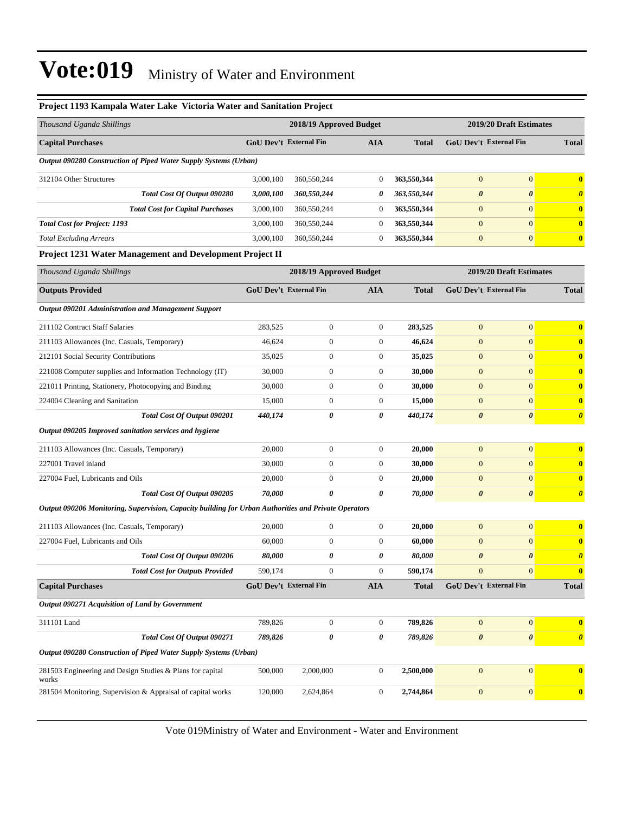| Project 1193 Kampala Water Lake Victoria Water and Sanitation Project                                |                               |                         |                  |              |                               |                         |                       |  |
|------------------------------------------------------------------------------------------------------|-------------------------------|-------------------------|------------------|--------------|-------------------------------|-------------------------|-----------------------|--|
| Thousand Uganda Shillings                                                                            |                               | 2018/19 Approved Budget |                  |              | 2019/20 Draft Estimates       |                         |                       |  |
| <b>Capital Purchases</b>                                                                             | <b>GoU Dev't External Fin</b> |                         | <b>AIA</b>       | <b>Total</b> | <b>GoU Dev't External Fin</b> |                         | <b>Total</b>          |  |
| Output 090280 Construction of Piped Water Supply Systems (Urban)                                     |                               |                         |                  |              |                               |                         |                       |  |
| 312104 Other Structures                                                                              | 3,000,100                     | 360,550,244             | $\boldsymbol{0}$ | 363,550,344  | $\mathbf{0}$                  | $\mathbf{0}$            | $\bf{0}$              |  |
| Total Cost Of Output 090280                                                                          | 3,000,100                     | 360,550,244             | 0                | 363,550,344  | $\boldsymbol{\theta}$         | $\boldsymbol{\theta}$   | $\boldsymbol{\theta}$ |  |
| <b>Total Cost for Capital Purchases</b>                                                              | 3,000,100                     | 360,550,244             | $\overline{0}$   | 363,550,344  | $\mathbf{0}$                  | $\mathbf{0}$            | $\bf{0}$              |  |
| <b>Total Cost for Project: 1193</b>                                                                  | 3,000,100                     | 360,550,244             | $\mathbf{0}$     | 363,550,344  | $\mathbf{0}$                  | $\mathbf{0}$            | $\mathbf{0}$          |  |
| <b>Total Excluding Arrears</b>                                                                       | 3,000,100                     | 360,550,244             | $\mathbf{0}$     | 363,550,344  | $\boldsymbol{0}$              | $\boldsymbol{0}$        | $\mathbf{0}$          |  |
| <b>Project 1231 Water Management and Development Project II</b>                                      |                               |                         |                  |              |                               |                         |                       |  |
| Thousand Uganda Shillings                                                                            |                               | 2018/19 Approved Budget |                  |              |                               | 2019/20 Draft Estimates |                       |  |
| <b>Outputs Provided</b>                                                                              | <b>GoU Dev't External Fin</b> |                         | <b>AIA</b>       | <b>Total</b> | GoU Dev't External Fin        |                         | <b>Total</b>          |  |
| Output 090201 Administration and Management Support                                                  |                               |                         |                  |              |                               |                         |                       |  |
| 211102 Contract Staff Salaries                                                                       | 283,525                       | $\mathbf{0}$            | $\mathbf{0}$     | 283,525      | $\mathbf{0}$                  | $\mathbf{0}$            | $\bf{0}$              |  |
| 211103 Allowances (Inc. Casuals, Temporary)                                                          | 46,624                        | $\mathbf{0}$            | $\mathbf{0}$     | 46,624       | $\mathbf{0}$                  | $\mathbf{0}$            | $\bf{0}$              |  |
| 212101 Social Security Contributions                                                                 | 35,025                        | $\mathbf{0}$            | $\boldsymbol{0}$ | 35,025       | $\mathbf{0}$                  | $\mathbf{0}$            | $\bf{0}$              |  |
| 221008 Computer supplies and Information Technology (IT)                                             | 30,000                        | $\mathbf{0}$            | $\boldsymbol{0}$ | 30,000       | $\boldsymbol{0}$              | $\mathbf{0}$            | $\bf{0}$              |  |
| 221011 Printing, Stationery, Photocopying and Binding                                                | 30,000                        | $\mathbf{0}$            | $\boldsymbol{0}$ | 30,000       | $\mathbf{0}$                  | $\mathbf{0}$            | $\bf{0}$              |  |
| 224004 Cleaning and Sanitation                                                                       | 15,000                        | $\mathbf{0}$            | 0                | 15,000       | $\mathbf{0}$                  | $\mathbf{0}$            | $\bf{0}$              |  |
| Total Cost Of Output 090201                                                                          | 440,174                       | 0                       | 0                | 440,174      | $\boldsymbol{\theta}$         | $\boldsymbol{\theta}$   | $\boldsymbol{\theta}$ |  |
| Output 090205 Improved sanitation services and hygiene                                               |                               |                         |                  |              |                               |                         |                       |  |
| 211103 Allowances (Inc. Casuals, Temporary)                                                          | 20,000                        | $\boldsymbol{0}$        | $\mathbf{0}$     | 20,000       | $\mathbf{0}$                  | $\mathbf{0}$            | $\bf{0}$              |  |
| 227001 Travel inland                                                                                 | 30,000                        | $\mathbf{0}$            | $\overline{0}$   | 30,000       | $\overline{0}$                | $\mathbf{0}$            | $\bf{0}$              |  |
| 227004 Fuel, Lubricants and Oils                                                                     | 20,000                        | $\mathbf{0}$            | $\boldsymbol{0}$ | 20,000       | $\mathbf{0}$                  | $\mathbf{0}$            | $\bf{0}$              |  |
| Total Cost Of Output 090205                                                                          | 70,000                        | 0                       | 0                | 70,000       | $\boldsymbol{\theta}$         | $\boldsymbol{\theta}$   | $\boldsymbol{\theta}$ |  |
| Output 090206 Monitoring, Supervision, Capacity building for Urban Authorities and Private Operators |                               |                         |                  |              |                               |                         |                       |  |
| 211103 Allowances (Inc. Casuals, Temporary)                                                          | 20,000                        | $\mathbf{0}$            | $\mathbf{0}$     | 20,000       | $\mathbf{0}$                  | $\mathbf{0}$            | $\bf{0}$              |  |
| 227004 Fuel, Lubricants and Oils                                                                     | 60,000                        | $\mathbf{0}$            | 0                | 60,000       | $\boldsymbol{0}$              | $\mathbf{0}$            | $\bf{0}$              |  |
| Total Cost Of Output 090206                                                                          | 80,000                        | 0                       | 0                | 80,000       | $\boldsymbol{\theta}$         | $\boldsymbol{\theta}$   | $\boldsymbol{\theta}$ |  |
| <b>Total Cost for Outputs Provided</b>                                                               | 590,174                       | $\boldsymbol{0}$        | $\boldsymbol{0}$ | 590,174      | $\mathbf{0}$                  | $\boldsymbol{0}$        | $\bf{0}$              |  |
| <b>Capital Purchases</b>                                                                             | GoU Dev't External Fin        |                         | <b>AIA</b>       | <b>Total</b> | GoU Dev't External Fin        |                         | <b>Total</b>          |  |
| Output 090271 Acquisition of Land by Government                                                      |                               |                         |                  |              |                               |                         |                       |  |
| 311101 Land                                                                                          | 789,826                       | $\boldsymbol{0}$        | $\mathbf{0}$     | 789,826      | $\mathbf{0}$                  | $\mathbf{0}$            | $\bf{0}$              |  |
| Total Cost Of Output 090271                                                                          | 789,826                       | $\pmb{\theta}$          | 0                | 789,826      | $\pmb{\theta}$                | $\pmb{\theta}$          | $\boldsymbol{\theta}$ |  |
| Output 090280 Construction of Piped Water Supply Systems (Urban)                                     |                               |                         |                  |              |                               |                         |                       |  |
| 281503 Engineering and Design Studies & Plans for capital                                            | 500,000                       | 2,000,000               | $\mathbf{0}$     | 2,500,000    | $\mathbf{0}$                  | $\boldsymbol{0}$        | $\bf{0}$              |  |
| works<br>281504 Monitoring, Supervision & Appraisal of capital works                                 | 120,000                       | 2,624,864               | $\boldsymbol{0}$ | 2,744,864    | $\boldsymbol{0}$              | $\mathbf{0}$            | $\mathbf{0}$          |  |
|                                                                                                      |                               |                         |                  |              |                               |                         |                       |  |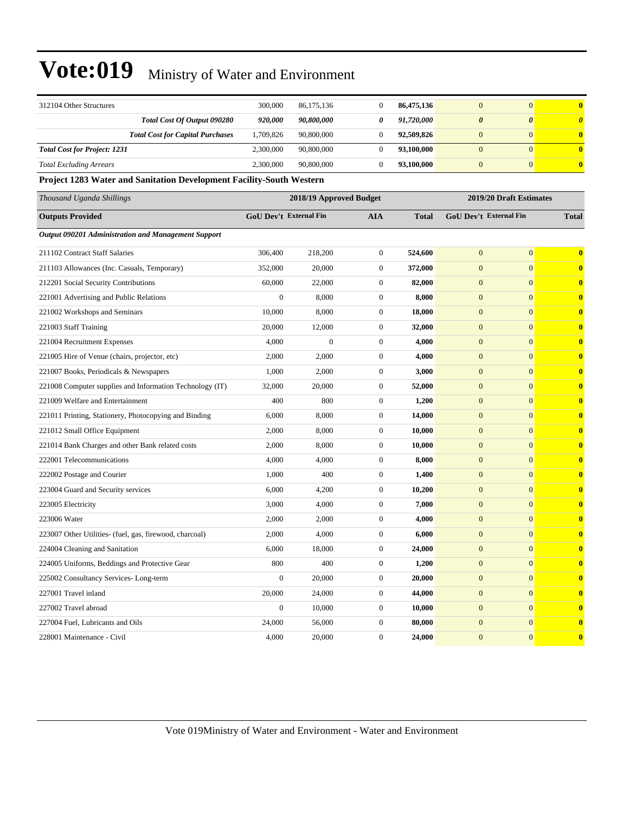| 312104 Other Structures                                              | 300,000                | 86, 175, 136            | $\boldsymbol{0}$ | 86,475,136   | $\boldsymbol{0}$        | $\overline{0}$                | $\bf{0}$              |  |
|----------------------------------------------------------------------|------------------------|-------------------------|------------------|--------------|-------------------------|-------------------------------|-----------------------|--|
| Total Cost Of Output 090280                                          | 920,000                | 90,800,000              | 0                | 91,720,000   | $\boldsymbol{\theta}$   | 0                             | $\boldsymbol{\theta}$ |  |
| <b>Total Cost for Capital Purchases</b>                              | 1,709,826              | 90,800,000              | $\boldsymbol{0}$ | 92,509,826   | $\boldsymbol{0}$        | $\overline{0}$                | $\bf{0}$              |  |
| <b>Total Cost for Project: 1231</b>                                  | 2,300,000              | 90,800,000              | $\boldsymbol{0}$ | 93,100,000   | $\boldsymbol{0}$        | $\overline{0}$                | $\bf{0}$              |  |
| <b>Total Excluding Arrears</b>                                       | 2,300,000              | 90,800,000              | $\mathbf{0}$     | 93,100,000   | $\mathbf{0}$            | $\overline{0}$                | $\bf{0}$              |  |
| Project 1283 Water and Sanitation Development Facility-South Western |                        |                         |                  |              |                         |                               |                       |  |
| Thousand Uganda Shillings                                            |                        | 2018/19 Approved Budget |                  |              | 2019/20 Draft Estimates |                               |                       |  |
| <b>Outputs Provided</b>                                              | GoU Dev't External Fin |                         | <b>AIA</b>       | <b>Total</b> |                         | <b>GoU Dev't External Fin</b> | <b>Total</b>          |  |
| Output 090201 Administration and Management Support                  |                        |                         |                  |              |                         |                               |                       |  |
| 211102 Contract Staff Salaries                                       | 306,400                | 218,200                 | $\mathbf{0}$     | 524,600      | $\mathbf{0}$            | $\overline{0}$                | $\bf{0}$              |  |
| 211103 Allowances (Inc. Casuals, Temporary)                          | 352,000                | 20,000                  | $\mathbf{0}$     | 372,000      | $\boldsymbol{0}$        | $\overline{0}$                | $\bf{0}$              |  |
| 212201 Social Security Contributions                                 | 60,000                 | 22,000                  | $\mathbf{0}$     | 82,000       | $\boldsymbol{0}$        | $\overline{0}$                | $\bf{0}$              |  |
| 221001 Advertising and Public Relations                              | $\boldsymbol{0}$       | 8,000                   | $\mathbf{0}$     | 8,000        | $\boldsymbol{0}$        | $\overline{0}$                | $\bf{0}$              |  |
| 221002 Workshops and Seminars                                        | 10,000                 | 8,000                   | $\mathbf{0}$     | 18,000       | $\boldsymbol{0}$        | $\overline{0}$                | $\bf{0}$              |  |
| 221003 Staff Training                                                | 20,000                 | 12,000                  | $\boldsymbol{0}$ | 32,000       | $\boldsymbol{0}$        | $\mathbf{0}$                  | $\bf{0}$              |  |
| 221004 Recruitment Expenses                                          | 4,000                  | $\overline{0}$          | $\mathbf{0}$     | 4,000        | $\boldsymbol{0}$        | $\overline{0}$                | $\bf{0}$              |  |
| 221005 Hire of Venue (chairs, projector, etc)                        | 2,000                  | 2,000                   | $\mathbf{0}$     | 4,000        | $\boldsymbol{0}$        | $\overline{0}$                | $\bf{0}$              |  |
| 221007 Books, Periodicals & Newspapers                               | 1,000                  | 2,000                   | $\mathbf{0}$     | 3,000        | $\boldsymbol{0}$        | $\overline{0}$                | $\bf{0}$              |  |
| 221008 Computer supplies and Information Technology (IT)             | 32,000                 | 20,000                  | $\mathbf{0}$     | 52,000       | $\boldsymbol{0}$        | $\overline{0}$                | $\bf{0}$              |  |
| 221009 Welfare and Entertainment                                     | 400                    | 800                     | $\mathbf{0}$     | 1,200        | $\boldsymbol{0}$        | $\overline{0}$                | $\bf{0}$              |  |
| 221011 Printing, Stationery, Photocopying and Binding                | 6,000                  | 8,000                   | $\mathbf{0}$     | 14,000       | $\boldsymbol{0}$        | $\overline{0}$                | $\bf{0}$              |  |
| 221012 Small Office Equipment                                        | 2,000                  | 8,000                   | $\mathbf{0}$     | 10,000       | $\boldsymbol{0}$        | $\overline{0}$                | $\bf{0}$              |  |
| 221014 Bank Charges and other Bank related costs                     | 2,000                  | 8,000                   | $\mathbf{0}$     | 10,000       | $\boldsymbol{0}$        | $\overline{0}$                | $\bf{0}$              |  |
| 222001 Telecommunications                                            | 4,000                  | 4,000                   | $\mathbf{0}$     | 8,000        | $\boldsymbol{0}$        | $\overline{0}$                | $\bf{0}$              |  |
| 222002 Postage and Courier                                           | 1,000                  | 400                     | $\boldsymbol{0}$ | 1,400        | $\boldsymbol{0}$        | $\mathbf{0}$                  | $\bf{0}$              |  |
| 223004 Guard and Security services                                   | 6,000                  | 4,200                   | $\mathbf{0}$     | 10,200       | $\boldsymbol{0}$        | $\overline{0}$                | $\bf{0}$              |  |
| 223005 Electricity                                                   | 3,000                  | 4,000                   | $\mathbf{0}$     | 7,000        | $\boldsymbol{0}$        | $\overline{0}$                | $\bf{0}$              |  |
| 223006 Water                                                         | 2,000                  | 2,000                   | $\mathbf{0}$     | 4,000        | $\boldsymbol{0}$        | $\overline{0}$                | $\bf{0}$              |  |
| 223007 Other Utilities- (fuel, gas, firewood, charcoal)              | 2,000                  | 4,000                   | $\mathbf{0}$     | 6,000        | $\boldsymbol{0}$        | $\overline{0}$                | $\bf{0}$              |  |
| 224004 Cleaning and Sanitation                                       | 6,000                  | 18,000                  | $\boldsymbol{0}$ | 24,000       | $\boldsymbol{0}$        | $\overline{0}$                | $\bf{0}$              |  |
| 224005 Uniforms, Beddings and Protective Gear                        | 800                    | 400                     | $\boldsymbol{0}$ | 1,200        | $\mathbf{0}$            | $\mathbf{0}$                  | $\bf{0}$              |  |
| 225002 Consultancy Services-Long-term                                | $\boldsymbol{0}$       | 20,000                  | $\boldsymbol{0}$ | 20,000       | $\boldsymbol{0}$        | $\boldsymbol{0}$              | $\bf{0}$              |  |
| 227001 Travel inland                                                 | 20,000                 | 24,000                  | $\boldsymbol{0}$ | 44,000       | $\mathbf{0}$            | $\mathbf{0}$                  | $\bf{0}$              |  |
| 227002 Travel abroad                                                 | $\boldsymbol{0}$       | 10,000                  | $\boldsymbol{0}$ | 10,000       | $\mathbf{0}$            | $\mathbf{0}$                  | $\boldsymbol{0}$      |  |
| 227004 Fuel, Lubricants and Oils                                     | 24,000                 | 56,000                  | $\boldsymbol{0}$ | 80,000       | $\mathbf{0}$            | $\mathbf{0}$                  | $\bf{0}$              |  |
| 228001 Maintenance - Civil                                           | 4,000                  | 20,000                  | $\overline{0}$   | 24,000       | $\boldsymbol{0}$        | $\mathbf{0}$                  | $\bf{0}$              |  |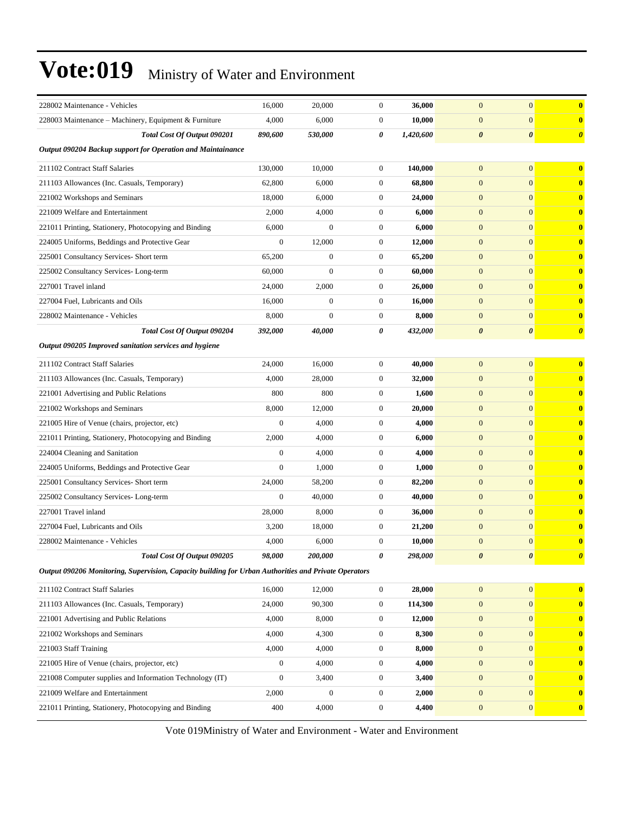| 228002 Maintenance - Vehicles                                                                        | 16,000           | 20,000                | $\overline{0}$   | 36,000    | $\mathbf{0}$          | $\mathbf{0}$          | $\bf{0}$              |
|------------------------------------------------------------------------------------------------------|------------------|-----------------------|------------------|-----------|-----------------------|-----------------------|-----------------------|
| 228003 Maintenance - Machinery, Equipment & Furniture                                                | 4,000            | 6,000                 | $\boldsymbol{0}$ | 10,000    | $\mathbf{0}$          | $\boldsymbol{0}$      | $\bf{0}$              |
| Total Cost Of Output 090201                                                                          | 890,600          | <i><b>530,000</b></i> | 0                | 1,420,600 | $\boldsymbol{\theta}$ | $\boldsymbol{\theta}$ | $\boldsymbol{\theta}$ |
| Output 090204 Backup support for Operation and Maintainance                                          |                  |                       |                  |           |                       |                       |                       |
| 211102 Contract Staff Salaries                                                                       | 130,000          | 10.000                | $\boldsymbol{0}$ | 140,000   | $\mathbf{0}$          | $\mathbf{0}$          | $\bf{0}$              |
| 211103 Allowances (Inc. Casuals, Temporary)                                                          | 62,800           | 6,000                 | $\boldsymbol{0}$ | 68,800    | $\mathbf{0}$          | $\mathbf{0}$          | $\bf{0}$              |
| 221002 Workshops and Seminars                                                                        | 18,000           | 6,000                 | $\boldsymbol{0}$ | 24,000    | $\mathbf{0}$          | $\overline{0}$        | $\bf{0}$              |
| 221009 Welfare and Entertainment                                                                     | 2,000            | 4,000                 | $\boldsymbol{0}$ | 6,000     | $\mathbf{0}$          | $\mathbf{0}$          | $\boldsymbol{0}$      |
| 221011 Printing, Stationery, Photocopying and Binding                                                | 6,000            | $\mathbf{0}$          | $\boldsymbol{0}$ | 6,000     | $\mathbf{0}$          | $\overline{0}$        | $\boldsymbol{0}$      |
| 224005 Uniforms, Beddings and Protective Gear                                                        | $\overline{0}$   | 12.000                | 0                | 12,000    | $\mathbf{0}$          | $\mathbf{0}$          | $\boldsymbol{0}$      |
| 225001 Consultancy Services- Short term                                                              | 65,200           | $\boldsymbol{0}$      | $\boldsymbol{0}$ | 65,200    | $\mathbf{0}$          | $\mathbf{0}$          | $\bf{0}$              |
| 225002 Consultancy Services-Long-term                                                                | 60,000           | $\mathbf{0}$          | $\boldsymbol{0}$ | 60,000    | $\mathbf{0}$          | $\overline{0}$        | $\bf{0}$              |
| 227001 Travel inland                                                                                 | 24,000           | 2,000                 | $\boldsymbol{0}$ | 26,000    | $\mathbf{0}$          | $\mathbf{0}$          | $\boldsymbol{0}$      |
| 227004 Fuel. Lubricants and Oils                                                                     | 16,000           | $\boldsymbol{0}$      | $\boldsymbol{0}$ | 16,000    | $\mathbf{0}$          | $\boldsymbol{0}$      | $\boldsymbol{0}$      |
| 228002 Maintenance - Vehicles                                                                        | 8,000            | $\mathbf{0}$          | $\boldsymbol{0}$ | 8,000     | $\mathbf{0}$          | $\mathbf{0}$          | $\bf{0}$              |
| Total Cost Of Output 090204                                                                          | 392,000          | 40,000                | 0                | 432,000   | $\boldsymbol{\theta}$ | $\boldsymbol{\theta}$ | $\boldsymbol{\theta}$ |
| Output 090205 Improved sanitation services and hygiene                                               |                  |                       |                  |           |                       |                       |                       |
| 211102 Contract Staff Salaries                                                                       | 24,000           | 16,000                | $\boldsymbol{0}$ | 40,000    | $\mathbf{0}$          | $\boldsymbol{0}$      | $\bf{0}$              |
| 211103 Allowances (Inc. Casuals, Temporary)                                                          | 4,000            | 28,000                | $\boldsymbol{0}$ | 32,000    | $\mathbf{0}$          | $\mathbf{0}$          | $\bf{0}$              |
| 221001 Advertising and Public Relations                                                              | 800              | 800                   | $\boldsymbol{0}$ | 1,600     | $\mathbf{0}$          | $\boldsymbol{0}$      | $\boldsymbol{0}$      |
| 221002 Workshops and Seminars                                                                        | 8,000            | 12,000                | $\boldsymbol{0}$ | 20,000    | $\mathbf{0}$          | $\overline{0}$        | $\bf{0}$              |
| 221005 Hire of Venue (chairs, projector, etc)                                                        | $\overline{0}$   | 4,000                 | $\boldsymbol{0}$ | 4,000     | $\mathbf{0}$          | $\overline{0}$        | $\bf{0}$              |
| 221011 Printing, Stationery, Photocopying and Binding                                                | 2,000            | 4,000                 | $\boldsymbol{0}$ | 6,000     | $\mathbf{0}$          | $\overline{0}$        | $\bf{0}$              |
| 224004 Cleaning and Sanitation                                                                       | $\boldsymbol{0}$ | 4,000                 | $\boldsymbol{0}$ | 4,000     | $\mathbf{0}$          | $\boldsymbol{0}$      | $\bf{0}$              |
| 224005 Uniforms, Beddings and Protective Gear                                                        | $\mathbf{0}$     | 1,000                 | $\boldsymbol{0}$ | 1,000     | $\mathbf{0}$          | $\boldsymbol{0}$      | $\boldsymbol{0}$      |
| 225001 Consultancy Services- Short term                                                              | 24,000           | 58,200                | $\boldsymbol{0}$ | 82,200    | $\mathbf{0}$          | $\overline{0}$        | $\bf{0}$              |
| 225002 Consultancy Services-Long-term                                                                | $\overline{0}$   | 40,000                | $\boldsymbol{0}$ | 40,000    | $\mathbf{0}$          | $\overline{0}$        | $\boldsymbol{0}$      |
| 227001 Travel inland                                                                                 | 28,000           | 8,000                 | $\boldsymbol{0}$ | 36,000    | $\mathbf{0}$          | $\overline{0}$        | $\bf{0}$              |
| 227004 Fuel, Lubricants and Oils                                                                     | 3,200            | 18,000                | $\boldsymbol{0}$ | 21,200    | $\mathbf{0}$          | $\overline{0}$        | $\bf{0}$              |
| 228002 Maintenance - Vehicles                                                                        | 4,000            | 6,000                 | $\boldsymbol{0}$ | 10,000    | $\mathbf{0}$          | $\mathbf{0}$          | $\bf{0}$              |
| Total Cost Of Output 090205                                                                          | 98,000           | <i><b>200.000</b></i> | 0                | 298,000   | $\boldsymbol{\theta}$ | $\boldsymbol{\theta}$ |                       |
| Output 090206 Monitoring, Supervision, Capacity building for Urban Authorities and Private Operators |                  |                       |                  |           |                       |                       |                       |
| 211102 Contract Staff Salaries                                                                       | 16,000           | 12,000                | $\boldsymbol{0}$ | 28,000    | $\mathbf{0}$          | $\boldsymbol{0}$      | $\bf{0}$              |
| 211103 Allowances (Inc. Casuals, Temporary)                                                          | 24,000           | 90,300                | $\boldsymbol{0}$ | 114,300   | $\mathbf{0}$          | $\boldsymbol{0}$      | $\bf{0}$              |
| 221001 Advertising and Public Relations                                                              | 4,000            | 8,000                 | $\boldsymbol{0}$ | 12,000    | $\mathbf{0}$          | $\overline{0}$        | $\boldsymbol{0}$      |
| 221002 Workshops and Seminars                                                                        | 4,000            | 4,300                 | $\boldsymbol{0}$ | 8,300     | $\mathbf{0}$          | $\boldsymbol{0}$      | $\bf{0}$              |
| 221003 Staff Training                                                                                | 4,000            | 4,000                 | 0                | 8,000     | $\mathbf{0}$          | $\boldsymbol{0}$      | $\bf{0}$              |
| 221005 Hire of Venue (chairs, projector, etc)                                                        | $\boldsymbol{0}$ | 4,000                 | $\boldsymbol{0}$ | 4,000     | $\mathbf{0}$          | $\boldsymbol{0}$      | $\bf{0}$              |
| 221008 Computer supplies and Information Technology (IT)                                             | $\boldsymbol{0}$ | 3,400                 | $\boldsymbol{0}$ | 3,400     | $\mathbf{0}$          | $\mathbf{0}$          | $\bf{0}$              |
| 221009 Welfare and Entertainment                                                                     | 2,000            | $\boldsymbol{0}$      | $\boldsymbol{0}$ | 2,000     | $\mathbf{0}$          | $\overline{0}$        | $\bf{0}$              |
| 221011 Printing, Stationery, Photocopying and Binding                                                | 400              | 4,000                 | $\boldsymbol{0}$ | 4,400     | $\boldsymbol{0}$      | $\boldsymbol{0}$      | $\bf{0}$              |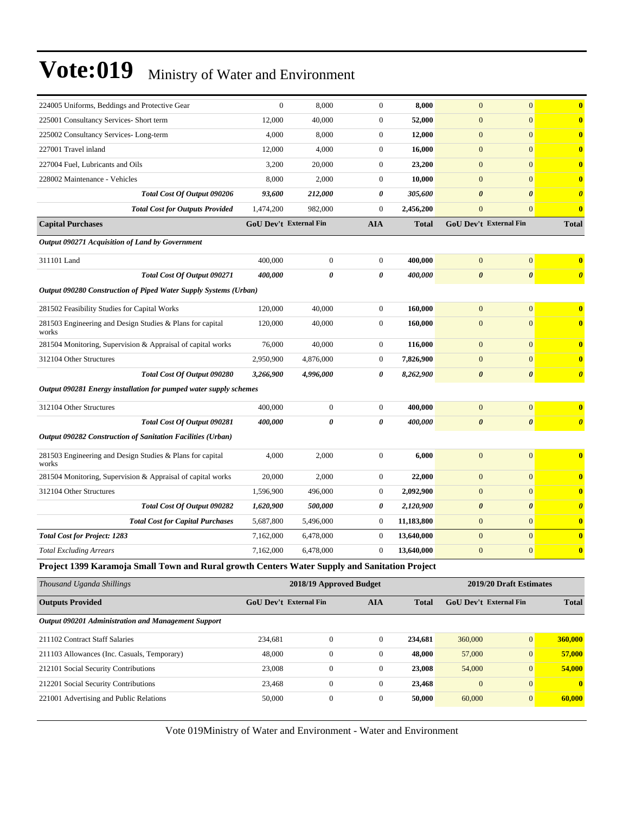| 224005 Uniforms, Beddings and Protective Gear                                                 | $\boldsymbol{0}$       | 8,000                   | $\boldsymbol{0}$ | 8,000        | $\mathbf{0}$          | $\mathbf{0}$                  | $\bf{0}$              |
|-----------------------------------------------------------------------------------------------|------------------------|-------------------------|------------------|--------------|-----------------------|-------------------------------|-----------------------|
| 225001 Consultancy Services- Short term                                                       | 12,000                 | 40,000                  | $\boldsymbol{0}$ | 52,000       | $\boldsymbol{0}$      | $\mathbf{0}$                  | $\bf{0}$              |
| 225002 Consultancy Services-Long-term                                                         | 4,000                  | 8,000                   | $\boldsymbol{0}$ | 12,000       | $\boldsymbol{0}$      | $\mathbf{0}$                  | $\bf{0}$              |
| 227001 Travel inland                                                                          | 12,000                 | 4,000                   | $\boldsymbol{0}$ | 16,000       | $\boldsymbol{0}$      | $\mathbf{0}$                  | $\bf{0}$              |
| 227004 Fuel, Lubricants and Oils                                                              | 3,200                  | 20,000                  | $\boldsymbol{0}$ | 23,200       | $\mathbf{0}$          | $\mathbf{0}$                  | $\bf{0}$              |
| 228002 Maintenance - Vehicles                                                                 | 8,000                  | 2,000                   | $\boldsymbol{0}$ | 10,000       | $\mathbf{0}$          | $\mathbf{0}$                  | $\bf{0}$              |
| Total Cost Of Output 090206                                                                   | 93,600                 | 212,000                 | 0                | 305,600      | $\pmb{\theta}$        | $\boldsymbol{\theta}$         | $\boldsymbol{\theta}$ |
| <b>Total Cost for Outputs Provided</b>                                                        | 1,474,200              | 982,000                 | $\boldsymbol{0}$ | 2,456,200    | $\mathbf{0}$          | $\mathbf{0}$                  | $\bf{0}$              |
| <b>Capital Purchases</b>                                                                      | GoU Dev't External Fin |                         | <b>AIA</b>       | <b>Total</b> |                       | <b>GoU Dev't External Fin</b> | <b>Total</b>          |
| Output 090271 Acquisition of Land by Government                                               |                        |                         |                  |              |                       |                               |                       |
| 311101 Land                                                                                   | 400,000                | $\boldsymbol{0}$        | $\mathbf{0}$     | 400,000      | $\boldsymbol{0}$      | $\boldsymbol{0}$              | $\bf{0}$              |
| Total Cost Of Output 090271                                                                   | 400,000                | 0                       | 0                | 400,000      | $\boldsymbol{\theta}$ | $\boldsymbol{\theta}$         | $\boldsymbol{\theta}$ |
| Output 090280 Construction of Piped Water Supply Systems (Urban)                              |                        |                         |                  |              |                       |                               |                       |
| 281502 Feasibility Studies for Capital Works                                                  | 120,000                | 40,000                  | $\mathbf{0}$     | 160,000      | $\mathbf{0}$          | $\mathbf{0}$                  | $\bf{0}$              |
| 281503 Engineering and Design Studies & Plans for capital<br>works                            | 120,000                | 40,000                  | $\boldsymbol{0}$ | 160,000      | $\boldsymbol{0}$      | $\mathbf{0}$                  | $\bf{0}$              |
| 281504 Monitoring, Supervision & Appraisal of capital works                                   | 76,000                 | 40,000                  | $\overline{0}$   | 116,000      | $\boldsymbol{0}$      | $\mathbf{0}$                  | $\bf{0}$              |
| 312104 Other Structures                                                                       | 2,950,900              | 4,876,000               | $\boldsymbol{0}$ | 7,826,900    | $\boldsymbol{0}$      | $\mathbf{0}$                  | $\bf{0}$              |
| Total Cost Of Output 090280                                                                   | 3,266,900              | 4,996,000               | 0                | 8,262,900    | $\pmb{\theta}$        | $\boldsymbol{\theta}$         | $\boldsymbol{\theta}$ |
| Output 090281 Energy installation for pumped water supply schemes                             |                        |                         |                  |              |                       |                               |                       |
| 312104 Other Structures                                                                       | 400,000                | $\boldsymbol{0}$        | $\boldsymbol{0}$ | 400,000      | $\mathbf{0}$          | $\mathbf{0}$                  | $\bf{0}$              |
| Total Cost Of Output 090281                                                                   | <i><b>400,000</b></i>  | 0                       | 0                | 400,000      | $\boldsymbol{\theta}$ | $\boldsymbol{\theta}$         | $\boldsymbol{\theta}$ |
| Output 090282 Construction of Sanitation Facilities (Urban)                                   |                        |                         |                  |              |                       |                               |                       |
| 281503 Engineering and Design Studies & Plans for capital<br>works                            | 4,000                  | 2,000                   | $\mathbf{0}$     | 6,000        | $\mathbf{0}$          | $\mathbf{0}$                  | $\bf{0}$              |
| 281504 Monitoring, Supervision & Appraisal of capital works                                   | 20,000                 | 2,000                   | $\boldsymbol{0}$ | 22,000       | $\boldsymbol{0}$      | $\mathbf{0}$                  | $\bf{0}$              |
| 312104 Other Structures                                                                       | 1,596,900              | 496,000                 | $\boldsymbol{0}$ | 2,092,900    | $\boldsymbol{0}$      | $\mathbf{0}$                  | $\bf{0}$              |
| Total Cost Of Output 090282                                                                   | 1,620,900              | 500,000                 | 0                | 2,120,900    | $\boldsymbol{\theta}$ | $\boldsymbol{\theta}$         | $\boldsymbol{\theta}$ |
| <b>Total Cost for Capital Purchases</b>                                                       | 5,687,800              | 5,496,000               | $\mathbf{0}$     | 11,183,800   | $\boldsymbol{0}$      | $\mathbf{0}$                  | $\boldsymbol{0}$      |
| <b>Total Cost for Project: 1283</b>                                                           | 7,162,000              | 6,478,000               | $\boldsymbol{0}$ | 13,640,000   | $\mathbf{0}$          | $\mathbf{0}$                  | $\bf{0}$              |
| <b>Total Excluding Arrears</b>                                                                | 7,162,000              | 6,478,000               | $\boldsymbol{0}$ | 13,640,000   | $\mathbf{0}$          | $\mathbf{0}$                  | $\bf{0}$              |
| Project 1399 Karamoja Small Town and Rural growth Centers Water Supply and Sanitation Project |                        |                         |                  |              |                       |                               |                       |
| Thousand Uganda Shillings                                                                     |                        | 2018/19 Approved Budget |                  |              |                       | 2019/20 Draft Estimates       |                       |
| <b>Outputs Provided</b>                                                                       | GoU Dev't External Fin |                         | <b>AIA</b>       | <b>Total</b> |                       | GoU Dev't External Fin        | <b>Total</b>          |
| Output 090201 Administration and Management Support                                           |                        |                         |                  |              |                       |                               |                       |
| 211102 Contract Staff Salaries                                                                | 234,681                | $\boldsymbol{0}$        | $\boldsymbol{0}$ | 234,681      | 360,000               | $\vert 0 \vert$               | 360,000               |
|                                                                                               |                        |                         |                  |              |                       |                               |                       |

211103 Allowances (Inc. Casuals, Temporary) 48,000 0 0 **48,000** 57,000 0 **57,000** 212101 Social Security Contributions 23,008 0 0 **23,008** 54,000 0 **54,000** 212201 Social Security Contributions 23,468 0 0 **23,468** 0 0 **0** 221001 Advertising and Public Relations 50,000 0 0 **50,000** 60,000 0 **60,000**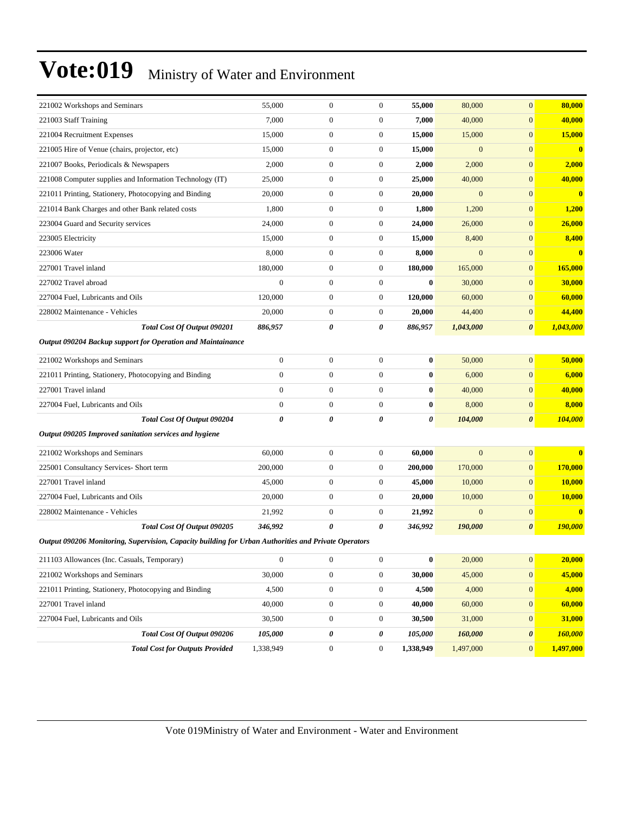| 221002 Workshops and Seminars                                                                        |                                        | 55,000           | $\boldsymbol{0}$ | $\boldsymbol{0}$ | 55,000    | 80,000         | $\mathbf{0}$          | 80,000                  |
|------------------------------------------------------------------------------------------------------|----------------------------------------|------------------|------------------|------------------|-----------|----------------|-----------------------|-------------------------|
| 221003 Staff Training                                                                                |                                        | 7,000            | $\boldsymbol{0}$ | $\mathbf{0}$     | 7,000     | 40,000         | $\mathbf{0}$          | 40,000                  |
| 221004 Recruitment Expenses                                                                          |                                        | 15,000           | $\boldsymbol{0}$ | $\mathbf{0}$     | 15,000    | 15,000         | $\mathbf{0}$          | 15,000                  |
| 221005 Hire of Venue (chairs, projector, etc)                                                        |                                        | 15,000           | $\boldsymbol{0}$ | $\mathbf{0}$     | 15,000    | $\mathbf{0}$   | $\mathbf{0}$          | $\overline{\mathbf{0}}$ |
| 221007 Books, Periodicals & Newspapers                                                               |                                        | 2,000            | $\boldsymbol{0}$ | $\mathbf{0}$     | 2,000     | 2,000          | $\mathbf{0}$          | 2,000                   |
| 221008 Computer supplies and Information Technology (IT)                                             |                                        | 25,000           | $\boldsymbol{0}$ | $\boldsymbol{0}$ | 25,000    | 40,000         | $\mathbf{0}$          | 40,000                  |
| 221011 Printing, Stationery, Photocopying and Binding                                                |                                        | 20,000           | $\boldsymbol{0}$ | $\mathbf{0}$     | 20,000    | $\mathbf{0}$   | $\boldsymbol{0}$      | $\mathbf{0}$            |
| 221014 Bank Charges and other Bank related costs                                                     |                                        | 1,800            | $\boldsymbol{0}$ | $\mathbf{0}$     | 1,800     | 1,200          | $\mathbf{0}$          | 1,200                   |
| 223004 Guard and Security services                                                                   |                                        | 24,000           | $\boldsymbol{0}$ | $\mathbf{0}$     | 24,000    | 26,000         | $\boldsymbol{0}$      | 26,000                  |
| 223005 Electricity                                                                                   |                                        | 15,000           | $\boldsymbol{0}$ | $\mathbf{0}$     | 15,000    | 8,400          | $\mathbf{0}$          | 8,400                   |
| 223006 Water                                                                                         |                                        | 8,000            | $\boldsymbol{0}$ | $\mathbf{0}$     | 8,000     | $\overline{0}$ | $\mathbf{0}$          | $\bf{0}$                |
| 227001 Travel inland                                                                                 |                                        | 180,000          | $\boldsymbol{0}$ | $\mathbf{0}$     | 180,000   | 165,000        | $\boldsymbol{0}$      | 165,000                 |
| 227002 Travel abroad                                                                                 |                                        | $\boldsymbol{0}$ | $\boldsymbol{0}$ | $\mathbf{0}$     | $\bf{0}$  | 30,000         | $\mathbf{0}$          | 30,000                  |
| 227004 Fuel, Lubricants and Oils                                                                     |                                        | 120,000          | $\boldsymbol{0}$ | $\mathbf{0}$     | 120,000   | 60,000         | $\mathbf{0}$          | 60,000                  |
| 228002 Maintenance - Vehicles                                                                        |                                        | 20,000           | $\boldsymbol{0}$ | $\mathbf{0}$     | 20,000    | 44,400         | $\boldsymbol{0}$      | 44,400                  |
|                                                                                                      | Total Cost Of Output 090201            | 886,957          | 0                | 0                | 886,957   | 1,043,000      | $\boldsymbol{\theta}$ | 1,043,000               |
| Output 090204 Backup support for Operation and Maintainance                                          |                                        |                  |                  |                  |           |                |                       |                         |
| 221002 Workshops and Seminars                                                                        |                                        | $\mathbf{0}$     | $\boldsymbol{0}$ | $\mathbf{0}$     | $\bf{0}$  | 50,000         | $\mathbf{0}$          | 50,000                  |
| 221011 Printing, Stationery, Photocopying and Binding                                                |                                        | $\boldsymbol{0}$ | $\boldsymbol{0}$ | $\mathbf{0}$     | $\bf{0}$  | 6,000          | $\mathbf{0}$          | 6,000                   |
| 227001 Travel inland                                                                                 |                                        | $\boldsymbol{0}$ | $\boldsymbol{0}$ | $\mathbf{0}$     | $\bf{0}$  | 40,000         | $\mathbf{0}$          | 40,000                  |
| 227004 Fuel, Lubricants and Oils                                                                     |                                        | $\boldsymbol{0}$ | $\boldsymbol{0}$ | $\mathbf{0}$     | $\bf{0}$  | 8,000          | $\boldsymbol{0}$      | 8,000                   |
|                                                                                                      | Total Cost Of Output 090204            | 0                | 0                | 0                | 0         | 104,000        | $\boldsymbol{\theta}$ | 104,000                 |
| Output 090205 Improved sanitation services and hygiene                                               |                                        |                  |                  |                  |           |                |                       |                         |
| 221002 Workshops and Seminars                                                                        |                                        | 60,000           | $\boldsymbol{0}$ | $\boldsymbol{0}$ | 60,000    | $\mathbf{0}$   | $\boldsymbol{0}$      | $\bf{0}$                |
| 225001 Consultancy Services- Short term                                                              |                                        | 200,000          | $\boldsymbol{0}$ | $\mathbf{0}$     | 200,000   | 170,000        | $\mathbf{0}$          | 170,000                 |
| 227001 Travel inland                                                                                 |                                        | 45,000           | $\boldsymbol{0}$ | $\mathbf{0}$     | 45,000    | 10,000         | $\mathbf{0}$          | 10,000                  |
| 227004 Fuel, Lubricants and Oils                                                                     |                                        | 20,000           | $\boldsymbol{0}$ | $\mathbf{0}$     | 20,000    | 10,000         | $\mathbf{0}$          | 10,000                  |
| 228002 Maintenance - Vehicles                                                                        |                                        | 21,992           | $\boldsymbol{0}$ | $\boldsymbol{0}$ | 21,992    | $\mathbf{0}$   | $\mathbf{0}$          | $\bf{0}$                |
|                                                                                                      | Total Cost Of Output 090205            | 346,992          | 0                | 0                | 346,992   | 190,000        | $\boldsymbol{\theta}$ | <b>190,000</b>          |
| Output 090206 Monitoring, Supervision, Capacity building for Urban Authorities and Private Operators |                                        |                  |                  |                  |           |                |                       |                         |
| 211103 Allowances (Inc. Casuals, Temporary)                                                          |                                        | $\boldsymbol{0}$ | $\boldsymbol{0}$ | $\boldsymbol{0}$ | $\bf{0}$  | 20,000         | $\mathbf{0}$          | 20,000                  |
| 221002 Workshops and Seminars                                                                        |                                        | 30,000           | $\boldsymbol{0}$ | $\boldsymbol{0}$ | 30,000    | 45,000         | $\boldsymbol{0}$      | 45,000                  |
| 221011 Printing, Stationery, Photocopying and Binding                                                |                                        | 4,500            | $\boldsymbol{0}$ | $\boldsymbol{0}$ | 4,500     | 4,000          | $\boldsymbol{0}$      | 4,000                   |
| 227001 Travel inland                                                                                 |                                        | 40,000           | $\boldsymbol{0}$ | $\boldsymbol{0}$ | 40,000    | 60,000         | $\mathbf{0}$          | 60,000                  |
| 227004 Fuel, Lubricants and Oils                                                                     |                                        | 30,500           | $\boldsymbol{0}$ | $\boldsymbol{0}$ | 30,500    | 31,000         | $\boldsymbol{0}$      | 31,000                  |
|                                                                                                      | Total Cost Of Output 090206            | 105,000          | 0                | 0                | 105,000   | 160,000        | $\pmb{\theta}$        | 160,000                 |
|                                                                                                      | <b>Total Cost for Outputs Provided</b> | 1,338,949        | $\boldsymbol{0}$ | $\boldsymbol{0}$ | 1,338,949 | 1,497,000      | $\mathbf{0}$          | 1,497,000               |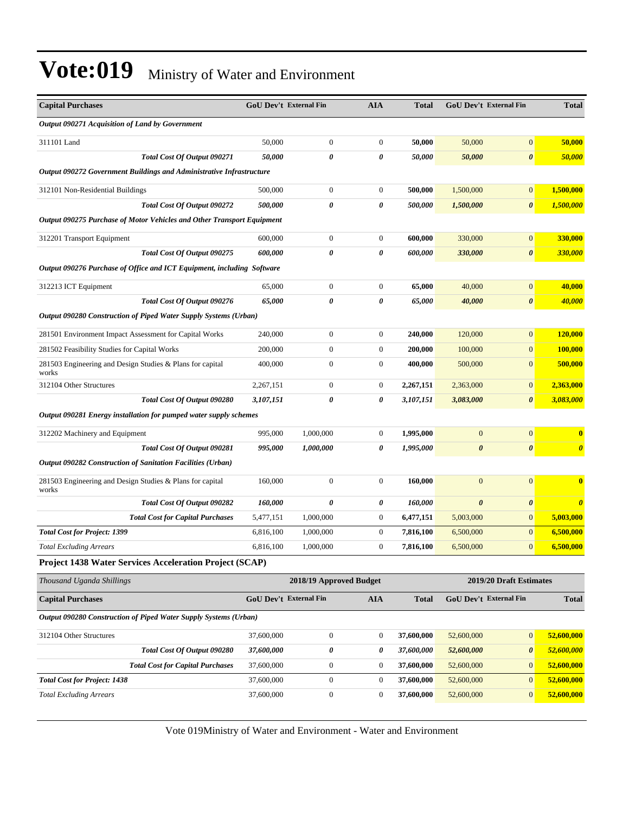| <b>Capital Purchases</b>                                                | GoU Dev't External Fin |                         | <b>AIA</b>       | <b>Total</b> |                       | <b>GoU Dev't External Fin</b> | <b>Total</b>          |
|-------------------------------------------------------------------------|------------------------|-------------------------|------------------|--------------|-----------------------|-------------------------------|-----------------------|
| Output 090271 Acquisition of Land by Government                         |                        |                         |                  |              |                       |                               |                       |
| 311101 Land                                                             | 50,000                 | $\boldsymbol{0}$        | $\boldsymbol{0}$ | 50,000       | 50,000                | $\boldsymbol{0}$              | 50,000                |
| Total Cost Of Output 090271                                             | 50,000                 | 0                       | 0                | 50,000       | 50,000                | $\boldsymbol{\theta}$         | 50,000                |
| Output 090272 Government Buildings and Administrative Infrastructure    |                        |                         |                  |              |                       |                               |                       |
| 312101 Non-Residential Buildings                                        | 500,000                | $\boldsymbol{0}$        | 0                | 500,000      | 1,500,000             | $\mathbf{0}$                  | 1,500,000             |
| Total Cost Of Output 090272                                             | 500,000                | 0                       | 0                | 500,000      | 1,500,000             | $\boldsymbol{\theta}$         | 1,500,000             |
| Output 090275 Purchase of Motor Vehicles and Other Transport Equipment  |                        |                         |                  |              |                       |                               |                       |
| 312201 Transport Equipment                                              | 600,000                | $\boldsymbol{0}$        | 0                | 600,000      | 330,000               | $\boldsymbol{0}$              | 330,000               |
| Total Cost Of Output 090275                                             | 600,000                | 0                       | 0                | 600,000      | 330,000               | $\boldsymbol{\theta}$         | 330,000               |
| Output 090276 Purchase of Office and ICT Equipment, including Software  |                        |                         |                  |              |                       |                               |                       |
| 312213 ICT Equipment                                                    | 65,000                 | $\boldsymbol{0}$        | 0                | 65,000       | 40,000                | $\mathbf{0}$                  | 40,000                |
| Total Cost Of Output 090276                                             | 65,000                 | 0                       | 0                | 65,000       | 40,000                | $\boldsymbol{\theta}$         | 40,000                |
| <b>Output 090280 Construction of Piped Water Supply Systems (Urban)</b> |                        |                         |                  |              |                       |                               |                       |
| 281501 Environment Impact Assessment for Capital Works                  | 240,000                | $\boldsymbol{0}$        | $\boldsymbol{0}$ | 240,000      | 120,000               | $\mathbf{0}$                  | 120,000               |
| 281502 Feasibility Studies for Capital Works                            | 200,000                | $\boldsymbol{0}$        | $\boldsymbol{0}$ | 200,000      | 100,000               | $\mathbf{0}$                  | 100,000               |
| 281503 Engineering and Design Studies & Plans for capital<br>works      | 400,000                | $\boldsymbol{0}$        | 0                | 400,000      | 500,000               | $\boldsymbol{0}$              | 500,000               |
| 312104 Other Structures                                                 | 2,267,151              | $\boldsymbol{0}$        | 0                | 2,267,151    | 2,363,000             | $\mathbf{0}$                  | 2,363,000             |
| Total Cost Of Output 090280                                             | 3,107,151              | 0                       | 0                | 3,107,151    | 3,083,000             | $\boldsymbol{\theta}$         | 3,083,000             |
| Output 090281 Energy installation for pumped water supply schemes       |                        |                         |                  |              |                       |                               |                       |
| 312202 Machinery and Equipment                                          | 995,000                | 1,000,000               | 0                | 1,995,000    | $\mathbf{0}$          | $\mathbf{0}$                  | $\bf{0}$              |
| Total Cost Of Output 090281                                             | 995,000                | 1,000,000               | 0                | 1,995,000    | $\boldsymbol{\theta}$ | $\boldsymbol{\theta}$         | $\boldsymbol{\theta}$ |
| <b>Output 090282 Construction of Sanitation Facilities (Urban)</b>      |                        |                         |                  |              |                       |                               |                       |
| 281503 Engineering and Design Studies & Plans for capital<br>works      | 160,000                | $\boldsymbol{0}$        | $\boldsymbol{0}$ | 160,000      | $\mathbf{0}$          | $\mathbf{0}$                  | $\bf{0}$              |
| Total Cost Of Output 090282                                             | 160,000                | 0                       | 0                | 160,000      | $\boldsymbol{\theta}$ | $\pmb{\theta}$                | $\boldsymbol{\theta}$ |
| <b>Total Cost for Capital Purchases</b>                                 | 5,477,151              | 1,000,000               | $\boldsymbol{0}$ | 6,477,151    | 5,003,000             | $\boldsymbol{0}$              | 5,003,000             |
| <b>Total Cost for Project: 1399</b>                                     | 6,816,100              | 1,000,000               | 0                | 7,816,100    | 6,500,000             | $\mathbf{0}$                  | 6,500,000             |
| <b>Total Excluding Arrears</b>                                          | 6,816,100              | 1,000,000               | 0                | 7,816,100    | 6,500,000             | $\mathbf{0}$                  | 6,500,000             |
| <b>Project 1438 Water Services Acceleration Project (SCAP)</b>          |                        |                         |                  |              |                       |                               |                       |
| Thousand Uganda Shillings                                               |                        | 2018/19 Approved Budget |                  |              |                       | 2019/20 Draft Estimates       |                       |
| <b>Capital Purchases</b>                                                | GoU Dev't External Fin |                         | AIA              | <b>Total</b> |                       | GoU Dev't External Fin        | <b>Total</b>          |
| Output 090280 Construction of Piped Water Supply Systems (Urban)        |                        |                         |                  |              |                       |                               |                       |
| 312104 Other Structures                                                 | 37,600,000             | $\boldsymbol{0}$        | $\boldsymbol{0}$ | 37,600,000   | 52,600,000            | $\mathbf{0}$                  | 52,600,000            |
| Total Cost Of Output 090280                                             | 37,600,000             | 0                       | 0                | 37,600,000   | 52,600,000            | $\boldsymbol{\theta}$         | 52,600,000            |
| <b>Total Cost for Capital Purchases</b>                                 | 37,600,000             | $\boldsymbol{0}$        | $\boldsymbol{0}$ | 37,600,000   | 52,600,000            | $\mathbf{0}$                  | 52,600,000            |
| <b>Total Cost for Project: 1438</b>                                     | 37,600,000             | $\boldsymbol{0}$        | $\boldsymbol{0}$ | 37,600,000   | 52,600,000            | $\mathbf{0}$                  | 52,600,000            |
| <b>Total Excluding Arrears</b>                                          | 37,600,000             | $\boldsymbol{0}$        | $\boldsymbol{0}$ | 37,600,000   | 52,600,000            | $\mathbf{0}$                  | 52,600,000            |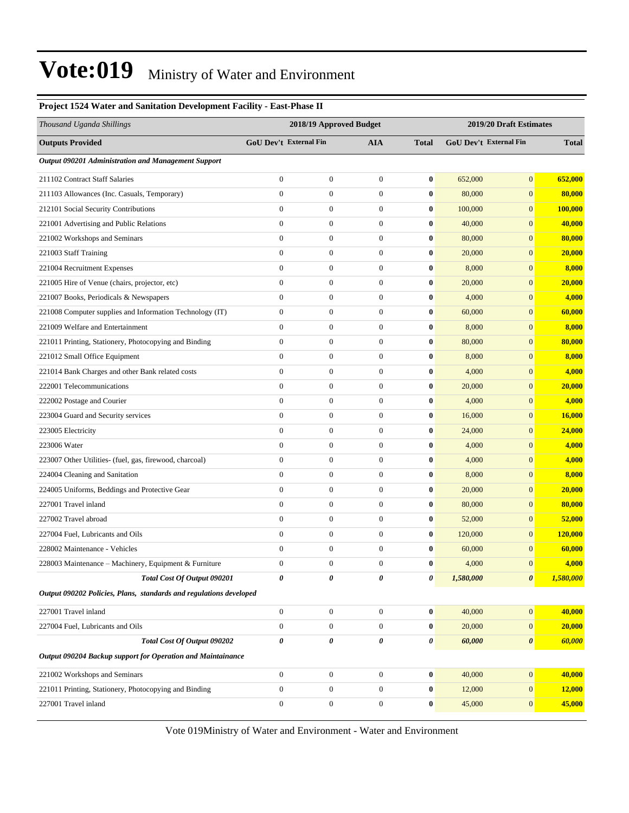| Project 1524 water and Samtation Development Pacinty - East-Phase II |                         |                        |                  |              |                         |                        |              |  |
|----------------------------------------------------------------------|-------------------------|------------------------|------------------|--------------|-------------------------|------------------------|--------------|--|
| Thousand Uganda Shillings                                            | 2018/19 Approved Budget |                        |                  |              | 2019/20 Draft Estimates |                        |              |  |
| <b>Outputs Provided</b>                                              |                         | GoU Dev't External Fin | <b>AIA</b>       | <b>Total</b> |                         | GoU Dev't External Fin | <b>Total</b> |  |
| Output 090201 Administration and Management Support                  |                         |                        |                  |              |                         |                        |              |  |
| 211102 Contract Staff Salaries                                       | $\boldsymbol{0}$        | $\boldsymbol{0}$       | $\boldsymbol{0}$ | $\bf{0}$     | 652,000                 | $\boldsymbol{0}$       | 652,000      |  |
| 211103 Allowances (Inc. Casuals, Temporary)                          | $\boldsymbol{0}$        | $\boldsymbol{0}$       | $\mathbf{0}$     | $\bf{0}$     | 80,000                  | $\boldsymbol{0}$       | 80,000       |  |
| 212101 Social Security Contributions                                 | $\boldsymbol{0}$        | $\boldsymbol{0}$       | $\mathbf{0}$     | $\bf{0}$     | 100,000                 | $\overline{0}$         | 100,000      |  |
| 221001 Advertising and Public Relations                              | $\boldsymbol{0}$        | $\boldsymbol{0}$       | $\mathbf{0}$     | $\bf{0}$     | 40,000                  | $\overline{0}$         | 40,000       |  |
| 221002 Workshops and Seminars                                        | $\boldsymbol{0}$        | $\boldsymbol{0}$       | $\mathbf{0}$     | $\bf{0}$     | 80,000                  | $\overline{0}$         | 80,000       |  |
| 221003 Staff Training                                                | $\overline{0}$          | $\boldsymbol{0}$       | $\boldsymbol{0}$ | $\bf{0}$     | 20,000                  | $\boldsymbol{0}$       | 20,000       |  |
| 221004 Recruitment Expenses                                          | $\boldsymbol{0}$        | $\boldsymbol{0}$       | $\mathbf{0}$     | $\bf{0}$     | 8,000                   | $\boldsymbol{0}$       | 8,000        |  |
| 221005 Hire of Venue (chairs, projector, etc)                        | $\boldsymbol{0}$        | $\boldsymbol{0}$       | $\mathbf{0}$     | $\bf{0}$     | 20,000                  | $\overline{0}$         | 20,000       |  |
| 221007 Books, Periodicals & Newspapers                               | $\boldsymbol{0}$        | $\boldsymbol{0}$       | $\mathbf{0}$     | $\bf{0}$     | 4,000                   | $\overline{0}$         | 4,000        |  |
| 221008 Computer supplies and Information Technology (IT)             | $\boldsymbol{0}$        | $\boldsymbol{0}$       | $\mathbf{0}$     | $\bf{0}$     | 60,000                  | $\overline{0}$         | 60,000       |  |
| 221009 Welfare and Entertainment                                     | $\overline{0}$          | $\boldsymbol{0}$       | $\mathbf{0}$     | $\bf{0}$     | 8,000                   | $\boldsymbol{0}$       | 8,000        |  |
| 221011 Printing, Stationery, Photocopying and Binding                | $\boldsymbol{0}$        | $\boldsymbol{0}$       | $\mathbf{0}$     | $\bf{0}$     | 80,000                  | $\boldsymbol{0}$       | 80,000       |  |
| 221012 Small Office Equipment                                        | $\boldsymbol{0}$        | $\boldsymbol{0}$       | $\mathbf{0}$     | $\bf{0}$     | 8,000                   | $\overline{0}$         | 8,000        |  |
| 221014 Bank Charges and other Bank related costs                     | $\boldsymbol{0}$        | $\boldsymbol{0}$       | $\mathbf{0}$     | $\bf{0}$     | 4,000                   | $\overline{0}$         | 4,000        |  |
| 222001 Telecommunications                                            | $\boldsymbol{0}$        | $\boldsymbol{0}$       | $\mathbf{0}$     | $\bf{0}$     | 20,000                  | $\overline{0}$         | 20,000       |  |
| 222002 Postage and Courier                                           | $\overline{0}$          | $\boldsymbol{0}$       | $\boldsymbol{0}$ | $\bf{0}$     | 4,000                   | $\boldsymbol{0}$       | 4,000        |  |
| 223004 Guard and Security services                                   | $\boldsymbol{0}$        | $\boldsymbol{0}$       | $\mathbf{0}$     | $\bf{0}$     | 16,000                  | $\boldsymbol{0}$       | 16,000       |  |
| 223005 Electricity                                                   | $\boldsymbol{0}$        | $\boldsymbol{0}$       | $\mathbf{0}$     | $\bf{0}$     | 24,000                  | $\overline{0}$         | 24,000       |  |
| 223006 Water                                                         | $\boldsymbol{0}$        | $\boldsymbol{0}$       | $\mathbf{0}$     | $\bf{0}$     | 4,000                   | $\overline{0}$         | 4,000        |  |
| 223007 Other Utilities- (fuel, gas, firewood, charcoal)              | $\boldsymbol{0}$        | $\boldsymbol{0}$       | $\mathbf{0}$     | $\bf{0}$     | 4,000                   | $\overline{0}$         | 4,000        |  |
| 224004 Cleaning and Sanitation                                       | $\overline{0}$          | $\boldsymbol{0}$       | $\boldsymbol{0}$ | $\bf{0}$     | 8,000                   | $\boldsymbol{0}$       | 8,000        |  |
| 224005 Uniforms, Beddings and Protective Gear                        | $\boldsymbol{0}$        | $\boldsymbol{0}$       | $\mathbf{0}$     | $\bf{0}$     | 20,000                  | $\boldsymbol{0}$       | 20,000       |  |
| 227001 Travel inland                                                 | $\boldsymbol{0}$        | $\boldsymbol{0}$       | $\mathbf{0}$     | $\bf{0}$     | 80,000                  | $\overline{0}$         | 80,000       |  |
| 227002 Travel abroad                                                 | $\boldsymbol{0}$        | $\boldsymbol{0}$       | $\mathbf{0}$     | $\bf{0}$     | 52,000                  | $\overline{0}$         | 52,000       |  |
| 227004 Fuel, Lubricants and Oils                                     | $\boldsymbol{0}$        | $\boldsymbol{0}$       | $\mathbf{0}$     | $\bf{0}$     | 120,000                 | $\overline{0}$         | 120,000      |  |
| 228002 Maintenance - Vehicles                                        | $\overline{0}$          | $\boldsymbol{0}$       | $\boldsymbol{0}$ | $\bf{0}$     | 60,000                  | $\overline{0}$         | 60,000       |  |
| 228003 Maintenance - Machinery, Equipment & Furniture                | $\Omega$                | $\mathbf{0}$           | $\mathbf{0}$     | $\mathbf{0}$ | 4,000                   | $\overline{0}$         | 4,000        |  |
| Total Cost Of Output 090201                                          | 0                       | 0                      | 0                | 0            | 1,580,000               | $\boldsymbol{\theta}$  | 1,580,000    |  |
| Output 090202 Policies, Plans, standards and regulations developed   |                         |                        |                  |              |                         |                        |              |  |
| 227001 Travel inland                                                 | $\boldsymbol{0}$        | $\boldsymbol{0}$       | $\boldsymbol{0}$ | $\bf{0}$     | 40,000                  | $\boldsymbol{0}$       | 40,000       |  |
| 227004 Fuel, Lubricants and Oils                                     | $\boldsymbol{0}$        | $\boldsymbol{0}$       | $\mathbf{0}$     | $\bf{0}$     | 20,000                  | $\mathbf{0}$           | 20,000       |  |
| Total Cost Of Output 090202                                          | 0                       | 0                      | 0                | 0            | 60,000                  | 0                      | 60,000       |  |
| Output 090204 Backup support for Operation and Maintainance          |                         |                        |                  |              |                         |                        |              |  |
| 221002 Workshops and Seminars                                        | $\boldsymbol{0}$        | $\boldsymbol{0}$       | $\boldsymbol{0}$ | $\bf{0}$     | 40,000                  | $\boldsymbol{0}$       | 40,000       |  |
| 221011 Printing, Stationery, Photocopying and Binding                | $\boldsymbol{0}$        | $\boldsymbol{0}$       | $\boldsymbol{0}$ | $\bf{0}$     | 12,000                  | $\mathbf{0}$           | 12,000       |  |
| 227001 Travel inland                                                 | $\boldsymbol{0}$        | $\boldsymbol{0}$       | $\boldsymbol{0}$ | $\bf{0}$     | 45,000                  | $\boldsymbol{0}$       | 45,000       |  |
|                                                                      |                         |                        |                  |              |                         |                        |              |  |

**Project 1524 Water and Sanitation Development Facility - East-Phase II**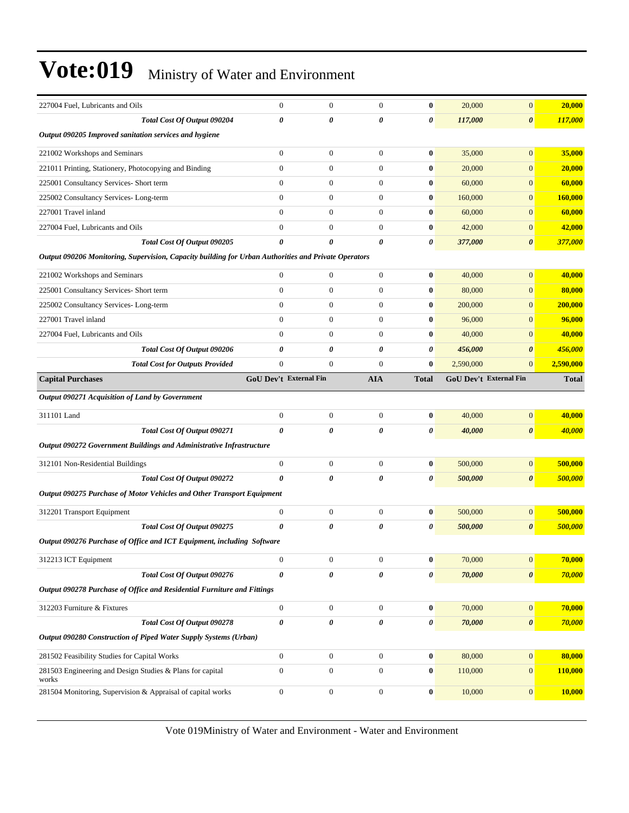| 227004 Fuel, Lubricants and Oils                                                                     | $\boldsymbol{0}$       | $\boldsymbol{0}$ | $\boldsymbol{0}$ | $\bf{0}$         | 20,000                 | $\mathbf{0}$          | 20,000       |
|------------------------------------------------------------------------------------------------------|------------------------|------------------|------------------|------------------|------------------------|-----------------------|--------------|
| Total Cost Of Output 090204                                                                          | 0                      | 0                | 0                | 0                | 117,000                | $\boldsymbol{\theta}$ | 117,000      |
| Output 090205 Improved sanitation services and hygiene                                               |                        |                  |                  |                  |                        |                       |              |
| 221002 Workshops and Seminars                                                                        | $\overline{0}$         | $\boldsymbol{0}$ | $\mathbf{0}$     | $\bf{0}$         | 35,000                 | $\mathbf{0}$          | 35,000       |
| 221011 Printing, Stationery, Photocopying and Binding                                                | $\boldsymbol{0}$       | $\boldsymbol{0}$ | $\boldsymbol{0}$ | $\bf{0}$         | 20,000                 | $\mathbf{0}$          | 20,000       |
| 225001 Consultancy Services- Short term                                                              | $\boldsymbol{0}$       | $\boldsymbol{0}$ | $\boldsymbol{0}$ | $\bf{0}$         | 60,000                 | $\mathbf{0}$          | 60,000       |
| 225002 Consultancy Services-Long-term                                                                | $\overline{0}$         | $\boldsymbol{0}$ | $\boldsymbol{0}$ | $\bf{0}$         | 160,000                | $\mathbf{0}$          | 160,000      |
| 227001 Travel inland                                                                                 | $\overline{0}$         | $\overline{0}$   | $\boldsymbol{0}$ | $\bf{0}$         | 60,000                 | $\mathbf{0}$          | 60,000       |
| 227004 Fuel, Lubricants and Oils                                                                     | $\overline{0}$         | $\boldsymbol{0}$ | $\boldsymbol{0}$ | $\bf{0}$         | 42,000                 | $\mathbf{0}$          | 42,000       |
| Total Cost Of Output 090205                                                                          | 0                      | 0                | 0                | 0                | 377,000                | $\boldsymbol{\theta}$ | 377,000      |
| Output 090206 Monitoring, Supervision, Capacity building for Urban Authorities and Private Operators |                        |                  |                  |                  |                        |                       |              |
| 221002 Workshops and Seminars                                                                        | $\boldsymbol{0}$       | $\mathbf{0}$     | $\boldsymbol{0}$ | $\bf{0}$         | 40,000                 | $\mathbf{0}$          | 40,000       |
| 225001 Consultancy Services- Short term                                                              | $\overline{0}$         | $\boldsymbol{0}$ | $\boldsymbol{0}$ | $\bf{0}$         | 80,000                 | $\boldsymbol{0}$      | 80,000       |
| 225002 Consultancy Services-Long-term                                                                | $\boldsymbol{0}$       | $\boldsymbol{0}$ | $\boldsymbol{0}$ | $\bf{0}$         | 200,000                | $\mathbf{0}$          | 200,000      |
| 227001 Travel inland                                                                                 | $\overline{0}$         | $\boldsymbol{0}$ | $\mathbf{0}$     | $\bf{0}$         | 96,000                 | $\mathbf{0}$          | 96,000       |
| 227004 Fuel, Lubricants and Oils                                                                     | $\overline{0}$         | $\boldsymbol{0}$ | $\boldsymbol{0}$ | $\bf{0}$         | 40,000                 | $\mathbf{0}$          | 40,000       |
| Total Cost Of Output 090206                                                                          | 0                      | 0                | 0                | 0                | 456,000                | $\boldsymbol{\theta}$ | 456,000      |
| <b>Total Cost for Outputs Provided</b>                                                               | $\boldsymbol{0}$       | $\boldsymbol{0}$ | $\boldsymbol{0}$ | $\bf{0}$         | 2,590,000              | $\mathbf{0}$          | 2,590,000    |
| <b>Capital Purchases</b>                                                                             | GoU Dev't External Fin |                  | <b>AIA</b>       | <b>Total</b>     | GoU Dev't External Fin |                       | <b>Total</b> |
| Output 090271 Acquisition of Land by Government                                                      |                        |                  |                  |                  |                        |                       |              |
| 311101 Land                                                                                          | $\boldsymbol{0}$       | $\boldsymbol{0}$ | $\boldsymbol{0}$ | $\bf{0}$         | 40,000                 | $\boldsymbol{0}$      | 40,000       |
|                                                                                                      |                        |                  |                  |                  |                        |                       |              |
| Total Cost Of Output 090271                                                                          | 0                      | 0                | 0                | 0                | 40,000                 | $\boldsymbol{\theta}$ | 40,000       |
| Output 090272 Government Buildings and Administrative Infrastructure                                 |                        |                  |                  |                  |                        |                       |              |
|                                                                                                      |                        |                  |                  |                  |                        |                       |              |
| 312101 Non-Residential Buildings                                                                     | $\boldsymbol{0}$       | $\mathbf{0}$     | $\boldsymbol{0}$ | $\bf{0}$         | 500,000                | $\boldsymbol{0}$      | 500,000      |
| Total Cost Of Output 090272                                                                          | 0                      | 0                | 0                | 0                | 500,000                | $\boldsymbol{\theta}$ | 500,000      |
| Output 090275 Purchase of Motor Vehicles and Other Transport Equipment                               |                        |                  |                  |                  |                        |                       |              |
| 312201 Transport Equipment                                                                           | $\boldsymbol{0}$       | $\boldsymbol{0}$ | $\boldsymbol{0}$ | $\bf{0}$         | 500,000                | $\mathbf{0}$          | 500,000      |
| Total Cost Of Output 090275                                                                          | 0                      | 0                | 0                | 0                | 500,000                | $\boldsymbol{\theta}$ | 500,000      |
| Output 090276 Purchase of Office and ICT Equipment, including Software                               |                        |                  |                  |                  |                        |                       |              |
| 312213 ICT Equipment                                                                                 | $\boldsymbol{0}$       | $\boldsymbol{0}$ | $\boldsymbol{0}$ | $\bf{0}$         | 70,000                 | $\boldsymbol{0}$      | 70,000       |
| Total Cost Of Output 090276                                                                          | $\boldsymbol{\theta}$  | 0                | 0                | 0                | 70,000                 | $\boldsymbol{\theta}$ | 70,000       |
| Output 090278 Purchase of Office and Residential Furniture and Fittings                              |                        |                  |                  |                  |                        |                       |              |
| 312203 Furniture & Fixtures                                                                          | $\boldsymbol{0}$       | $\boldsymbol{0}$ | $\boldsymbol{0}$ | $\boldsymbol{0}$ | 70,000                 | $\boldsymbol{0}$      | 70,000       |
| Total Cost Of Output 090278                                                                          | 0                      | 0                | $\pmb{\theta}$   | 0                | 70,000                 | $\pmb{\theta}$        | 70,000       |
| Output 090280 Construction of Piped Water Supply Systems (Urban)                                     |                        |                  |                  |                  |                        |                       |              |
| 281502 Feasibility Studies for Capital Works                                                         | $\boldsymbol{0}$       | $\boldsymbol{0}$ | $\boldsymbol{0}$ | $\boldsymbol{0}$ | 80,000                 | $\boldsymbol{0}$      | 80,000       |
| 281503 Engineering and Design Studies & Plans for capital                                            | $\overline{0}$         | $\boldsymbol{0}$ | $\boldsymbol{0}$ | $\bf{0}$         | 110,000                | $\boldsymbol{0}$      | 110,000      |
| works<br>281504 Monitoring, Supervision & Appraisal of capital works                                 | $\boldsymbol{0}$       | $\boldsymbol{0}$ | $\boldsymbol{0}$ | $\boldsymbol{0}$ | 10,000                 | $\boldsymbol{0}$      | 10,000       |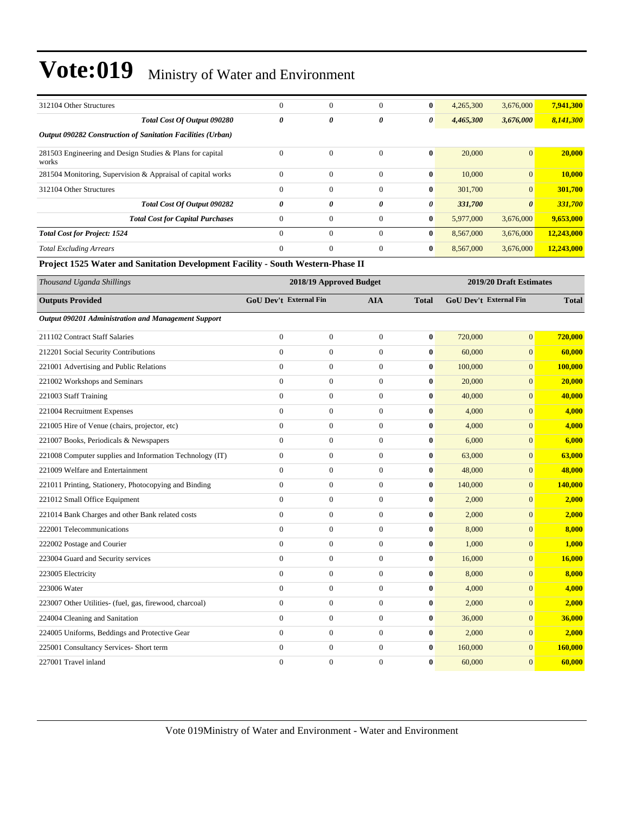| 312104 Other Structures                                            | $\mathbf{0}$ | $\overline{0}$ | $\theta$ | $\bf{0}$     | 4,265,300 | 3,676,000             | 7,941,300  |
|--------------------------------------------------------------------|--------------|----------------|----------|--------------|-----------|-----------------------|------------|
| Total Cost Of Output 090280                                        | 0            | 0              | 0        | $\theta$     | 4,465,300 | 3,676,000             | 8,141,300  |
| <b>Output 090282 Construction of Sanitation Facilities (Urban)</b> |              |                |          |              |           |                       |            |
| 281503 Engineering and Design Studies & Plans for capital<br>works | $\mathbf{0}$ | $\mathbf{0}$   | $\Omega$ | $\bf{0}$     | 20,000    | $\overline{0}$        | 20,000     |
| 281504 Monitoring, Supervision & Appraisal of capital works        | $\Omega$     | $\mathbf{0}$   | $\Omega$ | $\mathbf{0}$ | 10,000    | $\mathbf{0}$          | 10,000     |
| 312104 Other Structures                                            | $\Omega$     | $\overline{0}$ | $\Omega$ | $\bf{0}$     | 301,700   | $\overline{0}$        | 301,700    |
| Total Cost Of Output 090282                                        | 0            | 0              | 0        | $\theta$     | 331,700   | $\boldsymbol{\theta}$ | 331,700    |
| <b>Total Cost for Capital Purchases</b>                            | $\theta$     | $\overline{0}$ | $\Omega$ | $\bf{0}$     | 5,977,000 | 3,676,000             | 9,653,000  |
| <b>Total Cost for Project: 1524</b>                                | $\Omega$     | $\mathbf{0}$   | $\Omega$ | $\bf{0}$     | 8,567,000 | 3,676,000             | 12,243,000 |
| <b>Total Excluding Arrears</b>                                     | $\Omega$     | $\mathbf{0}$   | $\Omega$ | $\mathbf{0}$ | 8,567,000 | 3,676,000             | 12,243,000 |

#### **Project 1525 Water and Sanitation Development Facility - South Western-Phase II**

| Thousand Uganda Shillings                                | 2018/19 Approved Budget                     |                  |                  |              | 2019/20 Draft Estimates       |                |         |  |
|----------------------------------------------------------|---------------------------------------------|------------------|------------------|--------------|-------------------------------|----------------|---------|--|
| <b>Outputs Provided</b>                                  | <b>GoU Dev't External Fin</b><br><b>AIA</b> |                  | <b>Total</b>     |              | <b>GoU Dev't External Fin</b> |                |         |  |
| Output 090201 Administration and Management Support      |                                             |                  |                  |              |                               |                |         |  |
| 211102 Contract Staff Salaries                           | $\boldsymbol{0}$                            | $\mathbf{0}$     | $\boldsymbol{0}$ | $\bf{0}$     | 720,000                       | $\mathbf{0}$   | 720,000 |  |
| 212201 Social Security Contributions                     | $\overline{0}$                              | $\overline{0}$   | $\overline{0}$   | $\bf{0}$     | 60,000                        | $\overline{0}$ | 60,000  |  |
| 221001 Advertising and Public Relations                  | $\Omega$                                    | $\overline{0}$   | $\overline{0}$   | $\bf{0}$     | 100,000                       | $\overline{0}$ | 100,000 |  |
| 221002 Workshops and Seminars                            | $\overline{0}$                              | $\mathbf{0}$     | $\mathbf{0}$     | $\bf{0}$     | 20,000                        | $\mathbf{0}$   | 20,000  |  |
| 221003 Staff Training                                    | $\overline{0}$                              | $\boldsymbol{0}$ | $\mathbf{0}$     | $\bf{0}$     | 40,000                        | $\mathbf{0}$   | 40,000  |  |
| 221004 Recruitment Expenses                              | $\overline{0}$                              | $\mathbf{0}$     | $\mathbf{0}$     | $\bf{0}$     | 4,000                         | $\mathbf{0}$   | 4,000   |  |
| 221005 Hire of Venue (chairs, projector, etc)            | $\overline{0}$                              | $\boldsymbol{0}$ | $\mathbf{0}$     | $\bf{0}$     | 4,000                         | $\mathbf{0}$   | 4,000   |  |
| 221007 Books, Periodicals & Newspapers                   | $\Omega$                                    | $\overline{0}$   | $\Omega$         | $\bf{0}$     | 6,000                         | $\mathbf{0}$   | 6,000   |  |
| 221008 Computer supplies and Information Technology (IT) | $\overline{0}$                              | $\mathbf{0}$     | $\mathbf{0}$     | $\bf{0}$     | 63,000                        | $\mathbf{0}$   | 63,000  |  |
| 221009 Welfare and Entertainment                         | $\Omega$                                    | $\boldsymbol{0}$ | $\mathbf{0}$     | $\bf{0}$     | 48,000                        | $\mathbf{0}$   | 48,000  |  |
| 221011 Printing, Stationery, Photocopying and Binding    | $\overline{0}$                              | $\boldsymbol{0}$ | $\mathbf{0}$     | $\bf{0}$     | 140,000                       | $\mathbf{0}$   | 140,000 |  |
| 221012 Small Office Equipment                            | $\overline{0}$                              | $\overline{0}$   | $\mathbf{0}$     | $\bf{0}$     | 2,000                         | $\mathbf{0}$   | 2,000   |  |
| 221014 Bank Charges and other Bank related costs         | $\Omega$                                    | $\overline{0}$   | $\Omega$         | $\mathbf{0}$ | 2,000                         | $\Omega$       | 2,000   |  |
| 222001 Telecommunications                                | $\overline{0}$                              | $\boldsymbol{0}$ | $\mathbf{0}$     | $\bf{0}$     | 8,000                         | $\overline{0}$ | 8,000   |  |
| 222002 Postage and Courier                               | $\overline{0}$                              | $\overline{0}$   | $\mathbf{0}$     | $\bf{0}$     | 1.000                         | $\mathbf{0}$   | 1,000   |  |
| 223004 Guard and Security services                       | $\overline{0}$                              | $\mathbf{0}$     | $\mathbf{0}$     | $\bf{0}$     | 16,000                        | $\mathbf{0}$   | 16,000  |  |
| 223005 Electricity                                       | $\overline{0}$                              | $\boldsymbol{0}$ | $\mathbf{0}$     | $\bf{0}$     | 8,000                         | $\overline{0}$ | 8,000   |  |
| 223006 Water                                             | $\overline{0}$                              | $\boldsymbol{0}$ | $\mathbf{0}$     | $\bf{0}$     | 4,000                         | $\overline{0}$ | 4,000   |  |
| 223007 Other Utilities- (fuel, gas, firewood, charcoal)  | $\overline{0}$                              | $\mathbf{0}$     | $\mathbf{0}$     | $\bf{0}$     | 2,000                         | $\mathbf{0}$   | 2,000   |  |
| 224004 Cleaning and Sanitation                           | $\overline{0}$                              | $\boldsymbol{0}$ | $\mathbf{0}$     | $\bf{0}$     | 36,000                        | $\mathbf{0}$   | 36,000  |  |
| 224005 Uniforms, Beddings and Protective Gear            | $\mathbf{0}$                                | $\overline{0}$   | $\mathbf{0}$     | $\bf{0}$     | 2,000                         | $\mathbf{0}$   | 2,000   |  |
| 225001 Consultancy Services- Short term                  | $\overline{0}$                              | $\boldsymbol{0}$ | $\mathbf{0}$     | $\bf{0}$     | 160,000                       | $\mathbf{0}$   | 160,000 |  |
| 227001 Travel inland                                     | $\theta$                                    | $\mathbf{0}$     | $\theta$         | $\bf{0}$     | 60,000                        | $\Omega$       | 60,000  |  |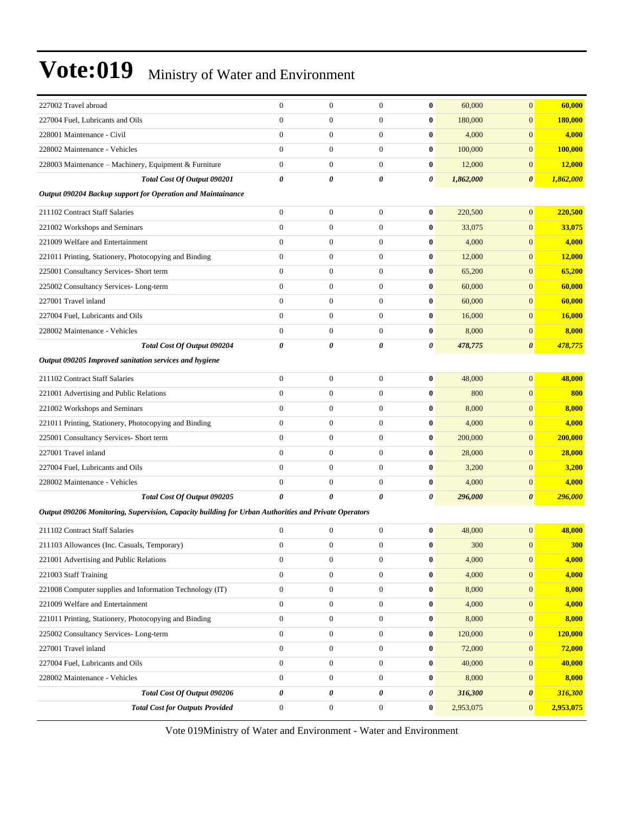| 227002 Travel abroad                                                                                 | $\boldsymbol{0}$      | $\boldsymbol{0}$ | $\mathbf{0}$     | $\bf{0}$ | 60,000    | $\overline{0}$        | 60,000     |  |  |  |
|------------------------------------------------------------------------------------------------------|-----------------------|------------------|------------------|----------|-----------|-----------------------|------------|--|--|--|
| 227004 Fuel, Lubricants and Oils                                                                     | $\mathbf{0}$          | $\boldsymbol{0}$ | $\boldsymbol{0}$ | $\bf{0}$ | 180,000   | $\overline{0}$        | 180,000    |  |  |  |
| 228001 Maintenance - Civil                                                                           | $\mathbf{0}$          | $\boldsymbol{0}$ | $\boldsymbol{0}$ | $\bf{0}$ | 4,000     | $\overline{0}$        | 4,000      |  |  |  |
| 228002 Maintenance - Vehicles                                                                        | $\mathbf{0}$          | $\boldsymbol{0}$ | $\overline{0}$   | $\bf{0}$ | 100,000   | $\overline{0}$        | 100,000    |  |  |  |
| 228003 Maintenance - Machinery, Equipment & Furniture                                                | $\mathbf{0}$          | $\boldsymbol{0}$ | $\boldsymbol{0}$ | $\bf{0}$ | 12,000    | $\mathbf{0}$          | 12,000     |  |  |  |
| Total Cost Of Output 090201                                                                          | $\boldsymbol{\theta}$ | 0                | 0                | 0        | 1,862,000 | $\boldsymbol{\theta}$ | 1,862,000  |  |  |  |
| Output 090204 Backup support for Operation and Maintainance                                          |                       |                  |                  |          |           |                       |            |  |  |  |
| 211102 Contract Staff Salaries                                                                       | $\mathbf{0}$          | $\boldsymbol{0}$ | $\boldsymbol{0}$ | $\bf{0}$ | 220,500   | $\overline{0}$        | 220,500    |  |  |  |
| 221002 Workshops and Seminars                                                                        | $\mathbf{0}$          | $\boldsymbol{0}$ | $\boldsymbol{0}$ | $\bf{0}$ | 33,075    | $\mathbf{0}$          | 33,075     |  |  |  |
| 221009 Welfare and Entertainment                                                                     | $\mathbf{0}$          | $\boldsymbol{0}$ | $\boldsymbol{0}$ | $\bf{0}$ | 4,000     | $\overline{0}$        | 4,000      |  |  |  |
| 221011 Printing, Stationery, Photocopying and Binding                                                | $\mathbf{0}$          | $\boldsymbol{0}$ | $\boldsymbol{0}$ | $\bf{0}$ | 12,000    | $\mathbf{0}$          | 12,000     |  |  |  |
| 225001 Consultancy Services- Short term                                                              | $\mathbf{0}$          | $\boldsymbol{0}$ | $\boldsymbol{0}$ | $\bf{0}$ | 65,200    | $\overline{0}$        | 65,200     |  |  |  |
| 225002 Consultancy Services-Long-term                                                                | $\mathbf{0}$          | $\boldsymbol{0}$ | $\mathbf{0}$     | $\bf{0}$ | 60,000    | $\overline{0}$        | 60,000     |  |  |  |
| 227001 Travel inland                                                                                 | $\mathbf{0}$          | $\boldsymbol{0}$ | $\boldsymbol{0}$ | $\bf{0}$ | 60,000    | $\overline{0}$        | 60,000     |  |  |  |
| 227004 Fuel, Lubricants and Oils                                                                     | $\mathbf{0}$          | $\boldsymbol{0}$ | $\boldsymbol{0}$ | $\bf{0}$ | 16,000    | $\overline{0}$        | 16,000     |  |  |  |
| 228002 Maintenance - Vehicles                                                                        | $\mathbf{0}$          | $\boldsymbol{0}$ | $\boldsymbol{0}$ | $\bf{0}$ | 8,000     | $\mathbf{0}$          | 8,000      |  |  |  |
| Total Cost Of Output 090204                                                                          | 0                     | $\theta$         | 0                | 0        | 478,775   | $\boldsymbol{\theta}$ | 478,775    |  |  |  |
| Output 090205 Improved sanitation services and hygiene                                               |                       |                  |                  |          |           |                       |            |  |  |  |
| 211102 Contract Staff Salaries                                                                       | $\mathbf{0}$          | $\boldsymbol{0}$ | $\boldsymbol{0}$ | $\bf{0}$ | 48,000    | $\boldsymbol{0}$      | 48,000     |  |  |  |
| 221001 Advertising and Public Relations                                                              | $\mathbf{0}$          | $\boldsymbol{0}$ | $\boldsymbol{0}$ | $\bf{0}$ | 800       | $\overline{0}$        | 800        |  |  |  |
| 221002 Workshops and Seminars                                                                        | $\mathbf{0}$          | $\overline{0}$   | $\overline{0}$   | $\bf{0}$ | 8,000     | $\overline{0}$        | 8,000      |  |  |  |
| 221011 Printing, Stationery, Photocopying and Binding                                                | $\mathbf{0}$          | $\boldsymbol{0}$ | $\mathbf{0}$     | $\bf{0}$ | 4,000     | $\overline{0}$        | 4,000      |  |  |  |
| 225001 Consultancy Services- Short term                                                              | $\mathbf{0}$          | $\boldsymbol{0}$ | $\boldsymbol{0}$ | $\bf{0}$ | 200,000   | $\boldsymbol{0}$      | 200,000    |  |  |  |
| 227001 Travel inland                                                                                 | $\mathbf{0}$          | $\boldsymbol{0}$ | $\boldsymbol{0}$ | $\bf{0}$ | 28,000    | $\boldsymbol{0}$      | 28,000     |  |  |  |
| 227004 Fuel, Lubricants and Oils                                                                     | $\mathbf{0}$          | $\boldsymbol{0}$ | $\boldsymbol{0}$ | $\bf{0}$ | 3,200     | $\overline{0}$        | 3,200      |  |  |  |
| 228002 Maintenance - Vehicles                                                                        | $\mathbf{0}$          | $\boldsymbol{0}$ | $\mathbf{0}$     | $\bf{0}$ | 4,000     | $\boldsymbol{0}$      | 4,000      |  |  |  |
| Total Cost Of Output 090205                                                                          | 0                     | 0                | 0                | 0        | 296,000   | 0                     | 296,000    |  |  |  |
| Output 090206 Monitoring, Supervision, Capacity building for Urban Authorities and Private Operators |                       |                  |                  |          |           |                       |            |  |  |  |
| 211102 Contract Staff Salaries                                                                       | $\boldsymbol{0}$      | $\boldsymbol{0}$ | $\boldsymbol{0}$ | $\bf{0}$ | 48,000    | $\overline{0}$        | 48,000     |  |  |  |
| 211103 Allowances (Inc. Casuals, Temporary)                                                          | $\mathbf{0}$          | $\boldsymbol{0}$ | $\mathbf{0}$     | $\bf{0}$ | 300       | $\overline{0}$        | <b>300</b> |  |  |  |
| 221001 Advertising and Public Relations                                                              | $\mathbf{0}$          | $\boldsymbol{0}$ | 0                | $\bf{0}$ | 4,000     | $\mathbf{0}$          | 4,000      |  |  |  |
| 221003 Staff Training                                                                                | $\boldsymbol{0}$      | $\boldsymbol{0}$ | $\boldsymbol{0}$ | $\bf{0}$ | 4,000     | $\boldsymbol{0}$      | 4,000      |  |  |  |
| 221008 Computer supplies and Information Technology (IT)                                             | $\boldsymbol{0}$      | $\boldsymbol{0}$ | $\boldsymbol{0}$ | $\bf{0}$ | 8,000     | $\mathbf{0}$          | 8,000      |  |  |  |
| 221009 Welfare and Entertainment                                                                     | $\boldsymbol{0}$      | $\boldsymbol{0}$ | $\boldsymbol{0}$ | $\bf{0}$ | 4,000     | $\mathbf{0}$          | 4,000      |  |  |  |
| 221011 Printing, Stationery, Photocopying and Binding                                                | $\boldsymbol{0}$      | $\boldsymbol{0}$ | $\boldsymbol{0}$ | $\bf{0}$ | 8,000     | $\mathbf{0}$          | 8,000      |  |  |  |
| 225002 Consultancy Services-Long-term                                                                | $\boldsymbol{0}$      | $\boldsymbol{0}$ | $\boldsymbol{0}$ | $\bf{0}$ | 120,000   | $\boldsymbol{0}$      | 120,000    |  |  |  |
| 227001 Travel inland                                                                                 | $\boldsymbol{0}$      | $\boldsymbol{0}$ | $\boldsymbol{0}$ | $\bf{0}$ | 72,000    | $\boldsymbol{0}$      | 72,000     |  |  |  |
| 227004 Fuel, Lubricants and Oils                                                                     | $\boldsymbol{0}$      | $\boldsymbol{0}$ | $\boldsymbol{0}$ | $\bf{0}$ | 40,000    | $\mathbf{0}$          | 40,000     |  |  |  |
| 228002 Maintenance - Vehicles                                                                        | $\boldsymbol{0}$      | $\boldsymbol{0}$ | $\boldsymbol{0}$ | $\bf{0}$ | 8,000     | $\mathbf{0}$          | 8,000      |  |  |  |
| Total Cost Of Output 090206                                                                          | $\pmb{\theta}$        | 0                | 0                | 0        | 316,300   | $\boldsymbol{\theta}$ | 316,300    |  |  |  |
| <b>Total Cost for Outputs Provided</b>                                                               | $\boldsymbol{0}$      | $\boldsymbol{0}$ | $\boldsymbol{0}$ | $\bf{0}$ | 2,953,075 | $\overline{0}$        | 2,953,075  |  |  |  |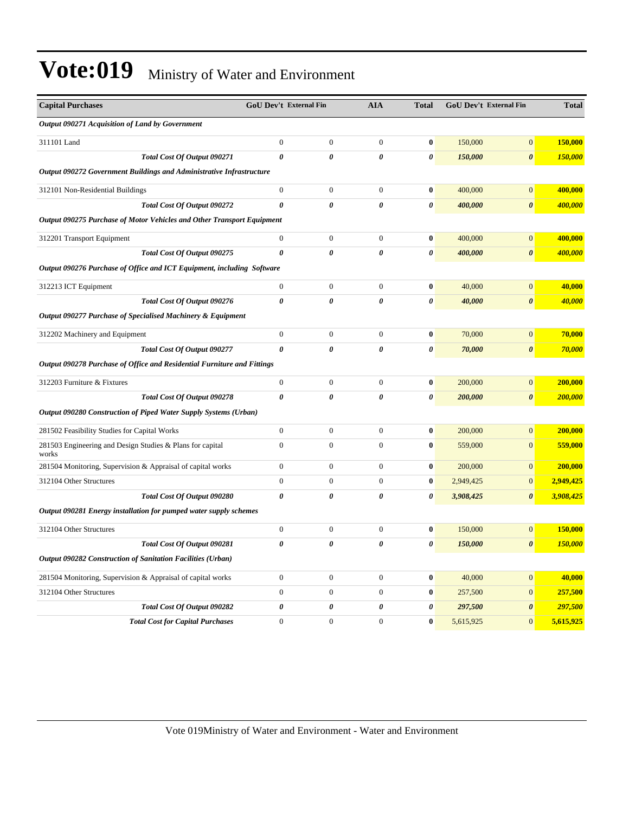| <b>Capital Purchases</b>                                                | <b>GoU Dev't External Fin</b> |                       | <b>AIA</b>            | <b>Total</b>          | GoU Dev't External Fin |                       | <b>Total</b> |
|-------------------------------------------------------------------------|-------------------------------|-----------------------|-----------------------|-----------------------|------------------------|-----------------------|--------------|
| Output 090271 Acquisition of Land by Government                         |                               |                       |                       |                       |                        |                       |              |
| 311101 Land                                                             | $\boldsymbol{0}$              | $\boldsymbol{0}$      | $\boldsymbol{0}$      | $\bf{0}$              | 150,000                | $\mathbf{0}$          | 150,000      |
| Total Cost Of Output 090271                                             | $\theta$                      | $\boldsymbol{\theta}$ | $\boldsymbol{\theta}$ | $\boldsymbol{\theta}$ | 150,000                | $\boldsymbol{\theta}$ | 150,000      |
| Output 090272 Government Buildings and Administrative Infrastructure    |                               |                       |                       |                       |                        |                       |              |
| 312101 Non-Residential Buildings                                        | $\boldsymbol{0}$              | $\overline{0}$        | $\overline{0}$        | $\bf{0}$              | 400,000                | $\overline{0}$        | 400,000      |
| Total Cost Of Output 090272                                             | $\theta$                      | $\boldsymbol{\theta}$ | $\boldsymbol{\theta}$ | $\boldsymbol{\theta}$ | 400,000                | $\boldsymbol{\theta}$ | 400,000      |
| Output 090275 Purchase of Motor Vehicles and Other Transport Equipment  |                               |                       |                       |                       |                        |                       |              |
| 312201 Transport Equipment                                              | $\boldsymbol{0}$              | $\boldsymbol{0}$      | $\mathbf{0}$          | $\bf{0}$              | 400,000                | $\boldsymbol{0}$      | 400,000      |
| Total Cost Of Output 090275                                             | $\boldsymbol{\theta}$         | 0                     | $\boldsymbol{\theta}$ | $\boldsymbol{\theta}$ | 400,000                | $\pmb{\theta}$        | 400,000      |
| Output 090276 Purchase of Office and ICT Equipment, including Software  |                               |                       |                       |                       |                        |                       |              |
| 312213 ICT Equipment                                                    | $\boldsymbol{0}$              | $\boldsymbol{0}$      | $\boldsymbol{0}$      | $\bf{0}$              | 40,000                 | $\overline{0}$        | 40,000       |
| Total Cost Of Output 090276                                             | $\theta$                      | 0                     | $\boldsymbol{\theta}$ | $\boldsymbol{\theta}$ | 40,000                 | $\boldsymbol{\theta}$ | 40,000       |
| Output 090277 Purchase of Specialised Machinery & Equipment             |                               |                       |                       |                       |                        |                       |              |
| 312202 Machinery and Equipment                                          | $\boldsymbol{0}$              | $\overline{0}$        | $\overline{0}$        | $\bf{0}$              | 70,000                 | $\boldsymbol{0}$      | 70,000       |
| Total Cost Of Output 090277                                             | $\theta$                      | 0                     | $\boldsymbol{\theta}$ | $\boldsymbol{\theta}$ | 70,000                 | $\boldsymbol{\theta}$ | 70,000       |
| Output 090278 Purchase of Office and Residential Furniture and Fittings |                               |                       |                       |                       |                        |                       |              |
| 312203 Furniture & Fixtures                                             | $\boldsymbol{0}$              | $\boldsymbol{0}$      | $\mathbf{0}$          | $\bf{0}$              | 200,000                | $\mathbf{0}$          | 200,000      |
| Total Cost Of Output 090278                                             | $\pmb{\theta}$                | 0                     | 0                     | 0                     | 200,000                | $\pmb{\theta}$        | 200,000      |
| Output 090280 Construction of Piped Water Supply Systems (Urban)        |                               |                       |                       |                       |                        |                       |              |
| 281502 Feasibility Studies for Capital Works                            | $\boldsymbol{0}$              | $\boldsymbol{0}$      | $\boldsymbol{0}$      | $\bf{0}$              | 200,000                | $\overline{0}$        | 200,000      |
| 281503 Engineering and Design Studies & Plans for capital<br>works      | $\overline{0}$                | $\overline{0}$        | $\overline{0}$        | $\bf{0}$              | 559,000                | $\mathbf{0}$          | 559,000      |
| 281504 Monitoring, Supervision & Appraisal of capital works             | $\overline{0}$                | $\overline{0}$        | $\mathbf{0}$          | $\bf{0}$              | 200,000                | $\mathbf{0}$          | 200,000      |
| 312104 Other Structures                                                 | $\overline{0}$                | $\boldsymbol{0}$      | $\boldsymbol{0}$      | $\boldsymbol{0}$      | 2,949,425              | $\boldsymbol{0}$      | 2,949,425    |
| Total Cost Of Output 090280                                             | $\pmb{\theta}$                | $\boldsymbol{\theta}$ | 0                     | 0                     | 3,908,425              | 0                     | 3,908,425    |
| Output 090281 Energy installation for pumped water supply schemes       |                               |                       |                       |                       |                        |                       |              |
| 312104 Other Structures                                                 | $\boldsymbol{0}$              | $\boldsymbol{0}$      | $\mathbf{0}$          | $\bf{0}$              | 150,000                | $\mathbf{0}$          | 150,000      |
| Total Cost Of Output 090281                                             | $\theta$                      | $\boldsymbol{\theta}$ | $\boldsymbol{\theta}$ | $\boldsymbol{\theta}$ | 150,000                | $\boldsymbol{\theta}$ | 150,000      |
| Output 090282 Construction of Sanitation Facilities (Urban)             |                               |                       |                       |                       |                        |                       |              |
| 281504 Monitoring, Supervision & Appraisal of capital works             | $\boldsymbol{0}$              | $\boldsymbol{0}$      | $\mathbf{0}$          | $\bf{0}$              | 40,000                 | $\overline{0}$        | 40,000       |
| 312104 Other Structures                                                 | $\overline{0}$                | $\overline{0}$        | $\overline{0}$        | $\bf{0}$              | 257,500                | $\overline{0}$        | 257,500      |
| Total Cost Of Output 090282                                             | 0                             | 0                     | $\boldsymbol{\theta}$ | $\boldsymbol{\theta}$ | 297,500                | $\boldsymbol{\theta}$ | 297,500      |
| <b>Total Cost for Capital Purchases</b>                                 | $\overline{0}$                | $\overline{0}$        | $\overline{0}$        | $\bf{0}$              | 5,615,925              | $\mathbf{0}$          | 5,615,925    |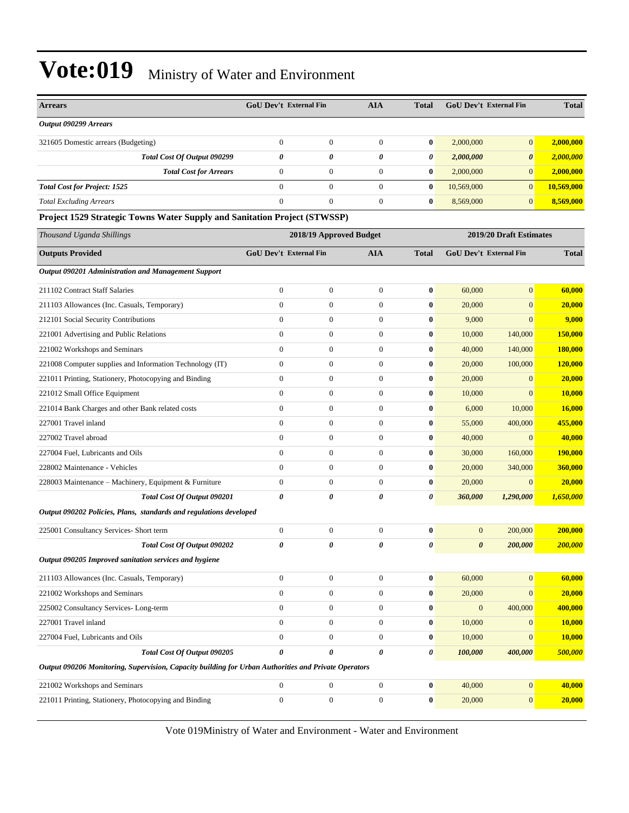| <b>Arrears</b>                                                                                       |                  | <b>GoU Dev't External Fin</b> | <b>AIA</b>              | <b>Total</b>          | <b>GoU Dev't External Fin</b> |                         | <b>Total</b> |
|------------------------------------------------------------------------------------------------------|------------------|-------------------------------|-------------------------|-----------------------|-------------------------------|-------------------------|--------------|
| Output 090299 Arrears                                                                                |                  |                               |                         |                       |                               |                         |              |
| 321605 Domestic arrears (Budgeting)                                                                  | $\mathbf{0}$     | $\boldsymbol{0}$              | $\mathbf{0}$            | $\bf{0}$              | 2,000,000                     | $\mathbf{0}$            | 2,000,000    |
| Total Cost Of Output 090299                                                                          | 0                | 0                             | $\pmb{\theta}$          | 0                     | 2,000,000                     | $\boldsymbol{\theta}$   | 2,000,000    |
| <b>Total Cost for Arrears</b>                                                                        | $\boldsymbol{0}$ | $\boldsymbol{0}$              | $\boldsymbol{0}$        | $\bf{0}$              | 2,000,000                     | $\mathbf{0}$            | 2,000,000    |
| <b>Total Cost for Project: 1525</b>                                                                  | $\overline{0}$   | $\boldsymbol{0}$              | $\theta$                | $\bf{0}$              | 10,569,000                    | $\overline{0}$          | 10,569,000   |
| <b>Total Excluding Arrears</b>                                                                       | $\Omega$         | $\mathbf{0}$                  | $\mathbf{0}$            | $\bf{0}$              | 8,569,000                     | $\mathbf{0}$            | 8,569,000    |
| Project 1529 Strategic Towns Water Supply and Sanitation Project (STWSSP)                            |                  |                               |                         |                       |                               |                         |              |
| Thousand Uganda Shillings                                                                            |                  |                               | 2018/19 Approved Budget |                       |                               | 2019/20 Draft Estimates |              |
| <b>Outputs Provided</b>                                                                              |                  | <b>GoU Dev't External Fin</b> | <b>AIA</b>              | <b>Total</b>          | <b>GoU Dev't External Fin</b> |                         | <b>Total</b> |
| <b>Output 090201 Administration and Management Support</b>                                           |                  |                               |                         |                       |                               |                         |              |
| 211102 Contract Staff Salaries                                                                       | $\mathbf{0}$     | $\boldsymbol{0}$              | $\mathbf{0}$            | $\bf{0}$              | 60,000                        | $\mathbf{0}$            | 60,000       |
| 211103 Allowances (Inc. Casuals, Temporary)                                                          | $\boldsymbol{0}$ | $\boldsymbol{0}$              | $\mathbf{0}$            | $\bf{0}$              | 20,000                        | $\mathbf{0}$            | 20,000       |
| 212101 Social Security Contributions                                                                 | $\boldsymbol{0}$ | $\boldsymbol{0}$              | $\boldsymbol{0}$        | $\bf{0}$              | 9,000                         | $\mathbf{0}$            | 9,000        |
| 221001 Advertising and Public Relations                                                              | $\mathbf{0}$     | $\boldsymbol{0}$              | $\theta$                | $\bf{0}$              | 10,000                        | 140,000                 | 150,000      |
| 221002 Workshops and Seminars                                                                        | $\mathbf{0}$     | $\boldsymbol{0}$              | $\boldsymbol{0}$        | $\bf{0}$              | 40,000                        | 140,000                 | 180,000      |
| 221008 Computer supplies and Information Technology (IT)                                             | $\mathbf{0}$     | $\boldsymbol{0}$              | $\mathbf{0}$            | $\bf{0}$              | 20,000                        | 100,000                 | 120,000      |
| 221011 Printing, Stationery, Photocopying and Binding                                                | $\boldsymbol{0}$ | $\boldsymbol{0}$              | $\mathbf{0}$            | $\bf{0}$              | 20,000                        | $\mathbf{0}$            | 20,000       |
| 221012 Small Office Equipment                                                                        | $\overline{0}$   | $\boldsymbol{0}$              | $\boldsymbol{0}$        | $\bf{0}$              | 10,000                        | $\mathbf{0}$            | 10,000       |
| 221014 Bank Charges and other Bank related costs                                                     | $\mathbf{0}$     | $\boldsymbol{0}$              | $\mathbf{0}$            | $\bf{0}$              | 6,000                         | 10,000                  | 16,000       |
| 227001 Travel inland                                                                                 | $\mathbf{0}$     | $\boldsymbol{0}$              | $\boldsymbol{0}$        | $\bf{0}$              | 55,000                        | 400,000                 | 455,000      |
| 227002 Travel abroad                                                                                 | $\overline{0}$   | $\mathbf{0}$                  | $\mathbf{0}$            | $\bf{0}$              | 40,000                        | $\mathbf{0}$            | 40,000       |
| 227004 Fuel, Lubricants and Oils                                                                     | $\mathbf{0}$     | $\boldsymbol{0}$              | $\theta$                | $\bf{0}$              | 30,000                        | 160,000                 | 190,000      |
| 228002 Maintenance - Vehicles                                                                        | $\overline{0}$   | $\boldsymbol{0}$              | $\boldsymbol{0}$        | 0                     | 20,000                        | 340,000                 | 360,000      |
| 228003 Maintenance – Machinery, Equipment & Furniture                                                | $\mathbf{0}$     | $\boldsymbol{0}$              | $\theta$                | 0                     | 20,000                        | $\mathbf{0}$            | 20,000       |
| Total Cost Of Output 090201                                                                          | 0                | 0                             | 0                       | 0                     | 360,000                       | 1,290,000               | 1,650,000    |
| Output 090202 Policies, Plans, standards and regulations developed                                   |                  |                               |                         |                       |                               |                         |              |
| 225001 Consultancy Services- Short term                                                              | $\boldsymbol{0}$ | $\boldsymbol{0}$              | $\mathbf{0}$            | $\bf{0}$              | $\overline{0}$                | 200,000                 | 200,000      |
| Total Cost Of Output 090202                                                                          | 0                | 0                             | 0                       | 0                     | $\boldsymbol{\theta}$         | 200,000                 | 200,000      |
| Output 090205 Improved sanitation services and hygiene                                               |                  |                               |                         |                       |                               |                         |              |
| 211103 Allowances (Inc. Casuals, Temporary)                                                          | $\boldsymbol{0}$ | $\boldsymbol{0}$              | $\boldsymbol{0}$        | $\bf{0}$              | 60,000                        | $\boldsymbol{0}$        | 60,000       |
| 221002 Workshops and Seminars                                                                        | $\boldsymbol{0}$ | $\boldsymbol{0}$              | $\boldsymbol{0}$        | $\bf{0}$              | 20,000                        | $\mathbf{0}$            | 20,000       |
| 225002 Consultancy Services-Long-term                                                                | $\boldsymbol{0}$ | $\boldsymbol{0}$              | $\mathbf{0}$            | $\bf{0}$              | $\mathbf{0}$                  | 400,000                 | 400,000      |
| 227001 Travel inland                                                                                 | $\boldsymbol{0}$ | $\boldsymbol{0}$              | $\mathbf{0}$            | $\bf{0}$              | 10,000                        | $\mathbf{0}$            | 10,000       |
| 227004 Fuel, Lubricants and Oils                                                                     | $\boldsymbol{0}$ | $\boldsymbol{0}$              | $\mathbf{0}$            | $\bf{0}$              | 10,000                        | $\mathbf{0}$            | 10,000       |
| Total Cost Of Output 090205                                                                          | 0                | 0                             | 0                       | $\boldsymbol{\theta}$ | 100,000                       | 400,000                 | 500,000      |
| Output 090206 Monitoring, Supervision, Capacity building for Urban Authorities and Private Operators |                  |                               |                         |                       |                               |                         |              |
| 221002 Workshops and Seminars                                                                        | $\boldsymbol{0}$ | $\boldsymbol{0}$              | $\mathbf{0}$            | $\bf{0}$              | 40,000                        | $\boldsymbol{0}$        | 40,000       |
| 221011 Printing, Stationery, Photocopying and Binding                                                | $\boldsymbol{0}$ | $\boldsymbol{0}$              | $\mathbf{0}$            | $\bf{0}$              | 20,000                        | $\mathbf{0}$            | 20,000       |
|                                                                                                      |                  |                               |                         |                       |                               |                         |              |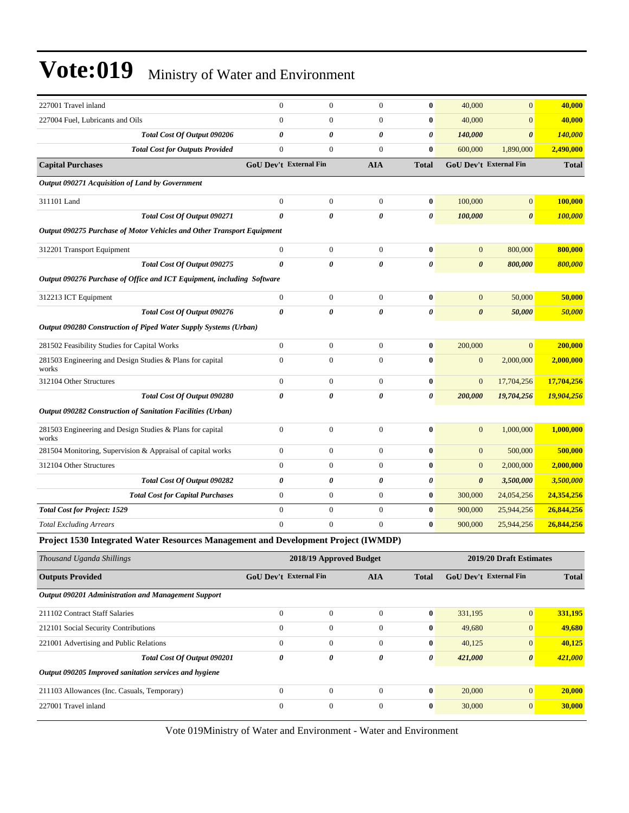| $\mathbf{0}$                                                           | $\mathbf{0}$     | $\Omega$                      | $\bf{0}$              |         | $\overline{0}$        | 40,000                                                                                                                                                                                                                                                           |
|------------------------------------------------------------------------|------------------|-------------------------------|-----------------------|---------|-----------------------|------------------------------------------------------------------------------------------------------------------------------------------------------------------------------------------------------------------------------------------------------------------|
| $\theta$                                                               | $\mathbf{0}$     | $\overline{0}$                | $\bf{0}$              |         | $\overline{0}$        | 40,000                                                                                                                                                                                                                                                           |
| $\boldsymbol{\theta}$                                                  | 0                | 0                             | $\boldsymbol{\theta}$ | 140,000 | $\boldsymbol{\theta}$ | 140,000                                                                                                                                                                                                                                                          |
| $\mathbf{0}$                                                           | $\overline{0}$   | $\Omega$                      | $\mathbf{0}$          |         | 1,890,000             | 2,490,000                                                                                                                                                                                                                                                        |
|                                                                        |                  | <b>AIA</b>                    | <b>Total</b>          |         |                       | <b>Total</b>                                                                                                                                                                                                                                                     |
|                                                                        |                  |                               |                       |         |                       |                                                                                                                                                                                                                                                                  |
| $\mathbf{0}$                                                           | $\boldsymbol{0}$ | $\mathbf{0}$                  | $\bf{0}$              | 100,000 | $\mathbf{0}$          | 100,000                                                                                                                                                                                                                                                          |
| $\theta$                                                               | 0                | 0                             | $\boldsymbol{\theta}$ | 100,000 | $\boldsymbol{\theta}$ | 100,000                                                                                                                                                                                                                                                          |
| Output 090275 Purchase of Motor Vehicles and Other Transport Equipment |                  |                               |                       |         |                       |                                                                                                                                                                                                                                                                  |
| $\boldsymbol{0}$                                                       | $\boldsymbol{0}$ | $\mathbf{0}$                  | $\bf{0}$              |         | 800,000               | 800,000                                                                                                                                                                                                                                                          |
| $\theta$                                                               | 0                | 0                             | 0                     |         | 800,000               | 800,000                                                                                                                                                                                                                                                          |
| Output 090276 Purchase of Office and ICT Equipment, including Software |                  |                               |                       |         |                       |                                                                                                                                                                                                                                                                  |
| $\boldsymbol{0}$                                                       | $\boldsymbol{0}$ | $\mathbf{0}$                  | $\bf{0}$              |         | 50,000                | 50,000                                                                                                                                                                                                                                                           |
| $\theta$                                                               | $\theta$         | 0                             | 0                     |         | 50,000                | 50,000                                                                                                                                                                                                                                                           |
| Output 090280 Construction of Piped Water Supply Systems (Urban)       |                  |                               |                       |         |                       |                                                                                                                                                                                                                                                                  |
| $\boldsymbol{0}$                                                       | $\boldsymbol{0}$ | $\mathbf{0}$                  | $\bf{0}$              |         | $\overline{0}$        | 200,000                                                                                                                                                                                                                                                          |
| $\theta$                                                               | $\overline{0}$   | $\theta$                      | $\mathbf{0}$          |         | 2,000,000             | 2,000,000                                                                                                                                                                                                                                                        |
| $\mathbf{0}$                                                           | $\boldsymbol{0}$ | $\overline{0}$                | $\bf{0}$              |         | 17,704,256            | 17,704,256                                                                                                                                                                                                                                                       |
| $\theta$                                                               | $\theta$         | 0                             | $\boldsymbol{\theta}$ | 200,000 | 19,704,256            | 19,904,256                                                                                                                                                                                                                                                       |
|                                                                        |                  |                               |                       |         |                       |                                                                                                                                                                                                                                                                  |
| $\mathbf{0}$                                                           | $\overline{0}$   | $\overline{0}$                | $\bf{0}$              |         | 1,000,000             | 1,000,000                                                                                                                                                                                                                                                        |
| $\mathbf{0}$                                                           | $\overline{0}$   | $\overline{0}$                | $\bf{0}$              |         | 500,000               | 500,000                                                                                                                                                                                                                                                          |
| $\mathbf{0}$                                                           | $\overline{0}$   | $\overline{0}$                | $\bf{0}$              |         | 2,000,000             | 2,000,000                                                                                                                                                                                                                                                        |
| $\boldsymbol{\theta}$                                                  | 0                | $\boldsymbol{\theta}$         | $\boldsymbol{\theta}$ |         | 3,500,000             | 3,500,000                                                                                                                                                                                                                                                        |
| $\boldsymbol{0}$                                                       | $\boldsymbol{0}$ | $\mathbf{0}$                  | $\bf{0}$              | 300,000 | 24,054,256            | 24,354,256                                                                                                                                                                                                                                                       |
| $\mathbf{0}$                                                           | $\boldsymbol{0}$ | $\overline{0}$                | $\bf{0}$              |         | 25,944,256            | 26,844,256                                                                                                                                                                                                                                                       |
| $\mathbf{0}$                                                           | $\boldsymbol{0}$ | $\mathbf{0}$                  | $\bf{0}$              | 900,000 | 25,944,256            | 26,844,256                                                                                                                                                                                                                                                       |
|                                                                        |                  | <b>GoU Dev't External Fin</b> |                       |         |                       | 40,000<br>40,000<br>600,000<br><b>GoU Dev't External Fin</b><br>$\mathbf{0}$<br>$\boldsymbol{\theta}$<br>$\mathbf{0}$<br>$\boldsymbol{\theta}$<br>200,000<br>$\mathbf{0}$<br>$\mathbf{0}$<br>$\mathbf{0}$<br>$\mathbf{0}$<br>$\mathbf{0}$<br>$\theta$<br>900,000 |

**Project 1530 Integrated Water Resources Management and Development Project (IWMDP)**

| Thousand Uganda Shillings                              |                               | 2018/19 Approved Budget |            |              |                               | 2019/20 Draft Estimates |              |
|--------------------------------------------------------|-------------------------------|-------------------------|------------|--------------|-------------------------------|-------------------------|--------------|
| <b>Outputs Provided</b>                                | <b>GoU Dev't External Fin</b> |                         | <b>AIA</b> | <b>Total</b> | <b>GoU</b> Dev't External Fin |                         | <b>Total</b> |
| Output 090201 Administration and Management Support    |                               |                         |            |              |                               |                         |              |
| 211102 Contract Staff Salaries                         | $\Omega$                      | $\mathbf{0}$            | $\Omega$   | $\mathbf{0}$ | 331,195                       | $\overline{0}$          | 331,195      |
| 212101 Social Security Contributions                   | $\Omega$                      | $\mathbf{0}$            | $\Omega$   | $\bf{0}$     | 49,680                        | $\mathbf{0}$            | 49,680       |
| 221001 Advertising and Public Relations                | $\theta$                      | $\mathbf{0}$            | $\Omega$   | $\bf{0}$     | 40,125                        | $\mathbf{0}$            | 40,125       |
| Total Cost Of Output 090201                            | $\boldsymbol{\theta}$         | $\boldsymbol{\theta}$   | 0          | 0            | 421,000                       | $\boldsymbol{\theta}$   | 421,000      |
| Output 090205 Improved sanitation services and hygiene |                               |                         |            |              |                               |                         |              |
| 211103 Allowances (Inc. Casuals, Temporary)            | $\Omega$                      | $\mathbf{0}$            | $\Omega$   | $\bf{0}$     | 20,000                        | $\overline{0}$          | 20,000       |
| 227001 Travel inland                                   | $\theta$                      | $\mathbf{0}$            | $\Omega$   | $\bf{0}$     | 30,000                        | $\mathbf{0}$            | 30,000       |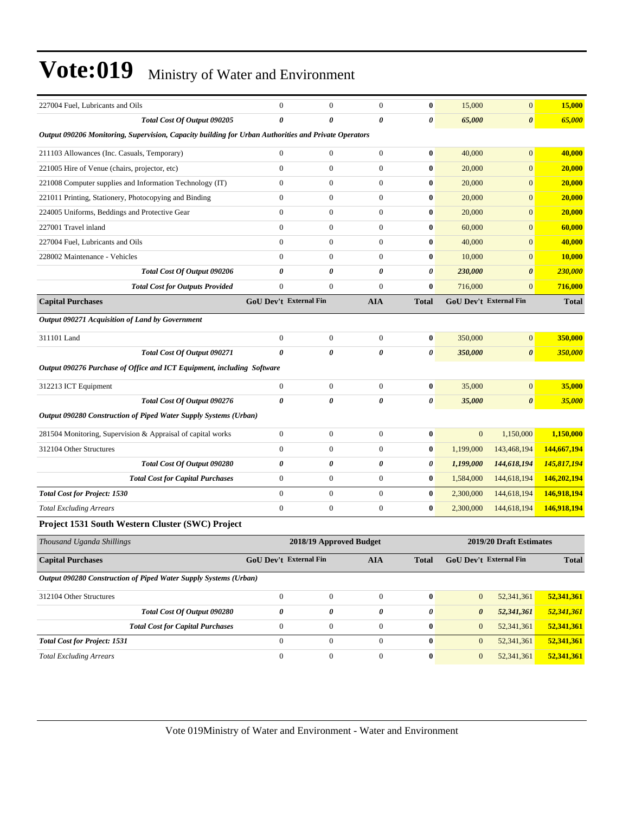| 227004 Fuel, Lubricants and Oils                                                                     | $\mathbf{0}$                  | $\boldsymbol{0}$        | $\mathbf{0}$          | $\bf{0}$       | 15,000                | $\overline{0}$          | 15,000       |
|------------------------------------------------------------------------------------------------------|-------------------------------|-------------------------|-----------------------|----------------|-----------------------|-------------------------|--------------|
| Total Cost Of Output 090205                                                                          | 0                             | 0                       | 0                     | 0              | 65,000                | $\boldsymbol{\theta}$   | 65,000       |
| Output 090206 Monitoring, Supervision, Capacity building for Urban Authorities and Private Operators |                               |                         |                       |                |                       |                         |              |
| 211103 Allowances (Inc. Casuals, Temporary)                                                          | $\overline{0}$                | $\boldsymbol{0}$        | $\theta$              | $\bf{0}$       | 40,000                | $\boldsymbol{0}$        | 40,000       |
| 221005 Hire of Venue (chairs, projector, etc)                                                        | $\overline{0}$                | $\boldsymbol{0}$        | $\boldsymbol{0}$      | $\bf{0}$       | 20,000                | $\boldsymbol{0}$        | 20,000       |
| 221008 Computer supplies and Information Technology (IT)                                             | $\boldsymbol{0}$              | $\boldsymbol{0}$        | $\boldsymbol{0}$      | $\bf{0}$       | 20,000                | $\overline{0}$          | 20,000       |
| 221011 Printing, Stationery, Photocopying and Binding                                                | $\boldsymbol{0}$              | $\boldsymbol{0}$        | $\boldsymbol{0}$      | $\bf{0}$       | 20,000                | $\boldsymbol{0}$        | 20,000       |
| 224005 Uniforms, Beddings and Protective Gear                                                        | $\overline{0}$                | $\boldsymbol{0}$        | $\theta$              | $\bf{0}$       | 20,000                | $\overline{0}$          | 20,000       |
| 227001 Travel inland                                                                                 | $\overline{0}$                | $\boldsymbol{0}$        | $\mathbf{0}$          | $\bf{0}$       | 60,000                | $\boldsymbol{0}$        | 60,000       |
| 227004 Fuel, Lubricants and Oils                                                                     | $\overline{0}$                | $\boldsymbol{0}$        | $\boldsymbol{0}$      | $\bf{0}$       | 40,000                | $\boldsymbol{0}$        | 40,000       |
| 228002 Maintenance - Vehicles                                                                        | $\overline{0}$                | $\boldsymbol{0}$        | $\boldsymbol{0}$      | $\bf{0}$       | 10,000                | $\overline{0}$          | 10,000       |
| Total Cost Of Output 090206                                                                          | 0                             | 0                       | 0                     | $\pmb{\theta}$ | 230,000               | $\boldsymbol{\theta}$   | 230,000      |
| <b>Total Cost for Outputs Provided</b>                                                               | $\overline{0}$                | $\overline{0}$          | $\theta$              | $\bf{0}$       | 716,000               | $\overline{0}$          | 716,000      |
| <b>Capital Purchases</b>                                                                             | <b>GoU Dev't External Fin</b> |                         | <b>AIA</b>            | <b>Total</b>   |                       | GoU Dev't External Fin  | <b>Total</b> |
| Output 090271 Acquisition of Land by Government                                                      |                               |                         |                       |                |                       |                         |              |
| 311101 Land                                                                                          | $\boldsymbol{0}$              | $\boldsymbol{0}$        | $\mathbf{0}$          | $\bf{0}$       | 350,000               | $\boldsymbol{0}$        | 350,000      |
| Total Cost Of Output 090271                                                                          | $\theta$                      | 0                       | 0                     | 0              | 350,000               | $\boldsymbol{\theta}$   | 350,000      |
| Output 090276 Purchase of Office and ICT Equipment, including Software                               |                               |                         |                       |                |                       |                         |              |
| 312213 ICT Equipment                                                                                 | $\boldsymbol{0}$              | $\boldsymbol{0}$        | $\mathbf{0}$          | $\bf{0}$       | 35,000                | $\boldsymbol{0}$        | 35,000       |
| Total Cost Of Output 090276                                                                          | $\theta$                      | 0                       | 0                     | 0              | 35,000                | $\boldsymbol{\theta}$   | 35,000       |
| Output 090280 Construction of Piped Water Supply Systems (Urban)                                     |                               |                         |                       |                |                       |                         |              |
| 281504 Monitoring, Supervision & Appraisal of capital works                                          | $\overline{0}$                | $\boldsymbol{0}$        | $\mathbf{0}$          | $\bf{0}$       | $\mathbf{0}$          | 1,150,000               | 1,150,000    |
| 312104 Other Structures                                                                              | $\boldsymbol{0}$              | $\boldsymbol{0}$        | $\mathbf{0}$          | $\bf{0}$       | 1,199,000             | 143,468,194             | 144,667,194  |
| Total Cost Of Output 090280                                                                          | 0                             | 0                       | $\boldsymbol{\theta}$ | 0              | 1,199,000             | 144,618,194             | 145,817,194  |
| <b>Total Cost for Capital Purchases</b>                                                              | $\boldsymbol{0}$              | $\boldsymbol{0}$        | $\boldsymbol{0}$      | $\bf{0}$       | 1,584,000             | 144,618,194             | 146,202,194  |
| <b>Total Cost for Project: 1530</b>                                                                  | $\overline{0}$                | $\boldsymbol{0}$        | $\boldsymbol{0}$      | $\bf{0}$       | 2,300,000             | 144,618,194             | 146,918,194  |
| <b>Total Excluding Arrears</b>                                                                       | $\boldsymbol{0}$              | $\boldsymbol{0}$        | $\mathbf{0}$          | $\bf{0}$       | 2,300,000             | 144,618,194             | 146,918,194  |
| Project 1531 South Western Cluster (SWC) Project                                                     |                               |                         |                       |                |                       |                         |              |
| Thousand Uganda Shillings                                                                            |                               | 2018/19 Approved Budget |                       |                |                       | 2019/20 Draft Estimates |              |
| <b>Capital Purchases</b>                                                                             | GoU Dev't External Fin        |                         | ${\bf A I A}$         | <b>Total</b>   |                       | GoU Dev't External Fin  | <b>Total</b> |
| Output 090280 Construction of Piped Water Supply Systems (Urban)                                     |                               |                         |                       |                |                       |                         |              |
| 312104 Other Structures                                                                              | $\boldsymbol{0}$              | $\boldsymbol{0}$        | $\boldsymbol{0}$      | $\bf{0}$       | $\mathbf{0}$          | 52,341,361              | 52,341,361   |
| Total Cost Of Output 090280                                                                          | 0                             | 0                       | $\pmb{\theta}$        | $\pmb{\theta}$ | $\boldsymbol{\theta}$ | 52,341,361              | 52,341,361   |
| <b>Total Cost for Capital Purchases</b>                                                              | $\boldsymbol{0}$              | $\boldsymbol{0}$        | $\boldsymbol{0}$      | $\bf{0}$       | $\mathbf{0}$          | 52,341,361              | 52,341,361   |
| <b>Total Cost for Project: 1531</b>                                                                  | $\boldsymbol{0}$              | $\boldsymbol{0}$        | $\mathbf{0}$          | $\bf{0}$       | $\mathbf{0}$          | 52,341,361              | 52,341,361   |
| <b>Total Excluding Arrears</b>                                                                       | $\boldsymbol{0}$              | $\boldsymbol{0}$        | $\boldsymbol{0}$      | $\bf{0}$       | $\boldsymbol{0}$      | 52,341,361              | 52,341,361   |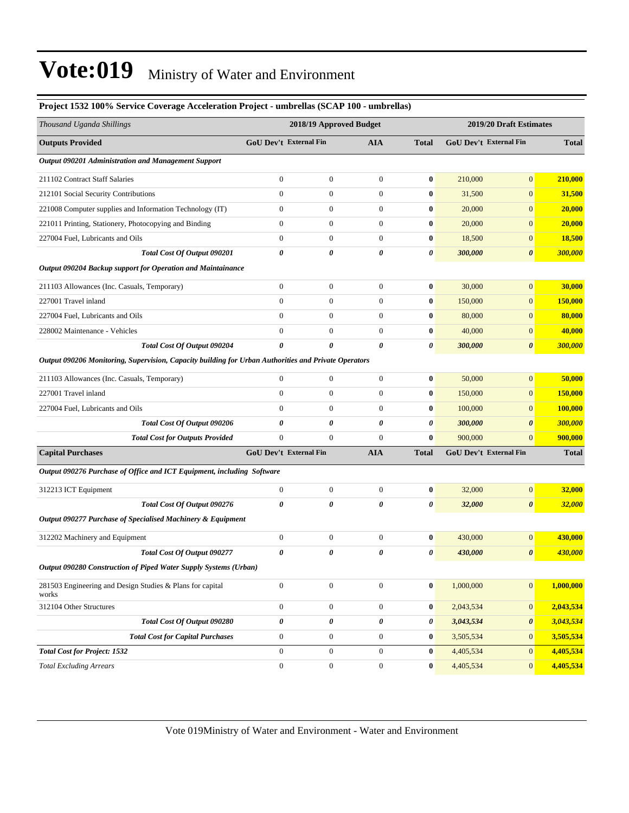#### **Project 1532 100% Service Coverage Acceleration Project - umbrellas (SCAP 100 - umbrellas)**

| Thousand Uganda Shillings                                                                            |                               | 2018/19 Approved Budget |                  |                  | 2019/20 Draft Estimates |                        |                |  |
|------------------------------------------------------------------------------------------------------|-------------------------------|-------------------------|------------------|------------------|-------------------------|------------------------|----------------|--|
| <b>Outputs Provided</b>                                                                              | <b>GoU Dev't External Fin</b> |                         | <b>AIA</b>       | <b>Total</b>     |                         | GoU Dev't External Fin | <b>Total</b>   |  |
| <b>Output 090201 Administration and Management Support</b>                                           |                               |                         |                  |                  |                         |                        |                |  |
| 211102 Contract Staff Salaries                                                                       | $\boldsymbol{0}$              | $\boldsymbol{0}$        | $\boldsymbol{0}$ | $\bf{0}$         | 210,000                 | $\mathbf{0}$           | 210,000        |  |
| 212101 Social Security Contributions                                                                 | $\mathbf{0}$                  | $\boldsymbol{0}$        | $\boldsymbol{0}$ | $\bf{0}$         | 31,500                  | $\mathbf{0}$           | 31,500         |  |
| 221008 Computer supplies and Information Technology (IT)                                             | $\boldsymbol{0}$              | $\boldsymbol{0}$        | $\boldsymbol{0}$ | $\bf{0}$         | 20,000                  | $\mathbf{0}$           | 20,000         |  |
| 221011 Printing, Stationery, Photocopying and Binding                                                | $\boldsymbol{0}$              | $\boldsymbol{0}$        | $\boldsymbol{0}$ | $\bf{0}$         | 20,000                  | $\overline{0}$         | 20,000         |  |
| 227004 Fuel, Lubricants and Oils                                                                     | $\mathbf{0}$                  | $\boldsymbol{0}$        | $\boldsymbol{0}$ | 0                | 18,500                  | $\mathbf{0}$           | <b>18,500</b>  |  |
| Total Cost Of Output 090201                                                                          | $\boldsymbol{\theta}$         | 0                       | 0                | 0                | 300,000                 | $\boldsymbol{\theta}$  | 300,000        |  |
| Output 090204 Backup support for Operation and Maintainance                                          |                               |                         |                  |                  |                         |                        |                |  |
| 211103 Allowances (Inc. Casuals, Temporary)                                                          | $\boldsymbol{0}$              | $\boldsymbol{0}$        | $\boldsymbol{0}$ | 0                | 30,000                  | $\boldsymbol{0}$       | 30,000         |  |
| 227001 Travel inland                                                                                 | $\mathbf{0}$                  | $\boldsymbol{0}$        | $\boldsymbol{0}$ | $\bf{0}$         | 150,000                 | $\mathbf{0}$           | <b>150,000</b> |  |
| 227004 Fuel, Lubricants and Oils                                                                     | $\mathbf{0}$                  | $\overline{0}$          | $\boldsymbol{0}$ | $\bf{0}$         | 80,000                  | $\mathbf{0}$           | 80,000         |  |
| 228002 Maintenance - Vehicles                                                                        | $\mathbf{0}$                  | $\overline{0}$          | $\mathbf{0}$     | $\bf{0}$         | 40,000                  | $\mathbf{0}$           | 40,000         |  |
| Total Cost Of Output 090204                                                                          | $\boldsymbol{\theta}$         | 0                       | 0                | 0                | 300,000                 | $\boldsymbol{\theta}$  | 300,000        |  |
| Output 090206 Monitoring, Supervision, Capacity building for Urban Authorities and Private Operators |                               |                         |                  |                  |                         |                        |                |  |
| 211103 Allowances (Inc. Casuals, Temporary)                                                          | $\boldsymbol{0}$              | $\boldsymbol{0}$        | $\boldsymbol{0}$ | $\boldsymbol{0}$ | 50,000                  | $\boldsymbol{0}$       | 50,000         |  |
| 227001 Travel inland                                                                                 | $\mathbf{0}$                  | $\boldsymbol{0}$        | $\boldsymbol{0}$ | $\boldsymbol{0}$ | 150,000                 | $\boldsymbol{0}$       | <b>150,000</b> |  |
| 227004 Fuel, Lubricants and Oils                                                                     | $\mathbf{0}$                  | $\boldsymbol{0}$        | $\boldsymbol{0}$ | $\bf{0}$         | 100,000                 | $\mathbf{0}$           | 100,000        |  |
| Total Cost Of Output 090206                                                                          | 0                             | 0                       | 0                | 0                | 300,000                 | $\boldsymbol{\theta}$  | 300,000        |  |
| <b>Total Cost for Outputs Provided</b>                                                               | $\mathbf{0}$                  | $\boldsymbol{0}$        | $\boldsymbol{0}$ | $\bf{0}$         | 900,000                 | $\mathbf{0}$           | 900,000        |  |
| <b>Capital Purchases</b>                                                                             | GoU Dev't External Fin        |                         | <b>AIA</b>       | <b>Total</b>     |                         | GoU Dev't External Fin | <b>Total</b>   |  |
| Output 090276 Purchase of Office and ICT Equipment, including Software                               |                               |                         |                  |                  |                         |                        |                |  |
| 312213 ICT Equipment                                                                                 | $\boldsymbol{0}$              | $\boldsymbol{0}$        | $\boldsymbol{0}$ | 0                | 32,000                  | $\boldsymbol{0}$       | 32,000         |  |
| Total Cost Of Output 090276                                                                          | $\pmb{\theta}$                | 0                       | 0                | 0                | 32,000                  | $\boldsymbol{\theta}$  | <b>32,000</b>  |  |
| Output 090277 Purchase of Specialised Machinery & Equipment                                          |                               |                         |                  |                  |                         |                        |                |  |
| 312202 Machinery and Equipment                                                                       | $\boldsymbol{0}$              | $\boldsymbol{0}$        | $\boldsymbol{0}$ | 0                | 430,000                 | $\mathbf{0}$           | 430,000        |  |
| Total Cost Of Output 090277                                                                          | 0                             | 0                       | 0                | 0                | 430,000                 | $\boldsymbol{\theta}$  | 430,000        |  |
| Output 090280 Construction of Piped Water Supply Systems (Urban)                                     |                               |                         |                  |                  |                         |                        |                |  |
| 281503 Engineering and Design Studies & Plans for capital<br>works                                   | $\mathbf{0}$                  | $\boldsymbol{0}$        | $\mathbf{0}$     | $\bf{0}$         | 1,000,000               | $\mathbf{0}$           | 1,000,000      |  |
| 312104 Other Structures                                                                              | $\boldsymbol{0}$              | $\boldsymbol{0}$        | $\boldsymbol{0}$ | $\boldsymbol{0}$ | 2,043,534               | $\mathbf{0}$           | 2,043,534      |  |
| Total Cost Of Output 090280                                                                          | $\pmb{\theta}$                | 0                       | 0                | 0                | 3,043,534               | $\pmb{\theta}$         | 3,043,534      |  |
| <b>Total Cost for Capital Purchases</b>                                                              | $\boldsymbol{0}$              | $\boldsymbol{0}$        | $\boldsymbol{0}$ | $\boldsymbol{0}$ | 3,505,534               | $\boldsymbol{0}$       | 3,505,534      |  |
| <b>Total Cost for Project: 1532</b>                                                                  | $\mathbf{0}$                  | $\boldsymbol{0}$        | $\boldsymbol{0}$ | $\bf{0}$         | 4,405,534               | $\mathbf{0}$           | 4,405,534      |  |
| <b>Total Excluding Arrears</b>                                                                       | $\boldsymbol{0}$              | $\boldsymbol{0}$        | $\boldsymbol{0}$ | $\bf{0}$         | 4,405,534               | $\mathbf{0}$           | 4,405,534      |  |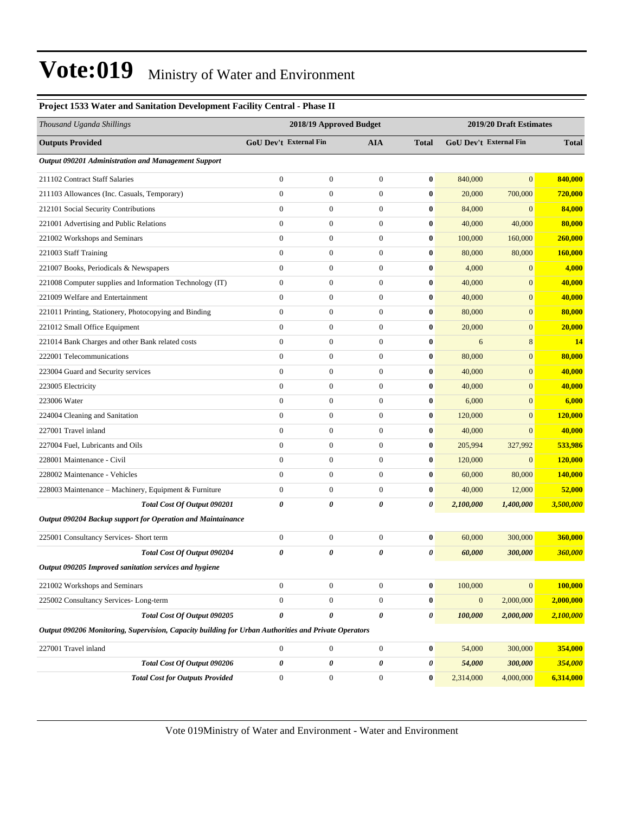| Thousand Uganda Shillings                                                                            |                  | 2018/19 Approved Budget |                       |                  |                  | 2019/20 Draft Estimates |                |  |
|------------------------------------------------------------------------------------------------------|------------------|-------------------------|-----------------------|------------------|------------------|-------------------------|----------------|--|
| <b>Outputs Provided</b>                                                                              |                  | GoU Dev't External Fin  | <b>AIA</b>            | <b>Total</b>     |                  | GoU Dev't External Fin  | <b>Total</b>   |  |
| Output 090201 Administration and Management Support                                                  |                  |                         |                       |                  |                  |                         |                |  |
| 211102 Contract Staff Salaries                                                                       | $\boldsymbol{0}$ | $\boldsymbol{0}$        | $\boldsymbol{0}$      | $\bf{0}$         | 840,000          | $\overline{0}$          | 840,000        |  |
| 211103 Allowances (Inc. Casuals, Temporary)                                                          | $\boldsymbol{0}$ | $\boldsymbol{0}$        | $\boldsymbol{0}$      | $\bf{0}$         | 20,000           | 700,000                 | <b>720,000</b> |  |
| 212101 Social Security Contributions                                                                 | $\boldsymbol{0}$ | $\boldsymbol{0}$        | $\boldsymbol{0}$      | $\bf{0}$         | 84,000           | $\mathbf{0}$            | 84,000         |  |
| 221001 Advertising and Public Relations                                                              | $\boldsymbol{0}$ | $\boldsymbol{0}$        | $\boldsymbol{0}$      | $\bf{0}$         | 40,000           | 40,000                  | 80,000         |  |
| 221002 Workshops and Seminars                                                                        | $\overline{0}$   | $\boldsymbol{0}$        | $\boldsymbol{0}$      | $\bf{0}$         | 100,000          | 160,000                 | 260,000        |  |
| 221003 Staff Training                                                                                | $\boldsymbol{0}$ | $\boldsymbol{0}$        | $\boldsymbol{0}$      | $\bf{0}$         | 80,000           | 80,000                  | 160,000        |  |
| 221007 Books, Periodicals & Newspapers                                                               | $\overline{0}$   | $\boldsymbol{0}$        | $\boldsymbol{0}$      | $\bf{0}$         | 4,000            | $\mathbf{0}$            | 4,000          |  |
| 221008 Computer supplies and Information Technology (IT)                                             | $\boldsymbol{0}$ | $\boldsymbol{0}$        | $\mathbf{0}$          | $\bf{0}$         | 40,000           | $\boldsymbol{0}$        | 40,000         |  |
| 221009 Welfare and Entertainment                                                                     | $\overline{0}$   | $\boldsymbol{0}$        | $\boldsymbol{0}$      | $\bf{0}$         | 40,000           | $\boldsymbol{0}$        | 40,000         |  |
| 221011 Printing, Stationery, Photocopying and Binding                                                | $\overline{0}$   | $\boldsymbol{0}$        | $\mathbf{0}$          | $\bf{0}$         | 80,000           | $\boldsymbol{0}$        | 80,000         |  |
| 221012 Small Office Equipment                                                                        | $\boldsymbol{0}$ | $\boldsymbol{0}$        | $\mathbf{0}$          | $\bf{0}$         | 20,000           | $\boldsymbol{0}$        | 20,000         |  |
| 221014 Bank Charges and other Bank related costs                                                     | $\boldsymbol{0}$ | $\boldsymbol{0}$        | $\mathbf{0}$          | $\bf{0}$         | 6                | 8                       | 14             |  |
| 222001 Telecommunications                                                                            | $\boldsymbol{0}$ | $\boldsymbol{0}$        | $\mathbf{0}$          | $\bf{0}$         | 80,000           | $\boldsymbol{0}$        | 80,000         |  |
| 223004 Guard and Security services                                                                   | $\overline{0}$   | $\boldsymbol{0}$        | $\boldsymbol{0}$      | $\bf{0}$         | 40,000           | $\boldsymbol{0}$        | 40,000         |  |
| 223005 Electricity                                                                                   | $\overline{0}$   | $\boldsymbol{0}$        | $\mathbf{0}$          | $\bf{0}$         | 40,000           | $\overline{0}$          | 40,000         |  |
| 223006 Water                                                                                         | $\boldsymbol{0}$ | $\boldsymbol{0}$        | $\mathbf{0}$          | $\bf{0}$         | 6,000            | $\mathbf{0}$            | 6,000          |  |
| 224004 Cleaning and Sanitation                                                                       | $\boldsymbol{0}$ | $\boldsymbol{0}$        | $\mathbf{0}$          | $\bf{0}$         | 120,000          | $\mathbf{0}$            | <b>120,000</b> |  |
| 227001 Travel inland                                                                                 | $\boldsymbol{0}$ | $\boldsymbol{0}$        | $\mathbf{0}$          | $\bf{0}$         | 40,000           | $\boldsymbol{0}$        | 40,000         |  |
| 227004 Fuel, Lubricants and Oils                                                                     | $\overline{0}$   | $\boldsymbol{0}$        | $\boldsymbol{0}$      | $\bf{0}$         | 205,994          | 327,992                 | 533,986        |  |
| 228001 Maintenance - Civil                                                                           | $\overline{0}$   | $\boldsymbol{0}$        | $\mathbf{0}$          | $\bf{0}$         | 120,000          | $\mathbf{0}$            | 120,000        |  |
| 228002 Maintenance - Vehicles                                                                        | $\overline{0}$   | $\boldsymbol{0}$        | $\mathbf{0}$          | $\bf{0}$         | 60,000           | 80,000                  | 140,000        |  |
| 228003 Maintenance – Machinery, Equipment & Furniture                                                | $\boldsymbol{0}$ | $\boldsymbol{0}$        | $\mathbf{0}$          | $\bf{0}$         | 40,000           | 12,000                  | 52,000         |  |
| Total Cost Of Output 090201                                                                          | 0                | 0                       | 0                     | 0                | 2,100,000        | 1,400,000               | 3,500,000      |  |
| Output 090204 Backup support for Operation and Maintainance                                          |                  |                         |                       |                  |                  |                         |                |  |
| 225001 Consultancy Services- Short term                                                              | $\boldsymbol{0}$ | $\boldsymbol{0}$        | $\mathbf{0}$          | $\bf{0}$         | 60,000           | 300,000                 | 360,000        |  |
| Total Cost Of Output 090204                                                                          | 0                | 0                       | 0                     | 0                | 60,000           | 300,000                 | 360,000        |  |
| Output 090205 Improved sanitation services and hygiene                                               |                  |                         |                       |                  |                  |                         |                |  |
| 221002 Workshops and Seminars                                                                        | $\boldsymbol{0}$ | $\boldsymbol{0}$        | $\mathbf{0}$          | $\bf{0}$         | 100,000          | $\mathbf{0}$            | 100,000        |  |
| 225002 Consultancy Services-Long-term                                                                | $\boldsymbol{0}$ | $\boldsymbol{0}$        | $\mathbf{0}$          | $\bf{0}$         | $\boldsymbol{0}$ | 2,000,000               | 2,000,000      |  |
| Total Cost Of Output 090205                                                                          | 0                | 0                       | $\boldsymbol{\theta}$ | 0                | 100,000          | 2,000,000               | 2,100,000      |  |
| Output 090206 Monitoring, Supervision, Capacity building for Urban Authorities and Private Operators |                  |                         |                       |                  |                  |                         |                |  |
| 227001 Travel inland                                                                                 | $\boldsymbol{0}$ | $\boldsymbol{0}$        | $\boldsymbol{0}$      | $\bf{0}$         | 54,000           | 300,000                 | 354,000        |  |
| Total Cost Of Output 090206                                                                          | 0                | 0                       | 0                     | 0                | 54,000           | 300,000                 | 354,000        |  |
| <b>Total Cost for Outputs Provided</b>                                                               | $\boldsymbol{0}$ | $\boldsymbol{0}$        | $\boldsymbol{0}$      | $\boldsymbol{0}$ | 2,314,000        | 4,000,000               | 6,314,000      |  |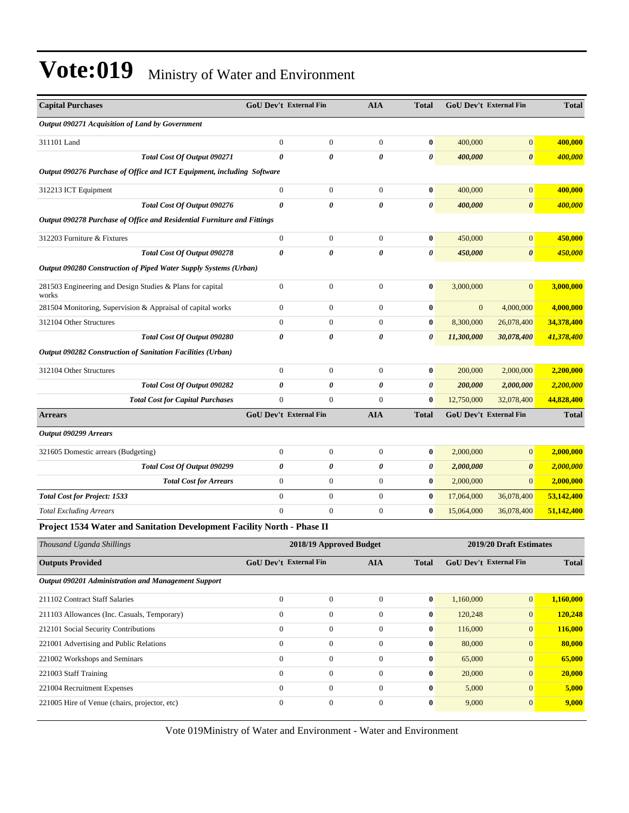| <b>Capital Purchases</b>                                                | <b>GoU Dev't External Fin</b> |                         | <b>AIA</b>       | <b>Total</b> | <b>GoU Dev't External Fin</b> |                         | <b>Total</b> |
|-------------------------------------------------------------------------|-------------------------------|-------------------------|------------------|--------------|-------------------------------|-------------------------|--------------|
| Output 090271 Acquisition of Land by Government                         |                               |                         |                  |              |                               |                         |              |
| 311101 Land                                                             | $\theta$                      | $\boldsymbol{0}$        | $\mathbf{0}$     | $\bf{0}$     | 400,000                       | $\boldsymbol{0}$        | 400,000      |
| Total Cost Of Output 090271                                             | 0                             | 0                       | 0                | 0            | 400,000                       | $\boldsymbol{\theta}$   | 400,000      |
| Output 090276 Purchase of Office and ICT Equipment, including Software  |                               |                         |                  |              |                               |                         |              |
| 312213 ICT Equipment                                                    | $\mathbf{0}$                  | $\boldsymbol{0}$        | $\boldsymbol{0}$ | $\bf{0}$     | 400,000                       | $\boldsymbol{0}$        | 400,000      |
| Total Cost Of Output 090276                                             | $\boldsymbol{\theta}$         | 0                       | 0                | 0            | 400,000                       | $\boldsymbol{\theta}$   | 400,000      |
| Output 090278 Purchase of Office and Residential Furniture and Fittings |                               |                         |                  |              |                               |                         |              |
| 312203 Furniture & Fixtures                                             | $\boldsymbol{0}$              | $\boldsymbol{0}$        | $\boldsymbol{0}$ | $\bf{0}$     | 450,000                       | $\overline{0}$          | 450,000      |
| Total Cost Of Output 090278                                             | 0                             | 0                       | 0                | 0            | 450,000                       | $\boldsymbol{\theta}$   | 450,000      |
| Output 090280 Construction of Piped Water Supply Systems (Urban)        |                               |                         |                  |              |                               |                         |              |
| 281503 Engineering and Design Studies & Plans for capital<br>works      | $\boldsymbol{0}$              | $\boldsymbol{0}$        | $\boldsymbol{0}$ | $\bf{0}$     | 3,000,000                     | $\overline{0}$          | 3,000,000    |
| 281504 Monitoring, Supervision & Appraisal of capital works             | $\boldsymbol{0}$              | $\boldsymbol{0}$        | $\boldsymbol{0}$ | $\bf{0}$     | $\mathbf{0}$                  | 4,000,000               | 4,000,000    |
| 312104 Other Structures                                                 | $\mathbf{0}$                  | $\boldsymbol{0}$        | $\boldsymbol{0}$ | $\bf{0}$     | 8,300,000                     | 26,078,400              | 34,378,400   |
| Total Cost Of Output 090280                                             | 0                             | 0                       | 0                | 0            | 11,300,000                    | 30,078,400              | 41,378,400   |
| Output 090282 Construction of Sanitation Facilities (Urban)             |                               |                         |                  |              |                               |                         |              |
| 312104 Other Structures                                                 | $\mathbf{0}$                  | $\boldsymbol{0}$        | $\overline{0}$   | $\bf{0}$     | 200,000                       | 2,000,000               | 2,200,000    |
| Total Cost Of Output 090282                                             | 0                             | 0                       | 0                | 0            | 200,000                       | 2,000,000               | 2,200,000    |
| <b>Total Cost for Capital Purchases</b>                                 | $\overline{0}$                | $\boldsymbol{0}$        | $\mathbf{0}$     | $\bf{0}$     | 12,750,000                    | 32,078,400              | 44,828,400   |
| <b>Arrears</b>                                                          | GoU Dev't External Fin        |                         | <b>AIA</b>       | <b>Total</b> | GoU Dev't External Fin        |                         | <b>Total</b> |
| Output 090299 Arrears                                                   |                               |                         |                  |              |                               |                         |              |
| 321605 Domestic arrears (Budgeting)                                     | $\mathbf{0}$                  | $\boldsymbol{0}$        | $\boldsymbol{0}$ | $\bf{0}$     | 2,000,000                     | $\overline{0}$          | 2,000,000    |
| Total Cost Of Output 090299                                             | 0                             | 0                       | 0                | 0            | 2,000,000                     | 0                       | 2,000,000    |
| <b>Total Cost for Arrears</b>                                           | $\boldsymbol{0}$              | $\boldsymbol{0}$        | $\boldsymbol{0}$ | $\bf{0}$     | 2,000,000                     | $\overline{0}$          | 2,000,000    |
| <b>Total Cost for Project: 1533</b>                                     | $\mathbf{0}$                  | $\boldsymbol{0}$        | $\boldsymbol{0}$ | $\bf{0}$     | 17,064,000                    | 36,078,400              | 53,142,400   |
| <b>Total Excluding Arrears</b>                                          | $\mathbf{0}$                  | $\mathbf{0}$            | $\boldsymbol{0}$ | $\bf{0}$     | 15,064,000                    | 36,078,400              | 51,142,400   |
| Project 1534 Water and Sanitation Development Facility North - Phase II |                               |                         |                  |              |                               |                         |              |
| Thousand Uganda Shillings                                               |                               | 2018/19 Approved Budget |                  |              |                               | 2019/20 Draft Estimates |              |
| <b>Outputs Provided</b>                                                 | GoU Dev't External Fin        |                         | <b>AIA</b>       | <b>Total</b> | GoU Dev't External Fin        |                         | <b>Total</b> |
| Output 090201 Administration and Management Support                     |                               |                         |                  |              |                               |                         |              |
| 211102 Contract Staff Salaries                                          | $\mathbf{0}$                  | $\boldsymbol{0}$        | $\mathbf{0}$     | $\bf{0}$     | 1,160,000                     | $\overline{0}$          | 1,160,000    |
| 211103 Allowances (Inc. Casuals, Temporary)                             | $\boldsymbol{0}$              | $\boldsymbol{0}$        | $\boldsymbol{0}$ | $\bf{0}$     | 120,248                       | $\overline{0}$          | 120,248      |
| 212101 Social Security Contributions                                    | $\overline{0}$                | $\boldsymbol{0}$        | $\boldsymbol{0}$ | $\bf{0}$     | 116,000                       | $\mathbf{0}$            | 116,000      |
| 221001 Advertising and Public Relations                                 | $\boldsymbol{0}$              | $\boldsymbol{0}$        | $\boldsymbol{0}$ | $\bf{0}$     | 80,000                        | $\mathbf{0}$            | 80,000       |
| 221002 Workshops and Seminars                                           | $\mathbf{0}$                  | $\boldsymbol{0}$        | $\overline{0}$   | $\bf{0}$     | 65,000                        | $\mathbf{0}$            | 65,000       |
| 221003 Staff Training                                                   | $\mathbf{0}$                  | $\boldsymbol{0}$        | $\overline{0}$   | $\bf{0}$     | 20,000                        | $\overline{0}$          | 20,000       |
| 221004 Recruitment Expenses                                             | $\boldsymbol{0}$              | $\boldsymbol{0}$        | $\boldsymbol{0}$ | $\bf{0}$     | 5,000                         | $\overline{0}$          | 5,000        |
| 221005 Hire of Venue (chairs, projector, etc)                           | $\boldsymbol{0}$              | $\boldsymbol{0}$        | $\boldsymbol{0}$ | $\bf{0}$     | 9,000                         | $\overline{0}$          | 9,000        |
|                                                                         |                               |                         |                  |              |                               |                         |              |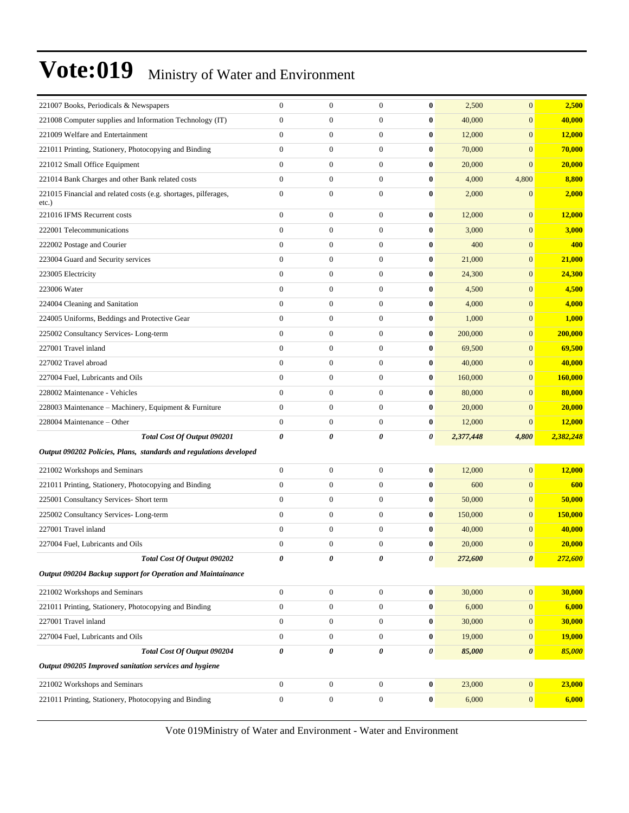| 221007 Books, Periodicals & Newspapers                                      | $\boldsymbol{0}$ | $\boldsymbol{0}$ | $\mathbf{0}$     | $\bf{0}$              | 2,500     | $\mathbf{0}$          | 2,500          |
|-----------------------------------------------------------------------------|------------------|------------------|------------------|-----------------------|-----------|-----------------------|----------------|
| 221008 Computer supplies and Information Technology (IT)                    | $\boldsymbol{0}$ | $\boldsymbol{0}$ | $\boldsymbol{0}$ | 0                     | 40,000    | $\mathbf{0}$          | 40,000         |
| 221009 Welfare and Entertainment                                            | $\overline{0}$   | $\boldsymbol{0}$ | $\overline{0}$   | $\bf{0}$              | 12,000    | $\mathbf{0}$          | 12,000         |
| 221011 Printing, Stationery, Photocopying and Binding                       | $\overline{0}$   | $\boldsymbol{0}$ | $\overline{0}$   | $\bf{0}$              | 70,000    | $\overline{0}$        | 70,000         |
| 221012 Small Office Equipment                                               | $\overline{0}$   | $\boldsymbol{0}$ | $\overline{0}$   | $\bf{0}$              | 20,000    | $\mathbf{0}$          | 20,000         |
| 221014 Bank Charges and other Bank related costs                            | $\overline{0}$   | $\mathbf{0}$     | 0                | $\bf{0}$              | 4,000     | 4,800                 | 8,800          |
| 221015 Financial and related costs (e.g. shortages, pilferages,<br>$etc.$ ) | $\boldsymbol{0}$ | $\boldsymbol{0}$ | $\boldsymbol{0}$ | $\bf{0}$              | 2,000     | $\boldsymbol{0}$      | 2,000          |
| 221016 IFMS Recurrent costs                                                 | $\overline{0}$   | $\boldsymbol{0}$ | $\overline{0}$   | $\bf{0}$              | 12,000    | $\mathbf{0}$          | 12,000         |
| 222001 Telecommunications                                                   | $\overline{0}$   | $\boldsymbol{0}$ | $\overline{0}$   | $\bf{0}$              | 3,000     | $\mathbf{0}$          | 3,000          |
| 222002 Postage and Courier                                                  | $\overline{0}$   | $\boldsymbol{0}$ | $\boldsymbol{0}$ | $\bf{0}$              | 400       | $\mathbf{0}$          | 400            |
| 223004 Guard and Security services                                          | $\boldsymbol{0}$ | $\boldsymbol{0}$ | $\overline{0}$   | $\bf{0}$              | 21,000    | $\mathbf{0}$          | 21,000         |
| 223005 Electricity                                                          | $\overline{0}$   | $\boldsymbol{0}$ | $\boldsymbol{0}$ | $\bf{0}$              | 24,300    | $\mathbf{0}$          | 24,300         |
| 223006 Water                                                                | $\overline{0}$   | $\boldsymbol{0}$ | $\overline{0}$   | $\bf{0}$              | 4,500     | $\mathbf{0}$          | 4,500          |
| 224004 Cleaning and Sanitation                                              | $\overline{0}$   | $\boldsymbol{0}$ | $\overline{0}$   | $\bf{0}$              | 4,000     | $\mathbf{0}$          | 4,000          |
| 224005 Uniforms, Beddings and Protective Gear                               | $\boldsymbol{0}$ | $\boldsymbol{0}$ | $\boldsymbol{0}$ | $\bf{0}$              | 1,000     | $\mathbf{0}$          | 1,000          |
| 225002 Consultancy Services-Long-term                                       | $\boldsymbol{0}$ | $\boldsymbol{0}$ | 0                | 0                     | 200,000   | $\mathbf{0}$          | 200,000        |
| 227001 Travel inland                                                        | $\overline{0}$   | $\boldsymbol{0}$ | $\boldsymbol{0}$ | $\bf{0}$              | 69,500    | $\mathbf{0}$          | 69,500         |
| 227002 Travel abroad                                                        | $\overline{0}$   | $\boldsymbol{0}$ | $\overline{0}$   | $\bf{0}$              | 40,000    | $\mathbf{0}$          | 40,000         |
| 227004 Fuel, Lubricants and Oils                                            | $\overline{0}$   | $\boldsymbol{0}$ | $\overline{0}$   | $\bf{0}$              | 160,000   | $\mathbf{0}$          | <b>160,000</b> |
| 228002 Maintenance - Vehicles                                               | $\overline{0}$   | $\boldsymbol{0}$ | $\boldsymbol{0}$ | $\bf{0}$              | 80,000    | $\mathbf{0}$          | 80,000         |
| 228003 Maintenance - Machinery, Equipment & Furniture                       | $\boldsymbol{0}$ | $\boldsymbol{0}$ | 0                | $\bf{0}$              | 20,000    | $\boldsymbol{0}$      | 20,000         |
| 228004 Maintenance – Other                                                  | $\overline{0}$   | $\mathbf{0}$     | $\boldsymbol{0}$ | $\bf{0}$              | 12,000    | $\boldsymbol{0}$      | 12,000         |
| Total Cost Of Output 090201                                                 | 0                | 0                | 0                | 0                     | 2,377,448 | 4,800                 | 2,382,248      |
| Output 090202 Policies, Plans, standards and regulations developed          |                  |                  |                  |                       |           |                       |                |
| 221002 Workshops and Seminars                                               | $\boldsymbol{0}$ | $\boldsymbol{0}$ | $\overline{0}$   | $\bf{0}$              | 12,000    | $\mathbf{0}$          | 12,000         |
| 221011 Printing, Stationery, Photocopying and Binding                       | $\overline{0}$   | $\boldsymbol{0}$ | $\overline{0}$   | $\bf{0}$              | 600       | $\mathbf{0}$          | 600            |
| 225001 Consultancy Services- Short term                                     | $\overline{0}$   | $\boldsymbol{0}$ | $\overline{0}$   | $\bf{0}$              | 50,000    | $\mathbf{0}$          | 50,000         |
| 225002 Consultancy Services-Long-term                                       | $\overline{0}$   | $\boldsymbol{0}$ | $\boldsymbol{0}$ | $\bf{0}$              | 150,000   | $\mathbf{0}$          | 150,000        |
| 227001 Travel inland                                                        | $\overline{0}$   | $\boldsymbol{0}$ | $\boldsymbol{0}$ | $\bf{0}$              | 40,000    | $\mathbf{0}$          | 40,000         |
| 227004 Fuel, Lubricants and Oils                                            | $\overline{0}$   | $\mathbf{0}$     | $\overline{0}$   | $\bf{0}$              | 20,000    | $\boldsymbol{0}$      | 20,000         |
| <b>Total Cost Of Output 090202</b>                                          | 0                | 0                | 0                | 0                     | 272,600   | $\boldsymbol{\theta}$ | <u>272,600</u> |
| Output 090204 Backup support for Operation and Maintainance                 |                  |                  |                  |                       |           |                       |                |
| 221002 Workshops and Seminars                                               | $\boldsymbol{0}$ | $\boldsymbol{0}$ | $\boldsymbol{0}$ | $\bf{0}$              | 30,000    | $\boldsymbol{0}$      | 30,000         |
| 221011 Printing, Stationery, Photocopying and Binding                       | $\boldsymbol{0}$ | $\boldsymbol{0}$ | $\boldsymbol{0}$ | $\boldsymbol{0}$      | 6,000     | $\boldsymbol{0}$      | 6,000          |
| 227001 Travel inland                                                        | $\boldsymbol{0}$ | $\boldsymbol{0}$ | $\boldsymbol{0}$ | 0                     | 30,000    | $\mathbf{0}$          | 30,000         |
| 227004 Fuel, Lubricants and Oils                                            | $\boldsymbol{0}$ | $\boldsymbol{0}$ | $\mathbf{0}$     | 0                     | 19,000    | $\mathbf{0}$          | <b>19,000</b>  |
| Total Cost Of Output 090204                                                 | 0                | $\pmb{\theta}$   | 0                | $\boldsymbol{\theta}$ | 85,000    | $\boldsymbol{\theta}$ | 85,000         |
| Output 090205 Improved sanitation services and hygiene                      |                  |                  |                  |                       |           |                       |                |
| 221002 Workshops and Seminars                                               | $\boldsymbol{0}$ | $\boldsymbol{0}$ | $\overline{0}$   | $\boldsymbol{0}$      | 23,000    | $\vert 0 \vert$       | 23,000         |
| 221011 Printing, Stationery, Photocopying and Binding                       | $\boldsymbol{0}$ | $\boldsymbol{0}$ | $\boldsymbol{0}$ | $\boldsymbol{0}$      | 6,000     | $\mathbf{0}$          | 6,000          |
|                                                                             |                  |                  |                  |                       |           |                       |                |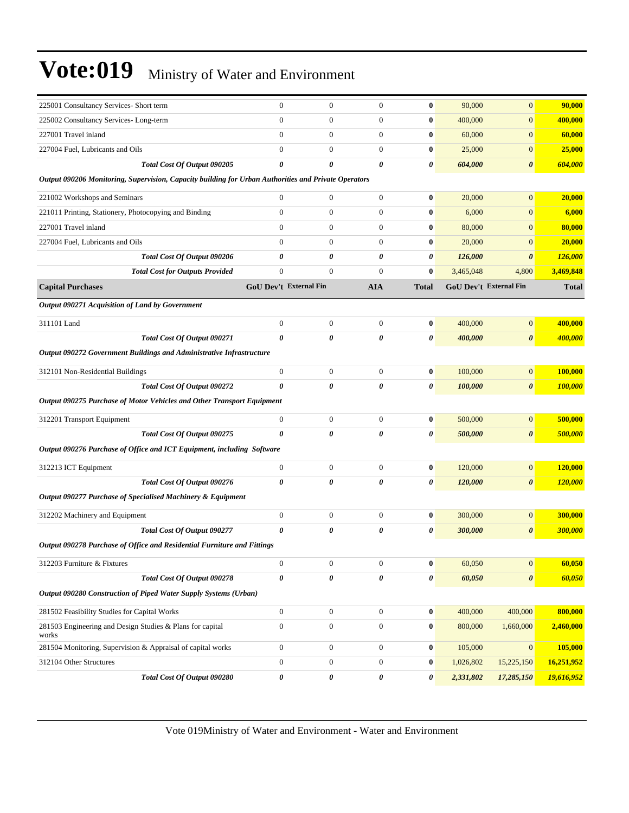| 225001 Consultancy Services- Short term                                                              | $\boldsymbol{0}$       | $\boldsymbol{0}$ | $\boldsymbol{0}$ | $\bf{0}$              | 90,000    | $\overline{0}$         | 90,000         |
|------------------------------------------------------------------------------------------------------|------------------------|------------------|------------------|-----------------------|-----------|------------------------|----------------|
| 225002 Consultancy Services-Long-term                                                                | $\overline{0}$         | $\boldsymbol{0}$ | $\mathbf{0}$     | $\bf{0}$              | 400,000   | $\boldsymbol{0}$       | 400,000        |
| 227001 Travel inland                                                                                 | $\overline{0}$         | $\boldsymbol{0}$ | $\mathbf{0}$     | $\bf{0}$              | 60,000    | $\overline{0}$         | 60,000         |
| 227004 Fuel, Lubricants and Oils                                                                     | $\overline{0}$         | $\overline{0}$   | $\overline{0}$   | $\bf{0}$              | 25,000    | $\boldsymbol{0}$       | 25,000         |
| Total Cost Of Output 090205                                                                          | 0                      | 0                | 0                | 0                     | 604,000   | 0                      | 604,000        |
| Output 090206 Monitoring, Supervision, Capacity building for Urban Authorities and Private Operators |                        |                  |                  |                       |           |                        |                |
| 221002 Workshops and Seminars                                                                        | $\mathbf{0}$           | $\boldsymbol{0}$ | $\mathbf{0}$     | $\bf{0}$              | 20,000    | $\overline{0}$         | 20,000         |
| 221011 Printing, Stationery, Photocopying and Binding                                                | $\overline{0}$         | $\overline{0}$   | $\mathbf{0}$     | $\bf{0}$              | 6,000     | $\overline{0}$         | 6,000          |
| 227001 Travel inland                                                                                 | $\overline{0}$         | $\boldsymbol{0}$ | $\mathbf{0}$     | $\bf{0}$              | 80,000    | $\overline{0}$         | 80,000         |
| 227004 Fuel, Lubricants and Oils                                                                     | $\overline{0}$         | $\boldsymbol{0}$ | $\mathbf{0}$     | $\bf{0}$              | 20,000    | $\overline{0}$         | 20,000         |
| Total Cost Of Output 090206                                                                          | 0                      | 0                | 0                | 0                     | 126,000   | $\boldsymbol{\theta}$  | 126,000        |
| <b>Total Cost for Outputs Provided</b>                                                               | $\overline{0}$         | $\overline{0}$   | $\mathbf{0}$     | $\bf{0}$              | 3,465,048 | 4,800                  | 3,469,848      |
| <b>Capital Purchases</b>                                                                             | GoU Dev't External Fin |                  | <b>AIA</b>       | <b>Total</b>          |           | GoU Dev't External Fin | <b>Total</b>   |
| Output 090271 Acquisition of Land by Government                                                      |                        |                  |                  |                       |           |                        |                |
| 311101 Land                                                                                          | $\mathbf{0}$           | $\boldsymbol{0}$ | $\mathbf{0}$     | $\bf{0}$              | 400,000   | $\overline{0}$         | 400,000        |
| Total Cost Of Output 090271                                                                          | 0                      | 0                | 0                | 0                     | 400,000   | $\boldsymbol{\theta}$  | 400,000        |
| Output 090272 Government Buildings and Administrative Infrastructure                                 |                        |                  |                  |                       |           |                        |                |
| 312101 Non-Residential Buildings                                                                     | $\boldsymbol{0}$       | $\boldsymbol{0}$ | $\mathbf{0}$     | $\bf{0}$              | 100,000   | $\overline{0}$         | 100,000        |
| Total Cost Of Output 090272                                                                          | $\boldsymbol{\theta}$  | 0                | 0                | 0                     | 100,000   | 0                      | 100,000        |
| Output 090275 Purchase of Motor Vehicles and Other Transport Equipment                               |                        |                  |                  |                       |           |                        |                |
| 312201 Transport Equipment                                                                           | $\boldsymbol{0}$       | $\boldsymbol{0}$ | $\mathbf{0}$     | $\bf{0}$              | 500,000   | $\overline{0}$         | 500,000        |
| Total Cost Of Output 090275                                                                          | 0                      | 0                | 0                | 0                     | 500,000   | 0                      | 500,000        |
| Output 090276 Purchase of Office and ICT Equipment, including Software                               |                        |                  |                  |                       |           |                        |                |
| 312213 ICT Equipment                                                                                 | $\boldsymbol{0}$       | $\boldsymbol{0}$ | $\mathbf{0}$     | $\bf{0}$              | 120,000   | $\overline{0}$         | 120,000        |
| Total Cost Of Output 090276                                                                          | 0                      | 0                | 0                | $\boldsymbol{\theta}$ | 120,000   | $\boldsymbol{\theta}$  | <b>120,000</b> |
| Output 090277 Purchase of Specialised Machinery & Equipment                                          |                        |                  |                  |                       |           |                        |                |
| 312202 Machinery and Equipment                                                                       | $\boldsymbol{0}$       | $\boldsymbol{0}$ | $\boldsymbol{0}$ | $\bf{0}$              | 300,000   | $\mathbf{0}$           | 300,000        |
| Total Cost Of Output 090277                                                                          | 0                      | 0                | 0                | 0                     | 300,000   | $\boldsymbol{\theta}$  | 300,000        |
| Output 090278 Purchase of Office and Residential Furniture and Fittings                              |                        |                  |                  |                       |           |                        |                |
| 312203 Furniture & Fixtures                                                                          | $\boldsymbol{0}$       | $\boldsymbol{0}$ | $\boldsymbol{0}$ | $\bf{0}$              | 60,050    | $\boldsymbol{0}$       | 60,050         |
| Total Cost Of Output 090278                                                                          | 0                      | 0                | 0                | 0                     | 60,050    | $\boldsymbol{\theta}$  | 60,050         |
| Output 090280 Construction of Piped Water Supply Systems (Urban)                                     |                        |                  |                  |                       |           |                        |                |
| 281502 Feasibility Studies for Capital Works                                                         | $\boldsymbol{0}$       | $\boldsymbol{0}$ | $\boldsymbol{0}$ | $\pmb{0}$             | 400,000   | 400,000                | 800,000        |
| 281503 Engineering and Design Studies & Plans for capital<br>works                                   | $\boldsymbol{0}$       | $\boldsymbol{0}$ | $\boldsymbol{0}$ | $\bf{0}$              | 800,000   | 1,660,000              | 2,460,000      |
| 281504 Monitoring, Supervision & Appraisal of capital works                                          | $\boldsymbol{0}$       | $\boldsymbol{0}$ | $\boldsymbol{0}$ | $\bf{0}$              | 105,000   | $\mathbf{0}$           | 105,000        |
| 312104 Other Structures                                                                              | $\boldsymbol{0}$       | $\boldsymbol{0}$ | $\boldsymbol{0}$ | $\boldsymbol{0}$      | 1,026,802 | 15,225,150             | 16,251,952     |
| Total Cost Of Output 090280                                                                          | 0                      | 0                | 0                | 0                     | 2,331,802 | 17,285,150             | 19,616,952     |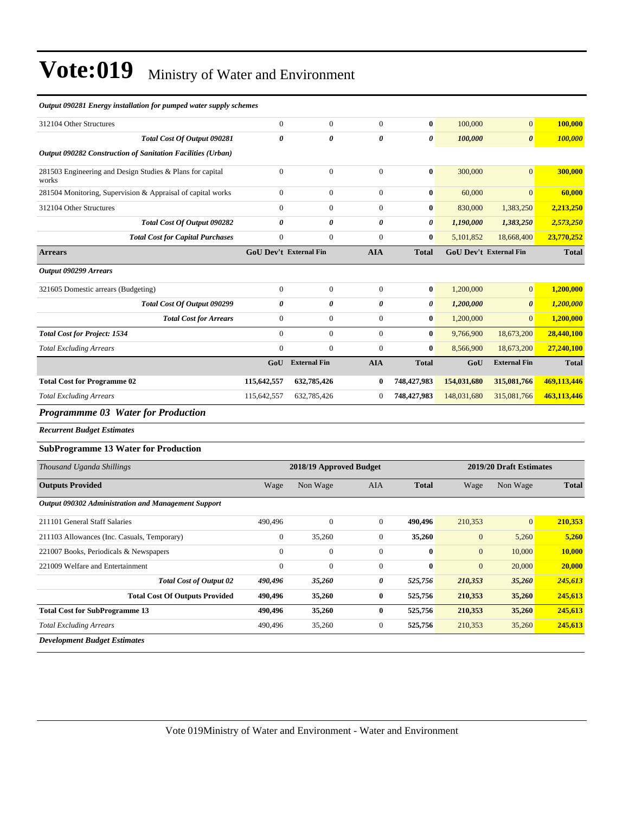| Output 090281 Energy installation for pumped water supply schemes  |                       |                         |                  |                  |                  |                         |              |
|--------------------------------------------------------------------|-----------------------|-------------------------|------------------|------------------|------------------|-------------------------|--------------|
| 312104 Other Structures                                            | $\boldsymbol{0}$      | $\boldsymbol{0}$        | $\mathbf{0}$     | $\bf{0}$         | 100,000          | $\mathbf{0}$            | 100,000      |
| Total Cost Of Output 090281                                        | 0                     | 0                       | 0                | 0                | 100,000          | $\boldsymbol{\theta}$   | 100,000      |
| Output 090282 Construction of Sanitation Facilities (Urban)        |                       |                         |                  |                  |                  |                         |              |
| 281503 Engineering and Design Studies & Plans for capital<br>works | $\mathbf{0}$          | $\overline{0}$          | $\boldsymbol{0}$ | $\bf{0}$         | 300,000          | $\mathbf{0}$            | 300,000      |
| 281504 Monitoring, Supervision & Appraisal of capital works        | $\boldsymbol{0}$      | $\overline{0}$          | $\overline{0}$   | $\bf{0}$         | 60,000           | $\mathbf{0}$            | 60,000       |
| 312104 Other Structures                                            | $\mathbf{0}$          | $\mathbf{0}$            | $\mathbf{0}$     | $\bf{0}$         | 830,000          | 1,383,250               | 2,213,250    |
| Total Cost Of Output 090282                                        | $\boldsymbol{\theta}$ | 0                       | 0                | 0                | 1,190,000        | 1,383,250               | 2,573,250    |
| <b>Total Cost for Capital Purchases</b>                            | $\boldsymbol{0}$      | $\overline{0}$          | $\boldsymbol{0}$ | $\bf{0}$         | 5,101,852        | 18,668,400              | 23,770,252   |
| <b>Arrears</b>                                                     |                       | GoU Dev't External Fin  | <b>AIA</b>       | <b>Total</b>     |                  | GoU Dev't External Fin  | <b>Total</b> |
| Output 090299 Arrears                                              |                       |                         |                  |                  |                  |                         |              |
| 321605 Domestic arrears (Budgeting)                                | $\boldsymbol{0}$      | $\boldsymbol{0}$        | $\mathbf{0}$     | $\bf{0}$         | 1,200,000        | $\mathbf{0}$            | 1,200,000    |
| Total Cost Of Output 090299                                        | 0                     | 0                       | 0                | $\theta$         | 1,200,000        | $\boldsymbol{\theta}$   | 1,200,000    |
| <b>Total Cost for Arrears</b>                                      | $\theta$              | $\mathbf{0}$            | $\boldsymbol{0}$ | 0                | 1,200,000        | $\overline{0}$          | 1,200,000    |
| <b>Total Cost for Project: 1534</b>                                | $\mathbf{0}$          | $\overline{0}$          | $\mathbf{0}$     | $\bf{0}$         | 9,766,900        | 18,673,200              | 28,440,100   |
| <b>Total Excluding Arrears</b>                                     | $\mathbf{0}$          | $\overline{0}$          | $\boldsymbol{0}$ | $\bf{0}$         | 8,566,900        | 18,673,200              | 27,240,100   |
|                                                                    | GoU                   | <b>External Fin</b>     | <b>AIA</b>       | <b>Total</b>     | GoU              | <b>External Fin</b>     | <b>Total</b> |
| <b>Total Cost for Programme 02</b>                                 | 115,642,557           | 632,785,426             | $\bf{0}$         | 748,427,983      | 154,031,680      | 315,081,766             | 469,113,446  |
| <b>Total Excluding Arrears</b>                                     | 115,642,557           | 632,785,426             | $\mathbf{0}$     | 748,427,983      | 148,031,680      | 315,081,766             | 463,113,446  |
| <b>Programmme 03 Water for Production</b>                          |                       |                         |                  |                  |                  |                         |              |
| <b>Recurrent Budget Estimates</b>                                  |                       |                         |                  |                  |                  |                         |              |
| <b>SubProgramme 13 Water for Production</b>                        |                       |                         |                  |                  |                  |                         |              |
| Thousand Uganda Shillings                                          |                       | 2018/19 Approved Budget |                  |                  |                  | 2019/20 Draft Estimates |              |
| <b>Outputs Provided</b>                                            | Wage                  | Non Wage                | AIA              | <b>Total</b>     | Wage             | Non Wage                | <b>Total</b> |
| <b>Output 090302 Administration and Management Support</b>         |                       |                         |                  |                  |                  |                         |              |
| 211101 General Staff Salaries                                      | 490,496               | $\mathbf{0}$            | $\boldsymbol{0}$ | 490,496          | 210,353          | $\mathbf{0}$            | 210,353      |
| 211103 Allowances (Inc. Casuals, Temporary)                        | $\boldsymbol{0}$      | 35,260                  | $\boldsymbol{0}$ | 35,260           | $\boldsymbol{0}$ | 5,260                   | 5,260        |
| 221007 Books, Periodicals & Newspapers                             | $\mathbf{0}$          | $\overline{0}$          | $\mathbf{0}$     | $\bf{0}$         | $\mathbf{0}$     | 10,000                  | 10.000       |
| 221009 Welfare and Entertainment                                   | $\boldsymbol{0}$      | $\boldsymbol{0}$        | $\boldsymbol{0}$ | $\boldsymbol{0}$ | $\boldsymbol{0}$ | 20,000                  | 20,000       |
| <b>Total Cost of Output 02</b>                                     | 490,496               | 35,260                  | 0                | 525,756          | 210,353          | 35,260                  | 245,613      |
| <b>Total Cost Of Outputs Provided</b>                              | 490,496               | 35,260                  | $\boldsymbol{0}$ | 525,756          | 210,353          | 35,260                  | 245,613      |
| <b>Total Cost for SubProgramme 13</b>                              | 490,496               | 35,260                  | $\bf{0}$         | 525,756          | 210,353          | 35,260                  | 245,613      |
| <b>Total Excluding Arrears</b>                                     | 490,496               | 35,260                  | $\boldsymbol{0}$ | 525,756          | 210,353          | 35,260                  | 245,613      |
| <b>Development Budget Estimates</b>                                |                       |                         |                  |                  |                  |                         |              |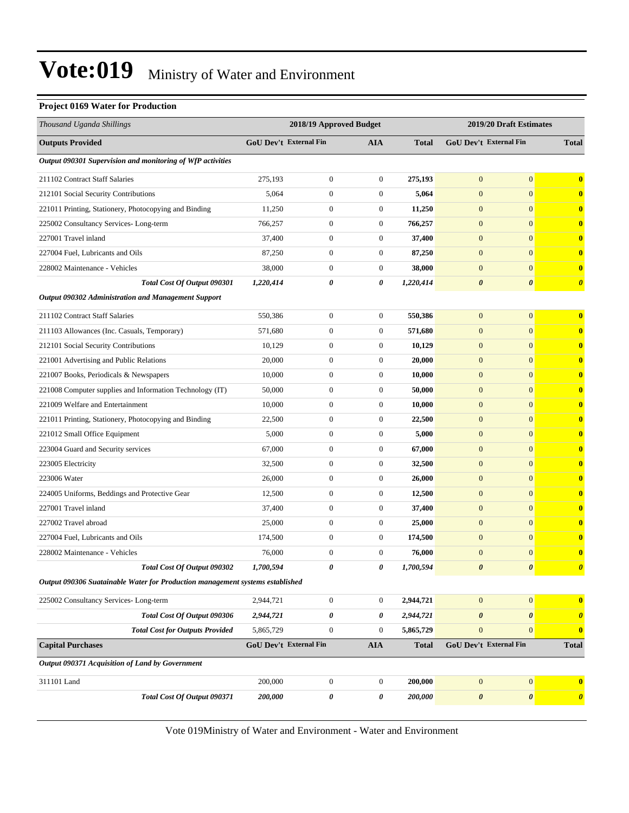#### **Project 0169 Water for Production**

| Thousand Uganda Shillings                                                     |                        | 2018/19 Approved Budget |                  |              | 2019/20 Draft Estimates |                               |                       |
|-------------------------------------------------------------------------------|------------------------|-------------------------|------------------|--------------|-------------------------|-------------------------------|-----------------------|
| <b>Outputs Provided</b>                                                       | GoU Dev't External Fin |                         | AIA              | <b>Total</b> |                         | <b>GoU Dev't External Fin</b> | <b>Total</b>          |
| Output 090301 Supervision and monitoring of WfP activities                    |                        |                         |                  |              |                         |                               |                       |
| 211102 Contract Staff Salaries                                                | 275,193                | $\mathbf{0}$            | $\mathbf{0}$     | 275,193      | $\mathbf{0}$            | $\mathbf{0}$                  | $\bf{0}$              |
| 212101 Social Security Contributions                                          | 5,064                  | 0                       | $\mathbf{0}$     | 5,064        | $\mathbf{0}$            | $\mathbf{0}$                  | $\bf{0}$              |
| 221011 Printing, Stationery, Photocopying and Binding                         | 11,250                 | $\boldsymbol{0}$        | $\mathbf{0}$     | 11,250       | $\mathbf{0}$            | $\overline{0}$                | $\bf{0}$              |
| 225002 Consultancy Services-Long-term                                         | 766,257                | $\boldsymbol{0}$        | $\boldsymbol{0}$ | 766,257      | $\mathbf{0}$            | $\overline{0}$                | $\bf{0}$              |
| 227001 Travel inland                                                          | 37,400                 | $\boldsymbol{0}$        | $\mathbf{0}$     | 37,400       | $\mathbf{0}$            | $\overline{0}$                | $\bf{0}$              |
| 227004 Fuel, Lubricants and Oils                                              | 87,250                 | $\boldsymbol{0}$        | $\mathbf{0}$     | 87,250       | $\mathbf{0}$            | $\overline{0}$                | $\bf{0}$              |
| 228002 Maintenance - Vehicles                                                 | 38,000                 | 0                       | $\boldsymbol{0}$ | 38,000       | $\mathbf{0}$            | $\mathbf{0}$                  | $\bf{0}$              |
| Total Cost Of Output 090301                                                   | 1,220,414              | 0                       | 0                | 1,220,414    | $\boldsymbol{\theta}$   | $\boldsymbol{\theta}$         | $\boldsymbol{\theta}$ |
| Output 090302 Administration and Management Support                           |                        |                         |                  |              |                         |                               |                       |
| 211102 Contract Staff Salaries                                                | 550,386                | $\mathbf{0}$            | $\boldsymbol{0}$ | 550,386      | $\mathbf{0}$            | $\boldsymbol{0}$              | $\bf{0}$              |
| 211103 Allowances (Inc. Casuals, Temporary)                                   | 571,680                | $\boldsymbol{0}$        | $\boldsymbol{0}$ | 571,680      | $\mathbf{0}$            | $\overline{0}$                | $\bf{0}$              |
| 212101 Social Security Contributions                                          | 10,129                 | $\boldsymbol{0}$        | $\mathbf{0}$     | 10,129       | $\mathbf{0}$            | $\boldsymbol{0}$              | $\bf{0}$              |
| 221001 Advertising and Public Relations                                       | 20,000                 | $\boldsymbol{0}$        | $\boldsymbol{0}$ | 20,000       | $\mathbf{0}$            | $\boldsymbol{0}$              | $\bf{0}$              |
| 221007 Books, Periodicals & Newspapers                                        | 10,000                 | $\boldsymbol{0}$        | $\boldsymbol{0}$ | 10,000       | $\mathbf{0}$            | $\overline{0}$                | $\bf{0}$              |
| 221008 Computer supplies and Information Technology (IT)                      | 50,000                 | $\boldsymbol{0}$        | $\boldsymbol{0}$ | 50,000       | $\mathbf{0}$            | $\overline{0}$                | $\bf{0}$              |
| 221009 Welfare and Entertainment                                              | 10,000                 | $\boldsymbol{0}$        | $\boldsymbol{0}$ | 10,000       | $\mathbf{0}$            | $\overline{0}$                | $\bf{0}$              |
| 221011 Printing, Stationery, Photocopying and Binding                         | 22,500                 | $\boldsymbol{0}$        | $\boldsymbol{0}$ | 22,500       | $\mathbf{0}$            | $\boldsymbol{0}$              | $\bf{0}$              |
| 221012 Small Office Equipment                                                 | 5,000                  | $\boldsymbol{0}$        | $\boldsymbol{0}$ | 5,000        | $\mathbf{0}$            | $\boldsymbol{0}$              | $\bf{0}$              |
| 223004 Guard and Security services                                            | 67,000                 | $\boldsymbol{0}$        | $\boldsymbol{0}$ | 67,000       | $\mathbf{0}$            | $\overline{0}$                | $\bf{0}$              |
| 223005 Electricity                                                            | 32,500                 | $\boldsymbol{0}$        | $\boldsymbol{0}$ | 32,500       | $\mathbf{0}$            | $\overline{0}$                | $\bf{0}$              |
| 223006 Water                                                                  | 26,000                 | $\boldsymbol{0}$        | $\boldsymbol{0}$ | 26,000       | $\mathbf{0}$            | $\overline{0}$                | $\bf{0}$              |
| 224005 Uniforms, Beddings and Protective Gear                                 | 12,500                 | $\boldsymbol{0}$        | $\mathbf{0}$     | 12,500       | $\mathbf{0}$            | $\boldsymbol{0}$              | $\bf{0}$              |
| 227001 Travel inland                                                          | 37,400                 | $\boldsymbol{0}$        | $\boldsymbol{0}$ | 37,400       | $\mathbf{0}$            | $\mathbf{0}$                  | $\bf{0}$              |
| 227002 Travel abroad                                                          | 25,000                 | $\boldsymbol{0}$        | $\boldsymbol{0}$ | 25,000       | $\mathbf{0}$            | $\overline{0}$                | $\bf{0}$              |
| 227004 Fuel, Lubricants and Oils                                              | 174,500                | $\boldsymbol{0}$        | $\boldsymbol{0}$ | 174,500      | $\mathbf{0}$            | $\overline{0}$                | $\bf{0}$              |
| 228002 Maintenance - Vehicles                                                 | 76,000                 | $\boldsymbol{0}$        | $\boldsymbol{0}$ | 76,000       | $\mathbf{0}$            | $\boldsymbol{0}$              | $\bf{0}$              |
| Total Cost Of Output 090302                                                   | 1,700,594              | 0                       | 0                | 1,700,594    | $\boldsymbol{\theta}$   | $\boldsymbol{\theta}$         | $\boldsymbol{\theta}$ |
| Output 090306 Suatainable Water for Production management systems established |                        |                         |                  |              |                         |                               |                       |
| 225002 Consultancy Services-Long-term                                         | 2,944,721              | $\boldsymbol{0}$        | $\boldsymbol{0}$ | 2,944,721    | $\boldsymbol{0}$        | $\mathbf{0}$                  | $\bf{0}$              |
| Total Cost Of Output 090306                                                   | 2,944,721              | 0                       | 0                | 2,944,721    | $\pmb{\theta}$          | $\boldsymbol{\theta}$         | $\boldsymbol{\theta}$ |
| <b>Total Cost for Outputs Provided</b>                                        | 5,865,729              | $\boldsymbol{0}$        | $\mathbf{0}$     | 5,865,729    | $\mathbf{0}$            | $\mathbf{0}$                  | $\bf{0}$              |
| <b>Capital Purchases</b>                                                      | GoU Dev't External Fin |                         | <b>AIA</b>       | <b>Total</b> |                         | <b>GoU Dev't External Fin</b> | <b>Total</b>          |
| Output 090371 Acquisition of Land by Government                               |                        |                         |                  |              |                         |                               |                       |
| 311101 Land                                                                   | 200,000                | $\boldsymbol{0}$        | $\mathbf{0}$     | 200,000      | $\mathbf{0}$            | $\boldsymbol{0}$              | $\bf{0}$              |
| Total Cost Of Output 090371                                                   | 200,000                | 0                       | 0                | 200,000      | $\pmb{\theta}$          | $\boldsymbol{\theta}$         | $\boldsymbol{\theta}$ |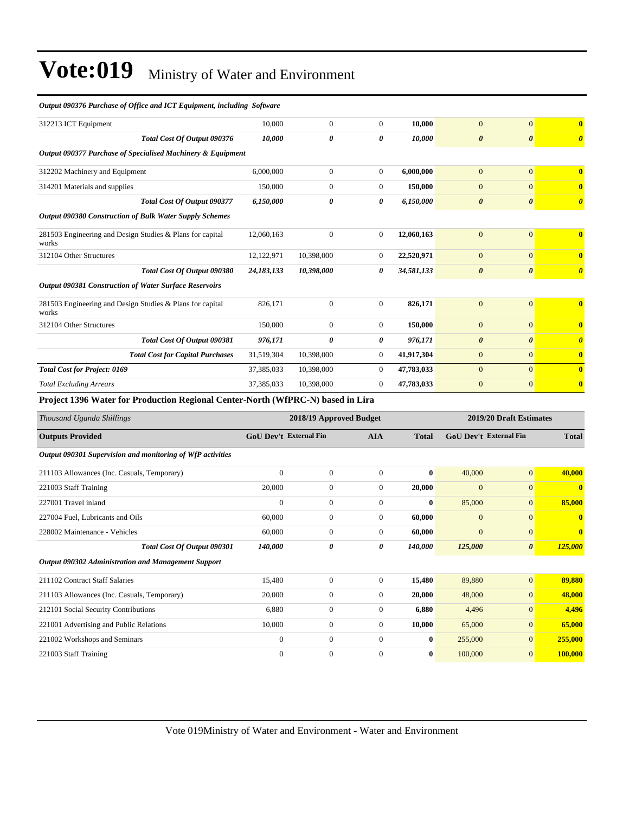| Output 090376 Purchase of Office and ICT Equipment, including Software          |                               |                         |                       |                  |                               |                         |                       |
|---------------------------------------------------------------------------------|-------------------------------|-------------------------|-----------------------|------------------|-------------------------------|-------------------------|-----------------------|
| 312213 ICT Equipment                                                            | 10,000                        | $\boldsymbol{0}$        | $\boldsymbol{0}$      | 10,000           | $\mathbf{0}$                  | $\mathbf{0}$            | $\bf{0}$              |
| Total Cost Of Output 090376                                                     | 10,000                        | 0                       | $\boldsymbol{\theta}$ | 10,000           | $\boldsymbol{\theta}$         | $\boldsymbol{\theta}$   | $\boldsymbol{\theta}$ |
| Output 090377 Purchase of Specialised Machinery & Equipment                     |                               |                         |                       |                  |                               |                         |                       |
| 312202 Machinery and Equipment                                                  | 6,000,000                     | $\boldsymbol{0}$        | $\overline{0}$        | 6,000,000        | $\mathbf{0}$                  | $\mathbf{0}$            | $\bf{0}$              |
| 314201 Materials and supplies                                                   | 150,000                       | $\boldsymbol{0}$        | $\mathbf{0}$          | 150,000          | $\overline{0}$                | $\mathbf{0}$            | $\bf{0}$              |
| Total Cost Of Output 090377                                                     | 6,150,000                     | $\theta$                | $\boldsymbol{\theta}$ | 6,150,000        | $\boldsymbol{\theta}$         | $\boldsymbol{\theta}$   | $\boldsymbol{\theta}$ |
| Output 090380 Construction of Bulk Water Supply Schemes                         |                               |                         |                       |                  |                               |                         |                       |
| 281503 Engineering and Design Studies & Plans for capital<br>works              | 12,060,163                    | $\boldsymbol{0}$        | $\mathbf{0}$          | 12,060,163       | $\mathbf{0}$                  | $\mathbf{0}$            | $\bf{0}$              |
| 312104 Other Structures                                                         | 12,122,971                    | 10,398,000              | $\overline{0}$        | 22,520,971       | $\overline{0}$                | $\mathbf{0}$            | $\bf{0}$              |
| Total Cost Of Output 090380                                                     | 24,183,133                    | 10,398,000              | 0                     | 34,581,133       | $\boldsymbol{\theta}$         | $\boldsymbol{\theta}$   | $\boldsymbol{\theta}$ |
| Output 090381 Construction of Water Surface Reservoirs                          |                               |                         |                       |                  |                               |                         |                       |
| 281503 Engineering and Design Studies & Plans for capital<br>works              | 826,171                       | $\boldsymbol{0}$        | $\mathbf{0}$          | 826,171          | $\mathbf{0}$                  | $\mathbf{0}$            | $\bf{0}$              |
| 312104 Other Structures                                                         | 150,000                       | $\boldsymbol{0}$        | $\mathbf{0}$          | 150,000          | $\mathbf{0}$                  | $\mathbf{0}$            | $\bf{0}$              |
| Total Cost Of Output 090381                                                     | 976,171                       | 0                       | 0                     | 976,171          | $\boldsymbol{\theta}$         | $\boldsymbol{\theta}$   | $\boldsymbol{\theta}$ |
| <b>Total Cost for Capital Purchases</b>                                         | 31,519,304                    | 10,398,000              | $\mathbf{0}$          | 41,917,304       | $\mathbf{0}$                  | $\mathbf{0}$            | $\bf{0}$              |
| <b>Total Cost for Project: 0169</b>                                             | 37,385,033                    | 10,398,000              | $\mathbf{0}$          | 47,783,033       | $\mathbf{0}$                  | $\mathbf{0}$            | $\bf{0}$              |
| <b>Total Excluding Arrears</b>                                                  | 37,385,033                    | 10,398,000              | $\overline{0}$        | 47,783,033       | $\mathbf{0}$                  | $\mathbf{0}$            | $\bf{0}$              |
| Project 1396 Water for Production Regional Center-North (WfPRC-N) based in Lira |                               |                         |                       |                  |                               |                         |                       |
| Thousand Uganda Shillings                                                       |                               | 2018/19 Approved Budget |                       |                  |                               | 2019/20 Draft Estimates |                       |
| <b>Outputs Provided</b>                                                         | <b>GoU Dev't External Fin</b> |                         | <b>AIA</b>            | <b>Total</b>     | <b>GoU Dev't External Fin</b> | <b>Total</b>            |                       |
| Output 090301 Supervision and monitoring of WfP activities                      |                               |                         |                       |                  |                               |                         |                       |
| 211103 Allowances (Inc. Casuals, Temporary)                                     | $\overline{0}$                | $\boldsymbol{0}$        | $\overline{0}$        | 0                | 40,000                        | $\mathbf{0}$            | 40,000                |
| 221003 Staff Training                                                           | 20,000                        | $\boldsymbol{0}$        | $\overline{0}$        | 20,000           | $\overline{0}$                | $\mathbf{0}$            | $\bf{0}$              |
| 227001 Travel inland                                                            | $\mathbf{0}$                  | $\boldsymbol{0}$        | $\boldsymbol{0}$      | 0                | 85,000                        | $\mathbf{0}$            | 85,000                |
| 227004 Fuel, Lubricants and Oils                                                | 60,000                        | $\boldsymbol{0}$        | $\boldsymbol{0}$      | 60,000           | $\mathbf{0}$                  | $\mathbf{0}$            | $\bf{0}$              |
| 228002 Maintenance - Vehicles                                                   | 60,000                        | $\boldsymbol{0}$        | $\boldsymbol{0}$      | 60,000           | $\mathbf{0}$                  | $\mathbf{0}$            | $\bf{0}$              |
| Total Cost Of Output 090301                                                     | 140,000                       | 0                       | 0                     | 140,000          | 125,000                       | $\boldsymbol{\theta}$   | 125,000               |
| Output 090302 Administration and Management Support                             |                               |                         |                       |                  |                               |                         |                       |
| 211102 Contract Staff Salaries                                                  | 15,480                        | $\boldsymbol{0}$        | $\mathbf{0}$          | 15,480           | 89,880                        | $\boldsymbol{0}$        | 89,880                |
| 211103 Allowances (Inc. Casuals, Temporary)                                     | 20,000                        | $\boldsymbol{0}$        | $\boldsymbol{0}$      | 20,000           | 48,000                        | 0                       | 48,000                |
| 212101 Social Security Contributions                                            | 6,880                         | $\boldsymbol{0}$        | $\overline{0}$        | 6,880            | 4,496                         | 0                       | 4,496                 |
| 221001 Advertising and Public Relations                                         | 10,000                        | $\boldsymbol{0}$        | $\overline{0}$        | 10,000           | 65,000                        | $\mathbf{0}$            | 65,000                |
| 221002 Workshops and Seminars                                                   | $\boldsymbol{0}$              | $\boldsymbol{0}$        | $\overline{0}$        | $\boldsymbol{0}$ | 255,000                       | $\boldsymbol{0}$        | 255,000               |
| 221003 Staff Training                                                           | $\boldsymbol{0}$              | $\boldsymbol{0}$        | $\boldsymbol{0}$      | $\bf{0}$         | 100,000                       | $\mathbf{0}$            | 100,000               |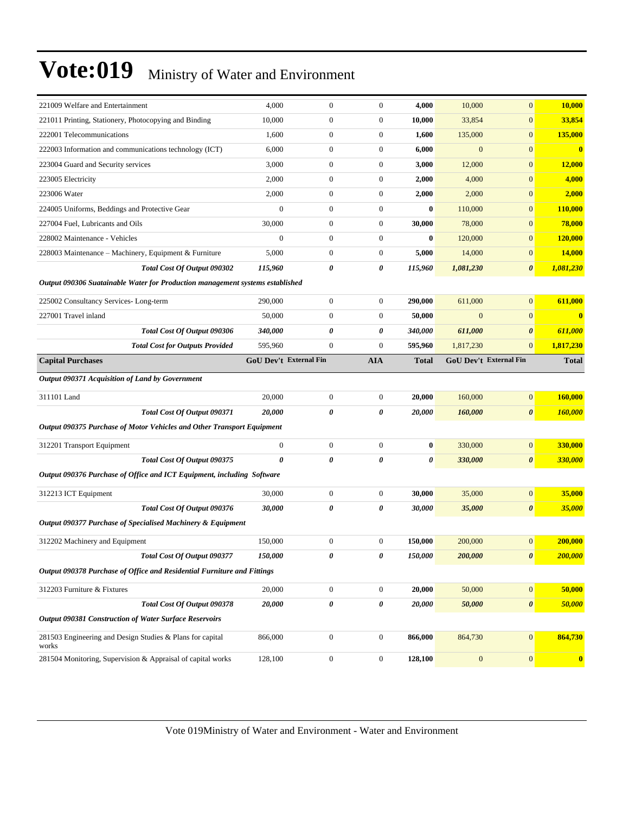| 221009 Welfare and Entertainment                                                                       | 4,000                  | $\boldsymbol{0}$ | $\boldsymbol{0}$ | 4,000        | 10,000       | $\overline{0}$         | 10,000                        |
|--------------------------------------------------------------------------------------------------------|------------------------|------------------|------------------|--------------|--------------|------------------------|-------------------------------|
| 221011 Printing, Stationery, Photocopying and Binding                                                  | 10,000                 | $\boldsymbol{0}$ | $\mathbf{0}$     | 10,000       | 33,854       | $\overline{0}$         | 33,854                        |
| 222001 Telecommunications                                                                              | 1,600                  | $\boldsymbol{0}$ | $\boldsymbol{0}$ | 1,600        | 135,000      | $\overline{0}$         | 135,000                       |
| 222003 Information and communications technology (ICT)                                                 | 6,000                  | $\boldsymbol{0}$ | $\mathbf{0}$     | 6,000        | $\mathbf{0}$ | $\overline{0}$         | $\bf{0}$                      |
| 223004 Guard and Security services                                                                     | 3,000                  | $\boldsymbol{0}$ | $\mathbf{0}$     | 3,000        | 12,000       | $\overline{0}$         | 12,000                        |
| 223005 Electricity                                                                                     | 2,000                  | $\boldsymbol{0}$ | $\boldsymbol{0}$ | 2,000        | 4,000        | $\overline{0}$         | 4,000                         |
| 223006 Water                                                                                           | 2,000                  | $\boldsymbol{0}$ | $\mathbf{0}$     | 2,000        | 2,000        | $\overline{0}$         | 2,000                         |
| 224005 Uniforms, Beddings and Protective Gear                                                          | $\boldsymbol{0}$       | $\boldsymbol{0}$ | $\mathbf{0}$     | $\bf{0}$     | 110,000      | $\overline{0}$         | 110,000                       |
| 227004 Fuel, Lubricants and Oils                                                                       | 30,000                 | $\boldsymbol{0}$ | $\mathbf{0}$     | 30,000       | 78,000       | $\overline{0}$         | 78,000                        |
| 228002 Maintenance - Vehicles                                                                          | $\mathbf{0}$           | $\boldsymbol{0}$ | $\mathbf{0}$     | $\bf{0}$     | 120,000      | $\mathbf{0}$           | <b>120,000</b>                |
| 228003 Maintenance – Machinery, Equipment & Furniture                                                  | 5,000                  | $\boldsymbol{0}$ | $\boldsymbol{0}$ | 5,000        | 14,000       | $\overline{0}$         | 14,000                        |
| Total Cost Of Output 090302                                                                            | 115,960                | 0                | 0                | 115,960      | 1,081,230    | 0                      | 1,081,230                     |
| Output 090306 Suatainable Water for Production management systems established                          |                        |                  |                  |              |              |                        |                               |
| 225002 Consultancy Services-Long-term                                                                  | 290,000                | $\boldsymbol{0}$ | $\mathbf{0}$     | 290,000      | 611,000      | $\overline{0}$         | 611,000                       |
| 227001 Travel inland                                                                                   | 50,000                 | $\boldsymbol{0}$ | $\mathbf{0}$     | 50,000       | $\mathbf{0}$ | $\overline{0}$         | $\bf{0}$                      |
| Total Cost Of Output 090306                                                                            | 340,000                | 0                | 0                | 340,000      | 611,000      | 0                      | 611,000                       |
| <b>Total Cost for Outputs Provided</b>                                                                 | 595,960                | $\boldsymbol{0}$ | $\boldsymbol{0}$ | 595,960      | 1,817,230    | $\overline{0}$         | 1,817,230                     |
| <b>Capital Purchases</b>                                                                               | GoU Dev't External Fin |                  | <b>AIA</b>       | <b>Total</b> |              | GoU Dev't External Fin | <b>Total</b>                  |
|                                                                                                        |                        |                  |                  |              |              |                        |                               |
| Output 090371 Acquisition of Land by Government                                                        |                        |                  |                  |              |              |                        |                               |
| 311101 Land                                                                                            | 20,000                 | $\boldsymbol{0}$ | $\mathbf{0}$     | 20,000       | 160,000      | $\overline{0}$         | 160,000                       |
|                                                                                                        |                        |                  |                  |              |              |                        |                               |
| Total Cost Of Output 090371                                                                            | 20,000                 | 0                | 0                | 20,000       | 160,000      | 0                      |                               |
| Output 090375 Purchase of Motor Vehicles and Other Transport Equipment                                 |                        |                  |                  |              |              |                        |                               |
| 312201 Transport Equipment                                                                             | $\boldsymbol{0}$       | $\boldsymbol{0}$ | $\mathbf{0}$     | $\bf{0}$     | 330,000      | $\boldsymbol{0}$       |                               |
| Total Cost Of Output 090375                                                                            | $\theta$               | 0                | 0                | 0            | 330,000      | 0                      |                               |
| Output 090376 Purchase of Office and ICT Equipment, including Software                                 |                        |                  |                  |              |              |                        | 160,000<br>330,000<br>330,000 |
| 312213 ICT Equipment                                                                                   | 30,000                 | $\boldsymbol{0}$ | $\boldsymbol{0}$ | 30,000       | 35,000       | $\boldsymbol{0}$       | 35,000                        |
|                                                                                                        | 30,000                 | $\theta$         | 0                | 30,000       | 35,000       | $\boldsymbol{\theta}$  | 35,000                        |
| Total Cost Of Output 090376<br>Output 090377 Purchase of Specialised Machinery & Equipment             |                        |                  |                  |              |              |                        |                               |
|                                                                                                        |                        |                  |                  |              |              |                        |                               |
| 312202 Machinery and Equipment                                                                         | 150,000                | $\boldsymbol{0}$ | $\mathbf{0}$     | 150,000      | 200,000      | $\overline{0}$         |                               |
| Total Cost Of Output 090377<br>Output 090378 Purchase of Office and Residential Furniture and Fittings | 150,000                | 0                | 0                | 150,000      | 200,000      | 0                      | 200,000<br><b>200,000</b>     |
|                                                                                                        |                        |                  |                  |              |              |                        |                               |
| 312203 Furniture & Fixtures                                                                            | 20,000                 | $\boldsymbol{0}$ | $\boldsymbol{0}$ | 20,000       | 50,000       | $\boldsymbol{0}$       | 50,000                        |
| <b>Total Cost Of Output 090378</b>                                                                     | 20,000                 | 0                | 0                | 20,000       | 50,000       | $\boldsymbol{\theta}$  |                               |
| Output 090381 Construction of Water Surface Reservoirs                                                 |                        |                  |                  |              |              |                        |                               |
| 281503 Engineering and Design Studies & Plans for capital<br>works                                     | 866,000                | $\boldsymbol{0}$ | $\boldsymbol{0}$ | 866,000      | 864,730      | $\boldsymbol{0}$       | 50,000<br>864,730             |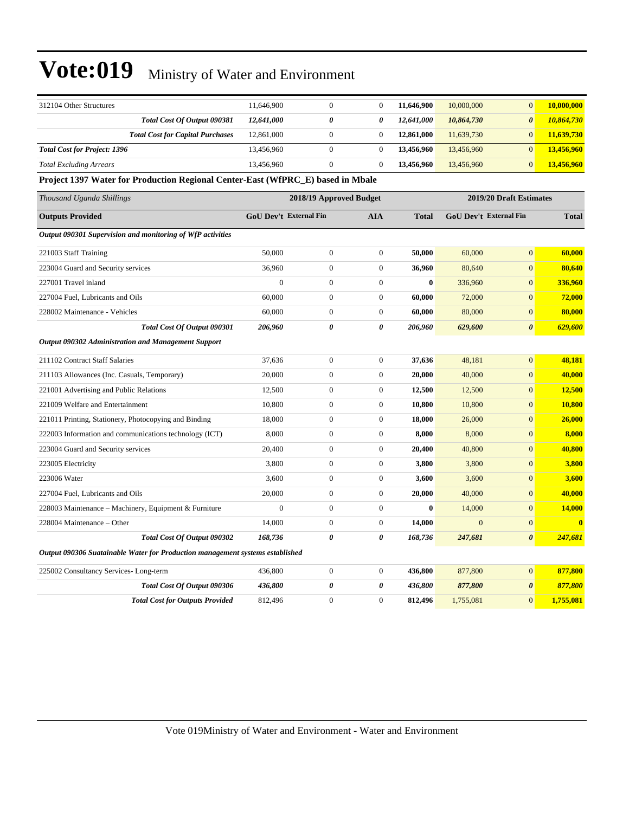| 312104 Other Structures                                                         | 11,646,900              | $\overline{0}$   | $\mathbf{0}$     | 11,646,900   | 10,000,000             | $\mathbf{0}$          | 10,000,000              |  |  |
|---------------------------------------------------------------------------------|-------------------------|------------------|------------------|--------------|------------------------|-----------------------|-------------------------|--|--|
| Total Cost Of Output 090381                                                     | 12,641,000              | 0                | 0                | 12,641,000   | 10,864,730             | $\boldsymbol{\theta}$ | 10,864,730              |  |  |
| <b>Total Cost for Capital Purchases</b>                                         | 12,861,000              | $\boldsymbol{0}$ | $\boldsymbol{0}$ | 12,861,000   | 11,639,730             | $\mathbf{0}$          | 11,639,730              |  |  |
| <b>Total Cost for Project: 1396</b>                                             | 13,456,960              | $\mathbf{0}$     | $\overline{0}$   | 13,456,960   | 13,456,960             | $\mathbf{0}$          | 13,456,960              |  |  |
| <b>Total Excluding Arrears</b>                                                  | 13,456,960              | $\boldsymbol{0}$ | $\mathbf{0}$     | 13,456,960   | 13,456,960             | $\mathbf{0}$          | 13,456,960              |  |  |
| Project 1397 Water for Production Regional Center-East (WfPRC_E) based in Mbale |                         |                  |                  |              |                        |                       |                         |  |  |
| Thousand Uganda Shillings                                                       | 2018/19 Approved Budget |                  |                  |              |                        |                       | 2019/20 Draft Estimates |  |  |
| <b>Outputs Provided</b>                                                         | GoU Dev't External Fin  |                  | AIA              | <b>Total</b> | GoU Dev't External Fin |                       | <b>Total</b>            |  |  |
| Output 090301 Supervision and monitoring of WfP activities                      |                         |                  |                  |              |                        |                       |                         |  |  |
| 221003 Staff Training                                                           | 50,000                  | $\boldsymbol{0}$ | $\mathbf{0}$     | 50,000       | 60,000                 | $\overline{0}$        | 60,000                  |  |  |
| 223004 Guard and Security services                                              | 36,960                  | $\boldsymbol{0}$ | $\mathbf{0}$     | 36,960       | 80,640                 | $\overline{0}$        | 80,640                  |  |  |
| 227001 Travel inland                                                            | $\mathbf{0}$            | $\boldsymbol{0}$ | $\boldsymbol{0}$ | $\bf{0}$     | 336,960                | $\mathbf{0}$          | 336,960                 |  |  |
| 227004 Fuel, Lubricants and Oils                                                | 60,000                  | $\boldsymbol{0}$ | $\boldsymbol{0}$ | 60,000       | 72,000                 | $\mathbf{0}$          | 72,000                  |  |  |
| 228002 Maintenance - Vehicles                                                   | 60,000                  | $\boldsymbol{0}$ | $\mathbf{0}$     | 60,000       | 80,000                 | $\mathbf{0}$          | 80,000                  |  |  |
| Total Cost Of Output 090301                                                     | 206,960                 | 0                | 0                | 206,960      | 629,600                | $\boldsymbol{\theta}$ | 629,600                 |  |  |
| Output 090302 Administration and Management Support                             |                         |                  |                  |              |                        |                       |                         |  |  |
| 211102 Contract Staff Salaries                                                  | 37,636                  | $\boldsymbol{0}$ | $\boldsymbol{0}$ | 37,636       | 48,181                 | $\overline{0}$        | 48,181                  |  |  |
| 211103 Allowances (Inc. Casuals, Temporary)                                     | 20,000                  | $\boldsymbol{0}$ | $\overline{0}$   | 20,000       | 40,000                 | $\boldsymbol{0}$      | 40,000                  |  |  |
| 221001 Advertising and Public Relations                                         | 12,500                  | $\boldsymbol{0}$ | $\boldsymbol{0}$ | 12,500       | 12,500                 | $\boldsymbol{0}$      | <b>12,500</b>           |  |  |
| 221009 Welfare and Entertainment                                                | 10,800                  | $\boldsymbol{0}$ | $\mathbf{0}$     | 10,800       | 10,800                 | $\mathbf{0}$          | 10,800                  |  |  |
| 221011 Printing, Stationery, Photocopying and Binding                           | 18,000                  | $\boldsymbol{0}$ | $\mathbf{0}$     | 18,000       | 26,000                 | $\mathbf{0}$          | 26,000                  |  |  |
| 222003 Information and communications technology (ICT)                          | 8,000                   | $\overline{0}$   | $\mathbf{0}$     | 8,000        | 8,000                  | $\overline{0}$        | 8,000                   |  |  |
| 223004 Guard and Security services                                              | 20,400                  | $\boldsymbol{0}$ | $\boldsymbol{0}$ | 20,400       | 40,800                 | $\mathbf{0}$          | 40,800                  |  |  |
| 223005 Electricity                                                              | 3,800                   | $\boldsymbol{0}$ | $\boldsymbol{0}$ | 3,800        | 3,800                  | $\overline{0}$        | 3,800                   |  |  |
| 223006 Water                                                                    | 3,600                   | $\boldsymbol{0}$ | $\boldsymbol{0}$ | 3,600        | 3,600                  | $\mathbf{0}$          | 3,600                   |  |  |
| 227004 Fuel, Lubricants and Oils                                                | 20,000                  | $\boldsymbol{0}$ | $\boldsymbol{0}$ | 20,000       | 40,000                 | $\mathbf{0}$          | 40,000                  |  |  |
| 228003 Maintenance – Machinery, Equipment & Furniture                           | $\boldsymbol{0}$        | $\mathbf{0}$     | $\boldsymbol{0}$ | $\bf{0}$     | 14,000                 | $\mathbf{0}$          | 14,000                  |  |  |
| 228004 Maintenance - Other                                                      | 14,000                  | $\boldsymbol{0}$ | $\mathbf{0}$     | 14,000       | $\mathbf{0}$           | $\mathbf{0}$          | $\bf{0}$                |  |  |
| Total Cost Of Output 090302                                                     | 168,736                 | 0                | 0                | 168,736      | 247,681                | $\boldsymbol{\theta}$ | 247,681                 |  |  |
| Output 090306 Suatainable Water for Production management systems established   |                         |                  |                  |              |                        |                       |                         |  |  |
| 225002 Consultancy Services-Long-term                                           | 436,800                 | $\boldsymbol{0}$ | $\boldsymbol{0}$ | 436,800      | 877,800                | $\mathbf{0}$          | 877,800                 |  |  |
| Total Cost Of Output 090306                                                     | 436,800                 | 0                | 0                | 436,800      | 877,800                | $\boldsymbol{\theta}$ | 877,800                 |  |  |
| <b>Total Cost for Outputs Provided</b>                                          | 812,496                 | $\boldsymbol{0}$ | $\overline{0}$   | 812,496      | 1,755,081              | $\mathbf{0}$          | 1,755,081               |  |  |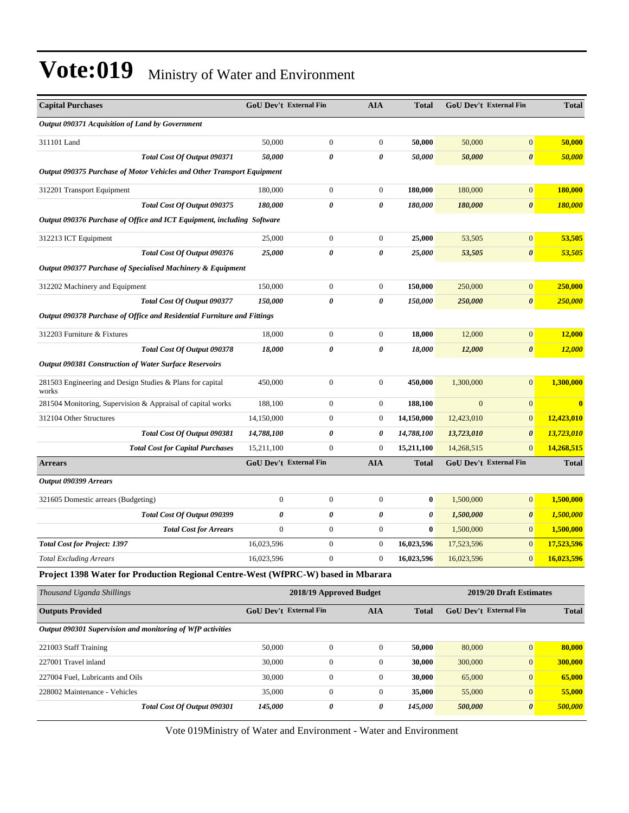| <b>Capital Purchases</b>                                                          | <b>GoU Dev't External Fin</b> |                         | <b>AIA</b>       | <b>Total</b> |              | <b>GoU Dev't External Fin</b> | <b>Total</b>            |
|-----------------------------------------------------------------------------------|-------------------------------|-------------------------|------------------|--------------|--------------|-------------------------------|-------------------------|
| Output 090371 Acquisition of Land by Government                                   |                               |                         |                  |              |              |                               |                         |
| 311101 Land                                                                       | 50,000                        | $\boldsymbol{0}$        | $\boldsymbol{0}$ | 50,000       | 50,000       | $\mathbf{0}$                  | 50,000                  |
| Total Cost Of Output 090371                                                       | 50,000                        | 0                       | 0                | 50,000       | 50,000       | $\boldsymbol{\theta}$         | 50,000                  |
| Output 090375 Purchase of Motor Vehicles and Other Transport Equipment            |                               |                         |                  |              |              |                               |                         |
| 312201 Transport Equipment                                                        | 180,000                       | $\boldsymbol{0}$        | 0                | 180,000      | 180,000      | $\boldsymbol{0}$              | 180,000                 |
| Total Cost Of Output 090375                                                       | 180,000                       | 0                       | 0                | 180,000      | 180,000      | $\boldsymbol{\theta}$         | 180,000                 |
| Output 090376 Purchase of Office and ICT Equipment, including Software            |                               |                         |                  |              |              |                               |                         |
| 312213 ICT Equipment                                                              | 25,000                        | $\boldsymbol{0}$        | $\mathbf{0}$     | 25,000       | 53,505       | $\mathbf{0}$                  | 53,505                  |
| Total Cost Of Output 090376                                                       | 25,000                        | 0                       | 0                | 25,000       | 53,505       | $\boldsymbol{\theta}$         | 53,505                  |
| Output 090377 Purchase of Specialised Machinery & Equipment                       |                               |                         |                  |              |              |                               |                         |
| 312202 Machinery and Equipment                                                    | 150,000                       | $\mathbf{0}$            | $\boldsymbol{0}$ | 150,000      | 250,000      | $\mathbf{0}$                  | 250,000                 |
| Total Cost Of Output 090377                                                       | 150,000                       | 0                       | 0                | 150,000      | 250,000      | $\boldsymbol{\theta}$         | 250,000                 |
| Output 090378 Purchase of Office and Residential Furniture and Fittings           |                               |                         |                  |              |              |                               |                         |
| 312203 Furniture & Fixtures                                                       | 18,000                        | $\boldsymbol{0}$        | $\mathbf{0}$     | 18,000       | 12,000       | $\boldsymbol{0}$              | 12,000                  |
| Total Cost Of Output 090378                                                       | 18,000                        | 0                       | 0                | 18,000       | 12,000       | $\boldsymbol{\theta}$         | <b>12,000</b>           |
| <b>Output 090381 Construction of Water Surface Reservoirs</b>                     |                               |                         |                  |              |              |                               |                         |
| 281503 Engineering and Design Studies & Plans for capital<br>works                | 450,000                       | $\mathbf{0}$            | $\mathbf{0}$     | 450,000      | 1,300,000    | $\mathbf{0}$                  | 1.300.000               |
| 281504 Monitoring, Supervision & Appraisal of capital works                       | 188,100                       | $\mathbf{0}$            | $\mathbf{0}$     | 188,100      | $\mathbf{0}$ | $\mathbf{0}$                  | $\overline{\mathbf{0}}$ |
| 312104 Other Structures                                                           | 14,150,000                    | $\boldsymbol{0}$        | $\boldsymbol{0}$ | 14,150,000   | 12,423,010   | $\mathbf{0}$                  | 12,423,010              |
| Total Cost Of Output 090381                                                       | 14,788,100                    | 0                       | 0                | 14,788,100   | 13,723,010   | $\boldsymbol{\theta}$         | 13,723,010              |
| <b>Total Cost for Capital Purchases</b>                                           | 15,211,100                    | $\boldsymbol{0}$        | $\boldsymbol{0}$ | 15,211,100   | 14,268,515   | $\mathbf{0}$                  | 14,268,515              |
| <b>Arrears</b>                                                                    | <b>GoU Dev't External Fin</b> |                         | <b>AIA</b>       | <b>Total</b> |              | <b>GoU Dev't External Fin</b> | <b>Total</b>            |
| Output 090399 Arrears                                                             |                               |                         |                  |              |              |                               |                         |
| 321605 Domestic arrears (Budgeting)                                               | $\mathbf{0}$                  | $\boldsymbol{0}$        | $\boldsymbol{0}$ | 0            | 1,500,000    | $\mathbf{0}$                  | 1.500.000               |
| Total Cost Of Output 090399                                                       | 0                             | 0                       | 0                | 0            | 1,500,000    | $\boldsymbol{\theta}$         | 1,500,000               |
| <b>Total Cost for Arrears</b>                                                     | $\mathbf{0}$                  | $\boldsymbol{0}$        | $\boldsymbol{0}$ | $\bf{0}$     | 1,500,000    | $\mathbf{0}$                  | 1,500,000               |
| <b>Total Cost for Project: 1397</b>                                               | 16,023,596                    | $\boldsymbol{0}$        | $\mathbf{0}$     | 16,023,596   | 17,523,596   | $\mathbf{0}$                  | 17,523,596              |
| <b>Total Excluding Arrears</b>                                                    | 16,023,596                    | $\boldsymbol{0}$        | $\boldsymbol{0}$ | 16,023,596   | 16,023,596   | $\mathbf{0}$                  | 16,023,596              |
| Project 1398 Water for Production Regional Centre-West (WfPRC-W) based in Mbarara |                               |                         |                  |              |              |                               |                         |
| Thousand Uganda Shillings                                                         |                               | 2018/19 Approved Budget |                  |              |              | 2019/20 Draft Estimates       |                         |
| <b>Outputs Provided</b>                                                           | <b>GoU Dev't External Fin</b> |                         | <b>AIA</b>       | <b>Total</b> |              | GoU Dev't External Fin        | <b>Total</b>            |
| Output 090301 Supervision and monitoring of WfP activities                        |                               |                         |                  |              |              |                               |                         |
| 221003 Staff Training                                                             | 50,000                        | $\mathbf{0}$            | $\boldsymbol{0}$ | 50,000       | 80,000       | $\boldsymbol{0}$              | 80,000                  |
| 227001 Travel inland                                                              | 30,000                        | $\boldsymbol{0}$        | $\boldsymbol{0}$ | 30,000       | 300,000      | $\mathbf{0}$                  | 300,000                 |
| 227004 Fuel, Lubricants and Oils                                                  | 30,000                        | $\boldsymbol{0}$        | $\boldsymbol{0}$ | 30,000       | 65,000       | $\mathbf{0}$                  | 65,000                  |
| 228002 Maintenance - Vehicles                                                     | 35,000                        | $\boldsymbol{0}$        | $\boldsymbol{0}$ | 35,000       | 55,000       | $\mathbf{0}$                  | 55,000                  |
| Total Cost Of Output 090301                                                       | 145,000                       | 0                       | 0                | 145,000      | 500,000      | $\boldsymbol{\theta}$         | 500,000                 |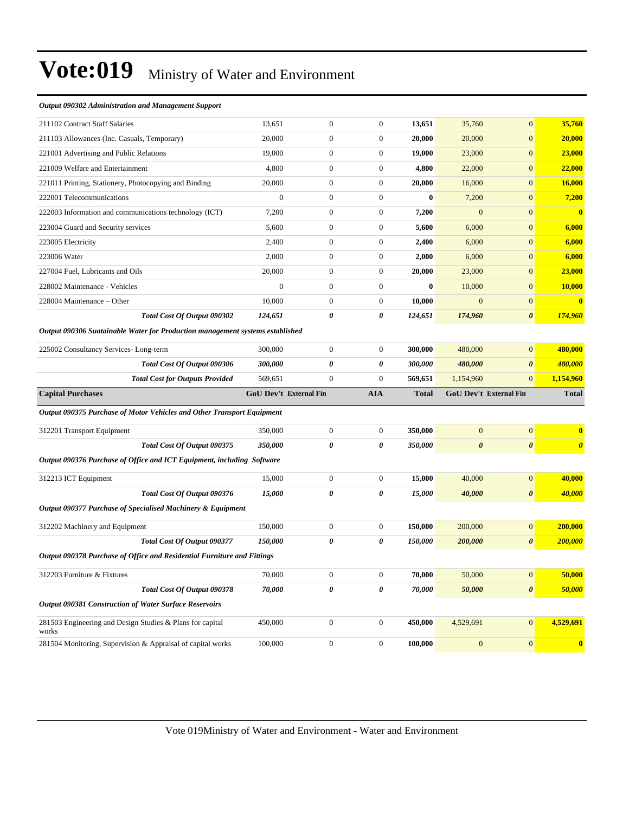#### *Output 090302 Administration and Management Support*

| 211102 Contract Staff Salaries                                                | 13,651                 | $\overline{0}$   | $\boldsymbol{0}$ | 13,651       | 35,760                | $\overline{0}$         | 35,760                          |
|-------------------------------------------------------------------------------|------------------------|------------------|------------------|--------------|-----------------------|------------------------|---------------------------------|
| 211103 Allowances (Inc. Casuals, Temporary)                                   | 20,000                 | $\boldsymbol{0}$ | $\boldsymbol{0}$ | 20,000       | 20,000                | $\overline{0}$         | 20,000                          |
| 221001 Advertising and Public Relations                                       | 19,000                 | $\boldsymbol{0}$ | $\boldsymbol{0}$ | 19,000       | 23,000                | $\boldsymbol{0}$       | 23,000                          |
| 221009 Welfare and Entertainment                                              | 4,800                  | $\boldsymbol{0}$ | $\boldsymbol{0}$ | 4,800        | 22,000                | $\mathbf{0}$           | 22,000                          |
| 221011 Printing, Stationery, Photocopying and Binding                         | 20,000                 | $\boldsymbol{0}$ | $\boldsymbol{0}$ | 20,000       | 16,000                | $\overline{0}$         | 16,000                          |
| 222001 Telecommunications                                                     | $\boldsymbol{0}$       | $\overline{0}$   | $\boldsymbol{0}$ | $\bf{0}$     | 7,200                 | $\overline{0}$         | 7,200                           |
| 222003 Information and communications technology (ICT)                        | 7,200                  | $\boldsymbol{0}$ | $\boldsymbol{0}$ | 7,200        | $\mathbf{0}$          | $\overline{0}$         | $\overline{\mathbf{0}}$         |
| 223004 Guard and Security services                                            | 5,600                  | $\boldsymbol{0}$ | $\boldsymbol{0}$ | 5,600        | 6,000                 | $\overline{0}$         | 6,000                           |
| 223005 Electricity                                                            | 2,400                  | $\boldsymbol{0}$ | $\boldsymbol{0}$ | 2,400        | 6,000                 | $\overline{0}$         | 6,000                           |
| 223006 Water                                                                  | 2,000                  | $\boldsymbol{0}$ | $\boldsymbol{0}$ | 2,000        | 6,000                 | $\overline{0}$         | 6,000                           |
| 227004 Fuel, Lubricants and Oils                                              | 20,000                 | $\overline{0}$   | $\boldsymbol{0}$ | 20,000       | 23,000                | $\overline{0}$         | 23,000                          |
| 228002 Maintenance - Vehicles                                                 | $\mathbf{0}$           | $\boldsymbol{0}$ | $\boldsymbol{0}$ | $\bf{0}$     | 10,000                | $\overline{0}$         | 10,000                          |
| 228004 Maintenance – Other                                                    | 10,000                 | $\boldsymbol{0}$ | $\boldsymbol{0}$ | 10,000       | $\mathbf{0}$          | $\overline{0}$         | $\bf{0}$                        |
| Total Cost Of Output 090302                                                   | 124,651                | 0                | 0                | 124,651      | 174,960               | $\boldsymbol{\theta}$  | 174,960                         |
| Output 090306 Suatainable Water for Production management systems established |                        |                  |                  |              |                       |                        |                                 |
| 225002 Consultancy Services-Long-term                                         | 300,000                | $\boldsymbol{0}$ | $\boldsymbol{0}$ | 300,000      | 480,000               | $\mathbf{0}$           | 480,000                         |
| Total Cost Of Output 090306                                                   | 300,000                | 0                | 0                | 300,000      | 480,000               | $\boldsymbol{\theta}$  | 480,000                         |
|                                                                               |                        |                  |                  |              | 1.154.960             | $\overline{0}$         | 1,154,960                       |
| <b>Total Cost for Outputs Provided</b>                                        | 569,651                | $\overline{0}$   | $\mathbf{0}$     | 569,651      |                       |                        |                                 |
| <b>Capital Purchases</b>                                                      | GoU Dev't External Fin |                  | <b>AIA</b>       | <b>Total</b> |                       | GoU Dev't External Fin | <b>Total</b>                    |
| Output 090375 Purchase of Motor Vehicles and Other Transport Equipment        |                        |                  |                  |              |                       |                        |                                 |
|                                                                               |                        |                  |                  |              |                       |                        |                                 |
| 312201 Transport Equipment                                                    | 350,000                | $\boldsymbol{0}$ | $\boldsymbol{0}$ | 350,000      | $\mathbf{0}$          | $\boldsymbol{0}$       | $\bf{0}$                        |
| Total Cost Of Output 090375                                                   | 350,000                | 0                | 0                | 350,000      | $\boldsymbol{\theta}$ | $\boldsymbol{\theta}$  |                                 |
| Output 090376 Purchase of Office and ICT Equipment, including Software        |                        |                  |                  |              |                       |                        |                                 |
| 312213 ICT Equipment                                                          | 15,000                 | 0                | $\boldsymbol{0}$ | 15,000       | 40,000                | $\overline{0}$         | 40,000                          |
| Total Cost Of Output 090376                                                   | 15,000                 | 0                | 0                | 15,000       | 40,000                | $\boldsymbol{\theta}$  | $\boldsymbol{\theta}$<br>40,000 |
| Output 090377 Purchase of Specialised Machinery & Equipment                   |                        |                  |                  |              |                       |                        |                                 |
| 312202 Machinery and Equipment                                                | 150,000                | $\boldsymbol{0}$ | $\boldsymbol{0}$ | 150,000      | 200,000               | $\mathbf{0}$           | 200,000                         |
| Total Cost Of Output 090377                                                   | 150,000                | 0                | 0                | 150,000      | 200,000               | $\boldsymbol{\theta}$  | 200,000                         |
| Output 090378 Purchase of Office and Residential Furniture and Fittings       |                        |                  |                  |              |                       |                        |                                 |
| 312203 Furniture & Fixtures                                                   | 70,000                 | $\theta$         | 0                | 70,000       | 50,000                | $\mathbf{0}$           | <b>50,000</b>                   |
| Total Cost Of Output 090378                                                   | 70,000                 | 0                | 0                | 70,000       | 50,000                | $\boldsymbol{\theta}$  | 50,000                          |
| Output 090381 Construction of Water Surface Reservoirs                        |                        |                  |                  |              |                       |                        |                                 |
| 281503 Engineering and Design Studies & Plans for capital<br>works            | 450,000                | $\boldsymbol{0}$ | $\boldsymbol{0}$ | 450,000      | 4,529,691             | $\mathbf{0}$           | 4,529,691                       |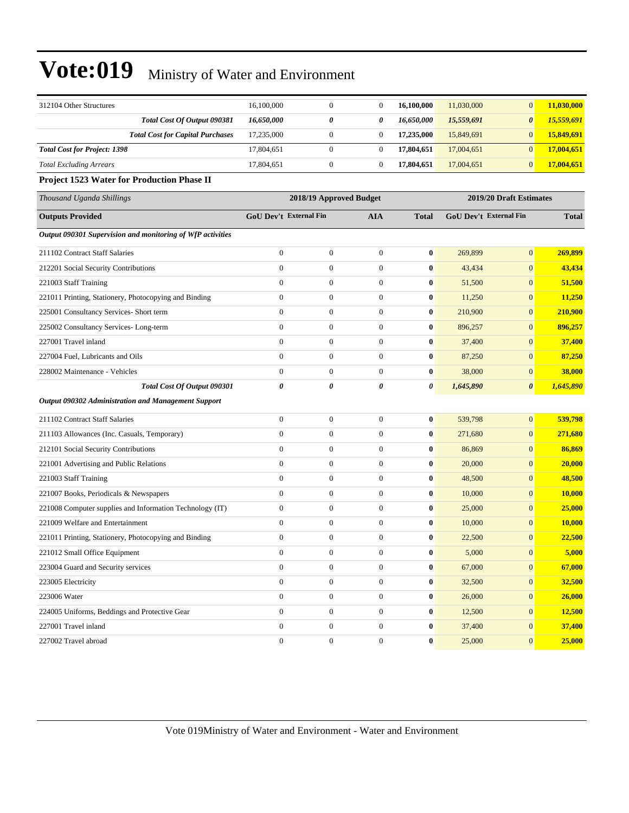| 312104 Other Structures                                    | 16,100,000                    | $\boldsymbol{0}$        | $\boldsymbol{0}$ | 16,100,000       | 11,030,000              | $\mathbf{0}$          | 11,030,000   |
|------------------------------------------------------------|-------------------------------|-------------------------|------------------|------------------|-------------------------|-----------------------|--------------|
| Total Cost Of Output 090381                                | 16,650,000                    | 0                       | 0                | 16,650,000       | 15,559,691              | $\boldsymbol{\theta}$ | 15,559,691   |
| <b>Total Cost for Capital Purchases</b>                    | 17,235,000                    | $\boldsymbol{0}$        | $\boldsymbol{0}$ | 17,235,000       | 15,849,691              | $\mathbf{0}$          | 15,849,691   |
| <b>Total Cost for Project: 1398</b>                        | 17,804,651                    | $\boldsymbol{0}$        | $\boldsymbol{0}$ | 17,804,651       | 17,004,651              | $\mathbf{0}$          | 17,004,651   |
| <b>Total Excluding Arrears</b>                             | 17,804,651                    | $\boldsymbol{0}$        | $\boldsymbol{0}$ | 17,804,651       | 17,004,651              | $\mathbf{0}$          | 17,004,651   |
| Project 1523 Water for Production Phase II                 |                               |                         |                  |                  |                         |                       |              |
| Thousand Uganda Shillings                                  |                               | 2018/19 Approved Budget |                  |                  | 2019/20 Draft Estimates |                       |              |
| <b>Outputs Provided</b>                                    | <b>GoU Dev't External Fin</b> |                         | <b>AIA</b>       | <b>Total</b>     | GoU Dev't External Fin  |                       | <b>Total</b> |
| Output 090301 Supervision and monitoring of WfP activities |                               |                         |                  |                  |                         |                       |              |
| 211102 Contract Staff Salaries                             | $\boldsymbol{0}$              | $\boldsymbol{0}$        | $\boldsymbol{0}$ | $\bf{0}$         | 269,899                 | $\mathbf{0}$          | 269,899      |
| 212201 Social Security Contributions                       | $\boldsymbol{0}$              | $\boldsymbol{0}$        | $\boldsymbol{0}$ | $\bf{0}$         | 43,434                  | $\mathbf{0}$          | 43,434       |
| 221003 Staff Training                                      | $\mathbf{0}$                  | $\boldsymbol{0}$        | $\boldsymbol{0}$ | $\bf{0}$         | 51,500                  | $\boldsymbol{0}$      | 51,500       |
| 221011 Printing, Stationery, Photocopying and Binding      | $\boldsymbol{0}$              | $\boldsymbol{0}$        | $\boldsymbol{0}$ | $\bf{0}$         | 11,250                  | $\mathbf{0}$          | 11,250       |
| 225001 Consultancy Services- Short term                    | $\mathbf{0}$                  | $\boldsymbol{0}$        | $\boldsymbol{0}$ | $\bf{0}$         | 210,900                 | $\mathbf{0}$          | 210,900      |
| 225002 Consultancy Services-Long-term                      | $\boldsymbol{0}$              | $\boldsymbol{0}$        | $\boldsymbol{0}$ | $\bf{0}$         | 896,257                 | $\mathbf{0}$          | 896,257      |
| 227001 Travel inland                                       | $\boldsymbol{0}$              | $\boldsymbol{0}$        | $\boldsymbol{0}$ | $\bf{0}$         | 37,400                  | $\mathbf{0}$          | 37,400       |
| 227004 Fuel, Lubricants and Oils                           | $\mathbf{0}$                  | $\boldsymbol{0}$        | $\boldsymbol{0}$ | $\bf{0}$         | 87,250                  | $\boldsymbol{0}$      | 87,250       |
| 228002 Maintenance - Vehicles                              | $\boldsymbol{0}$              | $\boldsymbol{0}$        | $\boldsymbol{0}$ | 0                | 38,000                  | $\mathbf{0}$          | 38,000       |
| Total Cost Of Output 090301                                | $\boldsymbol{\theta}$         | 0                       | 0                | 0                | 1,645,890               | $\boldsymbol{\theta}$ | 1,645,890    |
| <b>Output 090302 Administration and Management Support</b> |                               |                         |                  |                  |                         |                       |              |
| 211102 Contract Staff Salaries                             | $\boldsymbol{0}$              | $\boldsymbol{0}$        | $\boldsymbol{0}$ | $\bf{0}$         | 539,798                 | $\boldsymbol{0}$      | 539,798      |
| 211103 Allowances (Inc. Casuals, Temporary)                | $\boldsymbol{0}$              | $\boldsymbol{0}$        | $\boldsymbol{0}$ | $\bf{0}$         | 271,680                 | $\mathbf{0}$          | 271,680      |
| 212101 Social Security Contributions                       | $\mathbf{0}$                  | $\boldsymbol{0}$        | $\boldsymbol{0}$ | $\bf{0}$         | 86,869                  | $\mathbf{0}$          | 86,869       |
| 221001 Advertising and Public Relations                    | $\boldsymbol{0}$              | $\boldsymbol{0}$        | $\boldsymbol{0}$ | 0                | 20,000                  | $\mathbf{0}$          | 20,000       |
| 221003 Staff Training                                      | $\mathbf{0}$                  | $\boldsymbol{0}$        | $\boldsymbol{0}$ | $\bf{0}$         | 48,500                  | $\boldsymbol{0}$      | 48,500       |
| 221007 Books, Periodicals & Newspapers                     | $\mathbf{0}$                  | $\boldsymbol{0}$        | $\boldsymbol{0}$ | $\bf{0}$         | 10,000                  | $\mathbf{0}$          | 10,000       |
| 221008 Computer supplies and Information Technology (IT)   | $\boldsymbol{0}$              | $\boldsymbol{0}$        | $\boldsymbol{0}$ | $\bf{0}$         | 25,000                  | $\mathbf{0}$          | 25,000       |
| 221009 Welfare and Entertainment                           | $\mathbf{0}$                  | $\boldsymbol{0}$        | $\boldsymbol{0}$ | $\bf{0}$         | 10,000                  | $\mathbf{0}$          | 10,000       |
| 221011 Printing, Stationery, Photocopying and Binding      | $\mathbf{0}$                  | $\boldsymbol{0}$        | $\boldsymbol{0}$ | 0                | 22,500                  | $\mathbf{0}$          | 22,500       |
| 221012 Small Office Equipment                              | $\theta$                      | $\overline{0}$          | $\overline{0}$   | $\bf{0}$         | 5,000                   | $\mathbf{0}$          | 5,000        |
| 223004 Guard and Security services                         | $\boldsymbol{0}$              | $\boldsymbol{0}$        | $\boldsymbol{0}$ | $\bf{0}$         | 67,000                  | $\mathbf{0}$          | 67,000       |
| 223005 Electricity                                         | $\boldsymbol{0}$              | $\boldsymbol{0}$        | $\boldsymbol{0}$ | 0                | 32,500                  | $\boldsymbol{0}$      | 32,500       |
| 223006 Water                                               | $\boldsymbol{0}$              | $\boldsymbol{0}$        | $\boldsymbol{0}$ | $\boldsymbol{0}$ | 26,000                  | $\mathbf{0}$          | 26,000       |
| 224005 Uniforms, Beddings and Protective Gear              | $\boldsymbol{0}$              | $\boldsymbol{0}$        | $\boldsymbol{0}$ | $\boldsymbol{0}$ | 12,500                  | $\mathbf{0}$          | 12,500       |
| 227001 Travel inland                                       | $\boldsymbol{0}$              | $\boldsymbol{0}$        | $\boldsymbol{0}$ | $\boldsymbol{0}$ | 37,400                  | $\boldsymbol{0}$      | 37,400       |
| 227002 Travel abroad                                       | $\boldsymbol{0}$              | $\boldsymbol{0}$        | $\boldsymbol{0}$ | $\pmb{0}$        | 25,000                  | $\mathbf{0}$          | 25,000       |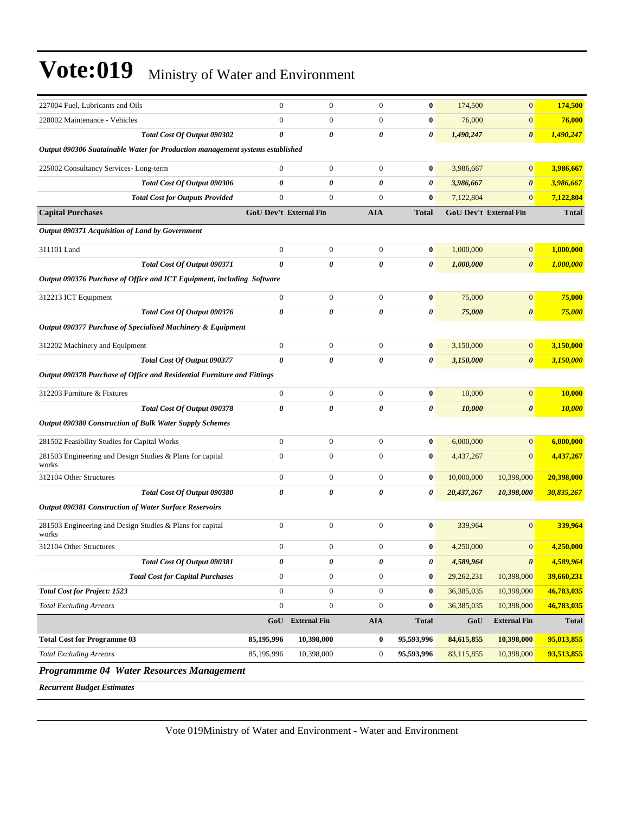| 227004 Fuel, Lubricants and Oils                                                              | $\overline{0}$        | $\mathbf{0}$                  | $\mathbf{0}$     | $\bf{0}$              | 174,500    | $\overline{0}$                | 174,500       |
|-----------------------------------------------------------------------------------------------|-----------------------|-------------------------------|------------------|-----------------------|------------|-------------------------------|---------------|
| 228002 Maintenance - Vehicles                                                                 | $\boldsymbol{0}$      | $\boldsymbol{0}$              | $\boldsymbol{0}$ | $\bf{0}$              | 76,000     | $\mathbf{0}$                  | 76,000        |
| Total Cost Of Output 090302                                                                   | 0                     | 0                             | 0                | 0                     | 1,490,247  | $\boldsymbol{\theta}$         | 1,490,247     |
| Output 090306 Suatainable Water for Production management systems established                 |                       |                               |                  |                       |            |                               |               |
| 225002 Consultancy Services-Long-term                                                         | $\mathbf{0}$          | $\boldsymbol{0}$              | $\boldsymbol{0}$ | $\bf{0}$              | 3,986,667  | $\boldsymbol{0}$              | 3.986,667     |
| Total Cost Of Output 090306                                                                   | 0                     | 0                             | 0                | 0                     | 3,986,667  | $\boldsymbol{\theta}$         | 3,986,667     |
| <b>Total Cost for Outputs Provided</b>                                                        | $\overline{0}$        | $\mathbf{0}$                  | $\mathbf{0}$     | $\bf{0}$              | 7,122,804  | $\mathbf{0}$                  | 7,122,804     |
| <b>Capital Purchases</b>                                                                      |                       | <b>GoU Dev't External Fin</b> | <b>AIA</b>       | <b>Total</b>          |            | <b>GoU Dev't External Fin</b> | <b>Total</b>  |
| Output 090371 Acquisition of Land by Government                                               |                       |                               |                  |                       |            |                               |               |
| 311101 Land                                                                                   | $\boldsymbol{0}$      | $\boldsymbol{0}$              | $\boldsymbol{0}$ | $\bf{0}$              | 1,000,000  | $\overline{0}$                | 1,000,000     |
| Total Cost Of Output 090371                                                                   | 0                     | 0                             | 0                | 0                     | 1,000,000  | $\boldsymbol{\theta}$         | 1,000,000     |
| Output 090376 Purchase of Office and ICT Equipment, including Software                        |                       |                               |                  |                       |            |                               |               |
| 312213 ICT Equipment                                                                          | $\boldsymbol{0}$      | $\boldsymbol{0}$              | $\boldsymbol{0}$ | $\bf{0}$              | 75,000     | $\boldsymbol{0}$              | 75,000        |
| Total Cost Of Output 090376                                                                   | 0                     | 0                             | 0                | $\boldsymbol{\theta}$ | 75,000     | $\boldsymbol{\theta}$         | 75,000        |
| Output 090377 Purchase of Specialised Machinery & Equipment                                   |                       |                               |                  |                       |            |                               |               |
| 312202 Machinery and Equipment                                                                | $\boldsymbol{0}$      | $\boldsymbol{0}$              | $\boldsymbol{0}$ | $\bf{0}$              | 3,150,000  | $\overline{0}$                | 3,150,000     |
| Total Cost Of Output 090377                                                                   | $\boldsymbol{\theta}$ | 0                             | 0                | 0                     | 3,150,000  | 0                             | 3,150,000     |
| Output 090378 Purchase of Office and Residential Furniture and Fittings                       |                       |                               |                  |                       |            |                               |               |
|                                                                                               |                       |                               |                  |                       |            |                               |               |
| 312203 Furniture & Fixtures                                                                   | $\boldsymbol{0}$      | $\boldsymbol{0}$              | $\boldsymbol{0}$ | $\bf{0}$              | 10,000     | $\overline{0}$                | 10,000        |
| Total Cost Of Output 090378<br><b>Output 090380 Construction of Bulk Water Supply Schemes</b> | 0                     | 0                             | 0                | 0                     | 10,000     | $\boldsymbol{\theta}$         | <b>10,000</b> |
|                                                                                               |                       |                               |                  |                       |            |                               |               |
| 281502 Feasibility Studies for Capital Works                                                  | $\boldsymbol{0}$      | $\boldsymbol{0}$              | $\boldsymbol{0}$ | $\bf{0}$              | 6,000,000  | $\mathbf{0}$                  | 6,000,000     |
| 281503 Engineering and Design Studies & Plans for capital<br>works                            | $\overline{0}$        | $\boldsymbol{0}$              | $\overline{0}$   | $\bf{0}$              | 4,437,267  | $\overline{0}$                | 4,437,267     |
| 312104 Other Structures                                                                       | $\mathbf{0}$          | $\boldsymbol{0}$              | $\boldsymbol{0}$ | $\bf{0}$              | 10,000,000 | 10,398,000                    | 20,398,000    |
| Total Cost Of Output 090380                                                                   | 0                     | 0                             | 0                | $\boldsymbol{\theta}$ | 20,437,267 | 10,398,000                    | 30,835,267    |
| <b>Output 090381 Construction of Water Surface Reservoirs</b>                                 |                       |                               |                  |                       |            |                               |               |
| 281503 Engineering and Design Studies & Plans for capital<br>works                            | $\boldsymbol{0}$      | $\boldsymbol{0}$              | $\mathbf{0}$     | $\bf{0}$              | 339,964    | $\overline{0}$                | 339,964       |
| 312104 Other Structures                                                                       | $\overline{0}$        | $\overline{0}$                | $\mathbf{0}$     | $\bf{0}$              | 4,250,000  | $\boldsymbol{0}$              | 4,250,000     |
| Total Cost Of Output 090381                                                                   | 0                     | 0                             | 0                | 0                     | 4,589,964  | $\boldsymbol{\theta}$         | 4,589,964     |
| <b>Total Cost for Capital Purchases</b>                                                       | $\boldsymbol{0}$      | $\boldsymbol{0}$              | $\overline{0}$   | $\bf{0}$              | 29,262,231 | 10,398,000                    | 39,660,231    |
| <b>Total Cost for Project: 1523</b>                                                           | $\boldsymbol{0}$      | $\boldsymbol{0}$              | $\boldsymbol{0}$ | $\bf{0}$              | 36,385,035 | 10,398,000                    | 46,783,035    |
| <b>Total Excluding Arrears</b>                                                                | $\boldsymbol{0}$      | $\boldsymbol{0}$              | $\boldsymbol{0}$ | $\bf{0}$              | 36,385,035 | 10,398,000                    | 46,783,035    |
|                                                                                               | GoU                   | <b>External Fin</b>           | <b>AIA</b>       | <b>Total</b>          | GoU        | <b>External Fin</b>           | <b>Total</b>  |
| <b>Total Cost for Programme 03</b>                                                            | 85,195,996            | 10,398,000                    | 0                | 95,593,996            | 84,615,855 | 10,398,000                    | 95,013,855    |
| <b>Total Excluding Arrears</b>                                                                | 85,195,996            | 10,398,000                    | $\boldsymbol{0}$ | 95,593,996            | 83,115,855 | 10,398,000                    | 93,513,855    |
| Programmme 04 Water Resources Management                                                      |                       |                               |                  |                       |            |                               |               |

*Recurrent Budget Estimates*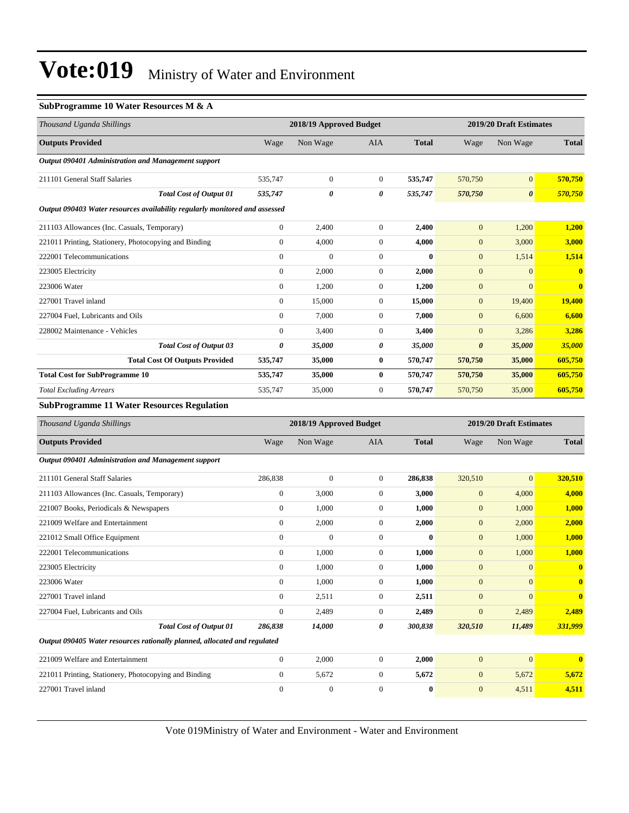#### **SubProgramme 10 Water Resources M & A**

| Thousand Uganda Shillings                                                   |                | 2018/19 Approved Budget |              | 2019/20 Draft Estimates |                       |                         |              |
|-----------------------------------------------------------------------------|----------------|-------------------------|--------------|-------------------------|-----------------------|-------------------------|--------------|
| <b>Outputs Provided</b>                                                     | Wage           | Non Wage                | <b>AIA</b>   | <b>Total</b>            | Wage                  | Non Wage                | <b>Total</b> |
| Output 090401 Administration and Management support                         |                |                         |              |                         |                       |                         |              |
| 211101 General Staff Salaries                                               | 535,747        | $\overline{0}$          | $\mathbf{0}$ | 535,747                 | 570,750               | $\mathbf{0}$            | 570,750      |
| <b>Total Cost of Output 01</b>                                              | 535,747        | 0                       | 0            | 535,747                 | 570,750               | $\boldsymbol{\theta}$   | 570,750      |
| Output 090403 Water resources availability regularly monitored and assessed |                |                         |              |                         |                       |                         |              |
| 211103 Allowances (Inc. Casuals, Temporary)                                 | $\overline{0}$ | 2,400                   | $\mathbf{0}$ | 2,400                   | $\mathbf{0}$          | 1,200                   | 1,200        |
| 221011 Printing, Stationery, Photocopying and Binding                       | $\overline{0}$ | 4,000                   | $\Omega$     | 4,000                   | $\mathbf{0}$          | 3,000                   | 3,000        |
| 222001 Telecommunications                                                   | $\overline{0}$ | $\mathbf{0}$            | $\Omega$     | $\mathbf{0}$            | $\mathbf{0}$          | 1,514                   | 1,514        |
| 223005 Electricity                                                          | $\mathbf{0}$   | 2.000                   | $\mathbf{0}$ | 2,000                   | $\mathbf{0}$          | $\overline{0}$          | $\bf{0}$     |
| 223006 Water                                                                | $\overline{0}$ | 1,200                   | $\mathbf{0}$ | 1,200                   | $\mathbf{0}$          | $\Omega$                | $\mathbf{0}$ |
| 227001 Travel inland                                                        | $\overline{0}$ | 15,000                  | $\mathbf{0}$ | 15,000                  | $\mathbf{0}$          | 19,400                  | 19,400       |
| 227004 Fuel, Lubricants and Oils                                            | $\overline{0}$ | 7,000                   | $\Omega$     | 7,000                   | $\mathbf{0}$          | 6,600                   | 6,600        |
| 228002 Maintenance - Vehicles                                               | $\overline{0}$ | 3,400                   | $\mathbf{0}$ | 3,400                   | $\mathbf{0}$          | 3,286                   | 3,286        |
| <b>Total Cost of Output 03</b>                                              | 0              | 35,000                  | 0            | 35,000                  | $\boldsymbol{\theta}$ | 35,000                  | 35,000       |
| <b>Total Cost Of Outputs Provided</b>                                       | 535,747        | 35,000                  | $\bf{0}$     | 570,747                 | 570,750               | 35,000                  | 605,750      |
| <b>Total Cost for SubProgramme 10</b>                                       | 535,747        | 35,000                  | $\bf{0}$     | 570,747                 | 570,750               | 35,000                  | 605,750      |
| <b>Total Excluding Arrears</b>                                              | 535.747        | 35,000                  | $\mathbf{0}$ | 570,747                 | 570,750               | 35,000                  | 605,750      |
| <b>SubProgramme 11 Water Resources Regulation</b>                           |                |                         |              |                         |                       |                         |              |
| Thousand Uganda Shillings                                                   |                | 2018/19 Approved Budget |              |                         |                       | 2019/20 Draft Estimates |              |
| <b>Outputs Provided</b>                                                     | Wage           | Non Wage                | <b>AIA</b>   | <b>Total</b>            | Wage                  | Non Wage                | <b>Total</b> |
| Output 090401 Administration and Management support                         |                |                         |              |                         |                       |                         |              |

| 286,838                                                                   | $\mathbf{0}$ | $\overline{0}$ | 320,510        | $\mathbf{0}$                                                                                                                             | 320,510                 |
|---------------------------------------------------------------------------|--------------|----------------|----------------|------------------------------------------------------------------------------------------------------------------------------------------|-------------------------|
| $\mathbf{0}$                                                              | 3,000        | $\overline{0}$ | $\mathbf{0}$   | 4,000                                                                                                                                    | 4,000                   |
| $\mathbf{0}$                                                              | 1,000        | $\mathbf{0}$   | $\mathbf{0}$   | 1,000                                                                                                                                    | 1,000                   |
| $\mathbf{0}$                                                              | 2,000        | $\overline{0}$ | $\mathbf{0}$   | 2,000                                                                                                                                    | 2,000                   |
| $\mathbf{0}$                                                              | $\mathbf{0}$ | $\mathbf{0}$   | $\mathbf{0}$   | 1,000                                                                                                                                    | 1,000                   |
| $\mathbf{0}$                                                              | 1,000        | $\overline{0}$ | $\overline{0}$ | 1,000                                                                                                                                    | 1,000                   |
| $\mathbf{0}$                                                              | 1,000        | $\overline{0}$ | $\mathbf{0}$   | $\mathbf{0}$                                                                                                                             | $\mathbf{0}$            |
| $\mathbf{0}$                                                              | 1,000        | $\mathbf{0}$   | $\mathbf{0}$   | $\Omega$                                                                                                                                 | 0                       |
| $\Omega$                                                                  | 2,511        | $\overline{0}$ | $\mathbf{0}$   | $\Omega$                                                                                                                                 | $\overline{\mathbf{0}}$ |
| $\mathbf{0}$                                                              | 2,489        | $\overline{0}$ | $\mathbf{0}$   | 2,489                                                                                                                                    | 2,489                   |
| <b>Total Cost of Output 01</b><br>286,838                                 | 14,000       | 0              | 320,510        | 11,489                                                                                                                                   | 331,999                 |
| Output 090405 Water resources rationally planned, allocated and regulated |              |                |                |                                                                                                                                          |                         |
| $\mathbf{0}$                                                              | 2,000        | $\overline{0}$ | $\mathbf{0}$   | $\mathbf{0}$                                                                                                                             | $\mathbf{0}$            |
| $\theta$                                                                  | 5,672        | $\overline{0}$ | $\mathbf{0}$   | 5,672                                                                                                                                    | 5,672                   |
| $\Omega$                                                                  | $\mathbf{0}$ | $\Omega$       | $\mathbf{0}$   | 4,511                                                                                                                                    | 4,511                   |
|                                                                           |              |                |                | 286,838<br>3,000<br>1,000<br>2,000<br>$\mathbf{0}$<br>1,000<br>1,000<br>1,000<br>2,511<br>2,489<br>300,838<br>2,000<br>5,672<br>$\bf{0}$ |                         |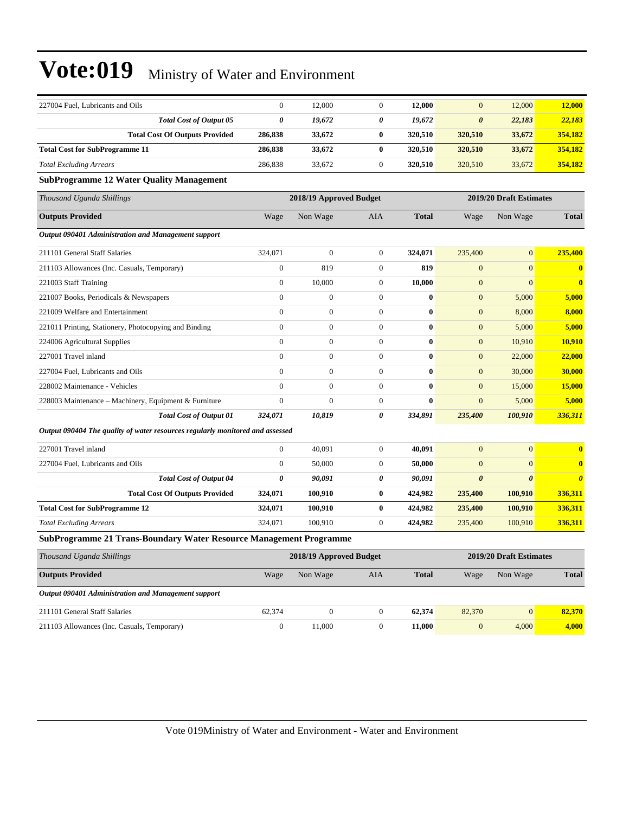| 227004 Fuel, Lubricants and Oils                                              | $\overline{0}$   | 12,000                  | $\overline{0}$   | 12,000       | $\overline{0}$          | 12,000                  | 12,000                |  |
|-------------------------------------------------------------------------------|------------------|-------------------------|------------------|--------------|-------------------------|-------------------------|-----------------------|--|
| <b>Total Cost of Output 05</b>                                                | 0                | 19,672                  | 0                | 19,672       | 0                       | 22,183                  | 22,183                |  |
| <b>Total Cost Of Outputs Provided</b>                                         | 286,838          | 33,672                  | $\bf{0}$         | 320,510      | 320,510                 | 33,672                  | 354,182               |  |
| <b>Total Cost for SubProgramme 11</b>                                         | 286,838          | 33,672                  | $\bf{0}$         | 320,510      | 320,510                 | 33,672                  | 354,182               |  |
| <b>Total Excluding Arrears</b>                                                | 286,838          | 33,672                  | $\mathbf{0}$     | 320,510      | 320,510                 | 33,672                  | 354,182               |  |
| <b>SubProgramme 12 Water Quality Management</b>                               |                  |                         |                  |              |                         |                         |                       |  |
| Thousand Uganda Shillings                                                     |                  | 2018/19 Approved Budget |                  |              | 2019/20 Draft Estimates |                         |                       |  |
| <b>Outputs Provided</b>                                                       | Wage             | Non Wage                | AIA              | <b>Total</b> | Wage                    | Non Wage                | <b>Total</b>          |  |
| Output 090401 Administration and Management support                           |                  |                         |                  |              |                         |                         |                       |  |
| 211101 General Staff Salaries                                                 | 324,071          | $\boldsymbol{0}$        | $\boldsymbol{0}$ | 324,071      | 235,400                 | $\boldsymbol{0}$        | 235,400               |  |
| 211103 Allowances (Inc. Casuals, Temporary)                                   | $\boldsymbol{0}$ | 819                     | $\boldsymbol{0}$ | 819          | $\mathbf{0}$            | $\mathbf{0}$            | $\bf{0}$              |  |
| 221003 Staff Training                                                         | $\boldsymbol{0}$ | 10,000                  | $\overline{0}$   | 10,000       | $\mathbf{0}$            | $\overline{0}$          | $\bf{0}$              |  |
| 221007 Books, Periodicals & Newspapers                                        | $\boldsymbol{0}$ | $\mathbf{0}$            | $\boldsymbol{0}$ | $\bf{0}$     | $\mathbf{0}$            | 5,000                   | 5,000                 |  |
| 221009 Welfare and Entertainment                                              | $\boldsymbol{0}$ | $\mathbf{0}$            | $\overline{0}$   | $\bf{0}$     | $\mathbf{0}$            | 8,000                   | 8,000                 |  |
| 221011 Printing, Stationery, Photocopying and Binding                         | $\overline{0}$   | $\mathbf{0}$            | $\overline{0}$   | $\bf{0}$     | $\mathbf{0}$            | 5,000                   | 5,000                 |  |
| 224006 Agricultural Supplies                                                  | $\boldsymbol{0}$ | $\boldsymbol{0}$        | $\boldsymbol{0}$ | $\bf{0}$     | $\mathbf{0}$            | 10,910                  | 10,910                |  |
| 227001 Travel inland                                                          | $\overline{0}$   | $\boldsymbol{0}$        | $\overline{0}$   | $\bf{0}$     | $\mathbf{0}$            | 22,000                  | 22,000                |  |
| 227004 Fuel, Lubricants and Oils                                              | $\overline{0}$   | $\boldsymbol{0}$        | $\overline{0}$   | $\bf{0}$     | $\boldsymbol{0}$        | 30,000                  | 30,000                |  |
| 228002 Maintenance - Vehicles                                                 | $\boldsymbol{0}$ | $\boldsymbol{0}$        | $\boldsymbol{0}$ | $\bf{0}$     | $\mathbf{0}$            | 15,000                  | 15,000                |  |
| 228003 Maintenance – Machinery, Equipment & Furniture                         | $\boldsymbol{0}$ | $\mathbf{0}$            | $\boldsymbol{0}$ | $\bf{0}$     | $\boldsymbol{0}$        | 5,000                   | 5,000                 |  |
| <b>Total Cost of Output 01</b>                                                | 324,071          | 10,819                  | $\theta$         | 334,891      | 235,400                 | 100,910                 | 336,311               |  |
| Output 090404 The quality of water resources regularly monitored and assessed |                  |                         |                  |              |                         |                         |                       |  |
| 227001 Travel inland                                                          | $\boldsymbol{0}$ | 40,091                  | $\overline{0}$   | 40,091       | $\overline{0}$          | $\mathbf{0}$            | $\bf{0}$              |  |
| 227004 Fuel, Lubricants and Oils                                              | $\boldsymbol{0}$ | 50,000                  | $\mathbf{0}$     | 50,000       | $\overline{0}$          | $\overline{0}$          | $\bf{0}$              |  |
| <b>Total Cost of Output 04</b>                                                | 0                | 90,091                  | 0                | 90,091       | $\boldsymbol{\theta}$   | $\boldsymbol{\theta}$   | $\boldsymbol{\theta}$ |  |
| <b>Total Cost Of Outputs Provided</b>                                         | 324,071          | 100,910                 | $\bf{0}$         | 424,982      | 235,400                 | 100,910                 | 336,311               |  |
| <b>Total Cost for SubProgramme 12</b>                                         | 324,071          | 100,910                 | $\bf{0}$         | 424,982      | 235,400                 | 100,910                 | 336,311               |  |
| <b>Total Excluding Arrears</b>                                                | 324,071          | 100,910                 | $\boldsymbol{0}$ | 424,982      | 235,400                 | 100,910                 | 336,311               |  |
| <b>SubProgramme 21 Trans-Boundary Water Resource Management Programme</b>     |                  |                         |                  |              |                         |                         |                       |  |
| Thousand Uganda Shillings                                                     |                  | 2018/19 Approved Budget |                  |              |                         | 2019/20 Draft Estimates |                       |  |
| <b>Outputs Provided</b>                                                       | Wage             | Non Wage                | AIA              | <b>Total</b> | Wage                    | Non Wage                | <b>Total</b>          |  |
| Output 090401 Administration and Management support                           |                  |                         |                  |              |                         |                         |                       |  |
| 211101 General Staff Salaries                                                 | 62,374           | $\boldsymbol{0}$        | $\mathbf{0}$     | 62,374       | 82,370                  | $\overline{0}$          | 82,370                |  |
| 211103 Allowances (Inc. Casuals, Temporary)                                   | $\overline{0}$   | 11.000                  | $\Omega$         | 11,000       | $\overline{0}$          | 4.000                   | 4,000                 |  |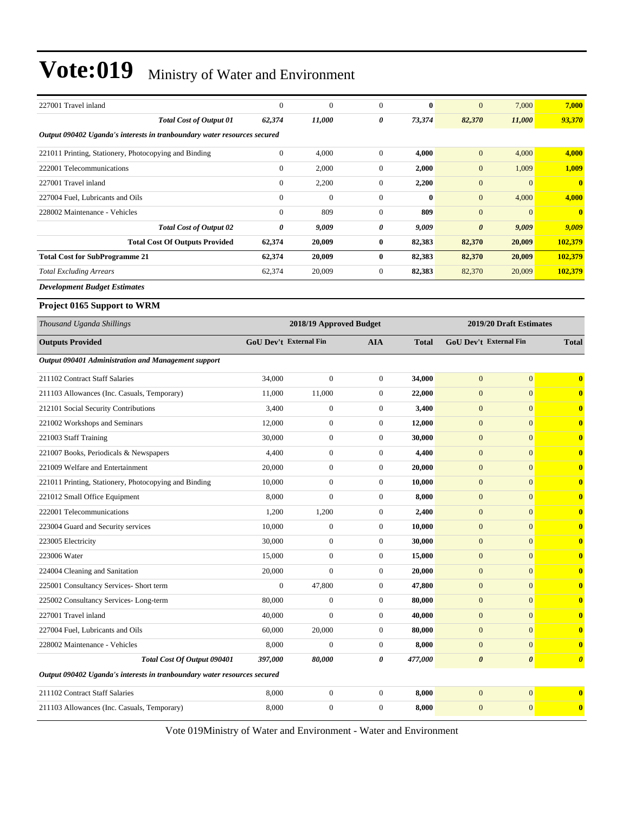| 227001 Travel inland                                                     | $\mathbf{0}$           | $\mathbf{0}$            | $\overline{0}$   | $\bf{0}$     | $\boldsymbol{0}$        | 7,000                         | 7,000                 |  |  |  |  |
|--------------------------------------------------------------------------|------------------------|-------------------------|------------------|--------------|-------------------------|-------------------------------|-----------------------|--|--|--|--|
| <b>Total Cost of Output 01</b>                                           | 62,374                 | 11,000                  | 0                | 73,374       | 82,370                  | 11,000                        | 93,370                |  |  |  |  |
| Output 090402 Uganda's interests in tranboundary water resources secured |                        |                         |                  |              |                         |                               |                       |  |  |  |  |
| 221011 Printing, Stationery, Photocopying and Binding                    | $\boldsymbol{0}$       | 4,000                   | $\mathbf{0}$     | 4,000        | $\boldsymbol{0}$        | 4,000                         | 4,000                 |  |  |  |  |
| 222001 Telecommunications                                                | $\boldsymbol{0}$       | 2,000                   | $\mathbf{0}$     | 2,000        | $\mathbf{0}$            | 1,009                         | 1,009                 |  |  |  |  |
| 227001 Travel inland                                                     | $\boldsymbol{0}$       | 2,200                   | $\mathbf{0}$     | 2,200        | $\boldsymbol{0}$        | $\mathbf{0}$                  | $\bf{0}$              |  |  |  |  |
| 227004 Fuel, Lubricants and Oils                                         | $\overline{0}$         | $\boldsymbol{0}$        | $\mathbf{0}$     | $\bf{0}$     | $\mathbf{0}$            | 4,000                         | 4,000                 |  |  |  |  |
| 228002 Maintenance - Vehicles                                            | $\mathbf{0}$           | 809                     | $\mathbf{0}$     | 809          | $\mathbf{0}$            | $\overline{0}$                | $\mathbf{0}$          |  |  |  |  |
| Total Cost of Output 02                                                  | 0                      | 9,009                   | 0                | 9,009        | $\boldsymbol{\theta}$   | 9,009                         | 9,009                 |  |  |  |  |
| <b>Total Cost Of Outputs Provided</b>                                    | 62,374                 | 20,009                  | $\bf{0}$         | 82,383       | 82,370                  | 20,009                        | 102,379               |  |  |  |  |
| <b>Total Cost for SubProgramme 21</b>                                    | 62,374                 | 20,009                  | $\bf{0}$         | 82,383       | 82,370                  | 20,009                        | 102,379               |  |  |  |  |
| <b>Total Excluding Arrears</b>                                           | 62,374                 | 20,009                  | $\mathbf{0}$     | 82,383       | 82,370                  | 20,009                        | 102,379               |  |  |  |  |
| <b>Development Budget Estimates</b>                                      |                        |                         |                  |              |                         |                               |                       |  |  |  |  |
| Project 0165 Support to WRM                                              |                        |                         |                  |              |                         |                               |                       |  |  |  |  |
| Thousand Uganda Shillings                                                |                        | 2018/19 Approved Budget |                  |              | 2019/20 Draft Estimates |                               |                       |  |  |  |  |
| <b>Outputs Provided</b>                                                  | GoU Dev't External Fin |                         | <b>AIA</b>       | <b>Total</b> |                         | <b>GoU Dev't External Fin</b> | <b>Total</b>          |  |  |  |  |
| Output 090401 Administration and Management support                      |                        |                         |                  |              |                         |                               |                       |  |  |  |  |
| 211102 Contract Staff Salaries                                           | 34,000                 | $\boldsymbol{0}$        | $\mathbf{0}$     | 34,000       | $\mathbf{0}$            | $\overline{0}$                | $\bf{0}$              |  |  |  |  |
| 211103 Allowances (Inc. Casuals, Temporary)                              | 11,000                 | 11,000                  | $\mathbf{0}$     | 22,000       | $\mathbf{0}$            | $\overline{0}$                | $\bf{0}$              |  |  |  |  |
| 212101 Social Security Contributions                                     | 3,400                  | $\boldsymbol{0}$        | $\mathbf{0}$     | 3,400        | $\boldsymbol{0}$        | $\overline{0}$                | $\bf{0}$              |  |  |  |  |
| 221002 Workshops and Seminars                                            | 12,000                 | $\boldsymbol{0}$        | $\mathbf{0}$     | 12,000       | $\boldsymbol{0}$        | $\overline{0}$                | $\bf{0}$              |  |  |  |  |
| 221003 Staff Training                                                    | 30,000                 | $\boldsymbol{0}$        | $\mathbf{0}$     | 30,000       | $\boldsymbol{0}$        | $\overline{0}$                | $\bf{0}$              |  |  |  |  |
| 221007 Books, Periodicals & Newspapers                                   | 4,400                  | $\boldsymbol{0}$        | $\mathbf{0}$     | 4,400        | $\mathbf{0}$            | $\overline{0}$                | $\bf{0}$              |  |  |  |  |
| 221009 Welfare and Entertainment                                         | 20,000                 | $\boldsymbol{0}$        | $\mathbf{0}$     | 20,000       | $\boldsymbol{0}$        | $\overline{0}$                | $\bf{0}$              |  |  |  |  |
| 221011 Printing, Stationery, Photocopying and Binding                    | 10,000                 | $\boldsymbol{0}$        | $\mathbf{0}$     | 10,000       | $\boldsymbol{0}$        | $\overline{0}$                | $\bf{0}$              |  |  |  |  |
| 221012 Small Office Equipment                                            | 8,000                  | $\overline{0}$          | $\mathbf{0}$     | 8,000        | $\boldsymbol{0}$        | $\overline{0}$                | $\bf{0}$              |  |  |  |  |
| 222001 Telecommunications                                                | 1,200                  | 1,200                   | $\mathbf{0}$     | 2,400        | $\boldsymbol{0}$        | $\overline{0}$                | $\bf{0}$              |  |  |  |  |
| 223004 Guard and Security services                                       | 10,000                 | $\boldsymbol{0}$        | $\mathbf{0}$     | 10,000       | $\mathbf{0}$            | $\overline{0}$                | $\bf{0}$              |  |  |  |  |
| 223005 Electricity                                                       | 30,000                 | $\boldsymbol{0}$        | $\mathbf{0}$     | 30,000       | $\boldsymbol{0}$        | $\overline{0}$                | $\bf{0}$              |  |  |  |  |
| 223006 Water                                                             | 15,000                 | $\boldsymbol{0}$        | $\boldsymbol{0}$ | 15,000       | $\boldsymbol{0}$        | $\boldsymbol{0}$              | $\bf{0}$              |  |  |  |  |
| 224004 Cleaning and Sanitation                                           | 20,000                 | $\boldsymbol{0}$        | $\mathbf{0}$     | 20,000       | $\boldsymbol{0}$        | $\mathbf{0}$                  | $\bf{0}$              |  |  |  |  |
| 225001 Consultancy Services- Short term                                  | $\boldsymbol{0}$       | 47,800                  | $\boldsymbol{0}$ | 47,800       | $\boldsymbol{0}$        | $\boldsymbol{0}$              | $\bf{0}$              |  |  |  |  |
| 225002 Consultancy Services-Long-term                                    | 80,000                 | $\boldsymbol{0}$        | $\boldsymbol{0}$ | 80,000       | $\boldsymbol{0}$        | $\boldsymbol{0}$              | $\bf{0}$              |  |  |  |  |
| 227001 Travel inland                                                     | 40,000                 | $\boldsymbol{0}$        | $\boldsymbol{0}$ | 40,000       | $\boldsymbol{0}$        | $\mathbf{0}$                  | $\bf{0}$              |  |  |  |  |
| 227004 Fuel, Lubricants and Oils                                         | 60,000                 | 20,000                  | $\boldsymbol{0}$ | 80,000       | $\boldsymbol{0}$        | $\mathbf{0}$                  | $\bf{0}$              |  |  |  |  |
| 228002 Maintenance - Vehicles                                            | 8,000                  | $\boldsymbol{0}$        | $\boldsymbol{0}$ | 8,000        | $\boldsymbol{0}$        | $\overline{0}$                | $\bf{0}$              |  |  |  |  |
| <b>Total Cost Of Output 090401</b>                                       | 397,000                | 80,000                  | 0                | 477,000      | $\boldsymbol{\theta}$   | $\boldsymbol{\theta}$         | $\boldsymbol{\theta}$ |  |  |  |  |
| Output 090402 Uganda's interests in tranboundary water resources secured |                        |                         |                  |              |                         |                               |                       |  |  |  |  |
| 211102 Contract Staff Salaries                                           | 8,000                  | $\boldsymbol{0}$        | $\boldsymbol{0}$ | 8,000        | $\mathbf{0}$            | $\mathbf{0}$                  | $\bf{0}$              |  |  |  |  |
| 211103 Allowances (Inc. Casuals, Temporary)                              | 8,000                  | $\boldsymbol{0}$        | $\boldsymbol{0}$ | 8,000        | $\boldsymbol{0}$        | $\mathbf{0}$                  | $\bf{0}$              |  |  |  |  |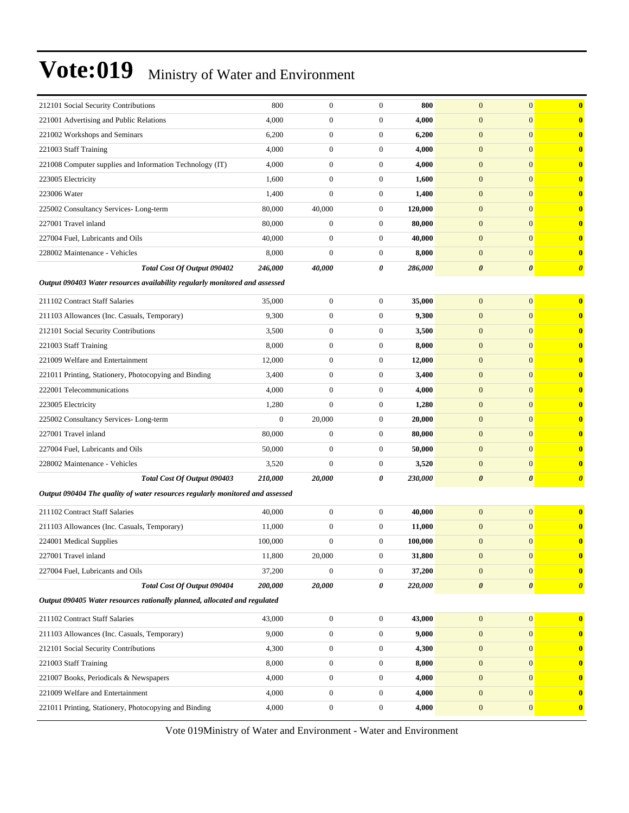| 221001 Advertising and Public Relations                                       | 4,000            |                  |                  |         |                       |                       |                       |
|-------------------------------------------------------------------------------|------------------|------------------|------------------|---------|-----------------------|-----------------------|-----------------------|
|                                                                               |                  | $\mathbf{0}$     | $\boldsymbol{0}$ | 4,000   | $\mathbf{0}$          | $\mathbf{0}$          | $\boldsymbol{0}$      |
| 221002 Workshops and Seminars                                                 | 6,200            | $\boldsymbol{0}$ | $\boldsymbol{0}$ | 6,200   | $\mathbf{0}$          | $\overline{0}$        | $\boldsymbol{0}$      |
| 221003 Staff Training                                                         | 4,000            | $\mathbf{0}$     | $\boldsymbol{0}$ | 4,000   | $\mathbf{0}$          | $\mathbf{0}$          | $\bf{0}$              |
| 221008 Computer supplies and Information Technology (IT)                      | 4,000            | $\mathbf{0}$     | $\boldsymbol{0}$ | 4,000   | $\mathbf{0}$          | $\overline{0}$        | $\bf{0}$              |
| 223005 Electricity                                                            | 1,600            | $\boldsymbol{0}$ | $\boldsymbol{0}$ | 1,600   | $\mathbf{0}$          | $\overline{0}$        | $\boldsymbol{0}$      |
| 223006 Water                                                                  | 1,400            | $\overline{0}$   | $\boldsymbol{0}$ | 1,400   | $\mathbf{0}$          | $\mathbf{0}$          | $\boldsymbol{0}$      |
| 225002 Consultancy Services-Long-term                                         | 80,000           | 40,000           | $\boldsymbol{0}$ | 120,000 | $\mathbf{0}$          | $\overline{0}$        | $\boldsymbol{0}$      |
| 227001 Travel inland                                                          | 80,000           | $\boldsymbol{0}$ | $\boldsymbol{0}$ | 80,000  | $\mathbf{0}$          | $\mathbf{0}$          | $\bf{0}$              |
| 227004 Fuel, Lubricants and Oils                                              | 40,000           | $\mathbf{0}$     | $\boldsymbol{0}$ | 40,000  | $\mathbf{0}$          | $\overline{0}$        | $\bf{0}$              |
| 228002 Maintenance - Vehicles                                                 | 8,000            | $\mathbf{0}$     | $\boldsymbol{0}$ | 8,000   | $\mathbf{0}$          | $\overline{0}$        | $\bf{0}$              |
| Total Cost Of Output 090402                                                   | 246,000          | 40,000           | 0                | 286,000 | $\boldsymbol{\theta}$ | $\boldsymbol{\theta}$ | $\boldsymbol{\theta}$ |
| Output 090403 Water resources availability regularly monitored and assessed   |                  |                  |                  |         |                       |                       |                       |
| 211102 Contract Staff Salaries                                                | 35,000           | $\boldsymbol{0}$ | $\boldsymbol{0}$ | 35,000  | $\mathbf{0}$          | $\mathbf{0}$          | $\bf{0}$              |
| 211103 Allowances (Inc. Casuals, Temporary)                                   | 9,300            | $\mathbf{0}$     | $\boldsymbol{0}$ | 9,300   | $\mathbf{0}$          | $\mathbf{0}$          | $\boldsymbol{0}$      |
| 212101 Social Security Contributions                                          | 3,500            | $\mathbf{0}$     | $\boldsymbol{0}$ | 3,500   | $\mathbf{0}$          | $\overline{0}$        | $\bf{0}$              |
| 221003 Staff Training                                                         | 8,000            | $\mathbf{0}$     | $\boldsymbol{0}$ | 8,000   | $\mathbf{0}$          | $\overline{0}$        | $\boldsymbol{0}$      |
| 221009 Welfare and Entertainment                                              | 12,000           | $\mathbf{0}$     | $\boldsymbol{0}$ | 12,000  | $\mathbf{0}$          | $\mathbf{0}$          | $\boldsymbol{0}$      |
| 221011 Printing, Stationery, Photocopying and Binding                         | 3,400            | $\bf{0}$         | $\boldsymbol{0}$ | 3,400   | $\mathbf{0}$          | $\mathbf{0}$          | $\boldsymbol{0}$      |
| 222001 Telecommunications                                                     | 4,000            | $\mathbf{0}$     | $\boldsymbol{0}$ | 4,000   | $\mathbf{0}$          | $\mathbf{0}$          | $\boldsymbol{0}$      |
| 223005 Electricity                                                            | 1,280            | $\mathbf{0}$     | $\boldsymbol{0}$ | 1,280   | $\mathbf{0}$          | $\overline{0}$        | $\bf{0}$              |
| 225002 Consultancy Services-Long-term                                         | $\boldsymbol{0}$ | 20,000           | $\boldsymbol{0}$ | 20,000  | $\mathbf{0}$          | $\overline{0}$        | $\boldsymbol{0}$      |
| 227001 Travel inland                                                          | 80,000           | $\mathbf{0}$     | $\boldsymbol{0}$ | 80,000  | $\mathbf{0}$          | $\mathbf{0}$          | $\boldsymbol{0}$      |
| 227004 Fuel, Lubricants and Oils                                              | 50,000           | $\bf{0}$         | $\boldsymbol{0}$ | 50,000  | $\mathbf{0}$          | $\mathbf{0}$          | $\boldsymbol{0}$      |
| 228002 Maintenance - Vehicles                                                 | 3,520            | $\mathbf{0}$     | $\boldsymbol{0}$ | 3,520   | $\mathbf{0}$          | $\mathbf{0}$          | $\bf{0}$              |
| Total Cost Of Output 090403                                                   | 210,000          | 20,000           | 0                | 230,000 | $\boldsymbol{\theta}$ | $\boldsymbol{\theta}$ | $\boldsymbol{\theta}$ |
| Output 090404 The quality of water resources regularly monitored and assessed |                  |                  |                  |         |                       |                       |                       |
| 211102 Contract Staff Salaries                                                | 40,000           | $\mathbf{0}$     | $\boldsymbol{0}$ | 40,000  | $\overline{0}$        | $\overline{0}$        | $\bf{0}$              |
| 211103 Allowances (Inc. Casuals, Temporary)                                   | 11,000           | $\mathbf{0}$     | $\boldsymbol{0}$ | 11,000  | $\mathbf{0}$          | $\mathbf{0}$          | $\boldsymbol{0}$      |
| 224001 Medical Supplies                                                       | 100,000          | $\mathbf{0}$     | $\boldsymbol{0}$ | 100,000 | $\mathbf{0}$          | $\mathbf{0}$          | $\bf{0}$              |
| 227001 Travel inland                                                          | 11,800           | 20,000           | $\boldsymbol{0}$ | 31,800  | $\boldsymbol{0}$      | $\mathbf{0}$          |                       |
| 227004 Fuel, Lubricants and Oils                                              | 37,200           | $\boldsymbol{0}$ | $\boldsymbol{0}$ | 37,200  | $\mathbf{0}$          | $\overline{0}$        | $\bf{0}$              |
| Total Cost Of Output 090404                                                   | 200,000          | 20,000           | 0                | 220,000 | $\pmb{\theta}$        | $\boldsymbol{\theta}$ | $\boldsymbol{\theta}$ |
| Output 090405 Water resources rationally planned, allocated and regulated     |                  |                  |                  |         |                       |                       |                       |
| 211102 Contract Staff Salaries                                                | 43,000           | $\boldsymbol{0}$ | $\boldsymbol{0}$ | 43,000  | $\mathbf{0}$          | $\mathbf{0}$          | $\bf{0}$              |
| 211103 Allowances (Inc. Casuals, Temporary)                                   | 9,000            | $\boldsymbol{0}$ | $\overline{0}$   | 9,000   | $\mathbf{0}$          | $\boldsymbol{0}$      | $\boldsymbol{0}$      |
| 212101 Social Security Contributions                                          | 4,300            | $\boldsymbol{0}$ | $\boldsymbol{0}$ | 4,300   | $\mathbf{0}$          | $\boldsymbol{0}$      | $\bf{0}$              |
| 221003 Staff Training                                                         | 8,000            | $\boldsymbol{0}$ | $\boldsymbol{0}$ | 8,000   | $\mathbf{0}$          | $\boldsymbol{0}$      | $\bf{0}$              |
| 221007 Books, Periodicals & Newspapers                                        | 4,000            | $\boldsymbol{0}$ | $\boldsymbol{0}$ | 4,000   | $\mathbf{0}$          | $\boldsymbol{0}$      | $\bf{0}$              |
| 221009 Welfare and Entertainment                                              | 4,000            | $\boldsymbol{0}$ | $\boldsymbol{0}$ | 4,000   | $\mathbf{0}$          | $\boldsymbol{0}$      | $\bf{0}$              |
| 221011 Printing, Stationery, Photocopying and Binding                         | 4,000            | $\boldsymbol{0}$ | 0                | 4,000   | $\mathbf{0}$          | $\boldsymbol{0}$      | $\bf{0}$              |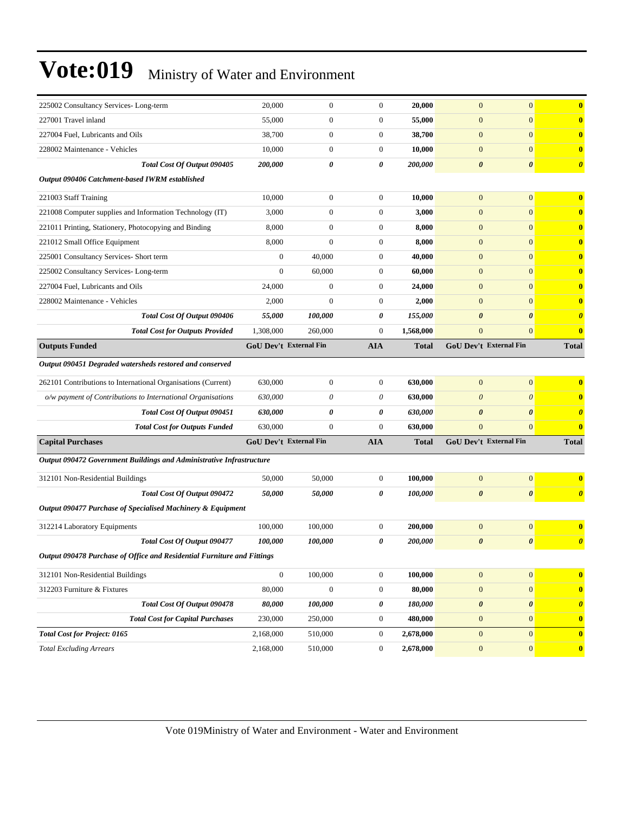| 225002 Consultancy Services-Long-term                                   | 20,000                        | $\boldsymbol{0}$ | $\boldsymbol{0}$ | 20,000       | $\boldsymbol{0}$      | $\mathbf{0}$           | $\bf{0}$              |
|-------------------------------------------------------------------------|-------------------------------|------------------|------------------|--------------|-----------------------|------------------------|-----------------------|
| 227001 Travel inland                                                    | 55,000                        | $\boldsymbol{0}$ | $\boldsymbol{0}$ | 55,000       | $\mathbf{0}$          | $\mathbf{0}$           | $\mathbf{0}$          |
| 227004 Fuel, Lubricants and Oils                                        | 38,700                        | $\boldsymbol{0}$ | $\boldsymbol{0}$ | 38,700       | $\boldsymbol{0}$      | $\mathbf{0}$           | $\mathbf{0}$          |
| 228002 Maintenance - Vehicles                                           | 10,000                        | $\boldsymbol{0}$ | $\boldsymbol{0}$ | 10,000       | $\boldsymbol{0}$      | $\mathbf{0}$           | $\bf{0}$              |
| Total Cost Of Output 090405                                             | 200,000                       | 0                | 0                | 200,000      | 0                     | $\boldsymbol{\theta}$  | $\boldsymbol{\theta}$ |
| Output 090406 Catchment-based IWRM established                          |                               |                  |                  |              |                       |                        |                       |
| 221003 Staff Training                                                   | 10,000                        | $\boldsymbol{0}$ | $\boldsymbol{0}$ | 10,000       | $\boldsymbol{0}$      | $\mathbf{0}$           | $\mathbf{0}$          |
| 221008 Computer supplies and Information Technology (IT)                | 3,000                         | $\boldsymbol{0}$ | $\mathbf{0}$     | 3,000        | $\mathbf{0}$          | $\mathbf{0}$           | $\bf{0}$              |
| 221011 Printing, Stationery, Photocopying and Binding                   | 8,000                         | $\boldsymbol{0}$ | $\boldsymbol{0}$ | 8,000        | $\boldsymbol{0}$      | $\mathbf{0}$           | $\bf{0}$              |
| 221012 Small Office Equipment                                           | 8,000                         | $\overline{0}$   | $\boldsymbol{0}$ | 8,000        | $\boldsymbol{0}$      | $\mathbf{0}$           | $\mathbf{0}$          |
| 225001 Consultancy Services- Short term                                 | $\boldsymbol{0}$              | 40,000           | $\boldsymbol{0}$ | 40,000       | $\boldsymbol{0}$      | $\mathbf{0}$           | $\bf{0}$              |
| 225002 Consultancy Services-Long-term                                   | $\boldsymbol{0}$              | 60,000           | $\boldsymbol{0}$ | 60,000       | $\mathbf{0}$          | $\mathbf{0}$           | $\bf{0}$              |
| 227004 Fuel, Lubricants and Oils                                        | 24,000                        | $\overline{0}$   | $\boldsymbol{0}$ | 24,000       | $\boldsymbol{0}$      | $\mathbf{0}$           | $\bf{0}$              |
| 228002 Maintenance - Vehicles                                           | 2,000                         | $\mathbf{0}$     | $\boldsymbol{0}$ | 2,000        | $\boldsymbol{0}$      | $\mathbf{0}$           | $\bf{0}$              |
| Total Cost Of Output 090406                                             | 55,000                        | 100,000          | 0                | 155,000      | $\boldsymbol{\theta}$ | $\boldsymbol{\theta}$  | $\boldsymbol{\theta}$ |
| <b>Total Cost for Outputs Provided</b>                                  | 1,308,000                     | 260,000          | $\boldsymbol{0}$ | 1,568,000    | $\boldsymbol{0}$      | $\mathbf{0}$           | $\bf{0}$              |
| <b>Outputs Funded</b>                                                   | <b>GoU Dev't External Fin</b> |                  | <b>AIA</b>       | <b>Total</b> |                       | GoU Dev't External Fin | <b>Total</b>          |
| Output 090451 Degraded watersheds restored and conserved                |                               |                  |                  |              |                       |                        |                       |
| 262101 Contributions to International Organisations (Current)           | 630,000                       | $\boldsymbol{0}$ | $\boldsymbol{0}$ | 630,000      | $\boldsymbol{0}$      | $\mathbf{0}$           | $\bf{0}$              |
| o/w payment of Contributions to International Organisations             | 630,000                       | $\theta$         | $\theta$         | 630,000      | $\theta$              | $\boldsymbol{\theta}$  | $\bf{0}$              |
| Total Cost Of Output 090451                                             | 630,000                       | 0                | 0                | 630,000      | 0                     | $\boldsymbol{\theta}$  | $\boldsymbol{\theta}$ |
| <b>Total Cost for Outputs Funded</b>                                    | 630,000                       | $\boldsymbol{0}$ | $\mathbf{0}$     | 630,000      | $\overline{0}$        | $\mathbf{0}$           | $\bf{0}$              |
| <b>Capital Purchases</b>                                                | GoU Dev't External Fin        |                  | <b>AIA</b>       | <b>Total</b> |                       | GoU Dev't External Fin | <b>Total</b>          |
| Output 090472 Government Buildings and Administrative Infrastructure    |                               |                  |                  |              |                       |                        |                       |
|                                                                         |                               |                  |                  |              |                       |                        |                       |
| 312101 Non-Residential Buildings                                        | 50,000                        | 50,000           | $\boldsymbol{0}$ | 100,000      | $\mathbf{0}$          | $\mathbf{0}$           | $\bf{0}$              |
| Total Cost Of Output 090472                                             | 50,000                        | 50,000           | 0                | 100,000      | $\boldsymbol{\theta}$ | $\boldsymbol{\theta}$  | $\boldsymbol{\theta}$ |
| Output 090477 Purchase of Specialised Machinery & Equipment             |                               |                  |                  |              |                       |                        |                       |
| 312214 Laboratory Equipments                                            | 100,000                       | 100,000          | $\boldsymbol{0}$ | 200,000      | $\boldsymbol{0}$      | $\boldsymbol{0}$       | $\bf{0}$              |
| Total Cost Of Output 090477                                             | 100,000                       | 100,000          | 0                | 200,000      | 0                     | $\boldsymbol{\theta}$  | $\boldsymbol{\theta}$ |
| Output 090478 Purchase of Office and Residential Furniture and Fittings |                               |                  |                  |              |                       |                        |                       |
| 312101 Non-Residential Buildings                                        | $\boldsymbol{0}$              | 100,000          | $\boldsymbol{0}$ | 100,000      | $\mathbf{0}$          | $\boldsymbol{0}$       | $\mathbf{0}$          |
| 312203 Furniture & Fixtures                                             | 80,000                        | $\boldsymbol{0}$ | $\boldsymbol{0}$ | 80,000       | $\mathbf{0}$          | $\mathbf{0}$           | $\mathbf{0}$          |
| <b>Total Cost Of Output 090478</b>                                      | 80,000                        | 100,000          | 0                | 180,000      | 0                     | $\pmb{\theta}$         | $\boldsymbol{\theta}$ |
| <b>Total Cost for Capital Purchases</b>                                 | 230,000                       | 250,000          | $\boldsymbol{0}$ | 480,000      | $\boldsymbol{0}$      | $\boldsymbol{0}$       | $\mathbf{0}$          |
| <b>Total Cost for Project: 0165</b>                                     | 2,168,000                     | 510,000          | $\boldsymbol{0}$ | 2,678,000    | $\mathbf{0}$          | $\mathbf{0}$           | $\mathbf{0}$          |
| <b>Total Excluding Arrears</b>                                          | 2,168,000                     | 510,000          | $\boldsymbol{0}$ | 2,678,000    | $\mathbf{0}$          | $\boldsymbol{0}$       | $\mathbf{0}$          |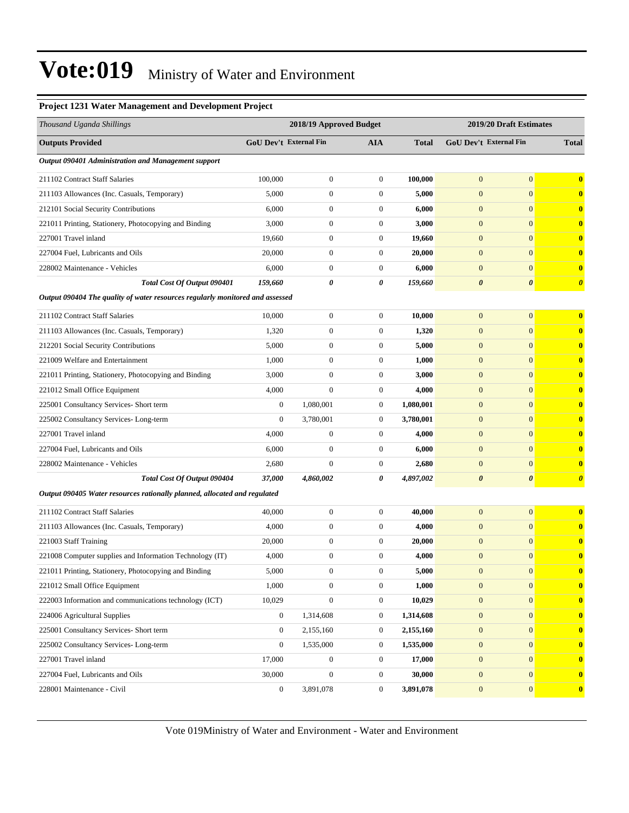#### **Project 1231 Water Management and Development Project**

| Thousand Uganda Shillings                                                     |                        | 2018/19 Approved Budget |                  | 2019/20 Draft Estimates |                        |                       |                         |
|-------------------------------------------------------------------------------|------------------------|-------------------------|------------------|-------------------------|------------------------|-----------------------|-------------------------|
| <b>Outputs Provided</b>                                                       | GoU Dev't External Fin |                         | <b>AIA</b>       | <b>Total</b>            | GoU Dev't External Fin |                       | <b>Total</b>            |
| Output 090401 Administration and Management support                           |                        |                         |                  |                         |                        |                       |                         |
| 211102 Contract Staff Salaries                                                | 100,000                | $\boldsymbol{0}$        | $\mathbf{0}$     | 100,000                 | $\mathbf{0}$           | $\overline{0}$        | $\overline{\mathbf{0}}$ |
| 211103 Allowances (Inc. Casuals, Temporary)                                   | 5,000                  | $\boldsymbol{0}$        | $\mathbf{0}$     | 5,000                   | $\overline{0}$         | $\overline{0}$        | $\bf{0}$                |
| 212101 Social Security Contributions                                          | 6,000                  | $\boldsymbol{0}$        | $\mathbf{0}$     | 6,000                   | $\boldsymbol{0}$       | $\mathbf{0}$          | $\bf{0}$                |
| 221011 Printing, Stationery, Photocopying and Binding                         | 3,000                  | $\boldsymbol{0}$        | $\boldsymbol{0}$ | 3,000                   | $\boldsymbol{0}$       | $\overline{0}$        | $\bf{0}$                |
| 227001 Travel inland                                                          | 19,660                 | $\boldsymbol{0}$        | $\mathbf{0}$     | 19.660                  | $\boldsymbol{0}$       | $\overline{0}$        | $\bf{0}$                |
| 227004 Fuel, Lubricants and Oils                                              | 20,000                 | $\boldsymbol{0}$        | $\boldsymbol{0}$ | 20,000                  | $\boldsymbol{0}$       | $\mathbf{0}$          | $\bf{0}$                |
| 228002 Maintenance - Vehicles                                                 | 6,000                  | $\mathbf{0}$            | $\mathbf{0}$     | 6,000                   | $\overline{0}$         | $\overline{0}$        | $\bf{0}$                |
| Total Cost Of Output 090401                                                   | 159,660                | 0                       | 0                | 159,660                 | $\boldsymbol{\theta}$  | 0                     | $\boldsymbol{\theta}$   |
| Output 090404 The quality of water resources regularly monitored and assessed |                        |                         |                  |                         |                        |                       |                         |
| 211102 Contract Staff Salaries                                                | 10,000                 | $\boldsymbol{0}$        | $\boldsymbol{0}$ | 10,000                  | $\boldsymbol{0}$       | $\overline{0}$        | $\bf{0}$                |
| 211103 Allowances (Inc. Casuals, Temporary)                                   | 1,320                  | $\boldsymbol{0}$        | $\mathbf{0}$     | 1,320                   | $\boldsymbol{0}$       | $\overline{0}$        | $\bf{0}$                |
| 212201 Social Security Contributions                                          | 5,000                  | $\boldsymbol{0}$        | $\mathbf{0}$     | 5,000                   | $\boldsymbol{0}$       | $\mathbf{0}$          | $\bf{0}$                |
| 221009 Welfare and Entertainment                                              | 1,000                  | $\boldsymbol{0}$        | $\mathbf{0}$     | 1,000                   | $\mathbf{0}$           | $\overline{0}$        | $\bf{0}$                |
| 221011 Printing, Stationery, Photocopying and Binding                         | 3,000                  | $\boldsymbol{0}$        | $\mathbf{0}$     | 3,000                   | $\boldsymbol{0}$       | $\mathbf{0}$          | $\bf{0}$                |
| 221012 Small Office Equipment                                                 | 4,000                  | $\mathbf{0}$            | $\boldsymbol{0}$ | 4,000                   | $\boldsymbol{0}$       | $\overline{0}$        | $\bf{0}$                |
| 225001 Consultancy Services- Short term                                       | $\boldsymbol{0}$       | 1,080,001               | $\mathbf{0}$     | 1,080,001               | $\boldsymbol{0}$       | $\overline{0}$        | $\bf{0}$                |
| 225002 Consultancy Services-Long-term                                         | $\boldsymbol{0}$       | 3,780,001               | $\boldsymbol{0}$ | 3,780,001               | $\boldsymbol{0}$       | $\mathbf{0}$          | $\bf{0}$                |
| 227001 Travel inland                                                          | 4,000                  | $\boldsymbol{0}$        | $\mathbf{0}$     | 4,000                   | $\boldsymbol{0}$       | $\overline{0}$        | $\bf{0}$                |
| 227004 Fuel, Lubricants and Oils                                              | 6,000                  | $\boldsymbol{0}$        | $\mathbf{0}$     | 6,000                   | $\boldsymbol{0}$       | $\mathbf{0}$          | $\bf{0}$                |
| 228002 Maintenance - Vehicles                                                 | 2,680                  | $\mathbf{0}$            | $\boldsymbol{0}$ | 2,680                   | $\boldsymbol{0}$       | $\overline{0}$        | $\bf{0}$                |
| Total Cost Of Output 090404                                                   | 37,000                 | 4,860,002               | 0                | 4,897,002               | $\boldsymbol{\theta}$  | $\boldsymbol{\theta}$ | $\boldsymbol{\theta}$   |
| Output 090405 Water resources rationally planned, allocated and regulated     |                        |                         |                  |                         |                        |                       |                         |
| 211102 Contract Staff Salaries                                                | 40,000                 | $\boldsymbol{0}$        | $\boldsymbol{0}$ | 40,000                  | $\mathbf{0}$           | $\overline{0}$        | $\bf{0}$                |
| 211103 Allowances (Inc. Casuals, Temporary)                                   | 4,000                  | $\boldsymbol{0}$        | $\mathbf{0}$     | 4,000                   | $\mathbf{0}$           | $\overline{0}$        | $\bf{0}$                |
| 221003 Staff Training                                                         | 20,000                 | $\boldsymbol{0}$        | $\mathbf{0}$     | 20,000                  | $\mathbf{0}$           | $\mathbf{0}$          | $\bf{0}$                |
| 221008 Computer supplies and Information Technology (IT)                      | 4,000                  | $\boldsymbol{0}$        | $\boldsymbol{0}$ | 4,000                   | $\boldsymbol{0}$       | $\mathbf{0}$          | $\bf{0}$                |
| 221011 Printing, Stationery, Photocopying and Binding                         | 5,000                  | $\boldsymbol{0}$        | $\boldsymbol{0}$ | 5,000                   | $\mathbf{0}$           | $\boldsymbol{0}$      |                         |
| 221012 Small Office Equipment                                                 | 1,000                  | $\boldsymbol{0}$        | $\mathbf{0}$     | 1,000                   | $\boldsymbol{0}$       | $\mathbf{0}$          | $\bf{0}$                |
| 222003 Information and communications technology (ICT)                        | 10,029                 | $\boldsymbol{0}$        | $\boldsymbol{0}$ | 10,029                  | $\mathbf{0}$           | $\mathbf{0}$          | $\bf{0}$                |
| 224006 Agricultural Supplies                                                  | $\boldsymbol{0}$       | 1,314,608               | $\boldsymbol{0}$ | 1,314,608               | $\boldsymbol{0}$       | $\mathbf{0}$          | $\bf{0}$                |
| 225001 Consultancy Services- Short term                                       | $\boldsymbol{0}$       | 2,155,160               | $\overline{0}$   | 2,155,160               | $\boldsymbol{0}$       | $\overline{0}$        | $\bf{0}$                |
| 225002 Consultancy Services-Long-term                                         | $\boldsymbol{0}$       | 1,535,000               | $\boldsymbol{0}$ | 1,535,000               | $\boldsymbol{0}$       | $\overline{0}$        | $\bf{0}$                |
| 227001 Travel inland                                                          | 17,000                 | $\boldsymbol{0}$        | $\boldsymbol{0}$ | 17,000                  | $\mathbf{0}$           | $\boldsymbol{0}$      | $\bf{0}$                |
| 227004 Fuel, Lubricants and Oils                                              | 30,000                 | $\boldsymbol{0}$        | $\boldsymbol{0}$ | 30,000                  | $\boldsymbol{0}$       | $\mathbf{0}$          | $\bf{0}$                |
| 228001 Maintenance - Civil                                                    | $\boldsymbol{0}$       | 3,891,078               | $\mathbf{0}$     | 3,891,078               | $\boldsymbol{0}$       | $\mathbf{0}$          | $\boldsymbol{0}$        |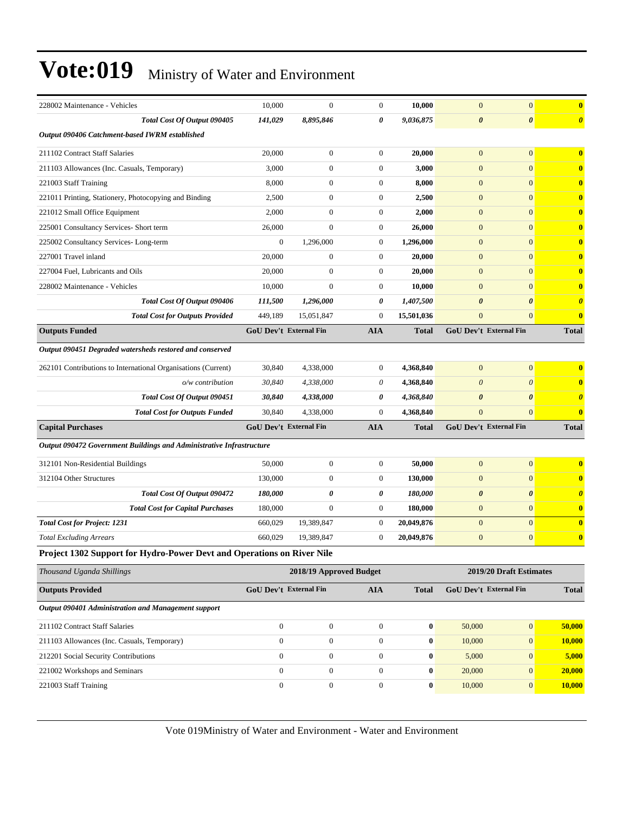| 228002 Maintenance - Vehicles                                                 | 10,000                 | $\mathbf{0}$            | $\mathbf{0}$     | 10,000           | $\mathbf{0}$           | $\mathbf{0}$            | $\bf{0}$              |
|-------------------------------------------------------------------------------|------------------------|-------------------------|------------------|------------------|------------------------|-------------------------|-----------------------|
| Total Cost Of Output 090405                                                   | 141,029                | 8,895,846               | 0                | 9,036,875        | $\boldsymbol{\theta}$  | $\boldsymbol{\theta}$   | $\boldsymbol{\theta}$ |
| Output 090406 Catchment-based IWRM established                                |                        |                         |                  |                  |                        |                         |                       |
| 211102 Contract Staff Salaries                                                | 20,000                 | $\mathbf{0}$            | $\boldsymbol{0}$ | 20,000           | $\boldsymbol{0}$       | $\mathbf{0}$            | $\bf{0}$              |
| 211103 Allowances (Inc. Casuals, Temporary)                                   | 3,000                  | $\boldsymbol{0}$        | $\boldsymbol{0}$ | 3,000            | $\overline{0}$         | $\mathbf{0}$            | $\bf{0}$              |
| 221003 Staff Training                                                         | 8,000                  | $\boldsymbol{0}$        | $\boldsymbol{0}$ | 8,000            | $\mathbf{0}$           | $\mathbf{0}$            | $\bf{0}$              |
| 221011 Printing, Stationery, Photocopying and Binding                         | 2,500                  | $\boldsymbol{0}$        | $\mathbf{0}$     | 2,500            | $\mathbf{0}$           | $\mathbf{0}$            | $\bf{0}$              |
| 221012 Small Office Equipment                                                 | 2,000                  | $\overline{0}$          | $\boldsymbol{0}$ | 2,000            | $\boldsymbol{0}$       | $\mathbf{0}$            | $\bf{0}$              |
| 225001 Consultancy Services- Short term                                       | 26,000                 | $\mathbf{0}$            | $\boldsymbol{0}$ | 26,000           | $\mathbf{0}$           | $\mathbf{0}$            | $\bf{0}$              |
| 225002 Consultancy Services-Long-term                                         | $\boldsymbol{0}$       | 1,296,000               | $\mathbf{0}$     | 1,296,000        | $\boldsymbol{0}$       | $\mathbf{0}$            | $\bf{0}$              |
| 227001 Travel inland                                                          | 20,000                 | $\boldsymbol{0}$        | $\mathbf{0}$     | 20,000           | $\mathbf{0}$           | $\mathbf{0}$            | $\bf{0}$              |
| 227004 Fuel, Lubricants and Oils                                              | 20,000                 | $\boldsymbol{0}$        | $\mathbf{0}$     | 20,000           | $\mathbf{0}$           | $\mathbf{0}$            | $\bf{0}$              |
| 228002 Maintenance - Vehicles                                                 | 10,000                 | $\overline{0}$          | $\boldsymbol{0}$ | 10,000           | $\boldsymbol{0}$       | $\mathbf{0}$            | $\bf{0}$              |
| Total Cost Of Output 090406                                                   | 111,500                | 1,296,000               | 0                | 1,407,500        | $\boldsymbol{\theta}$  | $\boldsymbol{\theta}$   | $\boldsymbol{\theta}$ |
| <b>Total Cost for Outputs Provided</b>                                        | 449,189                | 15,051,847              | $\mathbf{0}$     | 15,501,036       | $\overline{0}$         | $\mathbf{0}$            | $\bf{0}$              |
| <b>Outputs Funded</b>                                                         | GoU Dev't External Fin |                         | <b>AIA</b>       | <b>Total</b>     | GoU Dev't External Fin |                         | <b>Total</b>          |
| Output 090451 Degraded watersheds restored and conserved                      |                        |                         |                  |                  |                        |                         |                       |
| 262101 Contributions to International Organisations (Current)                 | 30,840                 | 4,338,000               | $\mathbf{0}$     | 4,368,840        | $\mathbf{0}$           | $\mathbf{0}$            | $\bf{0}$              |
| o/w contribution                                                              | 30,840                 | 4,338,000               | 0                | 4,368,840        | $\boldsymbol{\theta}$  | $\theta$                | $\bf{0}$              |
| Total Cost Of Output 090451                                                   | 30,840                 | 4,338,000               | 0                | 4,368,840        | $\boldsymbol{\theta}$  | $\boldsymbol{\theta}$   | $\boldsymbol{\theta}$ |
| <b>Total Cost for Outputs Funded</b>                                          | 30,840                 | 4,338,000               | $\mathbf{0}$     | 4,368,840        | $\overline{0}$         | $\mathbf{0}$            | $\bf{0}$              |
| <b>Capital Purchases</b>                                                      | GoU Dev't External Fin |                         | <b>AIA</b>       | <b>Total</b>     | GoU Dev't External Fin |                         | <b>Total</b>          |
| Output 090472 Government Buildings and Administrative Infrastructure          |                        |                         |                  |                  |                        |                         |                       |
| 312101 Non-Residential Buildings                                              | 50,000                 | $\boldsymbol{0}$        | $\boldsymbol{0}$ | 50,000           | $\mathbf{0}$           | $\mathbf{0}$            | $\bf{0}$              |
| 312104 Other Structures                                                       | 130,000                | $\boldsymbol{0}$        | $\boldsymbol{0}$ | 130,000          | $\mathbf{0}$           | $\mathbf{0}$            | $\bf{0}$              |
| <b>Total Cost Of Output 090472</b>                                            | 180,000                | 0                       | 0                | 180,000          | 0                      | $\boldsymbol{\theta}$   | $\boldsymbol{\theta}$ |
| <b>Total Cost for Capital Purchases</b>                                       | 180,000                | $\overline{0}$          | $\boldsymbol{0}$ | 180,000          | $\boldsymbol{0}$       | $\mathbf{0}$            | $\bf{0}$              |
| <b>Total Cost for Project: 1231</b>                                           | 660,029                | 19,389,847              | $\mathbf{0}$     | 20,049,876       | $\mathbf{0}$           | $\mathbf{0}$            | $\mathbf{0}$          |
| <b>Total Excluding Arrears</b>                                                | 660,029                | 19,389,847              | $\boldsymbol{0}$ | 20,049,876       | $\mathbf{0}$           | $\mathbf{0}$            | $\bf{0}$              |
| <b>Project 1302 Support for Hydro-Power Devt and Operations on River Nile</b> |                        |                         |                  |                  |                        |                         |                       |
| Thousand Uganda Shillings                                                     |                        | 2018/19 Approved Budget |                  |                  |                        | 2019/20 Draft Estimates |                       |
| <b>Outputs Provided</b>                                                       | GoU Dev't External Fin |                         | <b>AIA</b>       | <b>Total</b>     | GoU Dev't External Fin |                         | <b>Total</b>          |
| Output 090401 Administration and Management support                           |                        |                         |                  |                  |                        |                         |                       |
| 211102 Contract Staff Salaries                                                | $\boldsymbol{0}$       | $\boldsymbol{0}$        | $\boldsymbol{0}$ | $\boldsymbol{0}$ | 50,000                 | $\boldsymbol{0}$        | 50,000                |
| 211103 Allowances (Inc. Casuals, Temporary)                                   | $\boldsymbol{0}$       | $\boldsymbol{0}$        | $\boldsymbol{0}$ | $\bf{0}$         | 10,000                 | $\mathbf{0}$            | 10,000                |
| 212201 Social Security Contributions                                          | $\boldsymbol{0}$       | $\boldsymbol{0}$        | $\boldsymbol{0}$ | $\bf{0}$         | 5,000                  | $\boldsymbol{0}$        | 5,000                 |
| 221002 Workshops and Seminars                                                 | $\overline{0}$         | $\boldsymbol{0}$        | $\mathbf{0}$     | $\bf{0}$         | 20,000                 | $\mathbf{0}$            | 20,000                |
| 221003 Staff Training                                                         | $\boldsymbol{0}$       | $\boldsymbol{0}$        | $\boldsymbol{0}$ | $\bf{0}$         | 10,000                 | $\mathbf{0}$            | 10,000                |
|                                                                               |                        |                         |                  |                  |                        |                         |                       |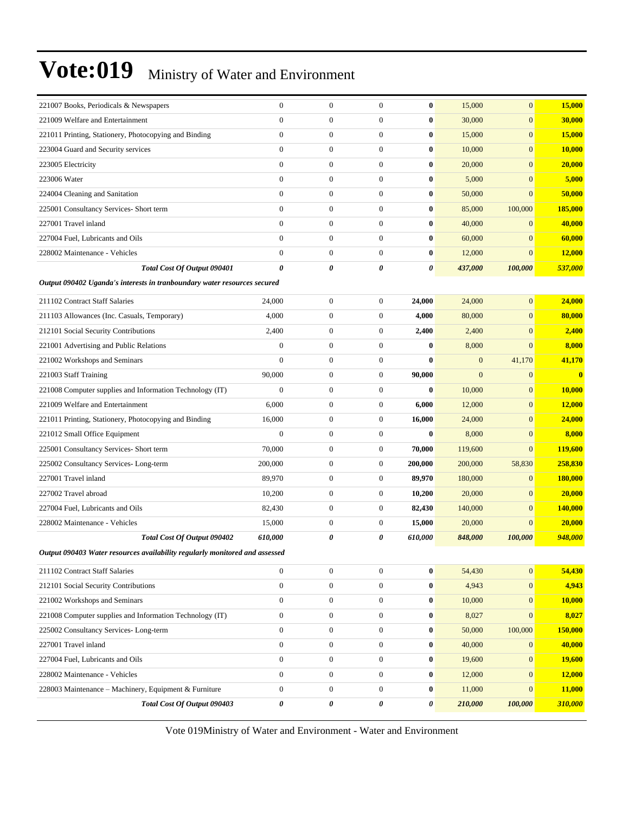| 221007 Books, Periodicals & Newspapers                                      | $\boldsymbol{0}$ | $\mathbf{0}$     | $\overline{0}$   | 0                     | 15,000       | $\mathbf{0}$     | 15,000                  |
|-----------------------------------------------------------------------------|------------------|------------------|------------------|-----------------------|--------------|------------------|-------------------------|
| 221009 Welfare and Entertainment                                            | $\overline{0}$   | $\mathbf{0}$     | $\boldsymbol{0}$ | 0                     | 30,000       | $\boldsymbol{0}$ | 30,000                  |
| 221011 Printing, Stationery, Photocopying and Binding                       | $\overline{0}$   | $\mathbf{0}$     | 0                | 0                     | 15,000       | $\mathbf{0}$     | 15,000                  |
| 223004 Guard and Security services                                          | $\overline{0}$   | $\boldsymbol{0}$ | $\overline{0}$   | $\bf{0}$              | 10,000       | $\overline{0}$   | 10,000                  |
| 223005 Electricity                                                          | $\overline{0}$   | $\mathbf{0}$     | $\boldsymbol{0}$ | 0                     | 20,000       | $\mathbf{0}$     | 20,000                  |
| 223006 Water                                                                | $\overline{0}$   | $\mathbf{0}$     | $\boldsymbol{0}$ | 0                     | 5,000        | $\mathbf{0}$     | 5,000                   |
| 224004 Cleaning and Sanitation                                              | $\overline{0}$   | $\mathbf{0}$     | $\boldsymbol{0}$ | 0                     | 50,000       | $\mathbf{0}$     | 50,000                  |
| 225001 Consultancy Services- Short term                                     | $\overline{0}$   | $\mathbf{0}$     | 0                | 0                     | 85,000       | 100,000          | 185,000                 |
| 227001 Travel inland                                                        | $\overline{0}$   | $\boldsymbol{0}$ | $\overline{0}$   | $\bf{0}$              | 40,000       | $\mathbf{0}$     | 40,000                  |
| 227004 Fuel, Lubricants and Oils                                            | $\overline{0}$   | $\mathbf{0}$     | $\mathbf{0}$     | 0                     | 60,000       | $\overline{0}$   | 60,000                  |
| 228002 Maintenance - Vehicles                                               | $\overline{0}$   | $\mathbf{0}$     | $\boldsymbol{0}$ | 0                     | 12,000       | $\overline{0}$   | 12,000                  |
| Total Cost Of Output 090401                                                 | 0                | 0                | 0                | 0                     | 437,000      | 100,000          | 537,000                 |
| Output 090402 Uganda's interests in tranboundary water resources secured    |                  |                  |                  |                       |              |                  |                         |
| 211102 Contract Staff Salaries                                              | 24,000           | $\mathbf{0}$     | 0                | 24,000                | 24,000       | $\mathbf{0}$     | 24,000                  |
| 211103 Allowances (Inc. Casuals, Temporary)                                 | 4,000            | $\boldsymbol{0}$ | $\overline{0}$   | 4,000                 | 80,000       | $\mathbf{0}$     | 80,000                  |
| 212101 Social Security Contributions                                        | 2,400            | $\mathbf{0}$     | $\mathbf{0}$     | 2,400                 | 2,400        | $\overline{0}$   | 2,400                   |
| 221001 Advertising and Public Relations                                     | $\boldsymbol{0}$ | $\boldsymbol{0}$ | $\boldsymbol{0}$ | $\bf{0}$              | 8,000        | $\overline{0}$   | 8,000                   |
| 221002 Workshops and Seminars                                               | $\overline{0}$   | $\mathbf{0}$     | $\overline{0}$   | $\bf{0}$              | $\mathbf{0}$ | 41,170           | 41,170                  |
| 221003 Staff Training                                                       | 90,000           | $\mathbf{0}$     | $\overline{0}$   | 90,000                | $\mathbf{0}$ | $\mathbf{0}$     | $\overline{\mathbf{0}}$ |
| 221008 Computer supplies and Information Technology (IT)                    | $\overline{0}$   | $\boldsymbol{0}$ | $\overline{0}$   | 0                     | 10,000       | $\mathbf{0}$     | 10,000                  |
| 221009 Welfare and Entertainment                                            | 6,000            | $\mathbf{0}$     | $\mathbf{0}$     | 6,000                 | 12,000       | $\mathbf{0}$     | 12,000                  |
| 221011 Printing, Stationery, Photocopying and Binding                       | 16,000           | $\boldsymbol{0}$ | 0                | 16,000                | 24,000       | $\mathbf{0}$     | 24,000                  |
| 221012 Small Office Equipment                                               | $\overline{0}$   | $\mathbf{0}$     | $\overline{0}$   | $\bf{0}$              | 8,000        | $\overline{0}$   | 8,000                   |
| 225001 Consultancy Services- Short term                                     | 70,000           | $\mathbf{0}$     | 0                | 70,000                | 119,600      | $\overline{0}$   | 119,600                 |
| 225002 Consultancy Services-Long-term                                       | 200,000          | $\boldsymbol{0}$ | $\boldsymbol{0}$ | 200,000               | 200,000      | 58,830           | 258,830                 |
| 227001 Travel inland                                                        | 89,970           | $\mathbf{0}$     | $\mathbf{0}$     | 89,970                | 180,000      | $\mathbf{0}$     | 180,000                 |
| 227002 Travel abroad                                                        | 10,200           | $\boldsymbol{0}$ | 0                | 10,200                | 20,000       | $\mathbf{0}$     | 20,000                  |
| 227004 Fuel. Lubricants and Oils                                            | 82,430           | $\mathbf{0}$     | $\mathbf{0}$     | 82,430                | 140,000      | $\boldsymbol{0}$ | 140,000                 |
| 228002 Maintenance - Vehicles                                               | 15,000           | $\mathbf{0}$     | 0                | 15,000                | 20,000       | $\mathbf{0}$     | 20,000                  |
| Total Cost Of Output 090402                                                 | 610,000          | 0                | 0                | 610,000               | 848,000      | 100,000          | 948,000                 |
| Output 090403 Water resources availability regularly monitored and assessed |                  |                  |                  |                       |              |                  |                         |
| 211102 Contract Staff Salaries                                              | $\boldsymbol{0}$ | $\mathbf{0}$     | $\boldsymbol{0}$ | 0                     | 54,430       | $\mathbf{0}$     | 54,430                  |
| 212101 Social Security Contributions                                        | $\boldsymbol{0}$ | $\boldsymbol{0}$ | $\boldsymbol{0}$ | 0                     | 4,943        | $\mathbf{0}$     | 4,943                   |
| 221002 Workshops and Seminars                                               | $\boldsymbol{0}$ | $\boldsymbol{0}$ | $\boldsymbol{0}$ | 0                     | 10,000       | $\mathbf{0}$     | 10,000                  |
| 221008 Computer supplies and Information Technology (IT)                    | $\boldsymbol{0}$ | $\boldsymbol{0}$ | 0                | 0                     | 8,027        | $\mathbf{0}$     | 8,027                   |
| 225002 Consultancy Services-Long-term                                       | $\overline{0}$   | $\boldsymbol{0}$ | $\overline{0}$   | 0                     | 50,000       | 100,000          | 150,000                 |
| 227001 Travel inland                                                        | $\boldsymbol{0}$ | $\boldsymbol{0}$ | $\mathbf{0}$     | 0                     | 40,000       | $\mathbf{0}$     | 40,000                  |
| 227004 Fuel, Lubricants and Oils                                            | $\boldsymbol{0}$ | $\boldsymbol{0}$ | $\overline{0}$   | 0                     | 19,600       | $\mathbf{0}$     | 19,600                  |
| 228002 Maintenance - Vehicles                                               | $\boldsymbol{0}$ | $\boldsymbol{0}$ | $\boldsymbol{0}$ | 0                     | 12,000       | $\mathbf{0}$     | 12,000                  |
| 228003 Maintenance - Machinery, Equipment & Furniture                       | 0                | $\boldsymbol{0}$ | 0                | 0                     | 11,000       | $\mathbf{0}$     | 11,000                  |
| Total Cost Of Output 090403                                                 | 0                | $\pmb{\theta}$   | 0                | $\boldsymbol{\theta}$ | 210,000      | 100,000          | 310,000                 |
|                                                                             |                  |                  |                  |                       |              |                  |                         |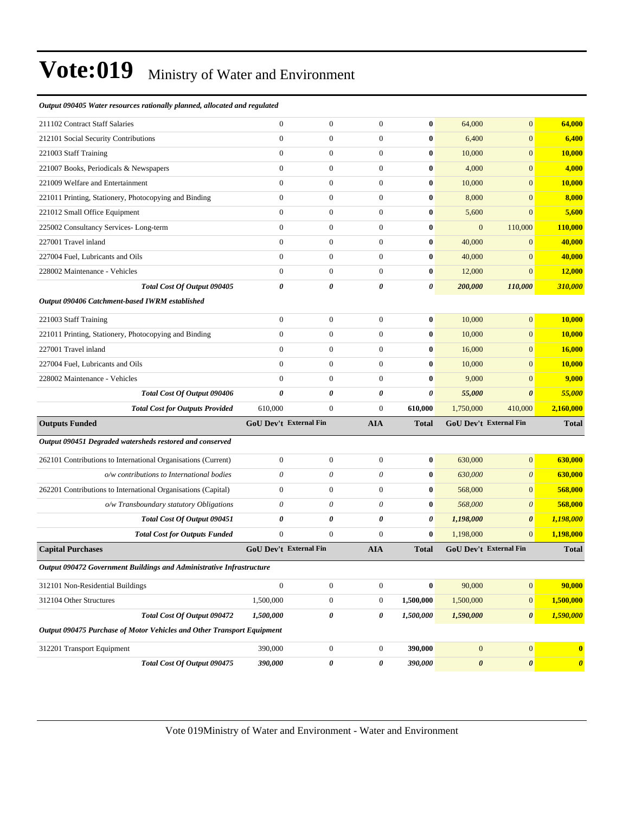| 211102 Contract Staff Salaries                                         | $\mathbf{0}$          | $\boldsymbol{0}$              | $\overline{0}$   | $\bf{0}$     | 64,000           | $\mathbf{0}$           | 64,000                |
|------------------------------------------------------------------------|-----------------------|-------------------------------|------------------|--------------|------------------|------------------------|-----------------------|
| 212101 Social Security Contributions                                   | $\boldsymbol{0}$      | $\boldsymbol{0}$              | $\boldsymbol{0}$ | $\bf{0}$     | 6,400            | $\mathbf{0}$           | 6,400                 |
| 221003 Staff Training                                                  | $\mathbf{0}$          | $\overline{0}$                | $\mathbf{0}$     | 0            | 10,000           | $\mathbf{0}$           | <b>10,000</b>         |
| 221007 Books, Periodicals & Newspapers                                 | $\mathbf{0}$          | $\mathbf{0}$                  | $\mathbf{0}$     | $\bf{0}$     | 4,000            | $\mathbf{0}$           | 4,000                 |
| 221009 Welfare and Entertainment                                       | $\mathbf{0}$          | $\boldsymbol{0}$              | $\boldsymbol{0}$ | 0            | 10,000           | $\mathbf{0}$           | <b>10,000</b>         |
| 221011 Printing, Stationery, Photocopying and Binding                  | $\boldsymbol{0}$      | $\boldsymbol{0}$              | $\mathbf{0}$     | $\bf{0}$     | 8,000            | $\mathbf{0}$           | 8,000                 |
| 221012 Small Office Equipment                                          | $\boldsymbol{0}$      | $\boldsymbol{0}$              | $\boldsymbol{0}$ | $\bf{0}$     | 5,600            | $\mathbf{0}$           | 5,600                 |
| 225002 Consultancy Services-Long-term                                  | $\mathbf{0}$          | $\overline{0}$                | $\mathbf{0}$     | 0            | $\mathbf{0}$     | 110,000                | <b>110,000</b>        |
| 227001 Travel inland                                                   | $\mathbf{0}$          | $\mathbf{0}$                  | $\boldsymbol{0}$ | $\bf{0}$     | 40,000           | $\mathbf{0}$           | 40,000                |
| 227004 Fuel, Lubricants and Oils                                       | $\mathbf{0}$          | $\boldsymbol{0}$              | $\boldsymbol{0}$ | 0            | 40,000           | $\mathbf{0}$           | 40,000                |
| 228002 Maintenance - Vehicles                                          | $\boldsymbol{0}$      | $\boldsymbol{0}$              | $\mathbf{0}$     | $\bf{0}$     | 12,000           | $\mathbf{0}$           | 12,000                |
| Total Cost Of Output 090405                                            | 0                     | 0                             | 0                | 0            | 200,000          | 110,000                | 310,000               |
| Output 090406 Catchment-based IWRM established                         |                       |                               |                  |              |                  |                        |                       |
| 221003 Staff Training                                                  | $\mathbf{0}$          | $\boldsymbol{0}$              | $\mathbf{0}$     | 0            | 10,000           | $\mathbf{0}$           | 10,000                |
| 221011 Printing, Stationery, Photocopying and Binding                  | $\mathbf{0}$          | $\boldsymbol{0}$              | $\boldsymbol{0}$ | $\bf{0}$     | 10,000           | $\mathbf{0}$           | 10,000                |
| 227001 Travel inland                                                   | $\mathbf{0}$          | $\boldsymbol{0}$              | $\boldsymbol{0}$ | 0            | 16,000           | $\mathbf{0}$           | <b>16,000</b>         |
| 227004 Fuel, Lubricants and Oils                                       | $\mathbf{0}$          | $\boldsymbol{0}$              | $\mathbf{0}$     | $\bf{0}$     | 10,000           | $\mathbf{0}$           | <b>10,000</b>         |
| 228002 Maintenance - Vehicles                                          | $\mathbf{0}$          | 0                             | $\overline{0}$   | $\bf{0}$     | 9,000            | $\mathbf{0}$           | 9,000                 |
| Total Cost Of Output 090406                                            | $\boldsymbol{\theta}$ | 0                             | 0                | 0            | 55,000           | $\boldsymbol{\theta}$  | 55,000                |
| <b>Total Cost for Outputs Provided</b>                                 | 610,000               | $\mathbf{0}$                  | $\mathbf{0}$     | 610,000      | 1,750,000        | 410,000                | 2,160,000             |
| <b>Outputs Funded</b>                                                  |                       | GoU Dev't External Fin        | <b>AIA</b>       | <b>Total</b> |                  | GoU Dev't External Fin | <b>Total</b>          |
| Output 090451 Degraded watersheds restored and conserved               |                       |                               |                  |              |                  |                        |                       |
| 262101 Contributions to International Organisations (Current)          | $\boldsymbol{0}$      | $\boldsymbol{0}$              | $\boldsymbol{0}$ | $\bf{0}$     | 630,000          | $\mathbf{0}$           | 630,000               |
| o/w contributions to International bodies                              | 0                     | 0                             | $\theta$         | $\bf{0}$     | 630,000          | $\boldsymbol{\theta}$  | 630,000               |
| 262201 Contributions to International Organisations (Capital)          | $\mathbf{0}$          | 0                             | $\boldsymbol{0}$ | $\bf{0}$     | 568,000          | $\mathbf{0}$           | 568,000               |
| o/w Transboundary statutory Obligations                                | $\theta$              | 0                             | $\theta$         | $\bf{0}$     | 568,000          | $\boldsymbol{\theta}$  | 568,000               |
| Total Cost Of Output 090451                                            | 0                     | 0                             | 0                | 0            | 1,198,000        | $\boldsymbol{\theta}$  | 1,198,000             |
| <b>Total Cost for Outputs Funded</b>                                   | $\mathbf{0}$          | $\mathbf{0}$                  | $\boldsymbol{0}$ | $\bf{0}$     | 1,198,000        | $\mathbf{0}$           | 1,198,000             |
| <b>Capital Purchases</b>                                               |                       | <b>GoU Dev't External Fin</b> | <b>AIA</b>       | <b>Total</b> |                  | GoU Dev't External Fin | <b>Total</b>          |
| Output 090472 Government Buildings and Administrative Infrastructure   |                       |                               |                  |              |                  |                        |                       |
| 312101 Non-Residential Buildings                                       | $\boldsymbol{0}$      | $\boldsymbol{0}$              | $\boldsymbol{0}$ | $\bf{0}$     | 90,000           | $\boldsymbol{0}$       | 90,000                |
| 312104 Other Structures                                                | 1,500,000             | $\boldsymbol{0}$              | $\boldsymbol{0}$ | 1,500,000    | 1,500,000        | $\mathbf{0}$           | 1,500,000             |
| Total Cost Of Output 090472                                            | 1,500,000             | 0                             | 0                | 1,500,000    | 1,590,000        | $\boldsymbol{\theta}$  | 1,590,000             |
| Output 090475 Purchase of Motor Vehicles and Other Transport Equipment |                       |                               |                  |              |                  |                        |                       |
| 312201 Transport Equipment                                             | 390,000               | $\boldsymbol{0}$              | $\boldsymbol{0}$ | 390,000      | $\boldsymbol{0}$ | $\boldsymbol{0}$       | $\bf{0}$              |
|                                                                        |                       |                               |                  | 390,000      | $\pmb{\theta}$   | $\pmb{\theta}$         |                       |
| Total Cost Of Output 090475                                            | 390,000               | 0                             | 0                |              |                  |                        | $\boldsymbol{\theta}$ |

*Output 090405 Water resources rationally planned, allocated and regulated*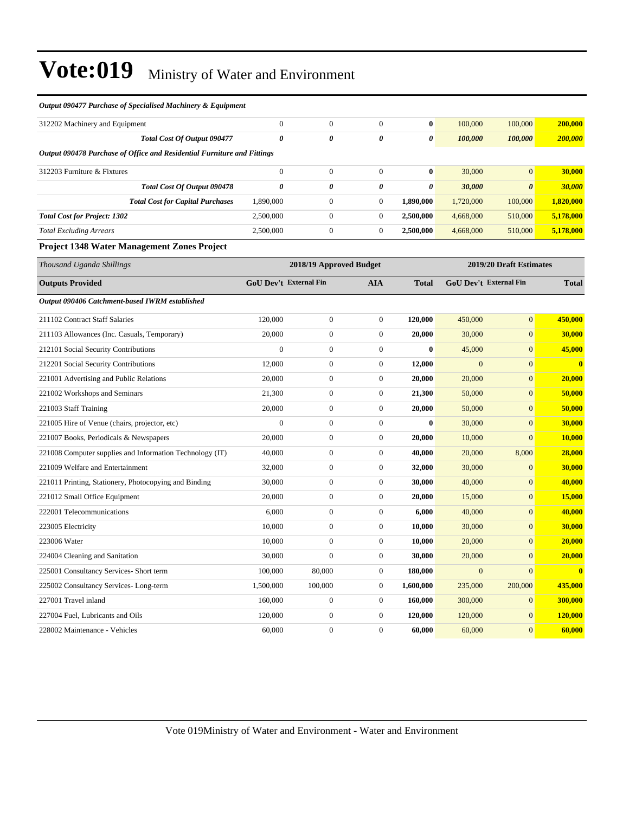| Output 090477 Purchase of Specialised Machinery & Equipment             |                        |                         |                  |              |                |                         |              |
|-------------------------------------------------------------------------|------------------------|-------------------------|------------------|--------------|----------------|-------------------------|--------------|
| 312202 Machinery and Equipment                                          | $\boldsymbol{0}$       | $\boldsymbol{0}$        | $\theta$         | $\bf{0}$     | 100,000        | 100,000                 | 200,000      |
| Total Cost Of Output 090477                                             | $\theta$               | $\pmb{\theta}$          | $\pmb{\theta}$   | 0            | 100,000        | 100,000                 | 200,000      |
| Output 090478 Purchase of Office and Residential Furniture and Fittings |                        |                         |                  |              |                |                         |              |
| 312203 Furniture & Fixtures                                             | $\boldsymbol{0}$       | $\boldsymbol{0}$        | $\boldsymbol{0}$ | $\bf{0}$     | 30,000         | $\mathbf{0}$            | 30,000       |
| Total Cost Of Output 090478                                             | $\boldsymbol{\theta}$  | 0                       | $\pmb{\theta}$   | 0            | 30,000         | $\boldsymbol{\theta}$   | 30,000       |
| <b>Total Cost for Capital Purchases</b>                                 | 1,890,000              | $\boldsymbol{0}$        | $\theta$         | 1,890,000    | 1,720,000      | 100,000                 | 1,820,000    |
| <b>Total Cost for Project: 1302</b>                                     | 2,500,000              | $\boldsymbol{0}$        | $\boldsymbol{0}$ | 2,500,000    | 4,668,000      | 510,000                 | 5,178,000    |
| <b>Total Excluding Arrears</b>                                          | 2,500,000              | $\boldsymbol{0}$        | $\boldsymbol{0}$ | 2,500,000    | 4,668,000      | 510,000                 | 5,178,000    |
| <b>Project 1348 Water Management Zones Project</b>                      |                        |                         |                  |              |                |                         |              |
| Thousand Uganda Shillings                                               |                        | 2018/19 Approved Budget |                  |              |                | 2019/20 Draft Estimates |              |
| <b>Outputs Provided</b>                                                 | GoU Dev't External Fin |                         | <b>AIA</b>       | <b>Total</b> |                | GoU Dev't External Fin  | <b>Total</b> |
| Output 090406 Catchment-based IWRM established                          |                        |                         |                  |              |                |                         |              |
| 211102 Contract Staff Salaries                                          | 120,000                | $\overline{0}$          | $\theta$         | 120,000      | 450,000        | $\overline{0}$          | 450,000      |
| 211103 Allowances (Inc. Casuals, Temporary)                             | 20,000                 | $\boldsymbol{0}$        | $\boldsymbol{0}$ | 20,000       | 30,000         | $\mathbf{0}$            | 30,000       |
| 212101 Social Security Contributions                                    | $\overline{0}$         | $\boldsymbol{0}$        | $\theta$         | $\mathbf{0}$ | 45,000         | $\mathbf{0}$            | 45,000       |
| 212201 Social Security Contributions                                    | 12,000                 | $\boldsymbol{0}$        | $\boldsymbol{0}$ | 12,000       | $\mathbf{0}$   | $\boldsymbol{0}$        | $\bf{0}$     |
| 221001 Advertising and Public Relations                                 | 20,000                 | $\boldsymbol{0}$        | $\boldsymbol{0}$ | 20,000       | 20,000         | $\mathbf{0}$            | 20,000       |
| 221002 Workshops and Seminars                                           | 21,300                 | $\boldsymbol{0}$        | $\theta$         | 21,300       | 50,000         | $\mathbf{0}$            | 50,000       |
| 221003 Staff Training                                                   | 20,000                 | $\boldsymbol{0}$        | $\boldsymbol{0}$ | 20,000       | 50,000         | $\mathbf{0}$            | 50,000       |
| 221005 Hire of Venue (chairs, projector, etc)                           | $\overline{0}$         | $\mathbf{0}$            | $\theta$         | $\bf{0}$     | 30,000         | $\overline{0}$          | 30,000       |
| 221007 Books, Periodicals & Newspapers                                  | 20,000                 | $\boldsymbol{0}$        | $\boldsymbol{0}$ | 20,000       | 10,000         | $\Omega$                | 10,000       |
| 221008 Computer supplies and Information Technology (IT)                | 40,000                 | $\mathbf{0}$            | $\mathbf{0}$     | 40,000       | 20,000         | 8,000                   | 28,000       |
| 221009 Welfare and Entertainment                                        | 32,000                 | $\mathbf{0}$            | $\theta$         | 32,000       | 30,000         | $\overline{0}$          | 30,000       |
| 221011 Printing, Stationery, Photocopying and Binding                   | 30,000                 | $\boldsymbol{0}$        | $\mathbf{0}$     | 30,000       | 40,000         | $\mathbf{0}$            | 40,000       |
| 221012 Small Office Equipment                                           | 20,000                 | $\boldsymbol{0}$        | $\boldsymbol{0}$ | 20,000       | 15,000         | $\overline{0}$          | 15,000       |
| 222001 Telecommunications                                               | 6,000                  | $\boldsymbol{0}$        | $\boldsymbol{0}$ | 6,000        | 40,000         | $\mathbf{0}$            | 40,000       |
| 223005 Electricity                                                      | 10,000                 | $\boldsymbol{0}$        | $\mathbf{0}$     | 10,000       | 30,000         | $\mathbf{0}$            | 30,000       |
| 223006 Water                                                            | 10,000                 | $\boldsymbol{0}$        | $\boldsymbol{0}$ | 10,000       | 20,000         | $\overline{0}$          | 20,000       |
| 224004 Cleaning and Sanitation                                          | 30,000                 | $\boldsymbol{0}$        | $\mathbf{0}$     | 30,000       | 20,000         | $\mathbf{0}$            | 20,000       |
| 225001 Consultancy Services- Short term                                 | 100,000                | 80,000                  | $\mathbf{0}$     | 180,000      | $\overline{0}$ | $\overline{0}$          | $\bf{0}$     |
| 225002 Consultancy Services-Long-term                                   | 1,500,000              | 100,000                 | $\boldsymbol{0}$ | 1,600,000    | 235,000        | 200,000                 | 435,000      |
| 227001 Travel inland                                                    | 160,000                | $\boldsymbol{0}$        | $\boldsymbol{0}$ | 160,000      | 300,000        | $\mathbf{0}$            | 300,000      |
| 227004 Fuel, Lubricants and Oils                                        | 120,000                | $\boldsymbol{0}$        | $\theta$         | 120,000      | 120,000        | $\mathbf{0}$            | 120,000      |
| 228002 Maintenance - Vehicles                                           | 60,000                 | $\overline{0}$          | $\theta$         | 60,000       | 60,000         | $\mathbf{0}$            | 60,000       |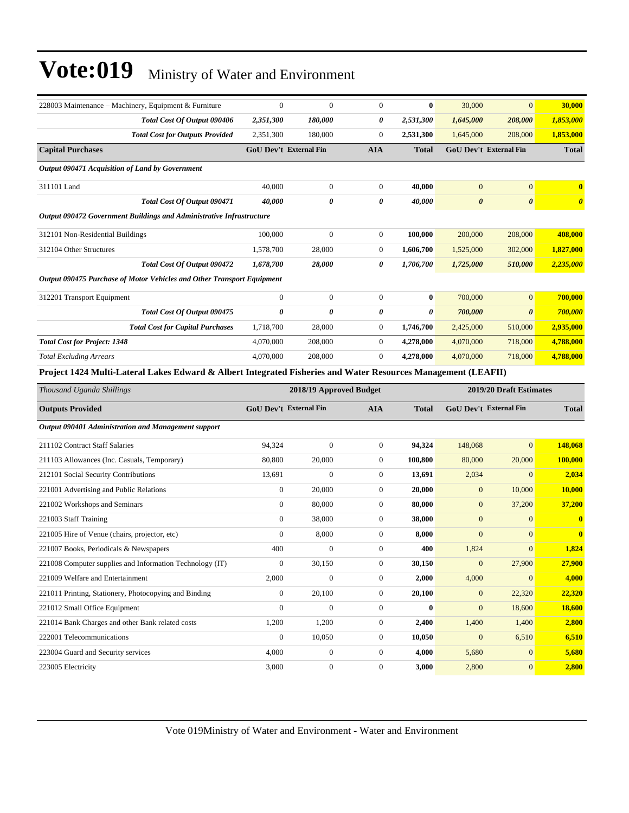| 228003 Maintenance - Machinery, Equipment & Furniture                                                         | $\boldsymbol{0}$              | $\mathbf{0}$            | $\overline{0}$   | $\bf{0}$     | 30,000                | $\overline{0}$                | 30,000                |
|---------------------------------------------------------------------------------------------------------------|-------------------------------|-------------------------|------------------|--------------|-----------------------|-------------------------------|-----------------------|
| Total Cost Of Output 090406                                                                                   | 2,351,300                     | 180,000                 | 0                | 2,531,300    | 1,645,000             | 208,000                       | 1,853,000             |
| <b>Total Cost for Outputs Provided</b>                                                                        | 2,351,300                     | 180,000                 | $\overline{0}$   | 2,531,300    | 1,645,000             | 208,000                       | 1,853,000             |
| <b>Capital Purchases</b>                                                                                      | GoU Dev't External Fin        |                         | <b>AIA</b>       | <b>Total</b> |                       | <b>GoU Dev't External Fin</b> | <b>Total</b>          |
| Output 090471 Acquisition of Land by Government                                                               |                               |                         |                  |              |                       |                               |                       |
| 311101 Land                                                                                                   | 40,000                        | $\boldsymbol{0}$        | $\boldsymbol{0}$ | 40,000       | $\mathbf{0}$          | $\overline{0}$                | $\bf{0}$              |
| Total Cost Of Output 090471                                                                                   | 40,000                        | 0                       | 0                | 40,000       | $\boldsymbol{\theta}$ | $\boldsymbol{\theta}$         | $\boldsymbol{\theta}$ |
| Output 090472 Government Buildings and Administrative Infrastructure                                          |                               |                         |                  |              |                       |                               |                       |
| 312101 Non-Residential Buildings                                                                              | 100,000                       | $\boldsymbol{0}$        | $\boldsymbol{0}$ | 100,000      | 200,000               | 208,000                       | 408,000               |
| 312104 Other Structures                                                                                       | 1,578,700                     | 28,000                  | $\boldsymbol{0}$ | 1,606,700    | 1,525,000             | 302,000                       | 1,827,000             |
| Total Cost Of Output 090472                                                                                   | 1,678,700                     | 28,000                  | 0                | 1,706,700    | 1,725,000             | 510,000                       | 2,235,000             |
| Output 090475 Purchase of Motor Vehicles and Other Transport Equipment                                        |                               |                         |                  |              |                       |                               |                       |
| 312201 Transport Equipment                                                                                    | $\boldsymbol{0}$              | $\boldsymbol{0}$        | $\boldsymbol{0}$ | $\bf{0}$     | 700,000               | $\overline{0}$                | 700,000               |
| Total Cost Of Output 090475                                                                                   | $\boldsymbol{\theta}$         | 0                       | 0                | 0            | 700,000               | $\boldsymbol{\theta}$         | 700,000               |
| <b>Total Cost for Capital Purchases</b>                                                                       | 1,718,700                     | 28,000                  | $\boldsymbol{0}$ | 1,746,700    | 2,425,000             | 510,000                       | 2,935,000             |
| <b>Total Cost for Project: 1348</b>                                                                           | 4,070,000                     | 208,000                 | $\boldsymbol{0}$ | 4,278,000    | 4,070,000             | 718,000                       | 4,788,000             |
| <b>Total Excluding Arrears</b>                                                                                | 4,070,000                     | 208,000                 | $\boldsymbol{0}$ | 4,278,000    | 4,070,000             | 718,000                       | 4,788,000             |
| Project 1424 Multi-Lateral Lakes Edward & Albert Integrated Fisheries and Water Resources Management (LEAFII) |                               |                         |                  |              |                       |                               |                       |
|                                                                                                               |                               |                         |                  |              |                       |                               |                       |
| Thousand Uganda Shillings                                                                                     |                               | 2018/19 Approved Budget |                  |              |                       | 2019/20 Draft Estimates       |                       |
| <b>Outputs Provided</b>                                                                                       | <b>GoU Dev't External Fin</b> |                         | <b>AIA</b>       | <b>Total</b> |                       | <b>GoU Dev't External Fin</b> | <b>Total</b>          |
| Output 090401 Administration and Management support                                                           |                               |                         |                  |              |                       |                               |                       |
| 211102 Contract Staff Salaries                                                                                | 94,324                        | $\overline{0}$          | $\boldsymbol{0}$ | 94,324       | 148,068               | $\overline{0}$                | 148,068               |
| 211103 Allowances (Inc. Casuals, Temporary)                                                                   | 80,800                        | 20,000                  | $\boldsymbol{0}$ | 100,800      | 80,000                | 20,000                        | 100,000               |
| 212101 Social Security Contributions                                                                          | 13,691                        | $\boldsymbol{0}$        | $\boldsymbol{0}$ | 13,691       | 2,034                 | $\mathbf{0}$                  | 2,034                 |
| 221001 Advertising and Public Relations                                                                       | $\boldsymbol{0}$              | 20,000                  | $\boldsymbol{0}$ | 20,000       | $\mathbf{0}$          | 10,000                        | 10,000                |
| 221002 Workshops and Seminars                                                                                 | $\boldsymbol{0}$              | 80,000                  | $\boldsymbol{0}$ | 80,000       | $\mathbf{0}$          | 37,200                        | 37,200                |
| 221003 Staff Training                                                                                         | $\overline{0}$                | 38,000                  | $\boldsymbol{0}$ | 38,000       | $\mathbf{0}$          | $\mathbf{0}$                  | $\bf{0}$              |
| 221005 Hire of Venue (chairs, projector, etc)                                                                 | $\mathbf{0}$                  | 8,000                   | $\boldsymbol{0}$ | 8,000        | $\mathbf{0}$          | $\boldsymbol{0}$              | $\bf{0}$              |
| 221007 Books, Periodicals & Newspapers                                                                        | 400                           | $\boldsymbol{0}$        | $\overline{0}$   | 400          | 1,824                 | $\overline{0}$                | 1,824                 |
| 221008 Computer supplies and Information Technology (IT)                                                      | $\boldsymbol{0}$              | 30,150                  | $\boldsymbol{0}$ | 30,150       | $\mathbf{0}$          | 27,900                        | 27,900                |
| 221009 Welfare and Entertainment                                                                              | 2,000                         | $\boldsymbol{0}$        | $\boldsymbol{0}$ | 2,000        | 4,000                 | $\mathbf{0}$                  | 4,000                 |
| 221011 Printing, Stationery, Photocopying and Binding                                                         | $\boldsymbol{0}$              | 20,100                  | $\boldsymbol{0}$ | 20,100       | $\boldsymbol{0}$      | 22,320                        | 22,320                |
| 221012 Small Office Equipment                                                                                 | $\boldsymbol{0}$              | $\boldsymbol{0}$        | $\boldsymbol{0}$ | $\bf{0}$     | $\mathbf{0}$          | 18,600                        | <b>18,600</b>         |
| 221014 Bank Charges and other Bank related costs                                                              | 1,200                         | 1,200                   | $\boldsymbol{0}$ | 2,400        | 1,400                 | 1,400                         | 2,800                 |
| 222001 Telecommunications                                                                                     | $\boldsymbol{0}$              | 10,050                  | $\boldsymbol{0}$ | 10,050       | $\mathbf{0}$          | 6,510                         | 6,510                 |
| 223004 Guard and Security services                                                                            | 4,000                         | $\mathbf{0}$            | 0                | 4,000        | 5,680                 | $\overline{0}$                | 5,680                 |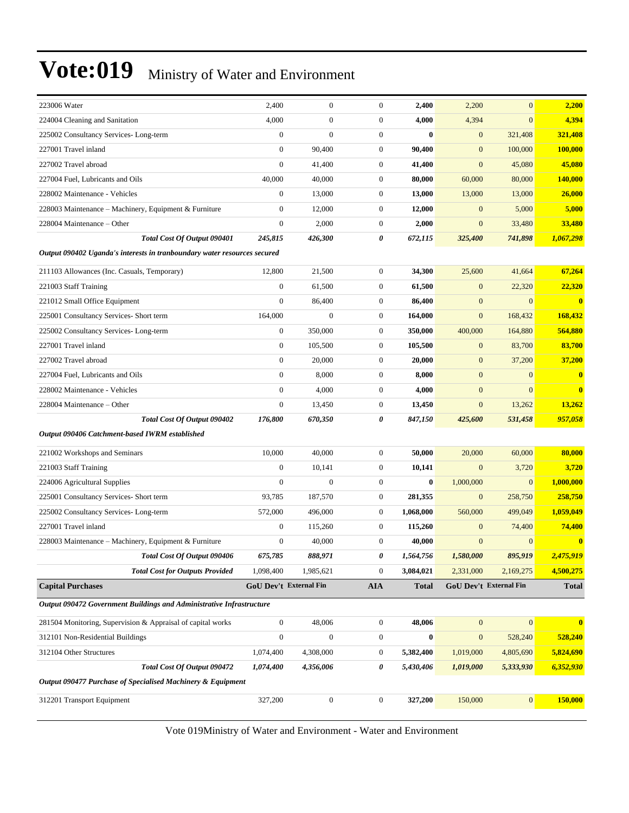| 223006 Water                                                             | 2,400                         | $\boldsymbol{0}$ | $\mathbf{0}$     | 2,400        | 2,200            | $\overline{0}$         | 2,200          |
|--------------------------------------------------------------------------|-------------------------------|------------------|------------------|--------------|------------------|------------------------|----------------|
| 224004 Cleaning and Sanitation                                           | 4,000                         | $\boldsymbol{0}$ | $\mathbf{0}$     | 4,000        | 4,394            | $\overline{0}$         | 4,394          |
| 225002 Consultancy Services-Long-term                                    | $\boldsymbol{0}$              | $\boldsymbol{0}$ | $\mathbf{0}$     | $\bf{0}$     | $\boldsymbol{0}$ | 321,408                | 321,408        |
| 227001 Travel inland                                                     | $\overline{0}$                | 90,400           | $\mathbf{0}$     | 90,400       | $\boldsymbol{0}$ | 100,000                | <b>100,000</b> |
| 227002 Travel abroad                                                     | $\overline{0}$                | 41,400           | $\mathbf{0}$     | 41,400       | $\boldsymbol{0}$ | 45,080                 | 45,080         |
| 227004 Fuel, Lubricants and Oils                                         | 40,000                        | 40,000           | $\mathbf{0}$     | 80,000       | 60,000           | 80,000                 | 140,000        |
| 228002 Maintenance - Vehicles                                            | $\boldsymbol{0}$              | 13,000           | $\boldsymbol{0}$ | 13,000       | 13,000           | 13,000                 | 26,000         |
| 228003 Maintenance – Machinery, Equipment & Furniture                    | $\boldsymbol{0}$              | 12,000           | $\mathbf{0}$     | 12,000       | $\mathbf{0}$     | 5,000                  | 5,000          |
| 228004 Maintenance - Other                                               | $\boldsymbol{0}$              | 2,000            | $\mathbf{0}$     | 2,000        | $\boldsymbol{0}$ | 33,480                 | 33,480         |
| Total Cost Of Output 090401                                              | 245,815                       | 426,300          | 0                | 672,115      | 325,400          | 741,898                | 1,067,298      |
| Output 090402 Uganda's interests in tranboundary water resources secured |                               |                  |                  |              |                  |                        |                |
| 211103 Allowances (Inc. Casuals, Temporary)                              | 12,800                        | 21,500           | $\boldsymbol{0}$ | 34,300       | 25,600           | 41,664                 | 67,264         |
| 221003 Staff Training                                                    | $\boldsymbol{0}$              | 61,500           | $\mathbf{0}$     | 61,500       | $\mathbf{0}$     | 22,320                 | 22,320         |
| 221012 Small Office Equipment                                            | $\boldsymbol{0}$              | 86,400           | $\mathbf{0}$     | 86,400       | $\boldsymbol{0}$ | $\overline{0}$         | $\bf{0}$       |
| 225001 Consultancy Services- Short term                                  | 164,000                       | $\boldsymbol{0}$ | $\mathbf{0}$     | 164,000      | $\boldsymbol{0}$ | 168,432                | 168,432        |
| 225002 Consultancy Services-Long-term                                    | $\boldsymbol{0}$              | 350,000          | $\mathbf{0}$     | 350,000      | 400,000          | 164,880                | 564,880        |
| 227001 Travel inland                                                     | $\boldsymbol{0}$              | 105,500          | $\mathbf{0}$     | 105,500      | $\mathbf{0}$     | 83,700                 | 83,700         |
| 227002 Travel abroad                                                     | $\mathbf{0}$                  | 20,000           | $\mathbf{0}$     | 20,000       | $\mathbf{0}$     | 37,200                 | 37,200         |
| 227004 Fuel, Lubricants and Oils                                         | $\mathbf{0}$                  | 8,000            | $\mathbf{0}$     | 8,000        | $\boldsymbol{0}$ | $\overline{0}$         | $\bf{0}$       |
| 228002 Maintenance - Vehicles                                            | $\overline{0}$                | 4,000            | $\mathbf{0}$     | 4,000        | $\boldsymbol{0}$ | $\overline{0}$         | $\bf{0}$       |
| 228004 Maintenance - Other                                               | $\boldsymbol{0}$              | 13,450           | $\boldsymbol{0}$ | 13,450       | $\boldsymbol{0}$ | 13,262                 | 13,262         |
| Total Cost Of Output 090402                                              | 176,800                       | 670,350          | 0                | 847,150      | 425,600          | 531,458                | 957,058        |
| Output 090406 Catchment-based IWRM established                           |                               |                  |                  |              |                  |                        |                |
| 221002 Workshops and Seminars                                            | 10,000                        | 40,000           | $\boldsymbol{0}$ | 50,000       | 20,000           | 60,000                 | 80,000         |
| 221003 Staff Training                                                    | $\boldsymbol{0}$              | 10,141           | $\mathbf{0}$     | 10,141       | $\boldsymbol{0}$ | 3,720                  | 3,720          |
| 224006 Agricultural Supplies                                             | $\overline{0}$                | $\mathbf{0}$     | $\mathbf{0}$     | $\bf{0}$     | 1,000,000        | $\overline{0}$         | 1,000,000      |
| 225001 Consultancy Services- Short term                                  | 93,785                        | 187,570          | $\boldsymbol{0}$ | 281,355      | $\mathbf{0}$     | 258,750                | 258,750        |
| 225002 Consultancy Services-Long-term                                    | 572,000                       | 496,000          | $\mathbf{0}$     | 1,068,000    | 560,000          | 499,049                | 1,059,049      |
| 227001 Travel inland                                                     | $\boldsymbol{0}$              | 115,260          | $\mathbf{0}$     | 115,260      | $\mathbf{0}$     | 74,400                 | 74,400         |
| 228003 Maintenance – Machinery, Equipment & Furniture                    | $\boldsymbol{0}$              | 40,000           | $\mathbf{0}$     | 40,000       | $\boldsymbol{0}$ | $\overline{0}$         | $\bf{0}$       |
| Total Cost Of Output 090406                                              | 675,785                       | 888,971          | 0                | 1,564,756    | 1,580,000        | 895,919                | 2,475,919      |
| <b>Total Cost for Outputs Provided</b>                                   | 1,098,400                     | 1,985,621        | $\boldsymbol{0}$ | 3,084,021    | 2,331,000        | 2,169,275              | 4,500,275      |
| <b>Capital Purchases</b>                                                 | <b>GoU Dev't External Fin</b> |                  | ${\bf A I A}$    | <b>Total</b> |                  | GoU Dev't External Fin | <b>Total</b>   |
| Output 090472 Government Buildings and Administrative Infrastructure     |                               |                  |                  |              |                  |                        |                |
| 281504 Monitoring, Supervision & Appraisal of capital works              | $\boldsymbol{0}$              | 48,006           | $\boldsymbol{0}$ | 48,006       | $\mathbf{0}$     | $\mathbf{0}$           | $\bf{0}$       |
| 312101 Non-Residential Buildings                                         | $\boldsymbol{0}$              | $\boldsymbol{0}$ | $\boldsymbol{0}$ | $\bf{0}$     | $\boldsymbol{0}$ | 528,240                | 528,240        |
| 312104 Other Structures                                                  | 1,074,400                     | 4,308,000        | $\boldsymbol{0}$ | 5,382,400    | 1,019,000        | 4,805,690              | 5,824,690      |
| <b>Total Cost Of Output 090472</b>                                       | 1,074,400                     | 4,356,006        | 0                | 5,430,406    | 1,019,000        | 5,333,930              | 6,352,930      |
| Output 090477 Purchase of Specialised Machinery & Equipment              |                               |                  |                  |              |                  |                        |                |
| 312201 Transport Equipment                                               | 327,200                       | $\boldsymbol{0}$ | $\boldsymbol{0}$ | 327,200      | 150,000          | $\boldsymbol{0}$       | 150,000        |
|                                                                          |                               |                  |                  |              |                  |                        |                |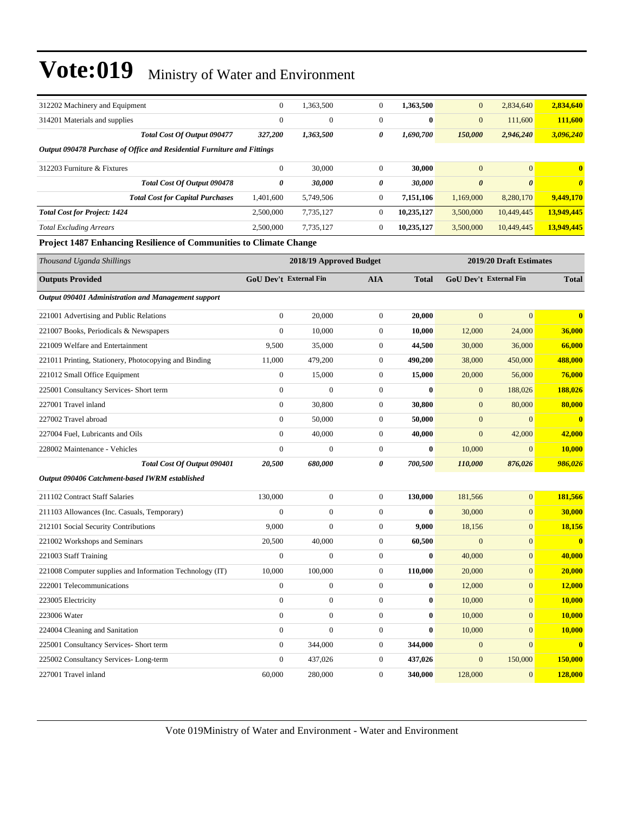| 312202 Machinery and Equipment                                          | $\boldsymbol{0}$              | 1,363,500               | $\mathbf{0}$     | 1,363,500    | $\mathbf{0}$     | 2,834,640                     | 2,834,640             |
|-------------------------------------------------------------------------|-------------------------------|-------------------------|------------------|--------------|------------------|-------------------------------|-----------------------|
| 314201 Materials and supplies                                           | $\mathbf{0}$                  | $\boldsymbol{0}$        | $\boldsymbol{0}$ | $\bf{0}$     | $\boldsymbol{0}$ | 111,600                       | 111,600               |
| Total Cost Of Output 090477                                             | 327,200                       | 1,363,500               | 0                | 1,690,700    | 150,000          | 2,946,240                     | 3,096,240             |
| Output 090478 Purchase of Office and Residential Furniture and Fittings |                               |                         |                  |              |                  |                               |                       |
| 312203 Furniture & Fixtures                                             | $\boldsymbol{0}$              | 30,000                  | $\mathbf{0}$     | 30,000       | $\mathbf{0}$     | $\overline{0}$                | $\bf{0}$              |
| Total Cost Of Output 090478                                             | 0                             | 30,000                  | 0                | 30,000       | 0                | 0                             | $\boldsymbol{\theta}$ |
| <b>Total Cost for Capital Purchases</b>                                 | 1,401,600                     | 5,749,506               | $\mathbf{0}$     | 7,151,106    | 1,169,000        | 8,280,170                     | 9,449,170             |
| <b>Total Cost for Project: 1424</b>                                     | 2,500,000                     | 7,735,127               | $\mathbf{0}$     | 10,235,127   | 3,500,000        | 10,449,445                    | 13,949,445            |
| <b>Total Excluding Arrears</b>                                          | 2,500,000                     | 7,735,127               | $\mathbf{0}$     | 10,235,127   | 3,500,000        | 10,449,445                    | 13,949,445            |
| Project 1487 Enhancing Resilience of Communities to Climate Change      |                               |                         |                  |              |                  |                               |                       |
| Thousand Uganda Shillings                                               |                               | 2018/19 Approved Budget |                  |              |                  | 2019/20 Draft Estimates       |                       |
| <b>Outputs Provided</b>                                                 | <b>GoU Dev't External Fin</b> |                         | <b>AIA</b>       | <b>Total</b> |                  | <b>GoU Dev't External Fin</b> | <b>Total</b>          |
| Output 090401 Administration and Management support                     |                               |                         |                  |              |                  |                               |                       |
| 221001 Advertising and Public Relations                                 | $\boldsymbol{0}$              | 20,000                  | $\mathbf{0}$     | 20,000       | $\mathbf{0}$     | $\overline{0}$                | $\bf{0}$              |
| 221007 Books, Periodicals & Newspapers                                  | $\mathbf{0}$                  | 10,000                  | $\mathbf{0}$     | 10,000       | 12,000           | 24,000                        | 36,000                |
| 221009 Welfare and Entertainment                                        | 9,500                         | 35,000                  | $\mathbf{0}$     | 44,500       | 30,000           | 36,000                        | 66,000                |
| 221011 Printing, Stationery, Photocopying and Binding                   | 11,000                        | 479,200                 | $\mathbf{0}$     | 490,200      | 38,000           | 450,000                       | 488,000               |
| 221012 Small Office Equipment                                           | $\boldsymbol{0}$              | 15,000                  | $\mathbf{0}$     | 15,000       | 20,000           | 56,000                        | 76,000                |
| 225001 Consultancy Services- Short term                                 | $\boldsymbol{0}$              | $\mathbf{0}$            | $\mathbf{0}$     | $\bf{0}$     | $\mathbf{0}$     | 188,026                       | 188,026               |
| 227001 Travel inland                                                    | $\boldsymbol{0}$              | 30,800                  | $\boldsymbol{0}$ | 30,800       | $\mathbf{0}$     | 80,000                        | 80,000                |
| 227002 Travel abroad                                                    | $\boldsymbol{0}$              | 50,000                  | $\mathbf{0}$     | 50,000       | $\boldsymbol{0}$ | $\overline{0}$                | $\bf{0}$              |
| 227004 Fuel, Lubricants and Oils                                        | $\overline{0}$                | 40,000                  | $\mathbf{0}$     | 40,000       | $\boldsymbol{0}$ | 42,000                        | 42,000                |
| 228002 Maintenance - Vehicles                                           | $\boldsymbol{0}$              | $\Omega$                | $\mathbf{0}$     | $\bf{0}$     | 10,000           | $\mathbf{0}$                  | 10,000                |
| Total Cost Of Output 090401                                             | 20,500                        | 680,000                 | 0                | 700,500      | 110,000          | 876,026                       | 986,026               |
| Output 090406 Catchment-based IWRM established                          |                               |                         |                  |              |                  |                               |                       |
| 211102 Contract Staff Salaries                                          | 130,000                       | $\boldsymbol{0}$        | $\boldsymbol{0}$ | 130,000      | 181,566          | $\overline{0}$                | 181,566               |
| 211103 Allowances (Inc. Casuals, Temporary)                             | $\mathbf{0}$                  | $\boldsymbol{0}$        | $\mathbf{0}$     | $\bf{0}$     | 30,000           | $\overline{0}$                | 30,000                |
| 212101 Social Security Contributions                                    | 9,000                         | $\boldsymbol{0}$        | $\mathbf{0}$     | 9,000        | 18,156           | $\mathbf{0}$                  | 18,156                |
| 221002 Workshops and Seminars                                           | 20,500                        | 40,000                  | $\mathbf{0}$     | 60,500       | $\boldsymbol{0}$ | $\overline{0}$                | $\bf{0}$              |
| 221003 Staff Training                                                   | $\overline{0}$                | $\boldsymbol{0}$        | $\boldsymbol{0}$ | $\bf{0}$     | 40,000           | $\boldsymbol{0}$              | 40,000                |
| 221008 Computer supplies and Information Technology (IT)                | 10,000                        | 100,000                 | $\boldsymbol{0}$ | 110,000      | 20,000           | $\mathbf{0}$                  | 20,000                |
| 222001 Telecommunications                                               | $\boldsymbol{0}$              | $\boldsymbol{0}$        | $\boldsymbol{0}$ | $\bf{0}$     | 12,000           | $\boldsymbol{0}$              | 12,000                |
| 223005 Electricity                                                      | $\boldsymbol{0}$              | $\boldsymbol{0}$        | $\boldsymbol{0}$ | $\bf{0}$     | 10,000           | $\mathbf{0}$                  | 10,000                |
| 223006 Water                                                            | $\boldsymbol{0}$              | $\boldsymbol{0}$        | $\mathbf{0}$     | $\bf{0}$     | 10,000           | $\boldsymbol{0}$              | 10,000                |
| 224004 Cleaning and Sanitation                                          | $\boldsymbol{0}$              | $\boldsymbol{0}$        | $\boldsymbol{0}$ | $\bf{0}$     | 10,000           | $\boldsymbol{0}$              | 10,000                |
| 225001 Consultancy Services- Short term                                 | $\boldsymbol{0}$              | 344,000                 | $\boldsymbol{0}$ | 344,000      | $\boldsymbol{0}$ | $\boldsymbol{0}$              | $\mathbf{0}$          |
| 225002 Consultancy Services-Long-term                                   | $\boldsymbol{0}$              | 437,026                 | $\boldsymbol{0}$ | 437,026      | $\boldsymbol{0}$ | 150,000                       | 150,000               |
| 227001 Travel inland                                                    | 60,000                        | 280,000                 | $\boldsymbol{0}$ | 340,000      | 128,000          | $\mathbf{0}$                  | 128,000               |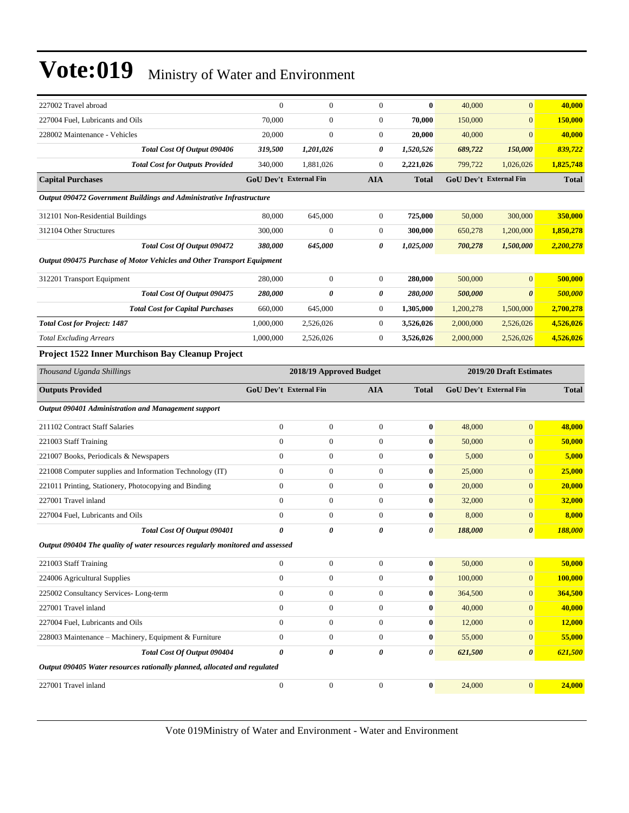| 227002 Travel abroad                                                          | $\mathbf{0}$                  | $\mathbf{0}$            | $\overline{0}$   | $\bf{0}$         | 40,000                 | $\mathbf{0}$            | 40,000       |
|-------------------------------------------------------------------------------|-------------------------------|-------------------------|------------------|------------------|------------------------|-------------------------|--------------|
| 227004 Fuel, Lubricants and Oils                                              | 70,000                        | $\boldsymbol{0}$        | $\boldsymbol{0}$ | 70,000           | 150,000                | $\mathbf{0}$            | 150,000      |
| 228002 Maintenance - Vehicles                                                 | 20,000                        | $\boldsymbol{0}$        | $\boldsymbol{0}$ | 20,000           | 40,000                 | $\mathbf{0}$            | 40,000       |
| Total Cost Of Output 090406                                                   | 319,500                       | 1,201,026               | 0                | 1,520,526        | 689,722                | 150,000                 | 839,722      |
| <b>Total Cost for Outputs Provided</b>                                        | 340,000                       | 1,881,026               | $\overline{0}$   | 2,221,026        | 799,722                | 1,026,026               | 1,825,748    |
| <b>Capital Purchases</b>                                                      | <b>GoU Dev't External Fin</b> |                         | <b>AIA</b>       | <b>Total</b>     |                        | GoU Dev't External Fin  | <b>Total</b> |
| Output 090472 Government Buildings and Administrative Infrastructure          |                               |                         |                  |                  |                        |                         |              |
| 312101 Non-Residential Buildings                                              | 80,000                        | 645,000                 | $\boldsymbol{0}$ | 725,000          | 50,000                 | 300,000                 | 350,000      |
| 312104 Other Structures                                                       | 300,000                       | $\boldsymbol{0}$        | $\mathbf{0}$     | 300,000          | 650,278                | 1,200,000               | 1,850,278    |
| Total Cost Of Output 090472                                                   | 380,000                       | 645,000                 | 0                | 1,025,000        | 700,278                | 1,500,000               | 2,200,278    |
| Output 090475 Purchase of Motor Vehicles and Other Transport Equipment        |                               |                         |                  |                  |                        |                         |              |
| 312201 Transport Equipment                                                    | 280,000                       | $\overline{0}$          | $\overline{0}$   | 280,000          | 500,000                | $\overline{0}$          | 500,000      |
| Total Cost Of Output 090475                                                   | 280,000                       | 0                       | 0                | 280,000          | 500,000                | $\boldsymbol{\theta}$   | 500,000      |
| <b>Total Cost for Capital Purchases</b>                                       | 660,000                       | 645,000                 | $\boldsymbol{0}$ | 1,305,000        | 1,200,278              | 1,500,000               | 2,700,278    |
| <b>Total Cost for Project: 1487</b>                                           | 1,000,000                     | 2,526,026               | $\boldsymbol{0}$ | 3,526,026        | 2,000,000              | 2,526,026               | 4,526,026    |
| <b>Total Excluding Arrears</b>                                                | 1,000,000                     | 2,526,026               | $\boldsymbol{0}$ | 3,526,026        | 2,000,000              | 2,526,026               | 4,526,026    |
| Project 1522 Inner Murchison Bay Cleanup Project                              |                               |                         |                  |                  |                        |                         |              |
| Thousand Uganda Shillings                                                     |                               | 2018/19 Approved Budget |                  |                  |                        | 2019/20 Draft Estimates |              |
| <b>Outputs Provided</b>                                                       | <b>GoU Dev't External Fin</b> |                         | <b>AIA</b>       | <b>Total</b>     | GoU Dev't External Fin | <b>Total</b>            |              |
| Output 090401 Administration and Management support                           |                               |                         |                  |                  |                        |                         |              |
| 211102 Contract Staff Salaries                                                | $\mathbf{0}$                  | $\boldsymbol{0}$        | $\boldsymbol{0}$ | $\bf{0}$         | 48,000                 | $\overline{0}$          | 48,000       |
| 221003 Staff Training                                                         | $\mathbf{0}$                  | $\boldsymbol{0}$        |                  |                  |                        |                         |              |
|                                                                               |                               |                         | $\boldsymbol{0}$ | $\bf{0}$         | 50,000                 | $\mathbf{0}$            | 50,000       |
| 221007 Books, Periodicals & Newspapers                                        | $\mathbf{0}$                  | $\boldsymbol{0}$        | $\overline{0}$   | $\bf{0}$         | 5,000                  | $\mathbf{0}$            | 5,000        |
| 221008 Computer supplies and Information Technology (IT)                      | $\mathbf{0}$                  | $\overline{0}$          | $\overline{0}$   | $\bf{0}$         | 25,000                 | $\mathbf{0}$            | 25,000       |
| 221011 Printing, Stationery, Photocopying and Binding                         | $\mathbf{0}$                  | $\boldsymbol{0}$        | $\overline{0}$   | $\bf{0}$         | 20,000                 | $\mathbf{0}$            | 20,000       |
| 227001 Travel inland                                                          | $\mathbf{0}$                  | $\overline{0}$          | $\overline{0}$   | $\bf{0}$         | 32,000                 | $\mathbf{0}$            | 32,000       |
| 227004 Fuel, Lubricants and Oils                                              | $\mathbf{0}$                  | $\boldsymbol{0}$        | $\mathbf{0}$     | $\bf{0}$         | 8,000                  | $\mathbf{0}$            | 8,000        |
| Total Cost Of Output 090401                                                   | $\theta$                      | 0                       | 0                | 0                | 188,000                | $\boldsymbol{\theta}$   | 188,000      |
| Output 090404 The quality of water resources regularly monitored and assessed |                               |                         |                  |                  |                        |                         |              |
| 221003 Staff Training                                                         | $\mathbf{0}$                  | $\boldsymbol{0}$        | $\boldsymbol{0}$ | $\bf{0}$         | 50,000                 | $\mathbf{0}$            | 50,000       |
| 224006 Agricultural Supplies                                                  | $\mathbf{0}$                  | $\boldsymbol{0}$        | $\boldsymbol{0}$ | $\bf{0}$         | 100,000                | $\mathbf{0}$            | 100,000      |
| 225002 Consultancy Services-Long-term                                         | $\mathbf{0}$                  | $\boldsymbol{0}$        | $\boldsymbol{0}$ | $\boldsymbol{0}$ | 364,500                | $\mathbf{0}$            | 364,500      |
| 227001 Travel inland                                                          | $\mathbf{0}$                  | $\boldsymbol{0}$        | $\boldsymbol{0}$ | $\bf{0}$         | 40,000                 | $\mathbf{0}$            | 40,000       |
| 227004 Fuel, Lubricants and Oils                                              | $\mathbf{0}$                  | $\boldsymbol{0}$        | $\boldsymbol{0}$ | $\bf{0}$         | 12,000                 | $\mathbf{0}$            | 12,000       |
| 228003 Maintenance - Machinery, Equipment & Furniture                         | $\boldsymbol{0}$              | $\boldsymbol{0}$        | $\boldsymbol{0}$ | $\bf{0}$         | 55,000                 | $\mathbf{0}$            | 55,000       |
| Total Cost Of Output 090404                                                   | $\pmb{\theta}$                | 0                       | 0                | 0                | 621,500                | $\boldsymbol{\theta}$   | 621,500      |
| Output 090405 Water resources rationally planned, allocated and regulated     |                               |                         |                  |                  |                        |                         |              |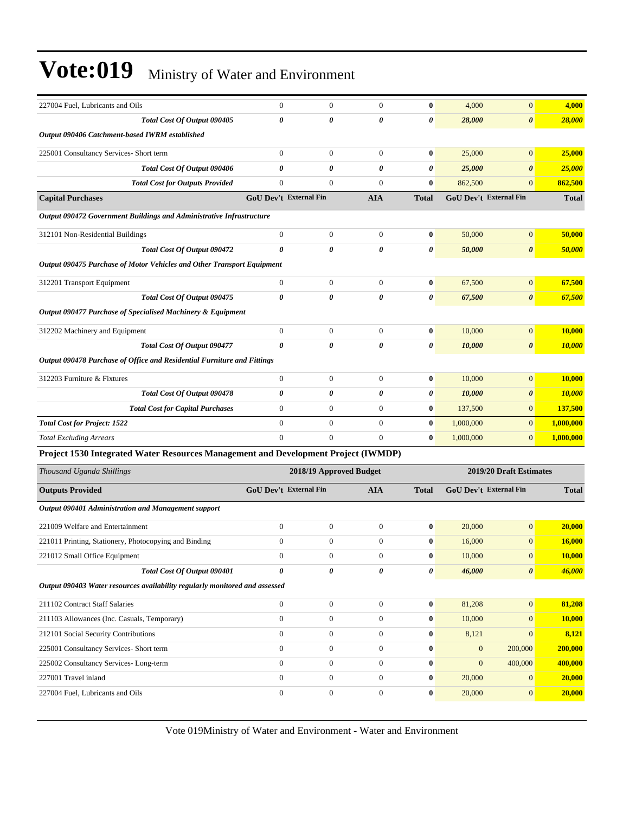| 227004 Fuel, Lubricants and Oils                                                   | $\boldsymbol{0}$       | $\boldsymbol{0}$        | $\mathbf{0}$     | $\bf{0}$     | 4,000                         | $\overline{0}$          | 4,000         |
|------------------------------------------------------------------------------------|------------------------|-------------------------|------------------|--------------|-------------------------------|-------------------------|---------------|
| Total Cost Of Output 090405                                                        | 0                      | 0                       | 0                | 0            | 28,000                        | $\pmb{\theta}$          | <b>28,000</b> |
| Output 090406 Catchment-based IWRM established                                     |                        |                         |                  |              |                               |                         |               |
| 225001 Consultancy Services- Short term                                            | $\overline{0}$         | $\boldsymbol{0}$        | $\mathbf{0}$     | $\bf{0}$     | 25,000                        | $\overline{0}$          | 25,000        |
| Total Cost Of Output 090406                                                        | 0                      | 0                       | 0                | 0            | 25,000                        | $\boldsymbol{\theta}$   | 25,000        |
| <b>Total Cost for Outputs Provided</b>                                             | $\boldsymbol{0}$       | $\mathbf{0}$            | $\overline{0}$   | $\bf{0}$     | 862,500                       | $\overline{0}$          | 862,500       |
| <b>Capital Purchases</b>                                                           | GoU Dev't External Fin |                         | <b>AIA</b>       | <b>Total</b> | GoU Dev't External Fin        |                         | <b>Total</b>  |
| Output 090472 Government Buildings and Administrative Infrastructure               |                        |                         |                  |              |                               |                         |               |
| 312101 Non-Residential Buildings                                                   | $\boldsymbol{0}$       | $\boldsymbol{0}$        | $\mathbf{0}$     | $\bf{0}$     | 50,000                        | $\overline{0}$          | 50,000        |
| Total Cost Of Output 090472                                                        | 0                      | 0                       | 0                | 0            | 50,000                        | $\boldsymbol{\theta}$   | 50,000        |
| Output 090475 Purchase of Motor Vehicles and Other Transport Equipment             |                        |                         |                  |              |                               |                         |               |
| 312201 Transport Equipment                                                         | $\boldsymbol{0}$       | $\boldsymbol{0}$        | $\mathbf{0}$     | $\bf{0}$     | 67,500                        | $\boldsymbol{0}$        | 67,500        |
| Total Cost Of Output 090475                                                        | 0                      | 0                       | 0                | 0            | 67,500                        | $\boldsymbol{\theta}$   | 67,500        |
| Output 090477 Purchase of Specialised Machinery & Equipment                        |                        |                         |                  |              |                               |                         |               |
|                                                                                    | $\boldsymbol{0}$       | $\mathbf{0}$            | $\mathbf{0}$     | $\bf{0}$     |                               | $\overline{0}$          | 10,000        |
| 312202 Machinery and Equipment<br>Total Cost Of Output 090477                      | 0                      | $\theta$                | 0                | 0            | 10,000                        | $\boldsymbol{\theta}$   |               |
|                                                                                    |                        |                         |                  |              | 10,000                        |                         | 10,000        |
| Output 090478 Purchase of Office and Residential Furniture and Fittings            |                        |                         |                  |              |                               |                         |               |
| 312203 Furniture & Fixtures                                                        | $\boldsymbol{0}$       | $\mathbf{0}$            | $\mathbf{0}$     | $\bf{0}$     | 10,000                        | $\mathbf{0}$            | 10,000        |
| Total Cost Of Output 090478                                                        | 0                      | 0                       | 0                | 0            | 10,000                        | 0                       | 10,000        |
| <b>Total Cost for Capital Purchases</b>                                            | $\boldsymbol{0}$       | $\boldsymbol{0}$        | $\mathbf{0}$     | $\bf{0}$     | 137,500                       | $\mathbf{0}$            | 137,500       |
| <b>Total Cost for Project: 1522</b>                                                | $\overline{0}$         | $\mathbf{0}$            | $\mathbf{0}$     | $\bf{0}$     | 1,000,000                     | $\overline{0}$          | 1,000,000     |
| <b>Total Excluding Arrears</b>                                                     | $\overline{0}$         | $\overline{0}$          | $\mathbf{0}$     | $\bf{0}$     | 1,000,000                     | $\overline{0}$          | 1,000,000     |
| Project 1530 Integrated Water Resources Management and Development Project (IWMDP) |                        |                         |                  |              |                               |                         |               |
| Thousand Uganda Shillings                                                          |                        | 2018/19 Approved Budget |                  |              |                               | 2019/20 Draft Estimates |               |
| <b>Outputs Provided</b>                                                            | GoU Dev't External Fin |                         | <b>AIA</b>       | <b>Total</b> | <b>GoU Dev't External Fin</b> |                         | <b>Total</b>  |
| Output 090401 Administration and Management support                                |                        |                         |                  |              |                               |                         |               |
| 221009 Welfare and Entertainment                                                   | $\boldsymbol{0}$       | $\boldsymbol{0}$        | $\boldsymbol{0}$ | $\bf{0}$     | 20,000                        | $\mathbf{0}$            | 20,000        |
| 221011 Printing, Stationery, Photocopying and Binding                              | $\boldsymbol{0}$       | $\boldsymbol{0}$        | $\mathbf{0}$     | $\bf{0}$     | 16,000                        | $\overline{0}$          | 16,000        |
| 221012 Small Office Equipment                                                      | 0                      | $\bf{0}$                | $\bf{0}$         | $\bf{0}$     | 10,000                        | $\theta$                | <b>10,000</b> |
| Total Cost Of Output 090401                                                        | 0                      | 0                       | 0                | 0            | 46,000                        | $\boldsymbol{\theta}$   | 46,000        |
| Output 090403 Water resources availability regularly monitored and assessed        |                        |                         |                  |              |                               |                         |               |
| 211102 Contract Staff Salaries                                                     | $\overline{0}$         | $\boldsymbol{0}$        | $\mathbf{0}$     | $\bf{0}$     | 81,208                        | $\overline{0}$          | 81,208        |
| 211103 Allowances (Inc. Casuals, Temporary)                                        | $\overline{0}$         | $\boldsymbol{0}$        | $\mathbf{0}$     | $\bf{0}$     | 10,000                        | $\mathbf{0}$            | 10,000        |
| 212101 Social Security Contributions                                               | $\boldsymbol{0}$       | $\boldsymbol{0}$        | $\mathbf{0}$     | $\bf{0}$     | 8,121                         | $\overline{0}$          | 8,121         |
| 225001 Consultancy Services- Short term                                            | $\overline{0}$         | $\boldsymbol{0}$        | $\mathbf{0}$     | $\bf{0}$     | $\mathbf{0}$                  | 200,000                 | 200,000       |
| 225002 Consultancy Services-Long-term                                              | $\overline{0}$         | $\boldsymbol{0}$        | $\mathbf{0}$     | $\bf{0}$     | $\mathbf{0}$                  | 400,000                 | 400,000       |
| 227001 Travel inland                                                               | $\overline{0}$         | $\boldsymbol{0}$        | $\mathbf{0}$     | $\bf{0}$     | 20,000                        | $\mathbf{0}$            | 20,000        |
| 227004 Fuel, Lubricants and Oils                                                   | $\boldsymbol{0}$       | $\boldsymbol{0}$        | $\boldsymbol{0}$ | $\bf{0}$     | 20,000                        | $\mathbf{0}$            | 20,000        |
|                                                                                    |                        |                         |                  |              |                               |                         |               |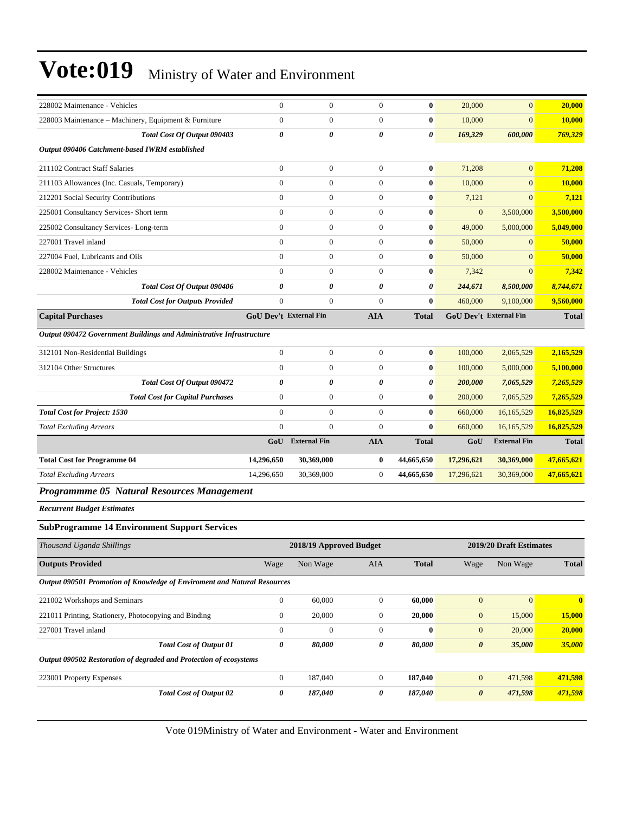| 228002 Maintenance - Vehicles                                            | $\boldsymbol{0}$              | $\boldsymbol{0}$        | $\boldsymbol{0}$ | $\bf{0}$     | 20,000                 | $\overline{0}$          | 20,000       |
|--------------------------------------------------------------------------|-------------------------------|-------------------------|------------------|--------------|------------------------|-------------------------|--------------|
| 228003 Maintenance - Machinery, Equipment & Furniture                    | $\boldsymbol{0}$              | $\boldsymbol{0}$        | $\mathbf{0}$     | $\bf{0}$     | 10,000                 | $\overline{0}$          | 10,000       |
| Total Cost Of Output 090403                                              | 0                             | 0                       | 0                | 0            | 169,329                | 600,000                 | 769,329      |
| Output 090406 Catchment-based IWRM established                           |                               |                         |                  |              |                        |                         |              |
| 211102 Contract Staff Salaries                                           | $\overline{0}$                | $\boldsymbol{0}$        | $\boldsymbol{0}$ | $\bf{0}$     | 71,208                 | $\overline{0}$          | 71,208       |
| 211103 Allowances (Inc. Casuals, Temporary)                              | $\boldsymbol{0}$              | $\boldsymbol{0}$        | $\boldsymbol{0}$ | $\bf{0}$     | 10,000                 | $\mathbf{0}$            | 10,000       |
| 212201 Social Security Contributions                                     | $\boldsymbol{0}$              | $\boldsymbol{0}$        | $\mathbf{0}$     | $\bf{0}$     | 7,121                  | $\overline{0}$          | 7,121        |
| 225001 Consultancy Services- Short term                                  | $\overline{0}$                | $\boldsymbol{0}$        | $\overline{0}$   | $\bf{0}$     | $\mathbf{0}$           | 3,500,000               | 3,500,000    |
| 225002 Consultancy Services-Long-term                                    | $\mathbf{0}$                  | $\boldsymbol{0}$        | $\mathbf{0}$     | $\bf{0}$     | 49,000                 | 5,000,000               | 5,049,000    |
| 227001 Travel inland                                                     | $\overline{0}$                | $\boldsymbol{0}$        | $\boldsymbol{0}$ | $\bf{0}$     | 50,000                 | $\overline{0}$          | 50,000       |
| 227004 Fuel, Lubricants and Oils                                         | $\overline{0}$                | $\boldsymbol{0}$        | $\boldsymbol{0}$ | $\bf{0}$     | 50,000                 | $\mathbf{0}$            | 50,000       |
| 228002 Maintenance - Vehicles                                            | $\overline{0}$                | $\boldsymbol{0}$        | $\mathbf{0}$     | $\bf{0}$     | 7,342                  | $\overline{0}$          | 7,342        |
| Total Cost Of Output 090406                                              | 0                             | 0                       | 0                | 0            | 244,671                | 8,500,000               | 8,744,671    |
| <b>Total Cost for Outputs Provided</b>                                   | $\overline{0}$                | $\boldsymbol{0}$        | $\overline{0}$   | $\bf{0}$     | 460,000                | 9,100,000               | 9,560,000    |
| <b>Capital Purchases</b>                                                 | <b>GoU Dev't External Fin</b> |                         | <b>AIA</b>       | <b>Total</b> | GoU Dev't External Fin |                         | <b>Total</b> |
| Output 090472 Government Buildings and Administrative Infrastructure     |                               |                         |                  |              |                        |                         |              |
| 312101 Non-Residential Buildings                                         | $\boldsymbol{0}$              | $\boldsymbol{0}$        | $\boldsymbol{0}$ | $\bf{0}$     | 100,000                | 2,065,529               | 2,165,529    |
| 312104 Other Structures                                                  | $\boldsymbol{0}$              | $\boldsymbol{0}$        | $\boldsymbol{0}$ | $\bf{0}$     | 100,000                | 5,000,000               | 5,100,000    |
| Total Cost Of Output 090472                                              | 0                             | 0                       | $\pmb{\theta}$   | 0            | 200,000                | 7,065,529               | 7,265,529    |
| <b>Total Cost for Capital Purchases</b>                                  | $\mathbf{0}$                  | $\boldsymbol{0}$        | $\mathbf{0}$     | $\bf{0}$     | 200,000                | 7,065,529               | 7,265,529    |
| <b>Total Cost for Project: 1530</b>                                      | $\overline{0}$                | $\boldsymbol{0}$        | $\mathbf{0}$     | $\bf{0}$     | 660,000                | 16,165,529              | 16,825,529   |
| <b>Total Excluding Arrears</b>                                           | $\overline{0}$                | $\boldsymbol{0}$        | $\boldsymbol{0}$ | $\bf{0}$     | 660,000                | 16,165,529              | 16,825,529   |
|                                                                          |                               | GoU External Fin        | <b>AIA</b>       | <b>Total</b> | GoU                    | <b>External Fin</b>     | <b>Total</b> |
| <b>Total Cost for Programme 04</b>                                       | 14,296,650                    | 30,369,000              | $\bf{0}$         | 44,665,650   | 17,296,621             | 30,369,000              | 47,665,621   |
| <b>Total Excluding Arrears</b>                                           | 14,296,650                    | 30,369,000              | $\boldsymbol{0}$ | 44,665,650   | 17,296,621             | 30,369,000              | 47,665,621   |
| Programmme 05 Natural Resources Management                               |                               |                         |                  |              |                        |                         |              |
| <b>Recurrent Budget Estimates</b>                                        |                               |                         |                  |              |                        |                         |              |
| <b>SubProgramme 14 Environment Support Services</b>                      |                               |                         |                  |              |                        |                         |              |
| Thousand Uganda Shillings                                                |                               | 2018/19 Approved Budget |                  |              |                        | 2019/20 Draft Estimates |              |
| <b>Outputs Provided</b>                                                  | Wage                          | Non Wage                | AIA              | <b>Total</b> | Wage                   | Non Wage                | <b>Total</b> |
| Output 090501 Promotion of Knowledge of Enviroment and Natural Resources |                               |                         |                  |              |                        |                         |              |
| 221002 Workshops and Seminars                                            | $\boldsymbol{0}$              | 60,000                  | $\boldsymbol{0}$ | 60,000       | $\mathbf{0}$           | $\mathbf{0}$            | $\bf{0}$     |
| 221011 Printing, Stationery, Photocopying and Binding                    | $\boldsymbol{0}$              | 20,000                  | $\boldsymbol{0}$ | 20,000       | $\mathbf{0}$           | 15,000                  | 15,000       |
| 227001 Travel inland                                                     | $\boldsymbol{0}$              | $\boldsymbol{0}$        | $\boldsymbol{0}$ | $\bf{0}$     | $\boldsymbol{0}$       | 20,000                  | 20,000       |
| <b>Total Cost of Output 01</b>                                           | 0                             | 80,000                  | 0                | 80,000       | $\boldsymbol{\theta}$  | 35,000                  | 35,000       |
| Output 090502 Restoration of degraded and Protection of ecosystems       |                               |                         |                  |              |                        |                         |              |
| 223001 Property Expenses                                                 |                               |                         |                  |              |                        |                         |              |
|                                                                          | $\boldsymbol{0}$              | 187,040                 | $\boldsymbol{0}$ | 187,040      | $\boldsymbol{0}$       | 471,598                 | 471,598      |
| <b>Total Cost of Output 02</b>                                           | 0                             | 187,040                 | 0                | 187,040      | $\boldsymbol{\theta}$  | 471,598                 | 471,598      |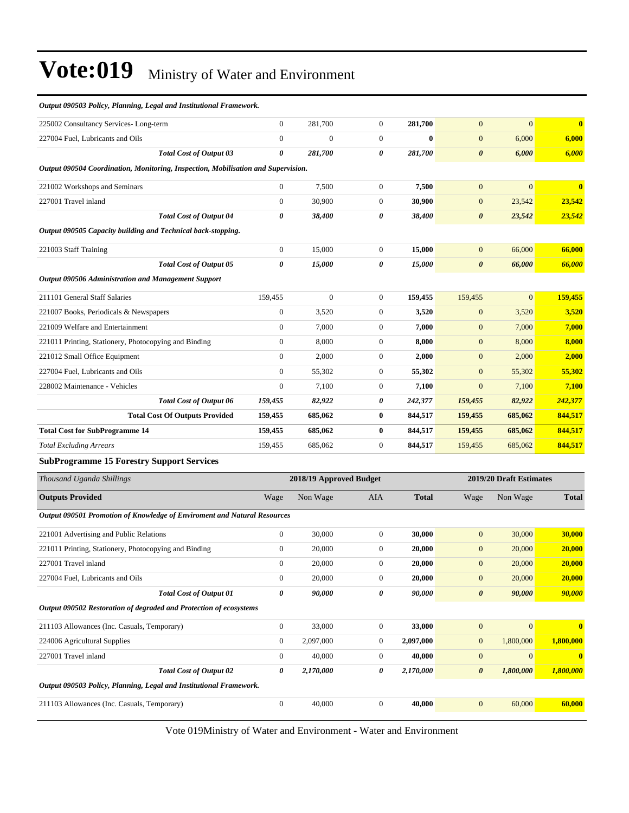| Output 090503 Policy, Planning, Legal and Institutional Framework.                |                  |                         |                  |              |                         |                  |              |
|-----------------------------------------------------------------------------------|------------------|-------------------------|------------------|--------------|-------------------------|------------------|--------------|
| 225002 Consultancy Services-Long-term                                             | $\boldsymbol{0}$ | 281,700                 | $\boldsymbol{0}$ | 281,700      | $\mathbf{0}$            | $\mathbf{0}$     | $\mathbf{0}$ |
| 227004 Fuel, Lubricants and Oils                                                  | $\boldsymbol{0}$ | $\boldsymbol{0}$        | $\boldsymbol{0}$ | $\bf{0}$     | $\boldsymbol{0}$        | 6,000            | 6,000        |
| <b>Total Cost of Output 03</b>                                                    | 0                | 281,700                 | $\pmb{\theta}$   | 281,700      | $\boldsymbol{\theta}$   | 6,000            | 6,000        |
| Output 090504 Coordination, Monitoring, Inspection, Mobilisation and Supervision. |                  |                         |                  |              |                         |                  |              |
| 221002 Workshops and Seminars                                                     | $\boldsymbol{0}$ | 7,500                   | $\boldsymbol{0}$ | 7,500        | $\mathbf{0}$            | $\mathbf{0}$     | $\bf{0}$     |
| 227001 Travel inland                                                              | $\boldsymbol{0}$ | 30,900                  | $\boldsymbol{0}$ | 30,900       | $\mathbf{0}$            | 23,542           | 23,542       |
| <b>Total Cost of Output 04</b>                                                    | 0                | 38,400                  | 0                | 38,400       | 0                       | 23,542           | 23,542       |
| Output 090505 Capacity building and Technical back-stopping.                      |                  |                         |                  |              |                         |                  |              |
| 221003 Staff Training                                                             | $\boldsymbol{0}$ | 15,000                  | $\boldsymbol{0}$ | 15,000       | $\mathbf{0}$            | 66,000           | 66,000       |
| <b>Total Cost of Output 05</b>                                                    | 0                | 15,000                  | $\pmb{\theta}$   | 15,000       | $\boldsymbol{\theta}$   | 66,000           | 66,000       |
| <b>Output 090506 Administration and Management Support</b>                        |                  |                         |                  |              |                         |                  |              |
| 211101 General Staff Salaries                                                     | 159,455          | $\boldsymbol{0}$        | $\boldsymbol{0}$ | 159,455      | 159,455                 | $\mathbf{0}$     | 159,455      |
| 221007 Books, Periodicals & Newspapers                                            | $\boldsymbol{0}$ | 3,520                   | $\boldsymbol{0}$ | 3,520        | $\mathbf{0}$            | 3,520            | 3,520        |
| 221009 Welfare and Entertainment                                                  | $\boldsymbol{0}$ | 7,000                   | $\boldsymbol{0}$ | 7,000        | $\mathbf{0}$            | 7,000            | 7,000        |
| 221011 Printing, Stationery, Photocopying and Binding                             | $\boldsymbol{0}$ | 8,000                   | $\boldsymbol{0}$ | 8,000        | $\mathbf{0}$            | 8,000            | 8,000        |
| 221012 Small Office Equipment                                                     | $\boldsymbol{0}$ | 2,000                   | $\boldsymbol{0}$ | 2,000        | $\mathbf{0}$            | 2,000            | 2,000        |
| 227004 Fuel, Lubricants and Oils                                                  | $\boldsymbol{0}$ | 55,302                  | $\boldsymbol{0}$ | 55,302       | $\boldsymbol{0}$        | 55,302           | 55,302       |
| 228002 Maintenance - Vehicles                                                     | $\boldsymbol{0}$ | 7,100                   | $\boldsymbol{0}$ | 7,100        | $\boldsymbol{0}$        | 7,100            | 7,100        |
| Total Cost of Output 06                                                           | 159,455          | 82,922                  | 0                | 242,377      | 159,455                 | 82,922           | 242,377      |
| <b>Total Cost Of Outputs Provided</b>                                             | 159,455          | 685,062                 | $\bf{0}$         | 844,517      | 159,455                 | 685,062          | 844,517      |
| <b>Total Cost for SubProgramme 14</b>                                             | 159,455          | 685,062                 | $\bf{0}$         | 844,517      | 159,455                 | 685,062          | 844,517      |
| <b>Total Excluding Arrears</b>                                                    | 159,455          | 685,062                 | $\boldsymbol{0}$ | 844,517      | 159,455                 | 685,062          | 844,517      |
| <b>SubProgramme 15 Forestry Support Services</b>                                  |                  |                         |                  |              |                         |                  |              |
| Thousand Uganda Shillings                                                         |                  | 2018/19 Approved Budget |                  |              | 2019/20 Draft Estimates |                  |              |
| <b>Outputs Provided</b>                                                           | Wage             | Non Wage                | AIA              | <b>Total</b> | Wage                    | Non Wage         | <b>Total</b> |
| Output 090501 Promotion of Knowledge of Enviroment and Natural Resources          |                  |                         |                  |              |                         |                  |              |
| 221001 Advertising and Public Relations                                           | $\boldsymbol{0}$ | 30,000                  | $\boldsymbol{0}$ | 30,000       | $\boldsymbol{0}$        | 30,000           | 30,000       |
| 221011 Printing, Stationery, Photocopying and Binding                             | $\boldsymbol{0}$ | 20,000                  | $\boldsymbol{0}$ | 20,000       | $\mathbf{0}$            | 20,000           | 20,000       |
| 227001 Travel inland                                                              | $\boldsymbol{0}$ | 20,000                  | $\boldsymbol{0}$ | 20,000       | $\boldsymbol{0}$        | 20,000           | 20,000       |
| 227004 Fuel, Lubricants and Oils                                                  | $\boldsymbol{0}$ | 20,000                  | $\boldsymbol{0}$ | 20,000       | $\boldsymbol{0}$        | 20,000           | 20,000       |
| <b>Total Cost of Output 01</b>                                                    | 0                | 90,000                  | 0                | 90,000       | $\boldsymbol{\theta}$   | 90,000           | 90,000       |
| Output 090502 Restoration of degraded and Protection of ecosystems                |                  |                         |                  |              |                         |                  |              |
| 211103 Allowances (Inc. Casuals, Temporary)                                       | $\boldsymbol{0}$ | 33,000                  | $\boldsymbol{0}$ | 33,000       | $\mathbf{0}$            | $\boldsymbol{0}$ | $\bf{0}$     |
| 224006 Agricultural Supplies                                                      | $\boldsymbol{0}$ | 2,097,000               | $\boldsymbol{0}$ | 2,097,000    | $\mathbf{0}$            | 1,800,000        | 1,800,000    |
| 227001 Travel inland                                                              | $\boldsymbol{0}$ | 40,000                  | $\boldsymbol{0}$ | 40,000       | $\boldsymbol{0}$        | $\mathbf{0}$     | $\bf{0}$     |
| <b>Total Cost of Output 02</b>                                                    | 0                | 2,170,000               | 0                | 2,170,000    | $\boldsymbol{\theta}$   | 1,800,000        | 1,800,000    |
| Output 090503 Policy, Planning, Legal and Institutional Framework.                |                  |                         |                  |              |                         |                  |              |
| 211103 Allowances (Inc. Casuals, Temporary)                                       | $\boldsymbol{0}$ | 40,000                  | $\boldsymbol{0}$ | 40,000       | $\mathbf{0}$            | 60,000           | 60,000       |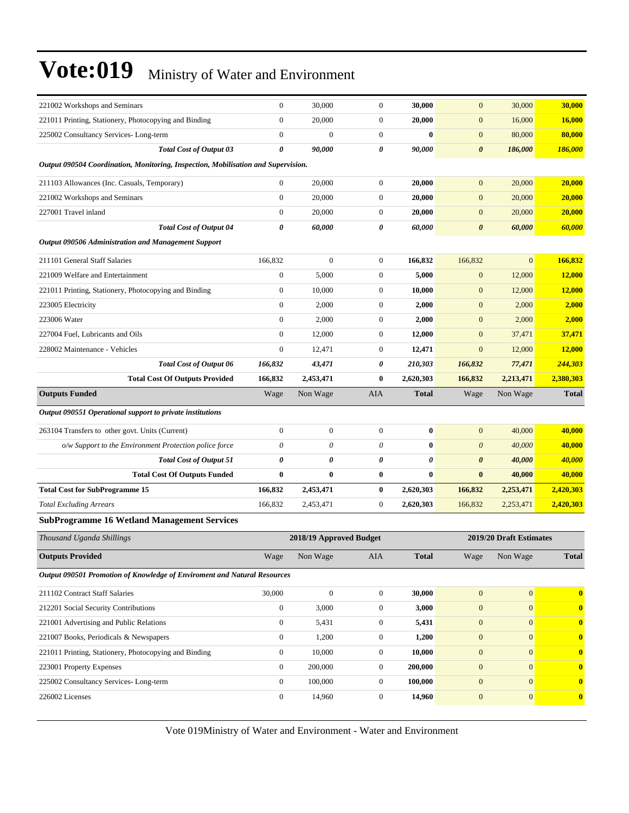| 221002 Workshops and Seminars                                                                   | $\boldsymbol{0}$                 | 30,000           | $\boldsymbol{0}$                     | 30,000                | $\mathbf{0}$                     | 30,000                       | 30,000               |  |  |  |  |
|-------------------------------------------------------------------------------------------------|----------------------------------|------------------|--------------------------------------|-----------------------|----------------------------------|------------------------------|----------------------|--|--|--|--|
| 221011 Printing, Stationery, Photocopying and Binding                                           | $\boldsymbol{0}$                 | 20,000           | $\boldsymbol{0}$                     | 20,000                | $\mathbf{0}$                     | 16,000                       | 16,000               |  |  |  |  |
| 225002 Consultancy Services-Long-term                                                           | $\boldsymbol{0}$                 | $\boldsymbol{0}$ | $\boldsymbol{0}$                     | $\bf{0}$              | $\mathbf{0}$                     | 80,000                       | 80,000               |  |  |  |  |
| <b>Total Cost of Output 03</b>                                                                  | 0                                | 90,000           | 0                                    | 90,000                | $\boldsymbol{\theta}$            | 186,000                      | 186,000              |  |  |  |  |
| Output 090504 Coordination, Monitoring, Inspection, Mobilisation and Supervision.               |                                  |                  |                                      |                       |                                  |                              |                      |  |  |  |  |
| 211103 Allowances (Inc. Casuals, Temporary)                                                     | $\boldsymbol{0}$                 | 20,000           | $\boldsymbol{0}$                     | 20,000                | $\mathbf{0}$                     | 20,000                       | 20,000               |  |  |  |  |
| 221002 Workshops and Seminars                                                                   | $\mathbf{0}$                     | 20,000           | $\boldsymbol{0}$                     | 20,000                | $\mathbf{0}$                     | 20,000                       | 20,000               |  |  |  |  |
| 227001 Travel inland                                                                            | $\mathbf{0}$                     | 20,000           | $\boldsymbol{0}$                     | 20,000                | $\mathbf{0}$                     | 20,000                       | 20,000               |  |  |  |  |
| <b>Total Cost of Output 04</b>                                                                  | 0                                | 60,000           | 0                                    | 60,000                | $\boldsymbol{\theta}$            | 60,000                       | 60,000               |  |  |  |  |
| <b>Output 090506 Administration and Management Support</b>                                      |                                  |                  |                                      |                       |                                  |                              |                      |  |  |  |  |
| 211101 General Staff Salaries                                                                   | 166,832                          | $\boldsymbol{0}$ | $\boldsymbol{0}$                     | 166,832               | 166,832                          | $\overline{0}$               | 166,832              |  |  |  |  |
| 221009 Welfare and Entertainment                                                                | $\boldsymbol{0}$                 | 5,000            | $\boldsymbol{0}$                     | 5,000                 | $\mathbf{0}$                     | 12,000                       | 12,000               |  |  |  |  |
| 221011 Printing, Stationery, Photocopying and Binding                                           | $\boldsymbol{0}$                 | 10,000           | $\boldsymbol{0}$                     | 10,000                | $\boldsymbol{0}$                 | 12,000                       | 12,000               |  |  |  |  |
| 223005 Electricity                                                                              | $\mathbf{0}$                     | 2,000            | $\boldsymbol{0}$                     | 2,000                 | $\mathbf{0}$                     | 2,000                        | 2,000                |  |  |  |  |
| 223006 Water                                                                                    | $\boldsymbol{0}$                 | 2,000            | $\boldsymbol{0}$                     | 2,000                 | $\mathbf{0}$                     | 2,000                        | 2,000                |  |  |  |  |
| 227004 Fuel. Lubricants and Oils                                                                | $\mathbf{0}$                     | 12,000           | $\boldsymbol{0}$                     | 12,000                | $\mathbf{0}$                     | 37,471                       | 37,471               |  |  |  |  |
| 228002 Maintenance - Vehicles                                                                   | $\mathbf{0}$                     | 12,471           | 0                                    | 12,471                | $\mathbf{0}$                     | 12,000                       | 12,000               |  |  |  |  |
| <b>Total Cost of Output 06</b>                                                                  | 166,832                          | 43,471           | 0                                    | 210,303               | 166,832                          | 77,471                       | 244,303              |  |  |  |  |
| <b>Total Cost Of Outputs Provided</b>                                                           | 166,832                          | 2,453,471        | $\bf{0}$                             | 2,620,303             | 166,832                          | 2,213,471                    | 2,380,303            |  |  |  |  |
| <b>Outputs Funded</b>                                                                           | Wage                             | Non Wage         | AIA                                  | <b>Total</b>          | Wage                             | Non Wage                     | <b>Total</b>         |  |  |  |  |
| Output 090551 Operational support to private institutions                                       |                                  |                  |                                      |                       |                                  |                              |                      |  |  |  |  |
| 263104 Transfers to other govt. Units (Current)                                                 | $\boldsymbol{0}$                 | $\boldsymbol{0}$ | $\boldsymbol{0}$                     | $\bf{0}$              | $\mathbf{0}$                     | 40,000                       | 40,000               |  |  |  |  |
| o/w Support to the Environment Protection police force                                          | 0                                | 0                | 0                                    | $\bf{0}$              | $\boldsymbol{0}$                 | 40,000                       | 40,000               |  |  |  |  |
| <b>Total Cost of Output 51</b>                                                                  | 0                                | 0                | 0                                    | $\boldsymbol{\theta}$ | 0                                | 40,000                       | 40,000               |  |  |  |  |
| <b>Total Cost Of Outputs Funded</b>                                                             | $\bf{0}$                         | $\bf{0}$         | 0                                    | $\bf{0}$              | $\bf{0}$                         | 40,000                       | 40,000               |  |  |  |  |
| <b>Total Cost for SubProgramme 15</b>                                                           | 166,832                          | 2,453,471        | 0                                    | 2,620,303             | 166,832                          | 2,253,471                    | 2,420,303            |  |  |  |  |
| <b>Total Excluding Arrears</b>                                                                  | 166,832                          | 2,453,471        | $\boldsymbol{0}$                     | 2,620,303             | 166,832                          | 2,253,471                    | 2,420,303            |  |  |  |  |
| <b>SubProgramme 16 Wetland Management Services</b>                                              |                                  |                  |                                      |                       |                                  |                              |                      |  |  |  |  |
| Thousand Uganda Shillings                                                                       | 2018/19 Approved Budget          |                  |                                      |                       | 2019/20 Draft Estimates          |                              |                      |  |  |  |  |
| <b>Outputs Provided</b>                                                                         | Wage                             | Non Wage         | AIA                                  | <b>Total</b>          | Wage                             | Non Wage                     | Total                |  |  |  |  |
| Output 090501 Promotion of Knowledge of Enviroment and Natural Resources                        |                                  |                  |                                      |                       |                                  |                              |                      |  |  |  |  |
|                                                                                                 |                                  |                  |                                      |                       |                                  |                              |                      |  |  |  |  |
| 211102 Contract Staff Salaries                                                                  | 30,000                           | $\boldsymbol{0}$ | $\boldsymbol{0}$                     | 30,000                | $\mathbf{0}$                     | $\boldsymbol{0}$             | $\bf{0}$             |  |  |  |  |
| 212201 Social Security Contributions<br>221001 Advertising and Public Relations                 | $\mathbf{0}$                     | 3,000            | $\boldsymbol{0}$                     | 3,000                 | $\mathbf{0}$                     | $\mathbf{0}$                 | $\bf{0}$             |  |  |  |  |
|                                                                                                 | $\boldsymbol{0}$                 | 5,431            | $\boldsymbol{0}$                     | 5,431                 | $\boldsymbol{0}$                 | $\overline{0}$               | $\bf{0}$             |  |  |  |  |
| 221007 Books, Periodicals & Newspapers<br>221011 Printing, Stationery, Photocopying and Binding | $\boldsymbol{0}$<br>$\mathbf{0}$ | 1,200<br>10,000  | $\boldsymbol{0}$<br>$\boldsymbol{0}$ | 1,200<br>10,000       | $\boldsymbol{0}$<br>$\mathbf{0}$ | $\mathbf{0}$<br>$\mathbf{0}$ | $\bf{0}$<br>$\bf{0}$ |  |  |  |  |
|                                                                                                 | $\mathbf{0}$                     | 200,000          | $\boldsymbol{0}$                     | 200,000               | $\mathbf{0}$                     | $\mathbf{0}$                 | $\bf{0}$             |  |  |  |  |
| 223001 Property Expenses<br>225002 Consultancy Services-Long-term                               | $\mathbf{0}$                     | 100,000          | 0                                    | 100,000               | $\mathbf{0}$                     | $\overline{0}$               | $\bf{0}$             |  |  |  |  |
| 226002 Licenses                                                                                 | $\boldsymbol{0}$                 | 14,960           | $\boldsymbol{0}$                     | 14,960                | $\boldsymbol{0}$                 | $\mathbf{0}$                 |                      |  |  |  |  |
|                                                                                                 |                                  |                  |                                      |                       |                                  |                              | $\bf{0}$             |  |  |  |  |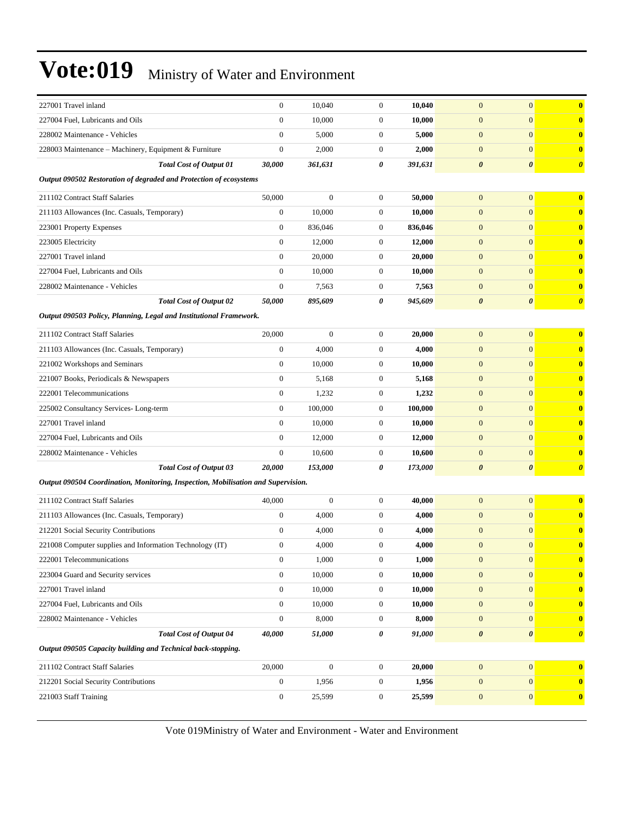| 227001 Travel inland                                                              | $\mathbf{0}$     | 10.040           | $\mathbf{0}$     | 10,040  | $\mathbf{0}$          | $\mathbf{0}$<br>$\bf{0}$                       |
|-----------------------------------------------------------------------------------|------------------|------------------|------------------|---------|-----------------------|------------------------------------------------|
| 227004 Fuel, Lubricants and Oils                                                  | $\mathbf{0}$     | 10,000           | $\boldsymbol{0}$ | 10,000  | $\boldsymbol{0}$      | $\mathbf{0}$<br>$\mathbf{0}$                   |
| 228002 Maintenance - Vehicles                                                     | $\boldsymbol{0}$ | 5,000            | $\boldsymbol{0}$ | 5,000   | $\mathbf{0}$          | $\mathbf{0}$<br>$\bf{0}$                       |
| 228003 Maintenance - Machinery, Equipment & Furniture                             | $\mathbf{0}$     | 2,000            | $\mathbf{0}$     | 2,000   | $\mathbf{0}$          | $\mathbf{0}$<br>$\mathbf{0}$                   |
| <b>Total Cost of Output 01</b>                                                    | 30,000           | 361,631          | 0                | 391,631 | $\boldsymbol{\theta}$ | $\boldsymbol{\theta}$<br>$\boldsymbol{\theta}$ |
| Output 090502 Restoration of degraded and Protection of ecosystems                |                  |                  |                  |         |                       |                                                |
| 211102 Contract Staff Salaries                                                    | 50,000           | $\boldsymbol{0}$ | $\mathbf{0}$     | 50,000  | $\mathbf{0}$          | $\mathbf{0}$<br>$\bf{0}$                       |
| 211103 Allowances (Inc. Casuals, Temporary)                                       | $\boldsymbol{0}$ | 10,000           | $\mathbf{0}$     | 10,000  | $\mathbf{0}$          | $\mathbf{0}$<br>$\bf{0}$                       |
| 223001 Property Expenses                                                          | $\mathbf{0}$     | 836,046          | $\mathbf{0}$     | 836,046 | $\mathbf{0}$          | $\mathbf{0}$<br>$\bf{0}$                       |
| 223005 Electricity                                                                | $\mathbf{0}$     | 12,000           | $\boldsymbol{0}$ | 12,000  | $\mathbf{0}$          | $\mathbf{0}$<br>$\mathbf{0}$                   |
| 227001 Travel inland                                                              | $\boldsymbol{0}$ | 20,000           | $\boldsymbol{0}$ | 20,000  | $\mathbf{0}$          | $\mathbf{0}$<br>$\mathbf{0}$                   |
| 227004 Fuel, Lubricants and Oils                                                  | $\boldsymbol{0}$ | 10,000           | $\mathbf{0}$     | 10,000  | $\mathbf{0}$          | $\mathbf{0}$<br>$\bf{0}$                       |
| 228002 Maintenance - Vehicles                                                     | $\mathbf{0}$     | 7,563            | $\mathbf{0}$     | 7,563   | $\mathbf{0}$          | $\mathbf{0}$<br>$\mathbf{0}$                   |
| <b>Total Cost of Output 02</b>                                                    | 50,000           | 895,609          | 0                | 945,609 | $\boldsymbol{\theta}$ | $\boldsymbol{\theta}$<br>$\boldsymbol{\theta}$ |
| Output 090503 Policy, Planning, Legal and Institutional Framework.                |                  |                  |                  |         |                       |                                                |
| 211102 Contract Staff Salaries                                                    | 20,000           | $\overline{0}$   | $\boldsymbol{0}$ | 20.000  | $\mathbf{0}$          | $\mathbf{0}$<br>$\mathbf{0}$                   |
| 211103 Allowances (Inc. Casuals, Temporary)                                       | $\boldsymbol{0}$ | 4,000            | $\boldsymbol{0}$ | 4,000   | $\mathbf{0}$          | $\mathbf{0}$<br>$\bf{0}$                       |
| 221002 Workshops and Seminars                                                     | $\boldsymbol{0}$ | 10,000           | $\mathbf{0}$     | 10,000  | $\mathbf{0}$          | $\mathbf{0}$<br>$\mathbf{0}$                   |
| 221007 Books, Periodicals & Newspapers                                            | $\boldsymbol{0}$ | 5,168            | $\mathbf{0}$     | 5,168   | $\boldsymbol{0}$      | $\mathbf{0}$<br>$\mathbf{0}$                   |
| 222001 Telecommunications                                                         | $\boldsymbol{0}$ | 1,232            | $\mathbf{0}$     | 1,232   | $\mathbf{0}$          | $\mathbf{0}$<br>$\bf{0}$                       |
| 225002 Consultancy Services-Long-term                                             | $\mathbf{0}$     | 100,000          | $\boldsymbol{0}$ | 100,000 | $\mathbf{0}$          | $\mathbf{0}$<br>$\bf{0}$                       |
| 227001 Travel inland                                                              | $\mathbf{0}$     | 10,000           | $\boldsymbol{0}$ | 10,000  | $\mathbf{0}$          | $\mathbf{0}$<br>$\bf{0}$                       |
| 227004 Fuel, Lubricants and Oils                                                  | $\mathbf{0}$     | 12,000           | $\mathbf{0}$     | 12,000  | $\mathbf{0}$          | $\mathbf{0}$<br>$\mathbf{0}$                   |
| 228002 Maintenance - Vehicles                                                     | $\boldsymbol{0}$ | 10,600           | $\mathbf{0}$     | 10,600  | $\boldsymbol{0}$      | $\mathbf{0}$<br>$\mathbf{0}$                   |
| <b>Total Cost of Output 03</b>                                                    | 20,000           | 153,000          | 0                | 173,000 | $\boldsymbol{\theta}$ | $\boldsymbol{\theta}$<br>$\boldsymbol{\theta}$ |
| Output 090504 Coordination, Monitoring, Inspection, Mobilisation and Supervision. |                  |                  |                  |         |                       |                                                |
| 211102 Contract Staff Salaries                                                    | 40,000           | $\boldsymbol{0}$ | $\boldsymbol{0}$ | 40,000  | $\mathbf{0}$          | $\mathbf{0}$<br>$\mathbf{0}$                   |
| 211103 Allowances (Inc. Casuals, Temporary)                                       | $\mathbf{0}$     | 4,000            | $\boldsymbol{0}$ | 4,000   | $\mathbf{0}$          | $\mathbf{0}$<br>$\bf{0}$                       |
| 212201 Social Security Contributions                                              | $\mathbf{0}$     | 4,000            | $\mathbf{0}$     | 4,000   | $\mathbf{0}$          | $\mathbf{0}$<br>$\bf{0}$                       |
| 221008 Computer supplies and Information Technology (IT)                          | $\boldsymbol{0}$ | 4,000            | $\mathbf{0}$     | 4,000   | $\mathbf{0}$          | $\mathbf{0}$<br>$\bf{0}$                       |
| 222001 Telecommunications                                                         | $\boldsymbol{0}$ | 1,000            | $\boldsymbol{0}$ | 1,000   | $\boldsymbol{0}$      | $\boldsymbol{0}$<br>$\bf{0}$                   |
| 223004 Guard and Security services                                                | $\mathbf{0}$     | 10,000           | $\mathbf{0}$     | 10,000  | $\boldsymbol{0}$      | $\boldsymbol{0}$<br>$\bf{0}$                   |
| 227001 Travel inland                                                              | $\mathbf{0}$     | 10,000           | $\boldsymbol{0}$ | 10,000  | $\boldsymbol{0}$      | $\mathbf{0}$<br>$\mathbf{0}$                   |
| 227004 Fuel, Lubricants and Oils                                                  | $\mathbf{0}$     | 10,000           | $\boldsymbol{0}$ | 10,000  | $\mathbf{0}$          | $\mathbf{0}$<br>$\mathbf{0}$                   |
| 228002 Maintenance - Vehicles                                                     | $\mathbf{0}$     | 8,000            | $\boldsymbol{0}$ | 8,000   | $\mathbf{0}$          | $\mathbf{0}$<br>$\mathbf{0}$                   |
| <b>Total Cost of Output 04</b>                                                    | 40,000           | 51,000           | 0                | 91,000  | $\boldsymbol{\theta}$ | $\pmb{\theta}$<br>$\boldsymbol{\theta}$        |
| Output 090505 Capacity building and Technical back-stopping.                      |                  |                  |                  |         |                       |                                                |
| 211102 Contract Staff Salaries                                                    | 20,000           | $\boldsymbol{0}$ | $\boldsymbol{0}$ | 20,000  | $\boldsymbol{0}$      | $\boldsymbol{0}$<br>$\mathbf{0}$               |
| 212201 Social Security Contributions                                              | $\mathbf{0}$     | 1,956            | $\boldsymbol{0}$ | 1,956   | $\mathbf{0}$          | $\mathbf{0}$<br>$\mathbf{0}$                   |
| 221003 Staff Training                                                             | $\boldsymbol{0}$ | 25,599           | $\boldsymbol{0}$ | 25,599  | $\mathbf{0}$          | $\mathbf{0}$<br>$\bf{0}$                       |
|                                                                                   |                  |                  |                  |         |                       |                                                |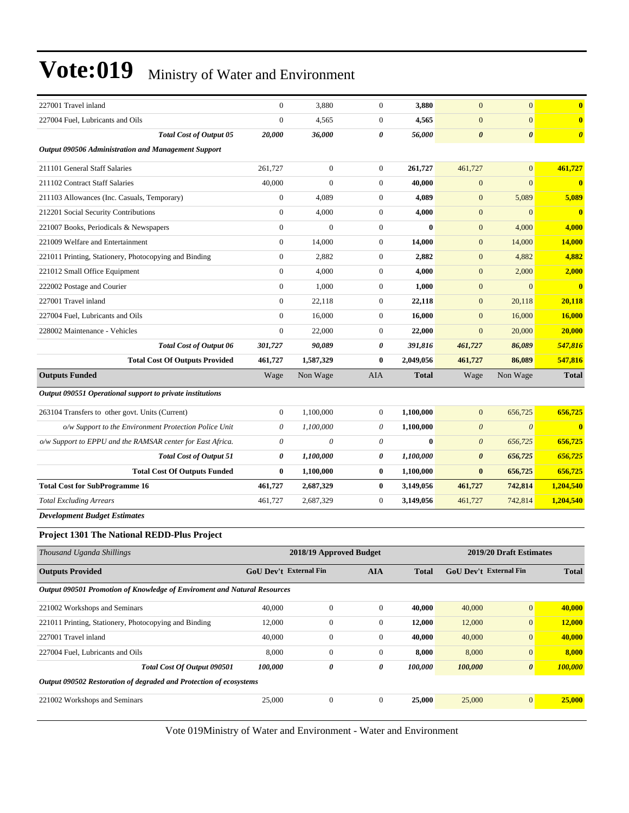| 227001 Travel inland                                                            | $\boldsymbol{0}$              | 3,880                   | $\boldsymbol{0}$ | 3,880        | $\mathbf{0}$           | $\mathbf{0}$            | $\bf{0}$              |
|---------------------------------------------------------------------------------|-------------------------------|-------------------------|------------------|--------------|------------------------|-------------------------|-----------------------|
| 227004 Fuel, Lubricants and Oils                                                | $\theta$                      | 4,565                   | $\boldsymbol{0}$ | 4,565        | $\boldsymbol{0}$       | $\mathbf{0}$            | $\mathbf{0}$          |
| <b>Total Cost of Output 05</b>                                                  | 20,000                        | 36,000                  | 0                | 56,000       | $\boldsymbol{\theta}$  | $\boldsymbol{\theta}$   | $\boldsymbol{\theta}$ |
| <b>Output 090506 Administration and Management Support</b>                      |                               |                         |                  |              |                        |                         |                       |
| 211101 General Staff Salaries                                                   | 261,727                       | $\boldsymbol{0}$        | $\boldsymbol{0}$ | 261,727      | 461,727                | $\mathbf{0}$            | 461,727               |
| 211102 Contract Staff Salaries                                                  | 40,000                        | $\boldsymbol{0}$        | $\boldsymbol{0}$ | 40,000       | $\boldsymbol{0}$       | $\mathbf{0}$            | $\mathbf{0}$          |
| 211103 Allowances (Inc. Casuals, Temporary)                                     | $\boldsymbol{0}$              | 4,089                   | $\boldsymbol{0}$ | 4,089        | $\mathbf{0}$           | 5,089                   | 5,089                 |
| 212201 Social Security Contributions                                            | $\boldsymbol{0}$              | 4,000                   | $\boldsymbol{0}$ | 4,000        | $\boldsymbol{0}$       | $\mathbf{0}$            | $\mathbf{0}$          |
| 221007 Books, Periodicals & Newspapers                                          | $\boldsymbol{0}$              | $\theta$                | $\boldsymbol{0}$ | $\mathbf{0}$ | $\mathbf{0}$           | 4,000                   | 4,000                 |
| 221009 Welfare and Entertainment                                                | $\boldsymbol{0}$              | 14,000                  | $\boldsymbol{0}$ | 14,000       | $\mathbf{0}$           | 14,000                  | 14,000                |
| 221011 Printing, Stationery, Photocopying and Binding                           | $\boldsymbol{0}$              | 2,882                   | $\boldsymbol{0}$ | 2,882        | $\boldsymbol{0}$       | 4,882                   | 4,882                 |
| 221012 Small Office Equipment                                                   | $\boldsymbol{0}$              | 4,000                   | $\boldsymbol{0}$ | 4,000        | $\mathbf{0}$           | 2,000                   | 2,000                 |
| 222002 Postage and Courier                                                      | $\mathbf{0}$                  | 1,000                   | $\boldsymbol{0}$ | 1,000        | $\mathbf{0}$           | $\mathbf{0}$            | $\mathbf{0}$          |
| 227001 Travel inland                                                            | $\mathbf{0}$                  | 22,118                  | 0                | 22,118       | $\mathbf{0}$           | 20,118                  | 20,118                |
| 227004 Fuel, Lubricants and Oils                                                | $\mathbf{0}$                  | 16,000                  | $\boldsymbol{0}$ | 16,000       | $\mathbf{0}$           | 16,000                  | <b>16,000</b>         |
| 228002 Maintenance - Vehicles                                                   | $\boldsymbol{0}$              | 22,000                  | $\boldsymbol{0}$ | 22,000       | $\mathbf{0}$           | 20,000                  | 20,000                |
| Total Cost of Output 06                                                         | 301,727                       | 90,089                  | 0                | 391,816      | 461,727                | 86,089                  | 547,816               |
| <b>Total Cost Of Outputs Provided</b>                                           | 461,727                       | 1,587,329               | 0                | 2,049,056    | 461,727                | 86,089                  | 547,816               |
| <b>Outputs Funded</b>                                                           | Wage                          | Non Wage                | AIA              | <b>Total</b> | Wage                   | Non Wage                | <b>Total</b>          |
| Output 090551 Operational support to private institutions                       |                               |                         |                  |              |                        |                         |                       |
| 263104 Transfers to other govt. Units (Current)                                 | $\boldsymbol{0}$              | 1,100,000               | $\boldsymbol{0}$ | 1,100,000    | $\mathbf{0}$           | 656,725                 | 656,725               |
| o/w Support to the Environment Protection Police Unit                           | 0                             | 1,100,000               | $\theta$         | 1,100,000    | $\boldsymbol{\theta}$  | $\boldsymbol{\theta}$   | $\bf{0}$              |
| o/w Support to EPPU and the RAMSAR center for East Africa.                      | 0                             | 0                       | 0                | $\bf{0}$     | $\theta$               | 656,725                 | 656,725               |
| <b>Total Cost of Output 51</b>                                                  | 0                             | 1,100,000               | 0                | 1,100,000    | $\boldsymbol{\theta}$  | 656,725                 | 656,725               |
| <b>Total Cost Of Outputs Funded</b>                                             | $\bf{0}$                      | 1,100,000               | 0                | 1,100,000    | $\bf{0}$               | 656,725                 | 656,725               |
| <b>Total Cost for SubProgramme 16</b>                                           | 461,727                       | 2,687,329               | 0                | 3,149,056    | 461,727                | 742,814                 | 1,204,540             |
| <b>Total Excluding Arrears</b>                                                  | 461,727                       | 2,687,329               | $\boldsymbol{0}$ | 3,149,056    | 461,727                | 742,814                 | 1,204,540             |
| <b>Development Budget Estimates</b>                                             |                               |                         |                  |              |                        |                         |                       |
| <b>Project 1301 The National REDD-Plus Project</b>                              |                               |                         |                  |              |                        |                         |                       |
| Thousand Uganda Shillings                                                       |                               | 2018/19 Approved Budget |                  |              |                        | 2019/20 Draft Estimates |                       |
| <b>Outputs Provided</b>                                                         | <b>GoU Dev't External Fin</b> |                         | <b>AIA</b>       | <b>Total</b> | GoU Dev't External Fin |                         | <b>Total</b>          |
|                                                                                 |                               |                         |                  |              |                        |                         |                       |
| <b>Output 090501 Promotion of Knowledge of Enviroment and Natural Resources</b> |                               |                         |                  |              |                        |                         |                       |
| 221002 Workshops and Seminars                                                   | 40,000                        | $\boldsymbol{0}$        | $\boldsymbol{0}$ | 40,000       | 40,000                 | $\boldsymbol{0}$        | 40,000                |
| 221011 Printing, Stationery, Photocopying and Binding                           | 12,000                        | $\boldsymbol{0}$        | $\boldsymbol{0}$ | 12,000       | 12,000                 | $\boldsymbol{0}$        | 12,000                |
| 227001 Travel inland                                                            | 40,000                        | $\boldsymbol{0}$        | $\boldsymbol{0}$ | 40,000       | 40,000                 | $\boldsymbol{0}$        | 40,000                |
| 227004 Fuel, Lubricants and Oils                                                | 8,000                         | $\boldsymbol{0}$        | 0                | 8,000        | 8,000                  | $\mathbf{0}$            | 8,000                 |
| Total Cost Of Output 090501                                                     | 100,000                       | 0                       | 0                | 100,000      | 100,000                | $\pmb{\theta}$          | 100,000               |
| Output 090502 Restoration of degraded and Protection of ecosystems              |                               |                         |                  |              |                        |                         |                       |
| 221002 Workshops and Seminars                                                   | 25,000                        | $\boldsymbol{0}$        | $\boldsymbol{0}$ | 25,000       | 25,000                 | $\boldsymbol{0}$        | 25,000                |
|                                                                                 |                               |                         |                  |              |                        |                         |                       |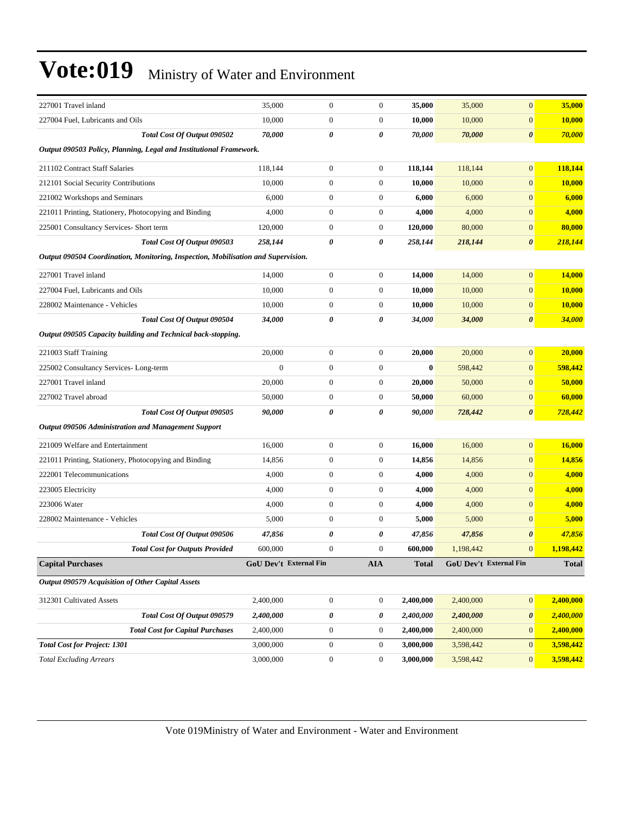| 227001 Travel inland                                                              | 35,000           | $\boldsymbol{0}$              | $\boldsymbol{0}$ | 35,000       | 35,000    | $\mathbf{0}$           | 35,000       |
|-----------------------------------------------------------------------------------|------------------|-------------------------------|------------------|--------------|-----------|------------------------|--------------|
| 227004 Fuel, Lubricants and Oils                                                  | 10,000           | $\boldsymbol{0}$              | $\boldsymbol{0}$ | 10,000       | 10,000    | $\boldsymbol{0}$       | 10,000       |
| Total Cost Of Output 090502                                                       | 70,000           | 0                             | 0                | 70,000       | 70,000    | $\boldsymbol{\theta}$  | 70,000       |
| Output 090503 Policy, Planning, Legal and Institutional Framework.                |                  |                               |                  |              |           |                        |              |
| 211102 Contract Staff Salaries                                                    | 118,144          | $\boldsymbol{0}$              | $\boldsymbol{0}$ | 118,144      | 118,144   | $\boldsymbol{0}$       | 118,144      |
| 212101 Social Security Contributions                                              | 10,000           | $\boldsymbol{0}$              | $\boldsymbol{0}$ | 10,000       | 10,000    | $\boldsymbol{0}$       | 10,000       |
| 221002 Workshops and Seminars                                                     | 6,000            | $\boldsymbol{0}$              | $\boldsymbol{0}$ | 6,000        | 6,000     | $\boldsymbol{0}$       | 6,000        |
| 221011 Printing, Stationery, Photocopying and Binding                             | 4,000            | $\boldsymbol{0}$              | $\boldsymbol{0}$ | 4,000        | 4,000     | $\boldsymbol{0}$       | 4,000        |
| 225001 Consultancy Services- Short term                                           | 120,000          | $\boldsymbol{0}$              | $\boldsymbol{0}$ | 120,000      | 80,000    | $\boldsymbol{0}$       | 80,000       |
| Total Cost Of Output 090503                                                       | 258,144          | 0                             | 0                | 258,144      | 218,144   | 0                      | 218,144      |
| Output 090504 Coordination, Monitoring, Inspection, Mobilisation and Supervision. |                  |                               |                  |              |           |                        |              |
| 227001 Travel inland                                                              | 14,000           | $\boldsymbol{0}$              | $\boldsymbol{0}$ | 14,000       | 14,000    | $\overline{0}$         | 14,000       |
| 227004 Fuel, Lubricants and Oils                                                  | 10,000           | $\boldsymbol{0}$              | $\boldsymbol{0}$ | 10,000       | 10,000    | $\boldsymbol{0}$       | 10,000       |
| 228002 Maintenance - Vehicles                                                     | 10,000           | $\boldsymbol{0}$              | $\boldsymbol{0}$ | 10,000       | 10,000    | $\boldsymbol{0}$       | 10,000       |
| Total Cost Of Output 090504                                                       | 34,000           | 0                             | 0                | 34,000       | 34,000    | $\boldsymbol{\theta}$  | 34,000       |
| Output 090505 Capacity building and Technical back-stopping.                      |                  |                               |                  |              |           |                        |              |
| 221003 Staff Training                                                             | 20,000           | $\boldsymbol{0}$              | $\boldsymbol{0}$ | 20,000       | 20,000    | $\boldsymbol{0}$       | 20,000       |
| 225002 Consultancy Services-Long-term                                             | $\boldsymbol{0}$ | $\boldsymbol{0}$              | $\boldsymbol{0}$ | $\bf{0}$     | 598,442   | $\boldsymbol{0}$       | 598,442      |
| 227001 Travel inland                                                              | 20,000           | $\boldsymbol{0}$              | $\boldsymbol{0}$ | 20,000       | 50,000    | $\boldsymbol{0}$       | 50,000       |
| 227002 Travel abroad                                                              | 50,000           | $\boldsymbol{0}$              | $\boldsymbol{0}$ | 50,000       | 60,000    | $\boldsymbol{0}$       | 60,000       |
| Total Cost Of Output 090505                                                       | 90,000           | 0                             | 0                | 90,000       | 728,442   | $\boldsymbol{\theta}$  | 728,442      |
| <b>Output 090506 Administration and Management Support</b>                        |                  |                               |                  |              |           |                        |              |
| 221009 Welfare and Entertainment                                                  | 16,000           | $\boldsymbol{0}$              | $\boldsymbol{0}$ | 16,000       | 16,000    | $\overline{0}$         | 16,000       |
| 221011 Printing, Stationery, Photocopying and Binding                             | 14,856           | $\boldsymbol{0}$              | $\boldsymbol{0}$ | 14,856       | 14,856    | $\boldsymbol{0}$       | 14,856       |
| 222001 Telecommunications                                                         | 4,000            | $\boldsymbol{0}$              | $\boldsymbol{0}$ | 4,000        | 4,000     | $\boldsymbol{0}$       | 4,000        |
| 223005 Electricity                                                                | 4,000            | $\boldsymbol{0}$              | $\boldsymbol{0}$ | 4,000        | 4,000     | $\boldsymbol{0}$       | 4,000        |
| 223006 Water                                                                      | 4,000            | $\boldsymbol{0}$              | $\boldsymbol{0}$ | 4,000        | 4,000     | $\boldsymbol{0}$       | 4,000        |
| 228002 Maintenance - Vehicles                                                     | 5,000            | $\boldsymbol{0}$              | $\boldsymbol{0}$ | 5,000        | 5,000     | $\mathbf{0}$           | 5,000        |
| Total Cost Of Output 090506                                                       | 47,856           | 0                             | 0                | 47,856       | 47,856    | 0                      | 47,856       |
| <b>Total Cost for Outputs Provided</b>                                            | 600,000          | $\boldsymbol{0}$              | $\theta$         | 600,000      | 1,198,442 | $\mathbf{0}$           | 1,198,442    |
| <b>Capital Purchases</b>                                                          |                  | <b>GoU Dev't External Fin</b> | <b>AIA</b>       | <b>Total</b> |           | GoU Dev't External Fin | <b>Total</b> |
| Output 090579 Acquisition of Other Capital Assets                                 |                  |                               |                  |              |           |                        |              |
| 312301 Cultivated Assets                                                          | 2,400,000        | $\boldsymbol{0}$              | $\boldsymbol{0}$ | 2,400,000    | 2,400,000 | $\mathbf{0}$           | 2,400,000    |
| Total Cost Of Output 090579                                                       | 2,400,000        | 0                             | 0                | 2,400,000    | 2,400,000 | 0                      | 2,400,000    |
| <b>Total Cost for Capital Purchases</b>                                           | 2,400,000        | $\boldsymbol{0}$              | $\boldsymbol{0}$ | 2,400,000    | 2,400,000 | $\bf{0}$               | 2,400,000    |
| <b>Total Cost for Project: 1301</b>                                               | 3,000,000        | $\boldsymbol{0}$              | $\boldsymbol{0}$ | 3,000,000    | 3,598,442 | $\mathbf{0}$           | 3,598,442    |
| <b>Total Excluding Arrears</b>                                                    | 3,000,000        | $\boldsymbol{0}$              | $\boldsymbol{0}$ | 3,000,000    | 3,598,442 | $\mathbf{0}$           | 3,598,442    |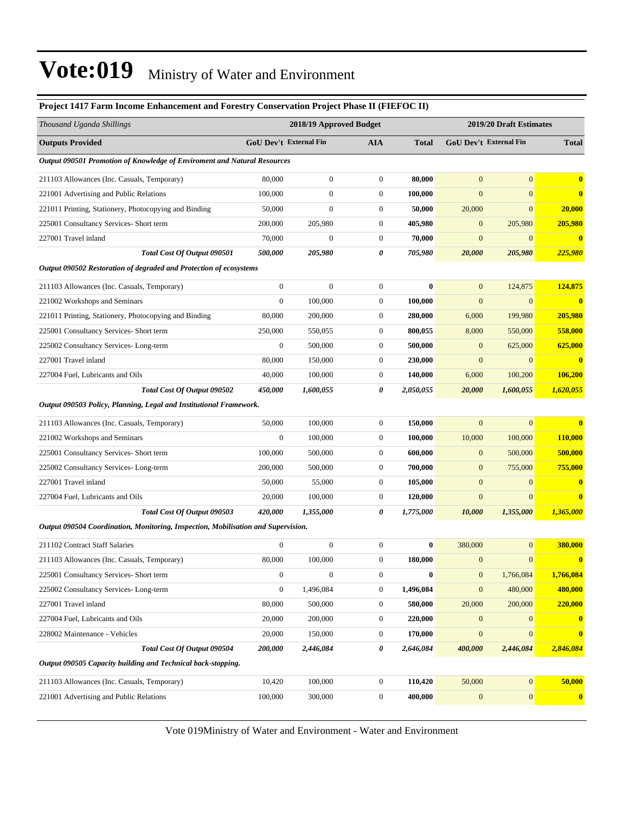#### **Project 1417 Farm Income Enhancement and Forestry Conservation Project Phase II (FIEFOC II)**

| Thousand Uganda Shillings                                                         |                        | 2018/19 Approved Budget |                  |              | 2019/20 Draft Estimates |                        |                         |
|-----------------------------------------------------------------------------------|------------------------|-------------------------|------------------|--------------|-------------------------|------------------------|-------------------------|
| <b>Outputs Provided</b>                                                           | GoU Dev't External Fin |                         | <b>AIA</b>       | <b>Total</b> |                         | GoU Dev't External Fin | <b>Total</b>            |
| Output 090501 Promotion of Knowledge of Enviroment and Natural Resources          |                        |                         |                  |              |                         |                        |                         |
| 211103 Allowances (Inc. Casuals, Temporary)                                       | 80,000                 | $\boldsymbol{0}$        | $\boldsymbol{0}$ | 80,000       | $\mathbf{0}$            | $\overline{0}$         | $\bf{0}$                |
| 221001 Advertising and Public Relations                                           | 100,000                | $\overline{0}$          | $\boldsymbol{0}$ | 100,000      | $\mathbf{0}$            | $\overline{0}$         | $\bf{0}$                |
| 221011 Printing, Stationery, Photocopying and Binding                             | 50,000                 | $\overline{0}$          | $\boldsymbol{0}$ | 50,000       | 20,000                  | $\boldsymbol{0}$       | 20,000                  |
| 225001 Consultancy Services- Short term                                           | 200,000                | 205,980                 | $\boldsymbol{0}$ | 405,980      | $\mathbf{0}$            | 205,980                | 205,980                 |
| 227001 Travel inland                                                              | 70,000                 | $\boldsymbol{0}$        | $\boldsymbol{0}$ | 70,000       | $\mathbf{0}$            | $\mathbf{0}$           | $\bf{0}$                |
| Total Cost Of Output 090501                                                       | 500,000                | 205,980                 | 0                | 705,980      | 20,000                  | 205,980                | 225,980                 |
| Output 090502 Restoration of degraded and Protection of ecosystems                |                        |                         |                  |              |                         |                        |                         |
| 211103 Allowances (Inc. Casuals, Temporary)                                       | $\boldsymbol{0}$       | $\boldsymbol{0}$        | $\boldsymbol{0}$ | $\bf{0}$     | $\mathbf{0}$            | 124,875                | 124,875                 |
| 221002 Workshops and Seminars                                                     | $\boldsymbol{0}$       | 100,000                 | $\boldsymbol{0}$ | 100,000      | $\boldsymbol{0}$        | $\mathbf{0}$           | $\bf{0}$                |
| 221011 Printing, Stationery, Photocopying and Binding                             | 80,000                 | 200,000                 | $\boldsymbol{0}$ | 280,000      | 6,000                   | 199,980                | 205,980                 |
| 225001 Consultancy Services- Short term                                           | 250,000                | 550,055                 | $\boldsymbol{0}$ | 800,055      | 8,000                   | 550,000                | 558,000                 |
| 225002 Consultancy Services-Long-term                                             | $\mathbf{0}$           | 500,000                 | $\boldsymbol{0}$ | 500,000      | $\mathbf{0}$            | 625,000                | 625,000                 |
| 227001 Travel inland                                                              | 80,000                 | 150,000                 | $\boldsymbol{0}$ | 230,000      | $\boldsymbol{0}$        | $\boldsymbol{0}$       | $\overline{\mathbf{0}}$ |
| 227004 Fuel, Lubricants and Oils                                                  | 40,000                 | 100,000                 | $\boldsymbol{0}$ | 140,000      | 6,000                   | 100,200                | <b>106,200</b>          |
| Total Cost Of Output 090502                                                       | 450,000                | 1,600,055               | 0                | 2,050,055    | 20,000                  | 1,600,055              | 1,620,055               |
| Output 090503 Policy, Planning, Legal and Institutional Framework.                |                        |                         |                  |              |                         |                        |                         |
| 211103 Allowances (Inc. Casuals, Temporary)                                       | 50,000                 | 100,000                 | $\boldsymbol{0}$ | 150,000      | $\mathbf{0}$            | $\mathbf{0}$           | $\bf{0}$                |
| 221002 Workshops and Seminars                                                     | $\boldsymbol{0}$       | 100,000                 | $\boldsymbol{0}$ | 100,000      | 10,000                  | 100,000                | <b>110,000</b>          |
| 225001 Consultancy Services- Short term                                           | 100,000                | 500,000                 | $\boldsymbol{0}$ | 600,000      | $\mathbf{0}$            | 500,000                | 500,000                 |
| 225002 Consultancy Services-Long-term                                             | 200,000                | 500,000                 | $\boldsymbol{0}$ | 700,000      | $\mathbf{0}$            | 755,000                | 755,000                 |
| 227001 Travel inland                                                              | 50,000                 | 55,000                  | $\boldsymbol{0}$ | 105,000      | $\mathbf{0}$            | $\mathbf{0}$           | $\bf{0}$                |
| 227004 Fuel, Lubricants and Oils                                                  | 20,000                 | 100,000                 | $\mathbf{0}$     | 120,000      | $\mathbf{0}$            | $\mathbf{0}$           | $\bf{0}$                |
| Total Cost Of Output 090503                                                       | 420,000                | 1,355,000               | 0                | 1,775,000    | 10,000                  | 1,355,000              | 1,365,000               |
| Output 090504 Coordination, Monitoring, Inspection, Mobilisation and Supervision. |                        |                         |                  |              |                         |                        |                         |
| 211102 Contract Staff Salaries                                                    | $\boldsymbol{0}$       | $\boldsymbol{0}$        | $\boldsymbol{0}$ | $\bf{0}$     | 380,000                 | $\boldsymbol{0}$       | 380,000                 |
| 211103 Allowances (Inc. Casuals, Temporary)                                       | 80,000                 | 100,000                 | $\boldsymbol{0}$ | 180,000      | $\mathbf{0}$            | $\boldsymbol{0}$       | $\bf{0}$                |
| 225001 Consultancy Services- Short term                                           | 0                      | $\mathbf{0}$            | 0                | $\bf{0}$     | $\mathbf{0}$            | 1,766,084              | 1,766,084               |
| 225002 Consultancy Services-Long-term                                             | $\boldsymbol{0}$       | 1,496,084               | $\boldsymbol{0}$ | 1,496,084    | $\mathbf{0}$            | 480,000                | 480,000                 |
| 227001 Travel inland                                                              | 80,000                 | 500,000                 | $\boldsymbol{0}$ | 580,000      | 20,000                  | 200,000                | 220,000                 |
| 227004 Fuel, Lubricants and Oils                                                  | 20,000                 | 200,000                 | $\boldsymbol{0}$ | 220,000      | $\mathbf{0}$            | $\mathbf{0}$           | $\bf{0}$                |
| 228002 Maintenance - Vehicles                                                     | 20,000                 | 150,000                 | $\boldsymbol{0}$ | 170,000      | $\mathbf{0}$            | $\overline{0}$         | $\bf{0}$                |
| Total Cost Of Output 090504                                                       | 200,000                | 2,446,084               | 0                | 2,646,084    | 400,000                 | 2,446,084              | 2,846,084               |
| Output 090505 Capacity building and Technical back-stopping.                      |                        |                         |                  |              |                         |                        |                         |
| 211103 Allowances (Inc. Casuals, Temporary)                                       | 10,420                 | 100,000                 | $\boldsymbol{0}$ | 110,420      | 50,000                  | $\mathbf{0}$           | 50,000                  |
| 221001 Advertising and Public Relations                                           | 100,000                | 300,000                 | $\boldsymbol{0}$ | 400,000      | $\mathbf{0}$            | $\mathbf{0}$           | $\boldsymbol{0}$        |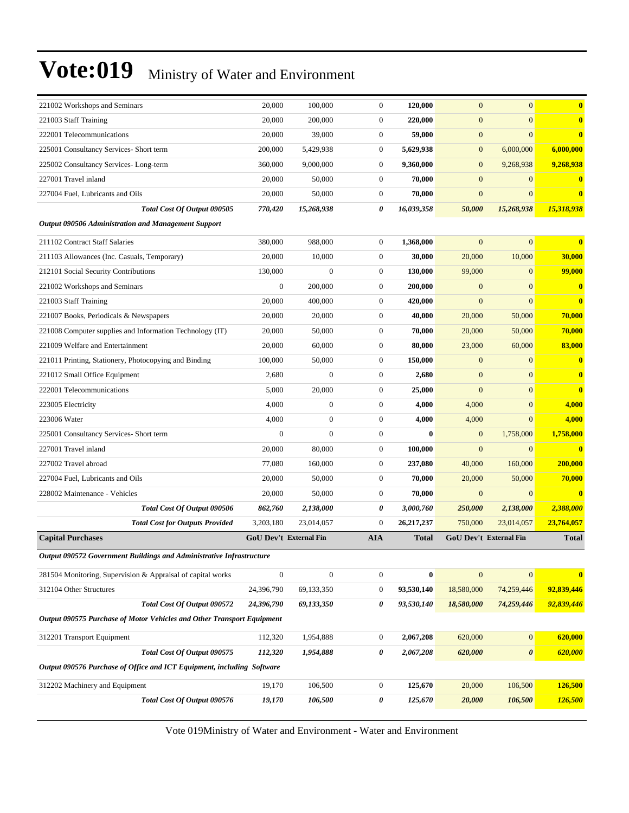| 221002 Workshops and Seminars                                          | 20,000                        | 100,000          | $\mathbf{0}$     | 120,000      | $\overline{0}$   | $\overline{0}$                | $\bf{0}$                |
|------------------------------------------------------------------------|-------------------------------|------------------|------------------|--------------|------------------|-------------------------------|-------------------------|
| 221003 Staff Training                                                  | 20,000                        | 200,000          | $\mathbf{0}$     | 220,000      | $\boldsymbol{0}$ | $\overline{0}$                | $\bf{0}$                |
| 222001 Telecommunications                                              | 20,000                        | 39,000           | $\mathbf{0}$     | 59,000       | $\boldsymbol{0}$ | $\overline{0}$                | $\bf{0}$                |
| 225001 Consultancy Services- Short term                                | 200,000                       | 5,429,938        | $\mathbf{0}$     | 5,629,938    | $\boldsymbol{0}$ | 6,000,000                     | 6,000,000               |
| 225002 Consultancy Services-Long-term                                  | 360,000                       | 9,000,000        | $\mathbf{0}$     | 9,360,000    | $\mathbf{0}$     | 9,268,938                     | 9,268,938               |
| 227001 Travel inland                                                   | 20,000                        | 50,000           | $\mathbf{0}$     | 70,000       | $\mathbf{0}$     | $\overline{0}$                | $\bf{0}$                |
| 227004 Fuel, Lubricants and Oils                                       | 20,000                        | 50,000           | $\mathbf{0}$     | 70,000       | $\boldsymbol{0}$ | $\overline{0}$                | $\bf{0}$                |
| Total Cost Of Output 090505                                            | 770,420                       | 15,268,938       | 0                | 16,039,358   | 50,000           | 15,268,938                    | 15,318,938              |
| <b>Output 090506 Administration and Management Support</b>             |                               |                  |                  |              |                  |                               |                         |
| 211102 Contract Staff Salaries                                         | 380,000                       | 988,000          | $\mathbf{0}$     | 1,368,000    | $\boldsymbol{0}$ | $\overline{0}$                | $\bf{0}$                |
| 211103 Allowances (Inc. Casuals, Temporary)                            | 20,000                        | 10,000           | $\mathbf{0}$     | 30,000       | 20,000           | 10,000                        | 30,000                  |
| 212101 Social Security Contributions                                   | 130,000                       | $\mathbf{0}$     | $\mathbf{0}$     | 130,000      | 99,000           | $\overline{0}$                | 99,000                  |
| 221002 Workshops and Seminars                                          | $\boldsymbol{0}$              | 200,000          | $\mathbf{0}$     | 200,000      | $\mathbf{0}$     | $\overline{0}$                | $\bf{0}$                |
| 221003 Staff Training                                                  | 20,000                        | 400,000          | $\mathbf{0}$     | 420,000      | $\boldsymbol{0}$ | $\overline{0}$                | $\bf{0}$                |
| 221007 Books, Periodicals & Newspapers                                 | 20,000                        | 20,000           | $\mathbf{0}$     | 40,000       | 20,000           | 50,000                        | 70,000                  |
| 221008 Computer supplies and Information Technology (IT)               | 20,000                        | 50,000           | $\mathbf{0}$     | 70,000       | 20,000           | 50,000                        | 70,000                  |
| 221009 Welfare and Entertainment                                       | 20,000                        | 60,000           | $\mathbf{0}$     | 80,000       | 23,000           | 60,000                        | 83,000                  |
| 221011 Printing, Stationery, Photocopying and Binding                  | 100,000                       | 50,000           | $\mathbf{0}$     | 150,000      | $\mathbf{0}$     | $\mathbf{0}$                  | $\bf{0}$                |
| 221012 Small Office Equipment                                          | 2,680                         | $\Omega$         | $\mathbf{0}$     | 2,680        | $\mathbf{0}$     | $\overline{0}$                | $\bf{0}$                |
| 222001 Telecommunications                                              | 5,000                         | 20,000           | $\mathbf{0}$     | 25,000       | $\boldsymbol{0}$ | $\overline{0}$                | $\bf{0}$                |
| 223005 Electricity                                                     | 4,000                         | $\boldsymbol{0}$ | $\mathbf{0}$     | 4,000        | 4,000            | $\overline{0}$                | 4,000                   |
| 223006 Water                                                           | 4,000                         | $\boldsymbol{0}$ | $\mathbf{0}$     | 4,000        | 4,000            | $\overline{0}$                | 4,000                   |
| 225001 Consultancy Services- Short term                                | $\overline{0}$                | $\overline{0}$   | $\mathbf{0}$     | $\mathbf{0}$ | $\mathbf{0}$     | 1,758,000                     | 1,758,000               |
| 227001 Travel inland                                                   | 20,000                        | 80,000           | $\mathbf{0}$     | 100,000      | $\boldsymbol{0}$ | $\overline{0}$                | $\bf{0}$                |
| 227002 Travel abroad                                                   | 77,080                        | 160,000          | $\mathbf{0}$     | 237,080      | 40,000           | 160,000                       | 200,000                 |
| 227004 Fuel, Lubricants and Oils                                       | 20,000                        | 50,000           | $\mathbf{0}$     | 70,000       | 20,000           | 50,000                        | 70,000                  |
| 228002 Maintenance - Vehicles                                          | 20,000                        | 50,000           | $\mathbf{0}$     | 70,000       | $\overline{0}$   | $\overline{0}$                | $\overline{\mathbf{0}}$ |
| Total Cost Of Output 090506                                            | 862,760                       | 2,138,000        | 0                | 3,000,760    | 250,000          | 2,138,000                     | 2,388,000               |
| <b>Total Cost for Outputs Provided</b>                                 | 3,203,180                     | 23,014,057       | $\overline{0}$   | 26,217,237   | 750,000          | 23,014,057                    | 23,764,057              |
| <b>Capital Purchases</b>                                               | <b>GoU Dev't External Fin</b> |                  | <b>AIA</b>       | Total        |                  | <b>GoU Dev't External Fin</b> | <b>Total</b>            |
| Output 090572 Government Buildings and Administrative Infrastructure   |                               |                  |                  |              |                  |                               |                         |
| 281504 Monitoring, Supervision & Appraisal of capital works            | $\boldsymbol{0}$              | $\boldsymbol{0}$ | $\boldsymbol{0}$ | $\bf{0}$     | $\mathbf{0}$     | $\overline{0}$                | $\bf{0}$                |
| 312104 Other Structures                                                | 24,396,790                    | 69,133,350       | $\boldsymbol{0}$ | 93,530,140   | 18,580,000       | 74,259,446                    | 92,839,446              |
| Total Cost Of Output 090572                                            | 24,396,790                    | 69,133,350       | 0                | 93,530,140   | 18,580,000       | 74,259,446                    | 92,839,446              |
| Output 090575 Purchase of Motor Vehicles and Other Transport Equipment |                               |                  |                  |              |                  |                               |                         |
| 312201 Transport Equipment                                             | 112,320                       | 1,954,888        | $\boldsymbol{0}$ | 2,067,208    | 620,000          | $\boldsymbol{0}$              | 620,000                 |
| Total Cost Of Output 090575                                            | 112,320                       | 1,954,888        | 0                | 2,067,208    | 620,000          | $\boldsymbol{\theta}$         | 620,000                 |
| Output 090576 Purchase of Office and ICT Equipment, including Software |                               |                  |                  |              |                  |                               |                         |
| 312202 Machinery and Equipment                                         | 19,170                        | 106,500          | $\boldsymbol{0}$ | 125,670      | 20,000           | 106,500                       | 126,500                 |
| Total Cost Of Output 090576                                            | 19,170                        | 106,500          | 0                | 125,670      | 20,000           | 106,500                       | <u>126,500</u>          |
|                                                                        |                               |                  |                  |              |                  |                               |                         |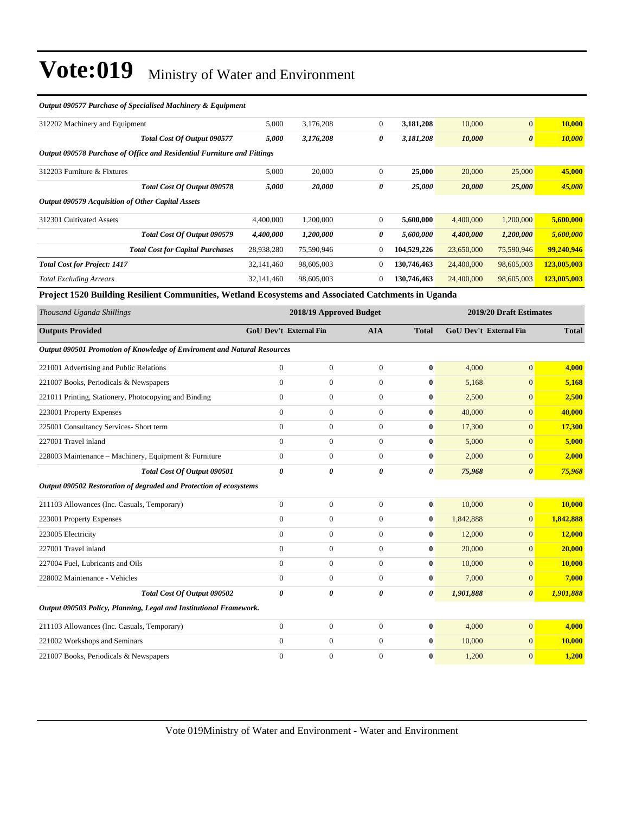| Output 090577 Purchase of Specialised Machinery & Equipment                                         |                               |                         |                |              |                               |                         |              |
|-----------------------------------------------------------------------------------------------------|-------------------------------|-------------------------|----------------|--------------|-------------------------------|-------------------------|--------------|
| 312202 Machinery and Equipment                                                                      | 5,000                         | 3,176,208               | $\overline{0}$ | 3,181,208    | 10,000                        | $\overline{0}$          | 10,000       |
| Total Cost Of Output 090577                                                                         | 5,000                         | 3,176,208               | 0              | 3,181,208    | 10,000                        | $\boldsymbol{\theta}$   | 10,000       |
| Output 090578 Purchase of Office and Residential Furniture and Fittings                             |                               |                         |                |              |                               |                         |              |
| 312203 Furniture & Fixtures                                                                         | 5,000                         | 20,000                  | $\mathbf{0}$   | 25,000       | 20,000                        | 25,000                  | 45,000       |
| Total Cost Of Output 090578                                                                         | 5,000                         | 20,000                  | 0              | 25,000       | 20,000                        | 25,000                  | 45,000       |
| Output 090579 Acquisition of Other Capital Assets                                                   |                               |                         |                |              |                               |                         |              |
| 312301 Cultivated Assets                                                                            | 4,400,000                     | 1,200,000               | $\overline{0}$ | 5,600,000    | 4,400,000                     | 1,200,000               | 5,600,000    |
| <b>Total Cost Of Output 090579</b>                                                                  | 4,400,000                     | 1,200,000               | 0              | 5,600,000    | 4,400,000                     | 1,200,000               | 5,600,000    |
| <b>Total Cost for Capital Purchases</b>                                                             | 28,938,280                    | 75,590,946              | $\overline{0}$ | 104,529,226  | 23,650,000                    | 75,590,946              | 99,240,946   |
| <b>Total Cost for Project: 1417</b>                                                                 | 32,141,460                    | 98,605,003              | $\overline{0}$ | 130,746,463  | 24,400,000                    | 98,605,003              | 123,005,003  |
| <b>Total Excluding Arrears</b>                                                                      | 32,141,460                    | 98,605,003              | $\overline{0}$ | 130,746,463  | 24,400,000                    | 98,605,003              | 123,005,003  |
| Project 1520 Building Resilient Communities, Wetland Ecosystems and Associated Catchments in Uganda |                               |                         |                |              |                               |                         |              |
|                                                                                                     |                               |                         |                |              |                               |                         |              |
| Thousand Uganda Shillings                                                                           |                               | 2018/19 Approved Budget |                |              |                               | 2019/20 Draft Estimates |              |
| <b>Outputs Provided</b>                                                                             | <b>GoU Dev't External Fin</b> |                         | <b>AIA</b>     | <b>Total</b> | <b>GoU Dev't External Fin</b> |                         | <b>Total</b> |
| Output 090501 Promotion of Knowledge of Enviroment and Natural Resources                            |                               |                         |                |              |                               |                         |              |
| 221001 Advertising and Public Relations                                                             | $\boldsymbol{0}$              | $\boldsymbol{0}$        | $\overline{0}$ | $\bf{0}$     | 4,000                         | $\overline{0}$          | 4,000        |
| 221007 Books, Periodicals & Newspapers                                                              | $\overline{0}$                | $\mathbf{0}$            | $\overline{0}$ | $\mathbf{0}$ | 5,168                         | $\overline{0}$          | 5,168        |
| 221011 Printing, Stationery, Photocopying and Binding                                               | $\boldsymbol{0}$              | $\boldsymbol{0}$        | $\mathbf{0}$   | $\bf{0}$     | 2,500                         | $\overline{0}$          | 2,500        |
| 223001 Property Expenses                                                                            | $\overline{0}$                | $\boldsymbol{0}$        | $\overline{0}$ | $\bf{0}$     | 40,000                        | $\overline{0}$          | 40,000       |
| 225001 Consultancy Services- Short term                                                             | $\theta$                      | $\overline{0}$          | $\overline{0}$ | $\bf{0}$     | 17,300                        | $\overline{0}$          | 17,300       |
| 227001 Travel inland                                                                                | $\overline{0}$                | $\mathbf{0}$            | $\overline{0}$ | $\bf{0}$     | 5,000                         | $\overline{0}$          | 5,000        |
| 228003 Maintenance - Machinery, Equipment & Furniture                                               | $\overline{0}$                | $\boldsymbol{0}$        | $\overline{0}$ | $\bf{0}$     | 2,000                         | $\overline{0}$          | 2,000        |
| Total Cost Of Output 090501                                                                         | 0                             | 0                       | 0              | 0            | 75,968                        | $\boldsymbol{\theta}$   | 75,968       |

| 211103 Allowances (Inc. Casuals, Temporary)                        |          | $\Omega$ | 0        | $\mathbf{0}$ | 10,000    | $\overline{0}$        | 10,000    |
|--------------------------------------------------------------------|----------|----------|----------|--------------|-----------|-----------------------|-----------|
| 223001 Property Expenses                                           | $\Omega$ | $\theta$ | $\Omega$ | $\bf{0}$     | 1,842,888 | $\mathbf{0}$          | 1,842,888 |
| 223005 Electricity                                                 | $\Omega$ | $\theta$ | $\Omega$ | $\mathbf{0}$ | 12,000    | $\overline{0}$        | 12,000    |
| 227001 Travel inland                                               | $\Omega$ | $\theta$ | $\Omega$ | $\bf{0}$     | 20,000    | $\overline{0}$        | 20,000    |
| 227004 Fuel, Lubricants and Oils                                   | $\Omega$ | $\theta$ | $\Omega$ | $\mathbf{0}$ | 10,000    | $\overline{0}$        | 10.000    |
| 228002 Maintenance - Vehicles                                      | $\Omega$ | $\theta$ | $\Omega$ | $\mathbf{0}$ | 7,000     | $\overline{0}$        | 7,000     |
| Total Cost Of Output 090502                                        | 0        | 0        | 0        | $\theta$     | 1,901,888 | $\boldsymbol{\theta}$ | 1,901,888 |
| Output 090503 Policy, Planning, Legal and Institutional Framework. |          |          |          |              |           |                       |           |
| 211103 Allowances (Inc. Casuals, Temporary)                        | $\Omega$ | $\theta$ | $\Omega$ | $\mathbf{0}$ | 4,000     | $\overline{0}$        | 4,000     |
| 221002 Workshops and Seminars                                      | $\Omega$ | $\theta$ | $\Omega$ | $\bf{0}$     | 10,000    | $\overline{0}$        | 10,000    |
| 221007 Books, Periodicals & Newspapers                             | $\Omega$ | $\theta$ | $\Omega$ | $\mathbf{0}$ | 1,200     | $\Omega$              | 1,200     |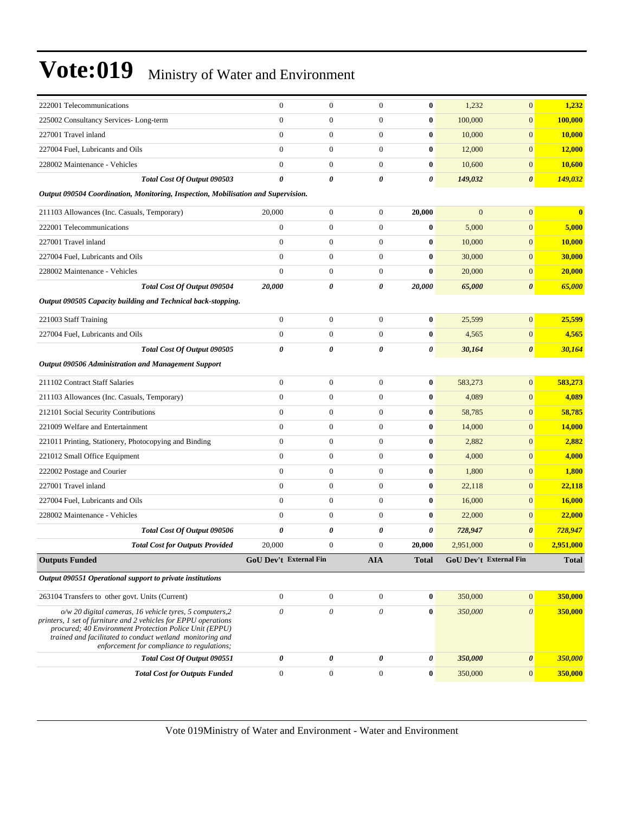| <b>Total Cost for Outputs Funded</b>                                                                                                                                                                                                                                                               | $\boldsymbol{0}$       | $\boldsymbol{0}$                     | $\boldsymbol{0}$                     | $\bf{0}$             | 350,000                | $\mathbf{0}$                   | 350,000          |
|----------------------------------------------------------------------------------------------------------------------------------------------------------------------------------------------------------------------------------------------------------------------------------------------------|------------------------|--------------------------------------|--------------------------------------|----------------------|------------------------|--------------------------------|------------------|
| Total Cost Of Output 090551                                                                                                                                                                                                                                                                        | $\pmb{\theta}$         | 0                                    | $\pmb{\theta}$                       | 0                    | 350,000                | $\pmb{\theta}$                 | 350,000          |
| $o/w$ 20 digital cameras, 16 vehicle tyres, 5 computers, 2<br>printers, 1 set of furniture and 2 vehicles for EPPU operations<br>procured; 40 Environment Protection Police Unit (EPPU)<br>trained and facilitated to conduct wetland monitoring and<br>enforcement for compliance to regulations; | $\theta$               | $\boldsymbol{\mathit{0}}$            | $\boldsymbol{\mathit{0}}$            | $\bf{0}$             | 350,000                | $\theta$                       | 350,000          |
| 263104 Transfers to other govt. Units (Current)                                                                                                                                                                                                                                                    | $\boldsymbol{0}$       | $\boldsymbol{0}$                     | $\boldsymbol{0}$                     | $\bf{0}$             | 350,000                | $\boldsymbol{0}$               | 350,000          |
| Output 090551 Operational support to private institutions                                                                                                                                                                                                                                          |                        |                                      |                                      |                      |                        |                                |                  |
| <b>Outputs Funded</b>                                                                                                                                                                                                                                                                              | GoU Dev't External Fin |                                      | <b>AIA</b>                           | <b>Total</b>         | GoU Dev't External Fin |                                | <b>Total</b>     |
| <b>Total Cost for Outputs Provided</b>                                                                                                                                                                                                                                                             | 20,000                 | $\boldsymbol{0}$                     | $\boldsymbol{0}$                     | 20,000               | 2,951,000              | $\mathbf{0}$                   | 2,951,000        |
| Total Cost Of Output 090506                                                                                                                                                                                                                                                                        | 0                      | 0                                    | 0                                    | 0                    | 728,947                | 0                              | 728,947          |
| 228002 Maintenance - Vehicles                                                                                                                                                                                                                                                                      | $\mathbf{0}$           | $\boldsymbol{0}$                     | $\boldsymbol{0}$                     | $\bf{0}$             | 22,000                 | $\mathbf{0}$                   | 22,000           |
| 227004 Fuel, Lubricants and Oils                                                                                                                                                                                                                                                                   | $\mathbf{0}$           | $\boldsymbol{0}$                     | $\boldsymbol{0}$                     | $\bf{0}$             | 16,000                 | $\overline{0}$                 | 16,000           |
| 227001 Travel inland                                                                                                                                                                                                                                                                               | $\overline{0}$         | $\boldsymbol{0}$                     | $\mathbf{0}$                         | $\bf{0}$             | 22,118                 | $\mathbf{0}$                   | 22,118           |
| 222002 Postage and Courier                                                                                                                                                                                                                                                                         | $\overline{0}$         | $\boldsymbol{0}$                     | $\boldsymbol{0}$                     | $\bf{0}$             | 1,800                  | $\overline{0}$                 | 1,800            |
| 221012 Small Office Equipment                                                                                                                                                                                                                                                                      | $\mathbf{0}$           | $\boldsymbol{0}$                     | $\boldsymbol{0}$                     | $\bf{0}$             | 4,000                  | $\overline{0}$                 | 4,000            |
| 221011 Printing, Stationery, Photocopying and Binding                                                                                                                                                                                                                                              | $\overline{0}$         | $\boldsymbol{0}$                     | $\boldsymbol{0}$                     | $\bf{0}$             | 2,882                  | $\overline{0}$                 | 2,882            |
| 221009 Welfare and Entertainment                                                                                                                                                                                                                                                                   | $\mathbf{0}$           | $\boldsymbol{0}$                     | $\boldsymbol{0}$                     | $\bf{0}$             | 14,000                 | $\overline{0}$                 | 14,000           |
| 212101 Social Security Contributions                                                                                                                                                                                                                                                               | $\overline{0}$         | $\boldsymbol{0}$                     | $\mathbf{0}$                         | $\bf{0}$             | 58,785                 | $\mathbf{0}$                   | 58,785           |
| 211103 Allowances (Inc. Casuals, Temporary)                                                                                                                                                                                                                                                        | $\overline{0}$         | $\boldsymbol{0}$                     | $\boldsymbol{0}$                     | $\bf{0}$             | 4,089                  | $\overline{0}$                 | 4,089            |
| 211102 Contract Staff Salaries                                                                                                                                                                                                                                                                     | $\boldsymbol{0}$       | $\boldsymbol{0}$                     | $\boldsymbol{0}$                     | $\bf{0}$             | 583,273                | $\overline{0}$                 | 583,273          |
| Output 090506 Administration and Management Support                                                                                                                                                                                                                                                |                        |                                      |                                      |                      |                        |                                |                  |
| Total Cost Of Output 090505                                                                                                                                                                                                                                                                        | $\boldsymbol{\theta}$  | 0                                    | 0                                    | 0                    | 30,164                 | 0                              | 30,164           |
| 227004 Fuel, Lubricants and Oils                                                                                                                                                                                                                                                                   | $\mathbf{0}$           | $\boldsymbol{0}$                     | $\overline{0}$                       | $\bf{0}$             | 4,565                  | $\overline{0}$                 | 4,565            |
| 221003 Staff Training                                                                                                                                                                                                                                                                              | $\boldsymbol{0}$       | $\boldsymbol{0}$                     | $\boldsymbol{0}$                     | $\bf{0}$             | 25,599                 | $\boldsymbol{0}$               | 25,599           |
| Output 090505 Capacity building and Technical back-stopping.                                                                                                                                                                                                                                       |                        |                                      |                                      |                      |                        |                                |                  |
| Total Cost Of Output 090504                                                                                                                                                                                                                                                                        | 20,000                 | 0                                    | 0                                    | 20,000               | 65,000                 | 0                              | 65,000           |
| 228002 Maintenance - Vehicles                                                                                                                                                                                                                                                                      | $\mathbf{0}$           | $\boldsymbol{0}$                     | $\boldsymbol{0}$                     | $\bf{0}$             | 20,000                 | $\overline{0}$                 | 20,000           |
| 227004 Fuel, Lubricants and Oils                                                                                                                                                                                                                                                                   | $\mathbf{0}$           | $\boldsymbol{0}$                     | $\boldsymbol{0}$                     | $\bf{0}$             | 30,000                 | $\overline{0}$                 | 30,000           |
| 227001 Travel inland                                                                                                                                                                                                                                                                               | $\mathbf{0}$           | $\boldsymbol{0}$                     | $\boldsymbol{0}$                     | $\bf{0}$             | 10,000                 | $\overline{0}$                 | 10,000           |
| 211103 Allowances (Inc. Casuals, Temporary)<br>222001 Telecommunications                                                                                                                                                                                                                           | $\mathbf{0}$           | $\boldsymbol{0}$                     | $\mathbf{0}$                         | $\bf{0}$             | 5,000                  | $\overline{0}$                 | 5,000            |
|                                                                                                                                                                                                                                                                                                    | 20,000                 | $\boldsymbol{0}$                     | $\boldsymbol{0}$                     | 20,000               | $\mathbf{0}$           | $\overline{0}$                 | $\bf{0}$         |
| Output 090504 Coordination, Monitoring, Inspection, Mobilisation and Supervision.                                                                                                                                                                                                                  |                        |                                      |                                      |                      |                        |                                |                  |
| Total Cost Of Output 090503                                                                                                                                                                                                                                                                        | 0                      | 0                                    | 0                                    | 0                    | 149,032                | 0                              | 149,032          |
| 228002 Maintenance - Vehicles                                                                                                                                                                                                                                                                      | $\mathbf{0}$           | $\boldsymbol{0}$                     | $\boldsymbol{0}$                     | $\bf{0}$             | 10,600                 | $\overline{0}$                 | 10,600           |
| 227004 Fuel, Lubricants and Oils                                                                                                                                                                                                                                                                   | $\mathbf{0}$           | $\boldsymbol{0}$                     | $\boldsymbol{0}$                     | $\bf{0}$             | 10,000<br>12,000       | $\overline{0}$                 | 10,000<br>12,000 |
| 225002 Consultancy Services-Long-term<br>227001 Travel inland                                                                                                                                                                                                                                      | $\overline{0}$         | $\boldsymbol{0}$<br>$\boldsymbol{0}$ | $\boldsymbol{0}$<br>$\boldsymbol{0}$ | $\bf{0}$<br>$\bf{0}$ | 100,000                | $\overline{0}$<br>$\mathbf{0}$ | 100,000          |
|                                                                                                                                                                                                                                                                                                    | $\overline{0}$         |                                      |                                      |                      | 1,232                  |                                | 1,232            |
| 222001 Telecommunications                                                                                                                                                                                                                                                                          | $\mathbf{0}$           | $\boldsymbol{0}$                     | $\mathbf{0}$                         | $\bf{0}$             |                        | $\mathbf{0}$                   |                  |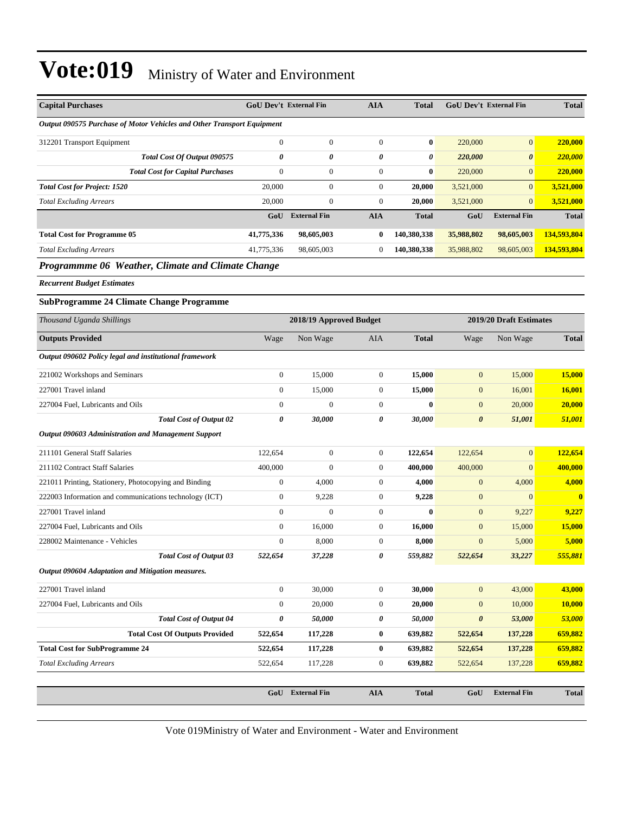| <b>Capital Purchases</b>                                                      |                  | <b>GoU Dev't External Fin</b> | <b>AIA</b>       | <b>Total</b> | <b>GoU Dev't External Fin</b> |                         | <b>Total</b>            |
|-------------------------------------------------------------------------------|------------------|-------------------------------|------------------|--------------|-------------------------------|-------------------------|-------------------------|
| <b>Output 090575 Purchase of Motor Vehicles and Other Transport Equipment</b> |                  |                               |                  |              |                               |                         |                         |
| 312201 Transport Equipment                                                    | $\mathbf{0}$     | $\boldsymbol{0}$              | $\boldsymbol{0}$ | $\bf{0}$     | 220,000                       | $\boldsymbol{0}$        | 220,000                 |
| Total Cost Of Output 090575                                                   | 0                | 0                             | 0                | 0            | 220,000                       | $\boldsymbol{\theta}$   | 220,000                 |
| <b>Total Cost for Capital Purchases</b>                                       | $\boldsymbol{0}$ | $\boldsymbol{0}$              | $\boldsymbol{0}$ | $\bf{0}$     | 220,000                       | $\boldsymbol{0}$        | 220,000                 |
| <b>Total Cost for Project: 1520</b>                                           | 20,000           | $\boldsymbol{0}$              | $\boldsymbol{0}$ | 20,000       | 3,521,000                     | $\boldsymbol{0}$        | 3,521,000               |
| <b>Total Excluding Arrears</b>                                                | 20,000           | $\boldsymbol{0}$              | $\boldsymbol{0}$ | 20.000       | 3,521,000                     | $\overline{0}$          | 3,521,000               |
|                                                                               | GoU              | <b>External Fin</b>           | <b>AIA</b>       | <b>Total</b> | GoU                           | <b>External Fin</b>     | <b>Total</b>            |
| <b>Total Cost for Programme 05</b>                                            | 41,775,336       | 98,605,003                    | $\bf{0}$         | 140,380,338  | 35,988,802                    | 98,605,003              | 134,593,804             |
| <b>Total Excluding Arrears</b>                                                | 41,775,336       | 98,605,003                    | $\boldsymbol{0}$ | 140,380,338  | 35,988,802                    | 98,605,003              | 134,593,804             |
| Programmme 06 Weather, Climate and Climate Change                             |                  |                               |                  |              |                               |                         |                         |
| <b>Recurrent Budget Estimates</b>                                             |                  |                               |                  |              |                               |                         |                         |
| <b>SubProgramme 24 Climate Change Programme</b>                               |                  |                               |                  |              |                               |                         |                         |
| Thousand Uganda Shillings                                                     |                  | 2018/19 Approved Budget       |                  |              |                               | 2019/20 Draft Estimates |                         |
| <b>Outputs Provided</b>                                                       | Wage             | Non Wage                      | <b>AIA</b>       | <b>Total</b> | Wage                          | Non Wage                | <b>Total</b>            |
| Output 090602 Policy legal and institutional framework                        |                  |                               |                  |              |                               |                         |                         |
| 221002 Workshops and Seminars                                                 | $\boldsymbol{0}$ | 15,000                        | $\boldsymbol{0}$ | 15,000       | $\boldsymbol{0}$              | 15,000                  | 15,000                  |
| 227001 Travel inland                                                          | $\boldsymbol{0}$ | 15,000                        | $\boldsymbol{0}$ | 15,000       | $\mathbf{0}$                  | 16,001                  | <b>16,001</b>           |
| 227004 Fuel, Lubricants and Oils                                              | $\mathbf{0}$     | $\boldsymbol{0}$              | $\boldsymbol{0}$ | $\bf{0}$     | $\mathbf{0}$                  | 20,000                  | 20,000                  |
| <b>Total Cost of Output 02</b>                                                | 0                | 30,000                        | 0                | 30,000       | $\boldsymbol{\theta}$         | 51,001                  | 51,001                  |
| <b>Output 090603 Administration and Management Support</b>                    |                  |                               |                  |              |                               |                         |                         |
| 211101 General Staff Salaries                                                 | 122,654          | $\boldsymbol{0}$              | $\boldsymbol{0}$ | 122,654      | 122,654                       | $\overline{0}$          | 122,654                 |
| 211102 Contract Staff Salaries                                                | 400,000          | $\mathbf{0}$                  | $\boldsymbol{0}$ | 400,000      | 400,000                       | $\boldsymbol{0}$        | 400,000                 |
| 221011 Printing, Stationery, Photocopying and Binding                         | $\mathbf{0}$     | 4,000                         | $\boldsymbol{0}$ | 4,000        | $\boldsymbol{0}$              | 4,000                   | 4,000                   |
| 222003 Information and communications technology (ICT)                        | $\boldsymbol{0}$ | 9,228                         | $\boldsymbol{0}$ | 9,228        | $\mathbf{0}$                  | $\overline{0}$          | $\overline{\mathbf{0}}$ |
| 227001 Travel inland                                                          | $\boldsymbol{0}$ | $\overline{0}$                | $\boldsymbol{0}$ | $\bf{0}$     | $\mathbf{0}$                  | 9,227                   | 9,227                   |
| 227004 Fuel, Lubricants and Oils                                              | $\boldsymbol{0}$ | 16,000                        | $\boldsymbol{0}$ | 16,000       | $\mathbf{0}$                  | 15,000                  | 15,000                  |
| 228002 Maintenance - Vehicles                                                 | $\mathbf{0}$     | 8,000                         | $\boldsymbol{0}$ | 8,000        | $\mathbf{0}$                  | 5,000                   | 5,000                   |
| Total Cost of Output 03                                                       | 522,654          | 37,228                        | 0                | 559,882      | 522,654                       | 33,227                  | 555,881                 |
| Output 090604 Adaptation and Mitigation measures.                             |                  |                               |                  |              |                               |                         |                         |
| 227001 Travel inland                                                          | $\boldsymbol{0}$ | 30,000                        | $\boldsymbol{0}$ | 30,000       | $\boldsymbol{0}$              | 43,000                  | 43,000                  |
| 227004 Fuel, Lubricants and Oils                                              | $\boldsymbol{0}$ | 20,000                        | $\boldsymbol{0}$ | 20,000       | $\boldsymbol{0}$              | 10,000                  | 10,000                  |
| <b>Total Cost of Output 04</b>                                                | 0                | 50,000                        | 0                | 50,000       | $\boldsymbol{\theta}$         | 53,000                  | 53,000                  |
| <b>Total Cost Of Outputs Provided</b>                                         | 522,654          | 117,228                       | $\bf{0}$         | 639,882      | 522,654                       | 137,228                 | 659,882                 |
| <b>Total Cost for SubProgramme 24</b>                                         | 522,654          | 117,228                       | $\bf{0}$         | 639,882      | 522,654                       | 137,228                 | 659,882                 |
| <b>Total Excluding Arrears</b>                                                | 522,654          | 117,228                       | $\boldsymbol{0}$ | 639,882      | 522,654                       | 137,228                 | 659,882                 |
|                                                                               |                  |                               |                  |              |                               |                         |                         |
|                                                                               |                  | GoU External Fin              | AIA              | <b>Total</b> | GoU                           | <b>External Fin</b>     | <b>Total</b>            |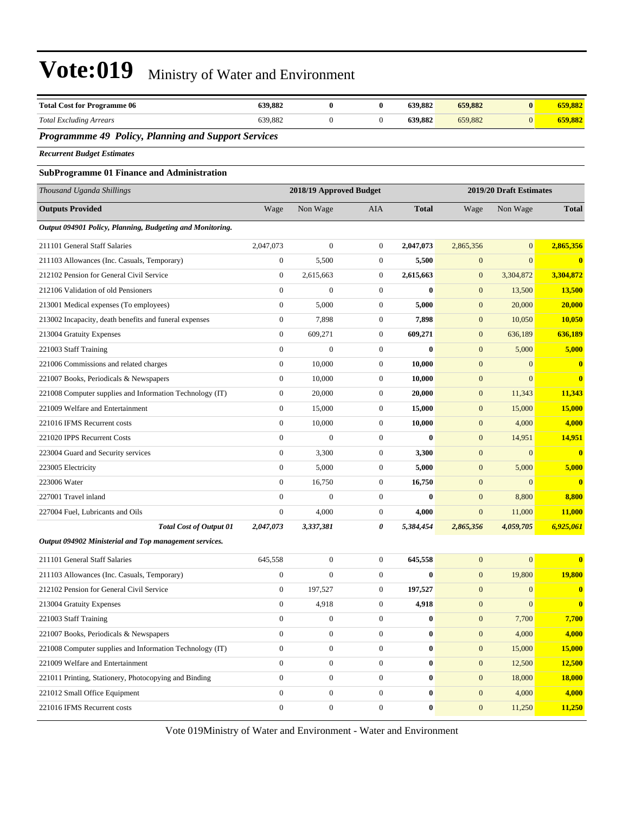| <b>Total Cost for Programme 06</b>                        | 639,882          | $\bf{0}$                | $\bf{0}$         | 639,882      | 659,882          | $\bf{0}$                | 659,882                 |
|-----------------------------------------------------------|------------------|-------------------------|------------------|--------------|------------------|-------------------------|-------------------------|
| <b>Total Excluding Arrears</b>                            | 639,882          | $\boldsymbol{0}$        | $\overline{0}$   | 639,882      | 659,882          | $\mathbf{0}$            | 659,882                 |
| Programmme 49 Policy, Planning and Support Services       |                  |                         |                  |              |                  |                         |                         |
| <b>Recurrent Budget Estimates</b>                         |                  |                         |                  |              |                  |                         |                         |
| <b>SubProgramme 01 Finance and Administration</b>         |                  |                         |                  |              |                  |                         |                         |
| Thousand Uganda Shillings                                 |                  | 2018/19 Approved Budget |                  |              |                  | 2019/20 Draft Estimates |                         |
| <b>Outputs Provided</b>                                   | Wage             | Non Wage                | AIA              | <b>Total</b> | Wage             | Non Wage                | <b>Total</b>            |
| Output 094901 Policy, Planning, Budgeting and Monitoring. |                  |                         |                  |              |                  |                         |                         |
| 211101 General Staff Salaries                             | 2,047,073        | $\overline{0}$          | $\mathbf{0}$     | 2,047,073    | 2,865,356        | $\mathbf{0}$            | 2,865,356               |
| 211103 Allowances (Inc. Casuals, Temporary)               | $\boldsymbol{0}$ | 5,500                   | $\boldsymbol{0}$ | 5,500        | $\mathbf{0}$     | $\mathbf{0}$            | $\mathbf{0}$            |
| 212102 Pension for General Civil Service                  | $\boldsymbol{0}$ | 2,615,663               | $\mathbf{0}$     | 2,615,663    | $\boldsymbol{0}$ | 3,304,872               | 3,304,872               |
| 212106 Validation of old Pensioners                       | $\theta$         | $\boldsymbol{0}$        | $\mathbf{0}$     | $\bf{0}$     | $\mathbf{0}$     | 13,500                  | 13,500                  |
| 213001 Medical expenses (To employees)                    | $\boldsymbol{0}$ | 5,000                   | $\mathbf{0}$     | 5,000        | $\mathbf{0}$     | 20,000                  | 20,000                  |
| 213002 Incapacity, death benefits and funeral expenses    | $\mathbf{0}$     | 7,898                   | $\mathbf{0}$     | 7,898        | $\mathbf{0}$     | 10,050                  | <b>10,050</b>           |
| 213004 Gratuity Expenses                                  | $\theta$         | 609,271                 | $\mathbf{0}$     | 609,271      | $\mathbf{0}$     | 636,189                 | 636,189                 |
| 221003 Staff Training                                     | $\mathbf{0}$     | $\overline{0}$          | $\mathbf{0}$     | $\bf{0}$     | $\mathbf{0}$     | 5,000                   | 5,000                   |
| 221006 Commissions and related charges                    | $\mathbf{0}$     | 10.000                  | $\mathbf{0}$     | 10,000       | $\mathbf{0}$     | $\mathbf{0}$            | $\bf{0}$                |
| 221007 Books, Periodicals & Newspapers                    | $\mathbf{0}$     | 10,000                  | $\mathbf{0}$     | 10,000       | $\mathbf{0}$     | $\mathbf{0}$            | $\bf{0}$                |
| 221008 Computer supplies and Information Technology (IT)  | $\mathbf{0}$     | 20,000                  | $\boldsymbol{0}$ | 20,000       | $\mathbf{0}$     | 11,343                  | 11,343                  |
| 221009 Welfare and Entertainment                          | $\mathbf{0}$     | 15,000                  | $\boldsymbol{0}$ | 15,000       | $\mathbf{0}$     | 15,000                  | 15,000                  |
| 221016 IFMS Recurrent costs                               | $\mathbf{0}$     | 10,000                  | $\overline{0}$   | 10,000       | $\mathbf{0}$     | 4,000                   | 4,000                   |
| 221020 IPPS Recurrent Costs                               | $\mathbf{0}$     | $\boldsymbol{0}$        | $\mathbf{0}$     | $\bf{0}$     | $\mathbf{0}$     | 14,951                  | 14,951                  |
| 223004 Guard and Security services                        | $\mathbf{0}$     | 3,300                   | $\mathbf{0}$     | 3,300        | $\mathbf{0}$     | $\mathbf{0}$            | $\overline{\mathbf{0}}$ |
| 223005 Electricity                                        | $\mathbf{0}$     | 5,000                   | $\boldsymbol{0}$ | 5,000        | $\mathbf{0}$     | 5,000                   | 5,000                   |
| 223006 Water                                              | $\mathbf{0}$     | 16,750                  | $\mathbf{0}$     | 16,750       | $\mathbf{0}$     | $\mathbf{0}$            | $\mathbf{0}$            |
| 227001 Travel inland                                      | $\mathbf{0}$     | $\overline{0}$          | $\overline{0}$   | $\bf{0}$     | $\mathbf{0}$     | 8,800                   | 8,800                   |
| 227004 Fuel, Lubricants and Oils                          | $\boldsymbol{0}$ | 4,000                   | $\mathbf{0}$     | 4,000        | $\mathbf{0}$     | 11,000                  | 11,000                  |
| <b>Total Cost of Output 01</b>                            | 2,047,073        | 3,337,381               | 0                | 5,384,454    | 2,865,356        | 4,059,705               | 6,925,061               |
| Output 094902 Ministerial and Top management services.    |                  |                         |                  |              |                  |                         |                         |
| 211101 General Staff Salaries                             | 645,558          | $\boldsymbol{0}$        | $\boldsymbol{0}$ | 645,558      | $\boldsymbol{0}$ | $\mathbf{0}$            | $\bf{0}$                |
| 211103 Allowances (Inc. Casuals, Temporary)               | $\boldsymbol{0}$ | $\boldsymbol{0}$        | $\mathbf{0}$     | $\bf{0}$     | $\boldsymbol{0}$ | 19,800                  | 19,800                  |
| 212102 Pension for General Civil Service                  | $\boldsymbol{0}$ | 197,527                 | $\mathbf{0}$     | 197,527      | $\mathbf{0}$     | $\mathbf{0}$            | $\bf{0}$                |
| 213004 Gratuity Expenses                                  | $\mathbf{0}$     | 4,918                   | $\boldsymbol{0}$ | 4,918        | $\boldsymbol{0}$ | $\mathbf{0}$            | $\bf{0}$                |
| 221003 Staff Training                                     | $\boldsymbol{0}$ | $\boldsymbol{0}$        | $\mathbf{0}$     | $\bf{0}$     | $\mathbf{0}$     | 7,700                   | 7,700                   |
| 221007 Books, Periodicals & Newspapers                    | $\mathbf{0}$     | $\boldsymbol{0}$        | $\mathbf{0}$     | $\bf{0}$     | $\mathbf{0}$     | 4,000                   | 4,000                   |
| 221008 Computer supplies and Information Technology (IT)  | $\mathbf{0}$     | $\boldsymbol{0}$        | $\mathbf{0}$     | $\bf{0}$     | $\mathbf{0}$     | 15,000                  | 15,000                  |
| 221009 Welfare and Entertainment                          | $\boldsymbol{0}$ | $\boldsymbol{0}$        | $\mathbf{0}$     | $\bf{0}$     | $\mathbf{0}$     | 12,500                  | 12,500                  |
| 221011 Printing, Stationery, Photocopying and Binding     | $\mathbf{0}$     | $\boldsymbol{0}$        | $\boldsymbol{0}$ | $\bf{0}$     | $\mathbf{0}$     | 18,000                  | <b>18,000</b>           |
| 221012 Small Office Equipment                             | $\mathbf{0}$     | $\overline{0}$          | $\mathbf{0}$     | $\bf{0}$     | $\mathbf{0}$     | 4,000                   | 4,000                   |
| 221016 IFMS Recurrent costs                               | $\boldsymbol{0}$ | $\boldsymbol{0}$        | $\mathbf{0}$     | $\bf{0}$     | $\boldsymbol{0}$ | 11,250                  | 11,250                  |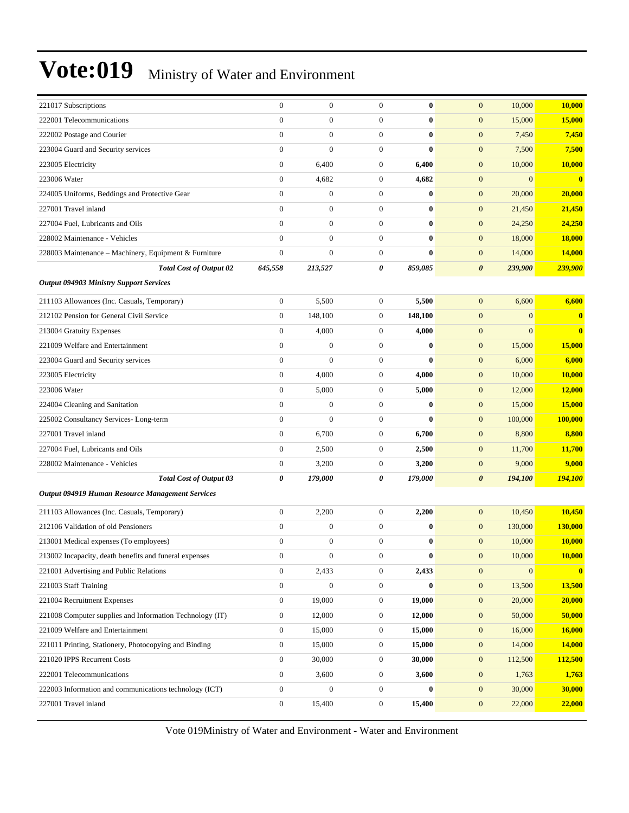| 221017 Subscriptions                                     | $\boldsymbol{0}$ | $\boldsymbol{0}$ | $\mathbf{0}$     | $\bf{0}$     | 10,000<br>$\boldsymbol{0}$           | 10,000         |
|----------------------------------------------------------|------------------|------------------|------------------|--------------|--------------------------------------|----------------|
| 222001 Telecommunications                                | $\overline{0}$   | $\boldsymbol{0}$ | $\boldsymbol{0}$ | $\bf{0}$     | $\mathbf{0}$<br>15,000               | 15,000         |
| 222002 Postage and Courier                               | $\overline{0}$   | $\boldsymbol{0}$ | $\boldsymbol{0}$ | $\bf{0}$     | $\mathbf{0}$<br>7,450                | 7,450          |
| 223004 Guard and Security services                       | $\overline{0}$   | $\overline{0}$   | $\mathbf{0}$     | $\bf{0}$     | $\mathbf{0}$<br>7,500                | 7,500          |
| 223005 Electricity                                       | $\boldsymbol{0}$ | 6,400            | $\boldsymbol{0}$ | 6,400        | $\mathbf{0}$<br>10,000               | 10,000         |
| 223006 Water                                             | $\boldsymbol{0}$ | 4,682            | $\boldsymbol{0}$ | 4,682        | $\boldsymbol{0}$<br>$\mathbf{0}$     | $\mathbf{0}$   |
| 224005 Uniforms, Beddings and Protective Gear            | $\overline{0}$   | $\boldsymbol{0}$ | $\boldsymbol{0}$ | $\bf{0}$     | 20,000<br>$\boldsymbol{0}$           | 20,000         |
| 227001 Travel inland                                     | $\overline{0}$   | $\boldsymbol{0}$ | $\boldsymbol{0}$ | $\bf{0}$     | $\mathbf{0}$<br>21,450               | 21,450         |
| 227004 Fuel, Lubricants and Oils                         | $\overline{0}$   | $\boldsymbol{0}$ | $\mathbf{0}$     | $\bf{0}$     | $\boldsymbol{0}$<br>24,250           | 24,250         |
| 228002 Maintenance - Vehicles                            | $\mathbf{0}$     | $\boldsymbol{0}$ | $\boldsymbol{0}$ | $\bf{0}$     | $\mathbf{0}$<br>18,000               | 18,000         |
| 228003 Maintenance - Machinery, Equipment & Furniture    | $\overline{0}$   | $\mathbf{0}$     | $\boldsymbol{0}$ | $\mathbf{0}$ | $\boldsymbol{0}$<br>14,000           | 14,000         |
| <b>Total Cost of Output 02</b>                           | 645,558          | 213,527          | 0                | 859,085      | 239,900<br>0                         | <b>239,900</b> |
| <b>Output 094903 Ministry Support Services</b>           |                  |                  |                  |              |                                      |                |
| 211103 Allowances (Inc. Casuals, Temporary)              | $\boldsymbol{0}$ | 5,500            | $\boldsymbol{0}$ | 5,500        | $\mathbf{0}$<br>6,600                | 6,600          |
| 212102 Pension for General Civil Service                 | $\overline{0}$   | 148,100          | $\boldsymbol{0}$ | 148,100      | $\boldsymbol{0}$<br>$\mathbf{0}$     | $\bf{0}$       |
| 213004 Gratuity Expenses                                 | $\boldsymbol{0}$ | 4,000            | $\boldsymbol{0}$ | 4,000        | $\mathbf{0}$<br>$\mathbf{0}$         | $\bf{0}$       |
| 221009 Welfare and Entertainment                         | $\boldsymbol{0}$ | $\overline{0}$   | $\boldsymbol{0}$ | $\bf{0}$     | $\boldsymbol{0}$<br>15,000           | 15,000         |
| 223004 Guard and Security services                       | $\overline{0}$   | $\mathbf{0}$     | $\boldsymbol{0}$ | $\bf{0}$     | $\mathbf{0}$<br>6,000                | 6,000          |
| 223005 Electricity                                       | $\boldsymbol{0}$ | 4,000            | $\boldsymbol{0}$ | 4,000        | 10,000<br>$\mathbf{0}$               | 10,000         |
| 223006 Water                                             | $\overline{0}$   | 5,000            | $\boldsymbol{0}$ | 5,000        | $\boldsymbol{0}$<br>12,000           | <b>12,000</b>  |
| 224004 Cleaning and Sanitation                           | $\boldsymbol{0}$ | $\mathbf{0}$     | $\boldsymbol{0}$ | $\bf{0}$     | $\boldsymbol{0}$<br>15,000           | 15,000         |
| 225002 Consultancy Services-Long-term                    | $\boldsymbol{0}$ | $\overline{0}$   | $\boldsymbol{0}$ | $\mathbf{0}$ | $\boldsymbol{0}$<br>100,000          | 100,000        |
| 227001 Travel inland                                     | $\mathbf{0}$     | 6,700            | $\boldsymbol{0}$ | 6,700        | $\mathbf{0}$<br>8,800                | 8,800          |
| 227004 Fuel, Lubricants and Oils                         | $\boldsymbol{0}$ | 2,500            | $\boldsymbol{0}$ | 2,500        | 11,700<br>$\mathbf{0}$               | 11,700         |
| 228002 Maintenance - Vehicles                            | $\boldsymbol{0}$ | 3,200            | $\boldsymbol{0}$ | 3,200        | $\boldsymbol{0}$<br>9,000            | 9,000          |
| <b>Total Cost of Output 03</b>                           | 0                | 179,000          | 0                | 179,000      | $\boldsymbol{\theta}$<br>194,100     | 194,100        |
| Output 094919 Human Resource Management Services         |                  |                  |                  |              |                                      |                |
| 211103 Allowances (Inc. Casuals, Temporary)              | $\boldsymbol{0}$ | 2,200            | $\boldsymbol{0}$ | 2,200        | $\boldsymbol{0}$<br>10,450           | 10,450         |
| 212106 Validation of old Pensioners                      | $\overline{0}$   | $\boldsymbol{0}$ | $\boldsymbol{0}$ | $\bf{0}$     | 130,000<br>$\mathbf{0}$              | 130,000        |
| 213001 Medical expenses (To employees)                   | $\boldsymbol{0}$ | $\boldsymbol{0}$ | $\boldsymbol{0}$ | $\bf{0}$     | $\mathbf{0}$<br>10,000               | <b>10,000</b>  |
| 213002 Incapacity, death benefits and funeral expenses   | $\boldsymbol{0}$ | $\boldsymbol{0}$ | $\boldsymbol{0}$ | $\bf{0}$     | 10,000<br>$\mathbf{0}$               | 10,000         |
| 221001 Advertising and Public Relations                  | $\mathbf{0}$     | 2,433            | $\boldsymbol{0}$ | 2,433        | $\boldsymbol{0}$<br>$\boldsymbol{0}$ | $\mathbf{0}$   |
| 221003 Staff Training                                    | $\boldsymbol{0}$ | $\boldsymbol{0}$ | $\boldsymbol{0}$ | $\bf{0}$     | $\boldsymbol{0}$<br>13,500           | 13,500         |
| 221004 Recruitment Expenses                              | $\boldsymbol{0}$ | 19,000           | $\boldsymbol{0}$ | 19,000       | $\mathbf{0}$<br>20,000               | 20,000         |
| 221008 Computer supplies and Information Technology (IT) | $\boldsymbol{0}$ | 12,000           | $\boldsymbol{0}$ | 12,000       | $\boldsymbol{0}$<br>50,000           | 50,000         |
| 221009 Welfare and Entertainment                         | $\boldsymbol{0}$ | 15,000           | $\boldsymbol{0}$ | 15,000       | $\boldsymbol{0}$<br>16,000           | <b>16,000</b>  |
| 221011 Printing, Stationery, Photocopying and Binding    | $\boldsymbol{0}$ | 15,000           | $\boldsymbol{0}$ | 15,000       | $\boldsymbol{0}$<br>14,000           | 14,000         |
| 221020 IPPS Recurrent Costs                              | $\boldsymbol{0}$ | 30,000           | $\boldsymbol{0}$ | 30,000       | $\mathbf{0}$<br>112,500              | 112,500        |
| 222001 Telecommunications                                | $\boldsymbol{0}$ | 3,600            | $\boldsymbol{0}$ | 3,600        | 1,763<br>$\mathbf{0}$                | 1,763          |
| 222003 Information and communications technology (ICT)   | $\boldsymbol{0}$ | $\overline{0}$   | $\overline{0}$   | $\bf{0}$     | 30,000<br>$\boldsymbol{0}$           | 30,000         |
| 227001 Travel inland                                     | $\boldsymbol{0}$ | 15,400           | $\overline{0}$   | 15,400       | $\boldsymbol{0}$<br>22,000           | 22,000         |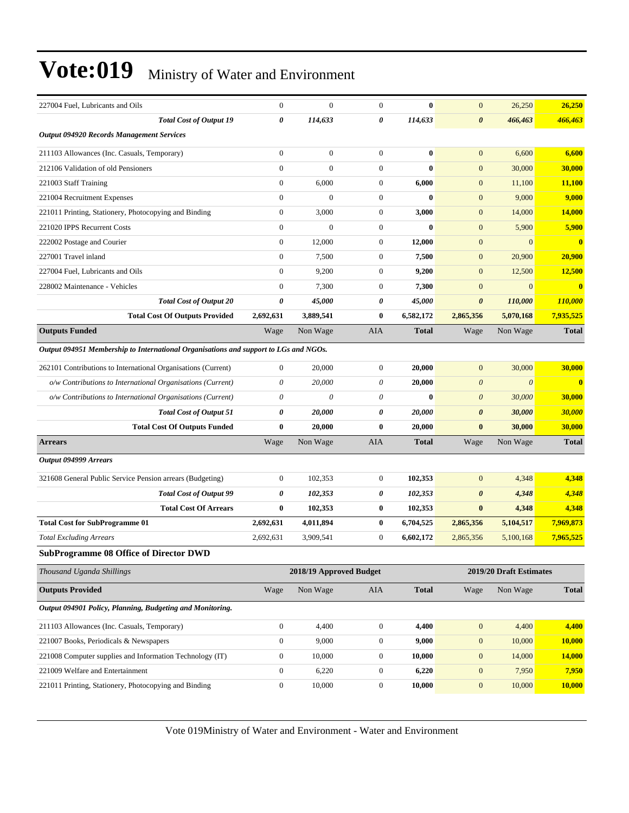| 227004 Fuel, Lubricants and Oils                                                     | $\boldsymbol{0}$ | $\mathbf{0}$            | $\mathbf{0}$     | $\bf{0}$     | $\mathbf{0}$          | 26,250                  | 26,250       |
|--------------------------------------------------------------------------------------|------------------|-------------------------|------------------|--------------|-----------------------|-------------------------|--------------|
| <b>Total Cost of Output 19</b>                                                       | 0                | 114,633                 | 0                | 114,633      | $\boldsymbol{\theta}$ | 466,463                 | 466,463      |
| <b>Output 094920 Records Management Services</b>                                     |                  |                         |                  |              |                       |                         |              |
| 211103 Allowances (Inc. Casuals, Temporary)                                          | $\boldsymbol{0}$ | $\boldsymbol{0}$        | $\mathbf{0}$     | $\bf{0}$     | $\mathbf{0}$          | 6,600                   | 6,600        |
| 212106 Validation of old Pensioners                                                  | $\overline{0}$   | $\overline{0}$          | $\mathbf{0}$     | $\mathbf{0}$ | $\mathbf{0}$          | 30,000                  | 30,000       |
| 221003 Staff Training                                                                | $\boldsymbol{0}$ | 6,000                   | $\mathbf{0}$     | 6,000        | $\mathbf{0}$          | 11,100                  | 11,100       |
| 221004 Recruitment Expenses                                                          | $\boldsymbol{0}$ | $\overline{0}$          | $\mathbf{0}$     | $\bf{0}$     | $\mathbf{0}$          | 9,000                   | 9,000        |
| 221011 Printing, Stationery, Photocopying and Binding                                | $\boldsymbol{0}$ | 3,000                   | $\mathbf{0}$     | 3,000        | $\boldsymbol{0}$      | 14,000                  | 14,000       |
| 221020 IPPS Recurrent Costs                                                          | $\boldsymbol{0}$ | $\Omega$                | $\mathbf{0}$     | $\mathbf{0}$ | $\mathbf{0}$          | 5,900                   | 5,900        |
| 222002 Postage and Courier                                                           | $\boldsymbol{0}$ | 12,000                  | $\mathbf{0}$     | 12,000       | $\mathbf{0}$          | $\overline{0}$          | $\bf{0}$     |
| 227001 Travel inland                                                                 | $\boldsymbol{0}$ | 7,500                   | $\mathbf{0}$     | 7,500        | $\mathbf{0}$          | 20,900                  | 20,900       |
| 227004 Fuel, Lubricants and Oils                                                     | $\boldsymbol{0}$ | 9,200                   | $\mathbf{0}$     | 9,200        | $\mathbf{0}$          | 12,500                  | 12,500       |
| 228002 Maintenance - Vehicles                                                        | $\mathbf{0}$     | 7,300                   | $\mathbf{0}$     | 7,300        | $\mathbf{0}$          | $\overline{0}$          | $\bf{0}$     |
| <b>Total Cost of Output 20</b>                                                       | 0                | 45,000                  | 0                | 45,000       | $\boldsymbol{\theta}$ | 110,000                 | 110,000      |
| <b>Total Cost Of Outputs Provided</b>                                                | 2,692,631        | 3,889,541               | $\bf{0}$         | 6,582,172    | 2,865,356             | 5,070,168               | 7,935,525    |
| <b>Outputs Funded</b>                                                                | Wage             | Non Wage                | AIA              | <b>Total</b> | Wage                  | Non Wage                | <b>Total</b> |
| Output 094951 Membership to International Organisations and support to LGs and NGOs. |                  |                         |                  |              |                       |                         |              |
| 262101 Contributions to International Organisations (Current)                        | $\boldsymbol{0}$ | 20,000                  | $\mathbf{0}$     | 20,000       | $\mathbf{0}$          | 30,000                  | 30,000       |
| o/w Contributions to International Organisations (Current)                           | 0                | 20,000                  | 0                | 20,000       | $\boldsymbol{\theta}$ | $\boldsymbol{\theta}$   | $\bf{0}$     |
| o/w Contributions to International Organisations (Current)                           | 0                | 0                       | 0                | $\mathbf{0}$ | $\boldsymbol{\theta}$ | 30,000                  | 30,000       |
| <b>Total Cost of Output 51</b>                                                       | 0                | 20,000                  | 0                | 20,000       | $\boldsymbol{\theta}$ | 30,000                  | 30,000       |
| <b>Total Cost Of Outputs Funded</b>                                                  | $\bf{0}$         | 20,000                  | $\bf{0}$         | 20,000       | $\bf{0}$              | 30,000                  | 30,000       |
| <b>Arrears</b>                                                                       | Wage             | Non Wage                | AIA              | <b>Total</b> | Wage                  | Non Wage                | <b>Total</b> |
| Output 094999 Arrears                                                                |                  |                         |                  |              |                       |                         |              |
| 321608 General Public Service Pension arrears (Budgeting)                            | $\boldsymbol{0}$ | 102,353                 | $\mathbf{0}$     | 102,353      | $\mathbf{0}$          | 4,348                   | 4,348        |
| <b>Total Cost of Output 99</b>                                                       | 0                | 102,353                 | 0                | 102,353      | $\boldsymbol{\theta}$ | 4,348                   | 4,348        |
| <b>Total Cost Of Arrears</b>                                                         | $\bf{0}$         | 102,353                 | $\bf{0}$         | 102,353      | $\bf{0}$              | 4,348                   | 4,348        |
| <b>Total Cost for SubProgramme 01</b>                                                | 2,692,631        | 4,011,894               | $\bf{0}$         | 6,704,525    | 2,865,356             | 5,104,517               | 7,969,873    |
| <b>Total Excluding Arrears</b>                                                       | 2,692,631        | 3,909,541               | $\boldsymbol{0}$ | 6,602,172    | 2,865,356             | 5,100,168               | 7,965,525    |
| <b>SubProgramme 08 Office of Director DWD</b>                                        |                  |                         |                  |              |                       |                         |              |
| Thousand Uganda Shillings                                                            |                  | 2018/19 Approved Budget |                  |              |                       | 2019/20 Draft Estimates |              |
| <b>Outputs Provided</b>                                                              | Wage             | Non Wage                | AIA              | <b>Total</b> | Wage                  | Non Wage                | <b>Total</b> |
| Output 094901 Policy, Planning, Budgeting and Monitoring.                            |                  |                         |                  |              |                       |                         |              |
| 211103 Allowances (Inc. Casuals, Temporary)                                          | $\boldsymbol{0}$ | 4,400                   | $\boldsymbol{0}$ | 4,400        | $\boldsymbol{0}$      | 4,400                   | 4,400        |
| 221007 Books, Periodicals & Newspapers                                               | $\boldsymbol{0}$ | 9,000                   | $\boldsymbol{0}$ | 9,000        | $\mathbf{0}$          | 10,000                  | 10,000       |
| 221008 Computer supplies and Information Technology (IT)                             | $\boldsymbol{0}$ | 10,000                  | $\boldsymbol{0}$ | 10,000       | $\mathbf{0}$          | 14,000                  | 14,000       |
| 221009 Welfare and Entertainment                                                     | $\boldsymbol{0}$ | 6,220                   | $\boldsymbol{0}$ | 6,220        | $\boldsymbol{0}$      | 7,950                   | 7,950        |
| 221011 Printing, Stationery, Photocopying and Binding                                | $\boldsymbol{0}$ | 10,000                  | $\boldsymbol{0}$ | 10,000       | $\boldsymbol{0}$      | 10,000                  | 10,000       |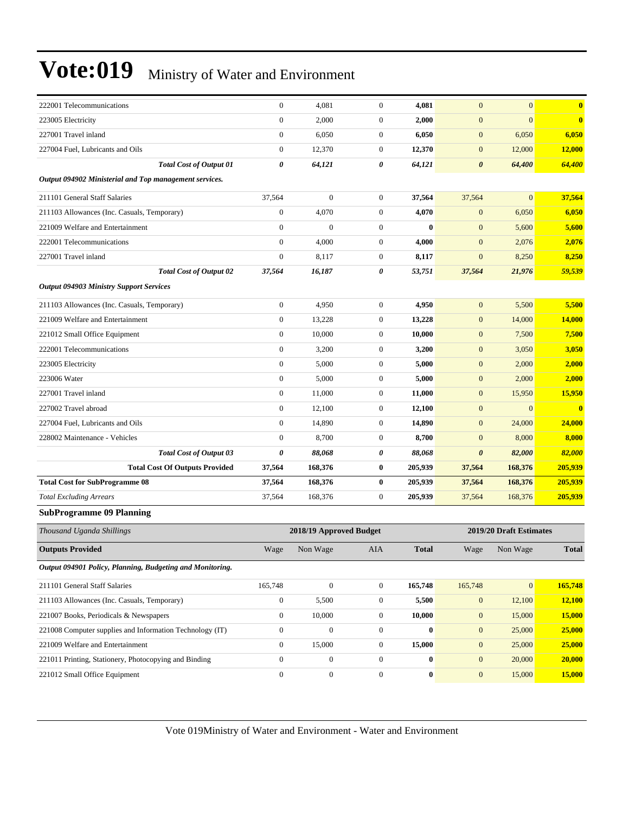| 222001 Telecommunications                                 |                                       | $\overline{0}$   | 4,081                   | $\mathbf{0}$     | 4,081        | $\mathbf{0}$          | $\overline{0}$          | $\bf{0}$     |
|-----------------------------------------------------------|---------------------------------------|------------------|-------------------------|------------------|--------------|-----------------------|-------------------------|--------------|
| 223005 Electricity                                        |                                       | $\overline{0}$   | 2,000                   | $\mathbf{0}$     | 2,000        | $\mathbf{0}$          | $\overline{0}$          | $\bf{0}$     |
| 227001 Travel inland                                      |                                       | $\boldsymbol{0}$ | 6,050                   | $\mathbf{0}$     | 6,050        | $\mathbf{0}$          | 6,050                   | 6,050        |
| 227004 Fuel, Lubricants and Oils                          |                                       | $\boldsymbol{0}$ | 12,370                  | $\mathbf{0}$     | 12,370       | $\mathbf{0}$          | 12,000                  | 12,000       |
|                                                           | <b>Total Cost of Output 01</b>        | 0                | 64,121                  | 0                | 64,121       | $\boldsymbol{\theta}$ | 64,400                  | 64,400       |
| Output 094902 Ministerial and Top management services.    |                                       |                  |                         |                  |              |                       |                         |              |
| 211101 General Staff Salaries                             |                                       | 37,564           | $\boldsymbol{0}$        | $\mathbf{0}$     | 37,564       | 37,564                | $\mathbf{0}$            | 37,564       |
| 211103 Allowances (Inc. Casuals, Temporary)               |                                       | $\boldsymbol{0}$ | 4,070                   | $\mathbf{0}$     | 4,070        | $\mathbf{0}$          | 6,050                   | 6,050        |
| 221009 Welfare and Entertainment                          |                                       | $\boldsymbol{0}$ | $\mathbf{0}$            | $\mathbf{0}$     | $\bf{0}$     | $\mathbf{0}$          | 5,600                   | 5,600        |
| 222001 Telecommunications                                 |                                       | $\boldsymbol{0}$ | 4,000                   | $\mathbf{0}$     | 4,000        | $\mathbf{0}$          | 2,076                   | 2,076        |
| 227001 Travel inland                                      |                                       | $\boldsymbol{0}$ | 8,117                   | $\boldsymbol{0}$ | 8,117        | $\mathbf{0}$          | 8,250                   | 8,250        |
|                                                           | <b>Total Cost of Output 02</b>        | 37,564           | 16,187                  | 0                | 53,751       | 37,564                | 21,976                  | 59,539       |
| <b>Output 094903 Ministry Support Services</b>            |                                       |                  |                         |                  |              |                       |                         |              |
| 211103 Allowances (Inc. Casuals, Temporary)               |                                       | $\mathbf{0}$     | 4,950                   | $\mathbf{0}$     | 4,950        | $\mathbf{0}$          | 5,500                   | 5,500        |
| 221009 Welfare and Entertainment                          |                                       | $\boldsymbol{0}$ | 13,228                  | $\boldsymbol{0}$ | 13,228       | $\mathbf{0}$          | 14,000                  | 14,000       |
| 221012 Small Office Equipment                             |                                       | $\boldsymbol{0}$ | 10,000                  | $\mathbf{0}$     | 10,000       | $\mathbf{0}$          | 7,500                   | 7,500        |
| 222001 Telecommunications                                 |                                       | $\overline{0}$   | 3,200                   | $\mathbf{0}$     | 3,200        | $\mathbf{0}$          | 3,050                   | 3,050        |
| 223005 Electricity                                        |                                       | $\mathbf{0}$     | 5,000                   | $\mathbf{0}$     | 5,000        | $\mathbf{0}$          | 2,000                   | 2,000        |
| 223006 Water                                              |                                       | $\boldsymbol{0}$ | 5,000                   | $\mathbf{0}$     | 5,000        | $\mathbf{0}$          | 2,000                   | 2,000        |
| 227001 Travel inland                                      |                                       | $\boldsymbol{0}$ | 11,000                  | $\mathbf{0}$     | 11,000       | $\mathbf{0}$          | 15,950                  | 15,950       |
| 227002 Travel abroad                                      |                                       | $\boldsymbol{0}$ | 12,100                  | $\mathbf{0}$     | 12,100       | $\mathbf{0}$          | $\overline{0}$          | $\bf{0}$     |
| 227004 Fuel, Lubricants and Oils                          |                                       | $\overline{0}$   | 14,890                  | $\mathbf{0}$     | 14,890       | $\mathbf{0}$          | 24,000                  | 24,000       |
| 228002 Maintenance - Vehicles                             |                                       | $\overline{0}$   | 8,700                   | $\mathbf{0}$     | 8,700        | $\mathbf{0}$          | 8,000                   | 8,000        |
|                                                           | <b>Total Cost of Output 03</b>        | 0                | 88,068                  | 0                | 88,068       | $\boldsymbol{\theta}$ | 82,000                  | 82,000       |
|                                                           | <b>Total Cost Of Outputs Provided</b> | 37,564           | 168,376                 | $\bf{0}$         | 205,939      | 37,564                | 168,376                 | 205,939      |
| <b>Total Cost for SubProgramme 08</b>                     |                                       | 37,564           | 168,376                 | $\bf{0}$         | 205,939      | 37,564                | 168,376                 | 205,939      |
| <b>Total Excluding Arrears</b>                            |                                       | 37,564           | 168,376                 | $\mathbf{0}$     | 205,939      | 37,564                | 168,376                 | 205,939      |
| <b>SubProgramme 09 Planning</b>                           |                                       |                  |                         |                  |              |                       |                         |              |
| Thousand Uganda Shillings                                 |                                       |                  | 2018/19 Approved Budget |                  |              |                       | 2019/20 Draft Estimates |              |
| <b>Outputs Provided</b>                                   |                                       | Wage             | Non Wage                | <b>AIA</b>       | <b>Total</b> | Wage                  | Non Wage                | <b>Total</b> |
| Output 094901 Policy, Planning, Budgeting and Monitoring. |                                       |                  |                         |                  |              |                       |                         |              |
| 211101 General Staff Salaries                             |                                       | 165,748          | $\boldsymbol{0}$        | $\boldsymbol{0}$ | 165,748      | 165,748               | $\mathbf{0}$            | 165,748      |
| 211103 Allowances (Inc. Casuals, Temporary)               |                                       | $\boldsymbol{0}$ | 5,500                   | $\boldsymbol{0}$ | 5,500        | $\boldsymbol{0}$      | 12,100                  | 12,100       |
| 221007 Books, Periodicals & Newspapers                    |                                       | $\boldsymbol{0}$ | 10,000                  | $\boldsymbol{0}$ | 10,000       | $\boldsymbol{0}$      | 15,000                  | 15,000       |
| 221008 Computer supplies and Information Technology (IT)  |                                       | $\boldsymbol{0}$ | $\boldsymbol{0}$        | $\boldsymbol{0}$ | $\bf{0}$     | $\mathbf{0}$          | 25,000                  | 25,000       |
| 221009 Welfare and Entertainment                          |                                       | $\boldsymbol{0}$ | 15,000                  | $\boldsymbol{0}$ | 15,000       | $\boldsymbol{0}$      | 25,000                  | 25,000       |
| 221011 Printing, Stationery, Photocopying and Binding     |                                       | $\boldsymbol{0}$ | $\boldsymbol{0}$        | $\boldsymbol{0}$ | $\bf{0}$     | $\boldsymbol{0}$      | 20,000                  | 20,000       |
| 221012 Small Office Equipment                             |                                       | $\boldsymbol{0}$ | $\boldsymbol{0}$        | $\boldsymbol{0}$ | $\bf{0}$     | $\boldsymbol{0}$      | 15,000                  | 15,000       |
|                                                           |                                       |                  |                         |                  |              |                       |                         |              |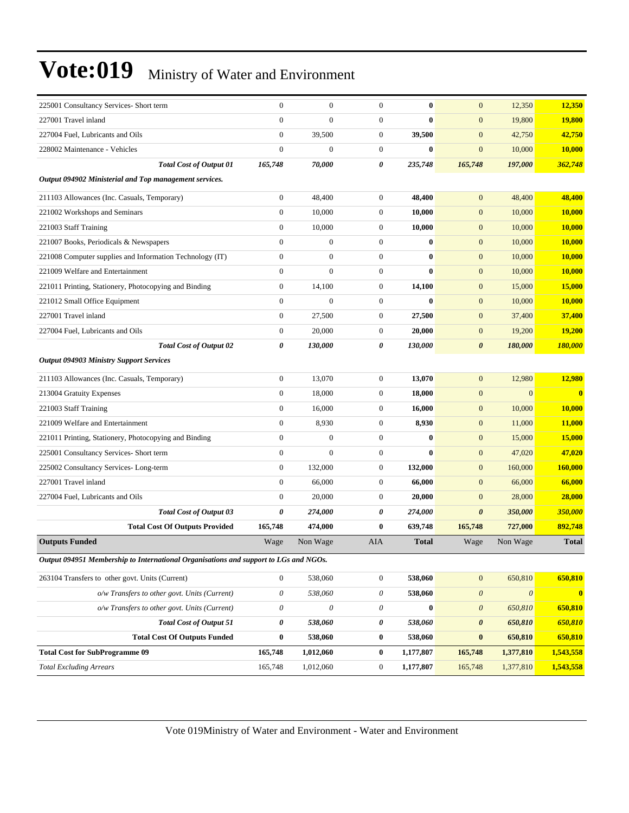| 225001 Consultancy Services- Short term                                              | $\boldsymbol{0}$          | $\boldsymbol{0}$          | $\boldsymbol{0}$      | $\bf{0}$     | $\mathbf{0}$          | 12,350                | 12,350         |
|--------------------------------------------------------------------------------------|---------------------------|---------------------------|-----------------------|--------------|-----------------------|-----------------------|----------------|
| 227001 Travel inland                                                                 | $\boldsymbol{0}$          | $\boldsymbol{0}$          | $\mathbf{0}$          | $\bf{0}$     | $\mathbf{0}$          | 19,800                | <b>19,800</b>  |
| 227004 Fuel, Lubricants and Oils                                                     | $\boldsymbol{0}$          | 39,500                    | $\mathbf{0}$          | 39,500       | $\mathbf{0}$          | 42,750                | 42,750         |
| 228002 Maintenance - Vehicles                                                        | $\overline{0}$            | $\boldsymbol{0}$          | $\mathbf{0}$          | $\bf{0}$     | $\mathbf{0}$          | 10,000                | 10,000         |
| <b>Total Cost of Output 01</b>                                                       | 165,748                   | 70,000                    | 0                     | 235,748      | 165,748               | 197,000               | 362,748        |
|                                                                                      |                           |                           |                       |              |                       |                       |                |
| Output 094902 Ministerial and Top management services.                               |                           |                           |                       |              |                       |                       |                |
| 211103 Allowances (Inc. Casuals, Temporary)                                          | $\boldsymbol{0}$          | 48,400                    | $\mathbf{0}$          | 48,400       | $\mathbf{0}$          | 48,400                | 48,400         |
| 221002 Workshops and Seminars                                                        | $\boldsymbol{0}$          | 10,000                    | $\mathbf{0}$          | 10,000       | $\mathbf{0}$          | 10,000                | 10,000         |
| 221003 Staff Training                                                                | $\boldsymbol{0}$          | 10,000                    | $\mathbf{0}$          | 10,000       | $\mathbf{0}$          | 10,000                | 10,000         |
| 221007 Books, Periodicals & Newspapers                                               | $\overline{0}$            | $\boldsymbol{0}$          | $\boldsymbol{0}$      | $\bf{0}$     | $\boldsymbol{0}$      | 10,000                | 10,000         |
| 221008 Computer supplies and Information Technology (IT)                             | $\boldsymbol{0}$          | $\boldsymbol{0}$          | $\mathbf{0}$          | $\bf{0}$     | $\mathbf{0}$          | 10,000                | 10,000         |
| 221009 Welfare and Entertainment                                                     | $\boldsymbol{0}$          | $\overline{0}$            | $\mathbf{0}$          | $\bf{0}$     | $\boldsymbol{0}$      | 10,000                | 10,000         |
| 221011 Printing, Stationery, Photocopying and Binding                                | $\mathbf{0}$              | 14,100                    | $\mathbf{0}$          | 14,100       | $\mathbf{0}$          | 15,000                | 15,000         |
| 221012 Small Office Equipment                                                        | $\boldsymbol{0}$          | $\overline{0}$            | $\mathbf{0}$          | $\bf{0}$     | $\mathbf{0}$          | 10,000                | 10,000         |
| 227001 Travel inland                                                                 | $\boldsymbol{0}$          | 27,500                    | $\boldsymbol{0}$      | 27,500       | $\boldsymbol{0}$      | 37,400                | 37,400         |
| 227004 Fuel, Lubricants and Oils                                                     | $\mathbf{0}$              | 20,000                    | $\boldsymbol{0}$      | 20,000       | $\mathbf{0}$          | 19,200                | 19,200         |
| <b>Total Cost of Output 02</b>                                                       | 0                         | 130,000                   | 0                     | 130,000      | $\boldsymbol{\theta}$ | 180,000               | <b>180,000</b> |
| <b>Output 094903 Ministry Support Services</b>                                       |                           |                           |                       |              |                       |                       |                |
| 211103 Allowances (Inc. Casuals, Temporary)                                          | $\mathbf{0}$              | 13,070                    | $\boldsymbol{0}$      | 13,070       | $\mathbf{0}$          | 12,980                | 12,980         |
| 213004 Gratuity Expenses                                                             | $\mathbf{0}$              | 18,000                    | $\mathbf{0}$          | 18,000       | $\mathbf{0}$          | $\mathbf{0}$          | $\bf{0}$       |
| 221003 Staff Training                                                                | $\boldsymbol{0}$          | 16,000                    | $\mathbf{0}$          | 16,000       | $\boldsymbol{0}$      | 10,000                | 10,000         |
| 221009 Welfare and Entertainment                                                     | $\mathbf{0}$              | 8,930                     | $\mathbf{0}$          | 8,930        | $\mathbf{0}$          | 11,000                | 11,000         |
| 221011 Printing, Stationery, Photocopying and Binding                                | $\boldsymbol{0}$          | $\boldsymbol{0}$          | $\mathbf{0}$          | $\bf{0}$     | $\mathbf{0}$          | 15,000                | 15,000         |
| 225001 Consultancy Services- Short term                                              | $\boldsymbol{0}$          | $\boldsymbol{0}$          | $\mathbf{0}$          | $\bf{0}$     | $\mathbf{0}$          | 47,020                | 47,020         |
| 225002 Consultancy Services-Long-term                                                | $\mathbf{0}$              | 132,000                   | $\mathbf{0}$          | 132,000      | $\mathbf{0}$          | 160,000               | 160,000        |
| 227001 Travel inland                                                                 | $\overline{0}$            | 66,000                    | $\mathbf{0}$          | 66,000       | $\mathbf{0}$          | 66,000                | 66,000         |
| 227004 Fuel, Lubricants and Oils                                                     | $\mathbf{0}$              | 20,000                    | $\mathbf{0}$          | 20,000       | $\mathbf{0}$          | 28,000                | 28,000         |
| <b>Total Cost of Output 03</b>                                                       | 0                         | 274,000                   | 0                     | 274,000      | $\boldsymbol{\theta}$ | 350,000               | 350,000        |
| <b>Total Cost Of Outputs Provided</b>                                                | 165,748                   | 474,000                   | $\bf{0}$              | 639,748      | 165,748               | 727,000               | 892,748        |
| <b>Outputs Funded</b>                                                                | Wage                      | Non Wage                  | <b>AIA</b>            | <b>Total</b> | Wage                  | Non Wage              | <b>Total</b>   |
| Output 094951 Membership to International Organisations and support to LGs and NGOs. |                           |                           |                       |              |                       |                       |                |
| 263104 Transfers to other govt. Units (Current)                                      | $\overline{0}$            | 538,060                   | $\boldsymbol{0}$      | 538,060      | $\mathbf{0}$          | 650,810               | 650,810        |
| o/w Transfers to other govt. Units (Current)                                         | $\boldsymbol{\mathit{0}}$ | 538,060                   | $\boldsymbol{\theta}$ | 538,060      | $\boldsymbol{\theta}$ | $\boldsymbol{\theta}$ | $\bf{0}$       |
| o/w Transfers to other govt. Units (Current)                                         | $\theta$                  | $\boldsymbol{\mathit{0}}$ | $\boldsymbol{\theta}$ | $\bf{0}$     | $\boldsymbol{\theta}$ | 650,810               | 650,810        |
| <b>Total Cost of Output 51</b>                                                       | 0                         | 538,060                   | 0                     | 538,060      | $\boldsymbol{\theta}$ | 650,810               | 650,810        |
| <b>Total Cost Of Outputs Funded</b>                                                  | $\bf{0}$                  | 538,060                   | $\bf{0}$              | 538,060      | $\bf{0}$              | 650,810               | 650,810        |
| <b>Total Cost for SubProgramme 09</b>                                                | 165,748                   | 1,012,060                 | $\bf{0}$              | 1,177,807    | 165,748               | 1,377,810             | 1,543,558      |
| <b>Total Excluding Arrears</b>                                                       | 165,748                   | 1,012,060                 | $\boldsymbol{0}$      | 1,177,807    | 165,748               | 1,377,810             | 1,543,558      |
|                                                                                      |                           |                           |                       |              |                       |                       |                |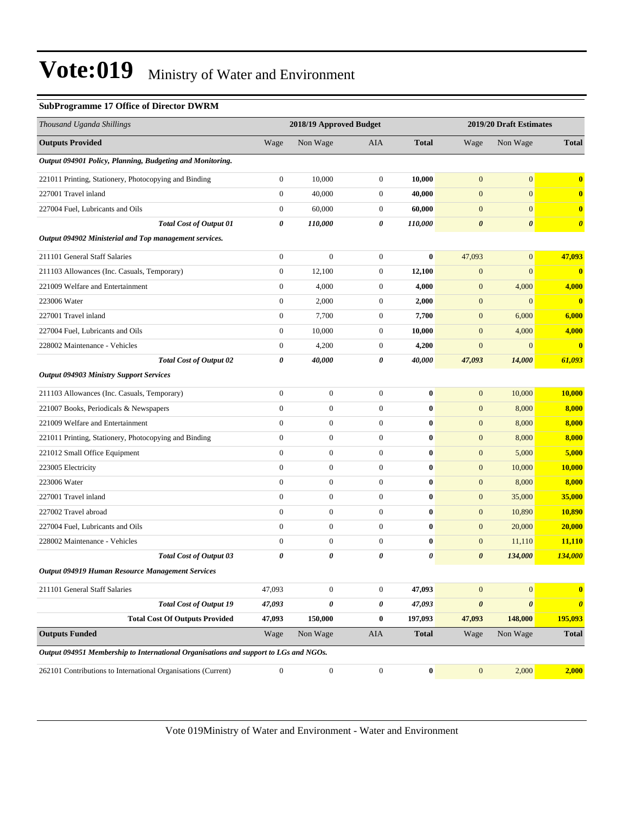#### **SubProgramme 17 Office of Director DWRM**

| Thousand Uganda Shillings                                                            |                  | 2018/19 Approved Budget |                  |              |                       | 2019/20 Draft Estimates |                       |
|--------------------------------------------------------------------------------------|------------------|-------------------------|------------------|--------------|-----------------------|-------------------------|-----------------------|
| <b>Outputs Provided</b>                                                              | Wage             | Non Wage                | AIA              | <b>Total</b> | Wage                  | Non Wage                | <b>Total</b>          |
| Output 094901 Policy, Planning, Budgeting and Monitoring.                            |                  |                         |                  |              |                       |                         |                       |
| 221011 Printing, Stationery, Photocopying and Binding                                | $\boldsymbol{0}$ | 10,000                  | $\boldsymbol{0}$ | 10,000       | $\boldsymbol{0}$      | $\mathbf{0}$            | $\bf{0}$              |
| 227001 Travel inland                                                                 | $\mathbf{0}$     | 40,000                  | $\boldsymbol{0}$ | 40,000       | $\mathbf{0}$          | $\mathbf{0}$            | $\bf{0}$              |
| 227004 Fuel, Lubricants and Oils                                                     | $\boldsymbol{0}$ | 60,000                  | $\boldsymbol{0}$ | 60,000       | $\mathbf{0}$          | $\mathbf{0}$            | $\bf{0}$              |
| <b>Total Cost of Output 01</b>                                                       | 0                | 110,000                 | 0                | 110,000      | $\pmb{\theta}$        | $\boldsymbol{\theta}$   | $\boldsymbol{\theta}$ |
| Output 094902 Ministerial and Top management services.                               |                  |                         |                  |              |                       |                         |                       |
| 211101 General Staff Salaries                                                        | $\boldsymbol{0}$ | $\boldsymbol{0}$        | $\boldsymbol{0}$ | $\bf{0}$     | 47,093                | $\mathbf{0}$            | 47,093                |
| 211103 Allowances (Inc. Casuals, Temporary)                                          | $\boldsymbol{0}$ | 12,100                  | $\boldsymbol{0}$ | 12,100       | $\boldsymbol{0}$      | $\mathbf{0}$            | $\boldsymbol{0}$      |
| 221009 Welfare and Entertainment                                                     | $\boldsymbol{0}$ | 4,000                   | $\boldsymbol{0}$ | 4,000        | $\boldsymbol{0}$      | 4,000                   | 4,000                 |
| 223006 Water                                                                         | $\boldsymbol{0}$ | 2,000                   | $\boldsymbol{0}$ | 2,000        | $\mathbf{0}$          | $\mathbf{0}$            | $\bf{0}$              |
| 227001 Travel inland                                                                 | $\boldsymbol{0}$ | 7,700                   | 0                | 7,700        | $\mathbf{0}$          | 6,000                   | 6,000                 |
| 227004 Fuel, Lubricants and Oils                                                     | $\boldsymbol{0}$ | 10.000                  | 0                | 10,000       | $\mathbf{0}$          | 4,000                   | 4,000                 |
| 228002 Maintenance - Vehicles                                                        | $\boldsymbol{0}$ | 4,200                   | $\boldsymbol{0}$ | 4,200        | $\boldsymbol{0}$      | $\mathbf{0}$            | $\bf{0}$              |
| <b>Total Cost of Output 02</b>                                                       | 0                | 40,000                  | 0                | 40,000       | 47,093                | 14,000                  | 61,093                |
| <b>Output 094903 Ministry Support Services</b>                                       |                  |                         |                  |              |                       |                         |                       |
| 211103 Allowances (Inc. Casuals, Temporary)                                          | $\boldsymbol{0}$ | $\boldsymbol{0}$        | $\boldsymbol{0}$ | $\bf{0}$     | $\mathbf{0}$          | 10,000                  | 10,000                |
| 221007 Books, Periodicals & Newspapers                                               | $\boldsymbol{0}$ | $\boldsymbol{0}$        | $\boldsymbol{0}$ | $\bf{0}$     | $\mathbf{0}$          | 8,000                   | 8,000                 |
| 221009 Welfare and Entertainment                                                     | $\boldsymbol{0}$ | $\boldsymbol{0}$        | $\boldsymbol{0}$ | $\bf{0}$     | $\mathbf{0}$          | 8,000                   | 8,000                 |
| 221011 Printing, Stationery, Photocopying and Binding                                | $\mathbf{0}$     | $\boldsymbol{0}$        | $\boldsymbol{0}$ | $\bf{0}$     | $\mathbf{0}$          | 8,000                   | 8,000                 |
| 221012 Small Office Equipment                                                        | $\overline{0}$   | $\boldsymbol{0}$        | $\boldsymbol{0}$ | $\bf{0}$     | $\boldsymbol{0}$      | 5,000                   | 5,000                 |
| 223005 Electricity                                                                   | $\overline{0}$   | $\boldsymbol{0}$        | $\boldsymbol{0}$ | $\bf{0}$     | $\boldsymbol{0}$      | 10,000                  | <b>10,000</b>         |
| 223006 Water                                                                         | $\boldsymbol{0}$ | $\boldsymbol{0}$        | $\boldsymbol{0}$ | $\bf{0}$     | $\mathbf{0}$          | 8,000                   | 8,000                 |
| 227001 Travel inland                                                                 | $\boldsymbol{0}$ | $\boldsymbol{0}$        | $\boldsymbol{0}$ | $\bf{0}$     | $\mathbf{0}$          | 35,000                  | 35,000                |
| 227002 Travel abroad                                                                 | $\mathbf{0}$     | $\boldsymbol{0}$        | $\boldsymbol{0}$ | $\bf{0}$     | $\mathbf{0}$          | 10,890                  | <b>10,890</b>         |
| 227004 Fuel, Lubricants and Oils                                                     | $\mathbf{0}$     | $\boldsymbol{0}$        | $\boldsymbol{0}$ | $\bf{0}$     | $\mathbf{0}$          | 20,000                  | 20,000                |
| 228002 Maintenance - Vehicles                                                        | $\overline{0}$   | $\boldsymbol{0}$        | $\boldsymbol{0}$ | $\bf{0}$     | $\boldsymbol{0}$      | 11,110                  | <b>11,110</b>         |
| <b>Total Cost of Output 03</b>                                                       | 0                | 0                       | 0                | 0            | $\boldsymbol{\theta}$ | 134,000                 | 134,000               |
| Output 094919 Human Resource Management Services                                     |                  |                         |                  |              |                       |                         |                       |
| 211101 General Staff Salaries                                                        | 47,093           | $\boldsymbol{0}$        | $\mathbf{0}$     | 47,093       | $\mathbf{0}$          | $\mathbf{0}$            | $\bf{0}$              |
| <b>Total Cost of Output 19</b>                                                       | 47,093           | 0                       | 0                | 47,093       | $\pmb{\theta}$        | $\boldsymbol{\theta}$   | $\boldsymbol{\theta}$ |
| <b>Total Cost Of Outputs Provided</b>                                                | 47,093           | 150,000                 | $\bf{0}$         | 197,093      | 47,093                | 148,000                 | 195,093               |
| <b>Outputs Funded</b>                                                                | Wage             | Non Wage                | AIA              | <b>Total</b> | Wage                  | Non Wage                | <b>Total</b>          |
| Output 094951 Membership to International Organisations and support to LGs and NGOs. |                  |                         |                  |              |                       |                         |                       |
| 262101 Contributions to International Organisations (Current)                        | $\boldsymbol{0}$ | $\boldsymbol{0}$        | $\boldsymbol{0}$ | $\bf{0}$     | $\boldsymbol{0}$      | 2,000                   | 2,000                 |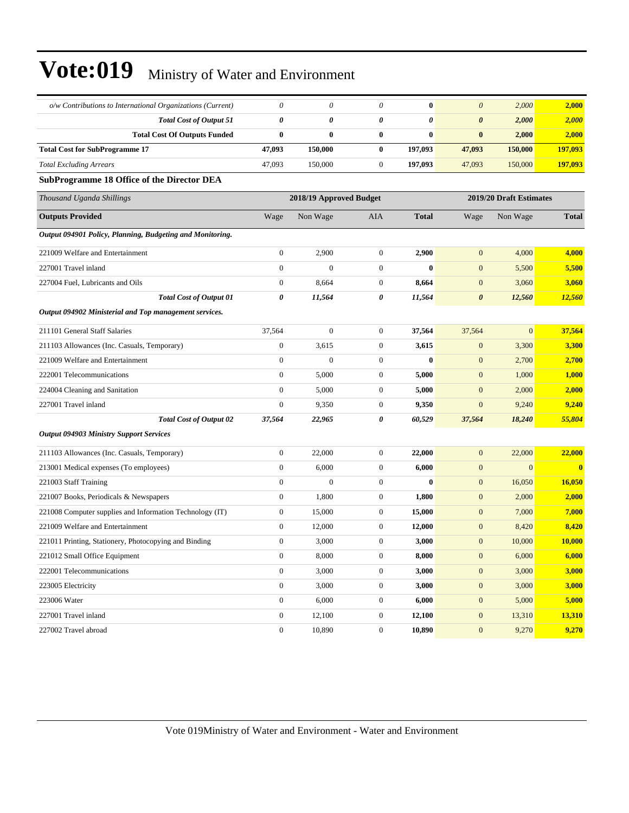| o/w Contributions to International Organizations (Current) | $\theta$              | 0                       | $\theta$              | $\bf{0}$              | $\boldsymbol{\theta}$ | 2,000                   | 2,000         |  |
|------------------------------------------------------------|-----------------------|-------------------------|-----------------------|-----------------------|-----------------------|-------------------------|---------------|--|
| <b>Total Cost of Output 51</b>                             | $\boldsymbol{\theta}$ | 0                       | 0                     | $\boldsymbol{\theta}$ | 0                     | 2,000                   | 2,000         |  |
| <b>Total Cost Of Outputs Funded</b>                        | $\bf{0}$              | $\bf{0}$                | $\bf{0}$              | $\bf{0}$              | $\bf{0}$              | 2,000                   | 2,000         |  |
| <b>Total Cost for SubProgramme 17</b>                      | 47,093                | 150,000                 | $\bf{0}$              | 197,093               | 47,093                | 150,000                 | 197,093       |  |
| <b>Total Excluding Arrears</b>                             | 47,093                | 150,000                 | $\boldsymbol{0}$      | 197,093               | 47,093                | 150,000                 | 197,093       |  |
| <b>SubProgramme 18 Office of the Director DEA</b>          |                       |                         |                       |                       |                       |                         |               |  |
| Thousand Uganda Shillings                                  |                       | 2018/19 Approved Budget |                       |                       |                       | 2019/20 Draft Estimates |               |  |
| <b>Outputs Provided</b>                                    | Wage                  | Non Wage                | AIA                   | <b>Total</b>          | Wage                  | Non Wage                | <b>Total</b>  |  |
| Output 094901 Policy, Planning, Budgeting and Monitoring.  |                       |                         |                       |                       |                       |                         |               |  |
| 221009 Welfare and Entertainment                           | $\boldsymbol{0}$      | 2,900                   | $\boldsymbol{0}$      | 2,900                 | $\mathbf{0}$          | 4,000                   | 4,000         |  |
| 227001 Travel inland                                       | $\mathbf{0}$          | $\mathbf{0}$            | $\boldsymbol{0}$      | $\bf{0}$              | $\boldsymbol{0}$      | 5,500                   | 5,500         |  |
| 227004 Fuel, Lubricants and Oils                           | $\boldsymbol{0}$      | 8,664                   | $\boldsymbol{0}$      | 8,664                 | $\boldsymbol{0}$      | 3,060                   | 3,060         |  |
| Total Cost of Output 01                                    | 0                     | 11,564                  | 0                     | 11,564                | $\boldsymbol{\theta}$ | 12,560                  | 12,560        |  |
| Output 094902 Ministerial and Top management services.     |                       |                         |                       |                       |                       |                         |               |  |
| 211101 General Staff Salaries                              | 37,564                | $\mathbf{0}$            | $\mathbf{0}$          | 37,564                | 37,564                | $\mathbf{0}$            | 37,564        |  |
| 211103 Allowances (Inc. Casuals, Temporary)                | $\boldsymbol{0}$      | 3,615                   | $\mathbf{0}$          | 3,615                 | $\mathbf{0}$          | 3,300                   | 3,300         |  |
| 221009 Welfare and Entertainment                           | $\boldsymbol{0}$      | $\mathbf{0}$            | $\mathbf{0}$          | $\bf{0}$              | $\mathbf{0}$          | 2,700                   | 2,700         |  |
| 222001 Telecommunications                                  | $\mathbf{0}$          | 5,000                   | $\mathbf{0}$          | 5,000                 | $\mathbf{0}$          | 1,000                   | 1,000         |  |
| 224004 Cleaning and Sanitation                             | $\boldsymbol{0}$      | 5,000                   | $\boldsymbol{0}$      | 5,000                 | $\mathbf{0}$          | 2,000                   | 2,000         |  |
| 227001 Travel inland                                       | $\boldsymbol{0}$      | 9,350                   | $\boldsymbol{0}$      | 9,350                 | $\mathbf{0}$          | 9,240                   | 9,240         |  |
| <b>Total Cost of Output 02</b>                             | 37,564                | 22,965                  | $\boldsymbol{\theta}$ | 60,529                | 37,564                | 18,240                  | 55,804        |  |
| <b>Output 094903 Ministry Support Services</b>             |                       |                         |                       |                       |                       |                         |               |  |
| 211103 Allowances (Inc. Casuals, Temporary)                | $\boldsymbol{0}$      | 22,000                  | $\boldsymbol{0}$      | 22,000                | $\mathbf{0}$          | 22,000                  | 22,000        |  |
| 213001 Medical expenses (To employees)                     | $\boldsymbol{0}$      | 6,000                   | $\boldsymbol{0}$      | 6,000                 | $\mathbf{0}$          | $\mathbf{0}$            | $\mathbf{0}$  |  |
| 221003 Staff Training                                      | $\boldsymbol{0}$      | $\mathbf{0}$            | $\mathbf{0}$          | $\bf{0}$              | $\mathbf{0}$          | 16,050                  | <b>16,050</b> |  |
| 221007 Books, Periodicals & Newspapers                     | $\boldsymbol{0}$      | 1,800                   | $\mathbf{0}$          | 1,800                 | $\boldsymbol{0}$      | 2,000                   | 2,000         |  |
| 221008 Computer supplies and Information Technology (IT)   | $\boldsymbol{0}$      | 15,000                  | $\boldsymbol{0}$      | 15,000                | $\mathbf{0}$          | 7,000                   | 7,000         |  |
| 221009 Welfare and Entertainment                           | $\boldsymbol{0}$      | 12,000                  | $\boldsymbol{0}$      | 12,000                | $\mathbf{0}$          | 8,420                   | 8,420         |  |
| 221011 Printing, Stationery, Photocopying and Binding      | $\boldsymbol{0}$      | 3,000                   | $\boldsymbol{0}$      | 3,000                 | $\boldsymbol{0}$      | 10,000                  | 10,000        |  |
| 221012 Small Office Equipment                              | $\boldsymbol{0}$      | 8,000                   | 0                     | 8,000                 | $\boldsymbol{0}$      | 6,000                   | 6.000         |  |
| 222001 Telecommunications                                  | $\boldsymbol{0}$      | 3,000                   | $\mathbf{0}$          | 3,000                 | $\mathbf{0}$          | 3,000                   | 3,000         |  |
| 223005 Electricity                                         | $\boldsymbol{0}$      | 3,000                   | $\boldsymbol{0}$      | 3,000                 | $\mathbf{0}$          | 3,000                   | 3,000         |  |
| 223006 Water                                               | $\boldsymbol{0}$      | 6,000                   | $\mathbf{0}$          | 6,000                 | $\mathbf{0}$          | 5,000                   | 5,000         |  |
| 227001 Travel inland                                       | $\boldsymbol{0}$      | 12,100                  | $\boldsymbol{0}$      | 12,100                | $\mathbf{0}$          | 13,310                  | 13,310        |  |
| 227002 Travel abroad                                       | $\boldsymbol{0}$      | 10,890                  | $\overline{0}$        | 10,890                | $\boldsymbol{0}$      | 9,270                   | 9,270         |  |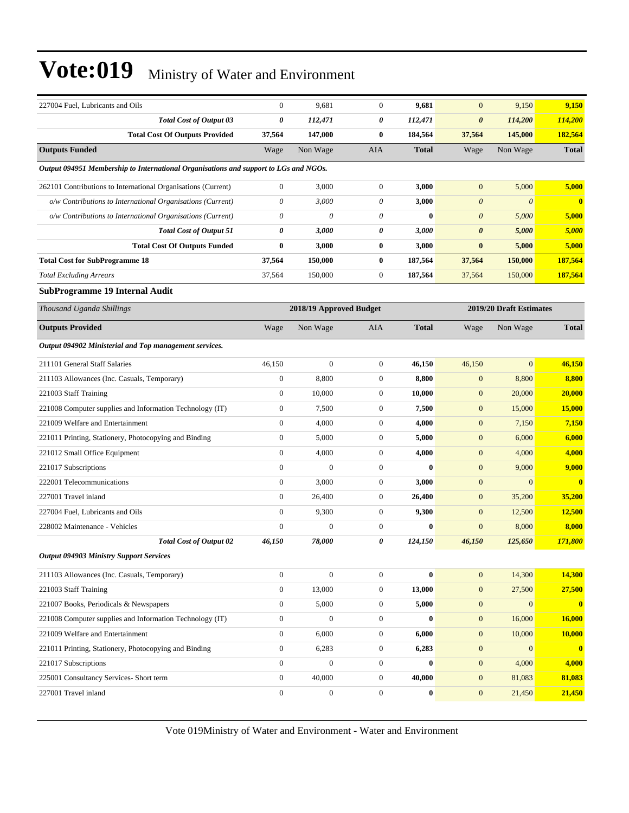| <b>Total Cost of Output 03</b><br>0<br>114,200<br>112,471<br>0<br>112,471<br>0<br>114,200<br><b>Total Cost Of Outputs Provided</b><br>147,000<br>$\bf{0}$<br>184,564<br>145,000<br>182,564<br>37,564<br>37,564<br><b>Outputs Funded</b><br>Wage<br>Non Wage<br><b>AIA</b><br><b>Total</b><br>Non Wage<br><b>Total</b><br>Wage<br>Output 094951 Membership to International Organisations and support to LGs and NGOs.<br>$\boldsymbol{0}$<br>3,000<br>$\mathbf{0}$<br>3,000<br>$\mathbf{0}$<br>5,000<br>5,000<br>262101 Contributions to International Organisations (Current)<br>o/w Contributions to International Organisations (Current)<br>0<br>3,000<br>$\theta$<br>$\boldsymbol{\theta}$<br>$\theta$<br>$\bf{0}$<br>3,000<br>$\theta$<br>o/w Contributions to International Organisations (Current)<br>0<br>$\theta$<br>$\bf{0}$<br>$\boldsymbol{\theta}$<br>5,000<br>5,000<br><b>Total Cost of Output 51</b><br>0<br>0<br>3,000<br>3,000<br>$\boldsymbol{\theta}$<br>5,000<br>5,000<br><b>Total Cost Of Outputs Funded</b><br>0<br>3,000<br>$\bf{0}$<br>3,000<br>$\bf{0}$<br>5,000<br>5,000<br><b>Total Cost for SubProgramme 18</b><br>37,564<br>150,000<br>$\bf{0}$<br>187,564<br>37,564<br>150,000<br>187,564<br><b>Total Excluding Arrears</b><br>150,000<br>$\mathbf{0}$<br>187,564<br>150,000<br>187,564<br>37,564<br>37,564<br><b>SubProgramme 19 Internal Audit</b><br>2019/20 Draft Estimates<br>Thousand Uganda Shillings<br>2018/19 Approved Budget<br><b>Outputs Provided</b><br>Non Wage<br><b>AIA</b><br><b>Total</b><br>Non Wage<br><b>Total</b><br>Wage<br>Wage<br>Output 094902 Ministerial and Top management services.<br>211101 General Staff Salaries<br>46,150<br>$\boldsymbol{0}$<br>$\boldsymbol{0}$<br>46,150<br>$\overline{0}$<br>46,150<br>46,150<br>$\boldsymbol{0}$<br>8,800<br>$\mathbf{0}$<br>8,800<br>8,800<br>211103 Allowances (Inc. Casuals, Temporary)<br>8,800<br>$\mathbf{0}$<br>221003 Staff Training<br>$\boldsymbol{0}$<br>10,000<br>$\mathbf{0}$<br>10,000<br>$\mathbf{0}$<br>20,000<br>20,000<br>$\overline{0}$<br>$\mathbf{0}$<br>221008 Computer supplies and Information Technology (IT)<br>7,500<br>7,500<br>$\mathbf{0}$<br>15,000<br><b>15,000</b><br>221009 Welfare and Entertainment<br>$\boldsymbol{0}$<br>4,000<br>$\mathbf{0}$<br>4,000<br>$\mathbf{0}$<br>7,150<br>7,150<br>$\boldsymbol{0}$<br>5,000<br>$\mathbf{0}$<br>5,000<br>221011 Printing, Stationery, Photocopying and Binding<br>$\mathbf{0}$<br>6,000<br>6,000<br>$\boldsymbol{0}$<br>$\mathbf{0}$<br>4,000<br>221012 Small Office Equipment<br>4,000<br>4,000<br>$\mathbf{0}$<br>4,000<br>$\boldsymbol{0}$<br>$\mathbf{0}$<br>$\mathbf{0}$<br>$\bf{0}$<br>$\mathbf{0}$<br>9,000<br>9,000<br>221017 Subscriptions<br>$\overline{0}$<br>3,000<br>$\mathbf{0}$<br>3,000<br>$\mathbf{0}$<br>222001 Telecommunications<br>$\mathbf{0}$<br>$\bf{0}$<br>$\boldsymbol{0}$<br>$\mathbf{0}$<br>26,400<br>$\mathbf{0}$<br>35,200<br>227001 Travel inland<br>26,400<br>35,200<br>$\overline{0}$<br>9,300<br>$\mathbf{0}$<br>9,300<br>227004 Fuel, Lubricants and Oils<br>$\mathbf{0}$<br>12,500<br>12,500<br>$\boldsymbol{0}$<br>$\mathbf{0}$<br>8,000<br>228002 Maintenance - Vehicles<br>$\boldsymbol{0}$<br>$\bf{0}$<br>$\boldsymbol{0}$<br>8,000<br><b>Total Cost of Output 02</b><br>0<br>171,800<br>46.150<br>78,000<br>124,150<br>46,150<br>125,650<br><b>Output 094903 Ministry Support Services</b><br>$\boldsymbol{0}$<br>$\boldsymbol{0}$<br>14,300<br>$\overline{0}$<br>$\bf{0}$<br>$\mathbf{0}$<br>14,300<br>211103 Allowances (Inc. Casuals, Temporary)<br>221003 Staff Training<br>$\boldsymbol{0}$<br>13,000<br>27,500<br>27,500<br>$\mathbf{0}$<br>13,000<br>$\mathbf{0}$<br>$\overline{0}$<br>$\bf{0}$<br>221007 Books, Periodicals & Newspapers<br>5,000<br>$\boldsymbol{0}$<br>5,000<br>$\boldsymbol{0}$<br>$\mathbf{0}$<br>$\boldsymbol{0}$<br>221008 Computer supplies and Information Technology (IT)<br>$\boldsymbol{0}$<br>$\boldsymbol{0}$<br>$\bf{0}$<br>$\mathbf{0}$<br>16,000<br>16,000<br>221009 Welfare and Entertainment<br>6,000<br>10,000<br>$\boldsymbol{0}$<br>$\boldsymbol{0}$<br>6,000<br>$\mathbf{0}$<br>10,000<br>221011 Printing, Stationery, Photocopying and Binding<br>$\boldsymbol{0}$<br>6,283<br>$\boldsymbol{0}$<br>6,283<br>$\mathbf{0}$<br>$\mathbf{0}$<br>$\boldsymbol{0}$<br>221017 Subscriptions<br>$\overline{0}$<br>$\mathbf{0}$<br>$\mathbf{0}$<br>$\mathbf{0}$<br>4,000<br>4,000<br>$\overline{0}$<br>$\mathbf{0}$<br>225001 Consultancy Services- Short term<br>40,000<br>40,000<br>$\mathbf{0}$<br>81,083<br>81,083<br>227001 Travel inland<br>$\boldsymbol{0}$<br>$\boldsymbol{0}$<br>$\boldsymbol{0}$<br>$\bf{0}$<br>$\boldsymbol{0}$<br>21,450<br>21,450 | 227004 Fuel. Lubricants and Oils | $\boldsymbol{0}$ | 9,681 | $\boldsymbol{0}$ | 9,681 | $\mathbf{0}$ | 9,150 | 9,150 |
|---------------------------------------------------------------------------------------------------------------------------------------------------------------------------------------------------------------------------------------------------------------------------------------------------------------------------------------------------------------------------------------------------------------------------------------------------------------------------------------------------------------------------------------------------------------------------------------------------------------------------------------------------------------------------------------------------------------------------------------------------------------------------------------------------------------------------------------------------------------------------------------------------------------------------------------------------------------------------------------------------------------------------------------------------------------------------------------------------------------------------------------------------------------------------------------------------------------------------------------------------------------------------------------------------------------------------------------------------------------------------------------------------------------------------------------------------------------------------------------------------------------------------------------------------------------------------------------------------------------------------------------------------------------------------------------------------------------------------------------------------------------------------------------------------------------------------------------------------------------------------------------------------------------------------------------------------------------------------------------------------------------------------------------------------------------------------------------------------------------------------------------------------------------------------------------------------------------------------------------------------------------------------------------------------------------------------------------------------------------------------------------------------------------------------------------------------------------------------------------------------------------------------------------------------------------------------------------------------------------------------------------------------------------------------------------------------------------------------------------------------------------------------------------------------------------------------------------------------------------------------------------------------------------------------------------------------------------------------------------------------------------------------------------------------------------------------------------------------------------------------------------------------------------------------------------------------------------------------------------------------------------------------------------------------------------------------------------------------------------------------------------------------------------------------------------------------------------------------------------------------------------------------------------------------------------------------------------------------------------------------------------------------------------------------------------------------------------------------------------------------------------------------------------------------------------------------------------------------------------------------------------------------------------------------------------------------------------------------------------------------------------------------------------------------------------------------------------------------------------------------------------------------------------------------------------------------------------------------------------------------------------------------------------------------------------------------------------------------------------------------------------------------------------------------------------------------------------------------------------------------------------------------------------------------------------------------------------------------------------------------------------------------------------------------------------------------------------------------------------|----------------------------------|------------------|-------|------------------|-------|--------------|-------|-------|
|                                                                                                                                                                                                                                                                                                                                                                                                                                                                                                                                                                                                                                                                                                                                                                                                                                                                                                                                                                                                                                                                                                                                                                                                                                                                                                                                                                                                                                                                                                                                                                                                                                                                                                                                                                                                                                                                                                                                                                                                                                                                                                                                                                                                                                                                                                                                                                                                                                                                                                                                                                                                                                                                                                                                                                                                                                                                                                                                                                                                                                                                                                                                                                                                                                                                                                                                                                                                                                                                                                                                                                                                                                                                                                                                                                                                                                                                                                                                                                                                                                                                                                                                                                                                                                                                                                                                                                                                                                                                                                                                                                                                                                                                                                                                       |                                  |                  |       |                  |       |              |       |       |
| $\bullet$                                                                                                                                                                                                                                                                                                                                                                                                                                                                                                                                                                                                                                                                                                                                                                                                                                                                                                                                                                                                                                                                                                                                                                                                                                                                                                                                                                                                                                                                                                                                                                                                                                                                                                                                                                                                                                                                                                                                                                                                                                                                                                                                                                                                                                                                                                                                                                                                                                                                                                                                                                                                                                                                                                                                                                                                                                                                                                                                                                                                                                                                                                                                                                                                                                                                                                                                                                                                                                                                                                                                                                                                                                                                                                                                                                                                                                                                                                                                                                                                                                                                                                                                                                                                                                                                                                                                                                                                                                                                                                                                                                                                                                                                                                                             |                                  |                  |       |                  |       |              |       |       |
|                                                                                                                                                                                                                                                                                                                                                                                                                                                                                                                                                                                                                                                                                                                                                                                                                                                                                                                                                                                                                                                                                                                                                                                                                                                                                                                                                                                                                                                                                                                                                                                                                                                                                                                                                                                                                                                                                                                                                                                                                                                                                                                                                                                                                                                                                                                                                                                                                                                                                                                                                                                                                                                                                                                                                                                                                                                                                                                                                                                                                                                                                                                                                                                                                                                                                                                                                                                                                                                                                                                                                                                                                                                                                                                                                                                                                                                                                                                                                                                                                                                                                                                                                                                                                                                                                                                                                                                                                                                                                                                                                                                                                                                                                                                                       |                                  |                  |       |                  |       |              |       |       |
|                                                                                                                                                                                                                                                                                                                                                                                                                                                                                                                                                                                                                                                                                                                                                                                                                                                                                                                                                                                                                                                                                                                                                                                                                                                                                                                                                                                                                                                                                                                                                                                                                                                                                                                                                                                                                                                                                                                                                                                                                                                                                                                                                                                                                                                                                                                                                                                                                                                                                                                                                                                                                                                                                                                                                                                                                                                                                                                                                                                                                                                                                                                                                                                                                                                                                                                                                                                                                                                                                                                                                                                                                                                                                                                                                                                                                                                                                                                                                                                                                                                                                                                                                                                                                                                                                                                                                                                                                                                                                                                                                                                                                                                                                                                                       |                                  |                  |       |                  |       |              |       |       |
|                                                                                                                                                                                                                                                                                                                                                                                                                                                                                                                                                                                                                                                                                                                                                                                                                                                                                                                                                                                                                                                                                                                                                                                                                                                                                                                                                                                                                                                                                                                                                                                                                                                                                                                                                                                                                                                                                                                                                                                                                                                                                                                                                                                                                                                                                                                                                                                                                                                                                                                                                                                                                                                                                                                                                                                                                                                                                                                                                                                                                                                                                                                                                                                                                                                                                                                                                                                                                                                                                                                                                                                                                                                                                                                                                                                                                                                                                                                                                                                                                                                                                                                                                                                                                                                                                                                                                                                                                                                                                                                                                                                                                                                                                                                                       |                                  |                  |       |                  |       |              |       |       |
|                                                                                                                                                                                                                                                                                                                                                                                                                                                                                                                                                                                                                                                                                                                                                                                                                                                                                                                                                                                                                                                                                                                                                                                                                                                                                                                                                                                                                                                                                                                                                                                                                                                                                                                                                                                                                                                                                                                                                                                                                                                                                                                                                                                                                                                                                                                                                                                                                                                                                                                                                                                                                                                                                                                                                                                                                                                                                                                                                                                                                                                                                                                                                                                                                                                                                                                                                                                                                                                                                                                                                                                                                                                                                                                                                                                                                                                                                                                                                                                                                                                                                                                                                                                                                                                                                                                                                                                                                                                                                                                                                                                                                                                                                                                                       |                                  |                  |       |                  |       |              |       |       |
|                                                                                                                                                                                                                                                                                                                                                                                                                                                                                                                                                                                                                                                                                                                                                                                                                                                                                                                                                                                                                                                                                                                                                                                                                                                                                                                                                                                                                                                                                                                                                                                                                                                                                                                                                                                                                                                                                                                                                                                                                                                                                                                                                                                                                                                                                                                                                                                                                                                                                                                                                                                                                                                                                                                                                                                                                                                                                                                                                                                                                                                                                                                                                                                                                                                                                                                                                                                                                                                                                                                                                                                                                                                                                                                                                                                                                                                                                                                                                                                                                                                                                                                                                                                                                                                                                                                                                                                                                                                                                                                                                                                                                                                                                                                                       |                                  |                  |       |                  |       |              |       |       |
|                                                                                                                                                                                                                                                                                                                                                                                                                                                                                                                                                                                                                                                                                                                                                                                                                                                                                                                                                                                                                                                                                                                                                                                                                                                                                                                                                                                                                                                                                                                                                                                                                                                                                                                                                                                                                                                                                                                                                                                                                                                                                                                                                                                                                                                                                                                                                                                                                                                                                                                                                                                                                                                                                                                                                                                                                                                                                                                                                                                                                                                                                                                                                                                                                                                                                                                                                                                                                                                                                                                                                                                                                                                                                                                                                                                                                                                                                                                                                                                                                                                                                                                                                                                                                                                                                                                                                                                                                                                                                                                                                                                                                                                                                                                                       |                                  |                  |       |                  |       |              |       |       |
|                                                                                                                                                                                                                                                                                                                                                                                                                                                                                                                                                                                                                                                                                                                                                                                                                                                                                                                                                                                                                                                                                                                                                                                                                                                                                                                                                                                                                                                                                                                                                                                                                                                                                                                                                                                                                                                                                                                                                                                                                                                                                                                                                                                                                                                                                                                                                                                                                                                                                                                                                                                                                                                                                                                                                                                                                                                                                                                                                                                                                                                                                                                                                                                                                                                                                                                                                                                                                                                                                                                                                                                                                                                                                                                                                                                                                                                                                                                                                                                                                                                                                                                                                                                                                                                                                                                                                                                                                                                                                                                                                                                                                                                                                                                                       |                                  |                  |       |                  |       |              |       |       |
|                                                                                                                                                                                                                                                                                                                                                                                                                                                                                                                                                                                                                                                                                                                                                                                                                                                                                                                                                                                                                                                                                                                                                                                                                                                                                                                                                                                                                                                                                                                                                                                                                                                                                                                                                                                                                                                                                                                                                                                                                                                                                                                                                                                                                                                                                                                                                                                                                                                                                                                                                                                                                                                                                                                                                                                                                                                                                                                                                                                                                                                                                                                                                                                                                                                                                                                                                                                                                                                                                                                                                                                                                                                                                                                                                                                                                                                                                                                                                                                                                                                                                                                                                                                                                                                                                                                                                                                                                                                                                                                                                                                                                                                                                                                                       |                                  |                  |       |                  |       |              |       |       |
|                                                                                                                                                                                                                                                                                                                                                                                                                                                                                                                                                                                                                                                                                                                                                                                                                                                                                                                                                                                                                                                                                                                                                                                                                                                                                                                                                                                                                                                                                                                                                                                                                                                                                                                                                                                                                                                                                                                                                                                                                                                                                                                                                                                                                                                                                                                                                                                                                                                                                                                                                                                                                                                                                                                                                                                                                                                                                                                                                                                                                                                                                                                                                                                                                                                                                                                                                                                                                                                                                                                                                                                                                                                                                                                                                                                                                                                                                                                                                                                                                                                                                                                                                                                                                                                                                                                                                                                                                                                                                                                                                                                                                                                                                                                                       |                                  |                  |       |                  |       |              |       |       |
|                                                                                                                                                                                                                                                                                                                                                                                                                                                                                                                                                                                                                                                                                                                                                                                                                                                                                                                                                                                                                                                                                                                                                                                                                                                                                                                                                                                                                                                                                                                                                                                                                                                                                                                                                                                                                                                                                                                                                                                                                                                                                                                                                                                                                                                                                                                                                                                                                                                                                                                                                                                                                                                                                                                                                                                                                                                                                                                                                                                                                                                                                                                                                                                                                                                                                                                                                                                                                                                                                                                                                                                                                                                                                                                                                                                                                                                                                                                                                                                                                                                                                                                                                                                                                                                                                                                                                                                                                                                                                                                                                                                                                                                                                                                                       |                                  |                  |       |                  |       |              |       |       |
|                                                                                                                                                                                                                                                                                                                                                                                                                                                                                                                                                                                                                                                                                                                                                                                                                                                                                                                                                                                                                                                                                                                                                                                                                                                                                                                                                                                                                                                                                                                                                                                                                                                                                                                                                                                                                                                                                                                                                                                                                                                                                                                                                                                                                                                                                                                                                                                                                                                                                                                                                                                                                                                                                                                                                                                                                                                                                                                                                                                                                                                                                                                                                                                                                                                                                                                                                                                                                                                                                                                                                                                                                                                                                                                                                                                                                                                                                                                                                                                                                                                                                                                                                                                                                                                                                                                                                                                                                                                                                                                                                                                                                                                                                                                                       |                                  |                  |       |                  |       |              |       |       |
|                                                                                                                                                                                                                                                                                                                                                                                                                                                                                                                                                                                                                                                                                                                                                                                                                                                                                                                                                                                                                                                                                                                                                                                                                                                                                                                                                                                                                                                                                                                                                                                                                                                                                                                                                                                                                                                                                                                                                                                                                                                                                                                                                                                                                                                                                                                                                                                                                                                                                                                                                                                                                                                                                                                                                                                                                                                                                                                                                                                                                                                                                                                                                                                                                                                                                                                                                                                                                                                                                                                                                                                                                                                                                                                                                                                                                                                                                                                                                                                                                                                                                                                                                                                                                                                                                                                                                                                                                                                                                                                                                                                                                                                                                                                                       |                                  |                  |       |                  |       |              |       |       |
|                                                                                                                                                                                                                                                                                                                                                                                                                                                                                                                                                                                                                                                                                                                                                                                                                                                                                                                                                                                                                                                                                                                                                                                                                                                                                                                                                                                                                                                                                                                                                                                                                                                                                                                                                                                                                                                                                                                                                                                                                                                                                                                                                                                                                                                                                                                                                                                                                                                                                                                                                                                                                                                                                                                                                                                                                                                                                                                                                                                                                                                                                                                                                                                                                                                                                                                                                                                                                                                                                                                                                                                                                                                                                                                                                                                                                                                                                                                                                                                                                                                                                                                                                                                                                                                                                                                                                                                                                                                                                                                                                                                                                                                                                                                                       |                                  |                  |       |                  |       |              |       |       |
|                                                                                                                                                                                                                                                                                                                                                                                                                                                                                                                                                                                                                                                                                                                                                                                                                                                                                                                                                                                                                                                                                                                                                                                                                                                                                                                                                                                                                                                                                                                                                                                                                                                                                                                                                                                                                                                                                                                                                                                                                                                                                                                                                                                                                                                                                                                                                                                                                                                                                                                                                                                                                                                                                                                                                                                                                                                                                                                                                                                                                                                                                                                                                                                                                                                                                                                                                                                                                                                                                                                                                                                                                                                                                                                                                                                                                                                                                                                                                                                                                                                                                                                                                                                                                                                                                                                                                                                                                                                                                                                                                                                                                                                                                                                                       |                                  |                  |       |                  |       |              |       |       |
|                                                                                                                                                                                                                                                                                                                                                                                                                                                                                                                                                                                                                                                                                                                                                                                                                                                                                                                                                                                                                                                                                                                                                                                                                                                                                                                                                                                                                                                                                                                                                                                                                                                                                                                                                                                                                                                                                                                                                                                                                                                                                                                                                                                                                                                                                                                                                                                                                                                                                                                                                                                                                                                                                                                                                                                                                                                                                                                                                                                                                                                                                                                                                                                                                                                                                                                                                                                                                                                                                                                                                                                                                                                                                                                                                                                                                                                                                                                                                                                                                                                                                                                                                                                                                                                                                                                                                                                                                                                                                                                                                                                                                                                                                                                                       |                                  |                  |       |                  |       |              |       |       |
|                                                                                                                                                                                                                                                                                                                                                                                                                                                                                                                                                                                                                                                                                                                                                                                                                                                                                                                                                                                                                                                                                                                                                                                                                                                                                                                                                                                                                                                                                                                                                                                                                                                                                                                                                                                                                                                                                                                                                                                                                                                                                                                                                                                                                                                                                                                                                                                                                                                                                                                                                                                                                                                                                                                                                                                                                                                                                                                                                                                                                                                                                                                                                                                                                                                                                                                                                                                                                                                                                                                                                                                                                                                                                                                                                                                                                                                                                                                                                                                                                                                                                                                                                                                                                                                                                                                                                                                                                                                                                                                                                                                                                                                                                                                                       |                                  |                  |       |                  |       |              |       |       |
|                                                                                                                                                                                                                                                                                                                                                                                                                                                                                                                                                                                                                                                                                                                                                                                                                                                                                                                                                                                                                                                                                                                                                                                                                                                                                                                                                                                                                                                                                                                                                                                                                                                                                                                                                                                                                                                                                                                                                                                                                                                                                                                                                                                                                                                                                                                                                                                                                                                                                                                                                                                                                                                                                                                                                                                                                                                                                                                                                                                                                                                                                                                                                                                                                                                                                                                                                                                                                                                                                                                                                                                                                                                                                                                                                                                                                                                                                                                                                                                                                                                                                                                                                                                                                                                                                                                                                                                                                                                                                                                                                                                                                                                                                                                                       |                                  |                  |       |                  |       |              |       |       |
|                                                                                                                                                                                                                                                                                                                                                                                                                                                                                                                                                                                                                                                                                                                                                                                                                                                                                                                                                                                                                                                                                                                                                                                                                                                                                                                                                                                                                                                                                                                                                                                                                                                                                                                                                                                                                                                                                                                                                                                                                                                                                                                                                                                                                                                                                                                                                                                                                                                                                                                                                                                                                                                                                                                                                                                                                                                                                                                                                                                                                                                                                                                                                                                                                                                                                                                                                                                                                                                                                                                                                                                                                                                                                                                                                                                                                                                                                                                                                                                                                                                                                                                                                                                                                                                                                                                                                                                                                                                                                                                                                                                                                                                                                                                                       |                                  |                  |       |                  |       |              |       |       |
|                                                                                                                                                                                                                                                                                                                                                                                                                                                                                                                                                                                                                                                                                                                                                                                                                                                                                                                                                                                                                                                                                                                                                                                                                                                                                                                                                                                                                                                                                                                                                                                                                                                                                                                                                                                                                                                                                                                                                                                                                                                                                                                                                                                                                                                                                                                                                                                                                                                                                                                                                                                                                                                                                                                                                                                                                                                                                                                                                                                                                                                                                                                                                                                                                                                                                                                                                                                                                                                                                                                                                                                                                                                                                                                                                                                                                                                                                                                                                                                                                                                                                                                                                                                                                                                                                                                                                                                                                                                                                                                                                                                                                                                                                                                                       |                                  |                  |       |                  |       |              |       |       |
|                                                                                                                                                                                                                                                                                                                                                                                                                                                                                                                                                                                                                                                                                                                                                                                                                                                                                                                                                                                                                                                                                                                                                                                                                                                                                                                                                                                                                                                                                                                                                                                                                                                                                                                                                                                                                                                                                                                                                                                                                                                                                                                                                                                                                                                                                                                                                                                                                                                                                                                                                                                                                                                                                                                                                                                                                                                                                                                                                                                                                                                                                                                                                                                                                                                                                                                                                                                                                                                                                                                                                                                                                                                                                                                                                                                                                                                                                                                                                                                                                                                                                                                                                                                                                                                                                                                                                                                                                                                                                                                                                                                                                                                                                                                                       |                                  |                  |       |                  |       |              |       |       |
|                                                                                                                                                                                                                                                                                                                                                                                                                                                                                                                                                                                                                                                                                                                                                                                                                                                                                                                                                                                                                                                                                                                                                                                                                                                                                                                                                                                                                                                                                                                                                                                                                                                                                                                                                                                                                                                                                                                                                                                                                                                                                                                                                                                                                                                                                                                                                                                                                                                                                                                                                                                                                                                                                                                                                                                                                                                                                                                                                                                                                                                                                                                                                                                                                                                                                                                                                                                                                                                                                                                                                                                                                                                                                                                                                                                                                                                                                                                                                                                                                                                                                                                                                                                                                                                                                                                                                                                                                                                                                                                                                                                                                                                                                                                                       |                                  |                  |       |                  |       |              |       |       |
|                                                                                                                                                                                                                                                                                                                                                                                                                                                                                                                                                                                                                                                                                                                                                                                                                                                                                                                                                                                                                                                                                                                                                                                                                                                                                                                                                                                                                                                                                                                                                                                                                                                                                                                                                                                                                                                                                                                                                                                                                                                                                                                                                                                                                                                                                                                                                                                                                                                                                                                                                                                                                                                                                                                                                                                                                                                                                                                                                                                                                                                                                                                                                                                                                                                                                                                                                                                                                                                                                                                                                                                                                                                                                                                                                                                                                                                                                                                                                                                                                                                                                                                                                                                                                                                                                                                                                                                                                                                                                                                                                                                                                                                                                                                                       |                                  |                  |       |                  |       |              |       |       |
|                                                                                                                                                                                                                                                                                                                                                                                                                                                                                                                                                                                                                                                                                                                                                                                                                                                                                                                                                                                                                                                                                                                                                                                                                                                                                                                                                                                                                                                                                                                                                                                                                                                                                                                                                                                                                                                                                                                                                                                                                                                                                                                                                                                                                                                                                                                                                                                                                                                                                                                                                                                                                                                                                                                                                                                                                                                                                                                                                                                                                                                                                                                                                                                                                                                                                                                                                                                                                                                                                                                                                                                                                                                                                                                                                                                                                                                                                                                                                                                                                                                                                                                                                                                                                                                                                                                                                                                                                                                                                                                                                                                                                                                                                                                                       |                                  |                  |       |                  |       |              |       |       |
|                                                                                                                                                                                                                                                                                                                                                                                                                                                                                                                                                                                                                                                                                                                                                                                                                                                                                                                                                                                                                                                                                                                                                                                                                                                                                                                                                                                                                                                                                                                                                                                                                                                                                                                                                                                                                                                                                                                                                                                                                                                                                                                                                                                                                                                                                                                                                                                                                                                                                                                                                                                                                                                                                                                                                                                                                                                                                                                                                                                                                                                                                                                                                                                                                                                                                                                                                                                                                                                                                                                                                                                                                                                                                                                                                                                                                                                                                                                                                                                                                                                                                                                                                                                                                                                                                                                                                                                                                                                                                                                                                                                                                                                                                                                                       |                                  |                  |       |                  |       |              |       |       |
|                                                                                                                                                                                                                                                                                                                                                                                                                                                                                                                                                                                                                                                                                                                                                                                                                                                                                                                                                                                                                                                                                                                                                                                                                                                                                                                                                                                                                                                                                                                                                                                                                                                                                                                                                                                                                                                                                                                                                                                                                                                                                                                                                                                                                                                                                                                                                                                                                                                                                                                                                                                                                                                                                                                                                                                                                                                                                                                                                                                                                                                                                                                                                                                                                                                                                                                                                                                                                                                                                                                                                                                                                                                                                                                                                                                                                                                                                                                                                                                                                                                                                                                                                                                                                                                                                                                                                                                                                                                                                                                                                                                                                                                                                                                                       |                                  |                  |       |                  |       |              |       |       |
|                                                                                                                                                                                                                                                                                                                                                                                                                                                                                                                                                                                                                                                                                                                                                                                                                                                                                                                                                                                                                                                                                                                                                                                                                                                                                                                                                                                                                                                                                                                                                                                                                                                                                                                                                                                                                                                                                                                                                                                                                                                                                                                                                                                                                                                                                                                                                                                                                                                                                                                                                                                                                                                                                                                                                                                                                                                                                                                                                                                                                                                                                                                                                                                                                                                                                                                                                                                                                                                                                                                                                                                                                                                                                                                                                                                                                                                                                                                                                                                                                                                                                                                                                                                                                                                                                                                                                                                                                                                                                                                                                                                                                                                                                                                                       |                                  |                  |       |                  |       |              |       |       |
|                                                                                                                                                                                                                                                                                                                                                                                                                                                                                                                                                                                                                                                                                                                                                                                                                                                                                                                                                                                                                                                                                                                                                                                                                                                                                                                                                                                                                                                                                                                                                                                                                                                                                                                                                                                                                                                                                                                                                                                                                                                                                                                                                                                                                                                                                                                                                                                                                                                                                                                                                                                                                                                                                                                                                                                                                                                                                                                                                                                                                                                                                                                                                                                                                                                                                                                                                                                                                                                                                                                                                                                                                                                                                                                                                                                                                                                                                                                                                                                                                                                                                                                                                                                                                                                                                                                                                                                                                                                                                                                                                                                                                                                                                                                                       |                                  |                  |       |                  |       |              |       |       |
|                                                                                                                                                                                                                                                                                                                                                                                                                                                                                                                                                                                                                                                                                                                                                                                                                                                                                                                                                                                                                                                                                                                                                                                                                                                                                                                                                                                                                                                                                                                                                                                                                                                                                                                                                                                                                                                                                                                                                                                                                                                                                                                                                                                                                                                                                                                                                                                                                                                                                                                                                                                                                                                                                                                                                                                                                                                                                                                                                                                                                                                                                                                                                                                                                                                                                                                                                                                                                                                                                                                                                                                                                                                                                                                                                                                                                                                                                                                                                                                                                                                                                                                                                                                                                                                                                                                                                                                                                                                                                                                                                                                                                                                                                                                                       |                                  |                  |       |                  |       |              |       |       |
|                                                                                                                                                                                                                                                                                                                                                                                                                                                                                                                                                                                                                                                                                                                                                                                                                                                                                                                                                                                                                                                                                                                                                                                                                                                                                                                                                                                                                                                                                                                                                                                                                                                                                                                                                                                                                                                                                                                                                                                                                                                                                                                                                                                                                                                                                                                                                                                                                                                                                                                                                                                                                                                                                                                                                                                                                                                                                                                                                                                                                                                                                                                                                                                                                                                                                                                                                                                                                                                                                                                                                                                                                                                                                                                                                                                                                                                                                                                                                                                                                                                                                                                                                                                                                                                                                                                                                                                                                                                                                                                                                                                                                                                                                                                                       |                                  |                  |       |                  |       |              |       |       |
|                                                                                                                                                                                                                                                                                                                                                                                                                                                                                                                                                                                                                                                                                                                                                                                                                                                                                                                                                                                                                                                                                                                                                                                                                                                                                                                                                                                                                                                                                                                                                                                                                                                                                                                                                                                                                                                                                                                                                                                                                                                                                                                                                                                                                                                                                                                                                                                                                                                                                                                                                                                                                                                                                                                                                                                                                                                                                                                                                                                                                                                                                                                                                                                                                                                                                                                                                                                                                                                                                                                                                                                                                                                                                                                                                                                                                                                                                                                                                                                                                                                                                                                                                                                                                                                                                                                                                                                                                                                                                                                                                                                                                                                                                                                                       |                                  |                  |       |                  |       |              |       |       |
|                                                                                                                                                                                                                                                                                                                                                                                                                                                                                                                                                                                                                                                                                                                                                                                                                                                                                                                                                                                                                                                                                                                                                                                                                                                                                                                                                                                                                                                                                                                                                                                                                                                                                                                                                                                                                                                                                                                                                                                                                                                                                                                                                                                                                                                                                                                                                                                                                                                                                                                                                                                                                                                                                                                                                                                                                                                                                                                                                                                                                                                                                                                                                                                                                                                                                                                                                                                                                                                                                                                                                                                                                                                                                                                                                                                                                                                                                                                                                                                                                                                                                                                                                                                                                                                                                                                                                                                                                                                                                                                                                                                                                                                                                                                                       |                                  |                  |       |                  |       |              |       |       |
|                                                                                                                                                                                                                                                                                                                                                                                                                                                                                                                                                                                                                                                                                                                                                                                                                                                                                                                                                                                                                                                                                                                                                                                                                                                                                                                                                                                                                                                                                                                                                                                                                                                                                                                                                                                                                                                                                                                                                                                                                                                                                                                                                                                                                                                                                                                                                                                                                                                                                                                                                                                                                                                                                                                                                                                                                                                                                                                                                                                                                                                                                                                                                                                                                                                                                                                                                                                                                                                                                                                                                                                                                                                                                                                                                                                                                                                                                                                                                                                                                                                                                                                                                                                                                                                                                                                                                                                                                                                                                                                                                                                                                                                                                                                                       |                                  |                  |       |                  |       |              |       |       |
|                                                                                                                                                                                                                                                                                                                                                                                                                                                                                                                                                                                                                                                                                                                                                                                                                                                                                                                                                                                                                                                                                                                                                                                                                                                                                                                                                                                                                                                                                                                                                                                                                                                                                                                                                                                                                                                                                                                                                                                                                                                                                                                                                                                                                                                                                                                                                                                                                                                                                                                                                                                                                                                                                                                                                                                                                                                                                                                                                                                                                                                                                                                                                                                                                                                                                                                                                                                                                                                                                                                                                                                                                                                                                                                                                                                                                                                                                                                                                                                                                                                                                                                                                                                                                                                                                                                                                                                                                                                                                                                                                                                                                                                                                                                                       |                                  |                  |       |                  |       |              |       |       |
|                                                                                                                                                                                                                                                                                                                                                                                                                                                                                                                                                                                                                                                                                                                                                                                                                                                                                                                                                                                                                                                                                                                                                                                                                                                                                                                                                                                                                                                                                                                                                                                                                                                                                                                                                                                                                                                                                                                                                                                                                                                                                                                                                                                                                                                                                                                                                                                                                                                                                                                                                                                                                                                                                                                                                                                                                                                                                                                                                                                                                                                                                                                                                                                                                                                                                                                                                                                                                                                                                                                                                                                                                                                                                                                                                                                                                                                                                                                                                                                                                                                                                                                                                                                                                                                                                                                                                                                                                                                                                                                                                                                                                                                                                                                                       |                                  |                  |       |                  |       |              |       |       |
|                                                                                                                                                                                                                                                                                                                                                                                                                                                                                                                                                                                                                                                                                                                                                                                                                                                                                                                                                                                                                                                                                                                                                                                                                                                                                                                                                                                                                                                                                                                                                                                                                                                                                                                                                                                                                                                                                                                                                                                                                                                                                                                                                                                                                                                                                                                                                                                                                                                                                                                                                                                                                                                                                                                                                                                                                                                                                                                                                                                                                                                                                                                                                                                                                                                                                                                                                                                                                                                                                                                                                                                                                                                                                                                                                                                                                                                                                                                                                                                                                                                                                                                                                                                                                                                                                                                                                                                                                                                                                                                                                                                                                                                                                                                                       |                                  |                  |       |                  |       |              |       |       |
|                                                                                                                                                                                                                                                                                                                                                                                                                                                                                                                                                                                                                                                                                                                                                                                                                                                                                                                                                                                                                                                                                                                                                                                                                                                                                                                                                                                                                                                                                                                                                                                                                                                                                                                                                                                                                                                                                                                                                                                                                                                                                                                                                                                                                                                                                                                                                                                                                                                                                                                                                                                                                                                                                                                                                                                                                                                                                                                                                                                                                                                                                                                                                                                                                                                                                                                                                                                                                                                                                                                                                                                                                                                                                                                                                                                                                                                                                                                                                                                                                                                                                                                                                                                                                                                                                                                                                                                                                                                                                                                                                                                                                                                                                                                                       |                                  |                  |       |                  |       |              |       |       |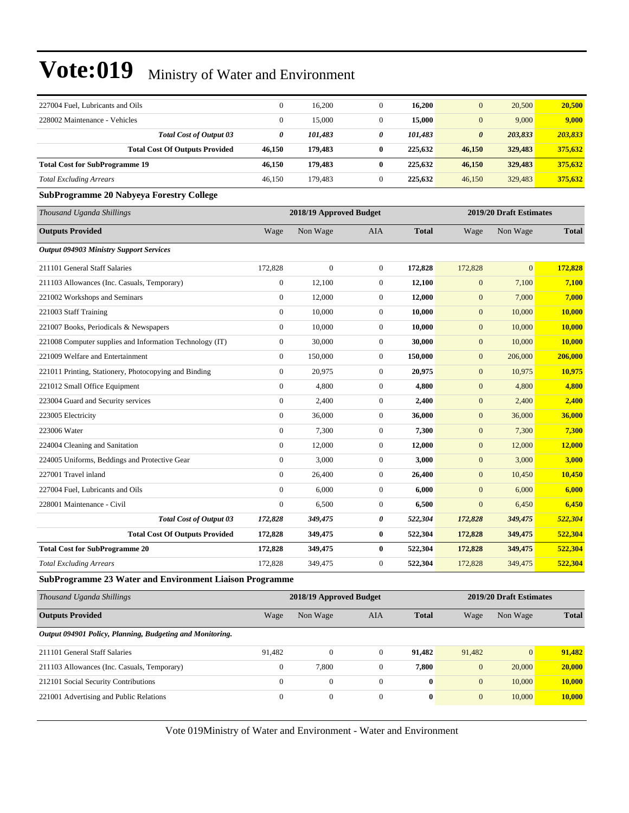| 227004 Fuel, Lubricants and Oils                               | $\mathbf{0}$     | 16,200                  | $\mathbf{0}$     | 16,200       | $\overline{0}$        | 20,500                  | 20,500       |
|----------------------------------------------------------------|------------------|-------------------------|------------------|--------------|-----------------------|-------------------------|--------------|
| 228002 Maintenance - Vehicles                                  | $\boldsymbol{0}$ | 15,000                  | $\boldsymbol{0}$ | 15,000       | $\overline{0}$        | 9,000                   | 9,000        |
| <b>Total Cost of Output 03</b>                                 | 0                | 101,483                 | 0                | 101,483      | $\boldsymbol{\theta}$ | 203,833                 | 203,833      |
| <b>Total Cost Of Outputs Provided</b>                          | 46,150           | 179,483                 | $\bf{0}$         | 225,632      | 46,150                | 329,483                 | 375,632      |
| <b>Total Cost for SubProgramme 19</b>                          | 46,150           | 179,483                 | $\bf{0}$         | 225,632      | 46,150                | 329,483                 | 375,632      |
| <b>Total Excluding Arrears</b>                                 | 46,150           | 179,483                 | $\mathbf{0}$     | 225,632      | 46,150                | 329,483                 | 375,632      |
| <b>SubProgramme 20 Nabyeya Forestry College</b>                |                  |                         |                  |              |                       |                         |              |
| Thousand Uganda Shillings                                      |                  | 2018/19 Approved Budget |                  |              |                       | 2019/20 Draft Estimates |              |
| <b>Outputs Provided</b>                                        | Wage             | Non Wage                | AIA              | <b>Total</b> | Wage                  | Non Wage                | <b>Total</b> |
| <b>Output 094903 Ministry Support Services</b>                 |                  |                         |                  |              |                       |                         |              |
| 211101 General Staff Salaries                                  | 172,828          | $\mathbf{0}$            | $\boldsymbol{0}$ | 172,828      | 172,828               | $\overline{0}$          | 172,828      |
| 211103 Allowances (Inc. Casuals, Temporary)                    | $\boldsymbol{0}$ | 12,100                  | $\theta$         | 12,100       | $\mathbf{0}$          | 7,100                   | 7,100        |
| 221002 Workshops and Seminars                                  | $\overline{0}$   | 12,000                  | $\theta$         | 12,000       | $\boldsymbol{0}$      | 7,000                   | 7,000        |
| 221003 Staff Training                                          | $\boldsymbol{0}$ | 10,000                  | $\boldsymbol{0}$ | 10,000       | $\boldsymbol{0}$      | 10,000                  | 10,000       |
| 221007 Books, Periodicals & Newspapers                         | $\boldsymbol{0}$ | 10,000                  | $\boldsymbol{0}$ | 10,000       | $\boldsymbol{0}$      | 10,000                  | 10,000       |
| 221008 Computer supplies and Information Technology (IT)       | $\boldsymbol{0}$ | 30,000                  | $\mathbf{0}$     | 30,000       | $\overline{0}$        | 10,000                  | 10,000       |
| 221009 Welfare and Entertainment                               | $\boldsymbol{0}$ | 150,000                 | $\theta$         | 150,000      | $\mathbf{0}$          | 206,000                 | 206,000      |
| 221011 Printing, Stationery, Photocopying and Binding          | $\boldsymbol{0}$ | 20,975                  | $\theta$         | 20,975       | $\overline{0}$        | 10,975                  | 10,975       |
| 221012 Small Office Equipment                                  | $\boldsymbol{0}$ | 4,800                   | $\theta$         | 4,800        | $\mathbf{0}$          | 4,800                   | 4,800        |
| 223004 Guard and Security services                             | $\overline{0}$   | 2,400                   | $\theta$         | 2,400        | $\overline{0}$        | 2,400                   | 2,400        |
| 223005 Electricity                                             | $\boldsymbol{0}$ | 36,000                  | $\boldsymbol{0}$ | 36,000       | $\boldsymbol{0}$      | 36,000                  | 36,000       |
| 223006 Water                                                   | $\boldsymbol{0}$ | 7,300                   | $\boldsymbol{0}$ | 7,300        | $\mathbf{0}$          | 7,300                   | 7,300        |
| 224004 Cleaning and Sanitation                                 | $\boldsymbol{0}$ | 12,000                  | $\boldsymbol{0}$ | 12,000       | $\mathbf{0}$          | 12,000                  | 12,000       |
| 224005 Uniforms, Beddings and Protective Gear                  | $\boldsymbol{0}$ | 3,000                   | $\theta$         | 3,000        | $\mathbf{0}$          | 3,000                   | 3,000        |
| 227001 Travel inland                                           | $\mathbf{0}$     | 26,400                  | $\boldsymbol{0}$ | 26,400       | $\mathbf{0}$          | 10,450                  | 10,450       |
| 227004 Fuel, Lubricants and Oils                               | $\overline{0}$   | 6,000                   | $\theta$         | 6,000        | $\overline{0}$        | 6,000                   | 6,000        |
| 228001 Maintenance - Civil                                     | $\boldsymbol{0}$ | 6,500                   | $\mathbf{0}$     | 6,500        | $\overline{0}$        | 6,450                   | 6,450        |
| <b>Total Cost of Output 03</b>                                 | 172,828          | 349,475                 | 0                | 522,304      | 172,828               | 349,475                 | 522,304      |
| <b>Total Cost Of Outputs Provided</b>                          | 172,828          | 349,475                 | $\bf{0}$         | 522,304      | 172,828               | 349,475                 | 522,304      |
| <b>Total Cost for SubProgramme 20</b>                          | 172,828          | 349,475                 | $\bf{0}$         | 522,304      | 172,828               | 349,475                 | 522,304      |
| <b>Total Excluding Arrears</b>                                 | 172,828          | 349,475                 | $\theta$         | 522,304      | 172,828               | 349,475                 | 522,304      |
| <b>SubProgramme 23 Water and Environment Liaison Programme</b> |                  |                         |                  |              |                       |                         |              |
| Thousand Uganda Shillings                                      |                  | 2018/19 Approved Budget |                  |              |                       | 2019/20 Draft Estimates |              |
| <b>Outputs Provided</b>                                        | Wage             | Non Wage                | <b>AIA</b>       | <b>Total</b> | Wage                  | Non Wage                | <b>Total</b> |

#### *Output 094901 Policy, Planning, Budgeting and Monitoring.*

| 211101 General Staff Salaries               | 91.482 |       | 91.482 | 91.482 |        | 91.482 |
|---------------------------------------------|--------|-------|--------|--------|--------|--------|
| 211103 Allowances (Inc. Casuals, Temporary) |        | 7.800 | 7.800  |        | 20,000 | 20,000 |
| 212101 Social Security Contributions        |        |       |        |        | 10.000 | 10.000 |
| 221001 Advertising and Public Relations     |        |       |        |        | 10.000 | 10.000 |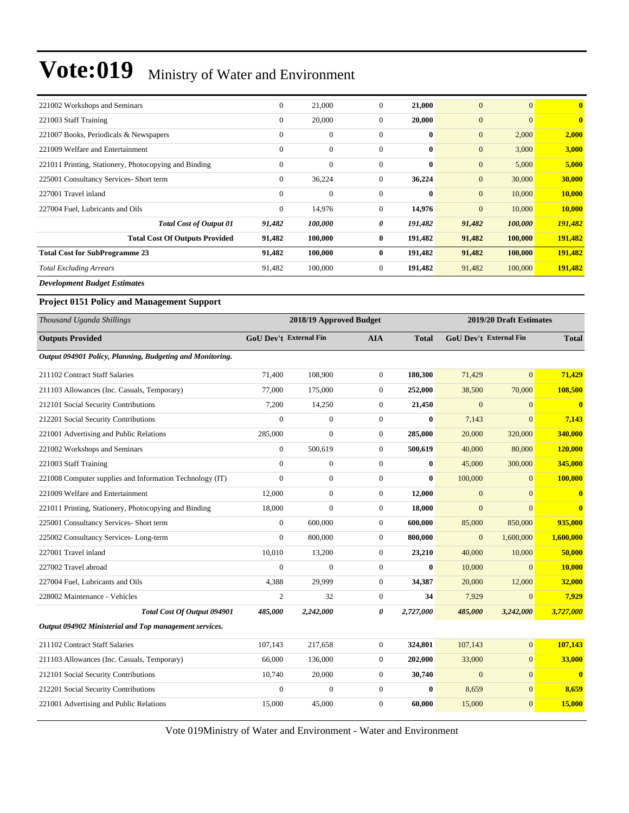| 221002 Workshops and Seminars                         | $\overline{0}$ | 21,000           | $\theta$ | 21,000       | $\overline{0}$ | $\mathbf{0}$ | $\bf{0}$ |
|-------------------------------------------------------|----------------|------------------|----------|--------------|----------------|--------------|----------|
| 221003 Staff Training                                 | $\mathbf{0}$   | 20,000           | $\theta$ | 20,000       | $\mathbf{0}$   | $\Omega$     | $\bf{0}$ |
| 221007 Books, Periodicals & Newspapers                | $\theta$       | $\mathbf{0}$     | $\theta$ | $\mathbf{0}$ | $\mathbf{0}$   | 2,000        | 2,000    |
| 221009 Welfare and Entertainment                      | $\mathbf{0}$   | $\boldsymbol{0}$ | $\theta$ | $\bf{0}$     | $\mathbf{0}$   | 3,000        | 3,000    |
| 221011 Printing, Stationery, Photocopying and Binding | $\mathbf{0}$   | $\boldsymbol{0}$ | $\theta$ | $\mathbf{0}$ | $\mathbf{0}$   | 5,000        | 5,000    |
| 225001 Consultancy Services- Short term               | $\mathbf{0}$   | 36,224           | $\theta$ | 36,224       | $\mathbf{0}$   | 30,000       | 30,000   |
| 227001 Travel inland                                  | $\mathbf{0}$   | $\mathbf{0}$     | $\theta$ | $\mathbf{0}$ | $\mathbf{0}$   | 10,000       | 10,000   |
| 227004 Fuel, Lubricants and Oils                      | $\mathbf{0}$   | 14,976           | $\theta$ | 14,976       | $\overline{0}$ | 10,000       | 10,000   |
| <b>Total Cost of Output 01</b>                        | 91,482         | 100,000          | 0        | 191,482      | 91,482         | 100,000      | 191,482  |
| <b>Total Cost Of Outputs Provided</b>                 | 91,482         | 100,000          | $\bf{0}$ | 191,482      | 91,482         | 100,000      | 191,482  |
| <b>Total Cost for SubProgramme 23</b>                 | 91,482         | 100,000          | $\bf{0}$ | 191,482      | 91,482         | 100,000      | 191,482  |
| <b>Total Excluding Arrears</b>                        | 91,482         | 100,000          | $\theta$ | 191,482      | 91,482         | 100,000      | 191,482  |
| $\mathbf{r}$ is the state of $\mathbf{r}$             |                |                  |          |              |                |              |          |

*Development Budget Estimates*

#### **Project 0151 Policy and Management Support**

| Thousand Uganda Shillings                                 |                               | 2018/19 Approved Budget |                       |              |                               | 2019/20 Draft Estimates |                         |
|-----------------------------------------------------------|-------------------------------|-------------------------|-----------------------|--------------|-------------------------------|-------------------------|-------------------------|
| <b>Outputs Provided</b>                                   | <b>GoU Dev't External Fin</b> |                         | <b>AIA</b>            | <b>Total</b> | <b>GoU Dev't External Fin</b> |                         | <b>Total</b>            |
| Output 094901 Policy, Planning, Budgeting and Monitoring. |                               |                         |                       |              |                               |                         |                         |
| 211102 Contract Staff Salaries                            | 71,400                        | 108,900                 | $\mathbf{0}$          | 180,300      | 71,429                        | $\mathbf{0}$            | 71,429                  |
| 211103 Allowances (Inc. Casuals, Temporary)               | 77,000                        | 175,000                 | $\boldsymbol{0}$      | 252,000      | 38,500                        | 70,000                  | 108,500                 |
| 212101 Social Security Contributions                      | 7,200                         | 14,250                  | $\overline{0}$        | 21,450       | $\Omega$                      | $\Omega$                | $\bf{0}$                |
| 212201 Social Security Contributions                      | $\Omega$                      | $\overline{0}$          | $\mathbf{0}$          | $\bf{0}$     | 7,143                         | $\overline{0}$          | 7,143                   |
| 221001 Advertising and Public Relations                   | 285,000                       | $\overline{0}$          | $\mathbf{0}$          | 285,000      | 20,000                        | 320,000                 | 340,000                 |
| 221002 Workshops and Seminars                             | $\overline{0}$                | 500,619                 | $\mathbf{0}$          | 500,619      | 40,000                        | 80,000                  | 120,000                 |
| 221003 Staff Training                                     | $\mathbf{0}$                  | $\boldsymbol{0}$        | $\boldsymbol{0}$      | $\bf{0}$     | 45,000                        | 300,000                 | 345,000                 |
| 221008 Computer supplies and Information Technology (IT)  | $\theta$                      | $\overline{0}$          | $\mathbf{0}$          | $\bf{0}$     | 100,000                       | $\Omega$                | 100,000                 |
| 221009 Welfare and Entertainment                          | 12,000                        | $\boldsymbol{0}$        | $\mathbf{0}$          | 12,000       | $\mathbf{0}$                  | $\Omega$                | $\bf{0}$                |
| 221011 Printing, Stationery, Photocopying and Binding     | 18,000                        | $\overline{0}$          | $\mathbf{0}$          | 18,000       | $\overline{0}$                | $\mathbf{0}$            | $\overline{\mathbf{0}}$ |
| 225001 Consultancy Services- Short term                   | $\mathbf{0}$                  | 600,000                 | $\mathbf{0}$          | 600,000      | 85,000                        | 850,000                 | 935,000                 |
| 225002 Consultancy Services-Long-term                     | $\Omega$                      | 800,000                 | $\mathbf{0}$          | 800,000      | $\overline{0}$                | 1,600,000               | 1,600,000               |
| 227001 Travel inland                                      | 10,010                        | 13,200                  | $\boldsymbol{0}$      | 23,210       | 40,000                        | 10,000                  | 50,000                  |
| 227002 Travel abroad                                      | $\mathbf{0}$                  | $\overline{0}$          | $\boldsymbol{0}$      | $\bf{0}$     | 10,000                        | $\mathbf{0}$            | 10,000                  |
| 227004 Fuel, Lubricants and Oils                          | 4,388                         | 29,999                  | $\overline{0}$        | 34,387       | 20,000                        | 12,000                  | 32,000                  |
| 228002 Maintenance - Vehicles                             | $\overline{c}$                | 32                      | $\boldsymbol{0}$      | 34           | 7,929                         | $\overline{0}$          | 7,929                   |
| Total Cost Of Output 094901                               | 485,000                       | 2,242,000               | $\boldsymbol{\theta}$ | 2,727,000    | 485,000                       | 3,242,000               | 3,727,000               |
| Output 094902 Ministerial and Top management services.    |                               |                         |                       |              |                               |                         |                         |
| 211102 Contract Staff Salaries                            | 107,143                       | 217,658                 | $\boldsymbol{0}$      | 324,801      | 107,143                       | $\mathbf{0}$            | 107,143                 |
| 211103 Allowances (Inc. Casuals, Temporary)               | 66,000                        | 136,000                 | $\mathbf{0}$          | 202,000      | 33,000                        | $\mathbf{0}$            | 33,000                  |
| 212101 Social Security Contributions                      | 10,740                        | 20,000                  | $\overline{0}$        | 30,740       | $\mathbf{0}$                  | $\mathbf{0}$            | $\bf{0}$                |
| 212201 Social Security Contributions                      | $\mathbf{0}$                  | $\overline{0}$          | $\mathbf{0}$          | $\bf{0}$     | 8,659                         | $\mathbf{0}$            | 8,659                   |
| 221001 Advertising and Public Relations                   | 15,000                        | 45,000                  | $\mathbf{0}$          | 60,000       | 15,000                        | $\mathbf{0}$            | 15,000                  |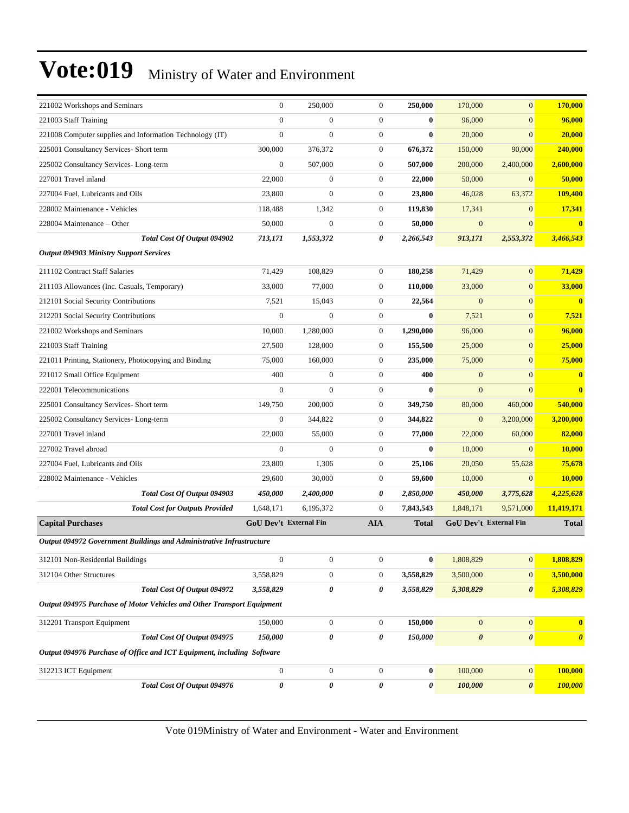| 221002 Workshops and Seminars                                          | $\boldsymbol{0}$       | 250,000          | $\mathbf{0}$     | 250,000          | 170,000               | $\overline{0}$                | 170,000               |
|------------------------------------------------------------------------|------------------------|------------------|------------------|------------------|-----------------------|-------------------------------|-----------------------|
| 221003 Staff Training                                                  | $\overline{0}$         | 0                | $\mathbf{0}$     | $\bf{0}$         | 96,000                | $\overline{0}$                | 96,000                |
| 221008 Computer supplies and Information Technology (IT)               | $\boldsymbol{0}$       | $\boldsymbol{0}$ | $\mathbf{0}$     | $\bf{0}$         | 20,000                | $\overline{0}$                | 20,000                |
| 225001 Consultancy Services- Short term                                | 300,000                | 376,372          | $\mathbf{0}$     | 676,372          | 150,000               | 90,000                        | 240,000               |
| 225002 Consultancy Services-Long-term                                  | $\overline{0}$         | 507,000          | $\mathbf{0}$     | 507,000          | 200,000               | 2,400,000                     | 2,600,000             |
| 227001 Travel inland                                                   | 22,000                 | $\boldsymbol{0}$ | $\mathbf{0}$     | 22,000           | 50,000                | $\overline{0}$                | 50,000                |
| 227004 Fuel, Lubricants and Oils                                       | 23,800                 | $\boldsymbol{0}$ | $\mathbf{0}$     | 23,800           | 46,028                | 63,372                        | 109,400               |
| 228002 Maintenance - Vehicles                                          | 118,488                | 1,342            | $\mathbf{0}$     | 119,830          | 17,341                | $\mathbf{0}$                  | 17,341                |
| 228004 Maintenance – Other                                             | 50,000                 | $\boldsymbol{0}$ | $\mathbf{0}$     | 50,000           | $\mathbf{0}$          | $\overline{0}$                | $\bf{0}$              |
| Total Cost Of Output 094902                                            | 713,171                | 1,553,372        | 0                | 2,266,543        | 913,171               | 2,553,372                     | 3,466,543             |
| <b>Output 094903 Ministry Support Services</b>                         |                        |                  |                  |                  |                       |                               |                       |
| 211102 Contract Staff Salaries                                         | 71,429                 | 108,829          | $\mathbf{0}$     | 180,258          | 71,429                | $\overline{0}$                | 71,429                |
| 211103 Allowances (Inc. Casuals, Temporary)                            | 33,000                 | 77,000           | $\mathbf{0}$     | 110,000          | 33,000                | $\overline{0}$                | 33,000                |
| 212101 Social Security Contributions                                   | 7,521                  | 15,043           | $\mathbf{0}$     | 22,564           | $\overline{0}$        | $\overline{0}$                | $\bf{0}$              |
| 212201 Social Security Contributions                                   | $\boldsymbol{0}$       | $\boldsymbol{0}$ | $\mathbf{0}$     | $\bf{0}$         | 7,521                 | $\boldsymbol{0}$              | 7,521                 |
| 221002 Workshops and Seminars                                          | 10,000                 | 1,280,000        | $\boldsymbol{0}$ | 1,290,000        | 96,000                | $\overline{0}$                | 96,000                |
| 221003 Staff Training                                                  | 27,500                 | 128,000          | $\mathbf{0}$     | 155,500          | 25,000                | $\overline{0}$                | 25,000                |
| 221011 Printing, Stationery, Photocopying and Binding                  | 75,000                 | 160,000          | $\mathbf{0}$     | 235,000          | 75,000                | $\overline{0}$                | 75,000                |
| 221012 Small Office Equipment                                          | 400                    | $\overline{0}$   | $\mathbf{0}$     | 400              | $\mathbf{0}$          | $\overline{0}$                | $\bf{0}$              |
| 222001 Telecommunications                                              | $\overline{0}$         | $\overline{0}$   | $\mathbf{0}$     | $\bf{0}$         | $\mathbf{0}$          | $\overline{0}$                | $\bf{0}$              |
| 225001 Consultancy Services- Short term                                | 149,750                | 200,000          | $\mathbf{0}$     | 349,750          | 80,000                | 460,000                       | 540,000               |
| 225002 Consultancy Services-Long-term                                  | $\boldsymbol{0}$       | 344,822          | $\mathbf{0}$     | 344,822          | $\mathbf{0}$          | 3,200,000                     | 3,200,000             |
| 227001 Travel inland                                                   | 22,000                 | 55,000           | $\mathbf{0}$     | 77,000           | 22,000                | 60,000                        | 82,000                |
| 227002 Travel abroad                                                   | $\overline{0}$         | $\overline{0}$   | $\mathbf{0}$     | $\bf{0}$         | 10,000                | $\overline{0}$                | 10,000                |
| 227004 Fuel, Lubricants and Oils                                       | 23,800                 | 1,306            | $\mathbf{0}$     | 25,106           | 20,050                | 55,628                        | 75,678                |
| 228002 Maintenance - Vehicles                                          | 29,600                 | 30,000           | $\mathbf{0}$     | 59,600           | 10,000                | $\mathbf{0}$                  | 10,000                |
| Total Cost Of Output 094903                                            | 450,000                | 2,400,000        | 0                | 2,850,000        | 450,000               | 3,775,628                     | 4,225,628             |
| <b>Total Cost for Outputs Provided</b>                                 | 1,648,171              | 6,195,372        | $\overline{0}$   | 7,843,543        | 1,848,171             | 9,571,000                     | 11,419,171            |
| <b>Capital Purchases</b>                                               | GoU Dev't External Fin |                  | <b>AIA</b>       | <b>Total</b>     |                       | <b>GoU Dev't External Fin</b> | <b>Total</b>          |
| Output 094972 Government Buildings and Administrative Infrastructure   |                        |                  |                  |                  |                       |                               |                       |
| 312101 Non-Residential Buildings                                       | $\boldsymbol{0}$       | $\boldsymbol{0}$ | $\boldsymbol{0}$ | $\boldsymbol{0}$ | 1,808,829             | $\boldsymbol{0}$              | 1,808,829             |
| 312104 Other Structures                                                | 3,558,829              | $\boldsymbol{0}$ | $\boldsymbol{0}$ | 3,558,829        | 3,500,000             | $\boldsymbol{0}$              | 3,500,000             |
| Total Cost Of Output 094972                                            | 3,558,829              | 0                | 0                | 3,558,829        | 5,308,829             | $\boldsymbol{\theta}$         | 5,308,829             |
| Output 094975 Purchase of Motor Vehicles and Other Transport Equipment |                        |                  |                  |                  |                       |                               |                       |
| 312201 Transport Equipment                                             | 150,000                | $\boldsymbol{0}$ | $\boldsymbol{0}$ | 150,000          | $\mathbf{0}$          | $\boldsymbol{0}$              | $\bf{0}$              |
| Total Cost Of Output 094975                                            | 150,000                | 0                | 0                | 150,000          | $\boldsymbol{\theta}$ | 0                             | $\boldsymbol{\theta}$ |
| Output 094976 Purchase of Office and ICT Equipment, including Software |                        |                  |                  |                  |                       |                               |                       |
| 312213 ICT Equipment                                                   | $\boldsymbol{0}$       | $\boldsymbol{0}$ | $\boldsymbol{0}$ | $\bf{0}$         | 100,000               | $\mathbf{0}$                  | 100,000               |
| Total Cost Of Output 094976                                            | $\pmb{\theta}$         | 0                | 0                | 0                | 100,000               | $\pmb{\theta}$                | <b>100,000</b>        |
|                                                                        |                        |                  |                  |                  |                       |                               |                       |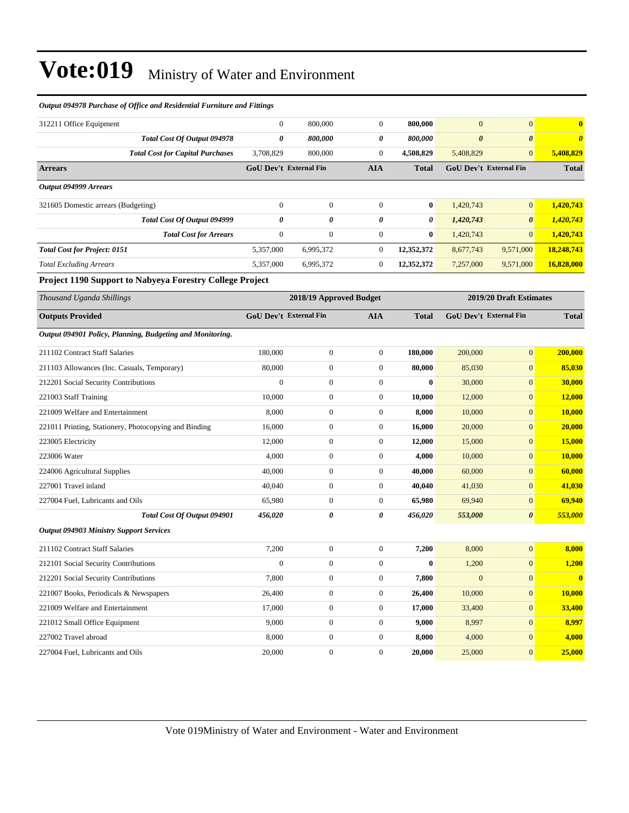| Output 094978 Purchase of Office and Residential Furniture and Fittings |                               |                         |                  |                  |                       |                               |                       |
|-------------------------------------------------------------------------|-------------------------------|-------------------------|------------------|------------------|-----------------------|-------------------------------|-----------------------|
| 312211 Office Equipment                                                 | $\boldsymbol{0}$              | 800,000                 | $\mathbf{0}$     | 800,000          | $\boldsymbol{0}$      | $\mathbf{0}$                  | $\bf{0}$              |
| Total Cost Of Output 094978                                             | 0                             | 800,000                 | 0                | 800,000          | $\boldsymbol{\theta}$ | $\boldsymbol{\theta}$         | $\boldsymbol{\theta}$ |
| <b>Total Cost for Capital Purchases</b>                                 | 3,708,829                     | 800,000                 | $\overline{0}$   | 4,508,829        | 5,408,829             | $\overline{0}$                | 5,408,829             |
| <b>Arrears</b>                                                          | GoU Dev't External Fin        |                         | <b>AIA</b>       | <b>Total</b>     |                       | GoU Dev't External Fin        | <b>Total</b>          |
| Output 094999 Arrears                                                   |                               |                         |                  |                  |                       |                               |                       |
| 321605 Domestic arrears (Budgeting)                                     | $\boldsymbol{0}$              | $\boldsymbol{0}$        | $\mathbf{0}$     | $\bf{0}$         | 1,420,743             | $\overline{0}$                | 1,420,743             |
| <b>Total Cost Of Output 094999</b>                                      | 0                             | 0                       | 0                | 0                | 1,420,743             | $\boldsymbol{\theta}$         | 1,420,743             |
| <b>Total Cost for Arrears</b>                                           | $\boldsymbol{0}$              | $\boldsymbol{0}$        | $\mathbf{0}$     | $\bf{0}$         | 1,420,743             | $\overline{0}$                | 1,420,743             |
| <b>Total Cost for Project: 0151</b>                                     | 5,357,000                     | 6,995,372               | $\mathbf{0}$     | 12,352,372       | 8,677,743             | 9,571,000                     | 18,248,743            |
| <b>Total Excluding Arrears</b>                                          | 5,357,000                     | 6,995,372               | $\boldsymbol{0}$ | 12,352,372       | 7,257,000             | 9,571,000                     | 16,828,000            |
| Project 1190 Support to Nabyeya Forestry College Project                |                               |                         |                  |                  |                       |                               |                       |
| Thousand Uganda Shillings                                               |                               | 2018/19 Approved Budget |                  |                  |                       | 2019/20 Draft Estimates       |                       |
| <b>Outputs Provided</b>                                                 | <b>GoU Dev't External Fin</b> |                         | <b>AIA</b>       | <b>Total</b>     |                       | <b>GoU Dev't External Fin</b> | <b>Total</b>          |
| Output 094901 Policy, Planning, Budgeting and Monitoring.               |                               |                         |                  |                  |                       |                               |                       |
| 211102 Contract Staff Salaries                                          | 180,000                       | $\boldsymbol{0}$        | $\mathbf{0}$     | 180,000          | 200,000               | $\overline{0}$                | 200,000               |
| 211103 Allowances (Inc. Casuals, Temporary)                             | 80,000                        | $\boldsymbol{0}$        | $\mathbf{0}$     | 80,000           | 85,030                | $\overline{0}$                | 85,030                |
| 212201 Social Security Contributions                                    | $\boldsymbol{0}$              | $\boldsymbol{0}$        | $\mathbf{0}$     | $\bf{0}$         | 30,000                | $\overline{0}$                | 30,000                |
| 221003 Staff Training                                                   | 10,000                        | $\boldsymbol{0}$        | $\mathbf{0}$     | 10,000           | 12,000                | $\overline{0}$                | <b>12,000</b>         |
| 221009 Welfare and Entertainment                                        | 8,000                         | $\boldsymbol{0}$        | $\mathbf{0}$     | 8,000            | 10,000                | $\overline{0}$                | 10,000                |
| 221011 Printing, Stationery, Photocopying and Binding                   | 16,000                        | $\boldsymbol{0}$        | $\mathbf{0}$     | 16,000           | 20,000                | $\overline{0}$                | 20,000                |
| 223005 Electricity                                                      | 12,000                        | $\boldsymbol{0}$        | $\mathbf{0}$     | 12,000           | 15,000                | $\overline{0}$                | 15,000                |
| 223006 Water                                                            | 4,000                         | $\boldsymbol{0}$        | $\boldsymbol{0}$ | 4,000            | 10,000                | $\overline{0}$                | 10,000                |
| 224006 Agricultural Supplies                                            | 40,000                        | $\boldsymbol{0}$        | $\mathbf{0}$     | 40,000           | 60,000                | $\overline{0}$                | 60,000                |
| 227001 Travel inland                                                    | 40,040                        | $\boldsymbol{0}$        | $\mathbf{0}$     | 40,040           | 41,030                | $\overline{0}$                | 41,030                |
| 227004 Fuel, Lubricants and Oils                                        | 65,980                        | $\boldsymbol{0}$        | $\mathbf{0}$     | 65,980           | 69,940                | $\overline{0}$                | 69,940                |
| Total Cost Of Output 094901                                             | 456,020                       | 0                       | 0                | 456,020          | 553,000               | 0                             | 553,000               |
| <b>Output 094903 Ministry Support Services</b>                          |                               |                         |                  |                  |                       |                               |                       |
| 211102 Contract Staff Salaries                                          | 7,200                         | $\boldsymbol{0}$        | $\boldsymbol{0}$ | 7,200            | 8,000                 | $\overline{0}$                | 8,000                 |
| 212101 Social Security Contributions                                    | $\boldsymbol{0}$              | $\boldsymbol{0}$        | $\boldsymbol{0}$ | $\boldsymbol{0}$ | 1,200                 | $\boldsymbol{0}$              | 1,200                 |
| 212201 Social Security Contributions                                    | 7,800                         | $\boldsymbol{0}$        | $\boldsymbol{0}$ | 7,800            | $\boldsymbol{0}$      | $\mathbf{0}$                  | $\mathbf{0}$          |
| 221007 Books, Periodicals & Newspapers                                  | 26,400                        | $\boldsymbol{0}$        | $\boldsymbol{0}$ | 26,400           | 10,000                | $\boldsymbol{0}$              | 10,000                |
| 221009 Welfare and Entertainment                                        | 17,000                        | $\boldsymbol{0}$        | $\boldsymbol{0}$ | 17,000           | 33,400                | $\boldsymbol{0}$              | 33,400                |
| 221012 Small Office Equipment                                           | 9,000                         | $\boldsymbol{0}$        | $\boldsymbol{0}$ | 9,000            | 8,997                 | $\boldsymbol{0}$              | 8,997                 |
| 227002 Travel abroad                                                    | 8,000                         | $\boldsymbol{0}$        | $\overline{0}$   | 8,000            | 4,000                 | $\boldsymbol{0}$              | 4,000                 |
| 227004 Fuel, Lubricants and Oils                                        | 20,000                        | $\boldsymbol{0}$        | $\boldsymbol{0}$ | 20,000           | 25,000                | $\mathbf{0}$                  | 25,000                |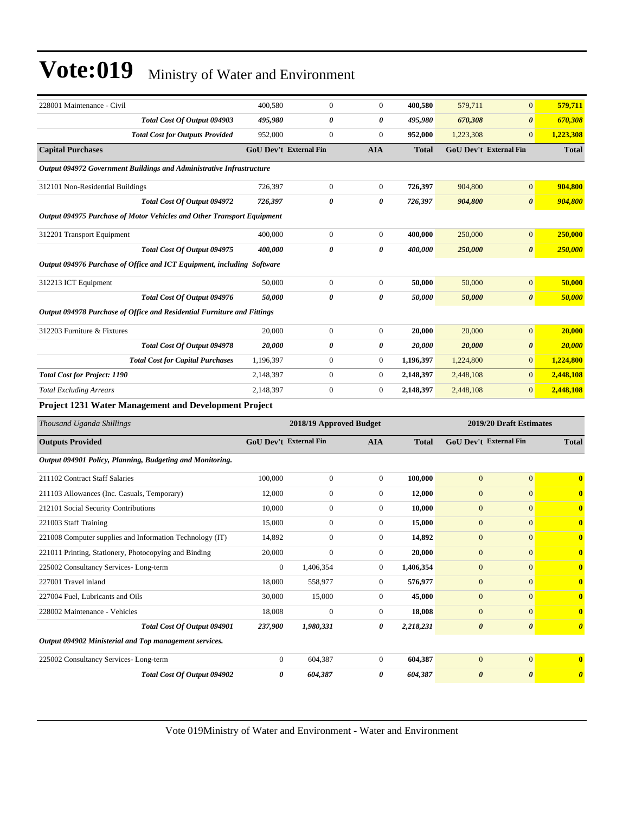| 228001 Maintenance - Civil                                              | 400,580                       | $\boldsymbol{0}$        | $\boldsymbol{0}$ | 400,580      | 579,711               | $\boldsymbol{0}$              | 579,711                 |
|-------------------------------------------------------------------------|-------------------------------|-------------------------|------------------|--------------|-----------------------|-------------------------------|-------------------------|
| Total Cost Of Output 094903                                             | 495,980                       | 0                       | 0                | 495,980      | 670,308               | $\boldsymbol{\theta}$         | 670,308                 |
| <b>Total Cost for Outputs Provided</b>                                  | 952,000                       | $\boldsymbol{0}$        | $\boldsymbol{0}$ | 952,000      | 1,223,308             | $\boldsymbol{0}$              | 1,223,308               |
| <b>Capital Purchases</b>                                                | <b>GoU Dev't External Fin</b> |                         | <b>AIA</b>       | <b>Total</b> |                       | <b>GoU Dev't External Fin</b> | <b>Total</b>            |
| Output 094972 Government Buildings and Administrative Infrastructure    |                               |                         |                  |              |                       |                               |                         |
| 312101 Non-Residential Buildings                                        | 726,397                       | $\boldsymbol{0}$        | $\mathbf{0}$     | 726,397      | 904,800               | $\boldsymbol{0}$              | 904,800                 |
| Total Cost Of Output 094972                                             | 726,397                       | 0                       | 0                | 726,397      | 904,800               | 0                             | 904,800                 |
| Output 094975 Purchase of Motor Vehicles and Other Transport Equipment  |                               |                         |                  |              |                       |                               |                         |
| 312201 Transport Equipment                                              | 400,000                       | $\boldsymbol{0}$        | $\mathbf{0}$     | 400,000      | 250,000               | $\boldsymbol{0}$              | 250,000                 |
| Total Cost Of Output 094975                                             | 400,000                       | 0                       | 0                | 400,000      | 250,000               | 0                             | 250,000                 |
| Output 094976 Purchase of Office and ICT Equipment, including Software  |                               |                         |                  |              |                       |                               |                         |
| 312213 ICT Equipment                                                    | 50,000                        | $\boldsymbol{0}$        | $\boldsymbol{0}$ | 50,000       | 50,000                | $\boldsymbol{0}$              | 50,000                  |
| Total Cost Of Output 094976                                             | 50,000                        | 0                       | 0                | 50,000       | 50,000                | $\boldsymbol{\theta}$         | 50,000                  |
| Output 094978 Purchase of Office and Residential Furniture and Fittings |                               |                         |                  |              |                       |                               |                         |
| 312203 Furniture & Fixtures                                             | 20,000                        | $\boldsymbol{0}$        | $\mathbf{0}$     | 20,000       | 20,000                | $\overline{0}$                | 20,000                  |
| Total Cost Of Output 094978                                             | 20,000                        | 0                       | 0                | 20,000       | 20,000                | $\boldsymbol{\theta}$         | <b>20,000</b>           |
| <b>Total Cost for Capital Purchases</b>                                 | 1,196,397                     | 0                       | $\mathbf{0}$     | 1,196,397    | 1,224,800             | $\overline{0}$                | 1,224,800               |
| <b>Total Cost for Project: 1190</b>                                     | 2,148,397                     | $\boldsymbol{0}$        | $\boldsymbol{0}$ | 2,148,397    | 2,448,108             | $\overline{0}$                | 2,448,108               |
| <b>Total Excluding Arrears</b>                                          | 2,148,397                     | $\boldsymbol{0}$        | $\boldsymbol{0}$ | 2,148,397    | 2,448,108             | $\boldsymbol{0}$              | 2,448,108               |
| Project 1231 Water Management and Development Project                   |                               |                         |                  |              |                       |                               |                         |
| Thousand Uganda Shillings                                               |                               | 2018/19 Approved Budget |                  |              |                       | 2019/20 Draft Estimates       |                         |
| <b>Outputs Provided</b>                                                 | GoU Dev't External Fin        |                         | <b>AIA</b>       | <b>Total</b> |                       | GoU Dev't External Fin        | <b>Total</b>            |
| Output 094901 Policy, Planning, Budgeting and Monitoring.               |                               |                         |                  |              |                       |                               |                         |
| 211102 Contract Staff Salaries                                          | 100,000                       | $\boldsymbol{0}$        | $\mathbf{0}$     | 100,000      | $\mathbf{0}$          | $\overline{0}$                | $\mathbf{0}$            |
| 211103 Allowances (Inc. Casuals, Temporary)                             | 12,000                        | $\boldsymbol{0}$        | $\boldsymbol{0}$ | 12,000       | $\mathbf{0}$          | $\overline{0}$                | $\bf{0}$                |
| 212101 Social Security Contributions                                    | 10,000                        | $\boldsymbol{0}$        | $\mathbf{0}$     | 10,000       | $\mathbf{0}$          | $\overline{0}$                | $\bf{0}$                |
| 221003 Staff Training                                                   | 15,000                        | $\boldsymbol{0}$        | $\boldsymbol{0}$ | 15,000       | $\mathbf{0}$          | $\overline{0}$                | $\bf{0}$                |
| 221008 Computer supplies and Information Technology (IT)                | 14,892                        | $\boldsymbol{0}$        | $\boldsymbol{0}$ | 14,892       | $\boldsymbol{0}$      | $\boldsymbol{0}$              | $\bf{0}$                |
| 221011 Printing, Stationery, Photocopying and Binding                   | 20,000                        | $\Omega$                | $\Omega$         | 20,000       | $\boldsymbol{0}$      | $\boldsymbol{0}$              | $\bf{0}$                |
| 225002 Consultancy Services-Long-term                                   | $\mathbf{0}$                  | 1,406,354               | $\boldsymbol{0}$ | 1,406,354    | $\boldsymbol{0}$      | $\boldsymbol{0}$              | $\mathbf{0}$            |
| 227001 Travel inland                                                    | 18,000                        | 558,977                 | $\boldsymbol{0}$ | 576,977      | $\mathbf{0}$          | $\overline{0}$                | $\mathbf{0}$            |
| 227004 Fuel, Lubricants and Oils                                        | 30,000                        | 15,000                  | $\boldsymbol{0}$ | 45,000       | $\mathbf{0}$          | $\overline{0}$                | $\bf{0}$                |
| 228002 Maintenance - Vehicles                                           | 18,008                        | $\boldsymbol{0}$        | $\boldsymbol{0}$ | 18,008       | $\boldsymbol{0}$      | $\overline{0}$                | $\bf{0}$                |
| Total Cost Of Output 094901                                             | 237,900                       | 1,980,331               | 0                | 2,218,231    | $\boldsymbol{\theta}$ | 0                             | $\boldsymbol{\theta}$   |
| Output 094902 Ministerial and Top management services.                  |                               |                         |                  |              |                       |                               |                         |
| 225002 Consultancy Services-Long-term                                   | $\boldsymbol{0}$              | 604,387                 | $\boldsymbol{0}$ | 604,387      | $\boldsymbol{0}$      | $\boldsymbol{0}$              | $\overline{\mathbf{0}}$ |
| Total Cost Of Output 094902                                             | 0                             | 604,387                 | 0                | 604,387      | $\boldsymbol{\theta}$ | 0                             | $\boldsymbol{\theta}$   |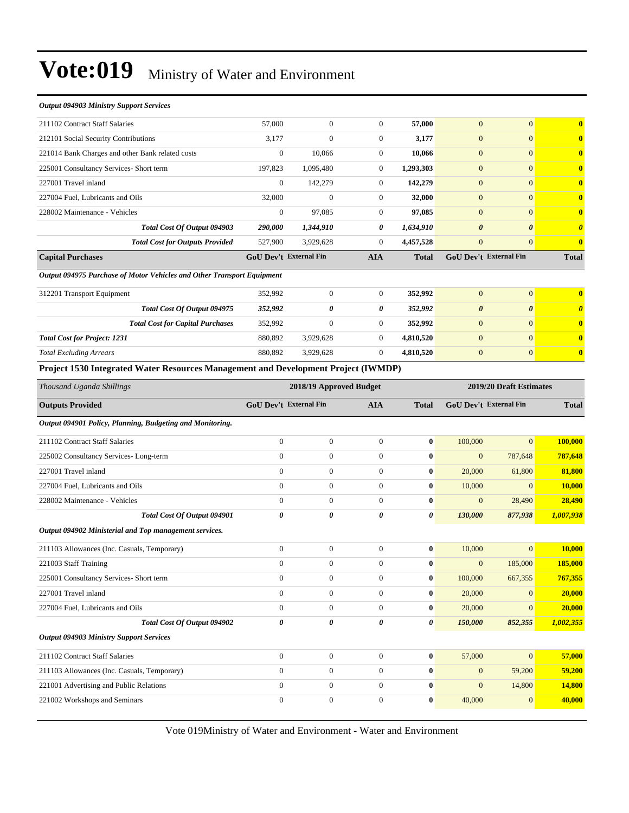| <b>Output 094903 Ministry Support Services</b>                                     |                                                    |                  |                  |                  |                        |                  |                       |
|------------------------------------------------------------------------------------|----------------------------------------------------|------------------|------------------|------------------|------------------------|------------------|-----------------------|
| 211102 Contract Staff Salaries                                                     | 57,000                                             | $\mathbf{0}$     | $\mathbf{0}$     | 57,000           | $\mathbf{0}$           | $\mathbf{0}$     | $\bf{0}$              |
| 212101 Social Security Contributions                                               | 3,177                                              | $\overline{0}$   | $\boldsymbol{0}$ | 3,177            | $\mathbf{0}$           | $\overline{0}$   | $\bf{0}$              |
| 221014 Bank Charges and other Bank related costs                                   | $\boldsymbol{0}$                                   | 10,066           | $\boldsymbol{0}$ | 10,066           | $\mathbf{0}$           | $\overline{0}$   | $\bf{0}$              |
| 225001 Consultancy Services- Short term                                            | 197,823                                            | 1,095,480        | $\mathbf{0}$     | 1,293,303        | $\mathbf{0}$           | $\overline{0}$   | $\bf{0}$              |
| 227001 Travel inland                                                               | $\mathbf{0}$                                       | 142,279          | $\boldsymbol{0}$ | 142,279          | $\mathbf{0}$           | $\mathbf{0}$     | $\bf{0}$              |
| 227004 Fuel, Lubricants and Oils                                                   | 32,000                                             | $\Omega$         | $\boldsymbol{0}$ | 32,000           | $\mathbf{0}$           | $\overline{0}$   | $\bf{0}$              |
| 228002 Maintenance - Vehicles                                                      | $\mathbf{0}$                                       | 97,085           | $\mathbf{0}$     | 97,085           | $\mathbf{0}$           | $\overline{0}$   | $\bf{0}$              |
| Total Cost Of Output 094903                                                        | 290,000                                            | 1,344,910        | 0                | 1,634,910        | 0                      | 0                | $\boldsymbol{\theta}$ |
| <b>Total Cost for Outputs Provided</b>                                             | 527,900                                            | 3,929,628        | $\mathbf{0}$     | 4,457,528        | $\mathbf{0}$           | $\overline{0}$   | $\bf{0}$              |
| <b>Capital Purchases</b>                                                           | GoU Dev't External Fin                             |                  | <b>AIA</b>       | <b>Total</b>     | GoU Dev't External Fin |                  | <b>Total</b>          |
| Output 094975 Purchase of Motor Vehicles and Other Transport Equipment             |                                                    |                  |                  |                  |                        |                  |                       |
| 312201 Transport Equipment                                                         | 352,992                                            | $\boldsymbol{0}$ | $\mathbf{0}$     | 352,992          | $\mathbf{0}$           | $\overline{0}$   | $\bf{0}$              |
| Total Cost Of Output 094975                                                        | 352,992                                            | 0                | 0                | 352,992          | $\boldsymbol{\theta}$  | 0                | $\boldsymbol{\theta}$ |
| <b>Total Cost for Capital Purchases</b>                                            | 352,992                                            | $\boldsymbol{0}$ | $\mathbf{0}$     | 352,992          | $\boldsymbol{0}$       | $\mathbf{0}$     | $\bf{0}$              |
| <b>Total Cost for Project: 1231</b>                                                | 880,892                                            | 3,929,628        | $\boldsymbol{0}$ | 4,810,520        | $\mathbf{0}$           | $\overline{0}$   | $\bf{0}$              |
| <b>Total Excluding Arrears</b>                                                     | 880,892                                            | 3,929,628        | $\overline{0}$   | 4,810,520        | $\mathbf{0}$           | $\overline{0}$   | $\bf{0}$              |
| Project 1530 Integrated Water Resources Management and Development Project (IWMDP) |                                                    |                  |                  |                  |                        |                  |                       |
| Thousand Uganda Shillings                                                          | 2019/20 Draft Estimates<br>2018/19 Approved Budget |                  |                  |                  |                        |                  |                       |
|                                                                                    |                                                    |                  |                  |                  |                        |                  |                       |
| <b>Outputs Provided</b>                                                            | GoU Dev't External Fin                             |                  | <b>AIA</b>       | <b>Total</b>     | GoU Dev't External Fin |                  | <b>Total</b>          |
| Output 094901 Policy, Planning, Budgeting and Monitoring.                          |                                                    |                  |                  |                  |                        |                  |                       |
| 211102 Contract Staff Salaries                                                     | $\mathbf{0}$                                       | $\boldsymbol{0}$ | $\mathbf{0}$     | $\bf{0}$         | 100,000                | $\overline{0}$   | 100,000               |
| 225002 Consultancy Services-Long-term                                              | $\overline{0}$                                     | $\boldsymbol{0}$ | $\mathbf{0}$     | $\bf{0}$         | $\mathbf{0}$           | 787,648          | 787,648               |
| 227001 Travel inland                                                               | $\overline{0}$                                     | $\boldsymbol{0}$ | $\boldsymbol{0}$ | $\bf{0}$         | 20,000                 | 61,800           | 81,800                |
| 227004 Fuel, Lubricants and Oils                                                   | $\boldsymbol{0}$                                   | $\boldsymbol{0}$ | $\mathbf{0}$     | $\bf{0}$         | 10,000                 | $\mathbf{0}$     | 10,000                |
| 228002 Maintenance - Vehicles                                                      | $\boldsymbol{0}$                                   | $\boldsymbol{0}$ | $\mathbf{0}$     | $\bf{0}$         | $\mathbf{0}$           | 28,490           | 28,490                |
| Total Cost Of Output 094901                                                        | 0                                                  | 0                | 0                | 0                | 130,000                | 877,938          | 1,007,938             |
| Output 094902 Ministerial and Top management services.                             |                                                    |                  |                  |                  |                        |                  |                       |
| 211103 Allowances (Inc. Casuals, Temporary)                                        | $\boldsymbol{0}$                                   | $\boldsymbol{0}$ | $\mathbf{0}$     | $\bf{0}$         | 10,000                 | $\overline{0}$   | 10,000                |
| 221003 Staff Training                                                              | $\boldsymbol{0}$                                   | $\boldsymbol{0}$ | $\boldsymbol{0}$ | $\bf{0}$         | $\mathbf{0}$           | 185,000          | 185,000               |
| 225001 Consultancy Services- Short term                                            | $\boldsymbol{0}$                                   | $\boldsymbol{0}$ | $\boldsymbol{0}$ | $\bf{0}$         | 100,000                | 667,355          | 767,355               |
| 227001 Travel inland                                                               | $\boldsymbol{0}$                                   | $\boldsymbol{0}$ | $\mathbf{0}$     | $\bf{0}$         | 20,000                 | $\mathbf{0}$     | 20,000                |
| 227004 Fuel, Lubricants and Oils                                                   | $\overline{0}$                                     | $\boldsymbol{0}$ | $\boldsymbol{0}$ | 0                | 20,000                 | $\mathbf{0}$     | 20,000                |
| Total Cost Of Output 094902                                                        | 0                                                  | 0                | 0                | 0                | 150,000                | 852,355          | 1,002,355             |
| <b>Output 094903 Ministry Support Services</b>                                     |                                                    |                  |                  |                  |                        |                  |                       |
| 211102 Contract Staff Salaries                                                     | $\boldsymbol{0}$                                   | $\boldsymbol{0}$ | $\boldsymbol{0}$ | $\boldsymbol{0}$ | 57,000                 | $\boldsymbol{0}$ | 57,000                |
| 211103 Allowances (Inc. Casuals, Temporary)                                        | $\boldsymbol{0}$                                   | $\boldsymbol{0}$ | $\boldsymbol{0}$ | $\bf{0}$         | $\boldsymbol{0}$       | 59,200           | 59,200                |
| 221001 Advertising and Public Relations                                            | $\boldsymbol{0}$                                   | $\boldsymbol{0}$ | $\boldsymbol{0}$ | $\bf{0}$         | $\mathbf{0}$           | 14,800           | 14,800                |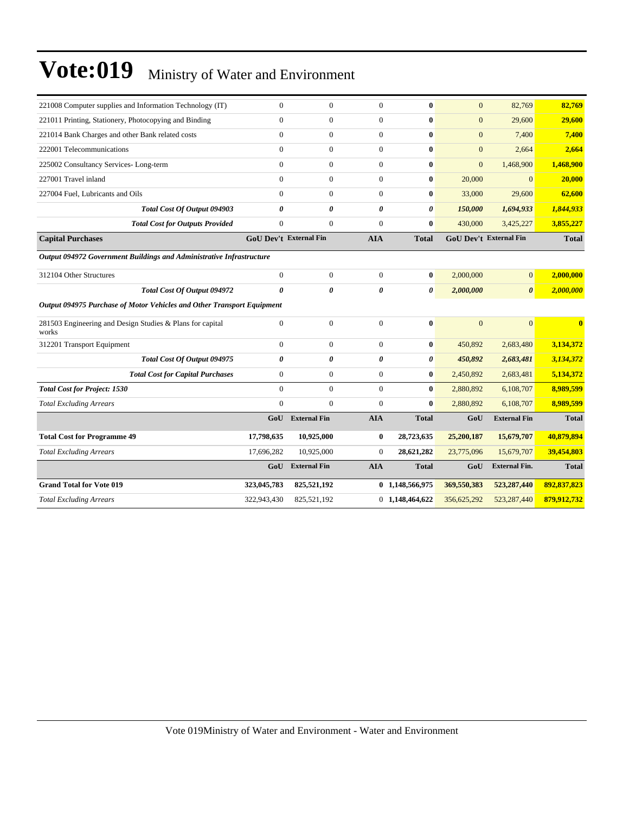| 221008 Computer supplies and Information Technology (IT)               | $\overline{0}$                | $\overline{0}$      | $\overline{0}$   | $\bf{0}$              | $\overline{0}$ | 82,769                        | 82,769       |
|------------------------------------------------------------------------|-------------------------------|---------------------|------------------|-----------------------|----------------|-------------------------------|--------------|
| 221011 Printing, Stationery, Photocopying and Binding                  | $\mathbf{0}$                  | $\overline{0}$      | $\overline{0}$   | $\bf{0}$              | $\mathbf{0}$   | 29,600                        | 29,600       |
| 221014 Bank Charges and other Bank related costs                       | $\overline{0}$                | $\overline{0}$      | $\overline{0}$   | $\bf{0}$              | $\mathbf{0}$   | 7,400                         | 7,400        |
| 222001 Telecommunications                                              | $\Omega$                      | $\boldsymbol{0}$    | $\overline{0}$   | $\bf{0}$              | $\mathbf{0}$   | 2,664                         | 2,664        |
| 225002 Consultancy Services-Long-term                                  | $\overline{0}$                | $\boldsymbol{0}$    | $\overline{0}$   | $\bf{0}$              | $\mathbf{0}$   | 1,468,900                     | 1,468,900    |
| 227001 Travel inland                                                   | $\Omega$                      | $\overline{0}$      | $\overline{0}$   | $\bf{0}$              | 20,000         | $\Omega$                      | 20,000       |
| 227004 Fuel, Lubricants and Oils                                       | $\Omega$                      | $\boldsymbol{0}$    | $\boldsymbol{0}$ | $\bf{0}$              | 33,000         | 29,600                        | 62,600       |
| <b>Total Cost Of Output 094903</b>                                     | $\theta$                      | 0                   | 0                | 0                     | 150,000        | 1,694,933                     | 1,844,933    |
| <b>Total Cost for Outputs Provided</b>                                 | $\overline{0}$                | $\mathbf{0}$        | $\overline{0}$   | $\bf{0}$              | 430,000        | 3,425,227                     | 3,855,227    |
| <b>Capital Purchases</b>                                               | <b>GoU Dev't External Fin</b> |                     | <b>AIA</b>       | <b>Total</b>          |                | <b>GoU Dev't External Fin</b> | <b>Total</b> |
| Output 094972 Government Buildings and Administrative Infrastructure   |                               |                     |                  |                       |                |                               |              |
| 312104 Other Structures                                                | $\overline{0}$                | $\overline{0}$      | $\overline{0}$   | $\bf{0}$              | 2,000,000      | $\overline{0}$                | 2,000,000    |
| Total Cost Of Output 094972                                            | $\boldsymbol{\theta}$         | 0                   | 0                | $\boldsymbol{\theta}$ | 2,000,000      | $\boldsymbol{\theta}$         | 2,000,000    |
| Output 094975 Purchase of Motor Vehicles and Other Transport Equipment |                               |                     |                  |                       |                |                               |              |
| 281503 Engineering and Design Studies & Plans for capital<br>works     | $\mathbf{0}$                  | $\boldsymbol{0}$    | $\overline{0}$   | $\bf{0}$              | $\overline{0}$ | $\overline{0}$                | $\bf{0}$     |
| 312201 Transport Equipment                                             | $\Omega$                      | $\overline{0}$      | $\overline{0}$   | $\bf{0}$              | 450,892        | 2,683,480                     | 3,134,372    |
| Total Cost Of Output 094975                                            | 0                             | 0                   | 0                | 0                     | 450,892        | 2,683,481                     | 3,134,372    |
| <b>Total Cost for Capital Purchases</b>                                | $\mathbf{0}$                  | $\overline{0}$      | $\overline{0}$   | $\bf{0}$              | 2,450,892      | 2,683,481                     | 5,134,372    |
| <b>Total Cost for Project: 1530</b>                                    | $\Omega$                      | $\mathbf{0}$        | $\overline{0}$   | $\bf{0}$              | 2,880,892      | 6,108,707                     | 8,989,599    |
| <b>Total Excluding Arrears</b>                                         | $\theta$                      | $\theta$            | $\Omega$         | $\bf{0}$              | 2,880,892      | 6,108,707                     | 8,989,599    |
|                                                                        | GoU                           | <b>External Fin</b> | <b>AIA</b>       | <b>Total</b>          | GoU            | <b>External Fin</b>           | <b>Total</b> |
| <b>Total Cost for Programme 49</b>                                     | 17,798,635                    | 10,925,000          | $\bf{0}$         | 28,723,635            | 25,200,187     | 15,679,707                    | 40,879,894   |
| <b>Total Excluding Arrears</b>                                         | 17,696,282                    | 10,925,000          | $\overline{0}$   | 28,621,282            | 23,775,096     | 15,679,707                    | 39,454,803   |
|                                                                        | GoU                           | <b>External Fin</b> | <b>AIA</b>       | <b>Total</b>          | GoU            | <b>External Fin.</b>          | <b>Total</b> |
| <b>Grand Total for Vote 019</b>                                        | 323,045,783                   | 825,521,192         |                  | 0 1,148,566,975       | 369,550,383    | 523,287,440                   | 892,837,823  |
| <b>Total Excluding Arrears</b>                                         | 322,943,430                   | 825,521,192         |                  | 0 1,148,464,622       | 356,625,292    | 523,287,440                   | 879,912,732  |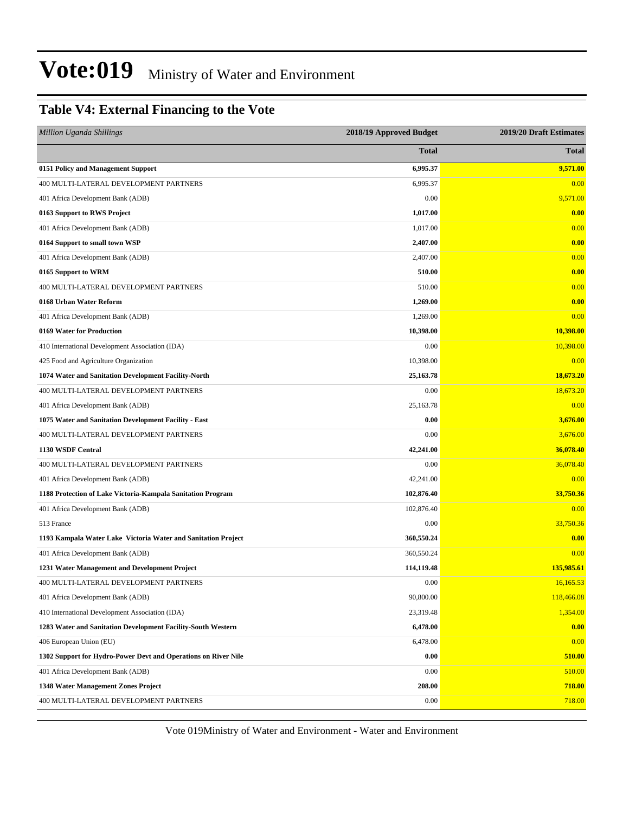#### **Table V4: External Financing to the Vote**

| <b>Million Uganda Shillings</b>                                | 2018/19 Approved Budget | 2019/20 Draft Estimates |
|----------------------------------------------------------------|-------------------------|-------------------------|
|                                                                | <b>Total</b>            | <b>Total</b>            |
| 0151 Policy and Management Support                             | 6,995.37                | 9,571.00                |
| 400 MULTI-LATERAL DEVELOPMENT PARTNERS                         | 6,995.37                | 0.00                    |
| 401 Africa Development Bank (ADB)                              | 0.00                    | 9,571.00                |
| 0163 Support to RWS Project                                    | 1,017.00                | 0.00                    |
| 401 Africa Development Bank (ADB)                              | 1,017.00                | 0.00                    |
| 0164 Support to small town WSP                                 | 2,407.00                | 0.00                    |
| 401 Africa Development Bank (ADB)                              | 2,407.00                | 0.00                    |
| 0165 Support to WRM                                            | 510.00                  | 0.00                    |
| 400 MULTI-LATERAL DEVELOPMENT PARTNERS                         | 510.00                  | 0.00                    |
| 0168 Urban Water Reform                                        | 1,269.00                | 0.00                    |
| 401 Africa Development Bank (ADB)                              | 1,269.00                | 0.00                    |
| 0169 Water for Production                                      | 10,398.00               | 10,398.00               |
| 410 International Development Association (IDA)                | 0.00                    | 10,398.00               |
| 425 Food and Agriculture Organization                          | 10,398.00               | 0.00                    |
| 1074 Water and Sanitation Development Facility-North           | 25,163.78               | 18,673.20               |
| 400 MULTI-LATERAL DEVELOPMENT PARTNERS                         | 0.00                    | 18,673.20               |
| 401 Africa Development Bank (ADB)                              | 25,163.78               | 0.00                    |
| 1075 Water and Sanitation Development Facility - East          | 0.00                    | 3,676.00                |
| 400 MULTI-LATERAL DEVELOPMENT PARTNERS                         | 0.00                    | 3,676.00                |
| 1130 WSDF Central                                              | 42,241.00               | 36,078.40               |
| 400 MULTI-LATERAL DEVELOPMENT PARTNERS                         | 0.00                    | 36,078.40               |
| 401 Africa Development Bank (ADB)                              | 42,241.00               | 0.00                    |
| 1188 Protection of Lake Victoria-Kampala Sanitation Program    | 102,876.40              | 33,750.36               |
| 401 Africa Development Bank (ADB)                              | 102,876.40              | 0.00                    |
| 513 France                                                     | 0.00                    | 33,750.36               |
| 1193 Kampala Water Lake Victoria Water and Sanitation Project  | 360,550.24              | 0.00                    |
| 401 Africa Development Bank (ADB)                              | 360,550.24              | 0.00                    |
| 1231 Water Management and Development Project                  | 114,119.48              | 135,985.61              |
| 400 MULTI-LATERAL DEVELOPMENT PARTNERS                         | 0.00                    | 16,165.53               |
| 401 Africa Development Bank (ADB)                              | 90,800.00               | 118,466.08              |
| 410 International Development Association (IDA)                | 23,319.48               | 1,354.00                |
| 1283 Water and Sanitation Development Facility-South Western   | 6,478.00                | 0.00                    |
| 406 European Union (EU)                                        | 6,478.00                | 0.00                    |
| 1302 Support for Hydro-Power Devt and Operations on River Nile | 0.00                    | 510.00                  |
| 401 Africa Development Bank (ADB)                              | 0.00                    | 510.00                  |
| 1348 Water Management Zones Project                            | 208.00                  | 718.00                  |
| 400 MULTI-LATERAL DEVELOPMENT PARTNERS                         | 0.00                    | 718.00                  |